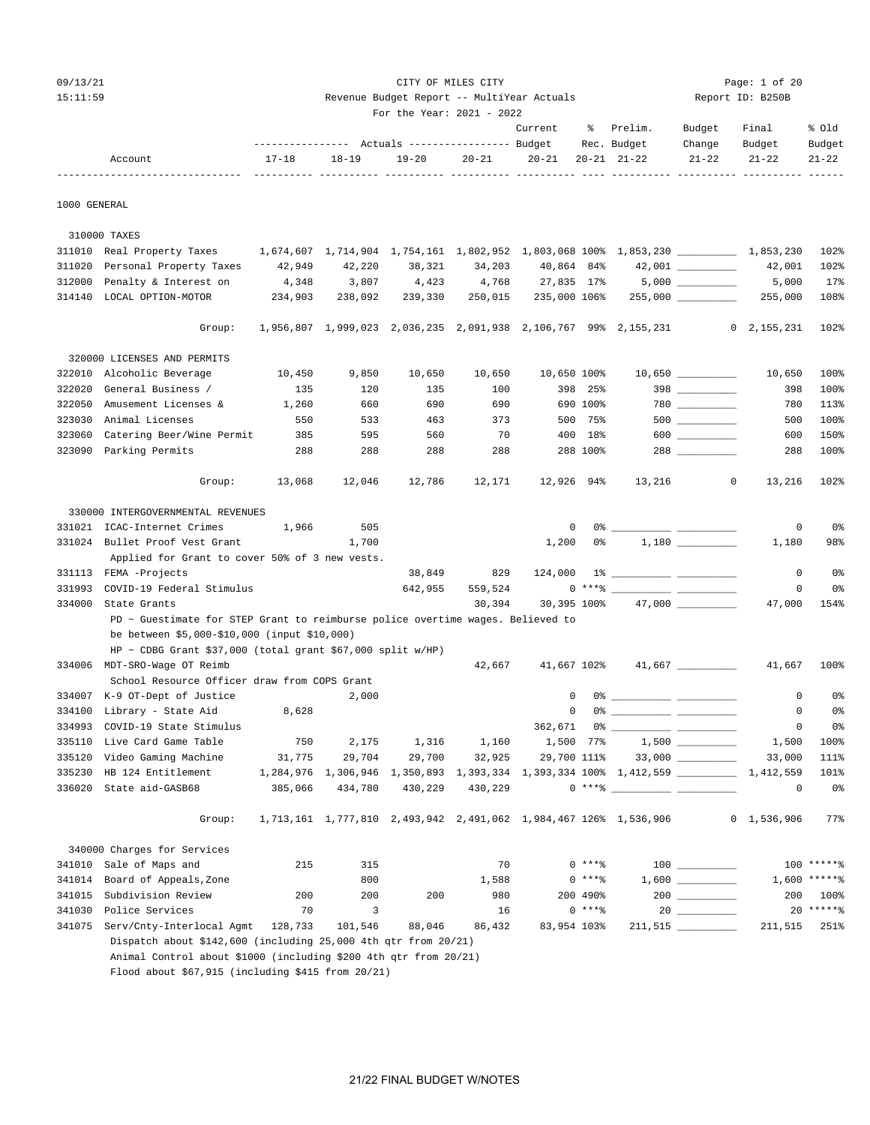| 09/13/21 | CITY OF MILES CITY                         | Page: $1$ of $20$ |
|----------|--------------------------------------------|-------------------|
| 15:11:59 | Revenue Budget Report -- MultiYear Actuals | Report ID: B250B  |
|          | For the Year: $2021 - 2022$                |                   |

|         |           |           |           |           | Current   | - 옹 | Prelim.         | Budget    | Final  | % Old     |
|---------|-----------|-----------|-----------|-----------|-----------|-----|-----------------|-----------|--------|-----------|
|         |           |           |           |           |           |     | Rec. Budget     | Change    | Budget | Budget    |
| Account | $17 - 18$ | $18 - 19$ | $19 - 20$ | $20 - 21$ | $20 - 21$ |     | $20-21$ $21-22$ | $21 - 22$ | 21-22  | $21 - 22$ |
|         |           |           |           |           |           |     |                 |           |        |           |

1000 GENERAL

 310000 TAXES 311010 Real Property Taxes 1,674,607 1,714,904 1,754,161 1,802,952 1,803,068 100% 1,853,230 \_\_\_\_\_\_\_\_\_\_ 1,853,230 102% 311020 Personal Property Taxes 42,949 42,220 38,321 34,203 40,864 84% 42,001 \_\_\_\_\_\_\_\_\_\_ 42,001 102% 312000 Penalty & Interest on  $4,348$  3,807  $4,423$  4,768 27,835 17% 5,000 \_\_\_\_\_\_\_\_ 5,000 17% 314140 LOCAL OPTION-MOTOR 234,903 238,092 239,330 250,015 235,000 106% 255,000 \_\_\_\_\_\_\_\_\_\_ 255,000 108% Group: 1,956,807 1,999,023 2,036,235 2,091,938 2,106,767 99% 2,155,231 0 2,155,231 102% 320000 LICENSES AND PERMITS 322010 Alcoholic Beverage 10,450 9,850 10,650 10,650 10,650 100% 10,650 \_\_\_\_\_\_\_\_\_\_ 10,650 100% 322020 General Business / 135 120 135 100 398 25% 398 \_\_\_\_\_\_\_\_\_\_ 398 100% 322050 Amusement Licenses & 1,260 660 690 690 690 100% 780 \_\_\_\_\_\_\_\_\_\_ 780 113% 323030 Animal Licenses 550 533 463 373 500 75% 500 <u>- 100% 500</u> 500 100%<br>323060 Catering Beer/Wine Permit 385 595 560 70 400 18% 600 - 600 150% 323060 Catering Beer/Wine Permit 385 595 560 70 400 18% 600 \_\_\_\_\_\_\_\_ 600 150% 323090 Parking Permits 288 288 288 288 288 100% 288 \_\_\_\_\_\_\_\_\_\_ 288 100% Group: 13,068 12,046 12,786 12,171 12,926 94% 13,216 0 13,216 102% 330000 INTERGOVERNMENTAL REVENUES 331021 ICAC-Internet Crimes 1,966 505 0 0% \_\_\_\_\_\_\_\_\_\_ \_\_\_\_\_\_\_\_\_\_ 0 0% 331024 Bullet Proof Vest Grant 1,700 1,200 0% 1,180 \_\_\_\_\_\_\_\_\_\_ 1,180 98% Applied for Grant to cover 50% of 3 new vests. 331113 FEMA -Projects 1 124,000 1% 2020 124,000 14 2020 2031 124,000 16 331993 COVID-19 Federal Stimulus 18 (42,955 559,524 0 \*\*\*\* 2 = 2 = 2 = 38 (38) 334000 State Grants 30,394 30,395 100% 47,000 \_\_\_\_\_\_\_\_\_\_ 47,000 154% PD ~ Guestimate for STEP Grant to reimburse police overtime wages. Believed to be between \$5,000-\$10,000 (input \$10,000)  $HP \sim CDBG$  Grant \$37,000 (total grant \$67,000 split  $w/HP$ ) 334006 MDT-SRO-Wage OT Reimb 42,667 41,667 102% 41,667 \_\_\_\_\_\_\_\_\_\_ 41,667 100% School Resource Officer draw from COPS Grant 334007 K-9 OT-Dept of Justice 2,000 0 0% \_\_\_\_\_\_\_\_\_\_ \_\_\_\_\_\_\_\_\_\_ 0 0% 334100 Library - State Aid 8,628 0 0% \_\_\_\_\_\_\_\_\_\_ \_\_\_\_\_\_\_\_\_\_ 0 0% 334993 COVID-19 State Stimulus 362,671 0% \_\_\_\_\_\_\_\_\_\_ \_\_\_\_\_\_\_\_\_\_ 0 0% 335110 Live Card Game Table 750 2,175 1,316 1,160 1,500 77% 1,500 \_\_\_\_\_\_\_\_\_\_ 1,500 100% 335120 Video Gaming Machine 31,775 29,704 29,700 32,925 29,700 111% 33,000 \_\_\_\_\_\_\_\_\_\_ 33,000 111% 335230 HB 124 Entitlement 1,284,976 1,306,946 1,350,893 1,393,334 1,393,334 100% 1,412,559 \_\_\_\_\_\_\_\_\_\_ 1,412,559 101% 336020 State aid-GASB68 385,066 434,780 430,229 430,229 0 \*\*\*% \_\_\_\_\_\_\_\_\_\_ \_\_\_\_\_\_\_\_\_\_ 0 0% Group: 1,713,161 1,777,810 2,493,942 2,491,062 1,984,467 126% 1,536,906 0 1,536,906 77% 340000 Charges for Services 341010 Sale of Maps and 215 315 70 0 \*\*\*\* 100 \_\_\_\_\_\_\_\_ 100 \*\*\*\*\*\*\* 341014 Board of Appeals,Zone 6 800 800 1,588 0 \*\*\*\* 1,600 \_\_\_\_\_\_\_\_ 1,600 \*\*\*\*\*\* 341015 Subdivision Review 200 200 200 980 200 490% 200 \_\_\_\_\_\_\_\_\_\_ 200 100% 341030 Police Services 70 3 16 0 \*\*\*\*% 20 \_\_\_\_\_\_\_\_\_\_ 20 \*\*\*\*\*\*% 341075 Serv/Cnty-Interlocal Agmt 128,733 101,546 88,046 86,432 83,954 103% 211,515 \_\_\_\_\_\_\_\_\_\_ 211,515 251% Dispatch about \$142,600 (including 25,000 4th qtr from 20/21) Animal Control about \$1000 (including \$200 4th qtr from 20/21) Flood about \$67,915 (including \$415 from 20/21)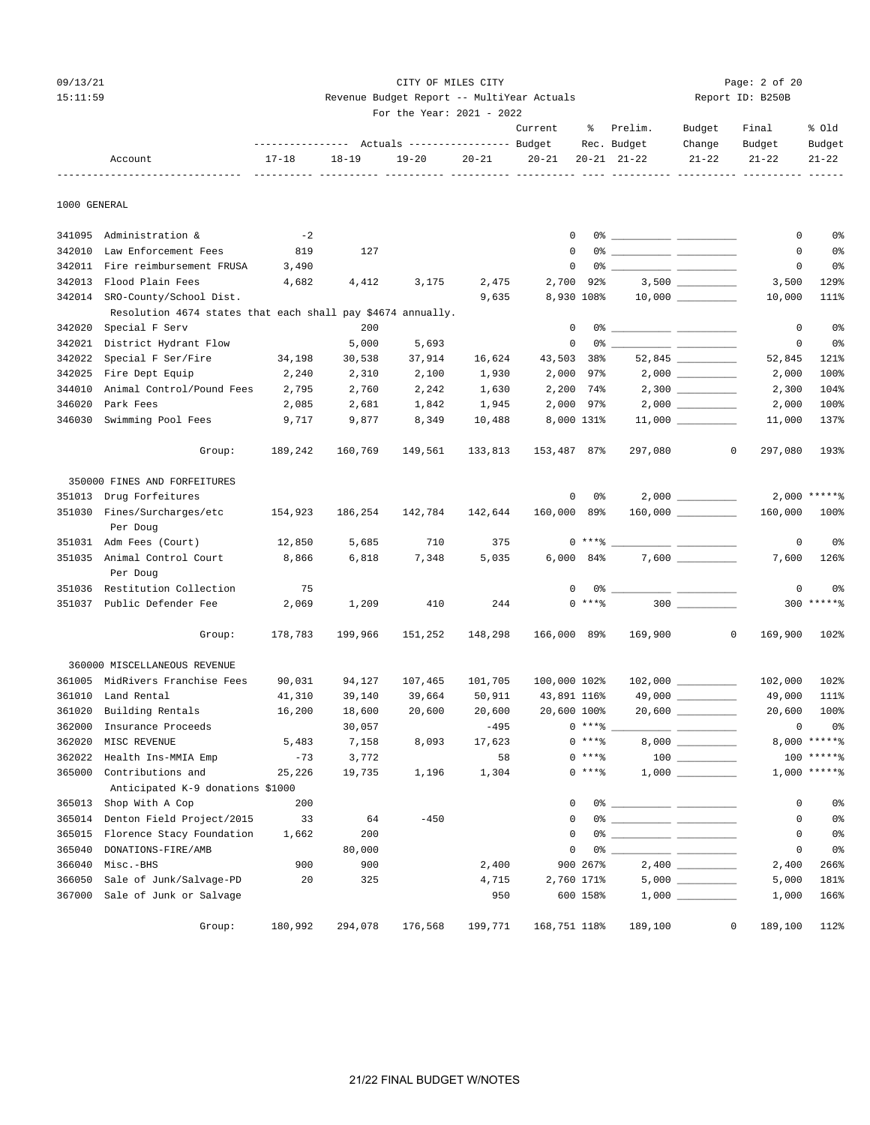#### 09/13/21 Page: 2 of 20 15:11:59 Revenue Budget Report -- MultiYear Actuals Report ID: B250B

|  | For the Year: $2021 - 2022$ |  |  |
|--|-----------------------------|--|--|

|         |                                                                              |                                                                         |  | Current % Prelim. | Budget Final |        | % Old  |
|---------|------------------------------------------------------------------------------|-------------------------------------------------------------------------|--|-------------------|--------------|--------|--------|
|         | ---------------    Actuals ----------------    Budget         Rec.    Budget |                                                                         |  |                   | Change       | Budget | Budget |
| Account | $17 - 18$                                                                    | $18-19$ $19-20$ $20-21$ $20-21$ $20-21$ $21-22$ $21-22$ $21-22$ $21-22$ |  |                   |              |        |        |
|         |                                                                              |                                                                         |  |                   |              |        |        |

1000 GENERAL

| 341095 | Administration &                                            | $-2$    |         |         |         | $\mathsf 0$    | 0%         |         |                                                                                                                                                                                                                                      | $\mathsf 0$ | $0\,$             |
|--------|-------------------------------------------------------------|---------|---------|---------|---------|----------------|------------|---------|--------------------------------------------------------------------------------------------------------------------------------------------------------------------------------------------------------------------------------------|-------------|-------------------|
| 342010 | Law Enforcement Fees                                        | 819     | 127     |         |         | $\mathbf 0$    | 0%         |         |                                                                                                                                                                                                                                      | $\mathbf 0$ | 0%                |
| 342011 | Fire reimbursement FRUSA                                    | 3,490   |         |         |         | $\mathbf 0$    | 0%         |         |                                                                                                                                                                                                                                      | 0           | 0 <sup>°</sup>    |
| 342013 | Flood Plain Fees                                            | 4,682   | 4,412   | 3,175   | 2,475   | 2,700          | 92%        |         |                                                                                                                                                                                                                                      | 3,500       | 129%              |
| 342014 | SRO-County/School Dist.                                     |         |         |         | 9,635   | 8,930 108%     |            |         |                                                                                                                                                                                                                                      | 10,000      | 111%              |
|        | Resolution 4674 states that each shall pay \$4674 annually. |         |         |         |         |                |            |         |                                                                                                                                                                                                                                      |             |                   |
| 342020 | Special F Serv                                              |         | 200     |         |         | $\mathbf 0$    | 0%         |         |                                                                                                                                                                                                                                      | $\mathbf 0$ | 0%                |
| 342021 | District Hydrant Flow                                       |         | 5,000   | 5,693   |         | 0              | 0%         |         |                                                                                                                                                                                                                                      | $\mathbf 0$ | 0%                |
| 342022 | Special F Ser/Fire                                          | 34,198  | 30,538  | 37,914  | 16,624  | 43,503         | 38%        |         |                                                                                                                                                                                                                                      | 52,845      | 121%              |
| 342025 | Fire Dept Equip                                             | 2,240   | 2,310   | 2,100   | 1,930   | 2,000          | 97%        |         |                                                                                                                                                                                                                                      | 2,000       | 100%              |
| 344010 | Animal Control/Pound Fees                                   | 2,795   | 2,760   | 2,242   | 1,630   | 2,200          | 74%        |         |                                                                                                                                                                                                                                      | 2,300       | 104%              |
| 346020 | Park Fees                                                   | 2,085   | 2,681   | 1,842   | 1,945   | 2,000 97%      |            |         |                                                                                                                                                                                                                                      | 2,000       | 100%              |
| 346030 | Swimming Pool Fees                                          | 9,717   | 9,877   | 8,349   | 10,488  | 8,000 131%     |            |         |                                                                                                                                                                                                                                      | 11,000      | 137%              |
|        | Group:                                                      | 189,242 | 160,769 | 149,561 | 133,813 | 153,487 87%    |            | 297,080 | $\mathbf 0$                                                                                                                                                                                                                          | 297,080     | 193%              |
|        | 350000 FINES AND FORFEITURES                                |         |         |         |         |                |            |         |                                                                                                                                                                                                                                      |             |                   |
| 351013 | Drug Forfeitures                                            |         |         |         |         | 0              | 0%         |         | 2,000                                                                                                                                                                                                                                |             | $2,000$ *****%    |
| 351030 | Fines/Surcharges/etc                                        | 154,923 | 186,254 | 142,784 | 142,644 | 160,000 89%    |            |         | $160,000$ _________                                                                                                                                                                                                                  | 160,000     | 100%              |
|        | Per Doug                                                    |         |         |         |         |                |            |         |                                                                                                                                                                                                                                      |             |                   |
|        | 351031 Adm Fees (Court)                                     | 12,850  | 5,685   | 710     | 375     |                | $0***$ $*$ |         |                                                                                                                                                                                                                                      | 0           | 0%                |
|        | 351035 Animal Control Court                                 | 8,866   | 6,818   | 7,348   | 5,035   | $6,000$ $84\%$ |            |         |                                                                                                                                                                                                                                      | 7,600       | 126%              |
|        | Per Doug                                                    |         |         |         |         |                |            |         |                                                                                                                                                                                                                                      |             |                   |
|        | 351036 Restitution Collection                               | 75      |         |         |         | 0              | 0%         |         | للمستنبذ المست                                                                                                                                                                                                                       | $\mathbf 0$ | 0 <sup>°</sup>    |
| 351037 | Public Defender Fee                                         | 2,069   | 1,209   | 410     | 244     |                | $0$ ****   |         |                                                                                                                                                                                                                                      | 300         | $***$ * * * * $%$ |
|        | Group:                                                      | 178,783 | 199,966 | 151,252 | 148,298 | 166,000 89%    |            | 169,900 | 0                                                                                                                                                                                                                                    | 169,900     | 102%              |
|        | 360000 MISCELLANEOUS REVENUE                                |         |         |         |         |                |            |         |                                                                                                                                                                                                                                      |             |                   |
| 361005 | MidRivers Franchise Fees                                    | 90,031  | 94,127  | 107,465 | 101,705 | 100,000 102%   |            |         | $102,000$ _________                                                                                                                                                                                                                  | 102,000     | 102%              |
| 361010 | Land Rental                                                 | 41,310  | 39,140  | 39,664  | 50,911  | 43,891 116%    |            |         |                                                                                                                                                                                                                                      | 49,000      | 111%              |
| 361020 | Building Rentals                                            | 16,200  | 18,600  | 20,600  | 20,600  | 20,600 100%    |            |         |                                                                                                                                                                                                                                      | 20,600      | 100%              |
| 362000 | Insurance Proceeds                                          |         | 30,057  |         | $-495$  |                | $0***8$    |         |                                                                                                                                                                                                                                      | 0           | 0%                |
| 362020 | MISC REVENUE                                                | 5,483   | 7,158   | 8,093   | 17,623  |                | $0$ ****   |         |                                                                                                                                                                                                                                      |             | 8,000 ******      |
| 362022 | Health Ins-MMIA Emp                                         | $-73$   | 3,772   |         | 58      |                | $0***8$    |         | $\begin{tabular}{c} 100 \end{tabular}$                                                                                                                                                                                               | 100         | $****2$           |
| 365000 | Contributions and                                           | 25,226  | 19,735  | 1,196   | 1,304   |                | $0***8$    |         |                                                                                                                                                                                                                                      |             | $1,000$ *****%    |
|        | Anticipated K-9 donations \$1000                            |         |         |         |         |                |            |         |                                                                                                                                                                                                                                      |             |                   |
| 365013 | Shop With A Cop                                             | 200     |         |         |         | $\Omega$       | 0%         |         | <u> The Community Community of the Community of the Community of the Community of the Community of the Community of the Community of the Community of the Community of the Community of the Community of the Community of the Co</u> | 0           | 0%                |
| 365014 | Denton Field Project/2015                                   | 33      | 64      | $-450$  |         | $\mathbf 0$    |            |         |                                                                                                                                                                                                                                      | 0           | 0%                |
| 365015 | Florence Stacy Foundation                                   | 1,662   | 200     |         |         | $\Omega$       |            |         |                                                                                                                                                                                                                                      | $\mathbf 0$ | 0 <sup>°</sup>    |
| 365040 | DONATIONS-FIRE/AMB                                          |         | 80,000  |         |         | $\mathbf 0$    | 0%         |         |                                                                                                                                                                                                                                      | $\mathbf 0$ | 0%                |
| 366040 | Misc.-BHS                                                   | 900     | 900     |         | 2,400   |                | 900 267%   |         |                                                                                                                                                                                                                                      | 2,400       | 266%              |
| 366050 | Sale of Junk/Salvage-PD                                     | 20      | 325     |         | 4,715   | 2,760 171%     |            |         |                                                                                                                                                                                                                                      | 5,000       | 181%              |
| 367000 | Sale of Junk or Salvage                                     |         |         |         | 950     |                | 600 158%   |         |                                                                                                                                                                                                                                      | 1,000       | 166%              |
|        | Group:                                                      | 180,992 | 294,078 | 176,568 | 199,771 | 168,751 118%   |            | 189,100 | 0                                                                                                                                                                                                                                    | 189,100     | 112%              |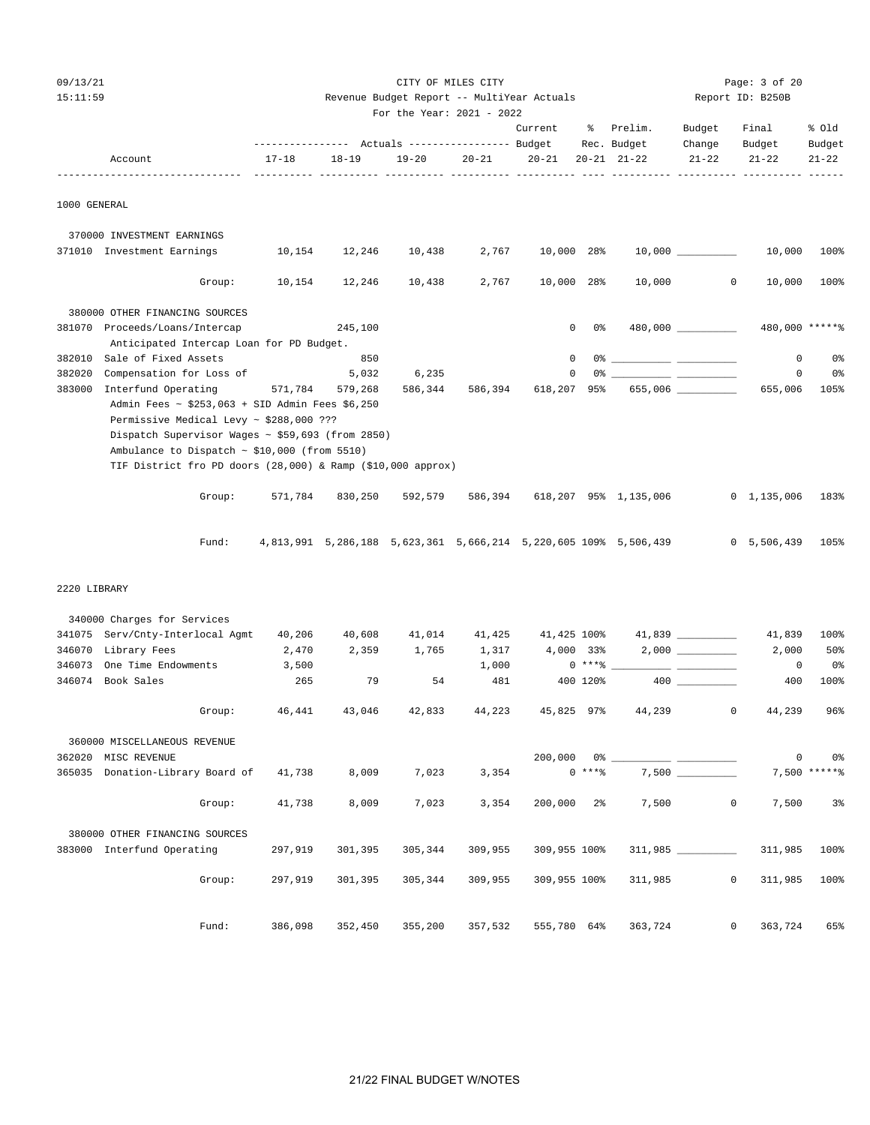| nq |  |  | ٠, |
|----|--|--|----|
|----|--|--|----|

15:11:59 Revenue Budget Report -- MultiYear Actuals Report ID: B250B For the Year: 2021 - 2022 Current % Prelim. Budget Final % Old ---------------- Actuals ----------------- Budget Rec. Budget Change Budget Budget Account 17-18 18-19 19-20 20-21 20-21 20-21 21-22 21-22 21-22 21-22 ------------------------------- ---------- ---------- ---------- ---------- ---------- ---- ---------- ---------- ---------- ------ 1000 GENERAL 370000 INVESTMENT EARNINGS 371010 Investment Earnings 10,154 12,246 10,438 2,767 10,000 28% 10,000 \_\_\_\_\_\_\_\_\_\_ 10,000 100% Group: 10,154 12,246 10,438 2,767 10,000 28% 10,000 0 10,000 100% 380000 OTHER FINANCING SOURCES 381070 Proceeds/Loans/Intercap 245,100 0 0% 480,000 \_\_\_\_\_\_\_\_\_\_ 480,000 \*\*\*\*\*% Anticipated Intercap Loan for PD Budget. 382010 Sale of Fixed Assets 850 0 0% \_\_\_\_\_\_\_\_\_\_ \_\_\_\_\_\_\_\_\_\_ 0 0% 382020 Compensation for Loss of 5,032 6,235 0 0% \_\_\_\_\_\_\_\_\_\_ \_\_\_\_\_\_\_\_\_\_ 0 0% 383000 Interfund Operating 571,784 579,268 586,344 586,394 618,207 95% 655,006 \_\_\_\_\_\_\_\_\_\_ 655,006 105% Admin Fees ~ \$253,063 + SID Admin Fees \$6,250 Permissive Medical Levy ~ \$288,000 ??? Dispatch Supervisor Wages ~ \$59,693 (from 2850) Ambulance to Dispatch  $\sim$  \$10,000 (from 5510) TIF District fro PD doors (28,000) & Ramp (\$10,000 approx) Group: 571,784 830,250 592,579 586,394 618,207 95% 1,135,006 0 1,135,006 183%

Fund: 4,813,991 5,286,188 5,623,361 5,666,214 5,220,605 109% 5,506,439 0 5,506,439 105%

CITY OF MILES CITY CITY CITY Rage: 3 of 20

#### 2220 LIBRARY

|        | 340000 Charges for Services             |         |         |         |         |             |          |                                        |                   |         |                 |
|--------|-----------------------------------------|---------|---------|---------|---------|-------------|----------|----------------------------------------|-------------------|---------|-----------------|
| 341075 | Serv/Cnty-Interlocal Agmt               | 40,206  | 40,608  | 41,014  | 41,425  | 41,425 100% |          |                                        | 41,839 __________ | 41,839  | 100%            |
| 346070 | Library Fees                            | 2,470   | 2,359   | 1,765   | 1,317   | 4,000 33%   |          |                                        | 2,000             | 2,000   | 50%             |
| 346073 | One Time Endowments                     | 3,500   |         |         | 1,000   |             |          |                                        |                   | 0       | 0%              |
| 346074 | Book Sales                              | 265     | 79      | 54      | 481     |             | 400 120% |                                        | 400 000           | 400     | 100%            |
|        | Group:                                  | 46,441  |         |         |         |             |          | 43,046 42,833 44,223 45,825 97% 44,239 | $\circ$           | 44,239  | $96\%$          |
|        | 360000 MISCELLANEOUS REVENUE            |         |         |         |         |             |          |                                        |                   |         |                 |
| 362020 | MISC REVENUE                            |         |         |         |         |             |          |                                        |                   | $\circ$ | 0%              |
|        | 365035 Donation-Library Board of 41,738 |         | 8,009   | 7,023   | 3,354   | $0***8$     |          |                                        | 7,500             |         | $7,500$ ***** % |
|        | Group:                                  | 41,738  | 8,009   | 7,023   | 3,354   |             |          | $200,000$ 2% 7,500                     | $\Omega$          | 7,500   | $3\,$           |
|        | 380000 OTHER FINANCING SOURCES          |         |         |         |         |             |          |                                        |                   |         |                 |
|        | 383000 Interfund Operating 297,919      |         | 301,395 | 305,344 | 309,955 |             |          | 309,955 100% 311,985                   |                   | 311,985 | 100%            |
|        | Group:                                  | 297.919 |         |         |         |             |          |                                        | $\Omega$          | 311,985 | 100%            |
|        | Fund:                                   | 386,098 | 352,450 | 355,200 |         |             |          | 357,532 555,780 64% 363,724            | $\overline{0}$    | 363,724 | 65%             |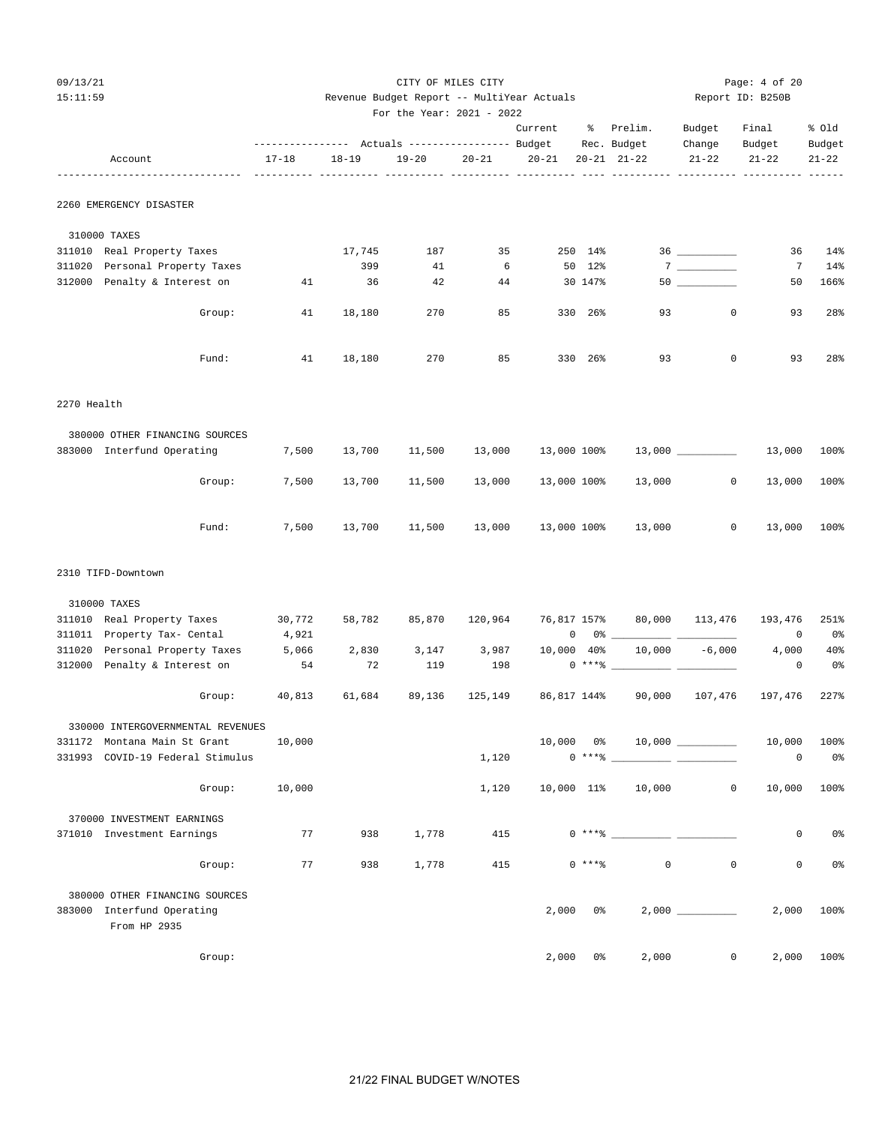| 09/13/21 | CITY OF MILES CITY                         |                  | Page: $4$ of 20 |
|----------|--------------------------------------------|------------------|-----------------|
| 15:11:59 | Revenue Budget Report -- MultiYear Actuals | Report ID: B250B |                 |

|                                                                              |        |           | For the Year: 2021 - 2022                       |                 |             |               |                                                                                                                                                                                                                                                                                                                                                                    |             |                 |                |
|------------------------------------------------------------------------------|--------|-----------|-------------------------------------------------|-----------------|-------------|---------------|--------------------------------------------------------------------------------------------------------------------------------------------------------------------------------------------------------------------------------------------------------------------------------------------------------------------------------------------------------------------|-------------|-----------------|----------------|
|                                                                              |        |           |                                                 |                 | Current     |               | % Prelim.                                                                                                                                                                                                                                                                                                                                                          | Budget      | Final           | % old          |
|                                                                              |        |           | --------------- Actuals ---------------- Budget |                 |             |               | Rec. Budget                                                                                                                                                                                                                                                                                                                                                        | Change      | Budget          | Budget         |
| Account                                                                      | 17-18  | $18 - 19$ | $19 - 20$                                       | $20 - 21$       | $20 - 21$   |               | $20 - 21$ $21 - 22$                                                                                                                                                                                                                                                                                                                                                | $21 - 22$   | $21 - 22$       | $21 - 22$      |
| 2260 EMERGENCY DISASTER                                                      |        |           |                                                 |                 |             |               |                                                                                                                                                                                                                                                                                                                                                                    |             |                 |                |
| 310000 TAXES                                                                 |        |           |                                                 |                 |             |               |                                                                                                                                                                                                                                                                                                                                                                    |             |                 |                |
| 311010 Real Property Taxes                                                   |        | 17,745    | 187                                             | 35              |             | 250 14%       |                                                                                                                                                                                                                                                                                                                                                                    |             | 36              | 14%            |
| 311020 Personal Property Taxes                                               |        | 399       | 41                                              | $6\overline{6}$ |             | 50 12%        |                                                                                                                                                                                                                                                                                                                                                                    |             | $7\phantom{.0}$ | 14%            |
| 312000 Penalty & Interest on                                                 | 41     | 36        | 42                                              | 44              |             | 30 147%       |                                                                                                                                                                                                                                                                                                                                                                    |             | 50              | 166%           |
| Group:                                                                       | 41     | 18,180    | 270                                             | 85              |             | 330 26%       | 93                                                                                                                                                                                                                                                                                                                                                                 | $\circ$     | 93              | 28%            |
| Fund:                                                                        | 41     | 18,180    | 270                                             | 85              |             | 330 26%       | 93                                                                                                                                                                                                                                                                                                                                                                 | $\mathbf 0$ | 93              | 28%            |
| 2270 Health                                                                  |        |           |                                                 |                 |             |               |                                                                                                                                                                                                                                                                                                                                                                    |             |                 |                |
| 380000 OTHER FINANCING SOURCES                                               |        |           |                                                 |                 |             |               |                                                                                                                                                                                                                                                                                                                                                                    |             |                 |                |
| 383000 Interfund Operating                                                   | 7,500  | 13,700    | 11,500                                          | 13,000          | 13,000 100% |               |                                                                                                                                                                                                                                                                                                                                                                    |             | 13,000 13,000   | 100%           |
| Group:                                                                       | 7,500  | 13,700    | 11,500                                          | 13,000          | 13,000 100% |               | 13,000                                                                                                                                                                                                                                                                                                                                                             | $\circ$     | 13,000          | 100%           |
| Fund:                                                                        | 7,500  | 13,700    | 11,500                                          | 13,000          |             |               | 13,000 100% 13,000                                                                                                                                                                                                                                                                                                                                                 | $\circ$     |                 | 13,000 100%    |
| 2310 TIFD-Downtown                                                           |        |           |                                                 |                 |             |               |                                                                                                                                                                                                                                                                                                                                                                    |             |                 |                |
| 310000 TAXES                                                                 |        |           |                                                 |                 |             |               |                                                                                                                                                                                                                                                                                                                                                                    |             |                 |                |
| 311010 Real Property Taxes                                                   | 30,772 | 58,782    | 85,870                                          | 120,964         |             |               | 76,817 157% 80,000 113,476                                                                                                                                                                                                                                                                                                                                         |             | 193,476         | 251%           |
| 311011 Property Tax- Cental                                                  | 4,921  |           |                                                 |                 |             |               | $\begin{picture}(180,10) \put(0,0){\vector(1,0){100}} \put(15,0){\vector(1,0){100}} \put(15,0){\vector(1,0){100}} \put(15,0){\vector(1,0){100}} \put(15,0){\vector(1,0){100}} \put(15,0){\vector(1,0){100}} \put(15,0){\vector(1,0){100}} \put(15,0){\vector(1,0){100}} \put(15,0){\vector(1,0){100}} \put(15,0){\vector(1,0){100}} \put(15,0){\vector(1,0){100}}$ |             | 0               | 0 %            |
| 311020 Personal Property Taxes 5,066                                         |        | 2,830     | 3,147                                           | 3,987           |             |               | $10,000$ $40\%$ $10,000$ $-6,000$                                                                                                                                                                                                                                                                                                                                  |             | 4,000           | 40%            |
| 312000 Penalty & Interest on                                                 | 54     | 72        | 119                                             | 198             |             |               | $0***$ $*$                                                                                                                                                                                                                                                                                                                                                         |             | 0               | 0%             |
| Group:                                                                       | 40,813 | 61,684    | 89,136                                          | 125,149         |             |               | 86,817 144% 90,000                                                                                                                                                                                                                                                                                                                                                 | 107,476     | 197,476         | 227%           |
| 330000 INTERGOVERNMENTAL REVENUES                                            |        |           |                                                 |                 |             |               |                                                                                                                                                                                                                                                                                                                                                                    |             |                 |                |
| 331172 Montana Main St Grant                                                 | 10,000 |           |                                                 |                 | 10,000      | 0%            |                                                                                                                                                                                                                                                                                                                                                                    |             |                 | 10,000 100%    |
| 331993 COVID-19 Federal Stimulus                                             |        |           |                                                 | 1,120           |             | $0***8$       |                                                                                                                                                                                                                                                                                                                                                                    |             | 0               | 0 <sup>°</sup> |
| Group:                                                                       | 10,000 |           |                                                 | 1,120           |             |               | 10,000 11% 10,000                                                                                                                                                                                                                                                                                                                                                  | $\circ$     |                 | 10,000 100%    |
| 370000 INVESTMENT EARNINGS                                                   |        |           |                                                 |                 |             |               |                                                                                                                                                                                                                                                                                                                                                                    |             |                 |                |
| 371010 Investment Earnings                                                   | 77     | 938       | 1,778                                           | 415             |             | $0***$ $-$    |                                                                                                                                                                                                                                                                                                                                                                    |             | 0               | 0 <sup>o</sup> |
| Group:                                                                       | 77     | 938       | 1,778                                           | 415             |             | $0***8$       | $\mathbf 0$                                                                                                                                                                                                                                                                                                                                                        | 0           | 0               | 0 <sup>°</sup> |
| 380000 OTHER FINANCING SOURCES<br>383000 Interfund Operating<br>From HP 2935 |        |           |                                                 |                 | 2,000       |               | $0\%$                                                                                                                                                                                                                                                                                                                                                              |             |                 | 2,000 100%     |
| Group:                                                                       |        |           |                                                 |                 |             | $2,000$ $0\%$ | 2,000                                                                                                                                                                                                                                                                                                                                                              |             | $\overline{0}$  | 2,000 100%     |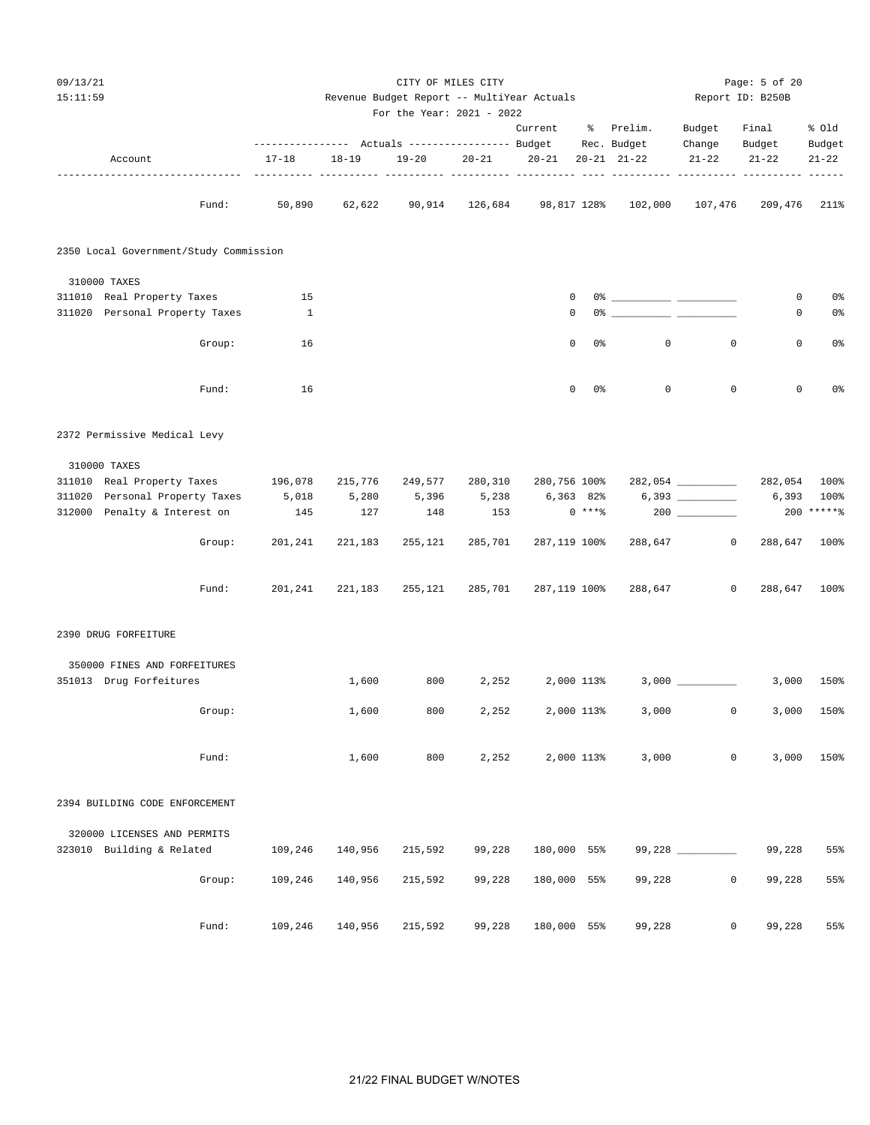| 09/13/21 |                                        |           |                                                 |                                                                         | CITY OF MILES CITY |              |            |                                    |                     | Page: 5 of 20    |                |
|----------|----------------------------------------|-----------|-------------------------------------------------|-------------------------------------------------------------------------|--------------------|--------------|------------|------------------------------------|---------------------|------------------|----------------|
| 15:11:59 |                                        |           |                                                 | Revenue Budget Report -- MultiYear Actuals<br>For the Year: 2021 - 2022 |                    |              |            |                                    |                     | Report ID: B250B |                |
|          |                                        |           |                                                 |                                                                         |                    | Current      |            | % Prelim.                          | Budget              | Final            | % old          |
|          |                                        |           | --------------- Actuals ---------------- Budget |                                                                         |                    |              |            | Rec. Budget                        | Change              | Budget           | Budget         |
|          | Account                                | $17 - 18$ | $18 - 19$<br>----------- ----                   | $19 - 20$<br>----- -----                                                | $20 - 21$          | $20 - 21$    |            | $20 - 21$ $21 - 22$                | $21 - 22$           | $21 - 22$        | $21 - 22$      |
|          | Fund:                                  | 50,890    | 62,622                                          |                                                                         |                    |              |            | 90,914 126,684 98,817 128% 102,000 | 107,476             | 209,476 211%     |                |
|          | 2350 Local Government/Study Commission |           |                                                 |                                                                         |                    |              |            |                                    |                     |                  |                |
|          | 310000 TAXES                           |           |                                                 |                                                                         |                    |              |            |                                    |                     |                  |                |
|          | 311010 Real Property Taxes             | 15        |                                                 |                                                                         |                    | 0            |            |                                    |                     | 0                | 0 <sup>8</sup> |
|          | 311020 Personal Property Taxes         | 1         |                                                 |                                                                         |                    | 0            |            |                                    |                     | 0                | 0 <sup>°</sup> |
|          | Group:                                 | 16        |                                                 |                                                                         |                    | $\mathbf 0$  | 0%         | 0                                  | $\mathbf{0}$        | 0                | 0 <sup>8</sup> |
|          | Fund:                                  | 16        |                                                 |                                                                         |                    | $\mathbf 0$  | 0%         | $\mathbf 0$                        | $\mathbf 0$         | 0                | 0 <sup>°</sup> |
|          | 2372 Permissive Medical Levy           |           |                                                 |                                                                         |                    |              |            |                                    |                     |                  |                |
|          | 310000 TAXES                           |           |                                                 |                                                                         |                    |              |            |                                    |                     |                  |                |
|          | 311010 Real Property Taxes             | 196,078   | 215,776                                         | 249,577                                                                 | 280,310            | 280,756 100% |            |                                    | 282,054 __________  | 282,054 100%     |                |
|          | 311020 Personal Property Taxes         | 5,018     | 5,280                                           | 5,396                                                                   | 5,238              | 6,363 82%    |            |                                    |                     | 6,393            | 100%           |
|          | 312000 Penalty & Interest on           | 145       | 127                                             | 148                                                                     | 153                |              | $0***8$    |                                    |                     |                  | 200 ******     |
|          | Group:                                 | 201,241   | 221,183                                         | 255,121                                                                 | 285,701            | 287,119 100% |            | 288,647                            | $\circ$             | 288,647          | 100%           |
|          | Fund:                                  | 201,241   | 221,183                                         | 255,121                                                                 | 285,701            | 287,119 100% |            | 288,647                            | $\circ$             | 288,647 100%     |                |
|          | 2390 DRUG FORFEITURE                   |           |                                                 |                                                                         |                    |              |            |                                    |                     |                  |                |
|          | 350000 FINES AND FORFEITURES           |           |                                                 |                                                                         |                    |              |            |                                    |                     |                  |                |
|          | 351013 Drug Forfeitures                |           | 1,600                                           | 800                                                                     | 2,252              |              | 2,000 113% |                                    | $3,000$ __________  | 3,000            | 150%           |
|          | Group:                                 |           | 1,600                                           | 800                                                                     | 2,252              |              | 2,000 113% | 3,000                              | $\mathsf 0$         | 3,000            | 150%           |
|          | Fund:                                  |           | 1,600                                           | 800                                                                     | 2,252              |              | 2,000 113% | 3,000                              | $\mathsf{O}\xspace$ | 3,000            | 150%           |
|          | 2394 BUILDING CODE ENFORCEMENT         |           |                                                 |                                                                         |                    |              |            |                                    |                     |                  |                |
|          | 320000 LICENSES AND PERMITS            |           |                                                 |                                                                         |                    |              |            |                                    |                     |                  |                |
|          | 323010 Building & Related              | 109,246   | 140,956                                         | 215,592                                                                 | 99,228             | 180,000 55%  |            |                                    | 99,228              | 99,228           | 55%            |
|          | Group:                                 | 109,246   | 140,956                                         | 215,592                                                                 | 99,228             | 180,000 55%  |            | 99,228                             | $\mathbf 0$         | 99,228           | 55%            |
|          | Fund:                                  | 109,246   | 140,956                                         | 215,592                                                                 | 99,228             | 180,000 55%  |            | 99,228                             | 0                   | 99,228           | 55%            |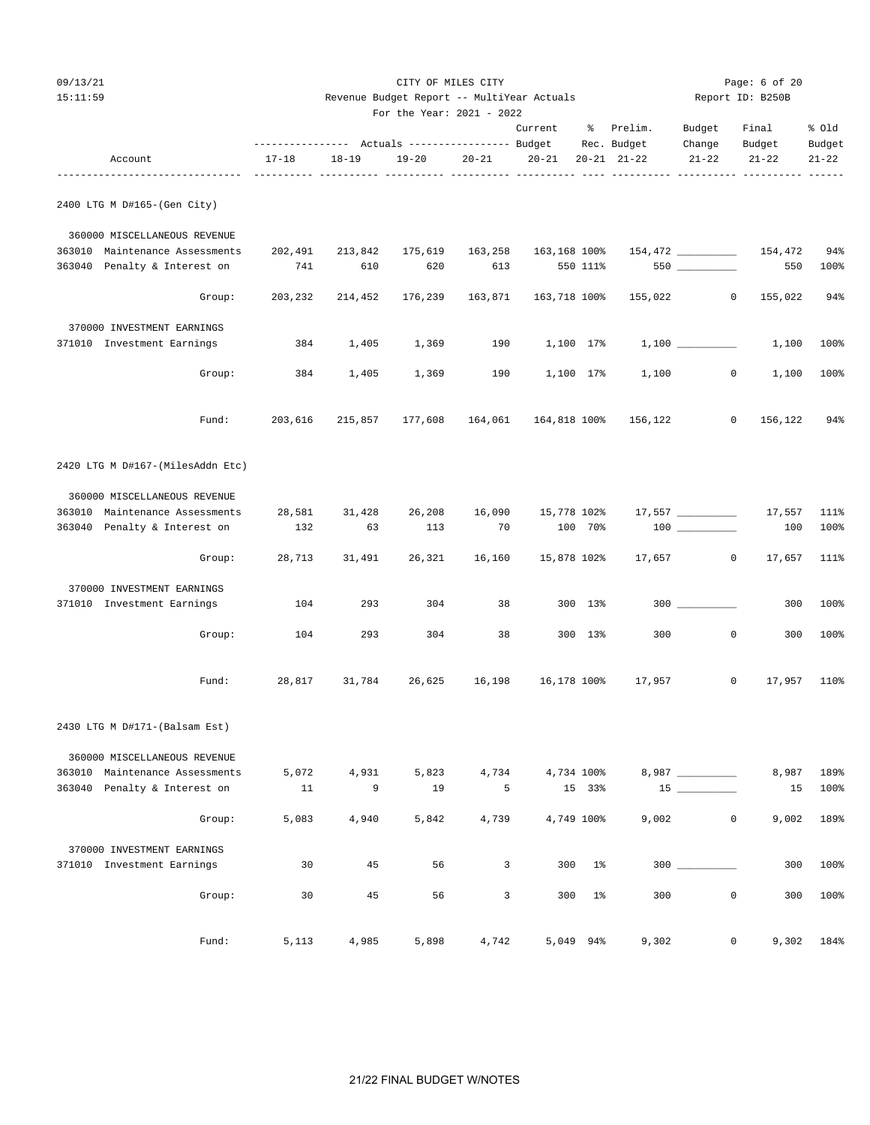| 11 Y |  | ٠, |
|------|--|----|
|      |  |    |

| 09/13/21 | CITY OF MILES CITY                         |                  | Page: 6 of 20 |
|----------|--------------------------------------------|------------------|---------------|
| 15:11:59 | Revenue Budget Report -- MultiYear Actuals | Report ID: B250B |               |
|          | For the Year: 2021 - 2022                  |                  |               |

|                                  |                                                             |           | For the Year: 2021 - 2022 |           |                         |                |                                          |                    |           |             |
|----------------------------------|-------------------------------------------------------------|-----------|---------------------------|-----------|-------------------------|----------------|------------------------------------------|--------------------|-----------|-------------|
|                                  |                                                             |           |                           |           | Current                 |                | % Prelim.                                | Budget             | Final     | % Old       |
|                                  | --------------- Actuals ---------------- Budget Rec. Budget |           |                           |           |                         |                |                                          | Change             | Budget    | Budget      |
| Account                          | $17 - 18$                                                   | $18 - 19$ | 19-20                     | $20 - 21$ | $20-21$ $20-21$ $21-22$ |                |                                          | $21 - 22$          | $21 - 22$ | $21 - 22$   |
| 2400 LTG M D#165-(Gen City)      |                                                             |           |                           |           |                         |                |                                          |                    |           |             |
| 360000 MISCELLANEOUS REVENUE     |                                                             |           |                           |           |                         |                |                                          |                    |           |             |
| 363010 Maintenance Assessments   | 202,491                                                     | 213,842   | 175,619                   | 163,258   | 163,168 100%            |                |                                          |                    |           | 94%         |
| 363040 Penalty & Interest on     | 741                                                         | 610       | 620                       | 613       |                         | 550 111%       |                                          | $550$ ________     | 550       | 100%        |
| Group:                           | 203,232                                                     | 214,452   | 176,239                   | 163,871   | 163,718 100%            |                |                                          | 155,022 0          | 155,022   | 94%         |
| 370000 INVESTMENT EARNINGS       |                                                             |           |                           |           |                         |                |                                          |                    |           |             |
| 371010 Investment Earnings       | 384                                                         | 1,405     | 1,369                     | 190       | 1,100 17%               |                |                                          |                    | 1,100     | 100%        |
| Group:                           | 384                                                         | 1,405     | 1,369                     | 190       | 1,100 17%               |                | 1,100                                    | 0                  | 1,100     | 100%        |
| Fund:                            | 203,616                                                     | 215,857   |                           |           |                         |                | 177,608  164,061  164,818  100%  156,122 | $\circ$            | 156,122   | 94%         |
| 2420 LTG M D#167-(MilesAddn Etc) |                                                             |           |                           |           |                         |                |                                          |                    |           |             |
| 360000 MISCELLANEOUS REVENUE     |                                                             |           |                           |           |                         |                |                                          |                    |           |             |
| 363010 Maintenance Assessments   | 28,581                                                      | 31,428    | 26,208                    |           | 16,090 15,778 102%      |                |                                          | $17,557$ _________ | 17,557    | 111%        |
| 363040 Penalty & Interest on     | 132                                                         | 63        | 113                       | 70        |                         | 100 70%        |                                          |                    | 100       | 100%        |
| Group:                           | 28,713                                                      | 31,491    | 26,321                    | 16,160    | 15,878 102%             |                | 17,657                                   | $\circ$            | 17,657    | 111%        |
| 370000 INVESTMENT EARNINGS       |                                                             |           |                           |           |                         |                |                                          |                    |           |             |
| 371010 Investment Earnings       | 104                                                         | 293       | 304                       | 38        |                         | 300 13%        |                                          |                    | 300       | 100%        |
| Group:                           | 104                                                         | 293       | 304                       | 38        |                         | 300 13%        | 300                                      | $\mathbf 0$        | 300       | 100%        |
| Fund:                            | 28,817                                                      |           |                           |           |                         |                |                                          | $\overline{0}$     |           | 17,957 110% |
| 2430 LTG M D#171-(Balsam Est)    |                                                             |           |                           |           |                         |                |                                          |                    |           |             |
| 360000 MISCELLANEOUS REVENUE     |                                                             |           |                           |           |                         |                |                                          |                    |           |             |
| 363010 Maintenance Assessments   | 5,072                                                       | 4,931     | 5,823                     | 4,734     |                         | 4,734 100%     |                                          | 8,987 _________    | 8,987     | 189%        |
| 363040 Penalty & Interest on     | 11                                                          | 9         | 19                        | 5         |                         | 15 33%         |                                          |                    | 15        | 100%        |
| Group:                           | 5,083                                                       | 4,940     | 5,842                     | 4,739     |                         | 4,749 100%     | 9,002                                    | 0                  | 9,002     | 189%        |
| 370000 INVESTMENT EARNINGS       |                                                             |           |                           |           |                         |                |                                          |                    |           |             |
| 371010 Investment Earnings       | 30                                                          | 45        | 56                        | 3         | 300                     | $1\%$          |                                          |                    | 300       | 100%        |
| Group:                           | 30                                                          | 45        | 56                        | 3         | 300                     | 1 <sup>°</sup> | 300                                      | 0                  | 300       | 100%        |
| Fund:                            | 5,113                                                       | 4,985     | 5,898                     | 4,742     |                         | 5,049 94%      | 9,302                                    | $\overline{0}$     |           | 9,302 184%  |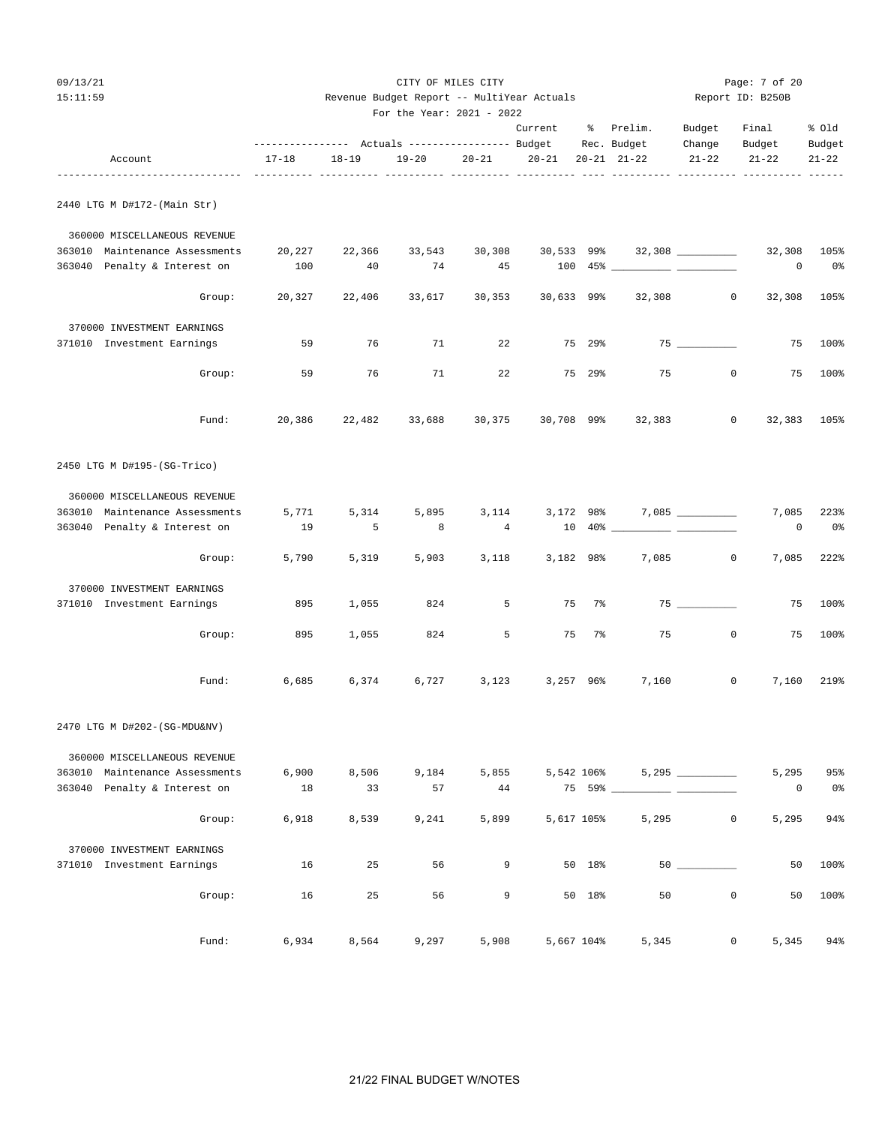| 09/13/21                                  |                               |           |                                            | CITY OF MILES CITY |              |               |                          |                     | Page: 7 of 20          |                     |
|-------------------------------------------|-------------------------------|-----------|--------------------------------------------|--------------------|--------------|---------------|--------------------------|---------------------|------------------------|---------------------|
| 15:11:59                                  |                               |           | Revenue Budget Report -- MultiYear Actuals |                    |              |               |                          |                     | Report ID: B250B       |                     |
|                                           |                               |           | For the Year: 2021 - 2022                  |                    |              |               |                          |                     |                        |                     |
|                                           |                               |           |                                            |                    | Current      |               | % Prelim.<br>Rec. Budget | Budget              | Final                  | % old               |
| Account<br>------------------------------ | $17 - 18$<br>________________ | $18 - 19$ | $19 - 20$<br>----- ---------- -----        | $20 - 21$          | $20 - 21$    |               | $20 - 21$ $21 - 22$      | Change<br>$21 - 22$ | Budget<br>$21 - 22$    | Budget<br>$21 - 22$ |
| 2440 LTG M D#172-(Main Str)               |                               |           |                                            |                    |              |               |                          |                     |                        |                     |
| 360000 MISCELLANEOUS REVENUE              |                               |           |                                            |                    |              |               |                          |                     |                        |                     |
| 363010 Maintenance Assessments            | 20,227                        | 22,366    | 33,543                                     | 30,308             | 30,533 99%   |               |                          | $32,308$ _________  | 32,308                 | 105%                |
| 363040 Penalty & Interest on              | 100                           | 40        | 74                                         | 45                 |              |               |                          |                     | 0                      | 0 <sup>°</sup>      |
| Group:                                    | 20,327                        | 22,406    | 33,617                                     | 30,353             | $30,633$ 99% |               | 32,308                   |                     | $\mathbf{0}$<br>32,308 | 105%                |
| 370000 INVESTMENT EARNINGS                |                               |           |                                            |                    |              |               |                          |                     |                        |                     |
| 371010 Investment Earnings                | 59                            | 76        | 71                                         | 22                 |              | 75 29%        |                          |                     | 75                     | $100\%$             |
| Group:                                    | 59                            | 76        | 71                                         | 22                 |              | 75 29%        | 75                       | $\mathbf{0}$        | 75                     | 100%                |
| Fund:                                     | 20,386                        | 22,482    | 33,688                                     | 30,375             | 30,708 99%   |               | 32,383                   | $\mathbf 0$         | 32,383                 | 105%                |
| 2450 LTG M D#195-(SG-Trico)               |                               |           |                                            |                    |              |               |                          |                     |                        |                     |
| 360000 MISCELLANEOUS REVENUE              |                               |           |                                            |                    |              |               |                          |                     |                        |                     |
| 363010 Maintenance Assessments            | 5,771                         | 5,314     | 5,895                                      | 3,114              |              | 3,172 98%     |                          |                     | 7,085                  | 223%                |
| 363040 Penalty & Interest on              | 19                            | 5         | 8                                          | $\overline{4}$     |              | $10.40\%$ $-$ | $\overline{\phantom{a}}$ |                     | 0                      | 0%                  |
| Group:                                    | 5,790                         | 5,319     | 5,903                                      | 3,118              |              | 3,182 98%     | 7,085                    | $\mathbf 0$         | 7,085                  | 222%                |
| 370000 INVESTMENT EARNINGS                |                               |           |                                            |                    |              |               |                          |                     |                        |                     |
| 371010 Investment Earnings                | 895                           | 1,055     | 824                                        | 5                  |              | 75<br>$7\%$   |                          | 75                  | 75                     | 100%                |
| Group:                                    | 895                           | 1,055     | 824                                        | 5                  |              | 75 7%         | 75                       | $\mathbf{0}$        | 75                     | 100%                |
| Fund:                                     | 6,685                         | 6,374     | 6,727                                      | 3,123              |              | 3,257 96%     | 7,160                    | 0                   | 7,160                  | 219%                |
| 2470 LTG M D#202-(SG-MDU&NV)              |                               |           |                                            |                    |              |               |                          |                     |                        |                     |
| 360000 MISCELLANEOUS REVENUE              |                               |           |                                            |                    |              |               |                          |                     |                        |                     |
| 363010 Maintenance Assessments            | 6,900                         | 8,506     | 9,184                                      | 5,855              |              | 5,542 106%    |                          |                     | 5,295                  | 95%                 |
| 363040 Penalty & Interest on              | 18                            | 33        | 57                                         | 44                 |              |               | 75 59%                   |                     | 0                      | 0 <sup>°</sup>      |
| Group:                                    | 6,918                         | 8,539     | 9,241                                      | 5,899              |              | 5,617 105%    | 5,295                    | 0                   | 5,295                  | 94%                 |
| 370000 INVESTMENT EARNINGS                |                               |           |                                            |                    |              |               |                          |                     |                        |                     |
| 371010 Investment Earnings                | 16                            | 25        | 56                                         | 9                  |              | 50 18%        |                          |                     | 50                     | 100%                |
| Group:                                    | 16                            | 25        | 56                                         | 9                  |              | 50 18%        | 50                       | $\mathbf 0$         | 50                     | 100%                |
| Fund:                                     | 6,934                         | 8,564     | 9,297                                      | 5,908              |              | 5,667 104%    | 5,345                    | 0                   | 5,345                  | 94%                 |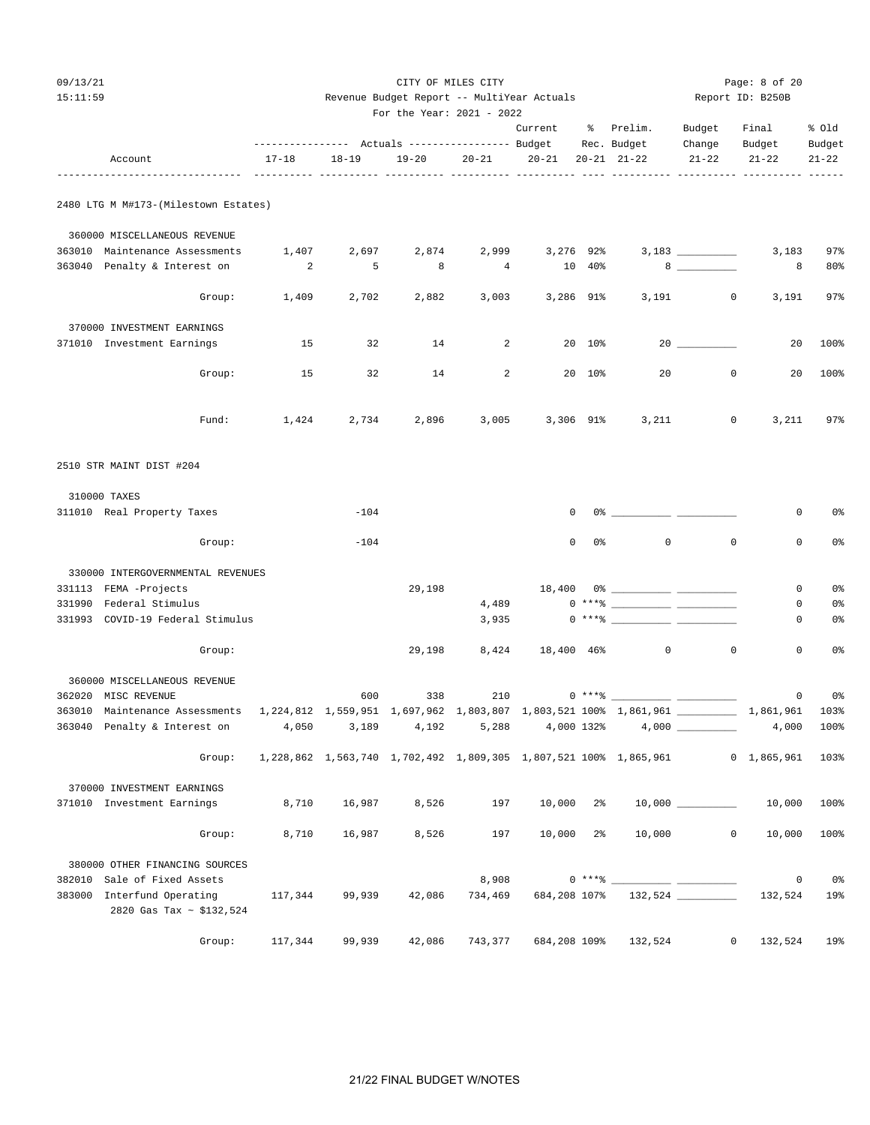| 09/13/21 |                                                             |             |        |                                            | CITY OF MILES CITY |                   |                |                                                                                                                                                                                                                                                                                                                        |                  | Page: 8 of 20 |                        |
|----------|-------------------------------------------------------------|-------------|--------|--------------------------------------------|--------------------|-------------------|----------------|------------------------------------------------------------------------------------------------------------------------------------------------------------------------------------------------------------------------------------------------------------------------------------------------------------------------|------------------|---------------|------------------------|
| 15:11:59 |                                                             |             |        | Revenue Budget Report -- MultiYear Actuals |                    |                   |                |                                                                                                                                                                                                                                                                                                                        | Report ID: B250B |               |                        |
|          |                                                             |             |        | For the Year: 2021 - 2022                  |                    | Current % Prelim. |                |                                                                                                                                                                                                                                                                                                                        | Budget           | Final         | % Old                  |
|          |                                                             |             |        |                                            |                    |                   |                |                                                                                                                                                                                                                                                                                                                        |                  | Change Budget | Budget                 |
|          | Account                                                     | 17-18 18-19 |        |                                            |                    |                   |                | 19-20   20-21   20-21   20-21   21-22                                                                                                                                                                                                                                                                                  | $21 - 22$        | $21 - 22$     | $21 - 22$              |
|          | 2480 LTG M M#173-(Milestown Estates)                        |             |        |                                            |                    |                   |                |                                                                                                                                                                                                                                                                                                                        |                  |               |                        |
|          | 360000 MISCELLANEOUS REVENUE                                |             |        |                                            |                    |                   |                |                                                                                                                                                                                                                                                                                                                        |                  |               |                        |
|          | 363010 Maintenance Assessments                              | 1,407       | 2,697  | 2,874                                      |                    | 2,999 3,276 92%   |                |                                                                                                                                                                                                                                                                                                                        |                  | 3,183         | 97%                    |
|          | 363040 Penalty & Interest on                                | 2           | 5      | 8                                          | 4                  |                   | 10 40%         |                                                                                                                                                                                                                                                                                                                        |                  | 8             | 80%                    |
|          | Group:                                                      | 1,409       | 2,702  | 2,882                                      |                    | 3,003 3,286 91%   |                |                                                                                                                                                                                                                                                                                                                        | $3,191$ 0        | 3,191         | 97%                    |
|          | 370000 INVESTMENT EARNINGS                                  |             |        |                                            |                    |                   |                |                                                                                                                                                                                                                                                                                                                        |                  |               |                        |
|          | 371010 Investment Earnings                                  | 15          | 32     | 14                                         | $\overline{2}$     |                   | 20 10%         |                                                                                                                                                                                                                                                                                                                        |                  | 20            | 100%                   |
|          | Group:                                                      | 15          | 32     | 14                                         | $\overline{2}$     |                   | 20 10%         | 20                                                                                                                                                                                                                                                                                                                     | $\mathbf{0}$     | 20            | 100%                   |
|          | Fund:                                                       | 1,424       | 2,734  | 2,896                                      |                    | 3,005 3,306 91%   |                | 3,211                                                                                                                                                                                                                                                                                                                  | $\overline{0}$   | 3,211         | 97%                    |
|          | 2510 STR MAINT DIST #204                                    |             |        |                                            |                    |                   |                |                                                                                                                                                                                                                                                                                                                        |                  |               |                        |
|          | 310000 TAXES                                                |             |        |                                            |                    |                   |                |                                                                                                                                                                                                                                                                                                                        |                  |               |                        |
|          | 311010 Real Property Taxes                                  |             | $-104$ |                                            |                    |                   | $\mathbf{0}$   | $0$ $\frac{1}{2}$ $\frac{1}{2}$ $\frac{1}{2}$ $\frac{1}{2}$ $\frac{1}{2}$ $\frac{1}{2}$ $\frac{1}{2}$ $\frac{1}{2}$ $\frac{1}{2}$ $\frac{1}{2}$ $\frac{1}{2}$ $\frac{1}{2}$ $\frac{1}{2}$ $\frac{1}{2}$ $\frac{1}{2}$ $\frac{1}{2}$ $\frac{1}{2}$ $\frac{1}{2}$ $\frac{1}{2}$ $\frac{1}{2}$ $\frac{1}{2}$ $\frac{1}{2$ |                  | 0             | 0 <sub>8</sub>         |
|          | Group:                                                      |             | $-104$ |                                            |                    | $\mathbf 0$       | 0 <sup>°</sup> | $\mathbf 0$                                                                                                                                                                                                                                                                                                            | $\mathbf 0$      | $\mathbf 0$   | 0 <sub>8</sub>         |
|          | 330000 INTERGOVERNMENTAL REVENUES                           |             |        |                                            |                    |                   |                |                                                                                                                                                                                                                                                                                                                        |                  |               |                        |
|          | 331113 FEMA -Projects                                       |             |        | 29,198                                     |                    |                   |                |                                                                                                                                                                                                                                                                                                                        |                  | 0             | 0 <sub>8</sub>         |
|          | 331990 Federal Stimulus<br>331993 COVID-19 Federal Stimulus |             |        |                                            | 4,489<br>3,935     |                   |                | $0***$ $\frac{20}{100}$                                                                                                                                                                                                                                                                                                |                  | 0<br>0        | 0%<br>0%               |
|          |                                                             |             |        |                                            |                    |                   |                |                                                                                                                                                                                                                                                                                                                        |                  |               |                        |
|          | Group:                                                      |             |        | 29,198                                     | 8,424              | 18,400 46%        |                | $\overline{0}$                                                                                                                                                                                                                                                                                                         | $\mathbf 0$      | $\mathbf 0$   | 0 <sub>8</sub>         |
|          | 360000 MISCELLANEOUS REVENUE                                |             |        |                                            |                    |                   |                |                                                                                                                                                                                                                                                                                                                        |                  |               |                        |
|          | 362020 MISC REVENUE                                         |             | 600    | 338                                        | 210                |                   |                | $0***$ $\frac{20}{100}$                                                                                                                                                                                                                                                                                                |                  | $\circ$       | 0 <sub>8</sub><br>103% |
|          | 363040 Penalty & Interest on                                | 4,050       | 3,189  | 4,192                                      |                    | 5,288 4,000 132%  |                |                                                                                                                                                                                                                                                                                                                        |                  | 4,000         | 100%                   |
|          | Group:                                                      |             |        |                                            |                    |                   |                | 1,228,862 1,563,740 1,702,492 1,809,305 1,807,521 100% 1,865,961                                                                                                                                                                                                                                                       |                  | 0 1,865,961   | 103%                   |
|          | 370000 INVESTMENT EARNINGS                                  |             |        |                                            |                    |                   |                |                                                                                                                                                                                                                                                                                                                        |                  |               |                        |
|          | 371010 Investment Earnings                                  | 8,710       | 16,987 | 8,526                                      | 197                | $10,000$ 2%       |                |                                                                                                                                                                                                                                                                                                                        |                  | 10,000        | 100%                   |
|          | Group:                                                      | 8,710       | 16,987 | 8,526                                      | 197                | 10,000 2%         |                | 10,000                                                                                                                                                                                                                                                                                                                 | $\mathsf{O}$     | 10,000        | 100%                   |
|          | 380000 OTHER FINANCING SOURCES                              |             |        |                                            |                    |                   |                |                                                                                                                                                                                                                                                                                                                        |                  |               |                        |
|          | 382010 Sale of Fixed Assets<br>383000 Interfund Operating   | 117,344     | 99,939 | 42,086                                     | 8,908<br>734,469   | 684,208 107%      |                |                                                                                                                                                                                                                                                                                                                        |                  | 0<br>132,524  | 0 <sup>8</sup><br>19%  |
|          | 2820 Gas Tax ~ \$132,524                                    |             |        |                                            |                    |                   |                |                                                                                                                                                                                                                                                                                                                        |                  |               |                        |

Group: 117,344 99,939 42,086 743,377 684,208 109% 132,524 0 132,524 19%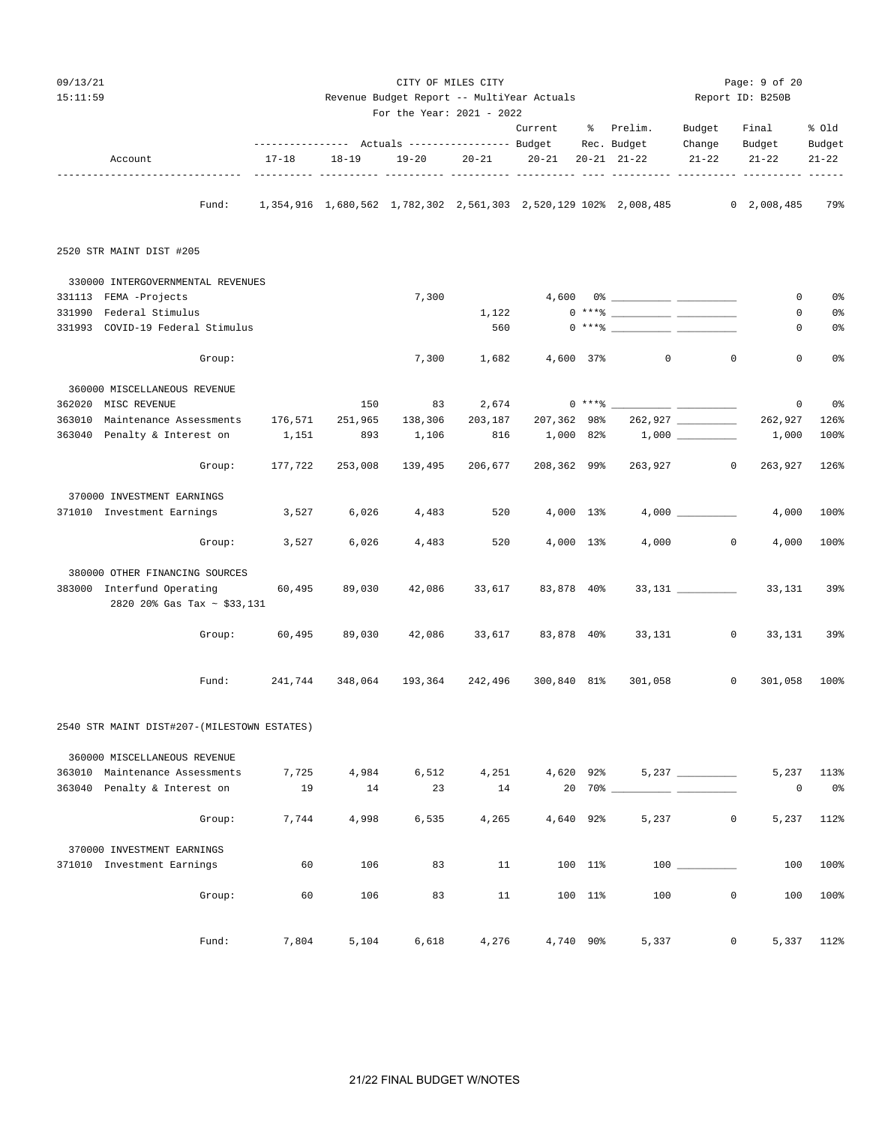| 09/13/21<br>15:11:59                                      |           |                        | Revenue Budget Report -- MultiYear Actuals<br>For the Year: 2021 - 2022 | CITY OF MILES CITY |             |                 |                                                                                                                                                                                                                                                                                                                          |                         | Page: 9 of 20<br>Report ID: B250B                                                |                     |
|-----------------------------------------------------------|-----------|------------------------|-------------------------------------------------------------------------|--------------------|-------------|-----------------|--------------------------------------------------------------------------------------------------------------------------------------------------------------------------------------------------------------------------------------------------------------------------------------------------------------------------|-------------------------|----------------------------------------------------------------------------------|---------------------|
|                                                           |           |                        |                                                                         |                    | Current     |                 | % Prelim.                                                                                                                                                                                                                                                                                                                | Budget                  | Final                                                                            | % old               |
| Account                                                   | $17 - 18$ | $18 - 19$<br>----- --- | 19-20<br>----- ----                                                     | $20 - 21$          | $20 - 21$   |                 | Rec. Budget<br>$20 - 21$ $21 - 22$                                                                                                                                                                                                                                                                                       | Change<br>$21 - 22$     | Budget<br>$21 - 22$                                                              | Budget<br>$21 - 22$ |
| Fund:                                                     |           |                        |                                                                         |                    |             |                 |                                                                                                                                                                                                                                                                                                                          |                         | 1,354,916 1,680,562 1,782,302 2,561,303 2,520,129 102% 2,008,485 0 2,008,485 79% |                     |
| 2520 STR MAINT DIST #205                                  |           |                        |                                                                         |                    |             |                 |                                                                                                                                                                                                                                                                                                                          |                         |                                                                                  |                     |
| 330000 INTERGOVERNMENTAL REVENUES                         |           |                        |                                                                         |                    |             |                 |                                                                                                                                                                                                                                                                                                                          |                         |                                                                                  |                     |
| 331113 FEMA -Projects                                     |           |                        | 7,300                                                                   |                    |             |                 |                                                                                                                                                                                                                                                                                                                          |                         | 0                                                                                | 0 <sub>8</sub>      |
| 331990 Federal Stimulus                                   |           |                        |                                                                         | 1,122              |             |                 | $0***$ $\frac{1}{2}$ $\frac{1}{2}$ $\frac{1}{2}$ $\frac{1}{2}$ $\frac{1}{2}$ $\frac{1}{2}$ $\frac{1}{2}$ $\frac{1}{2}$ $\frac{1}{2}$ $\frac{1}{2}$ $\frac{1}{2}$ $\frac{1}{2}$ $\frac{1}{2}$ $\frac{1}{2}$ $\frac{1}{2}$ $\frac{1}{2}$ $\frac{1}{2}$ $\frac{1}{2}$ $\frac{1}{2}$ $\frac{1}{2}$ $\frac{1}{2}$ $\frac{1}{$ |                         | 0                                                                                | 0%                  |
| 331993 COVID-19 Federal Stimulus                          |           |                        |                                                                         | 560                |             |                 | $0 \xrightarrow{***\,} \xrightarrow{\hspace*{1.5cm}} \xrightarrow{\hspace*{1.5cm}}$                                                                                                                                                                                                                                      |                         | 0                                                                                | 0%                  |
| Group:                                                    |           |                        | 7,300                                                                   | 1,682              | 4,600 37%   |                 | $\circ$                                                                                                                                                                                                                                                                                                                  |                         | $\mathbf 0$<br>$\mathbf 0$                                                       | 0 <sub>8</sub>      |
| 360000 MISCELLANEOUS REVENUE                              |           |                        |                                                                         |                    |             |                 |                                                                                                                                                                                                                                                                                                                          |                         |                                                                                  |                     |
| 362020 MISC REVENUE                                       |           | 150                    | 83                                                                      | 2,674              |             |                 |                                                                                                                                                                                                                                                                                                                          |                         | $\mathbf 0$                                                                      | 0%                  |
| 363010<br>Maintenance Assessments                         | 176,571   | 251,965                | 138,306                                                                 | 203,187            | 207,362 98% |                 |                                                                                                                                                                                                                                                                                                                          | 262,927 ________        | 262,927                                                                          | 126%                |
| 363040 Penalty & Interest on                              | 1,151     | 893                    | 1,106                                                                   | 816                | 1,000 82%   |                 |                                                                                                                                                                                                                                                                                                                          | $1,000$ _________       | 1,000                                                                            | 100%                |
| Group:                                                    | 177,722   | 253,008                | 139,495                                                                 | 206,677            | 208,362 99% |                 | 263,927                                                                                                                                                                                                                                                                                                                  |                         | $\overline{0}$<br>263,927                                                        | 126%                |
| 370000 INVESTMENT EARNINGS                                |           |                        |                                                                         |                    |             |                 |                                                                                                                                                                                                                                                                                                                          |                         |                                                                                  |                     |
| 371010 Investment Earnings                                | 3,527     | 6,026                  | 4,483                                                                   | 520                | 4,000 13%   |                 |                                                                                                                                                                                                                                                                                                                          |                         | 4,000                                                                            | 100%                |
| Group:                                                    | 3,527     | 6,026                  | 4,483                                                                   | 520                | 4,000 13%   |                 |                                                                                                                                                                                                                                                                                                                          | 4,000<br>$\overline{0}$ | 4,000                                                                            | 100%                |
| 380000 OTHER FINANCING SOURCES                            |           |                        |                                                                         |                    |             |                 |                                                                                                                                                                                                                                                                                                                          |                         |                                                                                  |                     |
| 383000 Interfund Operating<br>2820 20% Gas Tax ~ \$33,131 | 60,495    | 89,030                 | 42,086                                                                  | 33,617             | 83,878 40%  |                 |                                                                                                                                                                                                                                                                                                                          | $33,131$ _________      | 33,131                                                                           | 39%                 |
| Group:                                                    | 60,495    | 89,030                 | 42,086                                                                  | 33,617             | 83,878 40%  |                 | 33,131                                                                                                                                                                                                                                                                                                                   |                         | $\circ$<br>33,131                                                                | 39%                 |
| Fund:                                                     | 241,744   | 348,064                | 193,364                                                                 | 242,496            | 300,840 81% |                 | 301,058                                                                                                                                                                                                                                                                                                                  |                         | $\mathbf 0$<br>301,058                                                           | 100%                |
|                                                           |           |                        |                                                                         |                    |             |                 |                                                                                                                                                                                                                                                                                                                          |                         |                                                                                  |                     |
| 2540 STR MAINT DIST#207-(MILESTOWN ESTATES)               |           |                        |                                                                         |                    |             |                 |                                                                                                                                                                                                                                                                                                                          |                         |                                                                                  |                     |
| 360000 MISCELLANEOUS REVENUE                              |           |                        |                                                                         |                    |             |                 |                                                                                                                                                                                                                                                                                                                          |                         |                                                                                  |                     |
| 363010 Maintenance Assessments                            | 7,725     | 4,984                  | 6,512                                                                   | 4,251              | 4,620 92%   |                 |                                                                                                                                                                                                                                                                                                                          |                         | 5,237                                                                            | 113%                |
| 363040 Penalty & Interest on                              | 19        | 14                     | 23                                                                      | 14                 |             | $20 \t 70\%$ __ |                                                                                                                                                                                                                                                                                                                          |                         | 0                                                                                | 0%                  |
| Group:                                                    | 7,744     | 4,998                  | 6,535                                                                   | 4,265              |             | 4,640 92%       | 5,237                                                                                                                                                                                                                                                                                                                    |                         | 0<br>5,237                                                                       | 112%                |
| 370000 INVESTMENT EARNINGS                                |           |                        |                                                                         |                    |             |                 |                                                                                                                                                                                                                                                                                                                          |                         |                                                                                  |                     |
| 371010 Investment Earnings                                | 60        | 106                    | 83                                                                      | 11                 |             | 100 11%         |                                                                                                                                                                                                                                                                                                                          | $100$ $\qquad$          | 100                                                                              | 100%                |
| Group:                                                    | 60        | 106                    | 83                                                                      | 11                 |             | 100 11%         | 100                                                                                                                                                                                                                                                                                                                      |                         | $\mathbf 0$<br>100                                                               | 100%                |
| Fund:                                                     | 7,804     | 5,104                  | 6,618                                                                   | 4,276              |             | 4,740 90%       | 5,337                                                                                                                                                                                                                                                                                                                    |                         | $\mathbf 0$                                                                      | 5,337 112%          |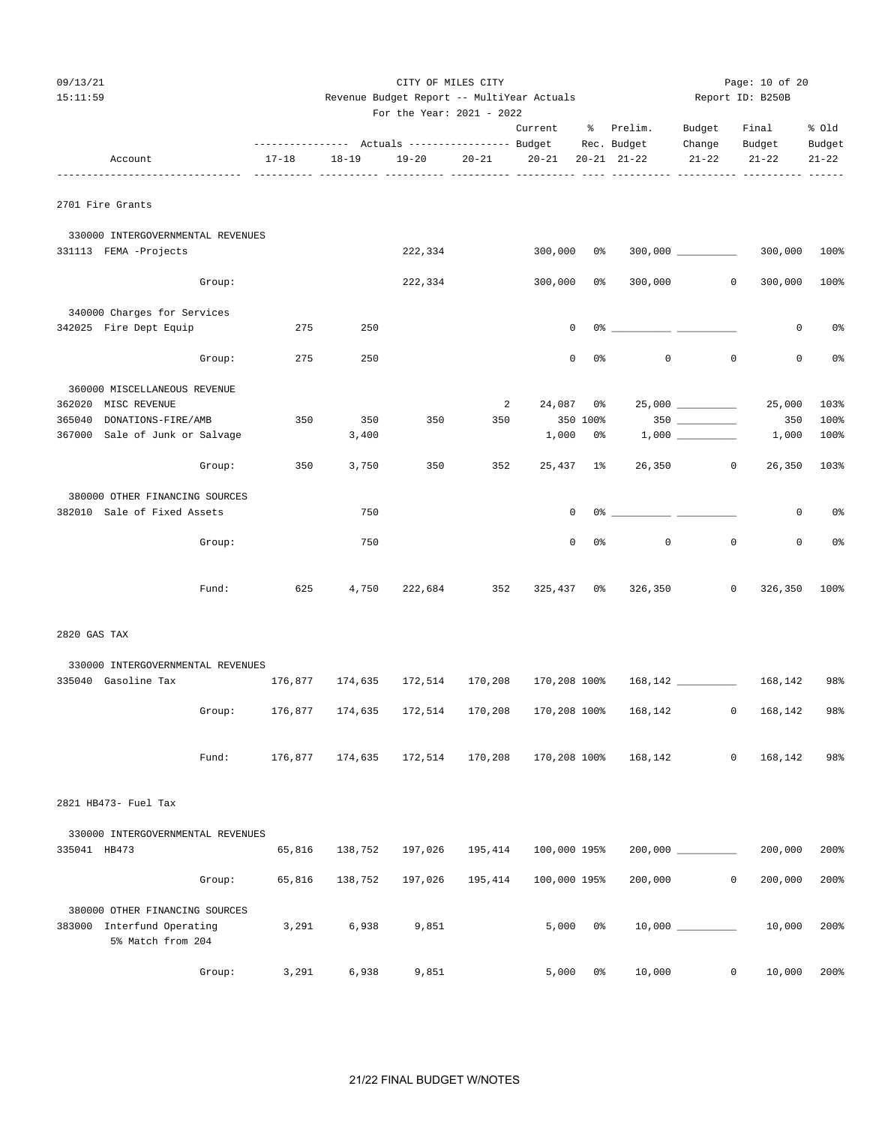|--|--|

| 09/13/21     |                                                          |                                                       |           | CITY OF MILES CITY                         |           |              |                |                                                                                                                                                                                                                                                                                                                        |                          | Page: 10 of 20             |                |
|--------------|----------------------------------------------------------|-------------------------------------------------------|-----------|--------------------------------------------|-----------|--------------|----------------|------------------------------------------------------------------------------------------------------------------------------------------------------------------------------------------------------------------------------------------------------------------------------------------------------------------------|--------------------------|----------------------------|----------------|
| 15:11:59     |                                                          |                                                       |           | Revenue Budget Report -- MultiYear Actuals |           |              |                |                                                                                                                                                                                                                                                                                                                        |                          | Report ID: B250B           |                |
|              |                                                          |                                                       |           | For the Year: 2021 - 2022                  |           |              |                |                                                                                                                                                                                                                                                                                                                        |                          |                            |                |
|              |                                                          |                                                       |           |                                            |           | Current      |                | % Prelim.                                                                                                                                                                                                                                                                                                              | Budget                   | Final                      | % old          |
|              |                                                          | ---------------    Actuals ----------------    Budget |           |                                            |           |              |                | Rec. Budget                                                                                                                                                                                                                                                                                                            | Change                   | Budget                     | Budget         |
|              | Account                                                  | $17 - 18$                                             | $18 - 19$ | 19-20                                      | $20 - 21$ | $20 - 21$    |                | $20 - 21$ $21 - 22$                                                                                                                                                                                                                                                                                                    | $21 - 22$                | $21 - 22$                  | $21 - 22$      |
|              | 2701 Fire Grants                                         |                                                       |           |                                            |           |              |                |                                                                                                                                                                                                                                                                                                                        |                          |                            |                |
|              | 330000 INTERGOVERNMENTAL REVENUES                        |                                                       |           |                                            |           |              |                |                                                                                                                                                                                                                                                                                                                        |                          |                            |                |
|              | 331113 FEMA -Projects                                    |                                                       |           | 222,334                                    |           | $300,000$ 0% |                |                                                                                                                                                                                                                                                                                                                        |                          | 300,000                    | 100%           |
|              | Group:                                                   |                                                       |           | 222,334                                    |           | 300,000      | 0%             | 300,000                                                                                                                                                                                                                                                                                                                |                          | $\circ$<br>300,000         | 100%           |
|              | 340000 Charges for Services                              |                                                       |           |                                            |           |              |                |                                                                                                                                                                                                                                                                                                                        |                          |                            |                |
|              | 342025 Fire Dept Equip                                   | 275                                                   | 250       |                                            |           | 0            |                | $0$ $\frac{1}{2}$ $\frac{1}{2}$ $\frac{1}{2}$ $\frac{1}{2}$ $\frac{1}{2}$ $\frac{1}{2}$ $\frac{1}{2}$ $\frac{1}{2}$ $\frac{1}{2}$ $\frac{1}{2}$ $\frac{1}{2}$ $\frac{1}{2}$ $\frac{1}{2}$ $\frac{1}{2}$ $\frac{1}{2}$ $\frac{1}{2}$ $\frac{1}{2}$ $\frac{1}{2}$ $\frac{1}{2}$ $\frac{1}{2}$ $\frac{1}{2}$ $\frac{1}{2$ |                          | 0                          | 0 <sup>8</sup> |
|              | Group:                                                   | 275                                                   | 250       |                                            |           | $\mathsf{O}$ | 0 <sup>8</sup> | $\circ$                                                                                                                                                                                                                                                                                                                |                          | $\mathbb O$<br>0           | 0 <sup>°</sup> |
|              | 360000 MISCELLANEOUS REVENUE                             |                                                       |           |                                            |           |              |                |                                                                                                                                                                                                                                                                                                                        |                          |                            |                |
|              | 362020 MISC REVENUE                                      |                                                       |           |                                            | 2         | $24,087$ 0%  |                |                                                                                                                                                                                                                                                                                                                        |                          | 25,000                     | 103%           |
| 365040       | DONATIONS-FIRE/AMB                                       | 350                                                   | 350       | 350                                        | 350       |              | 350 100%       |                                                                                                                                                                                                                                                                                                                        | $350$                    | 350                        | 100%           |
|              | 367000 Sale of Junk or Salvage                           |                                                       | 3,400     |                                            |           | 1,000        | 0%             |                                                                                                                                                                                                                                                                                                                        |                          | 1,000                      | 100%           |
|              | Group:                                                   | 350                                                   | 3,750     | 350                                        | 352       | 25,437 1%    |                | 26,350                                                                                                                                                                                                                                                                                                                 | $\overline{\phantom{0}}$ | 26,350                     | 103%           |
|              | 380000 OTHER FINANCING SOURCES                           |                                                       |           |                                            |           |              |                |                                                                                                                                                                                                                                                                                                                        |                          |                            |                |
|              | 382010 Sale of Fixed Assets                              |                                                       | 750       |                                            |           | 0            |                | $0$ 왕                                                                                                                                                                                                                                                                                                                  |                          | 0                          | 0%             |
|              | Group:                                                   |                                                       | 750       |                                            |           | $\mathbf 0$  | 0 <sup>°</sup> | $\mathsf 0$                                                                                                                                                                                                                                                                                                            |                          | $\mathbf 0$<br>$\mathbf 0$ | 0 <sup>o</sup> |
|              | Fund:                                                    | 625                                                   | 4,750     | 222,684                                    | 352       | 325,437 0%   |                | 326,350                                                                                                                                                                                                                                                                                                                |                          | 0<br>326,350               | 100%           |
| 2820 GAS TAX |                                                          |                                                       |           |                                            |           |              |                |                                                                                                                                                                                                                                                                                                                        |                          |                            |                |
|              |                                                          |                                                       |           |                                            |           |              |                |                                                                                                                                                                                                                                                                                                                        |                          |                            |                |
|              | 330000 INTERGOVERNMENTAL REVENUES<br>335040 Gasoline Tax |                                                       |           | 176,877 174,635 172,514                    | 170,208   | 170,208 100% |                |                                                                                                                                                                                                                                                                                                                        |                          | 168,142                    | 98%            |
|              |                                                          |                                                       |           |                                            |           |              |                |                                                                                                                                                                                                                                                                                                                        |                          |                            |                |
|              | Group:                                                   | 176,877                                               | 174,635   | 172,514                                    | 170,208   | 170,208 100% |                | 168,142                                                                                                                                                                                                                                                                                                                |                          | $\mathbf 0$<br>168,142     | 98%            |

| Fund: |  |  | $176,877$ $174,635$ $172,514$ $170,208$ $170,208$ $100$ % $168,142$ 0 $168,142$ 98% |  |  |
|-------|--|--|-------------------------------------------------------------------------------------|--|--|

2821 HB473- Fuel Tax

|                                          | 330000 INTERGOVERNMENTAL REVENUES        |        |         |         |         |              |            |   |         |      |
|------------------------------------------|------------------------------------------|--------|---------|---------|---------|--------------|------------|---|---------|------|
| 335041<br>HB473                          |                                          | 65,816 | 138,752 | 197,026 | 195,414 | 100,000 195% | 200,000    |   | 200,000 | 200% |
|                                          | Group:                                   | 65,816 | 138,752 | 197,026 | 195,414 | 100,000 195% | 200,000    | 0 | 200,000 | 200% |
| 380000 OTHER FINANCING SOURCES<br>383000 | Interfund Operating<br>5% Match from 204 | 3,291  | 6,938   | 9,851   |         | 5,000<br>0%  | 10,000 000 |   | 10,000  | 200% |
|                                          | Group:                                   | 3,291  | 6,938   | 9,851   |         | 5,000<br>0%  | 10,000     | 0 | 10,000  | 200% |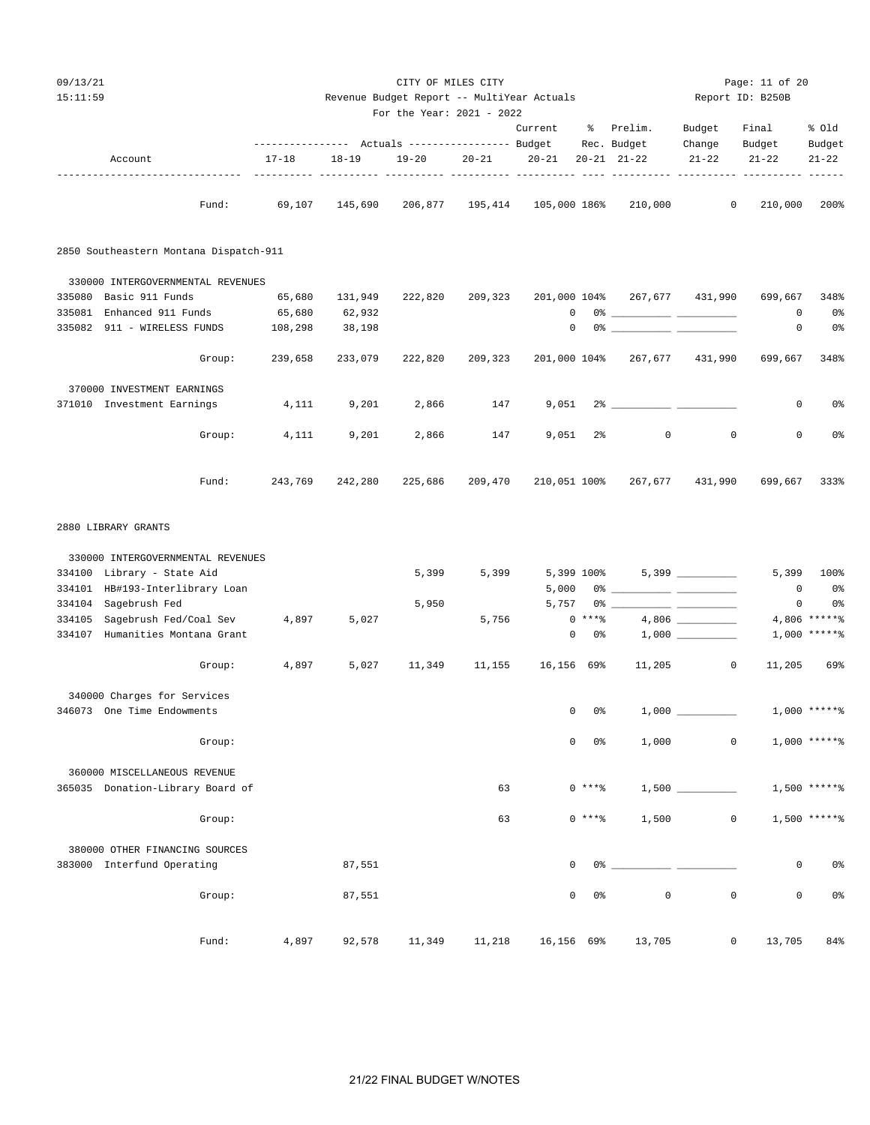| 09/13/21<br>15:11:59 |                                        |                 |           | Revenue Budget Report -- MultiYear Actuals               |         | CITY OF MILES CITY        |            |                |                                                                                                                                                                                                                                                                                                                                                                    |                     | Page: 11 of 20<br>Report ID: B250B |                     |
|----------------------|----------------------------------------|-----------------|-----------|----------------------------------------------------------|---------|---------------------------|------------|----------------|--------------------------------------------------------------------------------------------------------------------------------------------------------------------------------------------------------------------------------------------------------------------------------------------------------------------------------------------------------------------|---------------------|------------------------------------|---------------------|
|                      |                                        |                 |           |                                                          |         | For the Year: 2021 - 2022 |            |                |                                                                                                                                                                                                                                                                                                                                                                    |                     |                                    |                     |
|                      |                                        |                 |           |                                                          |         |                           | Current    |                | % Prelim.                                                                                                                                                                                                                                                                                                                                                          | Budget              | Final                              | % Old               |
|                      | Account                                |                 | $17 - 18$ | --------------- Actuals ---------------- Budget<br>18-19 | 19-20   | $20 - 21$                 | $20 - 21$  |                | Rec. Budget<br>$20 - 21$ $21 - 22$                                                                                                                                                                                                                                                                                                                                 | Change<br>$21 - 22$ | Budget<br>$21 - 22$                | Budget<br>$21 - 22$ |
|                      |                                        | --------------- |           |                                                          |         |                           |            |                |                                                                                                                                                                                                                                                                                                                                                                    |                     |                                    |                     |
|                      |                                        | Fund:           |           | 69,107 145,690                                           |         |                           |            |                | 206,877 195,414 105,000 186% 210,000                                                                                                                                                                                                                                                                                                                               | $\circ$             | 210,000                            | 200%                |
|                      | 2850 Southeastern Montana Dispatch-911 |                 |           |                                                          |         |                           |            |                |                                                                                                                                                                                                                                                                                                                                                                    |                     |                                    |                     |
|                      | 330000 INTERGOVERNMENTAL REVENUES      |                 |           |                                                          |         |                           |            |                |                                                                                                                                                                                                                                                                                                                                                                    |                     |                                    |                     |
|                      | 335080 Basic 911 Funds                 |                 | 65,680    | 131,949                                                  | 222,820 | 209,323                   |            |                | 201,000 104% 267,677 431,990                                                                                                                                                                                                                                                                                                                                       |                     | 699,667                            | 348%                |
|                      | 335081 Enhanced 911 Funds              |                 | 65,680    | 62,932                                                   |         |                           |            |                | $\begin{picture}(150,10) \put(0,0){\vector(1,0){100}} \put(15,0){\vector(1,0){100}} \put(15,0){\vector(1,0){100}} \put(15,0){\vector(1,0){100}} \put(15,0){\vector(1,0){100}} \put(15,0){\vector(1,0){100}} \put(15,0){\vector(1,0){100}} \put(15,0){\vector(1,0){100}} \put(15,0){\vector(1,0){100}} \put(15,0){\vector(1,0){100}} \put(15,0){\vector(1,0){100}}$ |                     | 0                                  | 0 <sub>8</sub>      |
|                      | 335082 911 - WIRELESS FUNDS            |                 | 108,298   | 38,198                                                   |         |                           |            |                | $\begin{picture}(150,10) \put(0,0){\vector(1,0){100}} \put(15,0){\vector(1,0){100}} \put(15,0){\vector(1,0){100}} \put(15,0){\vector(1,0){100}} \put(15,0){\vector(1,0){100}} \put(15,0){\vector(1,0){100}} \put(15,0){\vector(1,0){100}} \put(15,0){\vector(1,0){100}} \put(15,0){\vector(1,0){100}} \put(15,0){\vector(1,0){100}} \put(15,0){\vector(1,0){100}}$ |                     | $\mathbf 0$                        | 0%                  |
|                      |                                        | Group:          | 239,658   | 233,079                                                  | 222,820 | 209,323                   |            |                | 201,000 104% 267,677                                                                                                                                                                                                                                                                                                                                               | 431,990             | 699,667                            | 348%                |
|                      | 370000 INVESTMENT EARNINGS             |                 |           |                                                          |         |                           |            |                |                                                                                                                                                                                                                                                                                                                                                                    |                     |                                    |                     |
|                      | 371010 Investment Earnings             |                 | 4,111     | 9,201                                                    | 2,866   | 147                       |            |                |                                                                                                                                                                                                                                                                                                                                                                    |                     | 0                                  | 0%                  |
|                      |                                        | Group:          | 4,111     | 9,201                                                    | 2,866   | 147                       | 9,051      | 2 <sup>°</sup> | $\circ$                                                                                                                                                                                                                                                                                                                                                            | $\mathbf{0}$        | 0                                  | 0 <sub>8</sub>      |
|                      |                                        | Fund:           | 243,769   | 242,280                                                  | 225,686 | 209,470                   |            |                | 210,051 100% 267,677 431,990                                                                                                                                                                                                                                                                                                                                       |                     | 699,667 333%                       |                     |
|                      | 2880 LIBRARY GRANTS                    |                 |           |                                                          |         |                           |            |                |                                                                                                                                                                                                                                                                                                                                                                    |                     |                                    |                     |
|                      | 330000 INTERGOVERNMENTAL REVENUES      |                 |           |                                                          |         |                           |            |                |                                                                                                                                                                                                                                                                                                                                                                    |                     |                                    |                     |
|                      | 334100 Library - State Aid             |                 |           |                                                          | 5,399   | 5,399                     | 5,399 100% |                |                                                                                                                                                                                                                                                                                                                                                                    |                     | 5,399                              | 100%                |
|                      | 334101 HB#193-Interlibrary Loan        |                 |           |                                                          |         |                           | 5,000      |                | 0% ___________ ___________                                                                                                                                                                                                                                                                                                                                         |                     | $\overline{0}$                     | 0%                  |
| 334104               | Sagebrush Fed                          |                 |           |                                                          | 5,950   |                           | 5,757      |                |                                                                                                                                                                                                                                                                                                                                                                    |                     | 0                                  | 0 <sub>8</sub>      |
| 334105               | Sagebrush Fed/Coal Sev                 |                 | 4,897     | 5,027                                                    |         | 5,756                     |            | $0***8$        |                                                                                                                                                                                                                                                                                                                                                                    |                     |                                    | $4,806$ ******      |
|                      | 334107 Humanities Montana Grant        |                 |           |                                                          |         |                           |            | $0\qquad 0$ %  |                                                                                                                                                                                                                                                                                                                                                                    |                     |                                    | $1,000$ *****%      |
|                      |                                        | Group:          | 4,897     | 5,027                                                    | 11,349  | 11,155                    | 16,156 69% |                | 11,205                                                                                                                                                                                                                                                                                                                                                             | $\circ$             | 11,205                             | 69%                 |
|                      | 340000 Charges for Services            |                 |           |                                                          |         |                           |            |                |                                                                                                                                                                                                                                                                                                                                                                    |                     |                                    |                     |
|                      | 346073 One Time Endowments             |                 |           |                                                          |         |                           | 0          | 0%             |                                                                                                                                                                                                                                                                                                                                                                    |                     |                                    | $1,000$ *****%      |
|                      |                                        | Group:          |           |                                                          |         |                           | 0          | $0\,$          | 1,000                                                                                                                                                                                                                                                                                                                                                              | $\mathsf{O}$        |                                    | $1,000$ ******      |
|                      | 360000 MISCELLANEOUS REVENUE           |                 |           |                                                          |         |                           |            |                |                                                                                                                                                                                                                                                                                                                                                                    |                     |                                    |                     |
|                      | 365035 Donation-Library Board of       |                 |           |                                                          |         | 63                        |            | $0***$ $*$     | $1,500$ __                                                                                                                                                                                                                                                                                                                                                         |                     |                                    | 1,500 ******        |
|                      |                                        | Group:          |           |                                                          |         | 63                        |            | $0***$ $*$     | 1,500                                                                                                                                                                                                                                                                                                                                                              | 0                   |                                    | 1,500 ******        |
|                      | 380000 OTHER FINANCING SOURCES         |                 |           |                                                          |         |                           |            |                |                                                                                                                                                                                                                                                                                                                                                                    |                     |                                    |                     |
|                      | 383000 Interfund Operating             |                 |           | 87,551                                                   |         |                           | 0          | 0 %            |                                                                                                                                                                                                                                                                                                                                                                    |                     | 0                                  | 0%                  |
|                      |                                        | Group:          |           | 87,551                                                   |         |                           | 0          | $0\,$          | $\mathbb O$                                                                                                                                                                                                                                                                                                                                                        | $\mathsf{O}\xspace$ | 0                                  | 0%                  |
|                      |                                        | Fund:           | 4,897     | 92,578                                                   | 11,349  | 11,218                    | 16,156 69% |                | 13,705                                                                                                                                                                                                                                                                                                                                                             | $\circ$             | 13,705                             | 84%                 |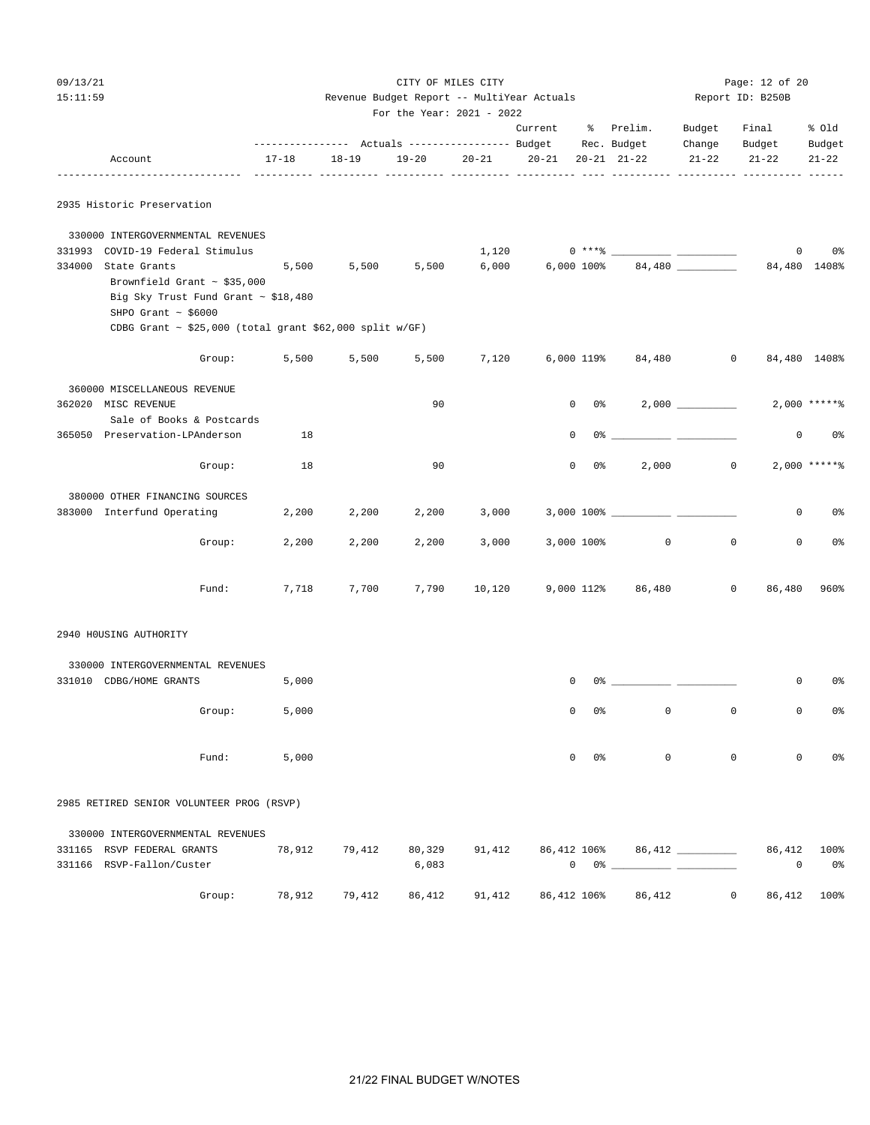| 09/13/21<br>15:11:59 |                                                                                                                                                                                                 |              |           | Revenue Budget Report -- MultiYear Actuals | CITY OF MILES CITY            |                   |                |                                                                                                                                                                                                                                                                                                                                                                                                     |                   | Page: 12 of 20<br>Report ID: B250B |                   |
|----------------------|-------------------------------------------------------------------------------------------------------------------------------------------------------------------------------------------------|--------------|-----------|--------------------------------------------|-------------------------------|-------------------|----------------|-----------------------------------------------------------------------------------------------------------------------------------------------------------------------------------------------------------------------------------------------------------------------------------------------------------------------------------------------------------------------------------------------------|-------------------|------------------------------------|-------------------|
|                      |                                                                                                                                                                                                 |              |           | For the Year: 2021 - 2022                  |                               | Current % Prelim. |                |                                                                                                                                                                                                                                                                                                                                                                                                     | Budget<br>Change  | Final<br>Budget                    | % Old<br>Budget   |
|                      | Account                                                                                                                                                                                         | 17-18        | $18 - 19$ |                                            | 19-20 20-21 20-21 20-21 21-22 |                   |                |                                                                                                                                                                                                                                                                                                                                                                                                     | $21 - 22$         | $21 - 22$                          | $21 - 22$         |
|                      | 2935 Historic Preservation                                                                                                                                                                      |              |           |                                            |                               |                   |                |                                                                                                                                                                                                                                                                                                                                                                                                     |                   |                                    |                   |
|                      | 330000 INTERGOVERNMENTAL REVENUES<br>331993 COVID-19 Federal Stimulus                                                                                                                           |              |           |                                            | 1,120                         |                   |                |                                                                                                                                                                                                                                                                                                                                                                                                     |                   | $\overline{0}$                     | 0 <sub>8</sub>    |
|                      | 334000 State Grants<br>Brownfield Grant $\sim$ \$35,000<br>Big Sky Trust Fund Grant $\sim$ \$18,480<br>SHPO Grant $\sim$ \$6000<br>CDBG Grant $\sim$ \$25,000 (total grant \$62,000 split w/GF) |              |           |                                            |                               |                   |                | $5,500$ $5,500$ $5,500$ $6,000$ $6,000$ $100\%$ $84,480$ $\qquad \qquad$                                                                                                                                                                                                                                                                                                                            |                   | 84,480 1408%                       |                   |
|                      |                                                                                                                                                                                                 | Group: 5,500 | 5,500     | 5,500                                      |                               |                   |                | 7,120 6,000 119% 84,480 0                                                                                                                                                                                                                                                                                                                                                                           |                   |                                    | 84,480 1408%      |
|                      | 360000 MISCELLANEOUS REVENUE<br>362020 MISC REVENUE                                                                                                                                             |              |           | 90                                         |                               |                   | $0\qquad 0$ %  |                                                                                                                                                                                                                                                                                                                                                                                                     | $2,000$ _________ |                                    | $2,000$ *****%    |
|                      | Sale of Books & Postcards<br>365050 Preservation-LPAnderson                                                                                                                                     | 18           |           |                                            |                               | 0                 |                |                                                                                                                                                                                                                                                                                                                                                                                                     |                   | 0                                  | 0%                |
|                      | Group:                                                                                                                                                                                          | 18           |           | 90                                         |                               |                   | $0\qquad 0$ %  | 2,000                                                                                                                                                                                                                                                                                                                                                                                               |                   | $\circ$                            | $2,000$ *****%    |
|                      | 380000 OTHER FINANCING SOURCES<br>383000 Interfund Operating                                                                                                                                    | 2,200        | 2,200     | 2,200                                      | 3,000                         |                   |                |                                                                                                                                                                                                                                                                                                                                                                                                     |                   | $\mathbf{0}$                       | 0%                |
|                      | Group:                                                                                                                                                                                          | 2,200        | 2,200     | 2,200                                      | 3,000                         |                   |                | 3,000 100% 0                                                                                                                                                                                                                                                                                                                                                                                        |                   | $\circ$<br>$\circ$                 | 0 <sup>°</sup>    |
|                      | Fund:                                                                                                                                                                                           | 7,718        | 7,700     |                                            |                               |                   |                | 7,790 10,120 9,000 112% 86,480                                                                                                                                                                                                                                                                                                                                                                      |                   | $\overline{0}$                     | 86,480 960%       |
|                      | 2940 HOUSING AUTHORITY                                                                                                                                                                          |              |           |                                            |                               |                   |                |                                                                                                                                                                                                                                                                                                                                                                                                     |                   |                                    |                   |
|                      | 330000 INTERGOVERNMENTAL REVENUES<br>331010 CDBG/HOME GRANTS                                                                                                                                    | 5,000        |           |                                            |                               | 0                 |                |                                                                                                                                                                                                                                                                                                                                                                                                     |                   | 0                                  | 0%                |
|                      | Group:                                                                                                                                                                                          | 5,000        |           |                                            |                               | 0                 | 0 <sup>o</sup> | $\mathsf 0$                                                                                                                                                                                                                                                                                                                                                                                         |                   | 0<br>0                             | 0%                |
|                      | Fund:                                                                                                                                                                                           | 5,000        |           |                                            |                               | $\mathbf 0$       | 0%             | $\mathbf 0$                                                                                                                                                                                                                                                                                                                                                                                         |                   | 0<br>0                             | 0 <sub>8</sub>    |
|                      | 2985 RETIRED SENIOR VOLUNTEER PROG (RSVP)                                                                                                                                                       |              |           |                                            |                               |                   |                |                                                                                                                                                                                                                                                                                                                                                                                                     |                   |                                    |                   |
|                      | 330000 INTERGOVERNMENTAL REVENUES<br>331165 RSVP FEDERAL GRANTS<br>331166 RSVP-Fallon/Custer                                                                                                    | 78,912       | 79,412    | 80,329<br>6,083                            | 91,412                        |                   |                | 86,412 106% 86,412 __________<br>$\begin{picture}(150,10) \put(0,0){\vector(1,0){100}} \put(15,0){\vector(1,0){100}} \put(15,0){\vector(1,0){100}} \put(15,0){\vector(1,0){100}} \put(15,0){\vector(1,0){100}} \put(15,0){\vector(1,0){100}} \put(15,0){\vector(1,0){100}} \put(15,0){\vector(1,0){100}} \put(15,0){\vector(1,0){100}} \put(15,0){\vector(1,0){100}} \put(15,0){\vector(1,0){100}}$ |                   | 0                                  | 86,412 100%<br>0% |

Group: 78,912 79,412 86,412 91,412 86,412 106% 86,412 0 86,412 100%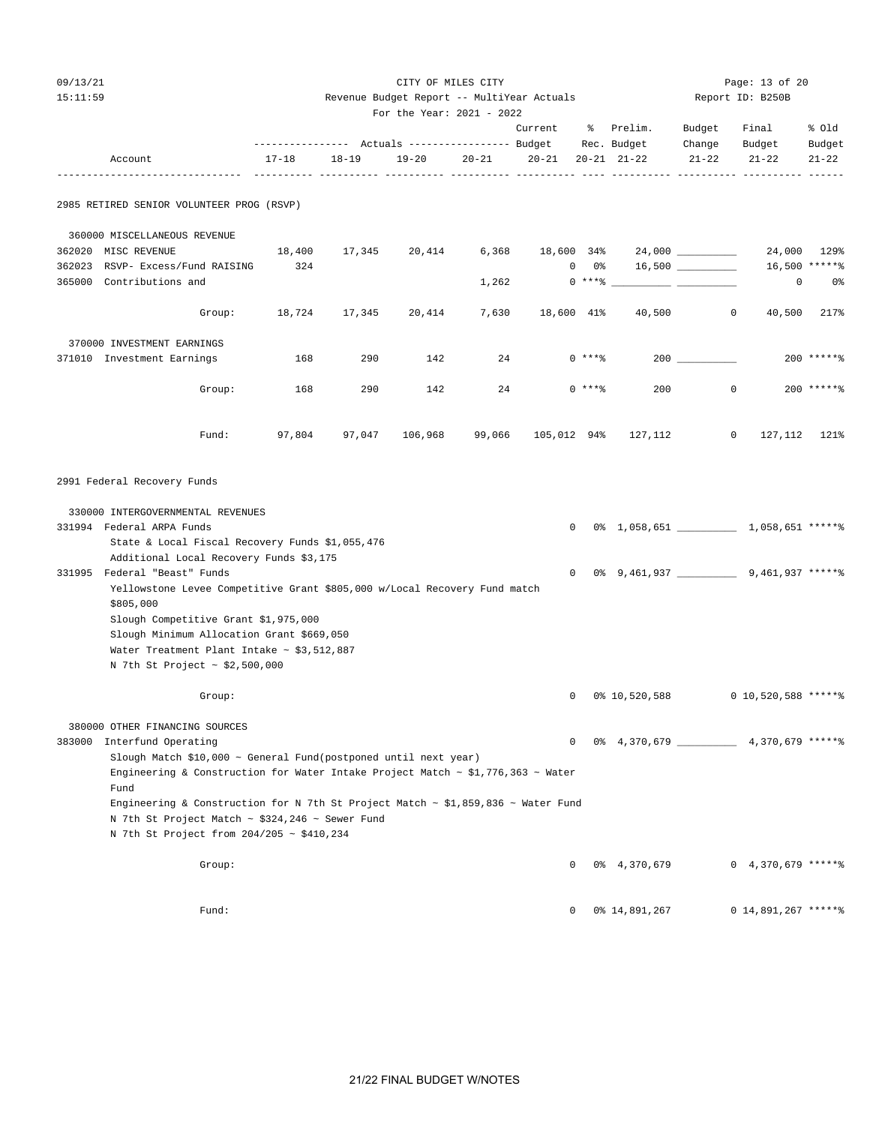| 09 / | 1<br>2<br>-1.5 -<br>$\prime$ |
|------|------------------------------|
|------|------------------------------|

#### 15:11:59 Revenue Budget Report -- MultiYear Actuals Report ID: B250B For the Year: 2021 - 2022

|        |                                                                                                        |           |           | $r$ of the real: $2021 - 2022$ |           |             |                 |                                            |                    |                                |               |  |
|--------|--------------------------------------------------------------------------------------------------------|-----------|-----------|--------------------------------|-----------|-------------|-----------------|--------------------------------------------|--------------------|--------------------------------|---------------|--|
|        |                                                                                                        |           |           |                                |           | Current     | ႜႜႜၟ            | Prelim.                                    | Budget             | Final                          | % old         |  |
|        |                                                                                                        |           |           |                                |           |             |                 | Rec. Budget                                | Change             | Budget                         | Budget        |  |
|        | Account                                                                                                | $17 - 18$ | $18 - 19$ | $19 - 20$                      | $20 - 21$ | $20 - 21$   |                 | $20 - 21$ $21 - 22$                        | $21 - 22$          | $21 - 22$<br>___________ _____ | $21 - 22$     |  |
|        | 2985 RETIRED SENIOR VOLUNTEER PROG (RSVP)                                                              |           |           |                                |           |             |                 |                                            |                    |                                |               |  |
|        | 360000 MISCELLANEOUS REVENUE                                                                           |           |           |                                |           |             |                 |                                            |                    |                                |               |  |
|        | 362020 MISC REVENUE                                                                                    | 18,400    | 17,345    | 20,414                         | 6,368     | 18,600 34%  |                 | 24,000 __________                          |                    | 24,000                         | 129%          |  |
| 362023 | RSVP- Excess/Fund RAISING                                                                              | 324       |           |                                |           |             | $0\qquad 0\,$ ී |                                            | $16,500$ _________ |                                | 16,500 ****** |  |
| 365000 | Contributions and                                                                                      |           |           |                                | 1,262     |             | $0***$ $*$      |                                            |                    | 0                              | 0%            |  |
|        | Group:                                                                                                 | 18,724    | 17,345    | 20,414                         | 7,630     | 18,600 41%  |                 | 40,500                                     | $\mathbf 0$        | 40,500                         | 217%          |  |
|        |                                                                                                        |           |           |                                |           |             |                 |                                            |                    |                                |               |  |
|        | 370000 INVESTMENT EARNINGS                                                                             |           |           |                                |           |             |                 |                                            |                    |                                | $200$ ******  |  |
|        | 371010 Investment Earnings                                                                             | 168       | 290       | 142                            | 24        |             | $0***8$         |                                            |                    |                                |               |  |
|        | Group:                                                                                                 | 168       | 290       | 142                            | 24        |             | $0***8$         | 200                                        | $\mathbf{0}$       |                                | $200$ ******  |  |
|        | Fund:                                                                                                  | 97,804    | 97,047    | 106,968                        | 99,066    | 105,012 94% |                 | 127,112                                    | $\mathbf{0}$       | 127,112                        | 121%          |  |
|        | 2991 Federal Recovery Funds                                                                            |           |           |                                |           |             |                 |                                            |                    |                                |               |  |
|        | 330000 INTERGOVERNMENTAL REVENUES                                                                      |           |           |                                |           |             |                 |                                            |                    |                                |               |  |
|        | 331994 Federal ARPA Funds                                                                              |           |           |                                |           | 0           |                 | 0% 1,058,651 ____________ 1,058,651 *****% |                    |                                |               |  |
|        | State & Local Fiscal Recovery Funds \$1,055,476                                                        |           |           |                                |           |             |                 |                                            |                    |                                |               |  |
|        | Additional Local Recovery Funds \$3,175                                                                |           |           |                                |           |             |                 |                                            |                    |                                |               |  |
| 331995 | Federal "Beast" Funds                                                                                  |           |           |                                |           | 0           |                 |                                            |                    |                                |               |  |
|        | Yellowstone Levee Competitive Grant \$805,000 w/Local Recovery Fund match<br>\$805,000                 |           |           |                                |           |             |                 |                                            |                    |                                |               |  |
|        | Slough Competitive Grant \$1,975,000                                                                   |           |           |                                |           |             |                 |                                            |                    |                                |               |  |
|        | Slough Minimum Allocation Grant \$669,050                                                              |           |           |                                |           |             |                 |                                            |                    |                                |               |  |
|        | Water Treatment Plant Intake ~ $$3,512,887$                                                            |           |           |                                |           |             |                 |                                            |                    |                                |               |  |
|        | N 7th St Project ~ \$2,500,000                                                                         |           |           |                                |           |             |                 |                                            |                    |                                |               |  |
|        | Group:                                                                                                 |           |           |                                |           | 0           |                 | 0% 10,520,588                              |                    | $0$ 10,520,588 *****%          |               |  |
|        | 380000 OTHER FINANCING SOURCES                                                                         |           |           |                                |           |             |                 |                                            |                    |                                |               |  |
|        | 383000 Interfund Operating                                                                             |           |           |                                |           | 0           |                 | 0% 4,370,679 4,370,679 ******              |                    |                                |               |  |
|        | Slough Match \$10,000 ~ General Fund(postponed until next year)                                        |           |           |                                |           |             |                 |                                            |                    |                                |               |  |
|        | Engineering & Construction for Water Intake Project Match $\sim$ \$1,776,363 $\sim$ Water<br>Fund      |           |           |                                |           |             |                 |                                            |                    |                                |               |  |
|        | Engineering & Construction for N 7th St Project Match $\sim$ \$1,859,836 $\sim$ Water Fund             |           |           |                                |           |             |                 |                                            |                    |                                |               |  |
|        | N 7th St Project Match $\sim$ \$324,246 $\sim$ Sewer Fund<br>N 7th St Project from 204/205 ~ \$410,234 |           |           |                                |           |             |                 |                                            |                    |                                |               |  |
|        |                                                                                                        |           |           |                                |           |             |                 |                                            |                    |                                |               |  |
|        | Group:                                                                                                 |           |           |                                |           | 0           |                 | 0% 4,370,679                               |                    | $0, 4, 370, 679$ ***** \$      |               |  |
|        | Fund:                                                                                                  |           |           |                                |           | 0           |                 | 0% 14,891,267                              |                    | $0$ 14,891,267 *****%          |               |  |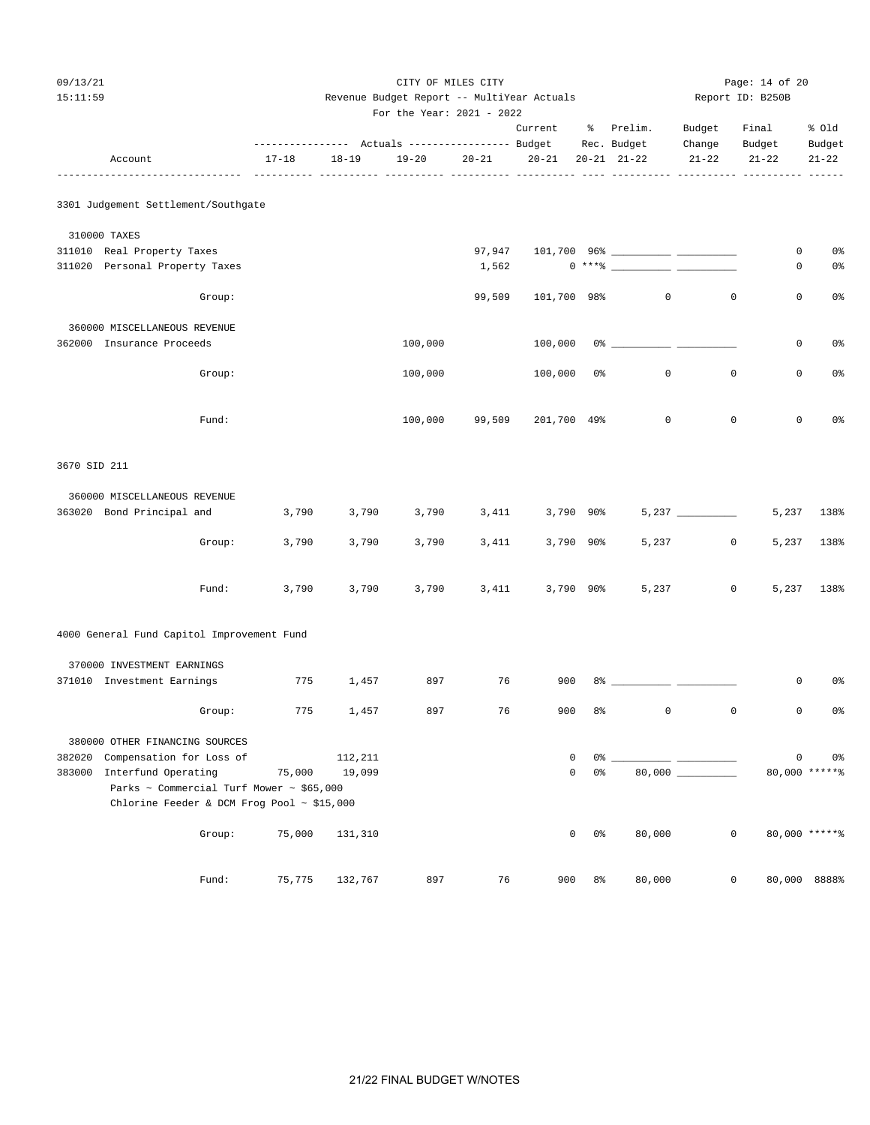| 09/13/21     |                                                                 |        |           |           | Page: 14 of 20                             |           |             |                |                        |                   |                  |               |
|--------------|-----------------------------------------------------------------|--------|-----------|-----------|--------------------------------------------|-----------|-------------|----------------|------------------------|-------------------|------------------|---------------|
| 15:11:59     |                                                                 |        |           |           | Revenue Budget Report -- MultiYear Actuals |           |             |                |                        |                   | Report ID: B250B |               |
|              |                                                                 |        |           |           | For the Year: 2021 - 2022                  |           | Current     |                | % Prelim.              | Budget            | Final            | % old         |
|              |                                                                 |        |           |           |                                            |           |             |                |                        | Change            | Budget           | Budget        |
|              | Account                                                         |        | $17 - 18$ | $18 - 19$ | $19 - 20$                                  | $20 - 21$ | $20 - 21$   |                | $20 - 21$ $21 - 22$    | $21 - 22$         | $21 - 22$        | $21 - 22$     |
|              |                                                                 |        |           |           |                                            |           |             |                |                        |                   |                  |               |
|              | 3301 Judgement Settlement/Southgate                             |        |           |           |                                            |           |             |                |                        |                   |                  |               |
|              | 310000 TAXES                                                    |        |           |           |                                            |           |             |                |                        |                   |                  |               |
|              | 311010 Real Property Taxes                                      |        |           |           |                                            | 97,947    |             |                |                        |                   | 0                | 0%            |
|              | 311020 Personal Property Taxes                                  |        |           |           |                                            | 1,562     |             |                | $0***$ $\frac{20}{10}$ |                   | 0                | 0%            |
|              |                                                                 | Group: |           |           |                                            | 99,509    | 101,700 98% |                | $\circ$                | $\mathbf{0}$      | $\mathbf 0$      | $0\,$ s       |
|              | 360000 MISCELLANEOUS REVENUE                                    |        |           |           |                                            |           |             |                |                        |                   |                  |               |
|              | 362000 Insurance Proceeds                                       |        |           |           | 100,000                                    |           |             |                |                        |                   | $\mathbf 0$      | 0%            |
|              |                                                                 | Group: |           |           | 100,000                                    |           | 100,000 0%  |                | $\mathbf 0$            | $\mathbf{0}$      | $\mathbf 0$      | 0%            |
|              |                                                                 | Fund:  |           |           | 100,000                                    | 99,509    | 201,700 49% |                | $\mathbf 0$            | $\mathbf 0$       | $\mathbf 0$      | 0%            |
| 3670 SID 211 |                                                                 |        |           |           |                                            |           |             |                |                        |                   |                  |               |
|              | 360000 MISCELLANEOUS REVENUE                                    |        |           |           |                                            |           |             |                |                        |                   |                  |               |
|              | 363020 Bond Principal and                                       |        | 3,790     | 3,790     | 3,790                                      | 3,411     | 3,790 90%   |                |                        | $5,237$ _________ | 5,237            | 138%          |
|              |                                                                 | Group: | 3,790     | 3,790     | 3,790                                      | 3,411     | 3,790 90%   |                | 5,237                  | $\mathsf{O}$      | 5,237            | 138%          |
|              |                                                                 | Fund:  | 3,790     | 3,790     | 3,790                                      | 3,411     | 3,790 90%   |                | 5,237                  | $\mathsf{O}$      |                  | 5,237 138%    |
|              | 4000 General Fund Capitol Improvement Fund                      |        |           |           |                                            |           |             |                |                        |                   |                  |               |
|              | 370000 INVESTMENT EARNINGS                                      |        |           |           |                                            |           |             |                |                        |                   |                  |               |
|              | 371010 Investment Earnings                                      |        | 775       | 1,457     | 897                                        | 76        | 900         |                |                        |                   | 0                | 0%            |
|              |                                                                 | Group: | 775       | 1,457     | 897                                        | 76        | 900         | 8 <sup>°</sup> | $\mathsf{O}\xspace$    | $\mathsf 0$       | $\circ$          | 0%            |
|              | 380000 OTHER FINANCING SOURCES                                  |        |           |           |                                            |           |             |                |                        |                   |                  |               |
| 382020       | Compensation for Loss of                                        |        |           | 112,211   |                                            |           | 0           | 0%             |                        |                   | $\mathbf 0$      | 0%            |
| 383000       | Interfund Operating<br>Parks ~ Commercial Turf Mower ~ \$65,000 |        | 75,000    | 19,099    |                                            |           | $\mathsf 0$ | $0\,$          |                        |                   |                  | 80,000 ****** |
|              | Chlorine Feeder & DCM Frog Pool ~ \$15,000                      |        |           |           |                                            |           |             |                |                        |                   |                  |               |
|              |                                                                 | Group: | 75,000    | 131,310   |                                            |           | 0           | 0 <sup>°</sup> | 80,000                 | $\mathbb O$       |                  | 80,000 ****** |
|              |                                                                 | Fund:  | 75,775    | 132,767   | 897                                        | 76        | 900         | 8 <sup>°</sup> | 80,000                 | 0                 |                  | 80,000 8888%  |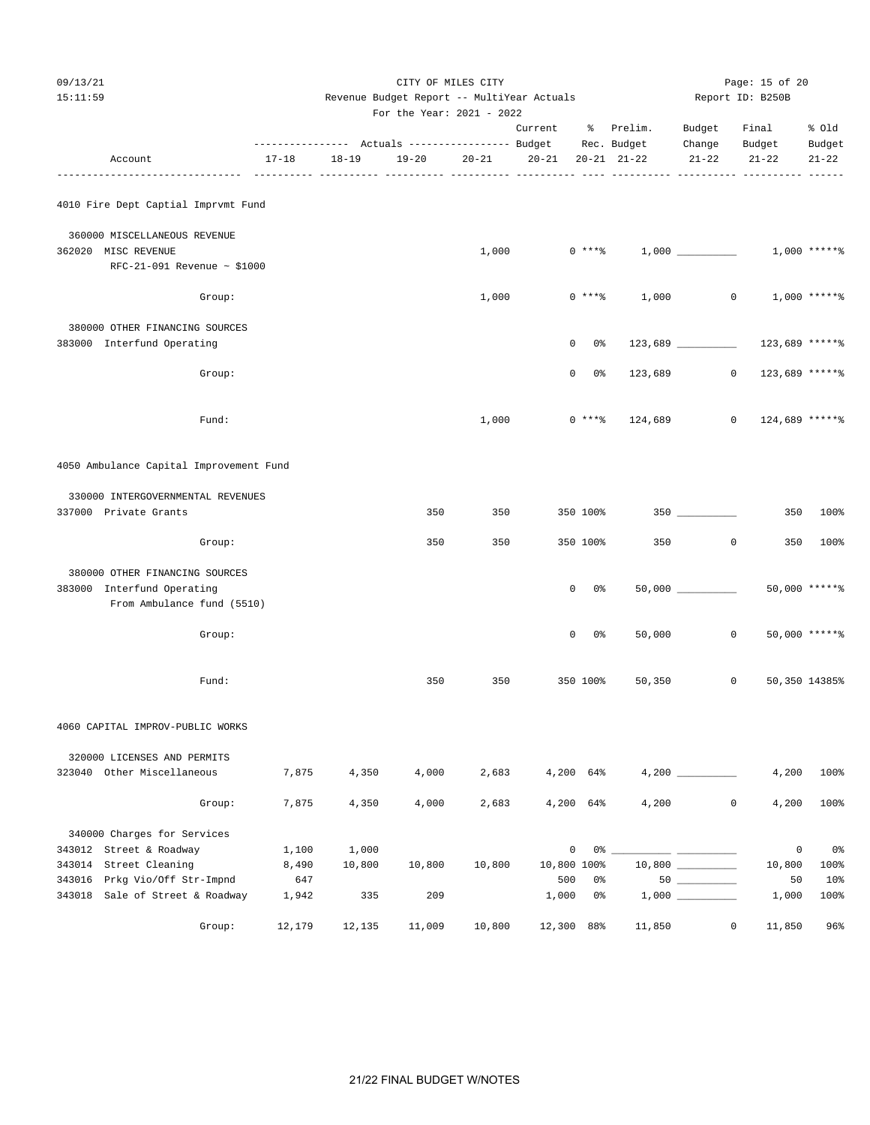For the Year: 2021 - 2022

|                                                                  |           | ---------- Actuals ----------------- Budget |        |           | Current   | ፟ዼ            | Prelim.<br>Rec. Budget | Budget<br>Change     | Final<br>Budget | % old<br>Budget |
|------------------------------------------------------------------|-----------|---------------------------------------------|--------|-----------|-----------|---------------|------------------------|----------------------|-----------------|-----------------|
| Account                                                          | $17 - 18$ | $18 - 19$                                   | 19-20  | $20 - 21$ | $20 - 21$ |               | $20 - 21$ $21 - 22$    | $21 - 22$            | $21 - 22$       | $21 - 22$       |
| 4010 Fire Dept Captial Imprvmt Fund                              |           |                                             |        |           |           |               |                        |                      |                 |                 |
| 360000 MISCELLANEOUS REVENUE                                     |           |                                             |        |           |           |               |                        |                      |                 |                 |
| 362020 MISC REVENUE                                              |           |                                             |        | 1,000     |           | $0***$ $****$ |                        |                      |                 | $1,000$ *****%  |
| RFC-21-091 Revenue ~ \$1000                                      |           |                                             |        |           |           |               |                        |                      |                 |                 |
| Group:                                                           |           |                                             |        | 1,000     |           | $0***$ $*$    | 1,000                  |                      | $\mathbf{0}$    | $1,000$ *****%  |
| 380000 OTHER FINANCING SOURCES                                   |           |                                             |        |           |           |               |                        |                      |                 |                 |
| 383000 Interfund Operating                                       |           |                                             |        |           |           | 0%<br>0       |                        | $123,689$ _________  | 123,689 ******  |                 |
| Group:                                                           |           |                                             |        |           |           | 0<br>0%       | 123,689                | $\circ$              | 123,689 ******  |                 |
| Fund:                                                            |           |                                             |        | 1,000     |           | $0***8$       | 124,689                | 0                    | 124,689 ******  |                 |
| 4050 Ambulance Capital Improvement Fund                          |           |                                             |        |           |           |               |                        |                      |                 |                 |
| 330000 INTERGOVERNMENTAL REVENUES                                |           |                                             |        |           |           |               |                        |                      |                 |                 |
| 337000 Private Grants                                            |           |                                             | 350    | 350       |           | 350 100%      |                        |                      | 350             | 100%            |
| Group:                                                           |           |                                             | 350    | 350       |           | 350 100%      | 350                    | 0                    | 350             | $100\%$         |
| 380000 OTHER FINANCING SOURCES                                   |           |                                             |        |           |           |               |                        |                      |                 |                 |
| 383000 Interfund Operating<br>From Ambulance fund (5510)         |           |                                             |        |           |           | 0%<br>0       |                        | $50,000$ ___________ |                 | 50,000 ******   |
| Group:                                                           |           |                                             |        |           |           | 0%<br>0       | 50,000                 | $\circ$              |                 | $50,000$ *****\ |
| Fund:                                                            |           |                                             | 350    | 350       |           | 350 100%      | 50,350                 | 0                    |                 | 50,350 14385%   |
| 4060 CAPITAL IMPROV-PUBLIC WORKS                                 |           |                                             |        |           |           |               |                        |                      |                 |                 |
| 320000 LICENSES AND PERMITS                                      |           |                                             |        |           |           |               |                        |                      |                 |                 |
| 323040 Other Miscellaneous                                       | 7,875     | 4,350                                       | 4,000  | 2,683     |           | 4,200 64%     |                        |                      | 4,200           | 100%            |
| Group:                                                           | 7,875     | 4,350                                       | 4,000  | 2,683     |           | 4,200 64%     | 4,200                  | 0                    | 4,200           | 100%            |
| 340000 Charges for Services                                      |           |                                             |        |           |           |               |                        |                      |                 |                 |
| 343012 Street & Roadway                                          | 1,100     | 1,000                                       |        |           |           | 0             |                        |                      | $\mathsf 0$     | 0%              |
| 343014 Street Cleaning                                           | 8,490     | 10,800                                      | 10,800 | 10,800    |           | 10,800 100%   |                        |                      | 10,800          | 100%            |
| 343016 Prkg Vio/Off Str-Impnd<br>343018 Sale of Street & Roadway | 647       |                                             |        |           |           | 500<br>0%     |                        | $50$                 | 50              | 10 <sup>°</sup> |
|                                                                  | 1,942     | 335                                         | 209    |           | 1,000     | 0%            |                        |                      | 1,000           | 100%            |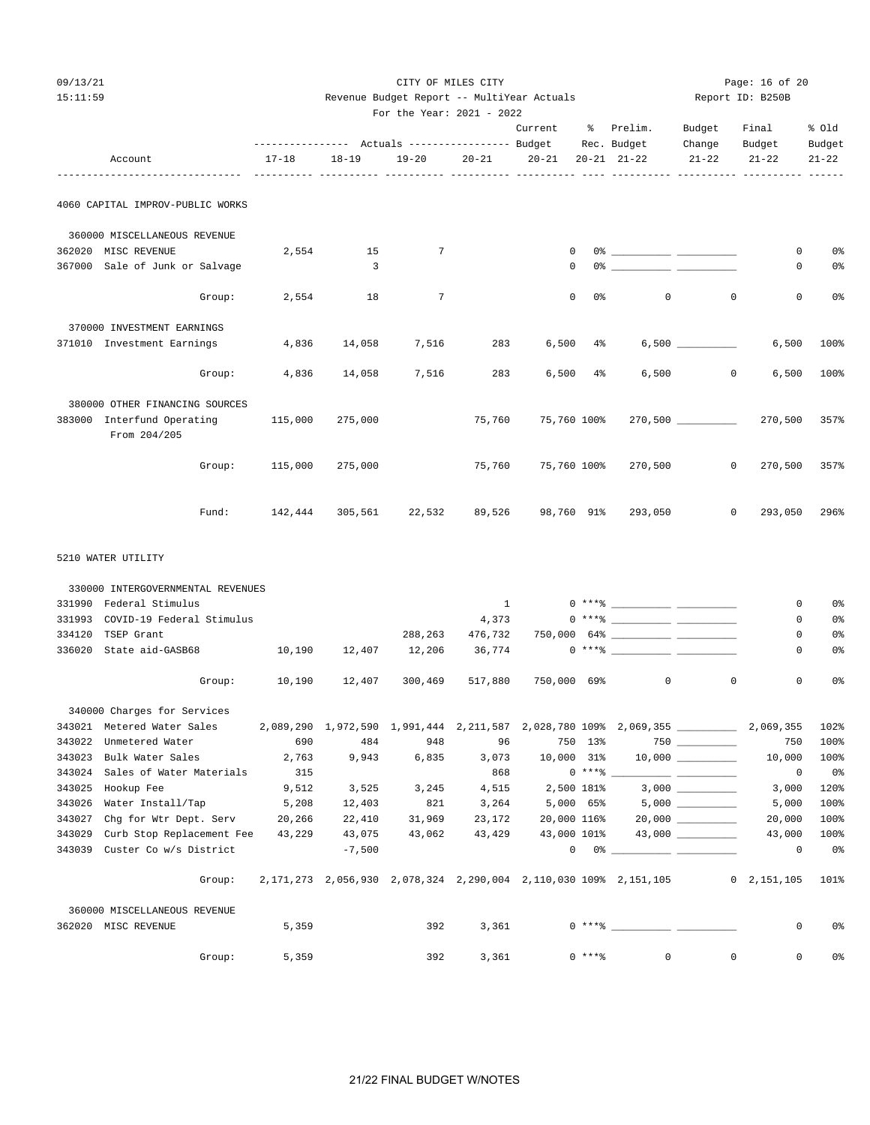#### 09/13/21 CITY OF MILES CITY Page: 16 of 20 15:11:59 Revenue Budget Report -- MultiYear Actuals Report ID: B250B

|  | ac badgee kepole            |  | ---------- |  |
|--|-----------------------------|--|------------|--|
|  | For the Year: $2021 - 2022$ |  |            |  |

|        |                                            |           |           | ---------------    Actuals ----------------    Budget |              | Current     | ိ          | Prelim.<br>Rec. Budget                                                                                                                                                                                                                                                                                                                                             | Budget<br>Change         | Final<br>Budget              | % Old<br>Budget      |
|--------|--------------------------------------------|-----------|-----------|-------------------------------------------------------|--------------|-------------|------------|--------------------------------------------------------------------------------------------------------------------------------------------------------------------------------------------------------------------------------------------------------------------------------------------------------------------------------------------------------------------|--------------------------|------------------------------|----------------------|
|        | Account                                    | $17 - 18$ | $18 - 19$ | $19 - 20$                                             | $20 - 21$    | $20 - 21$   |            | $20 - 21$ $21 - 22$                                                                                                                                                                                                                                                                                                                                                | $21 - 22$                | $21 - 22$                    | $21 - 22$            |
|        | 4060 CAPITAL IMPROV-PUBLIC WORKS           |           |           |                                                       |              |             |            |                                                                                                                                                                                                                                                                                                                                                                    |                          |                              |                      |
|        | 360000 MISCELLANEOUS REVENUE               |           |           |                                                       |              |             |            |                                                                                                                                                                                                                                                                                                                                                                    |                          |                              |                      |
|        | 362020 MISC REVENUE                        | 2,554     | 15        | 7                                                     |              | 0           |            | $0$ $\frac{1}{2}$ $\frac{1}{2}$ $\frac{1}{2}$ $\frac{1}{2}$ $\frac{1}{2}$ $\frac{1}{2}$ $\frac{1}{2}$ $\frac{1}{2}$ $\frac{1}{2}$ $\frac{1}{2}$ $\frac{1}{2}$ $\frac{1}{2}$ $\frac{1}{2}$ $\frac{1}{2}$ $\frac{1}{2}$ $\frac{1}{2}$ $\frac{1}{2}$ $\frac{1}{2}$ $\frac{1}{2}$ $\frac{1}{2}$ $\frac{1}{2}$ $\frac{1}{2$                                             |                          | 0                            | 0%                   |
|        | 367000 Sale of Junk or Salvage             |           | 3         |                                                       |              | $\mathbf 0$ |            |                                                                                                                                                                                                                                                                                                                                                                    |                          | 0                            | 0%                   |
|        | Group:                                     | 2,554     | 18        | $\overline{7}$                                        |              | $\mathbf 0$ | 0 %        | $\circ$                                                                                                                                                                                                                                                                                                                                                            | $\mathbf 0$              | $\mathbf 0$                  | 0%                   |
|        | 370000 INVESTMENT EARNINGS                 |           |           |                                                       |              |             |            |                                                                                                                                                                                                                                                                                                                                                                    |                          |                              |                      |
|        | 371010 Investment Earnings                 | 4,836     | 14,058    | 7,516                                                 | 283          | 6,500       | $4\%$      |                                                                                                                                                                                                                                                                                                                                                                    | $6,500$ __________       | 6,500                        | 100%                 |
|        | Group:                                     | 4,836     | 14,058    | 7,516                                                 | 283          | 6,500       | $4\,$      | 6,500                                                                                                                                                                                                                                                                                                                                                              | $\circ$                  | 6,500                        | 100%                 |
|        | 380000 OTHER FINANCING SOURCES             |           |           |                                                       |              |             |            |                                                                                                                                                                                                                                                                                                                                                                    |                          |                              |                      |
|        | 383000 Interfund Operating<br>From 204/205 | 115,000   | 275,000   |                                                       | 75,760       | 75,760 100% |            |                                                                                                                                                                                                                                                                                                                                                                    | $270,500$ ______________ | 270,500                      | 357%                 |
|        | Group:                                     | 115,000   | 275,000   |                                                       | 75,760       | 75,760 100% |            | 270,500                                                                                                                                                                                                                                                                                                                                                            | $\circ$                  | 270,500                      | 357%                 |
|        | Fund:                                      | 142,444   | 305,561   | 22,532                                                | 89,526       | 98,760 91%  |            | 293,050                                                                                                                                                                                                                                                                                                                                                            | 0                        | 293,050                      | 296%                 |
|        | 5210 WATER UTILITY                         |           |           |                                                       |              |             |            |                                                                                                                                                                                                                                                                                                                                                                    |                          |                              |                      |
|        | 330000 INTERGOVERNMENTAL REVENUES          |           |           |                                                       |              |             |            |                                                                                                                                                                                                                                                                                                                                                                    |                          |                              |                      |
|        | 331990 Federal Stimulus                    |           |           |                                                       | $\mathbf{1}$ |             |            | $0***$ $\frac{1}{2}$                                                                                                                                                                                                                                                                                                                                               |                          | 0                            | 0%                   |
| 331993 | COVID-19 Federal Stimulus                  |           |           |                                                       | 4,373        |             |            | $0***$ $\frac{1}{2}$ $\frac{1}{2}$ $\frac{1}{2}$ $\frac{1}{2}$ $\frac{1}{2}$ $\frac{1}{2}$ $\frac{1}{2}$ $\frac{1}{2}$ $\frac{1}{2}$ $\frac{1}{2}$ $\frac{1}{2}$ $\frac{1}{2}$ $\frac{1}{2}$ $\frac{1}{2}$ $\frac{1}{2}$ $\frac{1}{2}$ $\frac{1}{2}$ $\frac{1}{2}$ $\frac{1}{2}$ $\frac{1}{2}$ $\frac{1}{2}$ $\frac{1}{$                                           |                          | 0                            | 0%                   |
| 334120 | TSEP Grant                                 |           |           | 288,263                                               | 476,732      |             |            |                                                                                                                                                                                                                                                                                                                                                                    |                          | 0                            | 0%                   |
| 336020 | State aid-GASB68                           | 10,190    | 12,407    | 12,206                                                | 36,774       |             |            |                                                                                                                                                                                                                                                                                                                                                                    |                          | 0                            | $0\,$                |
|        | Group:                                     | 10,190    | 12,407    | 300,469                                               | 517,880      |             |            | 750,000 69% 0                                                                                                                                                                                                                                                                                                                                                      | $\mathbf 0$              | 0                            | 0%                   |
|        | 340000 Charges for Services                |           |           |                                                       |              |             |            |                                                                                                                                                                                                                                                                                                                                                                    |                          |                              |                      |
|        | 343021 Metered Water Sales                 |           |           |                                                       |              |             |            | 2,089,290 1,972,590 1,991,444 2,211,587 2,028,780 109% 2,069,355 ________________ 2,069,355                                                                                                                                                                                                                                                                        |                          |                              | 102%                 |
|        | 343022 Unmetered Water                     | 690       | 484       | 948                                                   | 96           |             | 750 13%    |                                                                                                                                                                                                                                                                                                                                                                    | $750$ _________          | 750                          | 100%                 |
|        | 343023 Bulk Water Sales                    |           |           |                                                       |              |             |            | $2,763$ $9,943$ $6,835$ $3,073$ $10,000$ $31\%$ $10,000$ $\_\_$                                                                                                                                                                                                                                                                                                    |                          | 10,000                       | 100%                 |
|        | 343024 Sales of Water Materials            | 315       |           |                                                       | 868          |             | $0***$ $-$ |                                                                                                                                                                                                                                                                                                                                                                    |                          | 0                            | $0\,$ s              |
|        | 343025 Hookup Fee                          | 9,512     | 3,525     | 3,245                                                 | 4,515        |             |            | 2,500 181% 3,000 _________                                                                                                                                                                                                                                                                                                                                         |                          | 3,000                        | 120%                 |
|        | 343026 Water Install/Tap                   | 5,208     | 12,403    | 821                                                   | 3,264        |             |            | $5,000$ $65\%$ $5,000$ $\_\_\_\_\_\_\_\_\_\_\_$                                                                                                                                                                                                                                                                                                                    |                          | 5,000                        | 100%                 |
|        | 343027 Chg for Wtr Dept. Serv              | 20,266    | 22,410    | 31,969                                                | 23,172       |             |            | 20,000 116% 20,000 __________                                                                                                                                                                                                                                                                                                                                      |                          | 20,000                       | 100%                 |
|        | 343029 Curb Stop Replacement Fee           | 43,229    | 43,075    | 43,062                                                | 43,429       |             |            | 43,000 101% 43,000 _________                                                                                                                                                                                                                                                                                                                                       |                          | 43,000                       | 100%                 |
|        | 343039 Custer Co w/s District              |           | $-7,500$  |                                                       |              |             |            | $\begin{picture}(150,10) \put(0,0){\vector(1,0){100}} \put(15,0){\vector(1,0){100}} \put(15,0){\vector(1,0){100}} \put(15,0){\vector(1,0){100}} \put(15,0){\vector(1,0){100}} \put(15,0){\vector(1,0){100}} \put(15,0){\vector(1,0){100}} \put(15,0){\vector(1,0){100}} \put(15,0){\vector(1,0){100}} \put(15,0){\vector(1,0){100}} \put(15,0){\vector(1,0){100}}$ |                          | $\mathbf 0$                  | $0\,$ s              |
|        | Group:                                     |           |           |                                                       |              |             |            | 2,171,273  2,056,930  2,078,324  2,290,004  2,110,030  109%  2,151,105                                                                                                                                                                                                                                                                                             |                          | $0\quad 2,151,105\quad 101\$ |                      |
|        | 360000 MISCELLANEOUS REVENUE               |           |           |                                                       |              |             |            |                                                                                                                                                                                                                                                                                                                                                                    |                          |                              |                      |
|        | 362020 MISC REVENUE                        | 5,359     |           | 392                                                   | 3,361        |             |            |                                                                                                                                                                                                                                                                                                                                                                    |                          | 0                            | 0%                   |
|        | Group:                                     | 5,359     |           | 392                                                   | 3,361        |             | $0***$ $*$ | $\overline{0}$                                                                                                                                                                                                                                                                                                                                                     | $\mathbf 0$              |                              | $\overline{0}$<br>0% |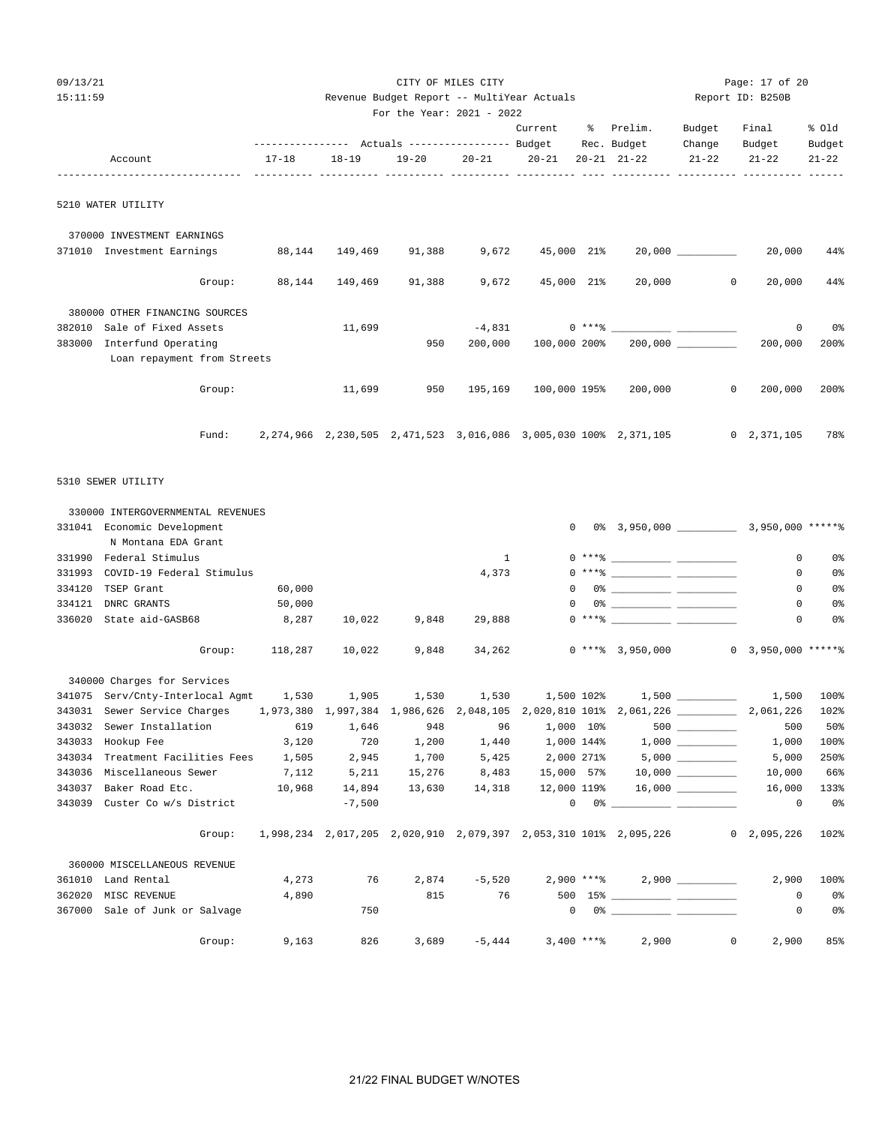| 09/13/21<br>15:11:59 |                                                                                        |                |             | Revenue Budget Report -- MultiYear Actuals<br>For the Year: 2021 - 2022 | CITY OF MILES CITY |                     |            |                                                                                                                                                                                                                                                                                                                                                                    | Report ID: B250B        | Page: 17 of 20             |                 |
|----------------------|----------------------------------------------------------------------------------------|----------------|-------------|-------------------------------------------------------------------------|--------------------|---------------------|------------|--------------------------------------------------------------------------------------------------------------------------------------------------------------------------------------------------------------------------------------------------------------------------------------------------------------------------------------------------------------------|-------------------------|----------------------------|-----------------|
|                      |                                                                                        |                |             |                                                                         |                    |                     |            | Current % Prelim.<br>Rec. Budget                                                                                                                                                                                                                                                                                                                                   | Budget<br>Change Budget | Final                      | % old<br>Budget |
|                      | Account                                                                                | $17 - 18$      | 18-19       | $19 - 20$                                                               |                    | $20 - 21$ $20 - 21$ |            | $20 - 21$ $21 - 22$                                                                                                                                                                                                                                                                                                                                                | $21 - 22$               | $21 - 22$                  | $21 - 22$       |
|                      | 5210 WATER UTILITY                                                                     |                |             |                                                                         |                    |                     |            |                                                                                                                                                                                                                                                                                                                                                                    |                         |                            |                 |
|                      | 370000 INVESTMENT EARNINGS                                                             |                |             |                                                                         |                    |                     |            |                                                                                                                                                                                                                                                                                                                                                                    |                         |                            |                 |
|                      | 371010 Investment Earnings                                                             | 88,144         | 149,469     | 91,388                                                                  | 9,672              | 45,000 21%          |            |                                                                                                                                                                                                                                                                                                                                                                    |                         | 20,000                     | 44%             |
|                      | Group:                                                                                 | 88,144         | 149,469     | 91,388                                                                  | 9,672              | 45,000 21%          |            | 20,000                                                                                                                                                                                                                                                                                                                                                             | $\circ$                 | 20,000                     | 44%             |
|                      | 380000 OTHER FINANCING SOURCES                                                         |                |             |                                                                         |                    |                     |            |                                                                                                                                                                                                                                                                                                                                                                    |                         |                            |                 |
| 382010               | Sale of Fixed Assets                                                                   |                | 11,699      |                                                                         | $-4,831$           |                     | $0***$ $*$ |                                                                                                                                                                                                                                                                                                                                                                    |                         | 0                          | 0%              |
|                      | 383000 Interfund Operating                                                             |                |             | 950                                                                     | 200,000            | 100,000 200%        |            |                                                                                                                                                                                                                                                                                                                                                                    | 200,000                 | 200,000                    | 200%            |
|                      | Loan repayment from Streets                                                            |                |             |                                                                         |                    |                     |            |                                                                                                                                                                                                                                                                                                                                                                    |                         |                            |                 |
|                      | Group:                                                                                 |                | 11,699      | 950                                                                     | 195,169            | 100,000 195%        |            | 200,000                                                                                                                                                                                                                                                                                                                                                            | $\circ$                 | 200,000                    | 200%            |
|                      | Fund:                                                                                  |                |             |                                                                         |                    |                     |            | 2,274,966 2,230,505 2,471,523 3,016,086 3,005,030 100% 2,371,105                                                                                                                                                                                                                                                                                                   |                         | $0\quad 2,371,105$         | 78%             |
|                      | 5310 SEWER UTILITY<br>330000 INTERGOVERNMENTAL REVENUES<br>331041 Economic Development |                |             |                                                                         |                    |                     |            |                                                                                                                                                                                                                                                                                                                                                                    |                         |                            |                 |
|                      | N Montana EDA Grant                                                                    |                |             |                                                                         |                    |                     |            |                                                                                                                                                                                                                                                                                                                                                                    |                         |                            |                 |
|                      | 331990 Federal Stimulus                                                                |                |             |                                                                         | $\mathbf{1}$       |                     |            |                                                                                                                                                                                                                                                                                                                                                                    |                         | $\mathbf{0}$               | 0%              |
| 331993               | COVID-19 Federal Stimulus                                                              |                |             |                                                                         | 4,373              |                     |            | $0***$ $\frac{20}{100}$                                                                                                                                                                                                                                                                                                                                            |                         | $\circ$                    | 0%              |
|                      | 334120 TSEP Grant                                                                      | 60,000         |             |                                                                         |                    |                     |            | $\begin{picture}(150,10) \put(0,0){\vector(1,0){100}} \put(15,0){\vector(1,0){100}} \put(15,0){\vector(1,0){100}} \put(15,0){\vector(1,0){100}} \put(15,0){\vector(1,0){100}} \put(15,0){\vector(1,0){100}} \put(15,0){\vector(1,0){100}} \put(15,0){\vector(1,0){100}} \put(15,0){\vector(1,0){100}} \put(15,0){\vector(1,0){100}} \put(15,0){\vector(1,0){100}}$ |                         | $\circ$                    | 0%              |
| 334121               | DNRC GRANTS                                                                            | 50,000         |             |                                                                         |                    | 0                   |            |                                                                                                                                                                                                                                                                                                                                                                    |                         | $\mathbf 0$                | 0%              |
| 336020               | State aid-GASB68                                                                       | 8,287          | 10,022      | 9,848                                                                   | 29,888             |                     |            |                                                                                                                                                                                                                                                                                                                                                                    |                         | $\mathbf{0}$               | 0%              |
|                      |                                                                                        | Group: 118,287 | 10,022      | 9,848                                                                   | 34,262             |                     |            | $0$ *** $\frac{1}{6}$ 3,950,000                                                                                                                                                                                                                                                                                                                                    |                         | $0\quad 3,950,000$ *****\  |                 |
|                      | 340000 Charges for Services                                                            |                |             |                                                                         |                    |                     |            |                                                                                                                                                                                                                                                                                                                                                                    |                         |                            |                 |
|                      | 341075 Serv/Cnty-Interlocal Agmt $1,530$ $1,905$ $1,530$ $1,530$ $1,500$ 102% $1,500$  |                |             |                                                                         |                    |                     |            |                                                                                                                                                                                                                                                                                                                                                                    |                         | $\frac{1}{500}$ 1,500 100% |                 |
|                      |                                                                                        |                |             |                                                                         |                    |                     |            |                                                                                                                                                                                                                                                                                                                                                                    |                         |                            | 102%            |
|                      | 343032 Sewer Installation                                                              | 619            | 1,646       | 948                                                                     | 96                 | 1,000 10%           |            |                                                                                                                                                                                                                                                                                                                                                                    | $500$                   | 500                        | 50%             |
|                      | 343033 Hookup Fee                                                                      | 3,120          | 720         | 1,200                                                                   | 1,440              | 1,000 144%          |            |                                                                                                                                                                                                                                                                                                                                                                    |                         | 1,000                      | 100%            |
|                      | 343034 Treatment Facilities Fees 1,505                                                 |                | 2,945       | 1,700                                                                   | 5,425              | 2,000 271%          |            |                                                                                                                                                                                                                                                                                                                                                                    |                         | 5,000                      | 250%            |
|                      | 343036 Miscellaneous Sewer                                                             |                | 7,112 5,211 | 15,276                                                                  | 8,483              |                     |            |                                                                                                                                                                                                                                                                                                                                                                    |                         | 10,000                     | 66%             |
|                      | 343037 Baker Road Etc.                                                                 | 10,968         | 14,894      |                                                                         | 13,630 14,318      |                     |            | 12,000 119%  16,000    _________                                                                                                                                                                                                                                                                                                                                   |                         | 16,000                     | 133%            |
|                      | 343039 Custer Co w/s District                                                          |                | $-7,500$    |                                                                         |                    |                     |            | $\begin{picture}(150,10) \put(0,0){\vector(1,0){100}} \put(15,0){\vector(1,0){100}} \put(15,0){\vector(1,0){100}} \put(15,0){\vector(1,0){100}} \put(15,0){\vector(1,0){100}} \put(15,0){\vector(1,0){100}} \put(15,0){\vector(1,0){100}} \put(15,0){\vector(1,0){100}} \put(15,0){\vector(1,0){100}} \put(15,0){\vector(1,0){100}} \put(15,0){\vector(1,0){100}}$ |                         | 0                          | 0 %             |
|                      | Group:                                                                                 |                |             |                                                                         |                    |                     |            | 1,998,234 2,017,205 2,020,910 2,079,397 2,053,310 101% 2,095,226                                                                                                                                                                                                                                                                                                   |                         | $0 \quad 2,095,226$        | 102%            |

|        | 360000 MISCELLANEOUS REVENUE   |        |       |     |       |          |              |     |                         |   |       |                |
|--------|--------------------------------|--------|-------|-----|-------|----------|--------------|-----|-------------------------|---|-------|----------------|
|        | 361010 Land Rental             |        | 4,273 | 76  | 2,874 | $-5.520$ | $2,900$ **** |     | 2.900                   |   | 2,900 | 100%           |
| 362020 | MISC REVENUE                   |        | 4,890 |     | 815   | 76       |              |     | $500 \t15$ <sup>8</sup> |   |       | 0%             |
|        | 367000 Sale of Junk or Salvage |        |       | 750 |       |          | 0            | 0 % |                         |   |       | 0 <sup>°</sup> |
|        |                                | Group: | 9,163 | 826 | 3,689 | $-5.444$ | $3,400$ **** |     | 2,900                   | 0 | 2,900 | 85%            |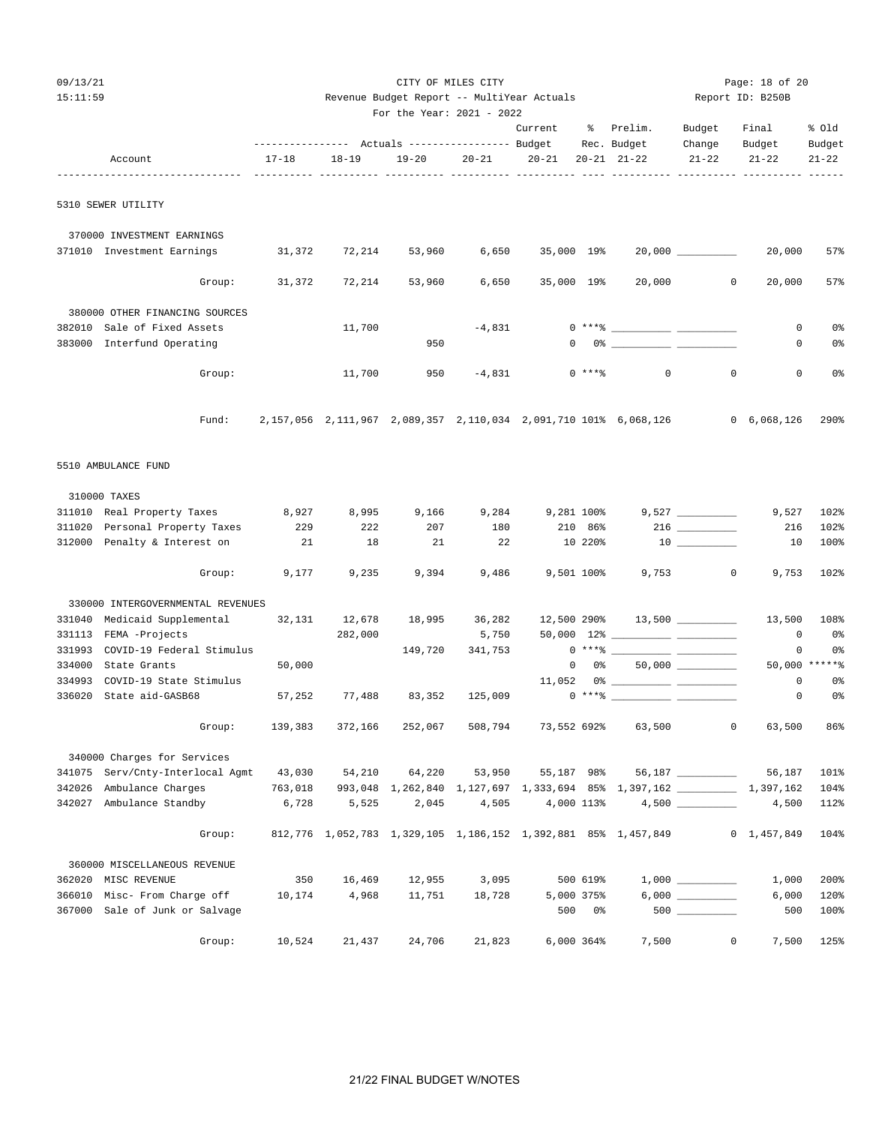| 09/13/21<br>15:11:59 |                                                                 |                                                          | CITY OF MILES CITY<br>Revenue Budget Report -- MultiYear Actuals<br>For the Year: 2021 - 2022 |                  |                 |                       |               |                                                                                                                                                                                                                                                                                                                                                                    | Page: 18 of 20<br>Report ID: B250B |                     |                     |
|----------------------|-----------------------------------------------------------------|----------------------------------------------------------|-----------------------------------------------------------------------------------------------|------------------|-----------------|-----------------------|---------------|--------------------------------------------------------------------------------------------------------------------------------------------------------------------------------------------------------------------------------------------------------------------------------------------------------------------------------------------------------------------|------------------------------------|---------------------|---------------------|
|                      |                                                                 |                                                          |                                                                                               |                  |                 | Current               |               | % Prelim.                                                                                                                                                                                                                                                                                                                                                          | Budget                             | Final               | % Old               |
|                      | Account                                                         | --------------- Actuals ---------------- Budget<br>17-18 | $18 - 19$                                                                                     | $19 - 20$        | $20 - 21$       | $20 - 21$             |               | Rec. Budget<br>$20 - 21$ $21 - 22$                                                                                                                                                                                                                                                                                                                                 | Change<br>$21 - 22$                | Budget<br>$21 - 22$ | Budget<br>$21 - 22$ |
|                      |                                                                 | ----------- ---------- -----                             |                                                                                               | ------ ----      |                 | ----- ---------- ---- |               |                                                                                                                                                                                                                                                                                                                                                                    |                                    |                     |                     |
|                      | 5310 SEWER UTILITY                                              |                                                          |                                                                                               |                  |                 |                       |               |                                                                                                                                                                                                                                                                                                                                                                    |                                    |                     |                     |
|                      | 370000 INVESTMENT EARNINGS<br>371010 Investment Earnings        |                                                          |                                                                                               |                  |                 |                       |               |                                                                                                                                                                                                                                                                                                                                                                    |                                    |                     | 57%                 |
|                      |                                                                 | 31,372                                                   | 72,214                                                                                        | 53,960           | 6,650           | 35,000 19%            |               |                                                                                                                                                                                                                                                                                                                                                                    | 20,000 ___________                 | 20,000              |                     |
|                      | Group:                                                          | 31,372                                                   | 72,214                                                                                        | 53,960           | 6,650           | 35,000 19%            |               | 20,000                                                                                                                                                                                                                                                                                                                                                             | $\circ$                            | 20,000              | 57%                 |
|                      | 380000 OTHER FINANCING SOURCES                                  |                                                          |                                                                                               |                  |                 |                       |               |                                                                                                                                                                                                                                                                                                                                                                    |                                    |                     |                     |
|                      | 382010 Sale of Fixed Assets                                     |                                                          | 11,700                                                                                        |                  | $-4,831$        |                       |               |                                                                                                                                                                                                                                                                                                                                                                    |                                    | 0                   | 0%                  |
|                      | 383000 Interfund Operating                                      |                                                          |                                                                                               | 950              |                 |                       |               | $\begin{picture}(150,10) \put(0,0){\vector(1,0){100}} \put(15,0){\vector(1,0){100}} \put(15,0){\vector(1,0){100}} \put(15,0){\vector(1,0){100}} \put(15,0){\vector(1,0){100}} \put(15,0){\vector(1,0){100}} \put(15,0){\vector(1,0){100}} \put(15,0){\vector(1,0){100}} \put(15,0){\vector(1,0){100}} \put(15,0){\vector(1,0){100}} \put(15,0){\vector(1,0){100}}$ |                                    | 0                   | 0%                  |
|                      | Group:                                                          |                                                          | 11,700                                                                                        | 950              |                 | $-4,831$ 0 ****       |               | $\mathbf 0$                                                                                                                                                                                                                                                                                                                                                        | $\mathbf 0$                        | 0                   | 0 <sup>°</sup>      |
|                      | Fund:                                                           |                                                          |                                                                                               |                  |                 |                       |               | 2, 157, 056 2, 111, 967 2, 089, 357 2, 110, 034 2, 091, 710 101% 6, 068, 126                                                                                                                                                                                                                                                                                       |                                    | 0 6,068,126         | 290%                |
|                      | 5510 AMBULANCE FUND                                             |                                                          |                                                                                               |                  |                 |                       |               |                                                                                                                                                                                                                                                                                                                                                                    |                                    |                     |                     |
|                      | 310000 TAXES                                                    |                                                          |                                                                                               |                  |                 |                       |               |                                                                                                                                                                                                                                                                                                                                                                    |                                    |                     |                     |
|                      | 311010 Real Property Taxes 8,927                                |                                                          | 8,995                                                                                         | 9,166            | 9,284           | 9,281 100%            |               |                                                                                                                                                                                                                                                                                                                                                                    |                                    | 9,527               | 102%                |
|                      | 311020 Personal Property Taxes                                  | 229                                                      | 222                                                                                           | 207              | 180             |                       | 210 86%       |                                                                                                                                                                                                                                                                                                                                                                    | $216 \ \ \underline{\hspace{1cm}}$ | 216                 | 102%                |
|                      | 312000 Penalty & Interest on                                    | 21                                                       | 18                                                                                            | 21               | 22              |                       | 10 220%       |                                                                                                                                                                                                                                                                                                                                                                    | $10$ _________                     | 10                  | 100%                |
|                      | Group:                                                          | 9,177                                                    | 9,235                                                                                         | 9,394            | 9,486           | 9,501 100%            |               |                                                                                                                                                                                                                                                                                                                                                                    | 9,753 0                            | 9,753               | 102%                |
|                      | 330000 INTERGOVERNMENTAL REVENUES                               |                                                          |                                                                                               |                  |                 |                       |               |                                                                                                                                                                                                                                                                                                                                                                    |                                    |                     |                     |
|                      | 331040 Medicaid Supplemental                                    | 32,131                                                   | 12,678                                                                                        | 18,995           | 36,282          |                       |               | 12,500 290%  13,500 ________                                                                                                                                                                                                                                                                                                                                       |                                    | 13,500              | 108%                |
|                      | 331113 FEMA -Projects                                           |                                                          | 282,000                                                                                       |                  | 5,750           |                       |               |                                                                                                                                                                                                                                                                                                                                                                    |                                    | 0                   | 0%                  |
|                      | 331993 COVID-19 Federal Stimulus<br>334000 State Grants         | 50,000                                                   |                                                                                               | 149,720          | 341,753         |                       | $0\qquad 0$ % | $0***$ $\frac{20}{10}$                                                                                                                                                                                                                                                                                                                                             | $50,000$ ___________               | 0                   | 0%<br>50,000 ****** |
|                      | 334993 COVID-19 State Stimulus                                  |                                                          |                                                                                               |                  |                 |                       |               |                                                                                                                                                                                                                                                                                                                                                                    |                                    | 0                   | 0 <sup>°</sup>      |
|                      | 336020 State aid-GASB68                                         | 57,252                                                   | 77,488                                                                                        | 83,352           | 125,009         |                       | $0***$ $*$    |                                                                                                                                                                                                                                                                                                                                                                    |                                    | 0                   | 0 <sup>°</sup>      |
|                      | Group:                                                          | 139,383                                                  | 372,166                                                                                       | 252,067          | 508,794         | 73,552 692%           |               | 63,500                                                                                                                                                                                                                                                                                                                                                             | $\mathbf 0$                        | 63,500              | 86%                 |
|                      |                                                                 |                                                          |                                                                                               |                  |                 |                       |               |                                                                                                                                                                                                                                                                                                                                                                    |                                    |                     |                     |
|                      | 340000 Charges for Services<br>341075 Serv/Cnty-Interlocal Agmt | 43,030                                                   | 54,210                                                                                        | 64,220           | 53,950          | 55,187 98%            |               |                                                                                                                                                                                                                                                                                                                                                                    | 56,187 _________                   | 56,187              | 101%                |
| 342026               | Ambulance Charges                                               | 763,018                                                  |                                                                                               |                  |                 |                       |               | 993,048 1,262,840 1,127,697 1,333,694 85% 1,397,162 1,397,162 1,397,162                                                                                                                                                                                                                                                                                            |                                    |                     | 104%                |
| 342027               | Ambulance Standby                                               | 6,728                                                    | 5,525                                                                                         | 2,045            | 4,505           | 4,000 113%            |               |                                                                                                                                                                                                                                                                                                                                                                    |                                    | 4,500               | 112%                |
|                      | Group:                                                          |                                                          |                                                                                               |                  |                 |                       |               | 812,776 1,052,783 1,329,105 1,186,152 1,392,881 85% 1,457,849                                                                                                                                                                                                                                                                                                      |                                    | 0, 1, 457, 849      | 104%                |
|                      |                                                                 |                                                          |                                                                                               |                  |                 |                       |               |                                                                                                                                                                                                                                                                                                                                                                    |                                    |                     |                     |
|                      | 360000 MISCELLANEOUS REVENUE                                    |                                                          |                                                                                               |                  |                 |                       |               |                                                                                                                                                                                                                                                                                                                                                                    |                                    |                     |                     |
|                      | 362020 MISC REVENUE<br>366010 Misc- From Charge off             | 350                                                      | 16,469<br>4,968                                                                               | 12,955<br>11,751 | 3,095<br>18,728 |                       | 500 619%      |                                                                                                                                                                                                                                                                                                                                                                    |                                    | 1,000               | 200%<br>120%        |
|                      | 367000 Sale of Junk or Salvage                                  | 10,174                                                   |                                                                                               |                  |                 | 5,000 375%<br>500     | 0 %           |                                                                                                                                                                                                                                                                                                                                                                    |                                    | 6,000<br>500        | 100%                |
|                      |                                                                 |                                                          |                                                                                               |                  |                 |                       |               |                                                                                                                                                                                                                                                                                                                                                                    |                                    |                     |                     |
|                      | Group:                                                          | 10,524                                                   | 21,437                                                                                        | 24,706           | 21,823          | 6,000 364%            |               | 7,500                                                                                                                                                                                                                                                                                                                                                              | $\mathbf 0$                        | 7,500               | 125%                |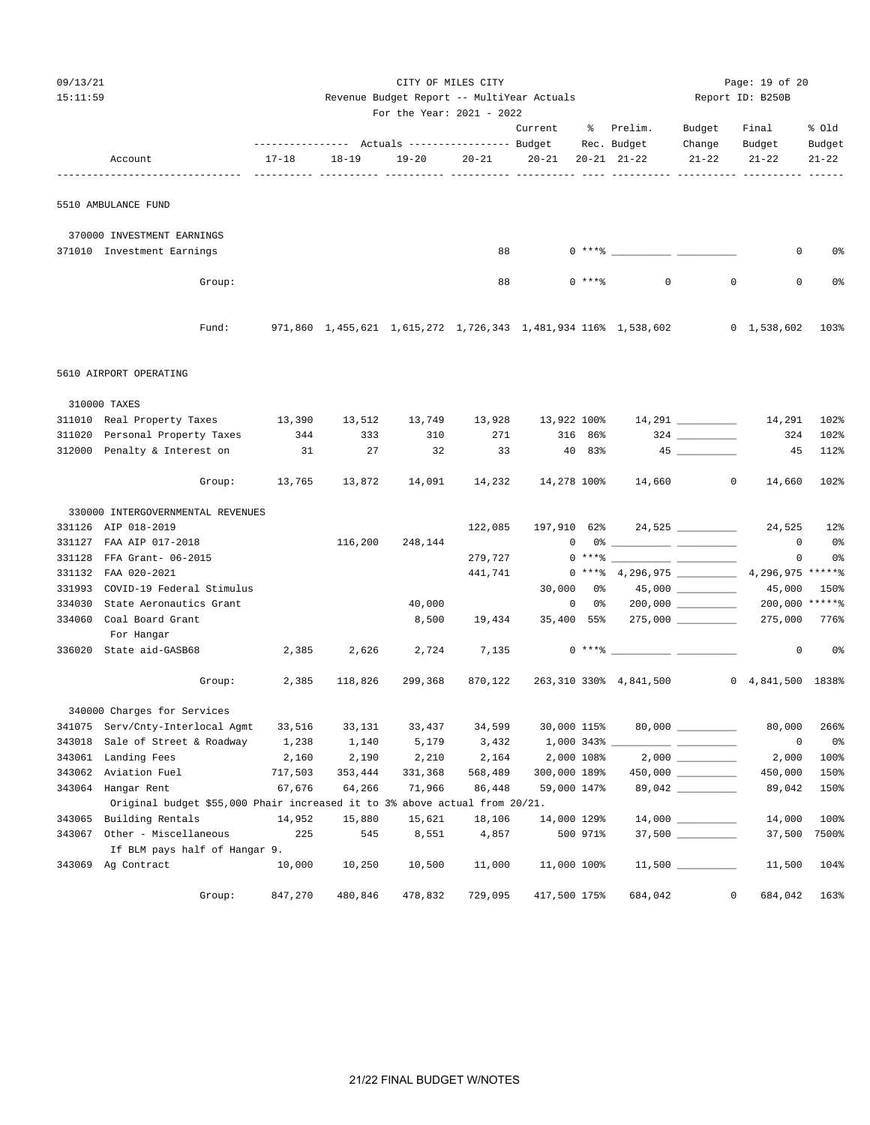|--|--|

| 09/13/21 |                                                                                           |                                                                                        |         |                                            | Page: 19 of 20 |                     |             |                                                                                                                                                                                                                                                                                                                                                                    |                      |                                |            |
|----------|-------------------------------------------------------------------------------------------|----------------------------------------------------------------------------------------|---------|--------------------------------------------|----------------|---------------------|-------------|--------------------------------------------------------------------------------------------------------------------------------------------------------------------------------------------------------------------------------------------------------------------------------------------------------------------------------------------------------------------|----------------------|--------------------------------|------------|
| 15:11:59 |                                                                                           |                                                                                        |         | Revenue Budget Report -- MultiYear Actuals |                |                     |             |                                                                                                                                                                                                                                                                                                                                                                    |                      | Report ID: B250B               |            |
|          |                                                                                           |                                                                                        |         | For the Year: 2021 - 2022                  |                |                     |             |                                                                                                                                                                                                                                                                                                                                                                    |                      |                                |            |
|          |                                                                                           |                                                                                        |         |                                            |                | Current             |             | % Prelim. Budget                                                                                                                                                                                                                                                                                                                                                   |                      | Final                          | % Old      |
|          |                                                                                           |                                                                                        |         |                                            |                |                     |             | --------------- Actuals ---------------- Budget Rec. Budget                                                                                                                                                                                                                                                                                                        | Change               | Budget                         | Budget     |
|          | Account                                                                                   | $17 - 18$                                                                              | 18-19   | $19 - 20$                                  |                | $20 - 21$ $20 - 21$ |             | 20-21 21-22                                                                                                                                                                                                                                                                                                                                                        | $21 - 22$            | $21 - 22$                      | $21 - 22$  |
|          | 5510 AMBULANCE FUND                                                                       |                                                                                        |         |                                            |                |                     |             |                                                                                                                                                                                                                                                                                                                                                                    |                      |                                |            |
|          |                                                                                           |                                                                                        |         |                                            |                |                     |             |                                                                                                                                                                                                                                                                                                                                                                    |                      |                                |            |
|          | 370000 INVESTMENT EARNINGS                                                                |                                                                                        |         |                                            |                |                     |             |                                                                                                                                                                                                                                                                                                                                                                    |                      |                                |            |
|          | 371010 Investment Earnings                                                                |                                                                                        |         |                                            | 88             |                     |             |                                                                                                                                                                                                                                                                                                                                                                    |                      | 0                              | 0%         |
|          |                                                                                           |                                                                                        |         |                                            |                |                     |             |                                                                                                                                                                                                                                                                                                                                                                    |                      |                                |            |
|          | Group:                                                                                    |                                                                                        |         |                                            | 88             |                     | $0$ *** $%$ | $\circ$                                                                                                                                                                                                                                                                                                                                                            | $\mathbf{0}$         | $\mathbf 0$                    | 0%         |
|          |                                                                                           |                                                                                        |         |                                            |                |                     |             |                                                                                                                                                                                                                                                                                                                                                                    |                      |                                |            |
|          | Fund:                                                                                     | 971,860 1,455,621 1,615,272 1,726,343 1,481,934 116% 1,538,602      0 1,538,602   103% |         |                                            |                |                     |             |                                                                                                                                                                                                                                                                                                                                                                    |                      |                                |            |
|          | 5610 AIRPORT OPERATING                                                                    |                                                                                        |         |                                            |                |                     |             |                                                                                                                                                                                                                                                                                                                                                                    |                      |                                |            |
|          | 310000 TAXES                                                                              |                                                                                        |         |                                            |                |                     |             |                                                                                                                                                                                                                                                                                                                                                                    |                      |                                |            |
|          | 311010 Real Property Taxes 13,390 13,512 13,749 13,928 13,922 100% 14,291 14,291          |                                                                                        |         |                                            |                |                     |             |                                                                                                                                                                                                                                                                                                                                                                    |                      |                                | 102%       |
|          | 311020 Personal Property Taxes                                                            | 344                                                                                    | 333     | 310                                        | 271            |                     | 316 86%     |                                                                                                                                                                                                                                                                                                                                                                    |                      | 324                            | 102%       |
|          | 312000 Penalty & Interest on                                                              | 31                                                                                     | 27      | 32                                         | 33             |                     | 40 83%      |                                                                                                                                                                                                                                                                                                                                                                    |                      | 45                             | 112%       |
|          |                                                                                           | Group: 13,765 13,872                                                                   |         |                                            | 14,091 14,232  |                     |             | 14,278 100% 14,660 0                                                                                                                                                                                                                                                                                                                                               |                      | 14,660                         | 102%       |
|          | 330000 INTERGOVERNMENTAL REVENUES                                                         |                                                                                        |         |                                            |                |                     |             |                                                                                                                                                                                                                                                                                                                                                                    |                      |                                |            |
|          | 331126 AIP 018-2019                                                                       |                                                                                        |         |                                            | 122,085        |                     |             | 197,910 62% 24,525 ________                                                                                                                                                                                                                                                                                                                                        |                      |                                | 24,525 12% |
|          | 331127 FAA AIP 017-2018                                                                   |                                                                                        | 116,200 | 248,144                                    |                |                     |             | $\begin{picture}(150,10) \put(0,0){\vector(1,0){100}} \put(15,0){\vector(1,0){100}} \put(15,0){\vector(1,0){100}} \put(15,0){\vector(1,0){100}} \put(15,0){\vector(1,0){100}} \put(15,0){\vector(1,0){100}} \put(15,0){\vector(1,0){100}} \put(15,0){\vector(1,0){100}} \put(15,0){\vector(1,0){100}} \put(15,0){\vector(1,0){100}} \put(15,0){\vector(1,0){100}}$ |                      | $\overline{0}$                 | - 0%       |
| 331128   | FFA Grant- 06-2015                                                                        |                                                                                        |         |                                            | 279,727        |                     |             |                                                                                                                                                                                                                                                                                                                                                                    |                      | $\overline{0}$                 | 0%         |
|          | 331132 FAA 020-2021                                                                       |                                                                                        |         |                                            | 441,741        |                     |             | $0***$ 4,296,975 $\hspace{1.5cm}$ 4,296,975 ***** $\hspace{1.5cm}$                                                                                                                                                                                                                                                                                                 |                      |                                |            |
|          | 331993 COVID-19 Federal Stimulus                                                          |                                                                                        |         |                                            |                |                     |             |                                                                                                                                                                                                                                                                                                                                                                    |                      | 45,000                         | 150%       |
| 334030   | State Aeronautics Grant                                                                   |                                                                                        |         | 40,000                                     |                | $\overline{0}$      |             | $0\%$ 200,000 __________                                                                                                                                                                                                                                                                                                                                           |                      | 200,000 ******                 |            |
|          | 334060 Coal Board Grant<br>For Hangar                                                     |                                                                                        |         | 8,500                                      | 19,434         |                     |             | 35,400 55% 275,000 _________                                                                                                                                                                                                                                                                                                                                       |                      | 275,000 776%                   |            |
|          | 336020 State aid-GASB68                                                                   | 2,385                                                                                  | 2,626   | 2,724                                      | 7,135          |                     |             | $0***8$                                                                                                                                                                                                                                                                                                                                                            |                      | $\circ$                        | 0 %        |
|          | Group:                                                                                    | 2,385                                                                                  | 118,826 | 299,368                                    | 870,122        |                     |             | 263,310 330% 4,841,500                                                                                                                                                                                                                                                                                                                                             |                      | $0 \quad 4,841,500 \quad 1838$ |            |
|          | 340000 Charges for Services                                                               |                                                                                        |         |                                            |                |                     |             |                                                                                                                                                                                                                                                                                                                                                                    |                      |                                |            |
|          | 341075 Serv/Cnty-Interlocal Agmt                                                          | 33,516                                                                                 | 33,131  | 33,437                                     | 34,599         | 30,000 115%         |             |                                                                                                                                                                                                                                                                                                                                                                    |                      | 80,000                         | 266%       |
| 343018   | Sale of Street & Roadway                                                                  | 1,238                                                                                  | 1,140   | 5,179                                      | 3,432          | $1,000$ 343% __     |             |                                                                                                                                                                                                                                                                                                                                                                    |                      | $\circ$                        | 0%         |
|          | 343061 Landing Fees                                                                       | 2,160                                                                                  | 2,190   | 2,210                                      | 2,164          | 2,000 108%          |             |                                                                                                                                                                                                                                                                                                                                                                    |                      | 2,000                          | 100%       |
| 343062   | Aviation Fuel                                                                             | 717,503                                                                                | 353,444 | 331,368                                    | 568,489        | 300,000 189%        |             |                                                                                                                                                                                                                                                                                                                                                                    | $450,000$ __________ | 450,000                        | 150%       |
| 343064   | Hangar Rent<br>Original budget \$55,000 Phair increased it to 3% above actual from 20/21. | 67,676                                                                                 | 64,266  | 71,966                                     | 86,448         | 59,000 147%         |             |                                                                                                                                                                                                                                                                                                                                                                    | 89,042 ________      | 89,042                         | 150%       |
|          | 343065 Building Rentals                                                                   | 14,952                                                                                 | 15,880  | 15,621                                     | 18,106         | 14,000 129%         |             |                                                                                                                                                                                                                                                                                                                                                                    |                      | 14,000                         | 100%       |
| 343067   | Other - Miscellaneous                                                                     | 225                                                                                    | 545     | 8,551                                      | 4,857          |                     | 500 971%    |                                                                                                                                                                                                                                                                                                                                                                    |                      | 37,500                         | 7500%      |
|          | If BLM pays half of Hangar 9.                                                             |                                                                                        |         |                                            |                |                     |             |                                                                                                                                                                                                                                                                                                                                                                    |                      |                                |            |
|          | 343069 Ag Contract                                                                        | 10,000                                                                                 | 10,250  | 10,500                                     | 11,000         | 11,000 100%         |             |                                                                                                                                                                                                                                                                                                                                                                    | $11,500$ ________    | 11,500                         | 104%       |
|          | Group:                                                                                    | 847,270                                                                                | 480,846 | 478,832                                    | 729,095        | 417,500 175%        |             | 684,042                                                                                                                                                                                                                                                                                                                                                            | 0                    | 684,042                        | 163%       |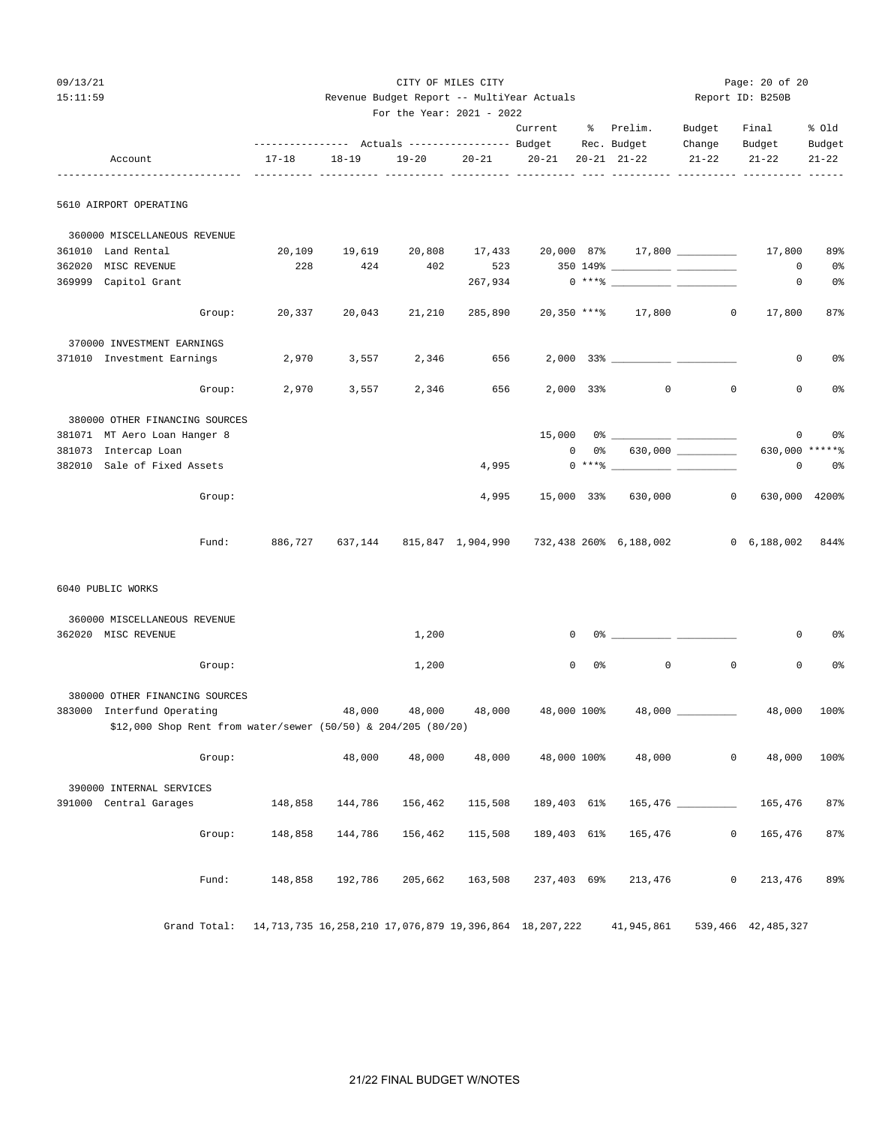15:11:59 Revenue Budget Report -- MultiYear Actuals Report ID: B250B For the Year: 2021 - 2022 Current % Prelim. Budget Final % Old ---------------- Actuals ----------------- Budget Rec. Budget Change Budget Budget Account 17-18 18-19 19-20 20-21 20-21 20-21 21-22 21-22 21-22 21-22 ------------------------------- ---------- ---------- ---------- ---------- ---------- ---- ---------- ---------- ---------- ------ 5610 AIRPORT OPERATING 360000 MISCELLANEOUS REVENUE

| 361010 | Land Rental                    | 20,109  | 19,619 | 20,808 | 17,433                                           |              | $20,000$ 87% 17,800 __________                                                                                                                                                                                                                                                                                                                                                                                                                                                                                                                        |             | 17,800             | 89%            |
|--------|--------------------------------|---------|--------|--------|--------------------------------------------------|--------------|-------------------------------------------------------------------------------------------------------------------------------------------------------------------------------------------------------------------------------------------------------------------------------------------------------------------------------------------------------------------------------------------------------------------------------------------------------------------------------------------------------------------------------------------------------|-------------|--------------------|----------------|
| 362020 | MISC REVENUE                   | 228     | 424    | 402    | 523                                              |              |                                                                                                                                                                                                                                                                                                                                                                                                                                                                                                                                                       |             | 0                  | 0%             |
| 369999 | Capitol Grant                  |         |        |        | 267,934                                          |              | $0***$ $\longleftarrow$ $\longleftarrow$ $\longleftarrow$ $\longleftarrow$ $\longleftarrow$ $\longleftarrow$ $\longleftarrow$ $\longleftarrow$ $\longleftarrow$ $\longleftarrow$ $\longleftarrow$ $\longleftarrow$ $\longleftarrow$ $\longleftarrow$ $\longleftarrow$ $\longleftarrow$ $\longleftarrow$ $\longleftarrow$ $\longleftarrow$ $\longleftarrow$ $\longleftarrow$ $\longleftarrow$ $\longleftarrow$ $\longleftarrow$ $\longleftarrow$ $\longleftarrow$ $\longleftarrow$ $\longleftarrow$ $\longleftarrow$ $\longleftarrow$ $\longleftarrow$ |             | 0                  | 0 <sup>°</sup> |
|        | Group:                         | 20,337  | 20,043 | 21,210 |                                                  |              | 285,890 20,350 **** 17,800                                                                                                                                                                                                                                                                                                                                                                                                                                                                                                                            | $\circ$     | 17,800             | 87%            |
|        | 370000 INVESTMENT EARNINGS     |         |        |        |                                                  |              |                                                                                                                                                                                                                                                                                                                                                                                                                                                                                                                                                       |             |                    |                |
| 371010 | Investment Earnings            | 2,970   | 3,557  | 2,346  | 656                                              |              |                                                                                                                                                                                                                                                                                                                                                                                                                                                                                                                                                       |             | $\mathbf 0$        | 0%             |
|        | Group:                         | 2,970   | 3,557  | 2,346  | 656                                              |              | $2,000$ $33\%$<br>$\overline{0}$                                                                                                                                                                                                                                                                                                                                                                                                                                                                                                                      | $\mathbf 0$ | 0                  | 0 <sup>8</sup> |
|        | 380000 OTHER FINANCING SOURCES |         |        |        |                                                  |              |                                                                                                                                                                                                                                                                                                                                                                                                                                                                                                                                                       |             |                    |                |
|        | 381071 MT Aero Loan Hanger 8   |         |        |        |                                                  | 15,000       | $0$ % and $0$ % and $0$ % and $0$ % and $0$ % and $0$ % and $0$ % and $0$ % and $0$ % and $0$ % and $0$ % and $0$ % and $0$ % and $0$ % and $0$ % and $0$ % and $0$ % and $0$ % and $0$ % and $0$ % and $0$ % and $0$ % and                                                                                                                                                                                                                                                                                                                           |             | 0                  | 0%             |
| 381073 | Intercap Loan                  |         |        |        |                                                  | $\mathbf{0}$ | $0\%$ 630,000 __________                                                                                                                                                                                                                                                                                                                                                                                                                                                                                                                              |             | 630,000 ******     |                |
| 382010 | Sale of Fixed Assets           |         |        |        | 4,995                                            |              | $0***8$                                                                                                                                                                                                                                                                                                                                                                                                                                                                                                                                               |             | $\circ$            | 0%             |
|        | Group:                         |         |        |        | 4,995                                            |              | 15,000 33% 630,000                                                                                                                                                                                                                                                                                                                                                                                                                                                                                                                                    | $\mathbf 0$ | 630,000            | 4200%          |
|        | Fund:                          | 886,727 |        |        | 637,144 815,847 1,904,990 732,438 260% 6,188,002 |              |                                                                                                                                                                                                                                                                                                                                                                                                                                                                                                                                                       |             | $0\quad 6,188,002$ | 844%           |

CITY OF MILES CITY **Example 20 OF 20** Page: 20 of 20

6040 PUBLIC WORKS

| 362020 | 360000 MISCELLANEOUS REVENUE<br>MISC REVENUE                  |              |         |         | 1,200   |                                  | $\mathbf 0$ |     | 0.3 - 0.3 - 0.3 - 0.3 - 0.3 - 0.3 - 0.3 - 0.3 - 0.3 - 0.3 - 0.3 - 0.3 - 0.3 - 0.3 - 0.3 - 0.3 - 0.3 - 0.3 - 0.3 - 0.3 - 0.3 - 0.3 - 0.3 - 0.3 - 0.3 - 0.3 - 0.3 - 0.3 - 0.3 - 0.3 - 0.3 - 0.3 - 0.3 - 0.3 - 0.3 - 0.3 - 0.3 - |                | 0                  | 0 <sup>o</sup> |
|--------|---------------------------------------------------------------|--------------|---------|---------|---------|----------------------------------|-------------|-----|-------------------------------------------------------------------------------------------------------------------------------------------------------------------------------------------------------------------------------|----------------|--------------------|----------------|
|        |                                                               | Group:       |         |         | 1,200   |                                  | $\mathbf 0$ | 0 % | $\circ$                                                                                                                                                                                                                       | 0              | 0                  | 0 <sup>o</sup> |
|        | 380000 OTHER FINANCING SOURCES                                |              |         |         |         |                                  |             |     |                                                                                                                                                                                                                               |                |                    |                |
| 383000 | Interfund Operating                                           |              |         |         |         | 48,000 48,000 48,000 48,000 100% |             |     |                                                                                                                                                                                                                               |                | 48,000             | 100%           |
|        | \$12,000 Shop Rent from water/sewer (50/50) & 204/205 (80/20) |              |         |         |         |                                  |             |     |                                                                                                                                                                                                                               |                |                    |                |
|        |                                                               |              |         |         |         |                                  |             |     |                                                                                                                                                                                                                               |                |                    |                |
|        |                                                               | Group:       |         | 48,000  | 48,000  | 48,000                           | 48,000 100% |     | 48,000                                                                                                                                                                                                                        | $\circ$        | 48,000             | 100%           |
|        |                                                               |              |         |         |         |                                  |             |     |                                                                                                                                                                                                                               |                |                    |                |
|        | 390000 INTERNAL SERVICES                                      |              |         |         |         |                                  |             |     |                                                                                                                                                                                                                               |                |                    |                |
| 391000 | Central Garages                                               |              | 148,858 | 144,786 | 156,462 |                                  |             |     | $115,508$ $189,403$ $61\%$ $165,476$ $\_\_\_\_\_\_\_\_\_\_\_\_\_\_\_\_\_\_\_\_\_\_\_\_\_\_\_\_$                                                                                                                               |                | 165,476            | 87%            |
|        |                                                               |              |         |         |         |                                  |             |     |                                                                                                                                                                                                                               |                |                    |                |
|        |                                                               | Group:       | 148,858 | 144,786 |         |                                  |             |     | 156,462  115,508  189,403  61%  165,476                                                                                                                                                                                       | $\circ$        | 165,476            | 87%            |
|        |                                                               |              |         |         |         |                                  |             |     |                                                                                                                                                                                                                               |                |                    |                |
|        |                                                               |              |         |         |         |                                  |             |     |                                                                                                                                                                                                                               |                |                    |                |
|        |                                                               | Fund:        | 148,858 | 192,786 |         |                                  |             |     | 205,662 163,508 237,403 69% 213,476                                                                                                                                                                                           | $\overline{0}$ | 213,476            | 89%            |
|        |                                                               |              |         |         |         |                                  |             |     |                                                                                                                                                                                                                               |                |                    |                |
|        |                                                               |              |         |         |         |                                  |             |     |                                                                                                                                                                                                                               |                |                    |                |
|        |                                                               | Grand Total: |         |         |         |                                  |             |     | 14,713,735 16,258,210 17,076,879 19,396,864 18,207,222   41,945,861                                                                                                                                                           |                | 539,466 42,485,327 |                |

21/22 FINAL BUDGET W/NOTES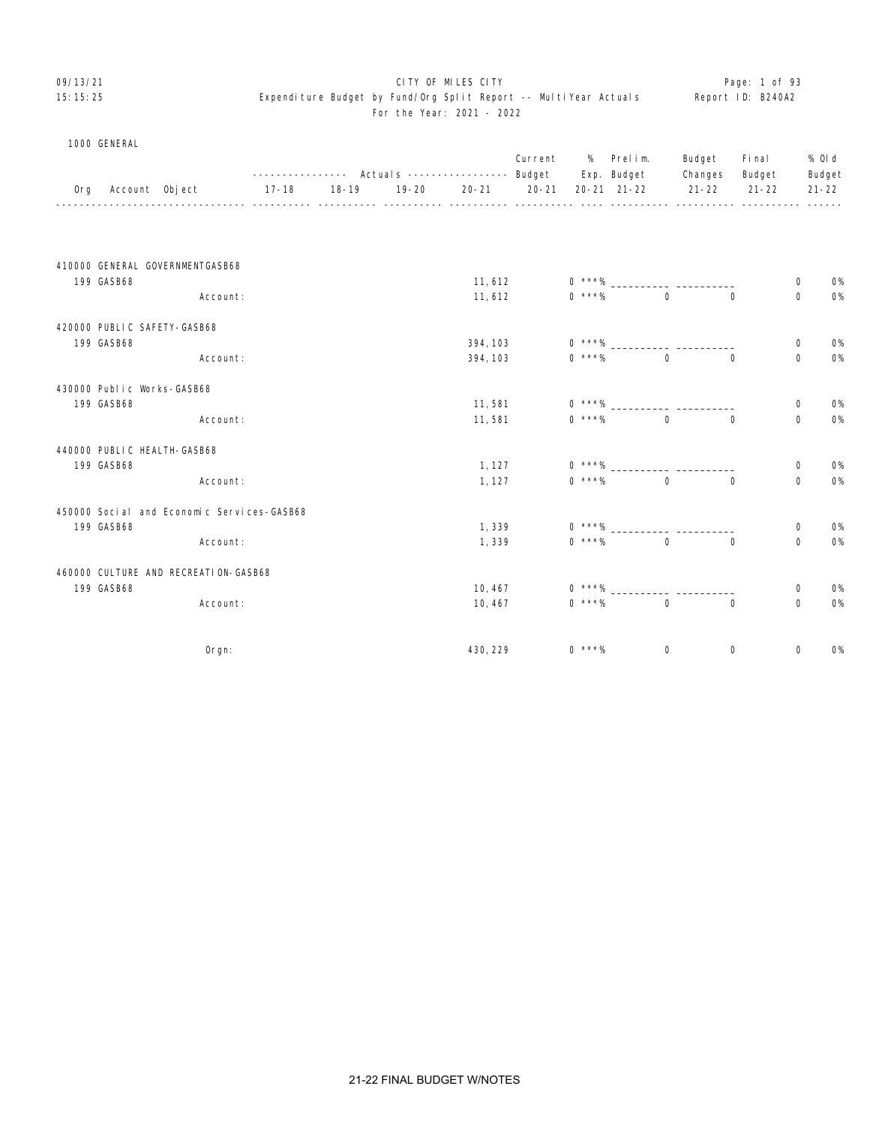#### OP/13/21 **CITY OF MILES CITY CITY CITY CITY CITY Page: 1 of 93** 15:15:25 Expenditure Budget by Fund/Org Split Report -- MultiYear Actuals Report ID: B240A2 For the Year: 2021 - 2022

|  | 1000 GENERAL |
|--|--------------|
|--|--------------|

|     |            |                                             |           |                                             |           | -----------    Actual s    ----------------    Budget | Current   | %        | Prelim.<br>Exp. Budget | Budget<br>Changes | Fi nal<br>Budget |             | % OI d<br>Budget |
|-----|------------|---------------------------------------------|-----------|---------------------------------------------|-----------|-------------------------------------------------------|-----------|----------|------------------------|-------------------|------------------|-------------|------------------|
| 0rg |            | Account Object                              | $17 - 18$ | $18 - 19$<br><u>------ ---------- -----</u> | $19 - 20$ | $20 - 21$                                             | $20 - 21$ |          | $20 - 21$ $21 - 22$    | $21 - 22$         | $21 - 22$        |             | $21 - 22$        |
|     |            |                                             |           |                                             |           |                                                       |           |          |                        |                   |                  |             |                  |
|     |            | 410000 GENERAL GOVERNMENTGASB68             |           |                                             |           |                                                       |           |          |                        |                   |                  |             |                  |
|     | 199 GASB68 |                                             |           |                                             |           | 11,612                                                |           | $0***%$  |                        |                   |                  | 0           | <b>0%</b>        |
|     |            | Account:                                    |           |                                             |           | 11,612                                                |           | $0$ ***% | $\mathbf 0$            | $\mathbf 0$       |                  | $\mathbf 0$ | <b>0%</b>        |
|     |            | 420000 PUBLIC SAFETY-GASB68                 |           |                                             |           |                                                       |           |          |                        |                   |                  |             |                  |
|     | 199 GASB68 |                                             |           |                                             |           | 394, 103                                              |           | $0***%$  |                        |                   |                  | 0           | 0%               |
|     |            | Account:                                    |           |                                             |           | 394, 103                                              |           | $0$ ***% | $\Omega$               | $\mathbf 0$       |                  | $\mathbf 0$ | <b>0%</b>        |
|     |            | 430000 Public Works-GASB68                  |           |                                             |           |                                                       |           |          |                        |                   |                  |             |                  |
|     | 199 GASB68 |                                             |           |                                             |           | 11,581                                                |           | $0$ ***% |                        |                   |                  | 0           | <b>0%</b>        |
|     |            | Account:                                    |           |                                             |           | 11,581                                                |           | $0$ ***% | $\mathbf 0$            | $\mathbf 0$       |                  | $\mathbf 0$ | $O\%$            |
|     |            | 440000 PUBLIC HEALTH-GASB68                 |           |                                             |           |                                                       |           |          |                        |                   |                  |             |                  |
|     | 199 GASB68 |                                             |           |                                             |           | 1, 127                                                |           | $0***%$  |                        |                   |                  | $\mathbf 0$ | 0%               |
|     |            | Account:                                    |           |                                             |           | 1, 127                                                |           | $0$ ***% | $\Omega$               | $\Omega$          |                  | $\mathbf 0$ | $O\%$            |
|     |            | 450000 Soci al and Economic Services-GASB68 |           |                                             |           |                                                       |           |          |                        |                   |                  |             |                  |
|     | 199 GASB68 |                                             |           |                                             |           | 1,339                                                 |           | $0$ ***% |                        |                   |                  | 0           | <b>0%</b>        |
|     |            | Account:                                    |           |                                             |           | 1,339                                                 |           | $0$ ***% | $\mathbf 0$            | $\mathbf 0$       |                  | $\mathbf 0$ | <b>0%</b>        |
|     |            | 460000 CULTURE AND RECREATION-GASB68        |           |                                             |           |                                                       |           |          |                        |                   |                  |             |                  |
|     | 199 GASB68 |                                             |           |                                             |           | 10,467                                                |           | $0***%$  |                        |                   |                  | $\mathbf 0$ | 0%               |
|     |            | Account:                                    |           |                                             |           | 10,467                                                |           | $0$ ***% | $\mathbf 0$            | $\mathbf 0$       |                  | $\mathbf 0$ | <b>0%</b>        |
|     |            | Orgn:                                       |           |                                             |           | 430, 229                                              |           | $0$ ***% | 0                      | $\mathbf 0$       |                  | 0           | <b>0%</b>        |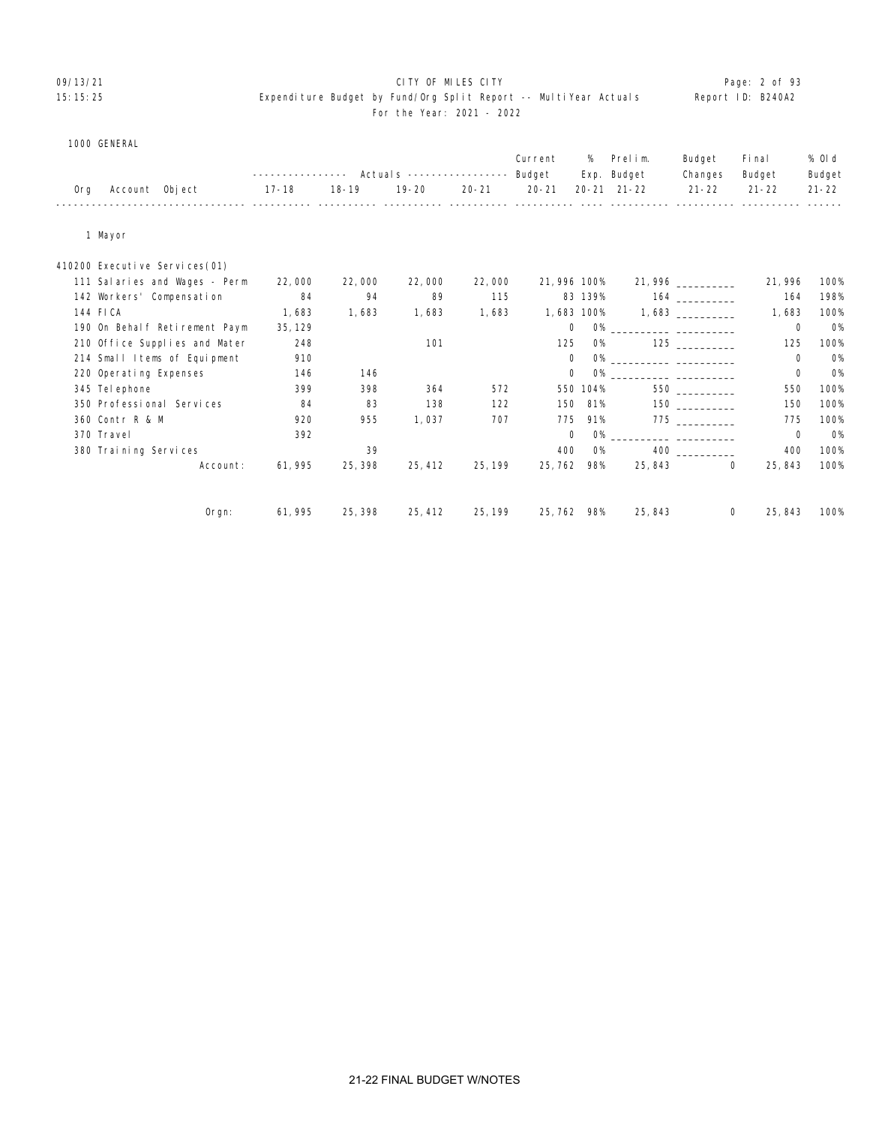# 09/13/21 CITY OF MILES CITY Page: 2 of 93

#### 15:15:25 Expenditure Budget by Fund/Org Split Report -- MultiYear Actuals Report ID: B240A2 For the Year: 2021 - 2022

|  | 1000 GENERAL |
|--|--------------|
|--|--------------|

|     |                               |           |           |           |           | Current     | %          | Prelim.                         | Budget             | Fi nal      | % OI d    |
|-----|-------------------------------|-----------|-----------|-----------|-----------|-------------|------------|---------------------------------|--------------------|-------------|-----------|
|     |                               |           |           |           |           | Budget      |            | Exp. Budget                     | Changes            | Budget      | Budget    |
| 0rg | Account Object                | $17 - 18$ | $18 - 19$ | $19 - 20$ | $20 - 21$ | $20 - 21$   |            | $20 - 21$ $21 - 22$             | $21 - 22$          | $21 - 22$   | $21 - 22$ |
|     | 1 Mayor                       |           |           |           |           |             |            |                                 |                    |             |           |
|     | 410200 Executive Services(01) |           |           |           |           |             |            |                                 |                    |             |           |
|     | 111 Salaries and Wages - Perm | 22,000    | 22,000    | 22,000    | 22,000    | 21,996 100% |            |                                 | 21, 996 __________ | 21, 996     | 100%      |
|     | 142 Workers' Compensation     | 84        | 94        | 89        | 115       |             | 83 139%    |                                 |                    | 164         | 198%      |
|     | 144 FICA                      | 1,683     | 1,683     | 1,683     | 1,683     |             | 1,683 100% |                                 | 1,683              | 1,683       | 100%      |
|     | 190 On Behalf Retirement Paym | 35, 129   |           |           |           |             | 0          |                                 |                    | 0           | <b>O%</b> |
|     | 210 Office Supplies and Mater | 248       |           | 101       |           | 125         | O%         |                                 | 125                | 125         | 100%      |
|     | 214 Small Items of Equipment  | 910       |           |           |           |             | 0          |                                 |                    | $\mathbf 0$ | <b>O%</b> |
|     | 220 Operating Expenses        | 146       | 146       |           |           |             | 0          |                                 |                    | $\mathbf 0$ | <b>O%</b> |
|     | 345 Tel ephone                | 399       | 398       | 364       | 572       |             | 550 104%   |                                 | 550 000            | 550         | 100%      |
|     | 350 Professional Services     | 84        | 83        | 138       | 122       | 150         | 81%        |                                 |                    | 150         | 100%      |
|     | 360 Contr R & M               | 920       | 955       | 1,037     | 707       | 775         | 91%        |                                 |                    | 775         | 100%      |
|     | 370 Travel                    | 392       |           |           |           |             | 0          | 0% ______________ _____________ |                    | 0           | <b>O%</b> |
|     | 380 Training Services         |           | 39        |           |           | 400         | <b>O%</b>  |                                 | 400 000            | 400         | 100%      |
|     | Account:                      | 61, 995   | 25, 398   | 25, 412   | 25, 199   | 25, 762     | 98%        |                                 | 25,843<br>$\Omega$ | 25, 843     | 100%      |
|     | Orgn:                         | 61, 995   | 25, 398   | 25, 412   | 25, 199   | 25,762 98%  |            | 25, 843                         | $\mathbf{0}$       | 25, 843     | 100%      |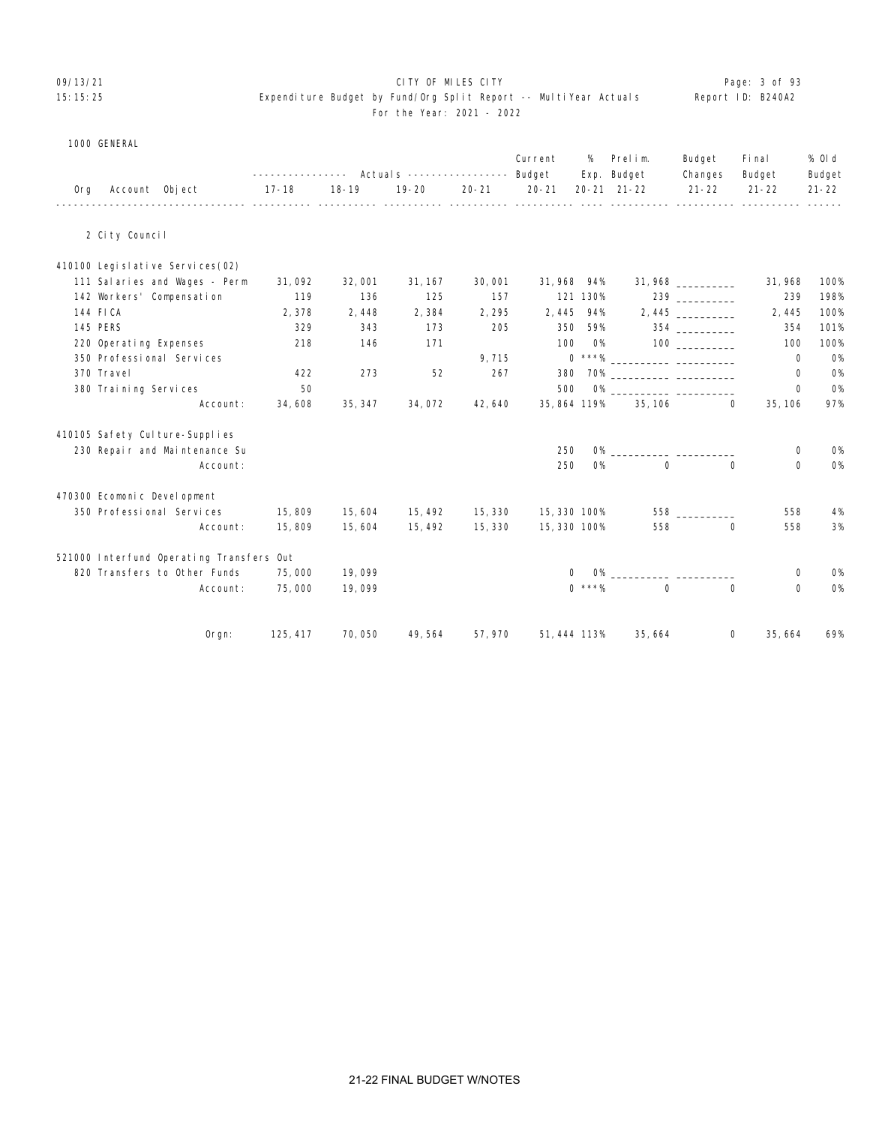# 09/13/21 CITY OF MILES CITY Page: 3 of 93

#### 15:15:25 Expenditure Budget by Fund/Org Split Report -- MultiYear Actuals Report ID: B240A2 For the Year: 2021 - 2022

| 1000 GENERAL |  |
|--------------|--|

|     |                                                                       |           |           |           |           | Current      | %         | Prelim.                            | Budget               | Fi nal                  | % 0l d              |
|-----|-----------------------------------------------------------------------|-----------|-----------|-----------|-----------|--------------|-----------|------------------------------------|----------------------|-------------------------|---------------------|
| 0rg | Account Object                                                        | $17 - 18$ | $18 - 19$ | $19 - 20$ | $20 - 21$ | $20 - 21$    |           | Exp. Budget<br>$20 - 21$ $21 - 22$ | Changes<br>$21 - 22$ | Budget<br>$21 - 22$     | Budget<br>$21 - 22$ |
|     | 2 City Council                                                        |           |           |           |           |              |           |                                    |                      |                         |                     |
|     |                                                                       |           |           |           |           |              |           |                                    |                      |                         |                     |
|     | 410100 Legi sl ati ve Servi ces (02)<br>111 Salaries and Wages - Perm | 31,092    | 32,001    | 31, 167   | 30,001    | 31,968 94%   |           |                                    | $31,968$ ___________ | 31,968                  | 100%                |
|     | 142 Workers' Compensation                                             | 119       | 136       | 125       | 157       |              | 121 130%  |                                    |                      | 239                     | 198%                |
|     | 144 FICA                                                              | 2,378     | 2,448     | 2,384     | 2,295     | 2,445        | 94%       |                                    |                      | 2,445                   | 100%                |
|     | <b>145 PERS</b>                                                       | 329       | 343       | 173       | 205       | 350          | 59%       |                                    | 354 200              | 354                     | 101%                |
|     | 220 Operating Expenses                                                | 218       | 146       | 171       |           | 100          | <b>O%</b> |                                    | 100                  | 100                     | 100%                |
|     | 350 Professional Services                                             |           |           |           | 9,715     |              |           |                                    |                      | 0                       | <b>O%</b>           |
|     | 370 Travel                                                            | 422       | 273       | 52        | 267       | 380          |           | 70% _____________ ___________      |                      | 0                       | <b>O%</b>           |
|     | 380 Training Services                                                 | 50        |           |           |           | 500          |           |                                    |                      | $\mathbf 0$             | <b>0%</b>           |
|     | Account:                                                              | 34,608    | 35, 347   | 34,072    | 42,640    | 35, 864 119% |           | 35, 106                            |                      | $\Omega$<br>35, 106     | 97%                 |
|     | 410105 Safety Culture-Supplies                                        |           |           |           |           |              |           |                                    |                      |                         |                     |
|     | 230 Repair and Maintenance Su                                         |           |           |           |           | 250          |           | $O\%$                              |                      | 0                       | <b>O%</b>           |
|     | Account:                                                              |           |           |           |           | 250          | <b>O%</b> | $\mathbf 0$                        |                      | $\Omega$<br>$\mathbf 0$ | <b>0%</b>           |
|     | 470300 Ecomonic Development                                           |           |           |           |           |              |           |                                    |                      |                         |                     |
|     | 350 Professional Services                                             | 15,809    | 15,604    | 15, 492   | 15, 330   | 15,330 100%  |           |                                    | 558 30               | 558                     | 4%                  |
|     | Account:                                                              | 15,809    | 15,604    | 15, 492   | 15, 330   | 15,330 100%  |           | 558                                |                      | 558<br>$\Omega$         | 3%                  |
|     | 521000 Interfund Operating Transfers Out                              |           |           |           |           |              |           |                                    |                      |                         |                     |
|     | 820 Transfers to Other Funds                                          | 75,000    | 19,099    |           |           | $\Omega$     |           |                                    |                      | 0                       | <b>O%</b>           |
|     | Account:                                                              | 75,000    | 19,099    |           |           |              | $0$ ***%  | $\Omega$                           |                      | $\Omega$<br>0           | <b>O%</b>           |
|     | Orgn:                                                                 | 125, 417  | 70,050    | 49, 564   | 57,970    | 51, 444 113% |           | 35,664                             |                      | 35,664<br>0             | 69%                 |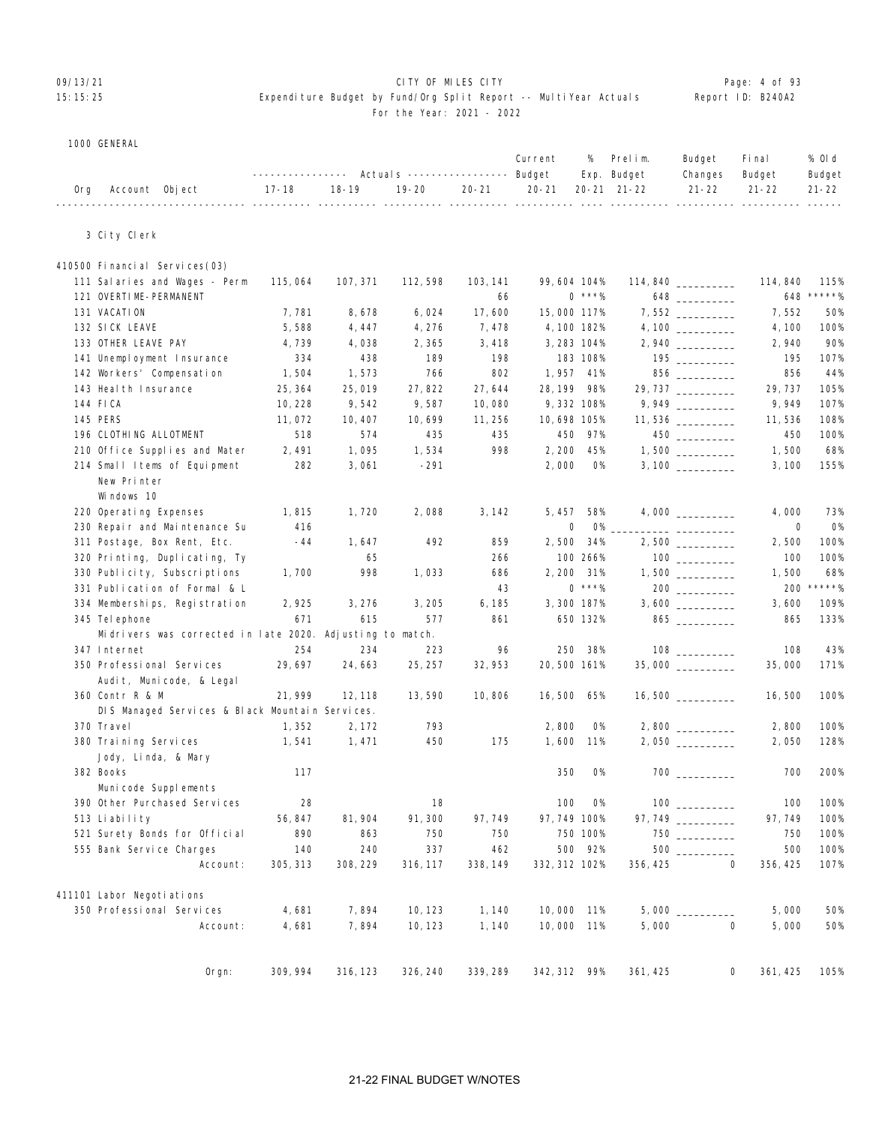## OP/13/21 **CITY OF MILES CITY CITY CITY CITY CITY Page: 4 of 93**

#### 15:15:25 Expenditure Budget by Fund/Org Split Report -- MultiYear Actuals Report ID: B240A2 For the Year: 2021 - 2022

|  | 1000 GENERAL |
|--|--------------|
|--|--------------|

|     |                                                           |          | ---------------    Actuals    ---------------    Budget |           |           | Current       | %         | Prelim.<br>Exp. Budget | Budget<br>Changes                      | Fi nal<br>Budget     | % OI d<br>Budget |
|-----|-----------------------------------------------------------|----------|---------------------------------------------------------|-----------|-----------|---------------|-----------|------------------------|----------------------------------------|----------------------|------------------|
| 0rg | Account Object                                            | 17-18    | 18-19                                                   | $19 - 20$ | $20 - 21$ | $20 - 21$     |           | 20-21 21-22            | $21 - 22$                              | $21 - 22$            | $21 - 22$        |
|     | 3 City Clerk                                              |          |                                                         |           |           |               |           |                        |                                        |                      |                  |
|     | 410500 Financial Services (03)                            |          |                                                         |           |           |               |           |                        |                                        |                      |                  |
|     | 111 Salaries and Wages - Perm                             | 115,064  | 107, 371                                                | 112, 598  | 103, 141  | 99,604 104%   |           |                        |                                        | 114,840              | 115%             |
|     | 121 OVERTIME-PERMANENT                                    |          |                                                         |           | 66        |               | $0$ ***%  |                        | 648 — 100                              | 648                  | *****%           |
|     | 131 VACATION                                              | 7,781    | 8,678                                                   | 6,024     | 17,600    | 15,000 117%   |           |                        |                                        | 7,552                | 50%              |
|     | 132 SICK LEAVE                                            | 5,588    | 4, 447                                                  | 4, 276    | 7,478     | 4, 100 182%   |           |                        |                                        | 4, 100               | 100%             |
|     | 133 OTHER LEAVE PAY                                       | 4,739    | 4,038                                                   | 2,365     | 3,418     | 3, 283 104%   |           |                        |                                        | 2,940                | 90%              |
|     | 141 Unemployment Insurance                                | 334      | 438                                                     | 189       | 198       |               | 183 108%  |                        |                                        | 195                  | 107%             |
|     | 142 Workers' Compensation                                 | 1,504    | 1,573                                                   | 766       | 802       | 1, 957        | 41%       |                        |                                        | 856                  | 44%              |
|     | 143 Heal th Insurance                                     | 25, 364  | 25,019                                                  | 27,822    | 27,644    | 28, 199 98%   |           |                        | 29, 737 ________                       | 29, 737              | 105%             |
|     | 144 FICA                                                  | 10, 228  | 9,542                                                   | 9,587     | 10,080    | 9,332 108%    |           |                        |                                        | 9,949                | 107%             |
|     | <b>145 PERS</b>                                           | 11,072   | 10, 407                                                 | 10,699    | 11, 256   | 10,698 105%   |           |                        | $11,536$ __________                    | 11,536               | 108%             |
|     | 196 CLOTHING ALLOTMENT                                    | 518      | 574                                                     | 435       | 435       |               | 450 97%   |                        | 450                                    | 450                  | 100%             |
|     | 210 Office Supplies and Mater                             | 2,491    | 1,095                                                   | 1,534     | 998       | 2, 200        | 45%       |                        |                                        | 1,500                | 68%              |
|     | 214 Small Items of Equipment                              | 282      | 3,061                                                   | $-291$    |           | 2,000         | <b>O%</b> |                        |                                        | 3,100                | 155%             |
|     | New Printer                                               |          |                                                         |           |           |               |           |                        |                                        |                      |                  |
|     |                                                           |          |                                                         |           |           |               |           |                        |                                        |                      |                  |
|     | Windows 10                                                |          |                                                         |           |           |               |           |                        |                                        |                      |                  |
|     | 220 Operating Expenses                                    | 1,815    | 1,720                                                   | 2,088     | 3, 142    | 5, 457        | 58%       |                        |                                        | 4,000                | 73%              |
|     | 230 Repair and Maintenance Su                             | 416      |                                                         |           |           | 0             | <b>O%</b> |                        |                                        | 0                    | 0%               |
|     | 311 Postage, Box Rent, Etc.                               | -44      | 1,647                                                   | 492       | 859       | 2,500         | 34%       |                        | $2,500$ __________                     | 2,500                | 100%             |
|     | 320 Printing, Duplicating, Ty                             |          | 65                                                      |           | 266       |               | 100 266%  |                        | $\begin{tabular}{c} 100 \end{tabular}$ | 100                  | 100%             |
|     | 330 Publicity, Subscriptions                              | 1,700    | 998                                                     | 1,033     | 686       | 2,200 31%     |           |                        |                                        | 1,500                | 68%              |
|     | 331 Publication of Formal & L                             |          |                                                         |           | 43        |               | $0***%$   |                        |                                        | 200                  | *****%           |
|     | 334 Memberships, Registration                             | 2,925    | 3, 276                                                  | 3, 205    | 6, 185    | 3,300 187%    |           |                        |                                        | 3,600                | 109%             |
|     | 345 Tel ephone                                            | 671      | 615                                                     | 577       | 861       |               | 650 132%  |                        | $865$ _________                        | 865                  | 133%             |
|     | Midrivers was corrected in late 2020. Adjusting to match. |          |                                                         |           |           |               |           |                        |                                        |                      |                  |
|     | 347 Internet                                              | 254      | 234                                                     | 223       | 96        | 250           | 38%       |                        |                                        | 108                  | 43%              |
|     | 350 Professional Services                                 | 29, 697  | 24,663                                                  | 25, 257   | 32, 953   | 20,500 161%   |           |                        |                                        | 35,000               | 171%             |
|     | Audit, Municode, & Legal                                  |          |                                                         |           |           |               |           |                        |                                        |                      |                  |
|     | 360 Contr R & M                                           | 21, 999  | 12, 118                                                 | 13,590    | 10,806    | 16,500 65%    |           |                        |                                        | 16,500               | 100%             |
|     | DIS Managed Services & Black Mountain Services.           |          |                                                         |           |           |               |           |                        |                                        |                      |                  |
|     | 370 Travel                                                | 1, 352   | 2, 172                                                  | 793       |           | 2,800         | 0%        |                        |                                        | 2,800                | 100%             |
|     | 380 Training Services                                     | 1,541    | 1, 471                                                  | 450       | 175       | 1,600         | 11%       |                        |                                        | 2,050                | 128%             |
|     | Jody, Linda, & Mary                                       |          |                                                         |           |           |               |           |                        |                                        |                      |                  |
|     | 382 Books                                                 | 117      |                                                         |           |           | 350           | <b>O%</b> |                        |                                        | 700                  | 200%             |
|     | Municode Supplements                                      |          |                                                         |           |           |               |           |                        |                                        |                      |                  |
|     | 390 Other Purchased Services                              | 28       |                                                         | 18        |           | 100           | <b>O%</b> |                        |                                        | 100                  | 100%             |
|     | 513 Liability                                             | 56, 847  | 81, 904                                                 | 91, 300   | 97,749    | 97, 749 100%  |           |                        |                                        | 97, 749              | 100%             |
|     | 521 Surety Bonds for Official                             | 890      | 863                                                     | 750       | 750       |               | 750 100%  |                        |                                        | 750                  | 100%             |
|     | 555 Bank Service Charges                                  | 140      | 240                                                     | 337       | 462       |               | 500 92%   |                        | 500                                    | 500                  | 100%             |
|     | Account:                                                  | 305, 313 | 308, 229                                                | 316, 117  | 338, 149  | 332, 312 102% |           | 356, 425               |                                        | 0<br>356, 425        | 107%             |
|     | 411101 Labor Negoti ations                                |          |                                                         |           |           |               |           |                        |                                        |                      |                  |
|     | 350 Professional Services                                 | 4,681    | 7,894                                                   | 10, 123   | 1, 140    | 10,000 11%    |           | $5,000$ $\_$           |                                        | 5,000                | 50%              |
|     | Account:                                                  | 4,681    | 7,894                                                   | 10, 123   | 1,140     | 10,000 11%    |           | 5,000                  |                                        | $\mathbf 0$<br>5,000 | 50%              |
|     |                                                           |          |                                                         |           |           |               |           |                        |                                        |                      |                  |
|     | Orgn:                                                     | 309, 994 | 316, 123                                                | 326, 240  | 339, 289  | 342, 312 99%  |           | 361, 425               |                                        | 0<br>361, 425        | 105%             |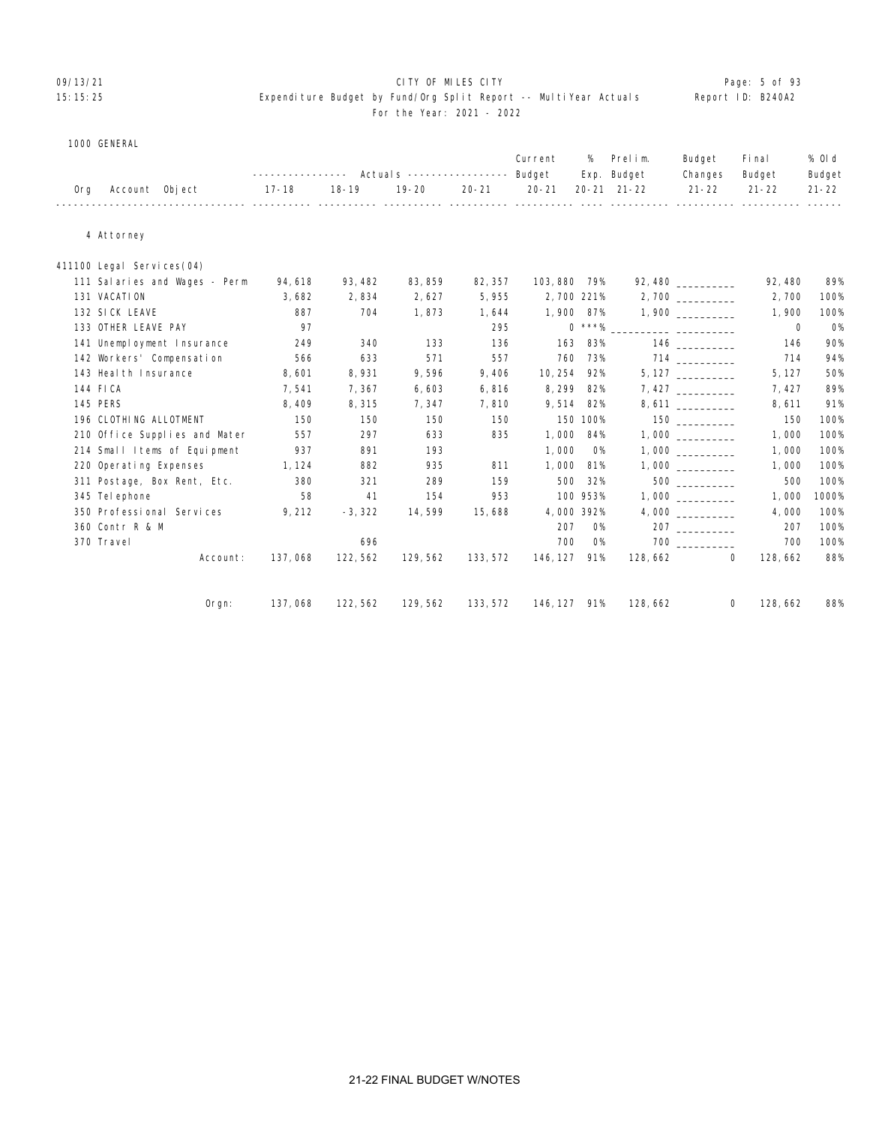#### 09/13/21 CITY OF MILES CITY Page: 5 of 93 15:15:25 Expenditure Budget by Fund/Org Split Report -- MultiYear Actuals Report ID: B240A2 For the Year: 2021 - 2022

|     |                               |         |           |           |           | Current      | %          | Prelim.<br>Exp. Budget | Budget<br>Changes | Fi nal<br>Budget | % 0l d<br>Budget |
|-----|-------------------------------|---------|-----------|-----------|-----------|--------------|------------|------------------------|-------------------|------------------|------------------|
| 0rg | Account Object                | 17-18   | $18 - 19$ | $19 - 20$ | $20 - 21$ | $20 - 21$    |            | $20 - 21$ $21 - 22$    | $21 - 22$         | $21 - 22$        | $21 - 22$        |
|     |                               |         |           |           |           |              |            |                        |                   |                  |                  |
|     |                               |         |           |           |           |              |            |                        |                   |                  |                  |
|     | 4 Attorney                    |         |           |           |           |              |            |                        |                   |                  |                  |
|     |                               |         |           |           |           |              |            |                        |                   |                  |                  |
|     | 411100 Legal Services(04)     |         |           |           |           |              |            |                        |                   |                  |                  |
|     | 111 Salaries and Wages - Perm | 94,618  | 93, 482   | 83, 859   | 82, 357   | 103,880 79%  |            |                        |                   | 92, 480          | 89%              |
|     | 131 VACATION                  | 3,682   | 2,834     | 2,627     | 5,955     | 2,700 221%   |            |                        |                   | 2,700            | 100%             |
|     | 132 SICK LEAVE                | 887     | 704       | 1,873     | 1,644     | 1,900 87%    |            |                        | 1,900             | 1,900            | 100%             |
|     | 133 OTHER LEAVE PAY           | 97      |           |           | 295       |              |            |                        |                   | 0                | <b>O%</b>        |
|     | 141 Unemployment Insurance    | 249     | 340       | 133       | 136       | 163          | 83%        |                        | 146               | 146              | 90%              |
|     | 142 Workers' Compensation     | 566     | 633       | 571       | 557       | 760          | 73%        |                        |                   | 714              | 94%              |
|     | 143 Heal th Insurance         | 8,601   | 8,931     | 9,596     | 9,406     | 10, 254 92%  |            |                        | 5, 127            | 5, 127           | 50%              |
|     | 144 FICA                      | 7,541   | 7,367     | 6,603     | 6,816     | 8,299 82%    |            |                        |                   | 7,427            | 89%              |
|     | <b>145 PERS</b>               | 8,409   | 8,315     | 7,347     | 7,810     |              | 9,514 82%  |                        |                   | 8,611            | 91%              |
|     | 196 CLOTHING ALLOTMENT        | 150     | 150       | 150       | 150       |              | 150 100%   |                        |                   | 150              | 100%             |
|     | 210 Office Supplies and Mater | 557     | 297       | 633       | 835       |              | 1,000 84%  |                        | 1,000             | 1,000            | 100%             |
|     | 214 Small Items of Equipment  | 937     | 891       | 193       |           | 1,000        | <b>O%</b>  |                        |                   | 1,000            | 100%             |
|     | 220 Operating Expenses        | 1, 124  | 882       | 935       | 811       | 1,000        | 81%        |                        | 1,000             | 1,000            | 100%             |
|     | 311 Postage, Box Rent, Etc.   | 380     | 321       | 289       | 159       | 500          | 32%        |                        | 500 000           | 500              | 100%             |
|     | 345 Tel ephone                | 58      | 41        | 154       | 953       |              | 100 953%   |                        | 1,000             | 1,000            | 1000%            |
|     | 350 Professional Services     | 9, 212  | $-3, 322$ | 14, 599   | 15,688    |              | 4,000 392% |                        |                   | 4,000            | 100%             |
|     | 360 Contr R & M               |         |           |           |           | 207          | <b>O%</b>  |                        |                   | 207              | 100%             |
|     | 370 Travel                    |         | 696       |           |           | 700          | <b>O%</b>  |                        |                   | 700              | 100%             |
|     | Account:                      | 137,068 | 122, 562  | 129, 562  | 133, 572  | 146, 127 91% |            | 128,662                | 0                 | 128,662          | 88%              |
|     |                               |         |           |           |           |              |            |                        |                   |                  |                  |
|     | Orgn:                         | 137,068 | 122, 562  | 129, 562  | 133, 572  | 146, 127 91% |            | 128, 662               | 0                 | 128,662          | 88%              |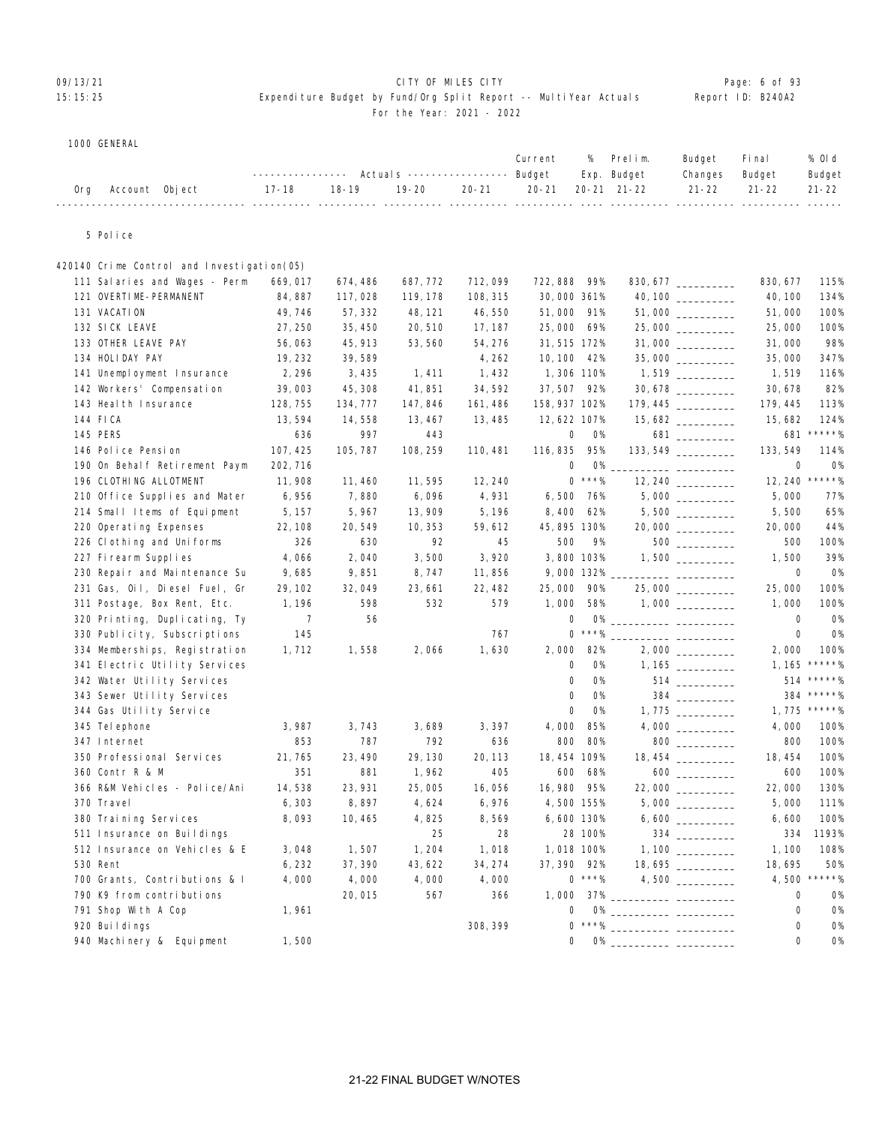# 09/13/21 CITY OF MILES CITY Page: 6 of 93

#### 15:15:25 Expenditure Budget by Fund/Org Split Report -- MultiYear Actuals Report ID: B240A2 For the Year: 2021 - 2022

| ---------------    Actuals ----------------    Budget    Exp.    Budget<br>Changes Budget<br>19-20   20-21   20-21  20-21 21-22    21-22   21-22   21-22<br>18-19<br>17-18<br>Account Object<br>0ra |  |  |  | Current % Prelim. |  | Budget | Final | % Old  |
|-----------------------------------------------------------------------------------------------------------------------------------------------------------------------------------------------------|--|--|--|-------------------|--|--------|-------|--------|
|                                                                                                                                                                                                     |  |  |  |                   |  |        |       | Budget |
|                                                                                                                                                                                                     |  |  |  |                   |  |        |       |        |

5 Police

| 420140 Crime Control and Investigation(05) |          |          |          |          |                     |                             |                                 |                |
|--------------------------------------------|----------|----------|----------|----------|---------------------|-----------------------------|---------------------------------|----------------|
| 111 Salaries and Wages - Perm              | 669,017  | 674,486  | 687, 772 | 712,099  | 722, 888            | 99%                         | 830, 677<br>830, 677 __________ | 115%           |
| 121 OVERTIME-PERMANENT                     | 84, 887  | 117,028  | 119, 178 | 108, 315 | 30,000 361%         |                             | 40, 100                         | 134%           |
| 131 VACATION                               | 49,746   | 57, 332  | 48, 121  | 46,550   | 51,000              | 91%                         | 51,000                          | 100%           |
| 132 SICK LEAVE                             | 27, 250  | 35, 450  | 20, 510  | 17, 187  | 25,000              | 69%                         | 25,000<br>25,000                | 100%           |
| 133 OTHER LEAVE PAY                        | 56,063   | 45, 913  | 53, 560  | 54, 276  | 31, 515 172%        |                             | 31,000<br>$31,000$ _________    | 98%            |
| 134 HOLIDAY PAY                            | 19, 232  | 39,589   |          | 4,262    | 10, 100             | 42%                         | 35,000                          | 347%           |
| 141 Unemployment Insurance                 | 2,296    | 3,435    | 1,411    | 1,432    | 1,306 110%          |                             | $1,519$ __________<br>1,519     | 116%           |
| 142 Workers' Compensation                  | 39,003   | 45, 308  | 41, 851  | 34,592   | 37,507 92%          |                             | 30, 678                         | 82%            |
| 143 Heal th Insurance                      | 128, 755 | 134, 777 | 147, 846 | 161, 486 | 158, 937 102%       |                             | 179, 445<br>179, 445            | 113%           |
| 144 FICA                                   | 13,594   | 14,558   | 13, 467  | 13,485   | 12,622 107%         |                             | 15,682<br>15,682                | 124%           |
| 145 PERS                                   | 636      | 997      | 443      |          | 0                   | <b>0%</b>                   | 681<br>681 _________            | $*****$        |
| 146 Police Pension                         | 107, 425 | 105, 787 | 108, 259 | 110, 481 | 116, 835            | 95%                         | 133, 549                        | 114%           |
| 190 On Behalf Retirement Paym              | 202, 716 |          |          |          | 0                   | <b>O%</b>                   | $\mathbf 0$                     | <b>O%</b>      |
| 196 CLOTHING ALLOTMENT                     | 11,908   | 11, 460  | 11,595   | 12, 240  |                     | $0$ ***%                    | 12, 240                         | $*****%$       |
| 210 Office Supplies and Mater              | 6,956    | 7,880    | 6,096    | 4,931    | 6,500               | 76%                         | 5,000                           | 77%            |
| 214 Small Items of Equipment               | 5, 157   | 5,967    | 13, 909  | 5, 196   | 8,400               | 62%                         | 5,500                           | 65%            |
| 220 Operating Expenses                     | 22, 108  | 20,549   | 10, 353  | 59,612   | 45, 895 130%        |                             | 20,000 _________<br>20,000      | 44%            |
| 226 Cl othing and Uniforms                 | 326      | 630      | 92       | 45       | 500                 | 9%                          | 500<br>500                      | 100%           |
| 227 Firearm Supplies                       | 4,066    | 2,040    | 3,500    | 3,920    | 3,800 103%          |                             | 1,500                           | 39%            |
| 230 Repair and Maintenance Su              | 9,685    | 9,851    | 8,747    | 11,856   | 9,000 132%          |                             | 0                               | <b>O%</b>      |
| 231 Gas, Oil, Diesel Fuel, Gr              | 29, 102  | 32,049   | 23,661   | 22, 482  | 25,000              | 90%                         | 25,000<br>25,000                | 100%           |
| 311 Postage, Box Rent, Etc.                | 1, 196   | 598      | 532      | 579      | 1,000               | 58%                         | 1,000                           | 100%           |
| 320 Printing, Duplicating, Ty              | 7        | 56       |          |          | 0                   | $0\%$ _                     | 0                               | 0%             |
| 330 Publicity, Subscriptions               | 145      |          |          | 767      | 0                   | $\star\star\star\gamma_{0}$ | $\mathbf 0$                     | <b>O%</b>      |
| 334 Memberships, Registration              | 1,712    | 1,558    | 2,066    | 1,630    | 2,000               | 82%                         | 2,000                           | 100%           |
| 341 Electric Utility Services              |          |          |          |          | $\mathbf 0$         | <b>O%</b>                   | 1, 165                          | $*****$        |
| 342 Water Utility Services                 |          |          |          |          | $\mathsf{O}\xspace$ | <b>O%</b>                   |                                 | 514 *****%     |
| 343 Sewer Utility Services                 |          |          |          |          | 0                   | <b>O%</b>                   | 384 ___________                 | 384 *****%     |
| 344 Gas Utility Service                    |          |          |          |          | $\mathbf 0$         | <b>O%</b>                   |                                 | $1,775$ *****% |
| 345 Tel ephone                             | 3,987    | 3,743    | 3,689    | 3,397    | 4,000               | 85%                         | 4,000                           | 100%           |
| 347 Internet                               | 853      | 787      | 792      | 636      | 800                 | 80%                         | 800                             | 100%           |
| 350 Professional Services                  | 21,765   | 23, 490  | 29, 130  | 20, 113  | 18, 454 109%        |                             | 18, 454                         | 100%           |
| 360 Contr R & M                            | 351      | 881      | 1,962    | 405      | 600                 | 68%                         | 600                             | 100%           |
| 366 R&M Vehicles - Police/Ani              | 14,538   | 23, 931  | 25,005   | 16,056   | 16,980              | 95%                         | 22,000                          | 130%           |
| 370 Travel                                 | 6, 303   | 8,897    | 4,624    | 6,976    | 4,500 155%          |                             | 5,000                           | 111%           |
| 380 Training Services                      | 8,093    | 10, 465  | 4,825    | 8,569    | 6,600 130%          |                             | 6,600                           | 100%           |
| 511 Insurance on Buildings                 |          |          | 25       | 28       |                     | 28 100%                     | 334 and $\sim$<br>334           | 1193%          |
| 512 Insurance on Vehicles & E              | 3,048    | 1,507    | 1,204    | 1,018    | 1,018 100%          |                             | 1,100                           | 108%           |
| 530 Rent                                   | 6, 232   | 37, 390  | 43, 622  | 34, 274  | 37, 390             | 92%                         | $18,695$ __________<br>18,695   | 50%            |
| 700 Grants, Contributions & I              | 4,000    | 4,000    | 4,000    | 4,000    |                     | $0$ ***%                    | 4,500<br>4,500                  | $*****%$       |
| 790 K9 from contributions                  |          | 20,015   | 567      | 366      | 1,000               |                             | 0                               | <b>O%</b>      |
| 791 Shop With A Cop                        | 1,961    |          |          |          | $\Omega$            |                             | $\mathsf{O}\xspace$             | <b>O%</b>      |
| 920 Buildings                              |          |          |          | 308, 399 | $\Omega$            |                             | 0                               | 0%             |
| 940 Machinery & Equipment                  | 1,500    |          |          |          | $\Omega$            | 0%                          | $\Omega$                        | <b>O%</b>      |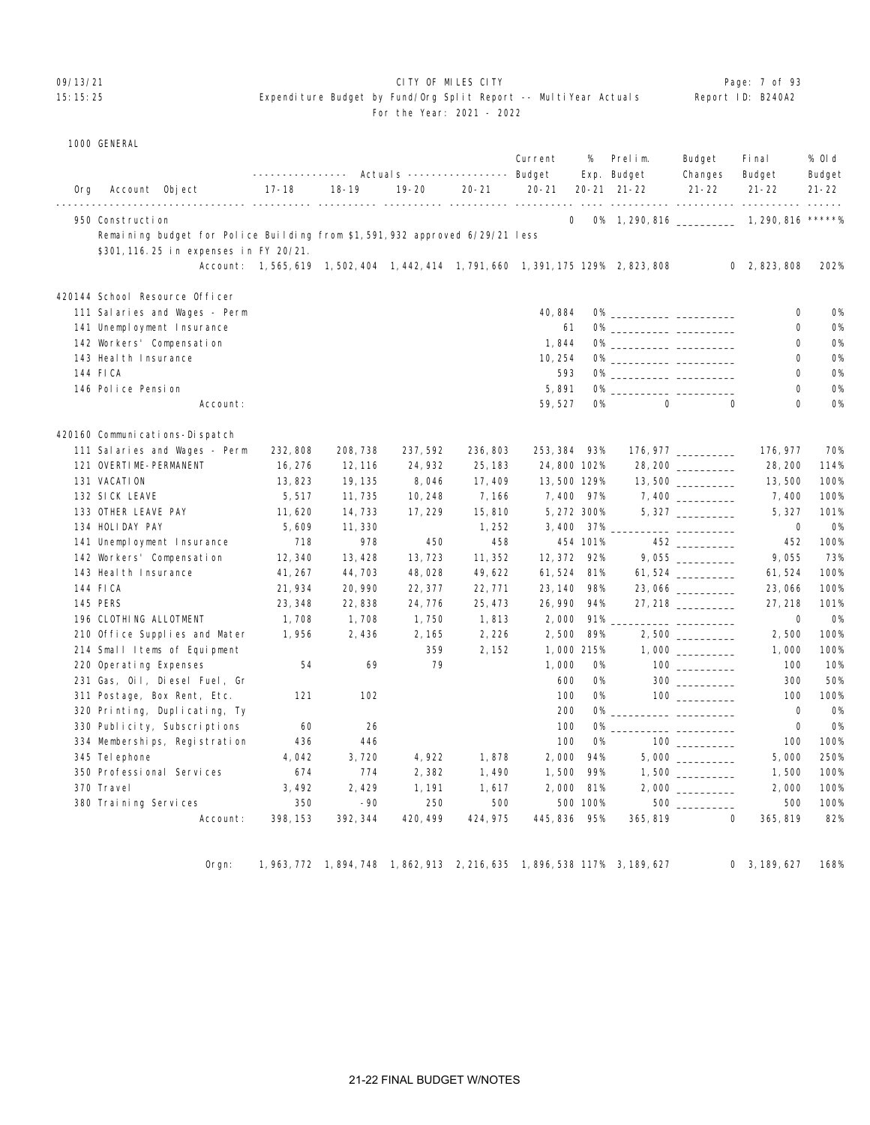#### 09/13/21 CITY OF MILES CITY Page: 7 of 93

#### 15:15:25 Expenditure Budget by Fund/Org Split Report -- MultiYear Actuals Report ID: B240A2 For the Year: 2021 - 2022

| 1000 GENERAL |
|--------------|
|--------------|

|     |                                                                             |           |                                                                              |           |           | Current     | %           | Prelim.<br>Exp. Budget                                                    | Budget<br>Changes            | Fi nal<br>Budget | % 0l d<br>Budget |
|-----|-----------------------------------------------------------------------------|-----------|------------------------------------------------------------------------------|-----------|-----------|-------------|-------------|---------------------------------------------------------------------------|------------------------------|------------------|------------------|
| 0rg | Account Object                                                              | $17 - 18$ | $18 - 19$                                                                    | $19 - 20$ | $20 - 21$ | $20 - 21$   |             | 20-21 21-22                                                               | $21 - 22$                    | $21 - 22$        | $21 - 22$        |
|     | 950 Construction                                                            |           |                                                                              |           |           | $\mathbf 0$ |             | 0% 1, 290, 816 _____________ 1, 290, 816 *****%                           | <u>----- ---------- ----</u> | $- - - - -$      |                  |
|     | Remaining budget for Police Building from \$1,591,932 approved 6/29/21 less |           |                                                                              |           |           |             |             |                                                                           |                              |                  |                  |
|     | \$301, 116. 25 in expenses in FY 20/21.                                     |           |                                                                              |           |           |             |             |                                                                           |                              |                  |                  |
|     |                                                                             |           |                                                                              |           |           |             |             | Account: 1,565,619 1,502,404 1,442,414 1,791,660 1,391,175 129% 2,823,808 |                              | 0, 2, 823, 808   | 202%             |
|     | 420144 School Resource Officer                                              |           |                                                                              |           |           |             |             |                                                                           |                              |                  |                  |
|     | 111 Salaries and Wages - Perm                                               |           |                                                                              |           |           | 40,884      |             |                                                                           |                              | 0                | <b>O%</b>        |
|     | 141 Unemployment Insurance                                                  |           |                                                                              |           |           | 61          |             |                                                                           |                              | 0                | <b>O%</b>        |
|     | 142 Workers' Compensation                                                   |           |                                                                              |           |           | 1,844       |             |                                                                           |                              | 0                | <b>0%</b>        |
|     | 143 Heal th Insurance                                                       |           |                                                                              |           |           | 10, 254     |             | 0% _____________ ____________                                             |                              | $\Omega$         | <b>O%</b>        |
|     | 144 FICA                                                                    |           |                                                                              |           |           | 593         |             |                                                                           |                              | 0                | <b>O%</b>        |
|     | 146 Police Pension                                                          |           |                                                                              |           |           | 5,891       | 0%          | <u> 1980 - Jan James James</u>                                            |                              | $\Omega$         | <b>0%</b>        |
|     | Account:                                                                    |           |                                                                              |           |           | 59, 527     | 0%          | $\mathsf{O}\xspace$                                                       | $\mathbf 0$                  | $\mathbf 0$      | <b>O%</b>        |
|     | 420160 Communications-Dispatch                                              |           |                                                                              |           |           |             |             |                                                                           |                              |                  |                  |
|     | 111 Salaries and Wages - Perm                                               | 232,808   | 208, 738                                                                     | 237, 592  | 236, 803  | 253, 384    | 93%         |                                                                           |                              | 176, 977         | 70%              |
|     | 121 OVERTIME-PERMANENT                                                      | 16, 276   | 12, 116                                                                      | 24, 932   | 25, 183   | 24,800 102% |             |                                                                           |                              | 28, 200          | 114%             |
|     | 131 VACATION                                                                | 13,823    | 19, 135                                                                      | 8,046     | 17, 409   | 13,500 129% |             |                                                                           |                              | 13,500           | 100%             |
|     | 132 SICK LEAVE                                                              | 5,517     | 11,735                                                                       | 10, 248   | 7,166     | 7,400       | 97%         |                                                                           |                              | 7,400            | 100%             |
|     | 133 OTHER LEAVE PAY                                                         | 11,620    | 14,733                                                                       | 17, 229   | 15,810    |             | 5, 272 300% |                                                                           |                              | 5, 327           | 101%             |
|     | 134 HOLIDAY PAY                                                             | 5,609     | 11,330                                                                       |           | 1,252     |             | 3,400 37%   |                                                                           | ___ ___________              | 0                | <b>0%</b>        |
|     | 141 Unemployment Insurance                                                  | 718       | 978                                                                          | 450       | 458       |             | 454 101%    |                                                                           | $452$ __________             | 452              | 100%             |
|     | 142 Workers' Compensation                                                   | 12,340    | 13, 428                                                                      | 13,723    | 11, 352   | 12, 372     | 92%         |                                                                           | $9,055$ __________           | 9,055            | 73%              |
|     | 143 Heal th Insurance                                                       | 41, 267   | 44,703                                                                       | 48,028    | 49,622    | 61, 524     | 81%         |                                                                           | $61,524$ _________           | 61,524           | 100%             |
|     | 144 FICA                                                                    | 21, 934   | 20, 990                                                                      | 22, 377   | 22, 771   | 23, 140     | 98%         |                                                                           | $23,066$ _________           | 23,066           | 100%             |
|     | <b>145 PERS</b>                                                             | 23, 348   | 22,838                                                                       | 24, 776   | 25, 473   | 26, 990     | 94%         |                                                                           | $27,218$ _________           | 27, 218          | 101%             |
|     | 196 CLOTHING ALLOTMENT                                                      | 1,708     | 1,708                                                                        | 1,750     | 1,813     | 2,000       | 91%         |                                                                           |                              | $\mathbf 0$      | <b>O%</b>        |
|     | 210 Office Supplies and Mater                                               | 1,956     | 2,436                                                                        | 2, 165    | 2,226     | 2,500       | 89%         |                                                                           |                              | 2,500            | 100%             |
|     | 214 Small Items of Equipment                                                |           |                                                                              | 359       | 2, 152    |             | 1,000 215%  |                                                                           |                              | 1,000            | 100%             |
|     | 220 Operating Expenses                                                      | 54        | 69                                                                           | 79        |           | 1,000       | 0%          |                                                                           |                              | 100              | 10%              |
|     | 231 Gas, Oil, Diesel Fuel, Gr                                               |           |                                                                              |           |           | 600         | 0%          |                                                                           | $300$                        | 300              | 50%              |
|     | 311 Postage, Box Rent, Etc.                                                 | 121       | 102                                                                          |           |           | 100         | 0%          |                                                                           | $100$ _________              | 100              | 100%             |
|     | 320 Printing, Duplicating, Ty                                               |           |                                                                              |           |           | 200         | 0%          |                                                                           |                              | 0                | <b>O%</b>        |
|     | 330 Publicity, Subscriptions                                                | 60        | 26                                                                           |           |           | 100         | <b>O%</b>   |                                                                           |                              | $\mathbf 0$      | <b>O%</b>        |
|     | 334 Memberships, Registration                                               | 436       | 446                                                                          |           |           | 100         | <b>O%</b>   |                                                                           | $100$ ________               | 100              | 100%             |
|     | 345 Tel ephone                                                              | 4,042     | 3,720                                                                        | 4,922     | 1,878     | 2,000       | 94%         |                                                                           |                              | 5,000            | 250%             |
|     | 350 Professional Services                                                   | 674       | 774                                                                          | 2,382     | 1,490     | 1,500       | 99%         |                                                                           |                              | 1,500            | 100%             |
|     | 370 Travel                                                                  | 3,492     | 2,429                                                                        | 1, 191    | 1,617     | 2,000       | 81%         |                                                                           |                              | 2,000            | 100%             |
|     | 380 Training Services                                                       | 350       | $-90$                                                                        | 250       | 500       |             | 500 100%    |                                                                           | 500 000                      | 500              | 100%             |
|     | Account:                                                                    | 398, 153  | 392, 344                                                                     | 420, 499  | 424, 975  | 445, 836    | 95%         | 365, 819                                                                  | $\mathbf 0$                  | 365, 819         | 82%              |
|     |                                                                             |           |                                                                              |           |           |             |             |                                                                           |                              |                  |                  |
|     | Orgn:                                                                       |           | 1, 963, 772 1, 894, 748 1, 862, 913 2, 216, 635 1, 896, 538 117% 3, 189, 627 |           |           |             |             |                                                                           |                              | 0, 3, 189, 627   | 168%             |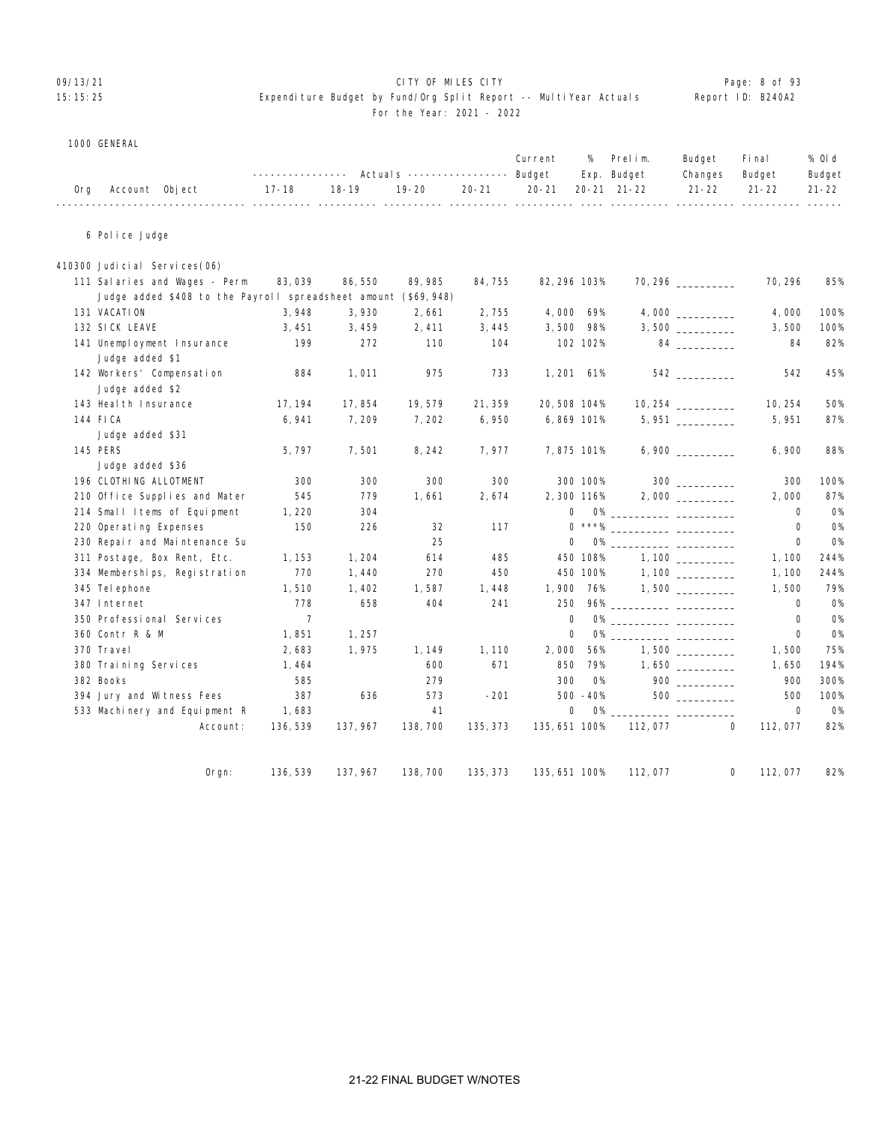#### 09/13/21 CITY OF MILES CITY Page: 8 of 93

#### 15:15:25 Expenditure Budget by Fund/Org Split Report -- MultiYear Actuals Report ID: B240A2 For the Year: 2021 - 2022

| 1000 GENERAL |
|--------------|
|              |

|     |                |                   |                                                             |  | Current % Prelim. | Budget Final   | % Old  |
|-----|----------------|-------------------|-------------------------------------------------------------|--|-------------------|----------------|--------|
|     |                | _________________ | Actuals ----------------- Budget Exp. Budget                |  |                   | Changes Budget | Budget |
| 0rg | Account Object | 17-18 18-19       | 19-20   20-21   20-21  20-21 21-22    21-22   21-22   21-22 |  |                   |                |        |
|     |                |                   |                                                             |  |                   |                |        |

6 Police Judge

| 410300 Judicial Services(06)                                   |                |          |          |          |               |           |                                  |                     |             |           |
|----------------------------------------------------------------|----------------|----------|----------|----------|---------------|-----------|----------------------------------|---------------------|-------------|-----------|
| 111 Salaries and Wages - Perm                                  | 83,039         | 86,550   | 89, 985  | 84,755   | 82, 296 103%  |           |                                  | $70,296$ __________ | 70, 296     | 85%       |
| Judge added \$408 to the Payroll spreadsheet amount (\$69,948) |                |          |          |          |               |           |                                  |                     |             |           |
| 131 VACATION                                                   | 3,948          | 3,930    | 2,661    | 2,755    | 4,000 69%     |           |                                  |                     | 4,000       | 100%      |
| 132 SICK LEAVE                                                 | 3,451          | 3,459    | 2,411    | 3,445    | 3,500         | 98%       |                                  |                     | 3,500       | 100%      |
| 141 Unemployment Insurance                                     | 199            | 272      | 110      | 104      |               | 102 102%  |                                  | 84 _________        | 84          | 82%       |
| Judge added \$1                                                |                |          |          |          |               |           |                                  |                     |             |           |
| 142 Workers' Compensation                                      | 884            | 1,011    | 975      | 733      | 1, 201        | 61%       |                                  | 542 and $\sim$      | 542         | 45%       |
| Judge added \$2                                                |                |          |          |          |               |           |                                  |                     |             |           |
| 143 Heal th Insurance                                          | 17, 194        | 17,854   | 19,579   | 21, 359  | 20,508 104%   |           | $10,254$ __________              |                     | 10, 254     | 50%       |
| 144 FICA                                                       | 6,941          | 7,209    | 7,202    | 6,950    | 6,869 101%    |           |                                  | $5,951$ _________   | 5,951       | 87%       |
| Judge added \$31                                               |                |          |          |          |               |           |                                  |                     |             |           |
| <b>145 PERS</b>                                                | 5,797          | 7,501    | 8, 242   | 7,977    | 7,875 101%    |           |                                  |                     | 6,900       | 88%       |
| Judge added \$36                                               |                |          |          |          |               |           |                                  |                     |             |           |
| 196 CLOTHING ALLOTMENT                                         | 300            | 300      | 300      | 300      |               | 300 100%  |                                  |                     | 300         | 100%      |
| 210 Office Supplies and Mater                                  | 545            | 779      | 1,661    | 2,674    | 2,300 116%    |           |                                  |                     | 2,000       | 87%       |
| 214 Small Items of Equipment                                   | 1,220          | 304      |          |          | 0             |           | 0% ______________ ______________ |                     | 0           | <b>O%</b> |
| 220 Operating Expenses                                         | 150            | 226      | 32       | 117      |               |           |                                  |                     | 0           | <b>O%</b> |
| 230 Repair and Maintenance Su                                  |                |          | 25       |          | $\Omega$      |           |                                  |                     | $\Omega$    | <b>O%</b> |
| 311 Postage, Box Rent, Etc.                                    | 1, 153         | 1,204    | 614      | 485      |               | 450 108%  |                                  |                     | 1,100       | 244%      |
| 334 Memberships, Registration                                  | 770            | 1,440    | 270      | 450      |               | 450 100%  |                                  | 1,100               | 1, 100      | 244%      |
| 345 Tel ephone                                                 | 1,510          | 1,402    | 1,587    | 1,448    | 1,900 76%     |           |                                  |                     | 1,500       | 79%       |
| 347 Internet                                                   | 778            | 658      | 404      | 241      | 250           |           |                                  |                     | $\Omega$    | <b>O%</b> |
| 350 Professional Services                                      | $\overline{7}$ |          |          |          | $\mathbf 0$   |           |                                  |                     | 0           | <b>O%</b> |
| 360 Contr R & M                                                | 1,851          | 1, 257   |          |          | 0             |           |                                  |                     | $\mathbf 0$ | <b>O%</b> |
| 370 Travel                                                     | 2,683          | 1,975    | 1, 149   | 1,110    | 2,000         | 56%       |                                  |                     | 1,500       | 75%       |
| 380 Training Services                                          | 1,464          |          | 600      | 671      | 850           | 79%       |                                  |                     | 1,650       | 194%      |
| 382 Books                                                      | 585            |          | 279      |          | 300           | <b>O%</b> |                                  |                     | 900         | 300%      |
| 394 Jury and Witness Fees                                      | 387            | 636      | 573      | $-201$   |               | 500 -40%  |                                  | 500                 | 500         | 100%      |
| 533 Machinery and Equipment R                                  | 1,683          |          | 41       |          | $\mathbf 0$   | <b>O%</b> |                                  |                     | $\mathbf 0$ | <b>O%</b> |
| Account:                                                       | 136, 539       | 137, 967 | 138, 700 | 135, 373 | 135, 651 100% |           | 112,077                          | $\mathbf{0}$        | 112,077     | 82%       |
|                                                                |                |          |          |          |               |           |                                  |                     |             |           |
| $O$ rgn:                                                       | 136, 539       | 137, 967 | 138, 700 | 135, 373 | 135, 651 100% |           | 112,077                          | 0                   | 112,077     | 82%       |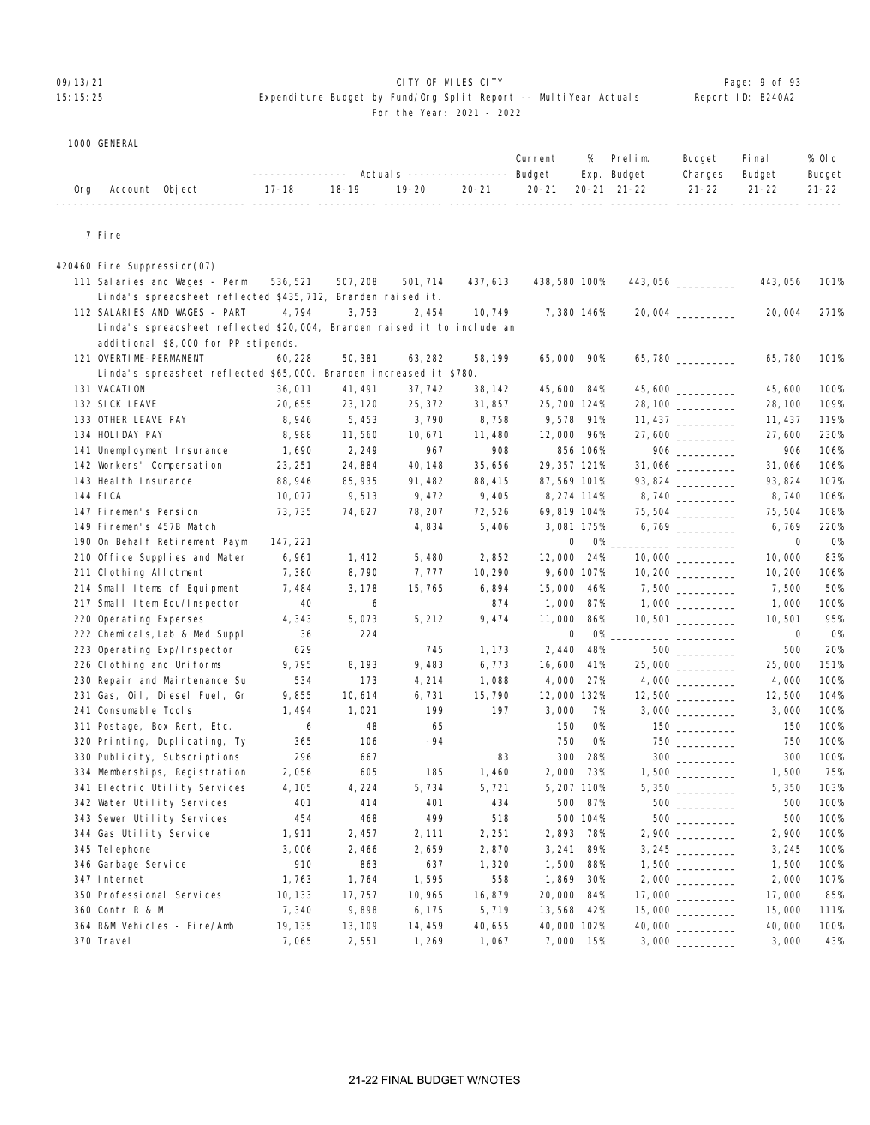### OP/13/21 **CITY OF MILES CITY CITY CITY CITY CITY Page: 9 of 93**

#### 15:15:25 Expenditure Budget by Fund/Org Split Report -- MultiYear Actuals Report ID: B240A2 For the Year: 2021 - 2022

| 1000 GENERAL |
|--------------|

|     |                                                                         | ---------------- |           | Actuals ----------------- Budget |           | Current       | %           | Prelim.<br>Exp. Budget | Budget<br>Changes  | Fi nal<br>Budget | % OI d<br>Budget |
|-----|-------------------------------------------------------------------------|------------------|-----------|----------------------------------|-----------|---------------|-------------|------------------------|--------------------|------------------|------------------|
| 0rg | Account Object                                                          | $17 - 18$        | $18 - 19$ | $19 - 20$                        | $20 - 21$ | $20 - 21$     |             | 20-21 21-22            | $21 - 22$          | $21 - 22$        | $21 - 22$        |
|     | 7 Fire                                                                  |                  |           |                                  |           |               |             |                        |                    |                  |                  |
|     | 420460 Fire Suppression(07)                                             |                  |           |                                  |           |               |             |                        |                    |                  |                  |
|     | 111 Salaries and Wages - Perm                                           | 536, 521         | 507, 208  | 501, 714                         | 437, 613  | 438, 580 100% |             |                        | 443, 056 _________ | 443,056          | 101%             |
|     | Linda's spreadsheet reflected \$435,712, Branden raised it.             |                  |           |                                  |           |               |             |                        |                    |                  |                  |
|     | 112 SALARIES AND WAGES - PART                                           | 4,794            | 3,753     | 2,454                            | 10, 749   |               | 7,380 146%  |                        | 20,004 _________   | 20,004           | 271%             |
|     | Linda's spreadsheet reflected \$20,004, Branden raised it to include an |                  |           |                                  |           |               |             |                        |                    |                  |                  |
|     | additional \$8,000 for PP stipends.                                     |                  |           |                                  |           |               |             |                        |                    |                  |                  |
|     | 121 OVERTIME-PERMANENT                                                  | 60, 228          | 50, 381   | 63, 282                          | 58, 199   | 65,000 90%    |             |                        | 65,780             | 65,780           | 101%             |
|     | Linda's spreasheet reflected \$65,000. Branden increased it \$780.      |                  |           |                                  |           |               |             |                        |                    |                  |                  |
|     | 131 VACATION                                                            | 36,011           | 41, 491   | 37, 742                          | 38, 142   | 45,600 84%    |             |                        |                    | 45,600           | 100%             |
|     | 132 SICK LEAVE                                                          | 20, 655          | 23, 120   | 25, 372                          | 31,857    | 25, 700 124%  |             |                        | 28, 100            | 28, 100          | 109%             |
|     | 133 OTHER LEAVE PAY                                                     | 8,946            | 5,453     | 3,790                            | 8,758     |               | 9,578 91%   |                        |                    | 11, 437          | 119%             |
|     | 134 HOLIDAY PAY                                                         | 8,988            | 11,560    | 10, 671                          | 11, 480   | 12,000 96%    |             |                        |                    | 27,600           | 230%             |
|     | 141 Unemployment Insurance                                              | 1,690            | 2, 249    | 967                              | 908       |               | 856 106%    |                        |                    | 906              | 106%             |
|     | 142 Workers' Compensation                                               | 23, 251          | 24,884    | 40, 148                          | 35,656    | 29, 357 121%  |             |                        |                    | 31,066           | 106%             |
|     | 143 Heal th Insurance                                                   | 88, 946          | 85, 935   | 91, 482                          | 88, 415   | 87, 569 101%  |             |                        | 93, 824            | 93, 824          | 107%             |
|     | 144 FICA                                                                | 10,077           | 9,513     | 9,472                            | 9,405     |               | 8, 274 114% |                        |                    | 8,740            | 106%             |
|     | 147 Firemen's Pension                                                   | 73, 735          | 74, 627   | 78, 207                          | 72,526    | 69, 819 104%  |             |                        | $75,504$ _________ | 75, 504          | 108%             |
|     | 149 Firemen's 457B Match                                                |                  |           | 4,834                            | 5,406     |               | 3,081 175%  |                        |                    | 6,769            | 220%             |
|     | 190 On Behalf Retirement Paym                                           | 147, 221         |           |                                  |           | 0             | 0%          |                        |                    | 0                | 0%               |
|     | 210 Office Supplies and Mater                                           | 6,961            | 1,412     | 5,480                            | 2,852     | 12,000        | 24%         |                        | 10,000 _________   | 10,000           | 83%              |
|     | 211 Clothing Allotment                                                  | 7,380            | 8,790     | 7, 777                           | 10, 290   |               | 9,600 107%  |                        |                    | 10, 200          | 106%             |
|     | 214 Small Items of Equipment                                            | 7, 484           | 3, 178    | 15, 765                          | 6,894     | 15,000        | 46%         |                        | 7,500 _________    | 7,500            | 50%              |
|     | 217 Small Item Equ/Inspector                                            | 40               | 6         |                                  | 874       | 1,000         | 87%         |                        |                    | 1,000            | 100%             |
|     | 220 Operating Expenses                                                  | 4,343            | 5,073     | 5, 212                           | 9,474     | 11,000        | 86%         |                        |                    | 10,501           | 95%              |
|     | 222 Chemicals, Lab & Med Suppl                                          | 36               | 224       |                                  |           | 0             | 0%          |                        |                    | 0                | 0%               |
|     | 223 Operating Exp/Inspector                                             | 629              |           | 745                              | 1, 173    | 2,440         | 48%         |                        |                    | 500              | 20%              |
|     | 226 Clothing and Uniforms                                               | 9,795            | 8, 193    | 9,483                            | 6,773     | 16,600        | 41%         |                        |                    | 25,000           | 151%             |
|     | 230 Repair and Maintenance Su                                           | 534              | 173       | 4, 214                           | 1,088     | 4,000         | 27%         |                        |                    | 4,000            | 100%             |
|     | 231 Gas, Oil, Diesel Fuel, Gr                                           | 9,855            | 10,614    | 6,731                            | 15,790    | 12,000 132%   |             |                        |                    | 12,500           | 104%             |
|     | 241 Consumable Tools                                                    | 1,494            | 1,021     | 199                              | 197       | 3,000         | 7%          |                        |                    | 3,000            | 100%             |
|     | 311 Postage, Box Rent, Etc.                                             | 6                | 48        | 65                               |           | 150           | <b>0%</b>   |                        |                    | 150              | 100%             |
|     | 320 Printing, Duplicating, Ty                                           | 365              | 106       | -94                              |           | 750           | <b>O%</b>   |                        | $750$              | 750              | 100%             |
|     | 330 Publicity, Subscriptions                                            | 296              | 667       |                                  | 83        | 300           | 28%         |                        | $300$              | 300              | 100%             |
|     | 334 Memberships, Registration                                           | 2,056            | 605       | 185                              | 1,460     |               | 2,000 73%   |                        |                    | 1,500            | 75%              |
|     | 341 Electric Utility Services                                           | 4, 105           | 4,224     | 5,734                            | 5,721     |               | 5, 207 110% |                        |                    | 5,350            | 103%             |
|     | 342 Water Utility Services                                              | 401              | 414       | 401                              | 434       |               | 500 87%     |                        | 500                | 500              | 100%             |
|     | 343 Sewer Utility Services                                              | 454              | 468       | 499                              | 518       |               | 500 104%    |                        |                    | 500              | 100%             |
|     | 344 Gas Utility Service                                                 | 1,911            | 2, 457    | 2, 111                           | 2, 251    |               | 2,893 78%   |                        |                    | 2,900            | 100%             |
|     | 345 Tel ephone                                                          | 3,006            | 2,466     | 2,659                            | 2,870     | 3, 241        | 89%         |                        |                    | 3, 245           | 100%             |
|     | 346 Garbage Service                                                     | 910              | 863       | 637                              | 1,320     | 1,500         | 88%         |                        |                    | 1,500            | 100%             |
|     | 347 Internet                                                            | 1,763            | 1,764     | 1,595                            | 558       | 1,869         | 30%         |                        |                    | 2,000            | 107%             |
|     | 350 Professional Services                                               | 10, 133          | 17, 757   | 10, 965                          | 16,879    | 20,000        | 84%         |                        | 17,000             | 17,000           | 85%              |
|     | 360 Contr R & M                                                         | 7,340            | 9,898     | 6, 175                           | 5,719     | 13,568 42%    |             |                        | 15,000 _________   | 15,000           | 111%             |
|     | 364 R&M Vehicles - Fire/Amb                                             | 19, 135          | 13, 109   | 14, 459                          | 40, 655   | 40,000 102%   |             |                        |                    | 40,000           | 100%             |
|     | 370 Travel                                                              | 7,065            | 2,551     | 1, 269                           | 1,067     |               | 7,000 15%   |                        | 3,000              | 3,000            | 43%              |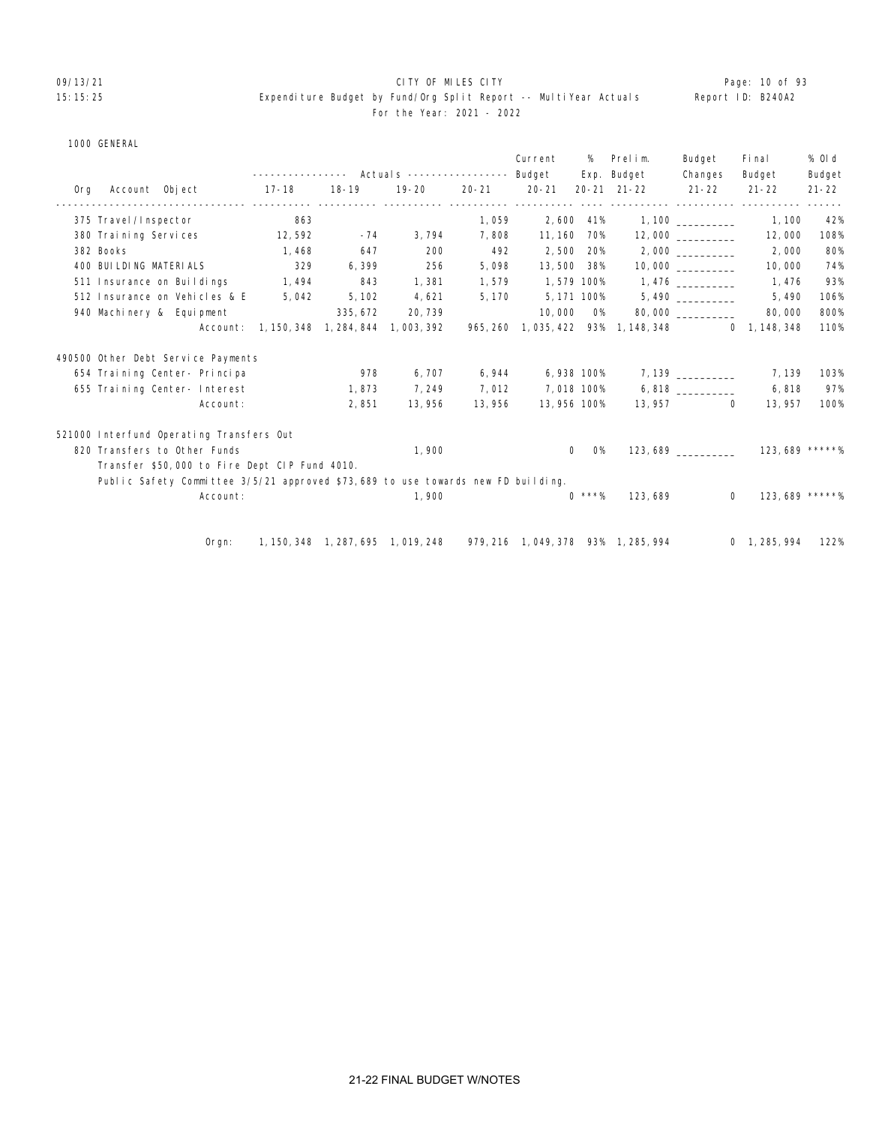#### O9/13/21 **CITY OF MILES CITY CITY CITY CITY Page: 10 of 93** 15:15:25 Expenditure Budget by Fund/Org Split Report -- MultiYear Actuals Report ID: B240A2 For the Year: 2021 - 2022

|     |                         |                                                                                  |                                     |          |                                                                          |           | Current      | %           | Prelim.<br>Exp. Budget               | Budget<br>Changes        | Fi nal<br>Budget     | % 0l d<br>Budget |
|-----|-------------------------|----------------------------------------------------------------------------------|-------------------------------------|----------|--------------------------------------------------------------------------|-----------|--------------|-------------|--------------------------------------|--------------------------|----------------------|------------------|
| 0rg | Account Object          |                                                                                  | 17-18                               | 18-19    | $19 - 20$                                                                | $20 - 21$ | 20-21        |             | $20 - 21$ $21 - 22$                  | $21 - 22$                | $21 - 22$            | $21 - 22$        |
|     | 375 Travel / Inspector  |                                                                                  | 863                                 |          |                                                                          | 1,059     |              | 2,600 41%   |                                      | ------ ---------- ------ | 1, 100               | 42%              |
|     | 380 Training Services   |                                                                                  | 12, 592                             | $-74$    | 3,794                                                                    | 7,808     | 11, 160      | 70%         |                                      | 12,000                   | 12,000               | 108%             |
|     | 382 Books               |                                                                                  | 1, 468                              | 647      | 200                                                                      | 492       | 2,500        | 20%         |                                      |                          | 2,000                | 80%              |
|     | 400 BUI LDING MATERIALS |                                                                                  | 329                                 | 6,399    | 256                                                                      | 5,098     | 13,500 38%   |             |                                      | 10,000                   | 10,000               | 74%              |
|     |                         | 511 Insurance on Buildings                                                       | 1, 494                              | 843      | 1,381                                                                    | 1,579     | 1,579 100%   |             |                                      | $1,476$ ___________      | 1,476                | 93%              |
|     |                         | 512 Insurance on Vehicles & E                                                    | 5,042                               | 5, 102   | 4,621                                                                    | 5,170     |              | 5, 171 100% |                                      | 5,490                    | 5,490                | 106%             |
|     |                         | 940 Machinery & Equipment                                                        |                                     | 335, 672 | 20, 739                                                                  |           | 10,000       | O%          |                                      | 80,000 __________        | 80,000               | 800%             |
|     |                         | Account:                                                                         | 1, 150, 348 1, 284, 844 1, 003, 392 |          |                                                                          |           |              |             | 965, 260 1, 035, 422 93% 1, 148, 348 |                          | $0\quad 1, 148, 348$ | 110%             |
|     |                         | 490500 Other Debt Service Payments                                               |                                     |          |                                                                          |           |              |             |                                      |                          |                      |                  |
|     |                         | 654 Training Center- Principa                                                    |                                     | 978      | 6, 707                                                                   | 6,944     | 6,938 100%   |             |                                      | 7, 139 __________        | 7, 139               | 103%             |
|     |                         | 655 Training Center- Interest                                                    |                                     | 1,873    | 7, 249                                                                   | 7,012     | 7,018 100%   |             |                                      | 6,818                    | 6,818                | 97%              |
|     |                         | Account:                                                                         |                                     | 2,851    | 13,956                                                                   | 13,956    | 13,956 100%  |             |                                      | 13,957 0                 | 13, 957              | 100%             |
|     |                         | 521000 Interfund Operating Transfers Out                                         |                                     |          |                                                                          |           |              |             |                                      |                          |                      |                  |
|     |                         | 820 Transfers to Other Funds                                                     |                                     |          | 1,900                                                                    |           | $\mathbf{0}$ | <b>O%</b>   |                                      | 123,689                  | 123,689 *****%       |                  |
|     |                         | Transfer \$50,000 to Fire Dept CIP Fund 4010.                                    |                                     |          |                                                                          |           |              |             |                                      |                          |                      |                  |
|     |                         | Public Safety Committee 3/5/21 approved \$73,689 to use towards new FD building. |                                     |          |                                                                          |           |              |             |                                      |                          |                      |                  |
|     |                         | Account:                                                                         |                                     |          | 1,900                                                                    |           |              | $0$ ***%    | 123,689                              | $\Omega$                 | 123, 689 *****%      |                  |
|     |                         |                                                                                  |                                     |          |                                                                          |           |              |             |                                      |                          |                      |                  |
|     |                         | $O$ rgn:                                                                         |                                     |          | 1, 150, 348 1, 287, 695 1, 019, 248 979, 216 1, 049, 378 93% 1, 285, 994 |           |              |             |                                      |                          | 0, 1, 285, 994       | 122%             |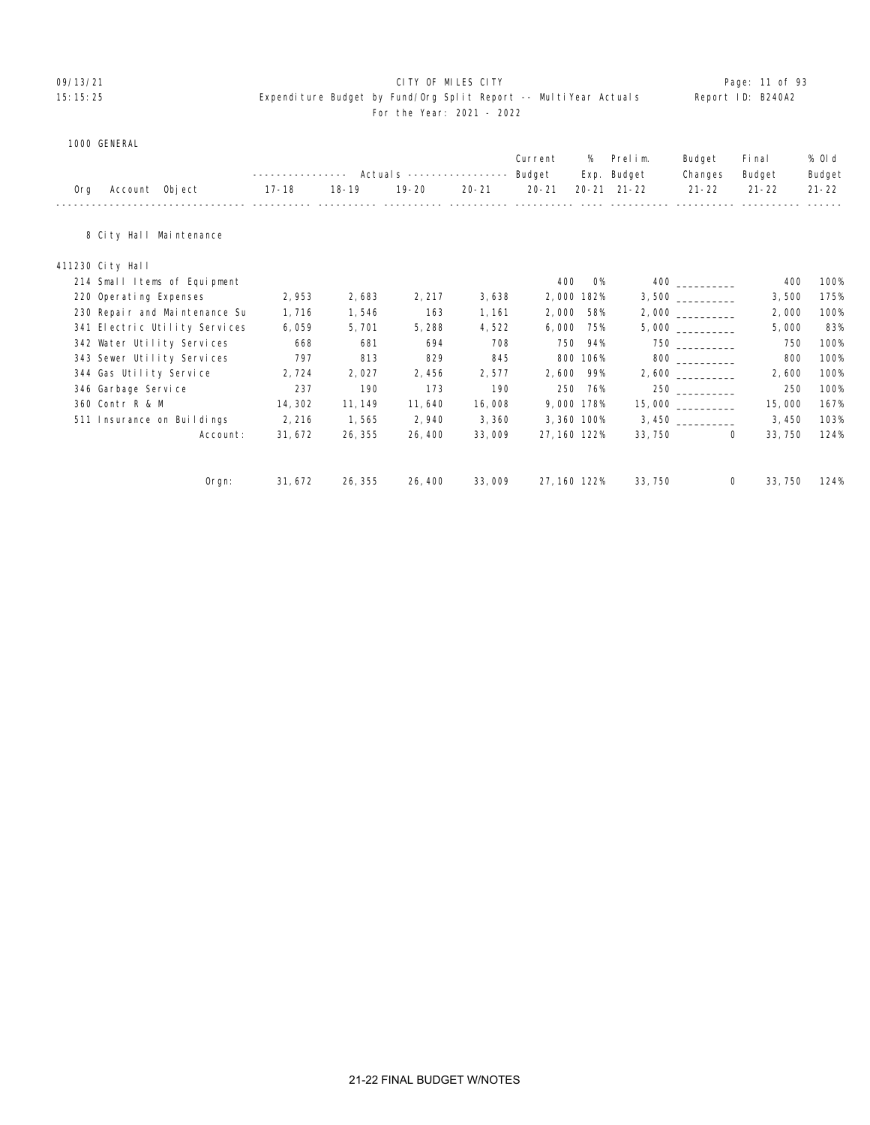#### 09/13/21 Page: 11 of 93 15:15:25 Expenditure Budget by Fund/Org Split Report -- MultiYear Actuals Report ID: B240A2 For the Year: 2021 - 2022

#### 1000 GENERAL

|     |                               |                   |           |                            |           | Current      | %          | Prelim.     | Budget                | Fi nal       | % Old     |
|-----|-------------------------------|-------------------|-----------|----------------------------|-----------|--------------|------------|-------------|-----------------------|--------------|-----------|
|     |                               | ----------------- |           | Actual s ----------------- |           | Budget       |            | Exp. Budget | Changes               | Budget       | Budget    |
| Org | Account Object                | 17-18             | $18 - 19$ | $19 - 20$                  | $20 - 21$ | $20 - 21$    | $20 - 21$  | $21 - 22$   | $21 - 22$             | $21 - 22$    | $21 - 22$ |
|     | 8 City Hall Maintenance       |                   |           |                            |           |              |            |             |                       |              |           |
|     | 411230 City Hall              |                   |           |                            |           |              |            |             |                       |              |           |
|     | 214 Small Items of Equipment  |                   |           |                            |           | 400          | <b>O%</b>  |             |                       | 400          | 100%      |
|     | 220 Operating Expenses        | 2,953             | 2,683     | 2, 217                     | 3,638     |              | 2,000 182% |             |                       | 3,500        | 175%      |
|     | 230 Repair and Maintenance Su | 1,716             | 1,546     | 163                        | 1, 161    | 2,000        | 58%        |             |                       | 2,000        | 100%      |
|     | 341 Electric Utility Services | 6,059             | 5,701     | 5,288                      | 4,522     | 6,000        | 75%        |             |                       | 5,000        | 83%       |
|     | 342 Water Utility Services    | 668               | 681       | 694                        | 708       | 750          | 94%        |             |                       | 750          | 100%      |
|     | 343 Sewer Utility Services    | 797               | 813       | 829                        | 845       | 800          | 106%       |             | 800 000               | 800          | 100%      |
|     | 344 Gas Utility Service       | 2,724             | 2,027     | 2,456                      | 2,577     | 2,600        | 99%        |             |                       | 2,600        | 100%      |
|     | 346 Garbage Service           | 237               | 190       | 173                        | 190       | 250          | 76%        |             |                       | 250          | 100%      |
|     | 360 Contr R & M               | 14, 302           | 11, 149   | 11,640                     | 16,008    |              | 9,000 178% |             | $15,000$ ____________ | 15,000       | 167%      |
|     | 511 Insurance on Buildings    | 2,216             | 1,565     | 2,940                      | 3,360     |              | 3,360 100% |             | 3,450                 | 3,450        | 103%      |
|     | Account:                      | 31, 672           | 26, 355   | 26, 400                    | 33,009    | 27, 160 122% |            | 33, 750     |                       | 0<br>33, 750 | 124%      |
|     | $0$ rgn:                      | 31, 672           | 26, 355   | 26, 400                    | 33,009    | 27, 160 122% |            | 33, 750     |                       | 33, 750<br>0 | 124%      |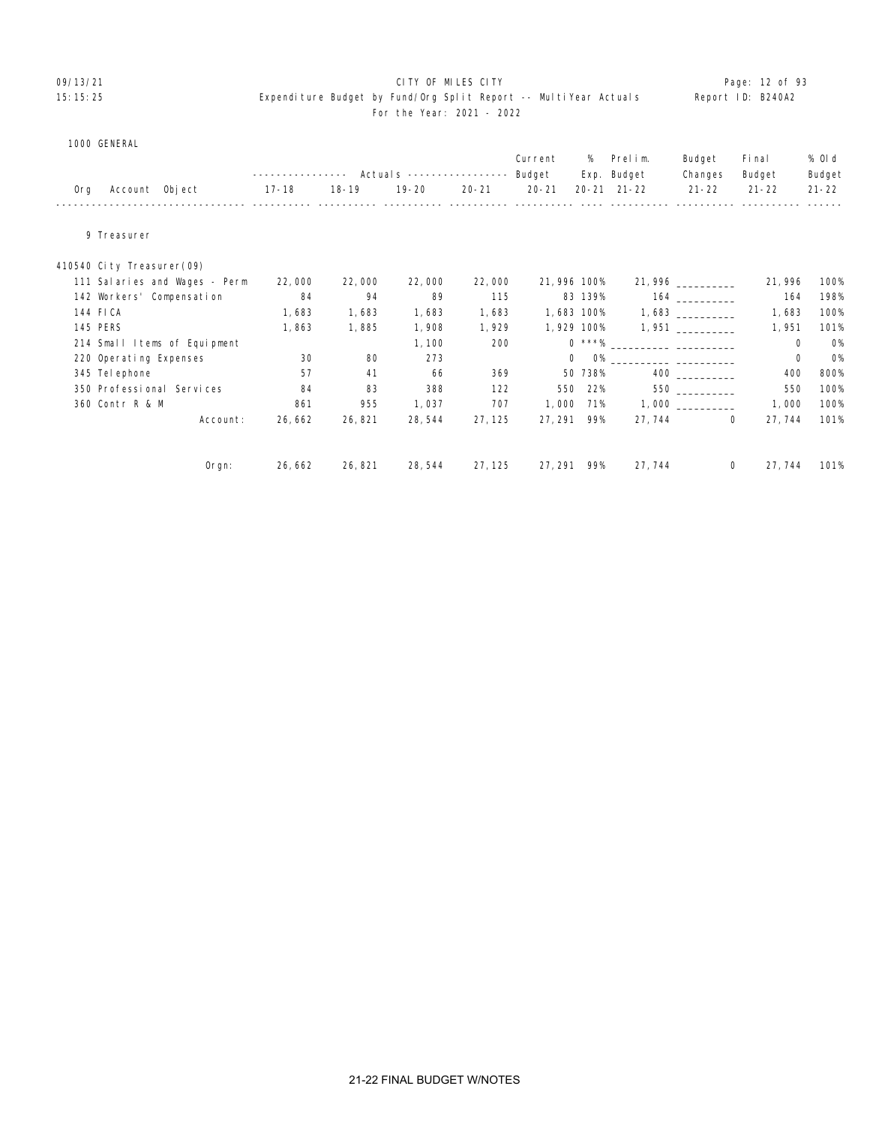#### O9/13/21 **CITY OF MILES CITY CITY CITY CITY Page: 12 of 93** 15:15:25 Expenditure Budget by Fund/Org Split Report -- MultiYear Actuals Report ID: B240A2 For the Year: 2021 - 2022

|  | 1000 GENERAL |
|--|--------------|
|--|--------------|

|     |                           |                               |           |           | Actual s ----------------- |           | Current<br>Budget | %       | Prelim.<br>Exp. Budget      | Budget<br>Changes  | Fi nal<br>Budget | % OI d<br>Budget |
|-----|---------------------------|-------------------------------|-----------|-----------|----------------------------|-----------|-------------------|---------|-----------------------------|--------------------|------------------|------------------|
| 0rg | Account Object            |                               | $17 - 18$ | $18 - 19$ | $19 - 20$                  | $20 - 21$ | $20 - 21$         |         | $20 - 21$ $21 - 22$         | $21 - 22$          | $21 - 22$        | $21 - 22$        |
|     |                           |                               |           |           |                            |           |                   |         |                             |                    |                  |                  |
|     | 9 Treasurer               |                               |           |           |                            |           |                   |         |                             |                    |                  |                  |
|     | 410540 City Treasurer(09) |                               |           |           |                            |           |                   |         |                             |                    |                  |                  |
|     |                           | 111 Salaries and Wages - Perm | 22,000    | 22,000    | 22,000                     | 22,000    | 21,996 100%       |         |                             | 21, 996 __________ | 21, 996          | 100%             |
|     | 142 Workers' Compensation |                               | 84        | 94        | 89                         | 115       |                   | 83 139% |                             | 164                | 164              | 198%             |
|     | 144 FICA                  |                               | 1,683     | 1,683     | 1,683                      | 1,683     | 1,683 100%        |         |                             |                    | 1,683            | 100%             |
|     | 145 PERS                  |                               | 1,863     | 1,885     | 1,908                      | 1,929     | 1,929 100%        |         |                             | $1,951$ __________ | 1,951            | 101%             |
|     |                           | 214 Small Items of Equipment  |           |           | 1, 100                     | 200       |                   |         | $0 \times \times \times \%$ |                    | 0                | <b>O%</b>        |
|     | 220 Operating Expenses    |                               | 30        | 80        | 273                        |           | $\mathbf 0$       |         |                             |                    | 0                | <b>O%</b>        |
|     | 345 Tel ephone            |                               | 57        | 41        | 66                         | 369       |                   | 50 738% |                             |                    | 400              | 800%             |
|     | 350 Professional Services |                               | 84        | 83        | 388                        | 122       | 550               | 22%     |                             | 550 000            | 550              | 100%             |
|     | 360 Contr R & M           |                               | 861       | 955       | 1,037                      | 707       | 1,000             | 71%     |                             |                    | 1,000            | 100%             |
|     |                           | Account:                      | 26,662    | 26,821    | 28, 544                    | 27, 125   | 27, 291           | 99%     | 27, 744                     | $\overline{0}$     | 27, 744          | 101%             |
|     |                           | $O$ rgn:                      | 26, 662   | 26,821    | 28, 544                    | 27, 125   | 27, 291 99%       |         | 27, 744                     | $\mathbf{0}$       | 27, 744          | 101%             |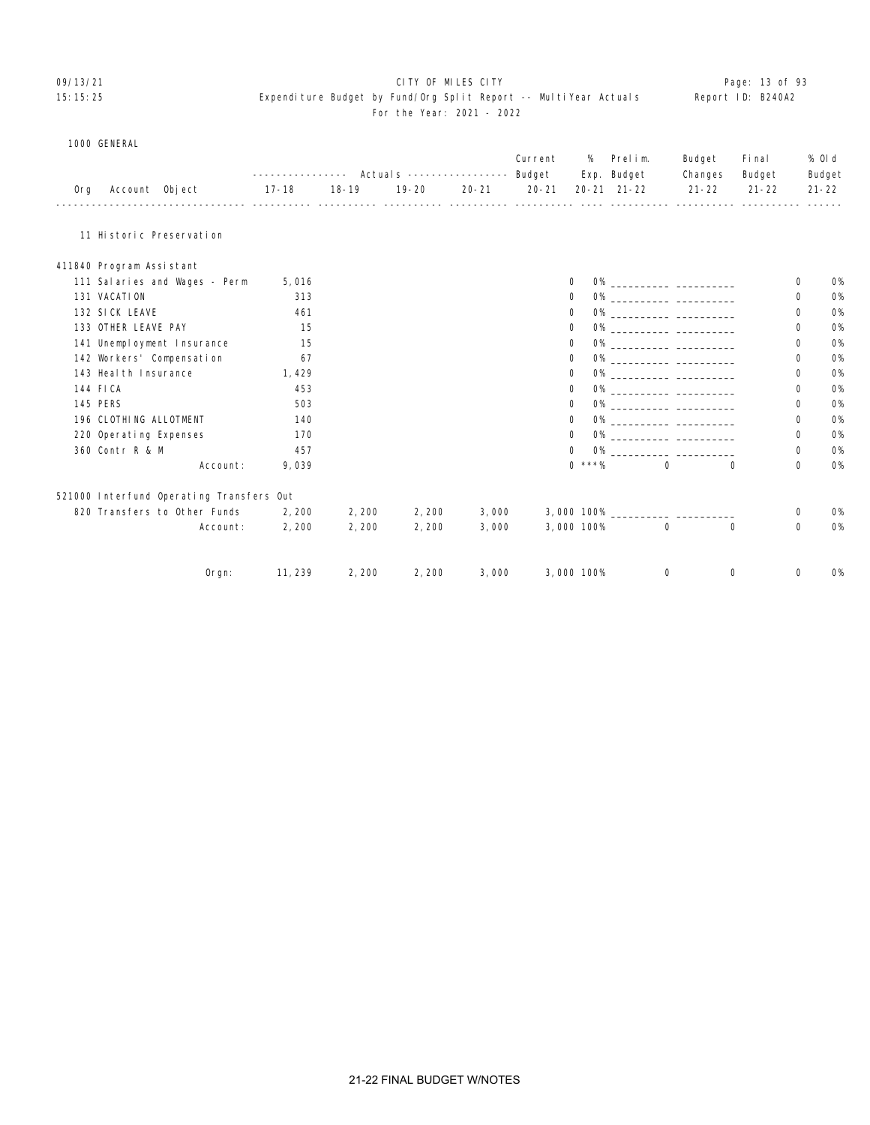#### 09/13/21 **CITY OF MILES CITY CITY CONSUMING THE PAGE: 13 of 93** 15:15:25 Expenditure Budget by Fund/Org Split Report -- MultiYear Actuals Report ID: B240A2 For the Year: 2021 - 2022

#### 1000 GENERAL

|     |                                          | Actual s -----------------<br>------------ |           |                                                      |           | Current<br>Budget | %          | Prelim.<br>Exp. Budget | Budget<br>Changes | Fi nal<br>Budget | % 0l d<br>Budget |           |
|-----|------------------------------------------|--------------------------------------------|-----------|------------------------------------------------------|-----------|-------------------|------------|------------------------|-------------------|------------------|------------------|-----------|
| 0rg | Account Object                           | $17 - 18$                                  | $18 - 19$ | $19 - 20$<br><u>---- ---------- ---------- -----</u> | $20 - 21$ | $20 - 21$         |            | $20 - 21$ $21 - 22$    | $21 - 22$         | $21 - 22$        |                  | $21 - 22$ |
|     | 11 Historic Preservation                 |                                            |           |                                                      |           |                   |            |                        |                   |                  |                  |           |
|     | 411840 Program Assistant                 |                                            |           |                                                      |           |                   |            |                        |                   |                  |                  |           |
|     | 111 Salaries and Wages - Perm            | 5,016                                      |           |                                                      |           |                   | 0          |                        |                   |                  | 0                | <b>O%</b> |
|     | 131 VACATION                             | 313                                        |           |                                                      |           |                   | 0          |                        |                   |                  | 0                | <b>0%</b> |
|     | 132 SICK LEAVE                           | 461                                        |           |                                                      |           |                   | 0          |                        |                   |                  | 0                | <b>0%</b> |
|     | 133 OTHER LEAVE PAY                      | 15                                         |           |                                                      |           |                   | 0          |                        |                   |                  | 0                | <b>0%</b> |
|     | 141 Unemployment Insurance               | 15                                         |           |                                                      |           |                   | 0          |                        |                   |                  | 0                | <b>0%</b> |
|     | 142 Workers' Compensation                | 67                                         |           |                                                      |           |                   | 0          |                        |                   |                  | 0                | <b>0%</b> |
|     | 143 Heal th Insurance                    | 1,429                                      |           |                                                      |           |                   | 0          |                        |                   |                  | 0                | <b>0%</b> |
|     | 144 FICA                                 | 453                                        |           |                                                      |           |                   | 0          |                        |                   |                  | 0                | <b>0%</b> |
|     | <b>145 PERS</b>                          | 503                                        |           |                                                      |           |                   | 0          |                        |                   |                  | 0                | <b>O%</b> |
|     | 196 CLOTHING ALLOTMENT                   | 140                                        |           |                                                      |           |                   | 0          |                        |                   |                  | 0                | <b>0%</b> |
|     | 220 Operating Expenses                   | 170                                        |           |                                                      |           |                   | 0          |                        |                   |                  | 0                | <b>0%</b> |
|     | 360 Contr R & M                          | 457                                        |           |                                                      |           |                   | $\Omega$   |                        |                   |                  | 0                | <b>O%</b> |
|     | Account:                                 | 9,039                                      |           |                                                      |           |                   | $0$ ***%   |                        | $\Omega$          | $\Omega$         | $\mathbf 0$      | <b>0%</b> |
|     | 521000 Interfund Operating Transfers Out |                                            |           |                                                      |           |                   |            |                        |                   |                  |                  |           |
|     | 820 Transfers to Other Funds             | 2,200                                      | 2,200     | 2,200                                                | 3,000     |                   |            |                        |                   |                  | 0                | <b>O%</b> |
|     | Account:                                 | 2,200                                      | 2,200     | 2,200                                                | 3,000     |                   | 3,000 100% |                        | $\mathbf 0$       | $\Omega$         | $\mathbf 0$      | <b>0%</b> |
|     | Orgn:                                    | 11, 239                                    | 2,200     | 2,200                                                | 3,000     |                   | 3,000 100% |                        | $\Omega$          | 0                | 0                | <b>0%</b> |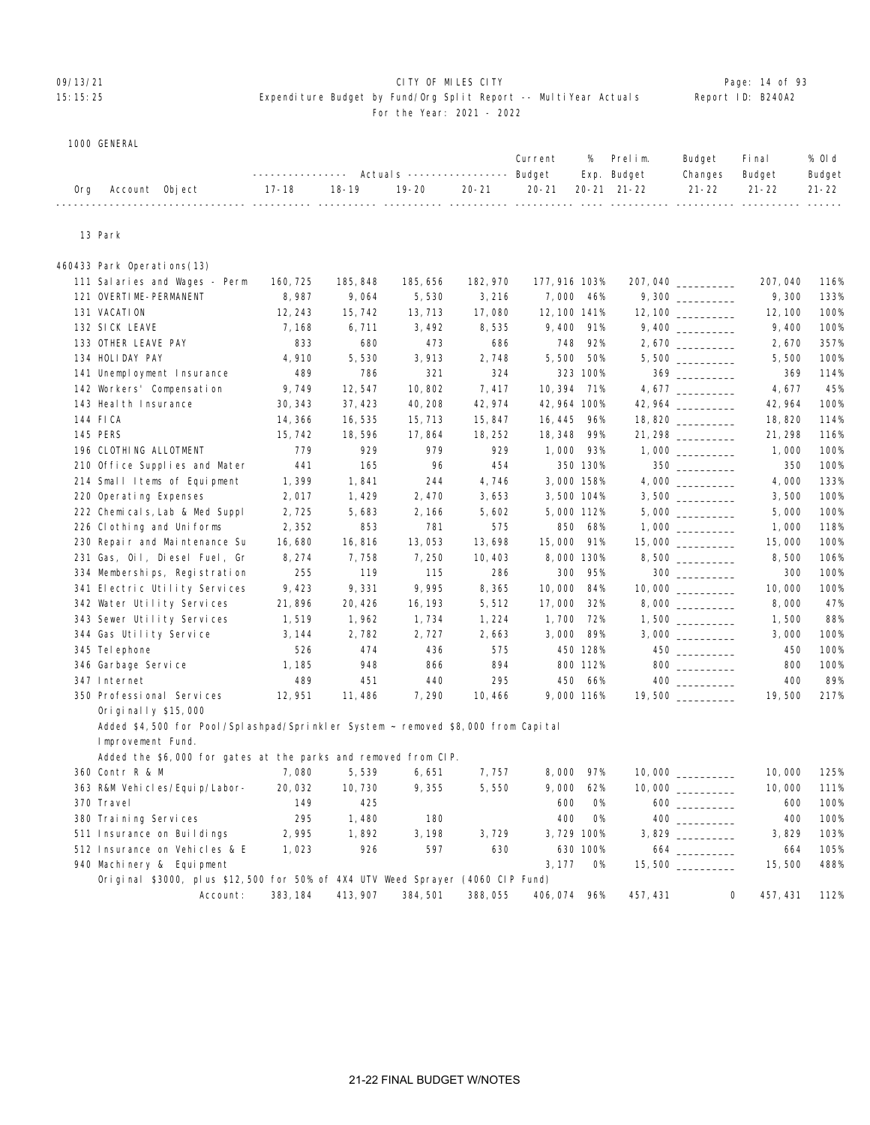#### 09/13/21 Page: 14 of 93 15:15:25 Expenditure Budget by Fund/Org Split Report -- MultiYear Actuals Report ID: B240A2 For the Year: 2021 - 2022

#### 1000 GENERAL

|  |                    |  |  |  | Current % Prelim. Budget Final                                             | % Old  |
|--|--------------------|--|--|--|----------------------------------------------------------------------------|--------|
|  |                    |  |  |  | --------------- Actuals ---------------- Budget Exp. Budget Changes Budget | Budget |
|  | Org Account Object |  |  |  | 17-18   18-19   19-20   20-21   20-21  20-21 21-22   21-22   21-22   21-22 |        |
|  |                    |  |  |  |                                                                            |        |

#### 13 Park

| 460433 Park Operations(13)                                                       |          |          |          |          |               |           |                       |         |      |
|----------------------------------------------------------------------------------|----------|----------|----------|----------|---------------|-----------|-----------------------|---------|------|
| 111 Salaries and Wages - Perm                                                    | 160, 725 | 185, 848 | 185, 656 | 182, 970 | 177, 916 103% |           | 207,040               | 207,040 | 116% |
| 121 OVERTIME-PERMANENT                                                           | 8,987    | 9,064    | 5,530    | 3,216    | 7,000 46%     |           | 9,300                 | 9,300   | 133% |
| 131 VACATION                                                                     | 12, 243  | 15, 742  | 13, 713  | 17,080   | 12, 100 141%  |           |                       | 12, 100 | 100% |
| 132 SICK LEAVE                                                                   | 7,168    | 6,711    | 3, 492   | 8,535    | 9,400         | 91%       |                       | 9,400   | 100% |
| 133 OTHER LEAVE PAY                                                              | 833      | 680      | 473      | 686      | 748           | 92%       | $2,670$ _________     | 2,670   | 357% |
| 134 HOLIDAY PAY                                                                  | 4,910    | 5,530    | 3,913    | 2,748    | 5,500         | 50%       |                       | 5,500   | 100% |
| 141 Unemployment Insurance                                                       | 489      | 786      | 321      | 324      |               | 323 100%  | $369$                 | 369     | 114% |
| 142 Workers' Compensation                                                        | 9,749    | 12,547   | 10,802   | 7,417    | 10, 394       | 71%       |                       | 4,677   | 45%  |
| 143 Heal th Insurance                                                            | 30, 343  | 37, 423  | 40, 208  | 42, 974  | 42, 964 100%  |           |                       | 42, 964 | 100% |
| 144 FICA                                                                         | 14, 366  | 16,535   | 15, 713  | 15,847   | 16, 445       | 96%       | $18,820$ ____________ | 18,820  | 114% |
| <b>145 PERS</b>                                                                  | 15, 742  | 18, 596  | 17,864   | 18, 252  | 18, 348       | 99%       | 21, 298               | 21, 298 | 116% |
| 196 CLOTHING ALLOTMENT                                                           | 779      | 929      | 979      | 929      | 1,000 93%     |           |                       | 1,000   | 100% |
| 210 Office Supplies and Mater                                                    | 441      | 165      | 96       | 454      |               | 350 130%  | $350$                 | 350     | 100% |
| 214 Small Items of Equipment                                                     | 1,399    | 1,841    | 244      | 4,746    | 3,000 158%    |           |                       | 4,000   | 133% |
| 220 Operating Expenses                                                           | 2,017    | 1,429    | 2,470    | 3,653    | 3,500 104%    |           |                       | 3,500   | 100% |
| 222 Chemicals, Lab & Med Suppl                                                   | 2,725    | 5,683    | 2, 166   | 5,602    | 5,000 112%    |           |                       | 5,000   | 100% |
| 226 Clothing and Uniforms                                                        | 2,352    | 853      | 781      | 575      | 850           | 68%       |                       | 1,000   | 118% |
| 230 Repair and Maintenance Su                                                    | 16,680   | 16,816   | 13,053   | 13,698   | 15,000        | 91%       | 15,000 _________      | 15,000  | 100% |
| 231 Gas, Oil, Diesel Fuel, Gr                                                    | 8, 274   | 7,758    | 7,250    | 10, 403  | 8,000 130%    |           |                       | 8,500   | 106% |
| 334 Memberships, Registration                                                    | 255      | 119      | 115      | 286      | 300           | 95%       |                       | 300     | 100% |
| 341 Electric Utility Services                                                    | 9,423    | 9,331    | 9,995    | 8,365    | 10,000        | 84%       |                       | 10,000  | 100% |
| 342 Water Utility Services                                                       | 21,896   | 20, 426  | 16, 193  | 5,512    | 17,000        | 32%       |                       | 8,000   | 47%  |
| 343 Sewer Utility Services                                                       | 1,519    | 1,962    | 1,734    | 1,224    | 1,700         | 72%       |                       | 1,500   | 88%  |
| 344 Gas Utility Service                                                          | 3, 144   | 2,782    | 2,727    | 2,663    | 3,000         | 89%       |                       | 3,000   | 100% |
| 345 Tel ephone                                                                   | 526      | 474      | 436      | 575      |               | 450 128%  |                       | 450     | 100% |
| 346 Garbage Service                                                              | 1, 185   | 948      | 866      | 894      |               | 800 112%  | $800$                 | 800     | 100% |
| 347 Internet                                                                     | 489      | 451      | 440      | 295      | 450           | 66%       |                       | 400     | 89%  |
| 350 Professional Services                                                        | 12,951   | 11,486   | 7,290    | 10,466   | 9,000 116%    |           | 19,500                | 19,500  | 217% |
| Originally $$15,000$                                                             |          |          |          |          |               |           |                       |         |      |
| Added \$4,500 for Pool/Splashpad/Sprinkler System ~ removed \$8,000 from Capital |          |          |          |          |               |           |                       |         |      |
| Improvement Fund.                                                                |          |          |          |          |               |           |                       |         |      |
| Added the \$6,000 for gates at the parks and removed from CIP.                   |          |          |          |          |               |           |                       |         |      |
| 360 Contr R & M                                                                  | 7,080    | 5,539    | 6,651    | 7,757    | 8,000         | 97%       |                       | 10,000  | 125% |
| 363 R&M Vehicles/Equip/Labor-                                                    | 20,032   | 10, 730  | 9,355    | 5,550    | 9,000         | 62%       | 10,000 _________      | 10,000  | 111% |
| 370 Travel                                                                       | 149      | 425      |          |          | 600           | <b>O%</b> |                       | 600     | 100% |
| 380 Training Services                                                            | 295      | 1,480    | 180      |          | 400           | 0%        |                       | 400     | 100% |
| 511 Insurance on Buildings                                                       | 2,995    | 1,892    | 3, 198   | 3,729    | 3,729 100%    |           |                       | 3,829   | 103% |
| 512 Insurance on Vehicles & E                                                    | 1,023    | 926      | 597      | 630      |               | 630 100%  | 664                   | 664     | 105% |
| 940 Machinery & Equipment                                                        |          |          |          |          | 3, 177        | <b>O%</b> | 15,500 _________      | 15,500  | 488% |

Account: 383,184 413,907 384,501 388,055 406,074 96% 457,431 0 457,431 112%

Original \$3000, plus \$12,500 for 50% of 4X4 UTV Weed Sprayer (4060 CIP Fund)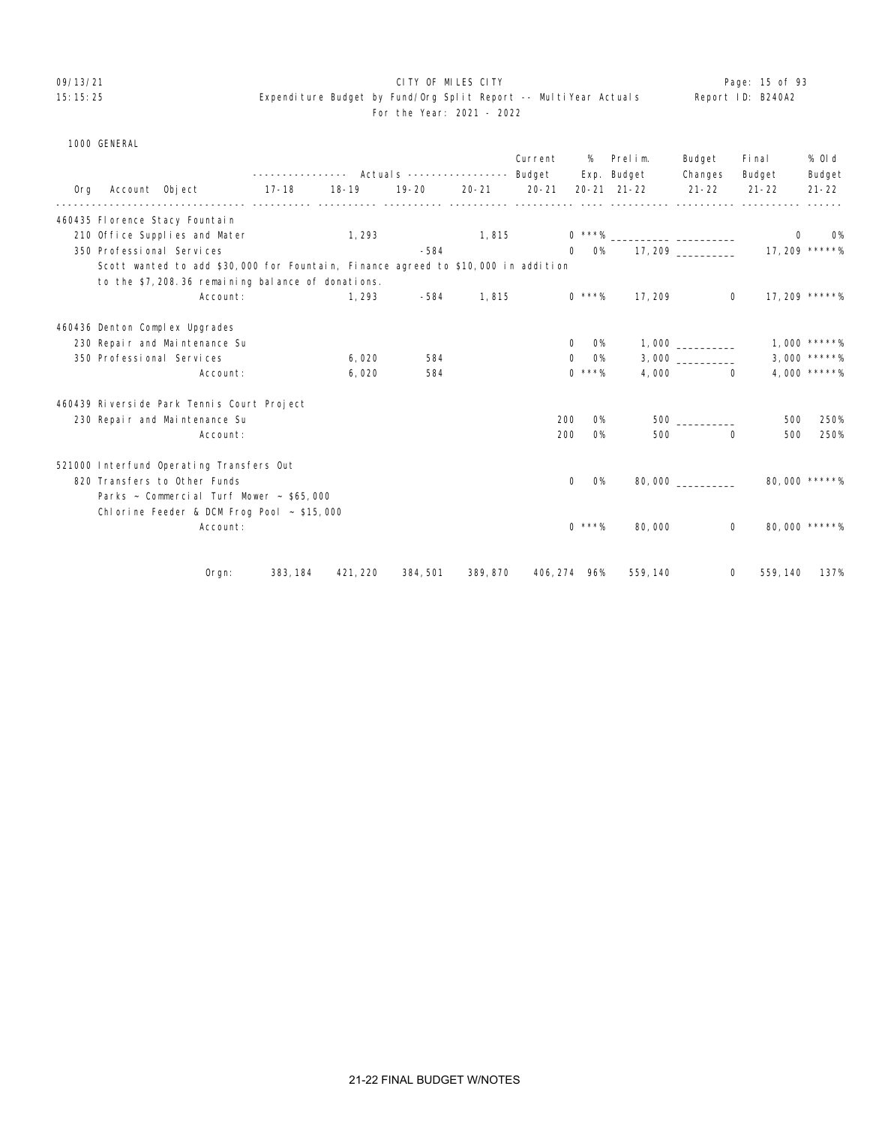### 09/13/21 **CITY OF MILES CITY CITY CONSUMILES CITY Page: 15 of 93** 15:15:25 Expenditure Budget by Fund/Org Split Report -- MultiYear Actuals Report ID: B240A2

# For the Year: 2021 - 2022

|     | 1000 GENERAL   |                                                                                   |          |                                                          |           |           |           |                    |                          |                   |                 |                  |
|-----|----------------|-----------------------------------------------------------------------------------|----------|----------------------------------------------------------|-----------|-----------|-----------|--------------------|--------------------------|-------------------|-----------------|------------------|
|     |                |                                                                                   |          | ---------------    Actuals    ----------------    Budget |           |           | Current   |                    | % Prelim.<br>Exp. Budget | Budget<br>Changes | Final<br>Budget | % 0l d<br>Budget |
| 0rg | Account Object |                                                                                   | $17-18$  | $18 - 19$                                                | $19 - 20$ | $20 - 21$ | $20 - 21$ |                    | $20 - 21$ $21 - 22$      | $21 - 22$         | $21 - 22$       | $21 - 22$        |
|     |                | 460435 Florence Stacy Fountain                                                    |          |                                                          |           |           |           |                    |                          |                   |                 |                  |
|     |                | 210 Office Supplies and Mater                                                     |          | 1, 293                                                   |           | 1,815     |           |                    |                          |                   | $\mathbf{0}$    | <b>O%</b>        |
|     |                | 350 Professional Services                                                         |          |                                                          | $-584$    |           |           |                    |                          |                   |                 |                  |
|     |                | Scott wanted to add \$30,000 for Fountain, Finance agreed to \$10,000 in addition |          |                                                          |           |           |           |                    |                          |                   |                 |                  |
|     |                | to the \$7,208.36 remaining balance of donations.                                 |          |                                                          |           |           |           |                    |                          |                   |                 |                  |
|     |                | Account:                                                                          |          | 1, 293                                                   | -584      | 1,815     |           | $0$ ***%           | 17, 209                  | $\Omega$          |                 | 17, 209 *****%   |
|     |                | 460436 Denton Complex Upgrades                                                    |          |                                                          |           |           |           |                    |                          |                   |                 |                  |
|     |                | 230 Repair and Maintenance Su                                                     |          |                                                          |           |           |           | O%<br>0            |                          |                   |                 | 1.000 *****%     |
|     |                | 350 Professional Services                                                         |          | 6,020                                                    | 584       |           |           | O%<br>$\mathbf{0}$ |                          | 3,000             |                 | $3,000$ *****%   |
|     |                | Account:                                                                          |          | 6,020                                                    | 584       |           |           | $0$ ***%           |                          | 4,000<br>$\Omega$ |                 | 4,000 *****%     |
|     |                | 460439 Riverside Park Tennis Court Project                                        |          |                                                          |           |           |           |                    |                          |                   |                 |                  |
|     |                | 230 Repair and Maintenance Su                                                     |          |                                                          |           |           |           | 200<br>O%          |                          | $500$ $\qquad$    | 500             | 250%             |
|     |                | Account:                                                                          |          |                                                          |           |           |           | 200<br><b>O%</b>   | 500                      | $\Omega$          | 500             | 250%             |
|     |                | 521000 Interfund Operating Transfers Out                                          |          |                                                          |           |           |           |                    |                          |                   |                 |                  |
|     |                | 820 Transfers to Other Funds                                                      |          |                                                          |           |           |           | <b>O%</b><br>0     |                          | 80,000            |                 | 80,000 *****%    |
|     |                | Parks $\sim$ Commercial Turf Mower $\sim$ \$65,000                                |          |                                                          |           |           |           |                    |                          |                   |                 |                  |
|     |                | Chlorine Feeder & DCM Frog Pool $\sim$ \$15,000                                   |          |                                                          |           |           |           |                    |                          |                   |                 |                  |
|     |                | Account:                                                                          |          |                                                          |           |           |           | $0$ ***%           | 80,000                   | 0                 |                 | 80,000 *****%    |
|     |                |                                                                                   |          |                                                          |           |           |           |                    |                          |                   |                 |                  |
|     |                | $O$ rgn:                                                                          | 383, 184 | 421, 220                                                 | 384, 501  | 389, 870  |           | 406, 274 96%       | 559, 140                 | $\overline{0}$    | 559, 140        | 137%             |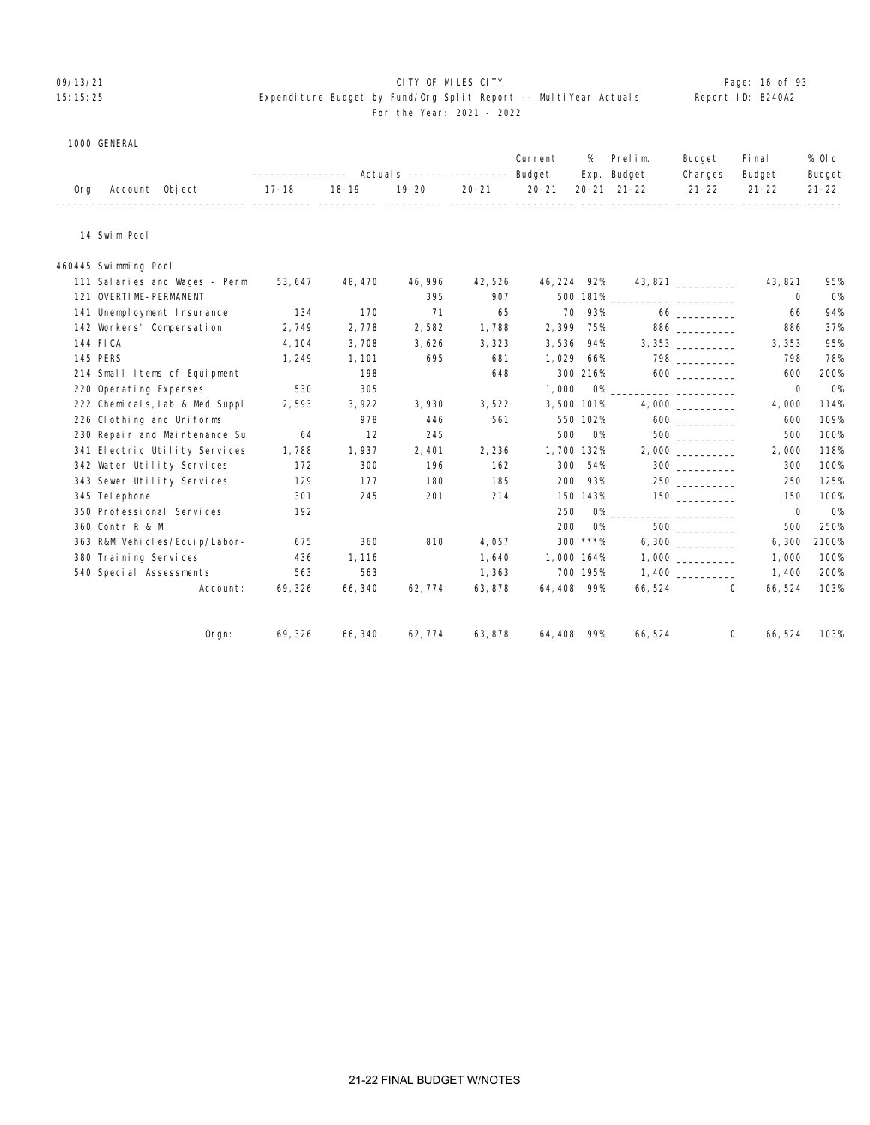#### 09/13/21 Page: 16 of 93 15:15:25 Expenditure Budget by Fund/Org Split Report -- MultiYear Actuals Report ID: B240A2 For the Year: 2021 - 2022

#### 1000 GENERAL

| ---------------    Actuals ----------------    Budget    Exp.    Budget<br>17-18 18-19 19-20 20-21 20-21 20-21 21-22 21-22 21-22 21-22<br>Org Account Object |  |                          |
|--------------------------------------------------------------------------------------------------------------------------------------------------------------|--|--------------------------|
|                                                                                                                                                              |  | Budget<br>Changes Budget |
|                                                                                                                                                              |  |                          |

14 Swim Pool

460445 Swimming Pool

| 111 Salaries and Wages - Perm    | 53, 647 | 48, 470 | 46, 996 | 42,526  | 46, 224    | 92%       | 43,821  |                | 43, 821     | 95%       |
|----------------------------------|---------|---------|---------|---------|------------|-----------|---------|----------------|-------------|-----------|
| 121 OVERTIME-PERMANENT           |         |         | 395     | 907     | 500 181%   |           |         |                | $\mathbf 0$ | <b>O%</b> |
| 141 Unemployment Insurance       | 134     | 170     | 71      | 65      | 70         | 93%       |         |                | 66          | 94%       |
| 142 Workers' Compensation        | 2,749   | 2,778   | 2,582   | 1,788   | 2,399      | 75%       |         | 886            | 886         | 37%       |
| 144 FICA                         | 4, 104  | 3,708   | 3,626   | 3,323   | 3,536      | 94%       |         | 3,353          | 3, 353      | 95%       |
| 145 PERS                         | 1, 249  | 1, 101  | 695     | 681     | 1,029      | 66%       |         |                | 798         | 78%       |
| 214 Small Items of Equipment     |         | 198     |         | 648     | 300 216%   |           |         |                | 600         | 200%      |
| 220 Operating Expenses           | 530     | 305     |         |         | 1,000      |           |         |                | $\mathbf 0$ | <b>O%</b> |
| 222 Chemicals, Lab & Med Suppl   | 2,593   | 3,922   | 3,930   | 3,522   | 3,500 101% |           |         |                | 4,000       | 114%      |
| 226 Cl othing and Uniforms       |         | 978     | 446     | 561     | 550 102%   |           |         |                | 600         | 109%      |
| 230 Repair and Maintenance Su    | 64      | 12      | 245     |         | 500        | O%        |         |                | 500         | 100%      |
| 341 Electric Utility Services    | 1,788   | 1,937   | 2,401   | 2,236   | 1,700 132% |           |         |                | 2,000       | 118%      |
| 342 Water Utility Services       | 172     | 300     | 196     | 162     | 300        | 54%       |         | $300$          | 300         | 100%      |
| 343 Sewer Utility Services       | 129     | 177     | 180     | 185     | 200        | 93%       |         |                | 250         | 125%      |
| 345 Tel ephone                   | 301     | 245     | 201     | 214     | 150 143%   |           |         | $150$ ________ | 150         | 100%      |
| 350 Professional Services        | 192     |         |         |         | 250        |           |         |                | $\mathbf 0$ | <b>O%</b> |
| 360 Contr R & M                  |         |         |         |         | 200        | <b>O%</b> |         | 500 000        | 500         | 250%      |
| 363 R&M Vehi cl es/Equi p/Labor- | 675     | 360     | 810     | 4,057   | $300$ ***% |           |         |                | 6, 300      | 2100%     |
| 380 Training Services            | 436     | 1,116   |         | 1,640   | 1,000 164% |           |         |                | 1,000       | 100%      |
| 540 Special Assessments          | 563     | 563     |         | 1,363   | 700 195%   |           |         |                | 1,400       | 200%      |
| Account:                         | 69, 326 | 66, 340 | 62, 774 | 63, 878 | 64,408 99% |           | 66, 524 | $\mathbf 0$    | 66, 524     | 103%      |
| Orgn:                            | 69, 326 | 66, 340 | 62, 774 | 63, 878 | 64, 408    | 99%       | 66, 524 | 0              | 66, 524     | 103%      |
|                                  |         |         |         |         |            |           |         |                |             |           |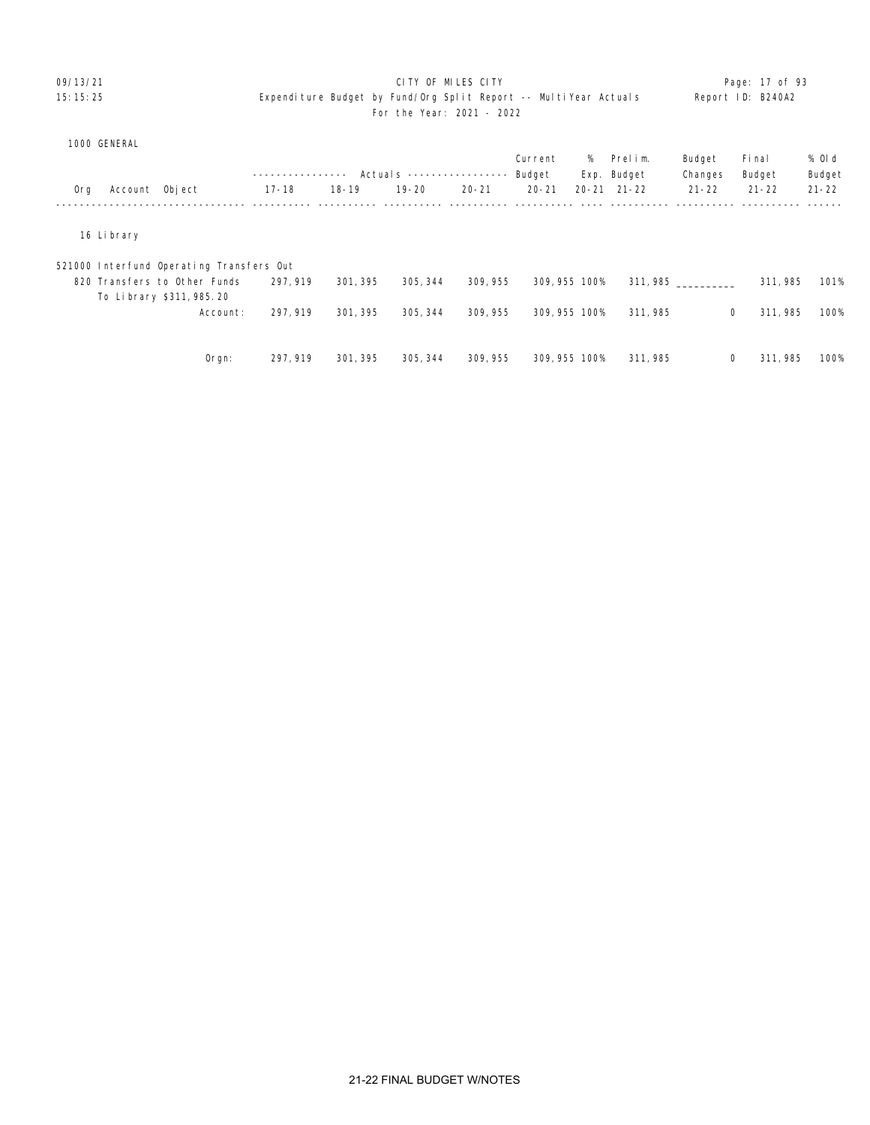|  | 1000 GENERAL |
|--|--------------|
|--|--------------|

|     |                |                                          |           |           |                           |           | Current       | % | Prelim.             | Budget       | Fi nal    | % Old     |
|-----|----------------|------------------------------------------|-----------|-----------|---------------------------|-----------|---------------|---|---------------------|--------------|-----------|-----------|
|     |                |                                          |           |           | Actual s ---------------- |           | Budget        |   | Exp. Budget         | Changes      | Budget    | Budget    |
| 0rg | Account Object |                                          | $17 - 18$ | $18 - 19$ | $19 - 20$                 | $20 - 21$ | $20 - 21$     |   | $20 - 21$ $21 - 22$ | $21 - 22$    | $21 - 22$ | $21 - 22$ |
|     |                |                                          |           |           |                           |           |               |   |                     |              |           |           |
|     | 16 Li brary    |                                          |           |           |                           |           |               |   |                     |              |           |           |
|     |                | 521000 Interfund Operating Transfers Out |           |           |                           |           |               |   |                     |              |           |           |
|     |                | 820 Transfers to Other Funds             | 297, 919  | 301, 395  | 305, 344                  | 309, 955  | 309, 955 100% |   | 311, 985            |              | 311, 985  | 101%      |
|     |                | To Library \$311, 985, 20                |           |           |                           |           |               |   |                     |              |           |           |
|     |                | Account:                                 | 297, 919  | 301, 395  | 305, 344                  | 309, 955  | 309, 955 100% |   | 311, 985            | $\mathbf{0}$ | 311, 985  | 100%      |
|     |                |                                          |           |           |                           |           |               |   |                     |              |           |           |
|     |                | $O$ rgn:                                 | 297, 919  | 301, 395  | 305, 344                  | 309, 955  | 309, 955 100% |   | 311, 985            | 0            | 311, 985  | 100%      |
|     |                |                                          |           |           |                           |           |               |   |                     |              |           |           |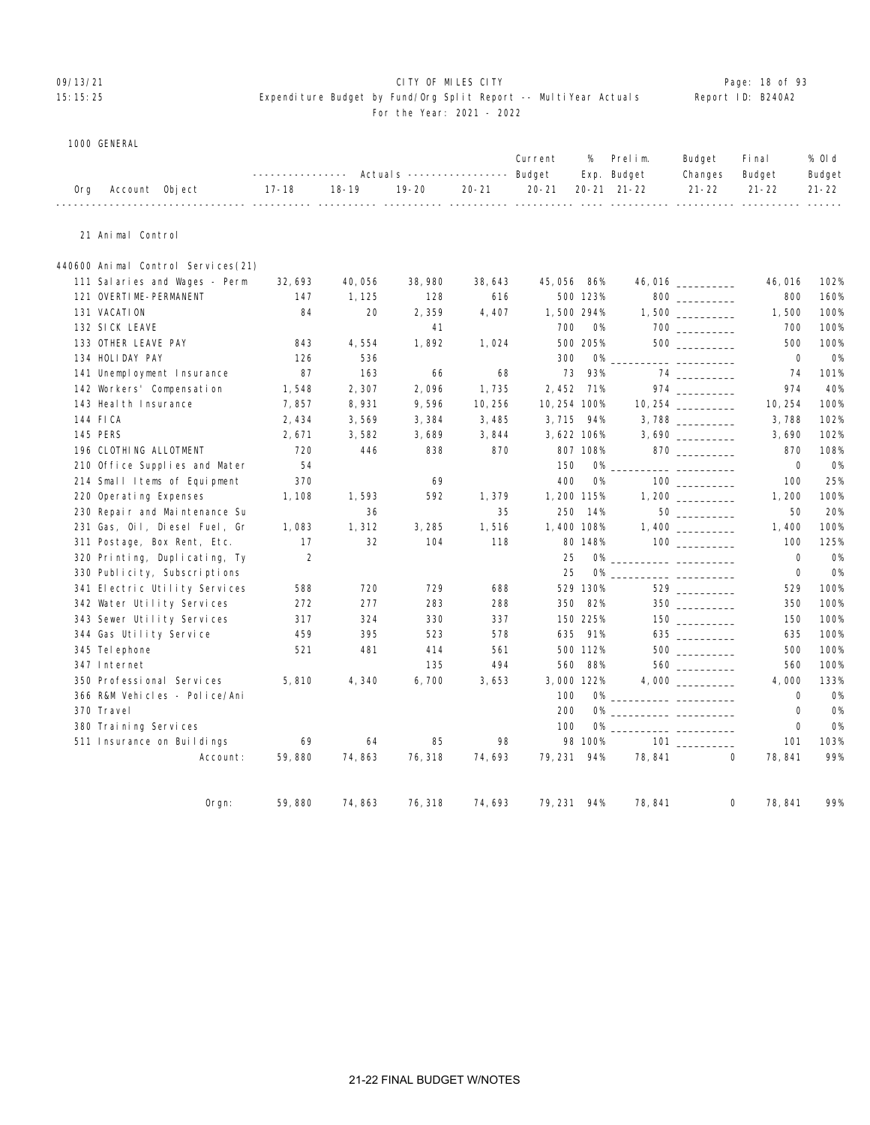# OP/13/21 **CITY OF MILES CITY CITY CITY CITY Page: 18 of 93**

# 15:15:25 Expenditure Budget by Fund/Org Split Report -- MultiYear Actuals Report ID: B240A2 For the Year: 2021 - 2022

1000 GENERAL

|     |                                    | ________________ |           | Actuals ----------------- Budget |           | Current      | %          | Prelim.<br>Exp. Budget                                                                                                      | Budget<br>Changes                            | Fi nal<br>Budget | % Old<br>Budget |
|-----|------------------------------------|------------------|-----------|----------------------------------|-----------|--------------|------------|-----------------------------------------------------------------------------------------------------------------------------|----------------------------------------------|------------------|-----------------|
| 0rg | Account Object<br>----------       | $17 - 18$        | $18 - 19$ | $19 - 20$                        | $20 - 21$ | $20 - 21$    |            | 20-21 21-22<br>___________ __________                                                                                       | $21 - 22$                                    | $21 - 22$        | $21 - 22$       |
|     | 21 Animal Control                  |                  |           |                                  |           |              |            |                                                                                                                             |                                              |                  |                 |
|     | 440600 Animal Control Services(21) |                  |           |                                  |           |              |            |                                                                                                                             |                                              |                  |                 |
|     | 111 Salaries and Wages - Perm      | 32, 693          | 40,056    | 38, 980                          | 38,643    | 45, 056      | 86%        |                                                                                                                             | $46,016$ ___________                         | 46,016           | 102%            |
|     | 121 OVERTIME-PERMANENT             | 147              | 1, 125    | 128                              | 616       |              | 500 123%   |                                                                                                                             | $800$                                        | 800              | 160%            |
|     | 131 VACATION                       | 84               | 20        | 2,359                            | 4,407     | 1,500 294%   |            |                                                                                                                             | $1,500$ __________                           | 1,500            | 100%            |
|     | 132 SICK LEAVE                     |                  |           | 41                               |           | 700          | <b>O%</b>  |                                                                                                                             |                                              | 700              | 100%            |
|     | 133 OTHER LEAVE PAY                | 843              | 4,554     | 1,892                            | 1,024     |              | 500 205%   |                                                                                                                             | $500$                                        | 500              | 100%            |
|     | 134 HOLIDAY PAY                    | 126              | 536       |                                  |           | 300          | <b>O%</b>  |                                                                                                                             |                                              | $\mathbf 0$      | O%              |
|     | 141 Unemployment Insurance         | 87               | 163       | 66                               | 68        | 73           | 93%        |                                                                                                                             |                                              | 74               | 101%            |
|     | 142 Workers' Compensation          | 1,548            | 2,307     | 2,096                            | 1,735     | 2,452        | 71%        |                                                                                                                             | $974$ _________                              | 974              | 40%             |
|     | 143 Heal th Insurance              | 7,857            | 8,931     | 9,596                            | 10, 256   | 10, 254 100% |            |                                                                                                                             |                                              | 10, 254          | 100%            |
|     | 144 FICA                           | 2,434            | 3,569     | 3,384                            | 3,485     | 3,715        | 94%        |                                                                                                                             |                                              | 3,788            | 102%            |
|     | 145 PERS                           | 2,671            | 3,582     | 3,689                            | 3,844     | 3,622 106%   |            |                                                                                                                             |                                              | 3,690            | 102%            |
|     | 196 CLOTHING ALLOTMENT             | 720              | 446       | 838                              | 870       |              | 807 108%   |                                                                                                                             | $870$ _________                              | 870              | 108%            |
|     | 210 Office Supplies and Mater      | 54               |           |                                  |           | 150          | <b>O%</b>  |                                                                                                                             |                                              | 0                | <b>O%</b>       |
|     | 214 Small Items of Equipment       | 370              |           | 69                               |           | 400          | <b>O%</b>  |                                                                                                                             |                                              | 100              | 25%             |
|     | 220 Operating Expenses             | 1, 108           | 1,593     | 592                              | 1,379     | 1, 200 115%  |            |                                                                                                                             |                                              | 1,200            | 100%            |
|     | 230 Repair and Maintenance Su      |                  | 36        |                                  | 35        | 250          | 14%        |                                                                                                                             |                                              | 50               | 20%             |
|     | 231 Gas, Oil, Diesel Fuel, Gr      | 1,083            | 1,312     | 3, 285                           | 1,516     | 1,400 108%   |            |                                                                                                                             |                                              | 1,400            | 100%            |
|     | 311 Postage, Box Rent, Etc.        | 17               | 32        | 104                              | 118       |              | 80 148%    |                                                                                                                             | 100                                          | 100              | 125%            |
|     | 320 Printing, Duplicating, Ty      | 2                |           |                                  |           | 25           |            |                                                                                                                             |                                              | $\mathbf 0$      | <b>0%</b>       |
|     | 330 Publicity, Subscriptions       |                  |           |                                  |           | 25           | <b>O%</b>  |                                                                                                                             | <u> 1980 - Andrea Standard III, martin a</u> | $\mathbf 0$      | <b>O%</b>       |
|     | 341 Electric Utility Services      | 588              | 720       | 729                              | 688       |              | 529 130%   |                                                                                                                             |                                              | 529              | 100%            |
|     | 342 Water Utility Services         | 272              | 277       | 283                              | 288       | 350          | 82%        |                                                                                                                             | $350$                                        | 350              | 100%            |
|     | 343 Sewer Utility Services         | 317              | 324       | 330                              | 337       |              | 150 225%   |                                                                                                                             | $\begin{tabular}{c} 150 \end{tabular}$       | 150              | 100%            |
|     | 344 Gas Utility Service            | 459              | 395       | 523                              | 578       | 635          | 91%        |                                                                                                                             | $635$                                        | 635              | 100%            |
|     | 345 Tel ephone                     | 521              | 481       | 414                              | 561       |              | 500 112%   |                                                                                                                             |                                              | 500              | 100%            |
|     | 347 Internet                       |                  |           | 135                              | 494       | 560          | 88%        |                                                                                                                             |                                              | 560              | 100%            |
|     | 350 Professional Services          | 5,810            | 4,340     | 6,700                            | 3,653     |              | 3,000 122% |                                                                                                                             |                                              | 4,000            | 133%            |
|     | 366 R&M Vehicles - Police/Ani      |                  |           |                                  |           | 100          |            |                                                                                                                             |                                              | $\mathbf 0$      | <b>O%</b>       |
|     | 370 Travel                         |                  |           |                                  |           | 200          | 0%         | <u> Alexandro Alexandro (Alexandro Alexandro Alexandro Alexandro Alexandro Alexandro Alexandro Alexandro Alexandro Alex</u> |                                              | $\mathbf 0$      | <b>O%</b>       |
|     | 380 Training Services              |                  |           |                                  |           | 100          | 0%         |                                                                                                                             |                                              | $\mathbf 0$      | 0%              |
|     | 511 Insurance on Buildings         | 69               | 64        | 85                               | 98        |              | 98 100%    |                                                                                                                             |                                              | 101              | 103%            |
|     | Account:                           | 59,880           | 74,863    | 76, 318                          | 74,693    | 79, 231      | 94%        | 78, 841                                                                                                                     | 0                                            | 78,841           | 99%             |

Orgn: 59,880 74,863 76,318 74,693 79,231 94% 78,841 0 78,841 99%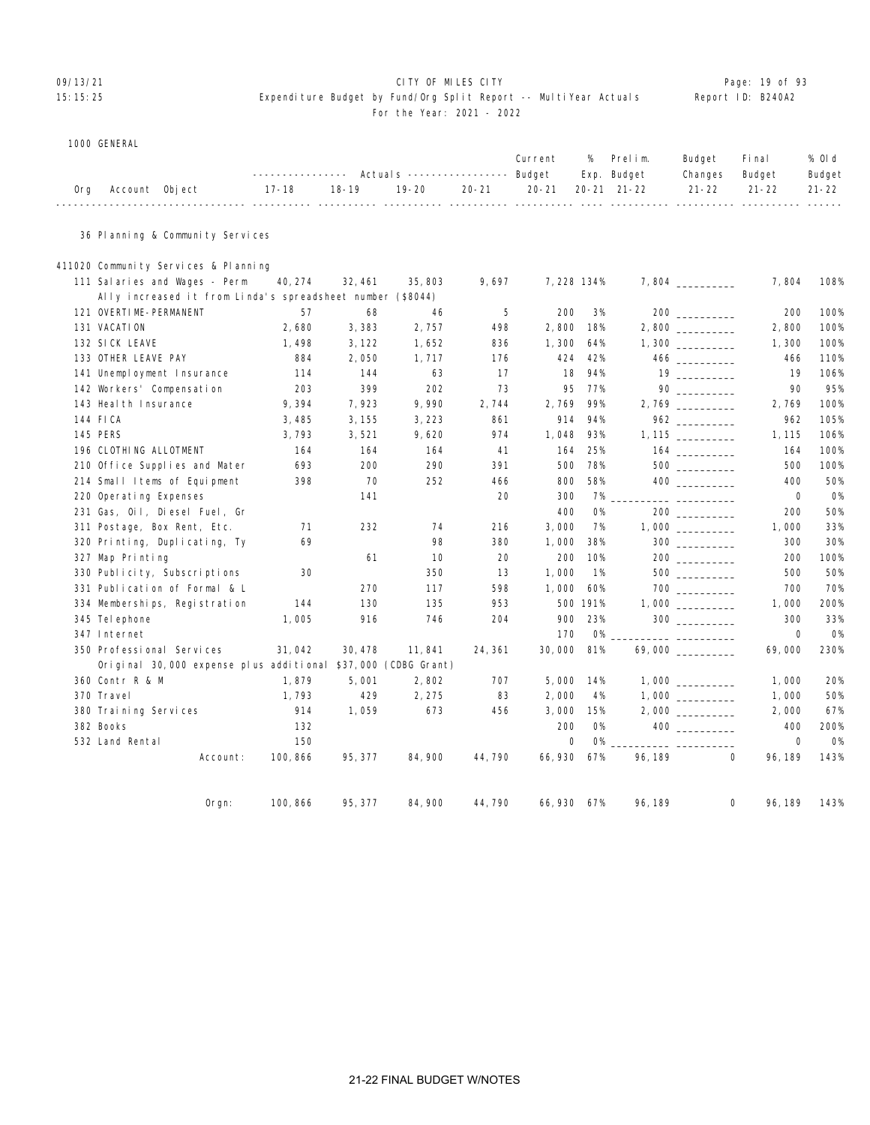# 09/13/21 **CITY OF MILES CITY CITY CONSUMING THE PAGE: 19 of 93** 15:15:25 Expenditure Budget by Fund/Org Split Report -- MultiYear Actuals Report ID: B240A2 For the Year: 2021 - 2022

#### 1000 GENERAL

|  |                    |             |  |  |  | Current % Prelim. Budget Final                                             | % Old  |
|--|--------------------|-------------|--|--|--|----------------------------------------------------------------------------|--------|
|  |                    |             |  |  |  | --------------- Actuals ---------------- Budget Exp. Budget Changes Budget | Budget |
|  | Org Account Object | 17-18 18-19 |  |  |  | 19-20   20-21   20-21  20-21 21-22    21-22   21-22   21-22                |        |
|  |                    |             |  |  |  |                                                                            |        |

#### 36 Planning & Community Services

| 411020 Community Services & Planning                          |          |         |         |         |             |           |         |                                 |         |           |
|---------------------------------------------------------------|----------|---------|---------|---------|-------------|-----------|---------|---------------------------------|---------|-----------|
| 111 Salaries and Wages - Perm                                 | 40, 274  | 32, 461 | 35, 803 | 9,697   | 7, 228 134% |           |         |                                 | 7,804   | 108%      |
| Ally increased it from Linda's spreadsheet number (\$8044)    |          |         |         |         |             |           |         |                                 |         |           |
| 121 OVERTIME-PERMANENT                                        | 57       | 68      | 46      | 5       | 200         | 3%        |         |                                 | 200     | 100%      |
| 131 VACATION                                                  | 2,680    | 3,383   | 2,757   | 498     | 2,800       | 18%       |         |                                 | 2,800   | 100%      |
| 132 SICK LEAVE                                                | 1,498    | 3, 122  | 1,652   | 836     | 1,300       | 64%       |         |                                 | 1,300   | 100%      |
| 133 OTHER LEAVE PAY                                           | 884      | 2,050   | 1,717   | 176     | 424         | 42%       |         |                                 | 466     | 110%      |
| 141 Unemployment Insurance                                    | 114      | 144     | 63      | 17      | 18          | 94%       |         | $19 \quad \overline{\qquad}$    | 19      | 106%      |
| 142 Workers' Compensation                                     | 203      | 399     | 202     | 73      | 95          | 77%       |         |                                 | 90      | 95%       |
| 143 Heal th Insurance                                         | 9,394    | 7,923   | 9,990   | 2,744   | 2,769       | 99%       |         |                                 | 2,769   | 100%      |
| 144 FICA                                                      | 3,485    | 3, 155  | 3,223   | 861     | 914         | 94%       |         |                                 | 962     | 105%      |
| <b>145 PERS</b>                                               | 3,793    | 3,521   | 9,620   | 974     | 1,048       | 93%       |         |                                 | 1, 115  | 106%      |
| 196 CLOTHING ALLOTMENT                                        | 164      | 164     | 164     | 41      | 164         | 25%       |         |                                 | 164     | 100%      |
| 210 Office Supplies and Mater                                 | 693      | 200     | 290     | 391     | 500         | 78%       |         | 500 000                         | 500     | 100%      |
| 214 Small Items of Equipment                                  | 398      | 70      | 252     | 466     | 800         | 58%       |         |                                 | 400     | 50%       |
| 220 Operating Expenses                                        |          | 141     |         | 20      | 300         | 7%        |         |                                 | 0       | <b>O%</b> |
| 231 Gas, Oil, Diesel Fuel, Gr                                 |          |         |         |         | 400         | <b>O%</b> |         |                                 | 200     | 50%       |
| 311 Postage, Box Rent, Etc.                                   | 71       | 232     | 74      | 216     | 3,000       | 7%        |         |                                 | 1,000   | 33%       |
| 320 Printing, Duplicating, Ty                                 | 69       |         | 98      | 380     | 1,000       | 38%       |         | $300$                           | 300     | 30%       |
| 327 Map Printing                                              |          | 61      | 10      | 20      | 200         | 10%       |         |                                 | 200     | 100%      |
| 330 Publicity, Subscriptions                                  | 30       |         | 350     | 13      | 1,000       | 1%        |         |                                 | 500     | 50%       |
| 331 Publication of Formal & L                                 |          | 270     | 117     | 598     | 1,000       | 60%       |         | $700$                           | 700     | 70%       |
| 334 Memberships, Registration                                 | 144      | 130     | 135     | 953     |             | 500 191%  |         |                                 | 1,000   | 200%      |
| 345 Tel ephone                                                | 1,005    | 916     | 746     | 204     | 900         | 23%       |         |                                 | 300     | 33%       |
| 347 Internet                                                  |          |         |         |         | 170         | <b>0%</b> |         | <u> La Carlo Carlo Carlo Ca</u> | 0       | <b>O%</b> |
| 350 Professional Services                                     | 31,042   | 30, 478 | 11, 841 | 24, 361 | 30,000      | 81%       |         | 69,000 _________                | 69,000  | 230%      |
| Original 30,000 expense plus additional \$37,000 (CDBG Grant) |          |         |         |         |             |           |         |                                 |         |           |
| 360 Contr R & M                                               | 1,879    | 5,001   | 2,802   | 707     | 5,000       | 14%       |         |                                 | 1,000   | 20%       |
| 370 Travel                                                    | 1,793    | 429     | 2, 275  | 83      | 2,000       | 4%        |         |                                 | 1,000   | 50%       |
| 380 Training Services                                         | 914      | 1,059   | 673     | 456     | 3,000       | 15%       |         |                                 | 2,000   | 67%       |
| 382 Books                                                     | 132      |         |         |         | 200         | <b>O%</b> |         | 400 000                         | 400     | 200%      |
| 532 Land Rental                                               | 150      |         |         |         | 0           | <b>0%</b> |         |                                 | 0       | <b>O%</b> |
| Account:                                                      | 100, 866 | 95, 377 | 84, 900 | 44, 790 | 66, 930     | 67%       | 96, 189 | 0                               | 96, 189 | 143%      |
|                                                               |          |         |         |         |             |           |         |                                 |         |           |
| $0$ rgn:                                                      | 100, 866 | 95, 377 | 84,900  | 44,790  | 66,930 67%  |           | 96, 189 | 0                               | 96, 189 | 143%      |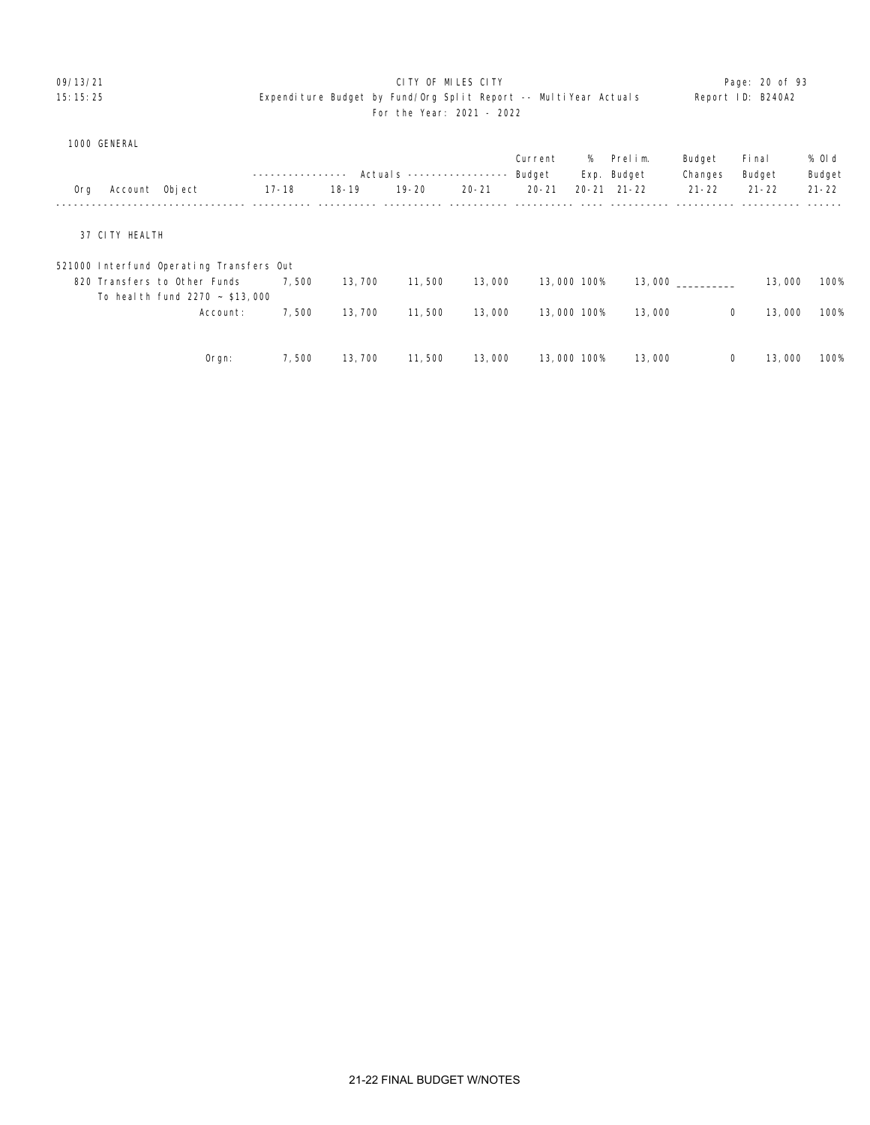# O9/13/21 **CITY OF MILES CITY CITY CITY CITY Page: 20 of 93** 15:15:25 Expenditure Budget by Fund/Org Split Report -- MultiYear Actuals Report ID: B240A2 For the Year: 2021 - 2022

|  | 1000 GENERAL |
|--|--------------|
|--|--------------|

|     |                |                                          | ---------------- |           | Actuals ----------------- |           | Current<br>Budget | %           | Prelim.<br>Exp. Budget | Budget<br>Changes | Fi nal<br>Budget | % Old<br>Budget |
|-----|----------------|------------------------------------------|------------------|-----------|---------------------------|-----------|-------------------|-------------|------------------------|-------------------|------------------|-----------------|
| 0rg | Account Object |                                          | $17 - 18$        | $18 - 19$ | $19 - 20$                 | $20 - 21$ | $20 - 21$         |             | $20 - 21$ $21 - 22$    | $21 - 22$         | $21 - 22$        | $21 - 22$       |
|     |                |                                          |                  |           |                           |           |                   |             |                        |                   |                  |                 |
|     | 37 CITY HEALTH |                                          |                  |           |                           |           |                   |             |                        |                   |                  |                 |
|     |                | 521000 Interfund Operating Transfers Out |                  |           |                           |           |                   |             |                        |                   |                  |                 |
|     |                | 820 Transfers to Other Funds             | 7,500            | 13,700    | 11,500                    | 13,000    |                   | 13,000 100% |                        | 13,000            | 13,000           | 100%            |
|     |                | To heal th fund $2270 - $13,000$         |                  |           |                           |           |                   |             |                        |                   |                  |                 |
|     |                | Account:                                 | 7,500            | 13,700    | 11,500                    | 13,000    |                   | 13,000 100% | 13,000                 | 0                 | 13,000           | 100%            |
|     |                |                                          |                  |           |                           |           |                   |             |                        |                   |                  |                 |
|     |                | $O$ rgn:                                 | 7,500            | 13,700    | 11,500                    | 13,000    |                   | 13,000 100% | 13,000                 | $\mathbf 0$       | 13,000           | 100%            |
|     |                |                                          |                  |           |                           |           |                   |             |                        |                   |                  |                 |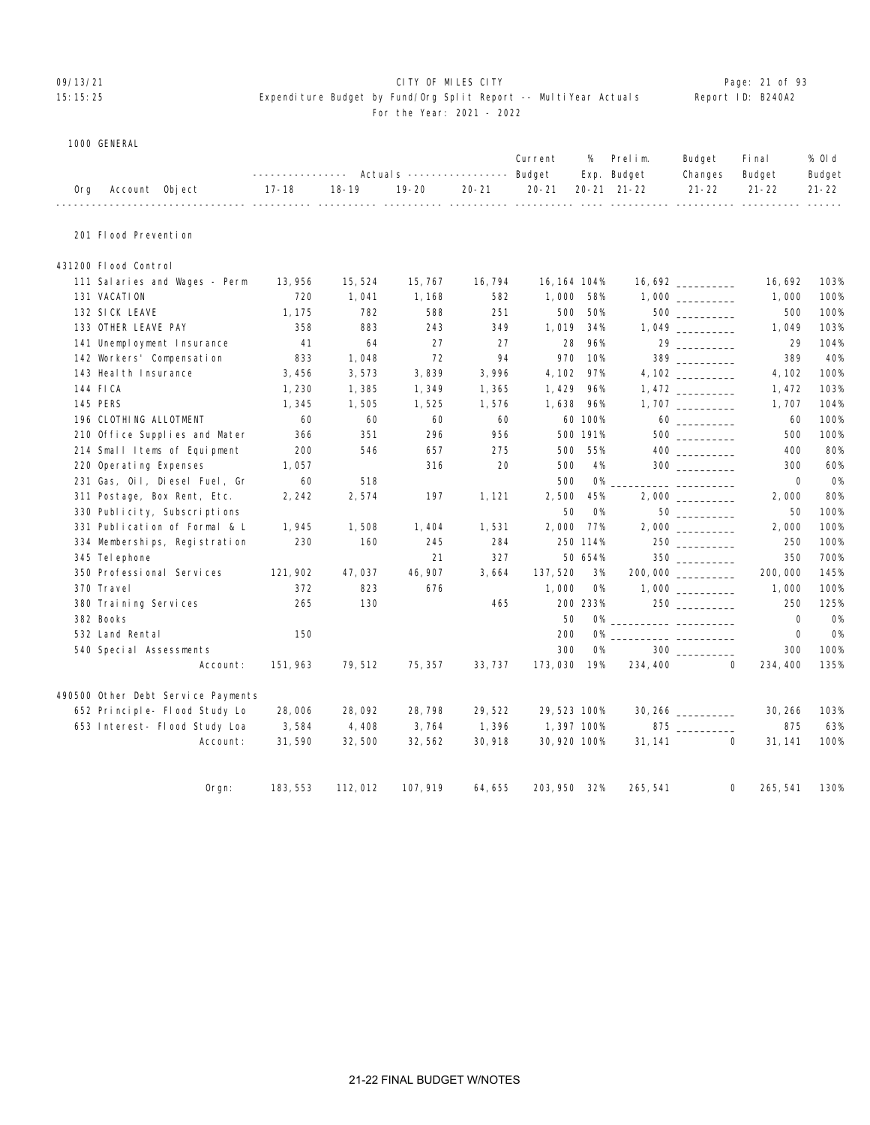# 09/13/21 CITY OF MILES CITY Page: 21 of 93 15:15:25 Expenditure Budget by Fund/Org Split Report -- MultiYear Actuals Report ID: B240A2

#### For the Year: 2021 - 2022

1000 GENERAL

|     | <b>IOOO GEBERAL</b>                |                        |           |                                                           |           |              |           |                        |                                                                                                                                                                                                                                |                      |                  |
|-----|------------------------------------|------------------------|-----------|-----------------------------------------------------------|-----------|--------------|-----------|------------------------|--------------------------------------------------------------------------------------------------------------------------------------------------------------------------------------------------------------------------------|----------------------|------------------|
|     |                                    |                        |           | ---------------    Actual s    ----------------    Budget |           | Current      | %         | Prelim.<br>Exp. Budget | Budget<br>Changes                                                                                                                                                                                                              | Fi nal<br>Budget     | % 0l d<br>Budget |
| 0rg | Account Object                     | $17 - 18$<br>$- - - -$ | $18 - 19$ | $19 - 20$                                                 | $20 - 21$ | $20 - 21$    |           | 20-21 21-22            | $21 - 22$                                                                                                                                                                                                                      | $21 - 22$            | $21 - 22$        |
|     | 201 Flood Prevention               |                        |           |                                                           |           |              |           |                        |                                                                                                                                                                                                                                |                      |                  |
|     | 431200 Flood Control               |                        |           |                                                           |           |              |           |                        |                                                                                                                                                                                                                                |                      |                  |
|     | 111 Salaries and Wages - Perm      | 13,956                 | 15,524    | 15, 767                                                   | 16, 794   | 16, 164 104% |           |                        |                                                                                                                                                                                                                                | 16,692               | 103%             |
|     | 131 VACATION                       | 720                    | 1,041     | 1, 168                                                    | 582       | 1,000        | 58%       |                        |                                                                                                                                                                                                                                | 1,000                | 100%             |
|     | 132 SICK LEAVE                     | 1, 175                 | 782       | 588                                                       | 251       | 500          | 50%       |                        | $500$                                                                                                                                                                                                                          | 500                  | 100%             |
|     | 133 OTHER LEAVE PAY                | 358                    | 883       | 243                                                       | 349       | 1,019        | 34%       |                        | 1,049                                                                                                                                                                                                                          | 1,049                | 103%             |
|     | 141 Unemployment Insurance         | 41                     | 64        | 27                                                        | 27        | 28           | 96%       |                        | 29 30 30 31 32 33 43 44 50 450 461 471 472 473 474 571 472 473 474 571 472 473 474 571 472 473 474 571 472 473 474 571 472 473 474 571 472 473 474 571 472 473 474 571 472 473 474 571 472 473 474 571 472 473 474 571 472 473 | 29                   | 104%             |
|     | 142 Workers' Compensation          | 833                    | 1,048     | 72                                                        | 94        | 970          | 10%       |                        | $\frac{389}{200}$                                                                                                                                                                                                              | 389                  | 40%              |
|     | 143 Heal th Insurance              | 3,456                  | 3,573     | 3,839                                                     | 3,996     | 4, 102       | 97%       |                        |                                                                                                                                                                                                                                | 4, 102               | 100%             |
|     | 144 FICA                           | 1,230                  | 1,385     | 1,349                                                     | 1,365     | 1,429        | 96%       |                        |                                                                                                                                                                                                                                | 1,472                | 103%             |
|     | <b>145 PERS</b>                    | 1,345                  | 1,505     | 1,525                                                     | 1,576     | 1,638        | 96%       |                        |                                                                                                                                                                                                                                | 1,707                | 104%             |
|     | 196 CLOTHING ALLOTMENT             | 60                     | 60        | 60                                                        | 60        |              | 60 100%   |                        |                                                                                                                                                                                                                                | 60                   | 100%             |
|     | 210 Office Supplies and Mater      | 366                    | 351       | 296                                                       | 956       |              | 500 191%  |                        |                                                                                                                                                                                                                                | 500                  | 100%             |
|     | 214 Small Items of Equipment       | 200                    | 546       | 657                                                       | 275       | 500          | 55%       |                        | $\begin{array}{c} 400 \\ \underline{\hspace{15em}} \end{array}$                                                                                                                                                                | 400                  | 80%              |
|     | 220 Operating Expenses             | 1,057                  |           | 316                                                       | 20        | 500          | 4%        |                        | $300$                                                                                                                                                                                                                          | 300                  | 60%              |
|     | 231 Gas, Oil, Diesel Fuel, Gr      | 60                     | 518       |                                                           |           | 500          | <b>O%</b> |                        |                                                                                                                                                                                                                                | $\mathbf 0$          | <b>0%</b>        |
|     | 311 Postage, Box Rent, Etc.        | 2, 242                 | 2,574     | 197                                                       | 1, 121    | 2,500        | 45%       |                        |                                                                                                                                                                                                                                | 2,000                | 80%              |
|     | 330 Publicity, Subscriptions       |                        |           |                                                           |           | 50           | <b>O%</b> |                        | $50$                                                                                                                                                                                                                           | 50                   | 100%             |
|     | 331 Publication of Formal & L      | 1,945                  | 1,508     | 1, 404                                                    | 1,531     | 2,000        | 77%       |                        |                                                                                                                                                                                                                                | 2,000                | 100%             |
|     | 334 Memberships, Registration      | 230                    | 160       | 245                                                       | 284       |              | 250 114%  |                        | 250                                                                                                                                                                                                                            | 250                  | 100%             |
|     | 345 Tel ephone                     |                        |           | 21                                                        | 327       |              | 50 654%   |                        |                                                                                                                                                                                                                                | 350                  | 700%             |
|     | 350 Professional Services          | 121, 902               | 47,037    | 46, 907                                                   | 3,664     | 137, 520     | 3%        |                        | 200,000 ________                                                                                                                                                                                                               | 200,000              | 145%             |
|     | 370 Travel                         | 372                    | 823       | 676                                                       |           | 1,000        | <b>O%</b> |                        |                                                                                                                                                                                                                                | 1,000                | 100%             |
|     | 380 Training Services              | 265                    | 130       |                                                           | 465       |              | 200 233%  |                        |                                                                                                                                                                                                                                | 250                  | 125%             |
|     | 382 Books                          |                        |           |                                                           |           | 50           | 0%        |                        |                                                                                                                                                                                                                                | $\Omega$             | <b>O%</b>        |
|     | 532 Land Rental                    | 150                    |           |                                                           |           | 200          | <b>O%</b> |                        |                                                                                                                                                                                                                                | $\mathbf 0$          | <b>0%</b>        |
|     | 540 Special Assessments            |                        |           |                                                           |           | 300          | <b>0%</b> |                        | $300$ $\qquad$                                                                                                                                                                                                                 | 300                  | 100%             |
|     | Account:                           | 151, 963               | 79,512    | 75, 357                                                   | 33, 737   | 173,030      | 19%       | 234, 400               |                                                                                                                                                                                                                                | $\Omega$<br>234, 400 | 135%             |
|     | 490500 Other Debt Service Payments |                        |           |                                                           |           |              |           |                        |                                                                                                                                                                                                                                |                      |                  |
|     | 652 Principle- Flood Study Lo      | 28,006                 | 28,092    | 28,798                                                    | 29,522    | 29, 523 100% |           |                        | 30, 266                                                                                                                                                                                                                        | 30, 266              | 103%             |
|     | 653 Interest- Flood Study Loa      | 3,584                  | 4,408     | 3,764                                                     | 1,396     | 1,397 100%   |           |                        | 875                                                                                                                                                                                                                            | 875                  | 63%              |
|     | Account:                           | 31,590                 | 32,500    | 32, 562                                                   | 30, 918   | 30, 920 100% |           | 31, 141                |                                                                                                                                                                                                                                | $\Omega$<br>31, 141  | 100%             |
|     | $O$ rgn:                           | 183, 553               | 112,012   | 107, 919                                                  | 64, 655   | 203, 950 32% |           | 265, 541               |                                                                                                                                                                                                                                | 0<br>265, 541        | 130%             |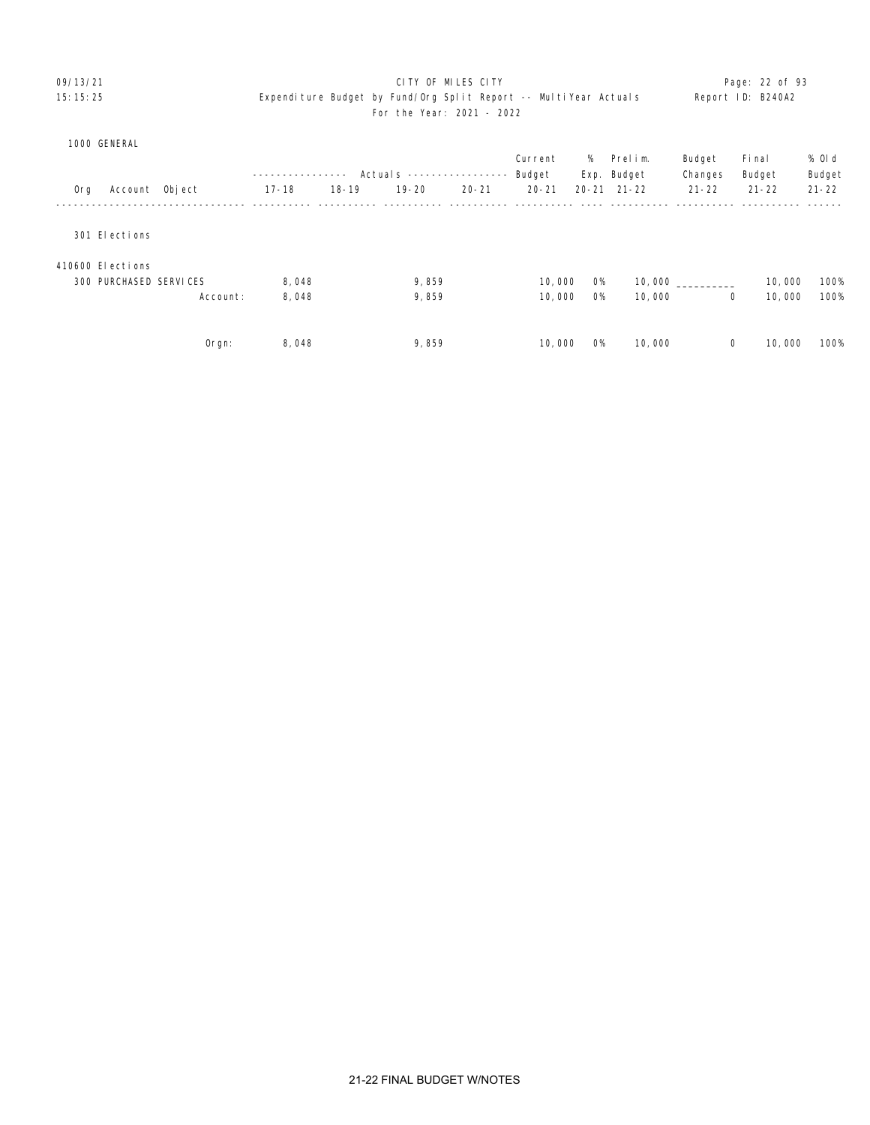# 09/13/21 CITY OF MILES CITY Page: 22 of 93 15:15:25 Expenditure Budget by Fund/Org Split Report -- MultiYear Actuals Report ID: B240A2 For the Year: 2021 - 2022

|     |                               |                |           |           | Actual s ----------------- |           | Current<br>Budget | %         | Prelim.<br>Exp. Budget | Budget<br>Changes | Fi nal<br>Budget | % Old<br>Budget |
|-----|-------------------------------|----------------|-----------|-----------|----------------------------|-----------|-------------------|-----------|------------------------|-------------------|------------------|-----------------|
| Org |                               | Account Object | $17 - 18$ | $18 - 19$ | $19 - 20$                  | $20 - 21$ | $20 - 21$         |           | $20 - 21$ $21 - 22$    | $21 - 22$         | $21 - 22$        | $21 - 22$       |
|     |                               |                |           |           |                            |           |                   |           |                        |                   |                  |                 |
|     | 301 Elections                 |                |           |           |                            |           |                   |           |                        |                   |                  |                 |
|     | 410600 Elections              |                |           |           |                            |           |                   |           |                        |                   |                  |                 |
|     | <b>300 PURCHASED SERVICES</b> |                | 8,048     |           | 9,859                      |           | 10,000            | <b>O%</b> | 10,000                 |                   | 10,000           | 100%            |
|     |                               | Account:       | 8,048     |           | 9,859                      |           | 10,000            | <b>O%</b> | 10,000                 | 0                 | 10,000           | 100%            |
|     |                               |                |           |           |                            |           |                   |           |                        |                   |                  |                 |
|     |                               | $O$ rgn:       | 8,048     |           | 9,859                      |           | 10,000            | <b>O%</b> | 10,000                 | 0                 | 10,000           | 100%            |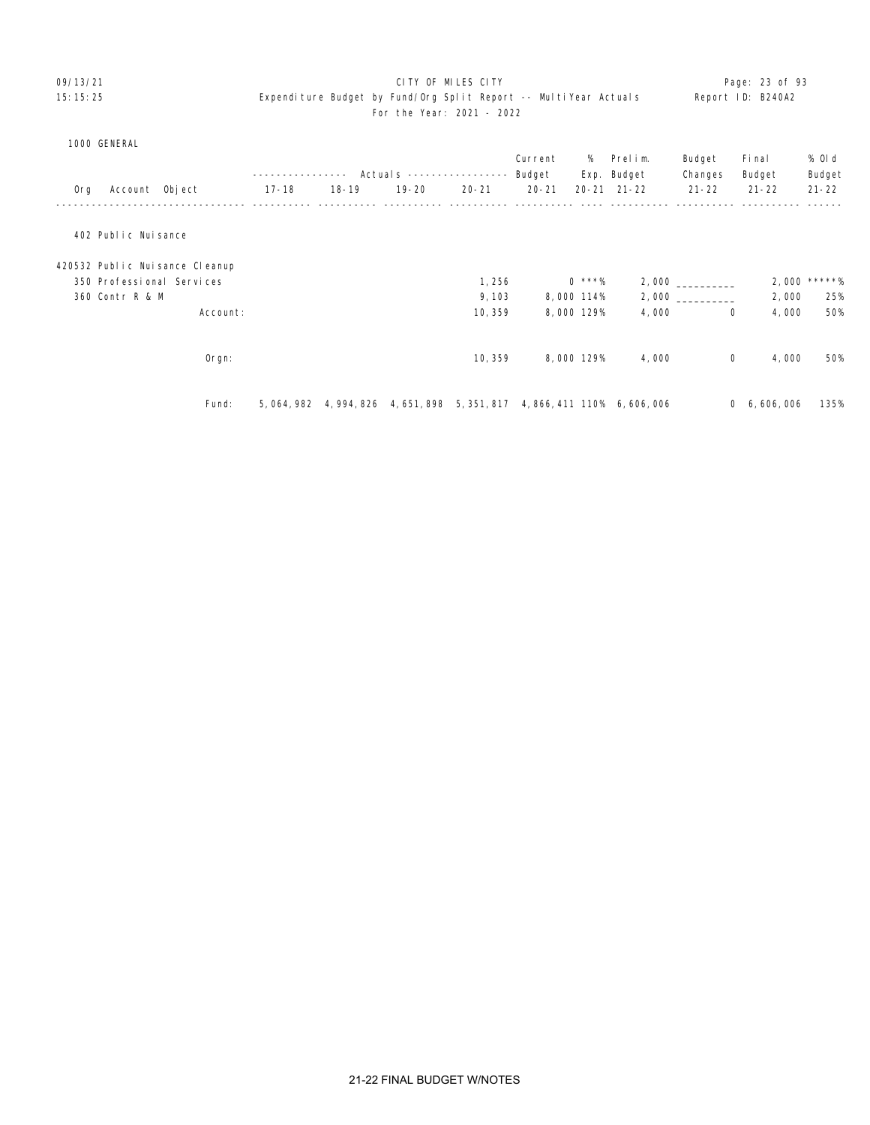# 09/13/21 CITY OF MILES CITY Page: 23 of 93 15:15:25 Expenditure Budget by Fund/Org Split Report -- MultiYear Actuals Report ID: B240A2 For the Year: 2021 - 2022

#### 1000 GENERAL

|     |                           |                                |             | $- - - -$ | Actual s ----------------- |           | Current<br>Budget | %          | Prelim.<br>Exp. Budget                   | Budget<br>Changes | Fi nal<br>Budget | % Old<br>Budget |
|-----|---------------------------|--------------------------------|-------------|-----------|----------------------------|-----------|-------------------|------------|------------------------------------------|-------------------|------------------|-----------------|
| Org | Account Object            |                                | $17 - 18$   | $18 - 19$ | 19-20                      | $20 - 21$ | $20 - 21$         |            | $20 - 21$ $21 - 22$                      | $21 - 22$         | $21 - 22$        | $21 - 22$       |
|     |                           |                                |             |           |                            |           |                   |            |                                          |                   |                  |                 |
|     | 402 Public Nuisance       |                                |             |           |                            |           |                   |            |                                          |                   |                  |                 |
|     |                           | 420532 Public Nuisance Cleanup |             |           |                            |           |                   |            |                                          |                   |                  |                 |
|     | 350 Professional Services |                                |             |           |                            | 1,256     |                   | $0$ ***%   |                                          | 2,000             | 2,000            | $*****%$        |
|     | 360 Contr R & M           |                                |             |           |                            | 9, 103    |                   | 8,000 114% |                                          |                   | 2,000            | 25%             |
|     |                           | Account:                       |             |           |                            | 10, 359   |                   | 8,000 129% | 4,000                                    | $\mathbf 0$       | 4,000            | 50%             |
|     |                           |                                |             |           |                            |           |                   |            |                                          |                   |                  |                 |
|     |                           | $O$ rgn:                       |             |           |                            | 10,359    |                   | 8,000 129% | 4,000                                    | $\mathsf{O}$      | 4,000            | 50%             |
|     |                           |                                |             |           |                            |           |                   |            |                                          |                   |                  |                 |
|     |                           | Fund:                          | 5, 064, 982 |           | 4, 994, 826 4, 651, 898    |           |                   |            | 5, 351, 817 4, 866, 411 110% 6, 606, 006 |                   | 0, 6, 606, 006   | 135%            |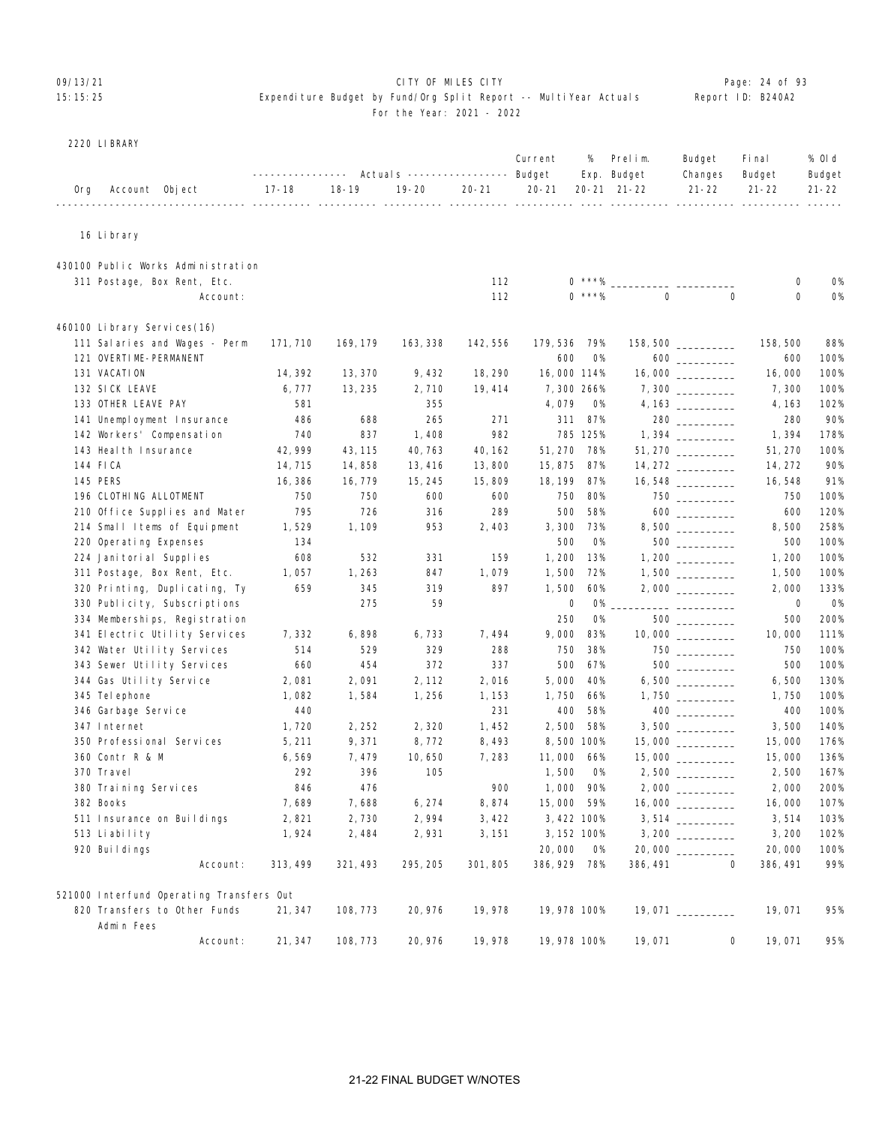# 09/13/21 **CITY OF MILES CITY CITY CONSUMILES CITY Page: 24 of 93** 15:15:25 Expenditure Budget by Fund/Org Split Report -- MultiYear Actuals Report ID: B240A2

# For the Year: 2021 - 2022

|     | 2220 LI BRARY               |                                          |                  |           |                                  |           |              |             |             |                      |             |           |
|-----|-----------------------------|------------------------------------------|------------------|-----------|----------------------------------|-----------|--------------|-------------|-------------|----------------------|-------------|-----------|
|     |                             |                                          |                  |           |                                  |           | Current      | %           | Prelim.     | Budget               | Fi nal      | % OI d    |
|     |                             |                                          | ---------------- |           | Actuals ----------------- Budget |           |              |             | Exp. Budget | Changes              | Budget      | Budget    |
| Org | Account Object              | ------------ -----------                 | $17 - 18$        | $18 - 19$ | $19 - 20$                        | $20 - 21$ | $20 - 21$    |             | 20-21 21-22 | $21 - 22$            | $21 - 22$   | $21 - 22$ |
|     |                             |                                          |                  |           |                                  |           |              |             |             |                      |             |           |
|     | 16 Li brary                 |                                          |                  |           |                                  |           |              |             |             |                      |             |           |
|     |                             | 430100 Public Works Administration       |                  |           |                                  |           |              |             |             |                      |             |           |
|     |                             | 311 Postage, Box Rent, Etc.              |                  |           |                                  | 112       |              | $0$ ***%    |             |                      | 0           | 0%        |
|     |                             | Account:                                 |                  |           |                                  | 112       |              | $0$ ***%    | $\mathbf 0$ | $\Omega$             | $\mathbf 0$ | <b>O%</b> |
|     | 460100 Library Services(16) |                                          |                  |           |                                  |           |              |             |             |                      |             |           |
|     |                             | 111 Salaries and Wages - Perm            | 171, 710         | 169, 179  | 163, 338                         | 142, 556  | 179,536 79%  |             |             | $158,500$ __________ | 158, 500    | 88%       |
|     | 121 OVERTIME-PERMANENT      |                                          |                  |           |                                  |           | 600          | O%          |             | $600$                | 600         | 100%      |
|     | 131 VACATION                |                                          | 14, 392          | 13, 370   | 9, 432                           | 18, 290   | 16,000 114%  |             |             |                      | 16,000      | 100%      |
|     | 132 SICK LEAVE              |                                          | 6,777            | 13, 235   | 2,710                            | 19, 414   |              | 7,300 266%  |             |                      | 7,300       | 100%      |
|     | 133 OTHER LEAVE PAY         |                                          | 581              |           | 355                              |           | 4,079        | <b>O%</b>   |             |                      | 4, 163      | 102%      |
|     |                             | 141 Unemployment Insurance               | 486              | 688       | 265                              | 271       | 311          | 87%         |             | $280$ ________       | 280         | 90%       |
|     | 142 Workers' Compensation   |                                          | 740              | 837       | 1,408                            | 982       |              | 785 125%    |             |                      | 1,394       | 178%      |
|     | 143 Heal th Insurance       |                                          | 42, 999          | 43, 115   | 40, 763                          | 40, 162   | 51, 270 78%  |             |             | 51, 270              | 51, 270     | 100%      |
|     | 144 FICA                    |                                          | 14, 715          | 14,858    | 13, 416                          | 13,800    | 15,875       | 87%         |             |                      | 14, 272     | 90%       |
|     | 145 PERS                    |                                          | 16,386           | 16, 779   | 15, 245                          | 15,809    | 18, 199      | 87%         |             | $16,548$ __________  | 16, 548     | 91%       |
|     | 196 CLOTHING ALLOTMENT      |                                          | 750              | 750       | 600                              | 600       | 750          | 80%         |             |                      | 750         | 100%      |
|     |                             | 210 Office Supplies and Mater            | 795              | 726       | 316                              | 289       | 500          | 58%         |             |                      | 600         | 120%      |
|     |                             | 214 Small Items of Equipment             | 1,529            | 1, 109    | 953                              | 2,403     | 3,300        | 73%         |             |                      | 8,500       | 258%      |
|     | 220 Operating Expenses      |                                          | 134              |           |                                  |           | 500          | <b>O%</b>   |             |                      | 500         | 100%      |
|     | 224 Janitorial Supplies     |                                          | 608              | 532       | 331                              | 159       | 1,200        | 13%         |             |                      | 1,200       | 100%      |
|     |                             | 311 Postage, Box Rent, Etc.              | 1,057            | 1, 263    | 847                              | 1,079     | 1,500        | 72%         |             |                      | 1,500       | 100%      |
|     |                             | 320 Printing, Duplicating, Ty            | 659              | 345       | 319                              | 897       | 1,500        | 60%         |             |                      | 2,000       | 133%      |
|     |                             | 330 Publicity, Subscriptions             |                  | 275       | 59                               |           | 0            | 0%          |             |                      | 0           | 0%        |
|     |                             | 334 Memberships, Registration            |                  |           |                                  |           | 250          | <b>O%</b>   |             |                      | 500         | 200%      |
|     |                             | 341 Electric Utility Services            | 7,332            | 6,898     | 6, 733                           | 7,494     | 9,000        | 83%         |             | $10,000$ __________  | 10,000      | 111%      |
|     |                             | 342 Water Utility Services               | 514              | 529       | 329                              | 288       | 750          | 38%         |             |                      | 750         | 100%      |
|     |                             | 343 Sewer Utility Services               | 660              | 454       | 372                              | 337       | 500          | 67%         |             | 500                  | 500         | 100%      |
|     | 344 Gas Utility Service     |                                          | 2,081            | 2,091     | 2, 112                           | 2,016     | 5,000        | 40%         |             |                      | 6,500       | 130%      |
|     | 345 Tel ephone              |                                          | 1,082            | 1,584     | 1,256                            | 1, 153    | 1,750        | 66%         |             | $1,750$ __________   | 1,750       | 100%      |
|     | 346 Garbage Service         |                                          | 440              |           |                                  | 231       | 400          | 58%         |             |                      | 400         | 100%      |
|     | 347 Internet                |                                          | 1,720            | 2, 252    | 2,320                            | 1,452     | 2,500        | 58%         |             |                      | 3,500       | 140%      |
|     | 350 Professional Services   |                                          | 5, 211           | 9,371     | 8, 772                           | 8,493     |              | 8,500 100%  |             |                      | 15,000      | 176%      |
|     | 360 Contr R & M             |                                          | 6,569            | 7,479     | 10,650                           | 7,283     | 11,000 66%   |             |             |                      | 15,000      | 136%      |
|     | 370 Travel                  |                                          | 292              | 396       | 105                              |           | 1,500 0%     |             |             |                      | 2,500       | 167%      |
|     | 380 Training Services       |                                          | 846              | 476       |                                  | 900       |              | 1,000 90%   |             |                      | 2,000       | 200%      |
|     | 382 Books                   |                                          | 7,689            | 7,688     | 6, 274                           | 8,874     | 15,000 59%   |             |             | 16,000 _________     | 16,000      | 107%      |
|     |                             | 511 Insurance on Buildings               | 2,821            | 2,730     | 2,994                            | 3, 422    |              | 3, 422 100% |             | $3,514$ _________    | 3,514       | 103%      |
|     | 513 Liability               |                                          | 1,924            | 2,484     | 2,931                            | 3, 151    |              | 3, 152 100% |             |                      | 3, 200      | 102%      |
|     | 920 Buildings               |                                          |                  |           |                                  |           | 20,000       | O%          |             | 20,000               | 20,000      | 100%      |
|     |                             | Account:                                 | 313, 499         | 321, 493  | 295, 205                         | 301, 805  | 386, 929 78% |             | 386, 491    | $\mathbf 0$          | 386, 491    | 99%       |
|     |                             | 521000 Interfund Operating Transfers Out |                  |           |                                  |           |              |             |             |                      |             |           |
|     | Admin Fees                  | 820 Transfers to Other Funds             | 21, 347          | 108, 773  | 20, 976                          | 19,978    | 19,978 100%  |             |             | $19,071$ __________  | 19,071      | 95%       |
|     |                             | Account:                                 | 21, 347          | 108, 773  | 20, 976                          | 19,978    | 19,978 100%  |             | 19,071      | 0                    | 19,071      | 95%       |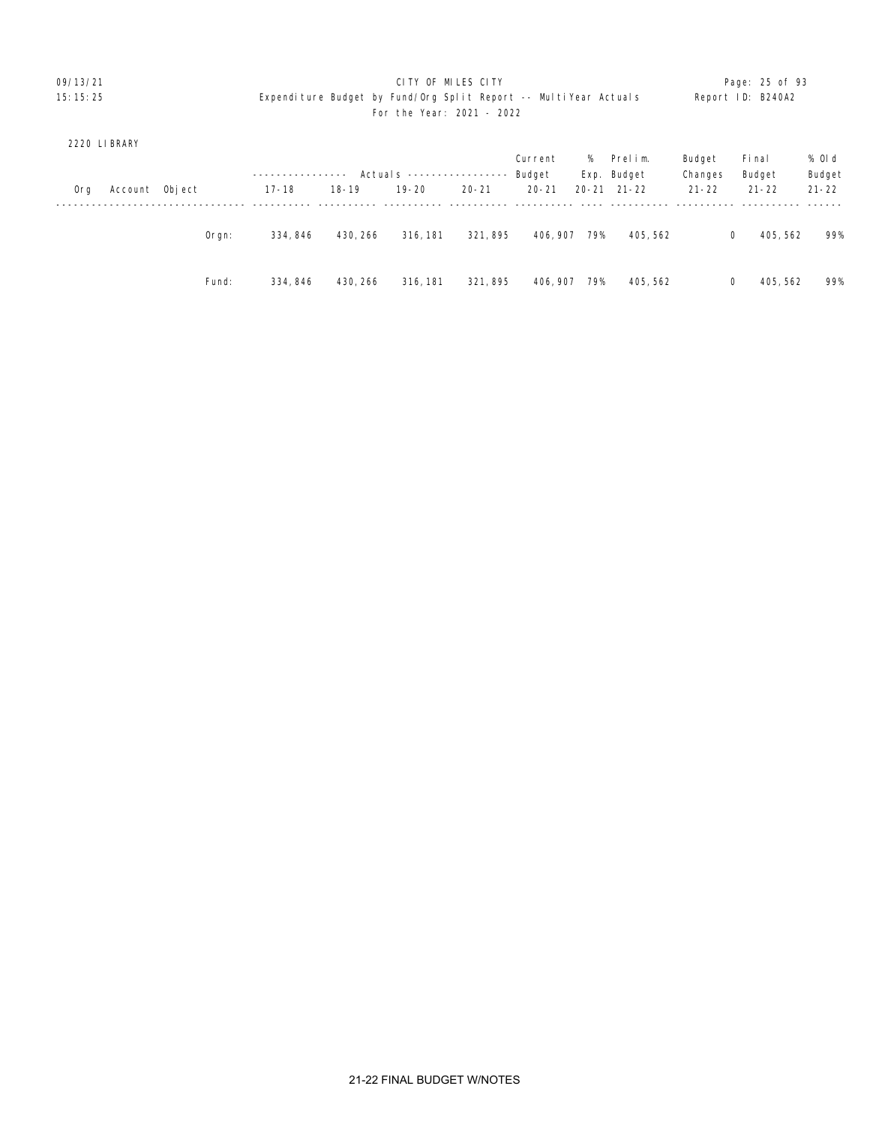# 09/13/21 **CITY OF MILES CITY CITY CONSUMILES CITY Page: 25 of 93** 15:15:25 Expenditure Budget by Fund/Org Split Report -- MultiYear Actuals Report ID: B240A2 For the Year: 2021 - 2022

# 2220 LIBRARY

|     |                |          |           |           |                           |           | Current   | %     | Prelim.     | Budget    | Fi nal    | % Old     |
|-----|----------------|----------|-----------|-----------|---------------------------|-----------|-----------|-------|-------------|-----------|-----------|-----------|
|     |                |          |           |           | Actuals ----------------- |           | Budget    |       | Exp. Budget | Changes   | Budget    | Budget    |
| 0rg | Account Object |          | $17 - 18$ | $18 - 19$ | $19 - 20$                 | $20 - 21$ | $20 - 21$ | 20-21 | 21-22       | $21 - 22$ | $21 - 22$ | $21 - 22$ |
|     |                |          |           |           |                           |           |           |       |             |           |           |           |
|     |                | $O$ rgn: | 334, 846  | 430, 266  | 316, 181                  | 321, 895  | 406, 907  | 79%   | 405, 562    | 0         | 405, 562  | 99%       |
|     |                | Fund:    | 334, 846  | 430, 266  | 316, 181                  | 321, 895  | 406, 907  | 79%   | 405, 562    | 0         | 405, 562  | 99%       |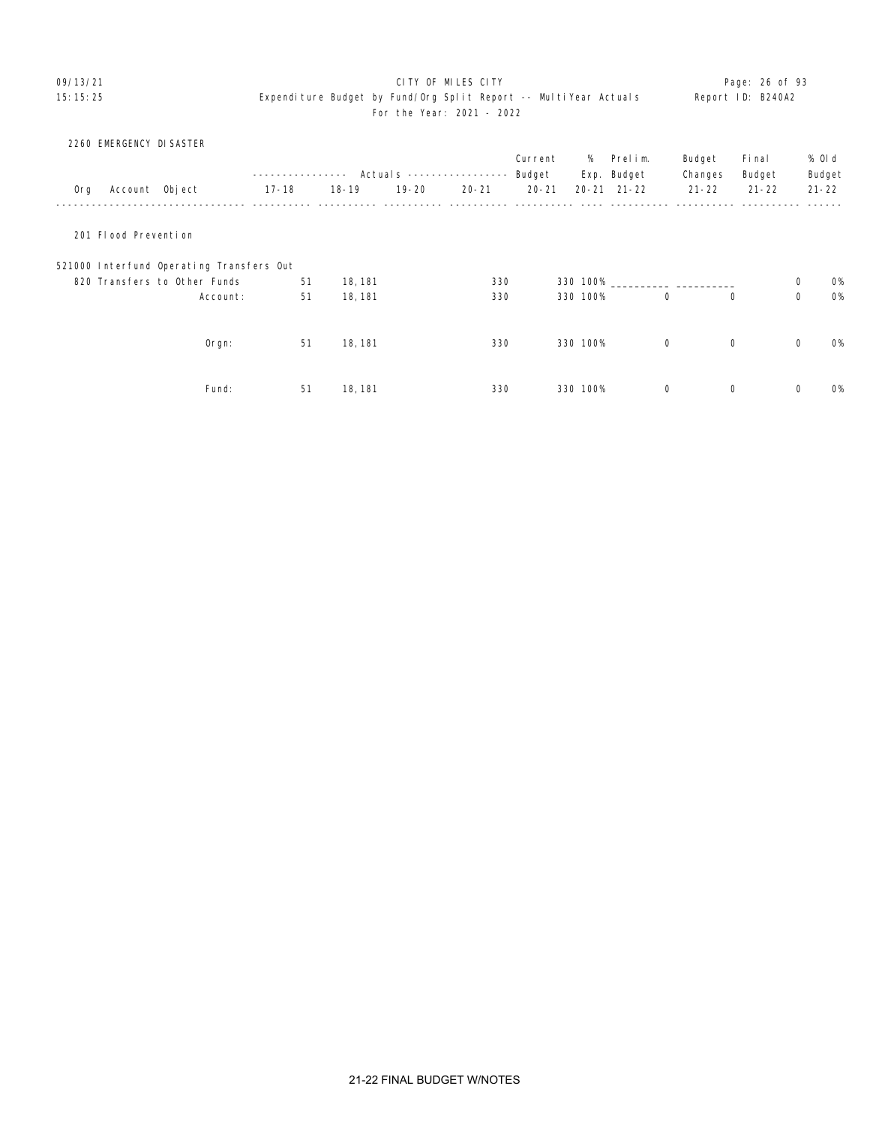# 09/13/21 CITY OF MILES CITY Page: 26 of 93

|     | 2260 EMERGENCY DI SASTER |                                          |             |           |           |                            |           |          |                     |           |           |             |           |
|-----|--------------------------|------------------------------------------|-------------|-----------|-----------|----------------------------|-----------|----------|---------------------|-----------|-----------|-------------|-----------|
|     |                          |                                          |             |           |           |                            | Current   | %        | Prelim.             | Budget    | Fi nal    |             | % OI d    |
|     |                          |                                          | ----------- |           |           | Actual s ----------------- | Budget    |          | Exp. Budget         | Changes   | Budget    |             | Budget    |
| 0rg | Account Object           |                                          | $17 - 18$   | $18 - 19$ | $19 - 20$ | $20 - 21$                  | $20 - 21$ |          | $20 - 21$ $21 - 22$ | $21 - 22$ | $21 - 22$ |             | $21 - 22$ |
|     |                          |                                          |             |           |           |                            |           |          |                     |           |           |             |           |
|     | 201 Flood Prevention     |                                          |             |           |           |                            |           |          |                     |           |           |             |           |
|     |                          | 521000 Interfund Operating Transfers Out |             |           |           |                            |           |          |                     |           |           |             |           |
|     |                          | 820 Transfers to Other Funds             | 51          | 18, 181   |           | 330                        |           |          | 330 100%            |           |           | 0           | <b>O%</b> |
|     |                          | Account:                                 | 51          | 18, 181   |           | 330                        |           | 330 100% | $\mathbf 0$         | 0         |           | $\mathbf 0$ | <b>O%</b> |
|     |                          |                                          |             |           |           |                            |           |          |                     |           |           |             |           |
|     |                          | Orgn:                                    | 51          | 18, 181   |           | 330                        |           | 330 100% | 0                   | 0         |           | $\mathbf 0$ | 0%        |
|     |                          |                                          |             |           |           |                            |           |          |                     |           |           |             |           |
|     |                          | Fund:                                    | 51          | 18, 181   |           | 330                        |           | 330 100% | $\mathbf 0$         | 0         |           | $\mathbf 0$ | <b>O%</b> |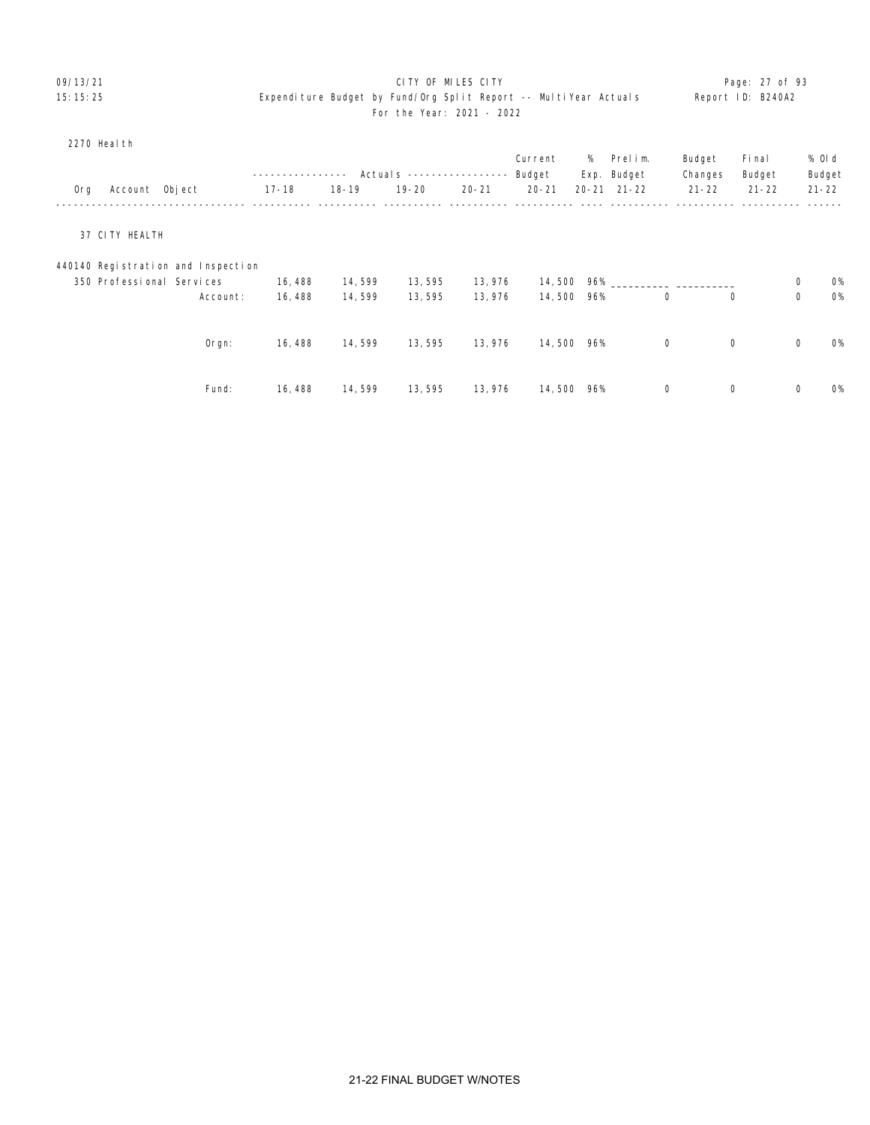# 09/13/21 Page: 27 of 93 15:15:25 Expenditure Budget by Fund/Org Split Report -- MultiYear Actuals Report ID: B240A2 For the Year: 2021 - 2022

#### 2270 Health

|     |                           |                                    |           |           | Actual s ---------------- |           | Current<br>Budget | %   | Prelim.<br>Exp. Budget | Budget<br>Changes | Fi nal<br>Budget |             | % 0l d<br>Budget |
|-----|---------------------------|------------------------------------|-----------|-----------|---------------------------|-----------|-------------------|-----|------------------------|-------------------|------------------|-------------|------------------|
| Org | Account Object            |                                    | $17 - 18$ | $18 - 19$ | $19 - 20$                 | $20 - 21$ | $20 - 21$         |     | $20 - 21$ $21 - 22$    | $21 - 22$         | $21 - 22$        |             | $21 - 22$        |
|     | 37 CITY HEALTH            |                                    |           |           |                           |           |                   |     |                        |                   |                  |             |                  |
|     |                           | 440140 Registration and Inspection |           |           |                           |           |                   |     |                        |                   |                  |             |                  |
|     | 350 Professional Services |                                    | 16, 488   | 14,599    | 13,595                    | 13,976    | 14,500 96%        |     |                        |                   |                  | 0           | <b>O%</b>        |
|     |                           | Account:                           | 16, 488   | 14,599    | 13,595                    | 13,976    | 14,500            | 96% | $\mathbf 0$            |                   | $\Omega$         | $\mathbf 0$ | <b>O%</b>        |
|     |                           | $O$ rgn:                           | 16,488    | 14,599    | 13,595                    | 13,976    | 14,500            | 96% | $\mathbf 0$            |                   | $\mathbf 0$      | $\mathsf 0$ | <b>O%</b>        |
|     |                           | Fund:                              | 16, 488   | 14,599    | 13,595                    | 13,976    | 14,500            | 96% | $\mathbf 0$            |                   | $\mathbf 0$      | $\mathbf 0$ | <b>O%</b>        |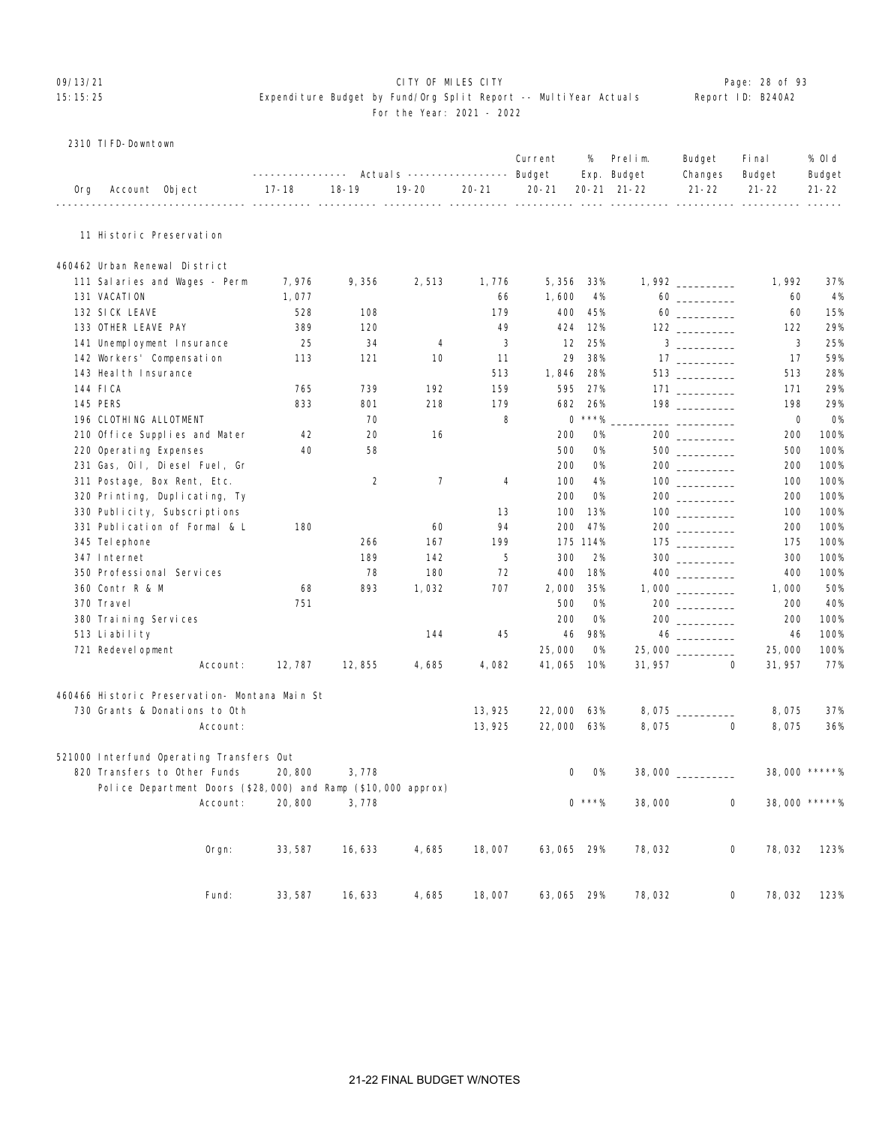# OP/13/21 **CITY OF MILES CITY CITY CITY CITY Page: 28 of 93** 15:15:25 Expenditure Budget by Fund/Org Split Report -- MultiYear Actuals Report ID: B240A2 For the Year: 2021 - 2022

|  | 2310 TI FD-Downtown |  |
|--|---------------------|--|
|--|---------------------|--|

|     |                                                               | ---------------- |                | Actuals ----------------- Budget |           | Current    | %         | Prelim.<br>Exp. Budget | Budget<br>Changes                                                                                                                                                                                                                                                                                                                                                                 | Fi nal<br>Budget     | % OI d<br>Budget |
|-----|---------------------------------------------------------------|------------------|----------------|----------------------------------|-----------|------------|-----------|------------------------|-----------------------------------------------------------------------------------------------------------------------------------------------------------------------------------------------------------------------------------------------------------------------------------------------------------------------------------------------------------------------------------|----------------------|------------------|
| 0rg | Account Object                                                | 17-18            | $18 - 19$      | $19 - 20$                        | $20 - 21$ | $20 - 21$  |           | 20-21 21-22            | $21 - 22$                                                                                                                                                                                                                                                                                                                                                                         | $21 - 22$            | $21 - 22$        |
|     | 11 Historic Preservation                                      |                  |                |                                  |           |            |           |                        |                                                                                                                                                                                                                                                                                                                                                                                   |                      |                  |
|     | 460462 Urban Renewal District                                 |                  |                |                                  |           |            |           |                        |                                                                                                                                                                                                                                                                                                                                                                                   |                      |                  |
|     | 111 Salaries and Wages - Perm                                 | 7,976            | 9,356          | 2,513                            | 1,776     | 5,356      | 33%       |                        |                                                                                                                                                                                                                                                                                                                                                                                   | 1, 992               | 37%              |
|     | 131 VACATION                                                  | 1,077            |                |                                  | 66        | 1,600      | 4%        |                        |                                                                                                                                                                                                                                                                                                                                                                                   | 60                   | 4%               |
|     | 132 SICK LEAVE                                                | 528              | 108            |                                  | 179       | 400        | 45%       |                        | $60 \begin{tabular}{l} \hline \rule{0pt}{2.5ex} \rule{0pt}{2.5ex} \rule{0pt}{2.5ex} \rule{0pt}{2.5ex} \rule{0pt}{2.5ex} \rule{0pt}{2.5ex} \rule{0pt}{2.5ex} \rule{0pt}{2.5ex} \rule{0pt}{2.5ex} \rule{0pt}{2.5ex} \rule{0pt}{2.5ex} \rule{0pt}{2.5ex} \rule{0pt}{2.5ex} \rule{0pt}{2.5ex} \rule{0pt}{2.5ex} \rule{0pt}{2.5ex} \rule{0pt}{2.5ex} \rule{0pt}{2.5ex} \rule{0pt}{2.5$ | 60                   | 15%              |
|     | 133 OTHER LEAVE PAY                                           | 389              | 120            |                                  | 49        | 424        | 12%       |                        |                                                                                                                                                                                                                                                                                                                                                                                   | 122                  | 29%              |
|     | 141 Unemployment Insurance                                    | 25               | 34             | 4                                | 3         | 12         | 25%       |                        | $3 \overline{\phantom{a} \phantom{a} \phantom{a}}$                                                                                                                                                                                                                                                                                                                                | 3                    | 25%              |
|     | 142 Workers' Compensation                                     | 113              | 121            | 10                               | 11        | 29         | 38%       |                        |                                                                                                                                                                                                                                                                                                                                                                                   | 17                   | 59%              |
|     | 143 Heal th Insurance                                         |                  |                |                                  | 513       | 1,846      | 28%       |                        | $513$                                                                                                                                                                                                                                                                                                                                                                             | 513                  | 28%              |
|     | 144 FICA                                                      | 765              | 739            | 192                              | 159       | 595        | 27%       |                        |                                                                                                                                                                                                                                                                                                                                                                                   | 171                  | 29%              |
|     | <b>145 PERS</b>                                               | 833              | 801            | 218                              | 179       | 682        | 26%       |                        |                                                                                                                                                                                                                                                                                                                                                                                   | 198                  | 29%              |
|     | 196 CLOTHING ALLOTMENT                                        |                  | 70             |                                  | 8         |            | $0$ ***%  |                        | ___ ___________                                                                                                                                                                                                                                                                                                                                                                   | 0                    | 0%               |
|     | 210 Office Supplies and Mater                                 | 42               | 20             | 16                               |           | 200        | 0%        |                        |                                                                                                                                                                                                                                                                                                                                                                                   | 200                  | 100%             |
|     | 220 Operating Expenses                                        | 40               | 58             |                                  |           | 500        | 0%        |                        | $500$                                                                                                                                                                                                                                                                                                                                                                             | 500                  | 100%             |
|     | 231 Gas, Oil, Diesel Fuel, Gr                                 |                  |                |                                  |           | 200        | <b>0%</b> |                        | $200$                                                                                                                                                                                                                                                                                                                                                                             | 200                  | 100%             |
|     | 311 Postage, Box Rent, Etc.                                   |                  | $\overline{2}$ | $\overline{7}$                   | 4         | 100        | 4%        |                        |                                                                                                                                                                                                                                                                                                                                                                                   | 100                  | 100%             |
|     | 320 Printing, Duplicating, Ty                                 |                  |                |                                  |           | 200        | 0%        |                        | $200$ ________                                                                                                                                                                                                                                                                                                                                                                    | 200                  | 100%             |
|     | 330 Publicity, Subscriptions                                  |                  |                |                                  | 13        | 100        | 13%       |                        |                                                                                                                                                                                                                                                                                                                                                                                   | 100                  | 100%             |
|     | 331 Publication of Formal & L                                 | 180              |                | 60                               | 94        | 200        | 47%       |                        |                                                                                                                                                                                                                                                                                                                                                                                   | 200                  | 100%             |
|     | 345 Tel ephone                                                |                  | 266            | 167                              | 199       |            | 175 114%  |                        | $\begin{array}{c}\n 175 \end{array}$                                                                                                                                                                                                                                                                                                                                              | 175                  | 100%             |
|     | 347 Internet                                                  |                  | 189            | 142                              | 5         | 300        | 2%        |                        | $300$                                                                                                                                                                                                                                                                                                                                                                             | 300                  | 100%             |
|     | 350 Professional Services                                     |                  | 78             | 180                              | 72        | 400        | 18%       |                        |                                                                                                                                                                                                                                                                                                                                                                                   | 400                  | 100%             |
|     | 360 Contr R & M                                               | 68               | 893            | 1,032                            | 707       | 2,000      | 35%       |                        |                                                                                                                                                                                                                                                                                                                                                                                   | 1,000                | 50%              |
|     | 370 Travel                                                    | 751              |                |                                  |           | 500        | <b>0%</b> |                        |                                                                                                                                                                                                                                                                                                                                                                                   | 200                  | 40%              |
|     | 380 Training Services                                         |                  |                |                                  |           | 200        | <b>0%</b> |                        |                                                                                                                                                                                                                                                                                                                                                                                   | 200                  | 100%             |
|     | 513 Liability                                                 |                  |                | 144                              | 45        | 46         | 98%       |                        |                                                                                                                                                                                                                                                                                                                                                                                   | 46                   | 100%             |
|     | 721 Redevel opment                                            |                  |                |                                  |           | 25,000     | 0%        |                        |                                                                                                                                                                                                                                                                                                                                                                                   | 25,000               | 100%             |
|     | Account:                                                      | 12, 787          | 12,855         | 4,685                            | 4,082     | 41,065     | 10%       | 31, 957                |                                                                                                                                                                                                                                                                                                                                                                                   | 0<br>31, 957         | 77%              |
|     | 460466 Historic Preservation- Montana Main St                 |                  |                |                                  |           |            |           |                        |                                                                                                                                                                                                                                                                                                                                                                                   |                      |                  |
|     | 730 Grants & Donations to Oth                                 |                  |                |                                  | 13, 925   | 22,000 63% |           |                        |                                                                                                                                                                                                                                                                                                                                                                                   | 8,075                | 37%              |
|     | Account:                                                      |                  |                |                                  | 13, 925   | 22,000 63% |           | 8,075                  |                                                                                                                                                                                                                                                                                                                                                                                   | $\mathbf 0$<br>8,075 | 36%              |
|     | 521000 Interfund Operating Transfers Out                      |                  |                |                                  |           |            |           |                        |                                                                                                                                                                                                                                                                                                                                                                                   |                      |                  |
|     | 820 Transfers to Other Funds                                  | 20,800           | 3,778          |                                  |           |            | 0%<br>0   |                        | $38,000$ ___________                                                                                                                                                                                                                                                                                                                                                              |                      | 38,000 *****%    |
|     | Police Department Doors (\$28,000) and Ramp (\$10,000 approx) |                  |                |                                  |           |            |           |                        |                                                                                                                                                                                                                                                                                                                                                                                   |                      |                  |
|     | Account:                                                      | 20,800           | 3,778          |                                  |           |            | $0$ ***%  | 38,000                 |                                                                                                                                                                                                                                                                                                                                                                                   | 0                    | 38,000 *****%    |
|     | Orgn:                                                         | 33, 587          | 16,633         | 4,685                            | 18,007    | 63,065 29% |           | 78,032                 |                                                                                                                                                                                                                                                                                                                                                                                   | 0<br>78,032          | 123%             |
|     | Fund:                                                         | 33, 587          | 16,633         | 4,685                            | 18,007    | 63,065 29% |           | 78,032                 |                                                                                                                                                                                                                                                                                                                                                                                   | 0<br>78,032          | 123%             |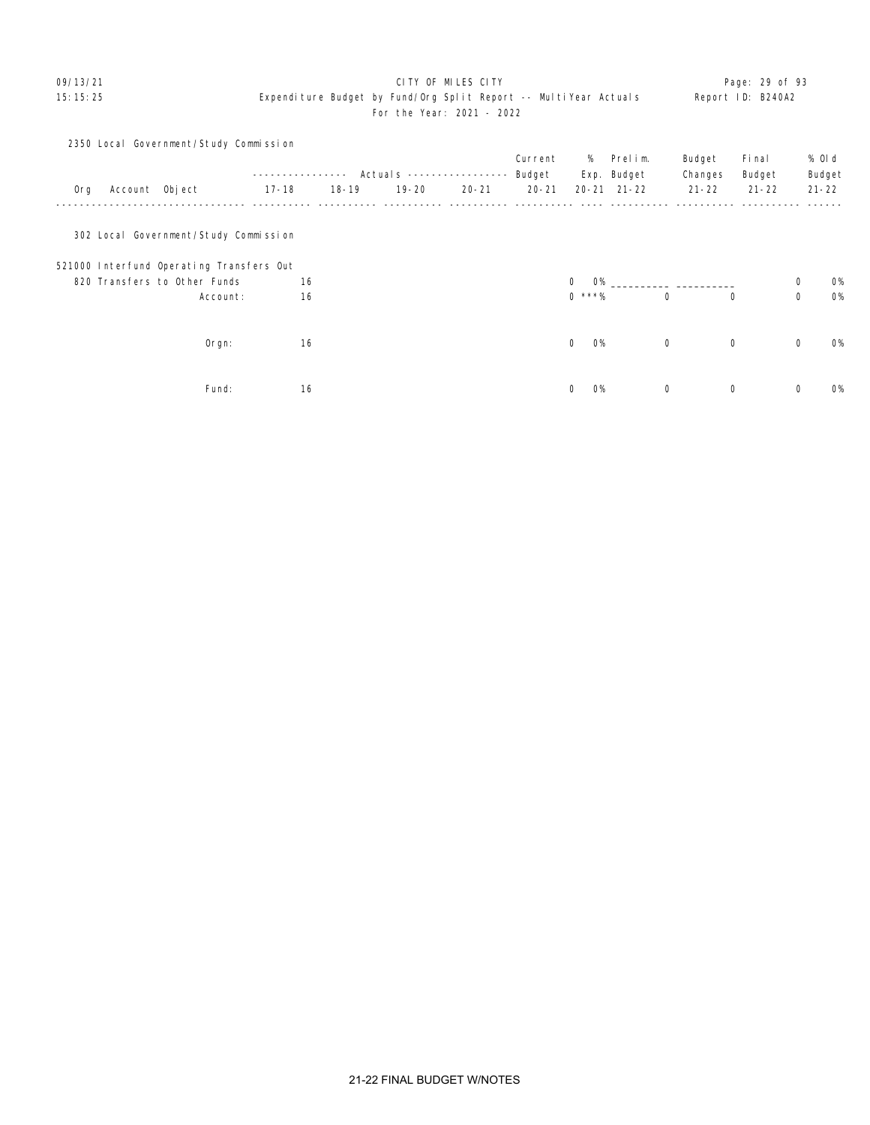# 09/13/21 CITY OF MILES CITY Page: 29 of 93 15:15:25 Expenditure Budget by Fund/Org Split Report -- MultiYear Actuals Report ID: B240A2 For the Year: 2021 - 2022

|     |                | 2350 Local Government/Study Commission   |           |              |           |                            |           |                          |                     |             |             |             |           |
|-----|----------------|------------------------------------------|-----------|--------------|-----------|----------------------------|-----------|--------------------------|---------------------|-------------|-------------|-------------|-----------|
|     |                |                                          |           |              |           |                            | Current   | %                        | Prelim.             | Budget      | Fi nal      |             | % Old     |
|     |                |                                          |           | ------------ |           | Actual s ----------------- | Budget    |                          | Exp. Budget         | Changes     | Budget      |             | Budget    |
| 0rg | Account Object |                                          | $17 - 18$ | $18 - 19$    | $19 - 20$ | $20 - 21$                  | $20 - 21$ |                          | $20 - 21$ $21 - 22$ | $21 - 22$   | $21 - 22$   |             | $21 - 22$ |
|     |                | 302 Local Government/Study Commission    |           |              |           |                            |           |                          |                     |             |             |             |           |
|     |                | 521000 Interfund Operating Transfers Out |           |              |           |                            |           |                          |                     |             |             |             |           |
|     |                | 820 Transfers to Other Funds             | 16        |              |           |                            |           | $\mathbf 0$<br><b>O%</b> |                     |             |             | 0           | <b>O%</b> |
|     |                | Account:                                 | 16        |              |           |                            |           | $0$ ***%                 |                     | $\mathbf 0$ | 0           | $\mathbf 0$ | <b>O%</b> |
|     |                | $O$ rgn:                                 | 16        |              |           |                            |           | $\mathbf 0$<br><b>O%</b> |                     | $\mathbf 0$ | $\mathbf 0$ | $\mathbf 0$ | <b>O%</b> |
|     |                | Fund:                                    | 16        |              |           |                            |           | <b>O%</b><br>0           |                     | 0           | 0           | 0           | <b>0%</b> |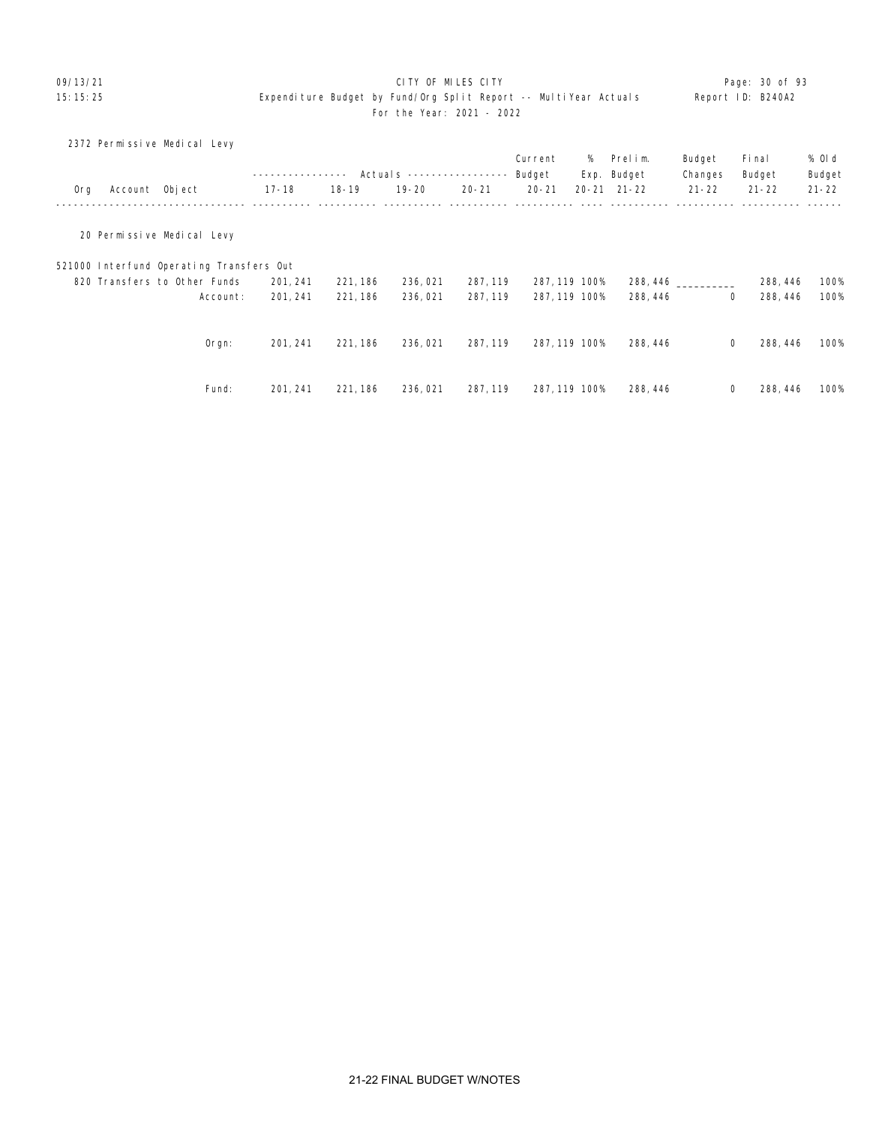# 09/13/21 **CITY OF MILES CITY CITY CONSUMING THE PAGE:** 20 of 93

|     |                | 2372 Permissive Medical Levy             |           |           |              |           |               |   |                     |             |           |           |
|-----|----------------|------------------------------------------|-----------|-----------|--------------|-----------|---------------|---|---------------------|-------------|-----------|-----------|
|     |                |                                          |           |           |              |           | Current       | % | Prelim.             | Budget      | Fi nal    | % Old     |
|     |                |                                          |           | $---$     | Actuals $--$ |           | Budget        |   | Exp. Budget         | Changes     | Budget    | Budget    |
| 0rg | Account Object |                                          | $17 - 18$ | $18 - 19$ | $19 - 20$    | $20 - 21$ | $20 - 21$     |   | $20 - 21$ $21 - 22$ | $21 - 22$   | $21 - 22$ | $21 - 22$ |
|     |                | 20 Permissive Medical Levy               |           |           |              |           |               |   |                     |             |           |           |
|     |                | 521000 Interfund Operating Transfers Out |           |           |              |           |               |   |                     |             |           |           |
|     |                | 820 Transfers to Other Funds             | 201, 241  | 221, 186  | 236,021      | 287, 119  | 287, 119 100% |   | 288, 446            |             | 288, 446  | 100%      |
|     |                | Account:                                 | 201, 241  | 221, 186  | 236,021      | 287, 119  | 287, 119 100% |   | 288, 446            | $\mathbf 0$ | 288, 446  | 100%      |
|     |                | $O$ rgn:                                 | 201, 241  | 221, 186  | 236,021      | 287, 119  | 287, 119 100% |   | 288, 446            | 0           | 288, 446  | 100%      |
|     |                | Fund:                                    | 201, 241  | 221, 186  | 236, 021     | 287, 119  | 287, 119 100% |   | 288, 446            | 0           | 288, 446  | 100%      |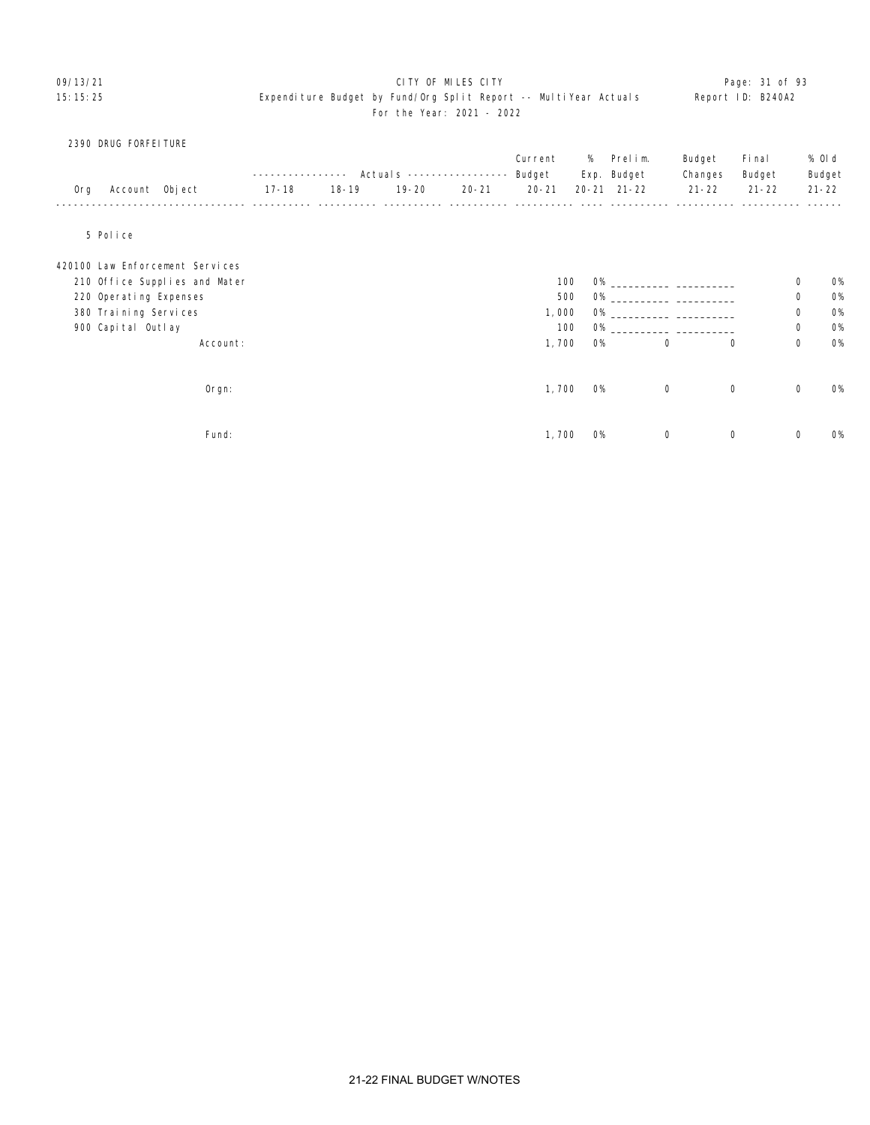# 09/13/21 **CITY OF MILES CITY CITY CONSUMING THE PAGE:** 31 of 93 15:15:25 Expenditure Budget by Fund/Org Split Report -- MultiYear Actuals Report ID: B240A2 For the Year: 2021 - 2022

### 2390 DRUG FORFEITURE

|     |                        |                                 |           |           | Actual s ---------------- |           | Current<br>Budget | %         | Prelim.<br>Exp. Budget | Budget               | Fi nal<br>Budget |             | % OI d<br>Budget |
|-----|------------------------|---------------------------------|-----------|-----------|---------------------------|-----------|-------------------|-----------|------------------------|----------------------|------------------|-------------|------------------|
| Org | Account Object         |                                 | $17 - 18$ | $18 - 19$ | $19 - 20$                 | $20 - 21$ | $20 - 21$         |           | $20 - 21$ $21 - 22$    | Changes<br>$21 - 22$ | $21 - 22$        |             | $21 - 22$        |
|     |                        |                                 |           |           |                           |           |                   |           |                        |                      |                  |             |                  |
|     | 5 Police               |                                 |           |           |                           |           |                   |           |                        |                      |                  |             |                  |
|     |                        | 420100 Law Enforcement Services |           |           |                           |           |                   |           |                        |                      |                  |             |                  |
|     |                        | 210 Office Supplies and Mater   |           |           |                           |           | 100               | <b>O%</b> |                        |                      |                  | $\mathbf 0$ | <b>O%</b>        |
|     | 220 Operating Expenses |                                 |           |           |                           |           | 500               | <b>O%</b> |                        |                      |                  | 0           | <b>0%</b>        |
|     | 380 Training Services  |                                 |           |           |                           |           | 1,000             | <b>O%</b> |                        |                      |                  | $\mathbf 0$ | <b>0%</b>        |
|     | 900 Capital Outlay     |                                 |           |           |                           |           | 100               | <b>O%</b> |                        |                      |                  | $\mathbf 0$ | <b>0%</b>        |
|     |                        | Account:                        |           |           |                           |           | 1,700             | <b>O%</b> |                        | $\mathbf 0$          | $\mathbf 0$      | $\mathbf 0$ | <b>0%</b>        |
|     |                        | Orgn:                           |           |           |                           |           | 1,700             | <b>O%</b> |                        | $\mathbf 0$          | $\mathbf 0$      | $\mathbf 0$ | <b>O%</b>        |
|     |                        | Fund:                           |           |           |                           |           | 1,700             | <b>O%</b> |                        | 0                    | $\mathbf 0$      | 0           | 0%               |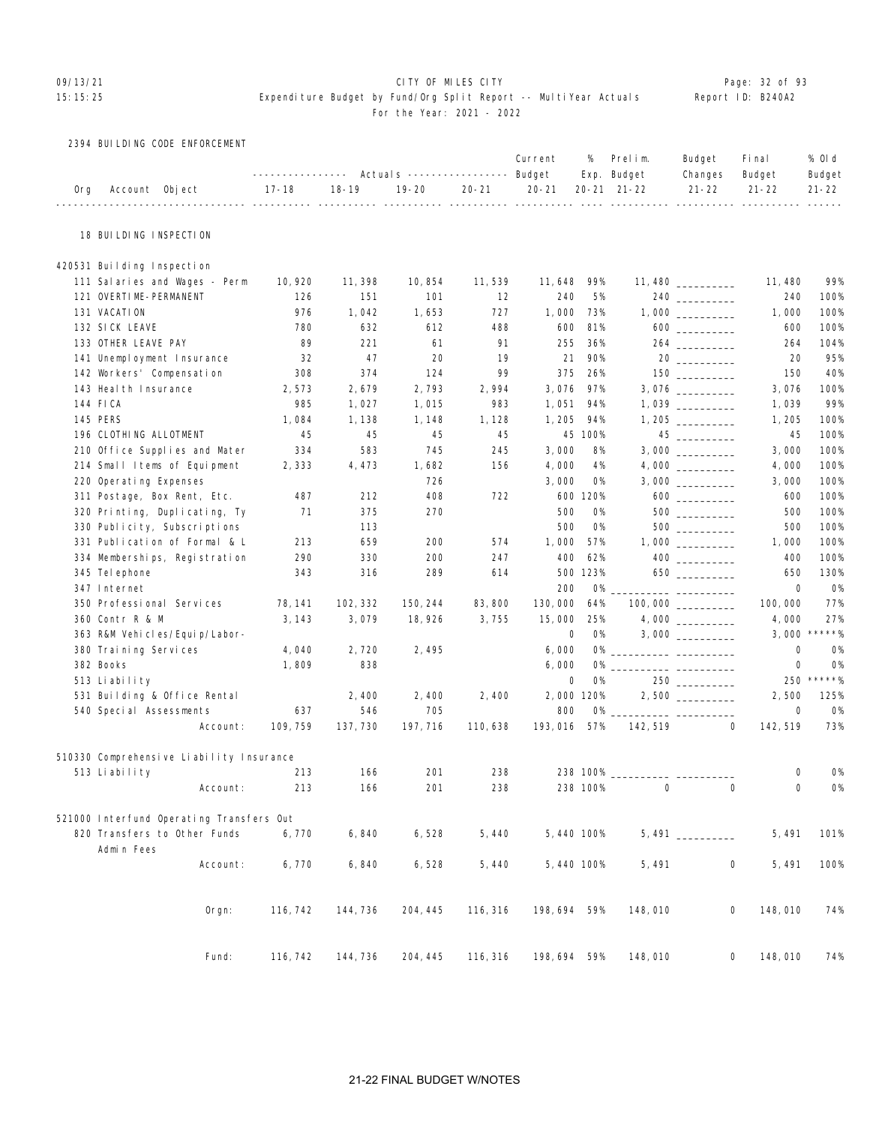#### 09/13/21 CITY OF MILES CITY Page: 32 of 93

|  |  |  | 2394 BULLDING CODE ENFORCEMENT |
|--|--|--|--------------------------------|
|--|--|--|--------------------------------|

|     |                                            |                               |           |           |             | Current          | %         | Prelim.                    | Budget                                                          | Fi nal              | % Old               |
|-----|--------------------------------------------|-------------------------------|-----------|-----------|-------------|------------------|-----------|----------------------------|-----------------------------------------------------------------|---------------------|---------------------|
| 0rg | Account Object                             | ----------------<br>$17 - 18$ | $18 - 19$ | $19 - 20$ | $20 - 21$   | $20 - 21$        |           | Exp. Budget<br>20-21 21-22 | Changes<br>$21 - 22$                                            | Budget<br>$21 - 22$ | Budget<br>$21 - 22$ |
|     |                                            |                               |           |           | $- - - - -$ | ________________ |           | _________________________  |                                                                 | ___________         |                     |
|     | 18 BUILDING INSPECTION                     |                               |           |           |             |                  |           |                            |                                                                 |                     |                     |
|     | 420531 Building Inspection                 |                               |           |           |             |                  |           |                            |                                                                 |                     |                     |
|     | 111 Salaries and Wages - Perm              | 10, 920                       | 11, 398   | 10, 854   | 11, 539     | 11, 648          | 99%       |                            | $11,480$ ___________                                            | 11, 480             | 99%                 |
|     | 121 OVERTIME-PERMANENT                     | 126                           | 151       | 101       | 12          | 240              | 5%        |                            | 240                                                             | 240                 | 100%                |
|     | 131 VACATION                               | 976                           | 1,042     | 1,653     | 727         | 1,000            | 73%       |                            |                                                                 | 1,000               | 100%                |
|     | 132 SICK LEAVE                             | 780                           | 632       | 612       | 488         | 600              | 81%       |                            | $600$                                                           | 600                 | 100%                |
|     | 133 OTHER LEAVE PAY                        | 89                            | 221       | 61        | 91          | 255              | 36%       |                            |                                                                 | 264                 | 104%                |
|     | 141 Unemployment Insurance                 | 32                            | 47        | 20        | 19          | 21               | 90%       |                            | 20                                                              | 20                  | 95%                 |
|     | 142 Workers' Compensation                  | 308                           | 374       | 124       | 99          | 375              | 26%       |                            |                                                                 | 150                 | 40%                 |
|     | 143 Heal th Insurance                      | 2,573                         | 2,679     | 2,793     | 2,994       | 3,076            | 97%       |                            |                                                                 | 3,076               | 100%                |
|     | 144 FICA                                   | 985                           | 1,027     | 1,015     | 983         | 1,051            | 94%       |                            |                                                                 | 1,039               | 99%                 |
|     | 145 PERS                                   | 1,084                         | 1, 138    | 1, 148    | 1, 128      | 1, 205           | 94%       |                            |                                                                 | 1, 205              | 100%                |
|     | 196 CLOTHING ALLOTMENT                     | 45                            | 45        | 45        | 45          |                  | 45 100%   |                            |                                                                 | 45                  | 100%                |
|     | 210 Office Supplies and Mater              | 334                           | 583       | 745       | 245         | 3,000            | 8%        |                            |                                                                 | 3,000               | 100%                |
|     | 214 Small Items of Equipment               | 2,333                         | 4,473     | 1,682     | 156         | 4,000            | 4%        |                            |                                                                 | 4,000               | 100%                |
|     | 220 Operating Expenses                     |                               |           | 726       |             | 3,000            | 0%        |                            | $3,000$ _________                                               | 3,000               | 100%                |
|     | 311 Postage, Box Rent, Etc.                | 487                           | 212       | 408       | 722         |                  | 600 120%  |                            | $600$                                                           | 600                 | 100%                |
|     | 320 Printing, Duplicating, Ty              | 71                            | 375       | 270       |             | 500              | 0%        |                            |                                                                 | 500                 | 100%                |
|     | 330 Publicity, Subscriptions               |                               | 113       |           |             | 500              | <b>O%</b> |                            |                                                                 | 500                 | 100%                |
|     | 331 Publication of Formal & L              | 213                           | 659       | 200       | 574         | 1,000            | 57%       |                            |                                                                 | 1,000               | 100%                |
|     | 334 Memberships, Registration              | 290                           | 330       | 200       | 247         | 400              | 62%       |                            | $\begin{array}{c} 400 \\ \underline{\hspace{15em}} \end{array}$ | 400                 | 100%                |
|     | 345 Tel ephone                             | 343                           | 316       | 289       | 614         |                  | 500 123%  |                            |                                                                 | 650                 | 130%                |
|     | 347 Internet                               |                               |           |           |             | 200              | <b>O%</b> |                            |                                                                 | 0                   | 0%                  |
|     | 350 Professional Services                  | 78, 141                       | 102, 332  | 150, 244  | 83,800      | 130,000          | 64%       |                            |                                                                 | 100,000             | 77%                 |
|     | 360 Contr R & M                            | 3, 143                        | 3,079     | 18, 926   | 3,755       | 15,000           | 25%       |                            |                                                                 | 4,000               | 27%                 |
|     | 363 R&M Vehicles/Equip/Labor-              |                               |           |           |             | 0                | 0%        |                            |                                                                 | 3,000               | $*****$             |
|     | 380 Training Services                      | 4,040                         | 2,720     | 2, 495    |             | 6,000            | 0%        |                            |                                                                 | 0                   | <b>0%</b>           |
|     | 382 Books                                  | 1,809                         | 838       |           |             | 6,000            | 0%        |                            |                                                                 | 0                   | <b>0%</b>           |
|     | 513 Liability                              |                               |           |           |             | 0                | 0%        |                            |                                                                 | 250                 | *****%              |
|     | 531 Building & Office Rental               |                               | 2,400     | 2, 400    | 2,400       | 2,000 120%       |           |                            |                                                                 | 2,500               | 125%                |
|     | 540 Special Assessments                    | 637                           | 546       | 705       |             | 800              | 0%        |                            |                                                                 | 0                   | <b>0%</b>           |
|     | Account:                                   | 109, 759                      | 137, 730  | 197, 716  | 110,638     | 193, 016         | 57%       | 142, 519                   |                                                                 | 142, 519<br>0       | 73%                 |
|     | 510330 Comprehensive Liability Insurance   |                               |           |           |             |                  |           |                            |                                                                 |                     |                     |
|     | 513 Liability                              | 213                           | 166       | 201       | 238         |                  | 238 100%  |                            |                                                                 | 0                   | <b>0%</b>           |
|     | Account:                                   | 213                           | 166       | 201       | 238         |                  | 238 100%  | $\Omega$                   |                                                                 | $\Omega$<br>0       | <b>O%</b>           |
|     | 521000 Interfund Operating Transfers Out   |                               |           |           |             |                  |           |                            |                                                                 |                     |                     |
|     | 820 Transfers to Other Funds<br>Admin Fees | 6,770                         | 6,840     | 6,528     | 5,440       | 5,440 100%       |           |                            |                                                                 | 5,491               | 101%                |
|     | Account:                                   | 6,770                         | 6,840     | 6,528     | 5,440       | 5,440 100%       |           | 5, 491                     |                                                                 | 0<br>5, 491         | 100%                |
|     | $0$ rgn:                                   | 116, 742                      | 144, 736  | 204, 445  | 116, 316    | 198, 694         | 59%       | 148,010                    |                                                                 | 0<br>148,010        | 74%                 |
|     | Fund:                                      | 116, 742                      | 144, 736  | 204, 445  | 116, 316    | 198, 694 59%     |           | 148,010                    |                                                                 | 0<br>148,010        | 74%                 |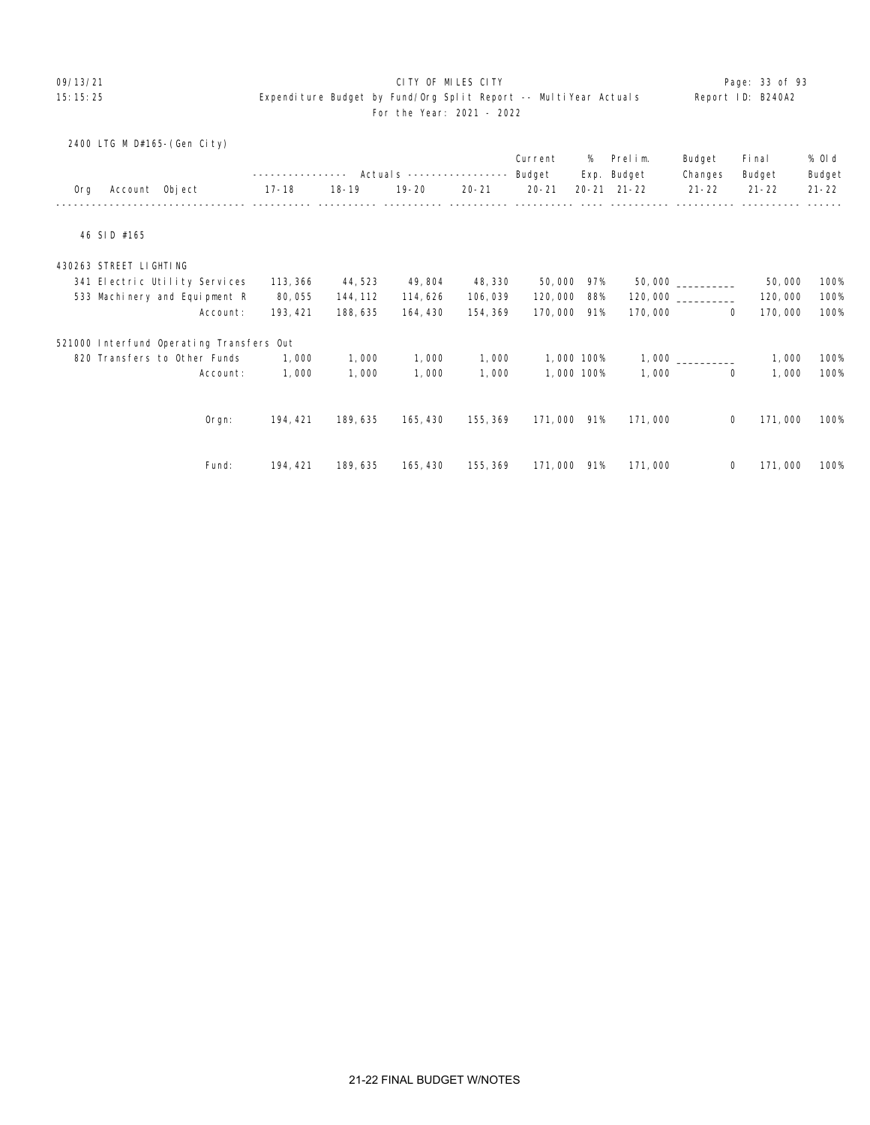# 09/13/21 CITY OF MILES CITY Page: 33 of 93

|     |                        | 2400 LTG M D#165-(Gen City)              |          |           |           |           |             |            |                     |             |           |           |
|-----|------------------------|------------------------------------------|----------|-----------|-----------|-----------|-------------|------------|---------------------|-------------|-----------|-----------|
|     |                        |                                          |          |           |           |           | Current     | %          | Prelim.             | Budget      | Fi nal    | % Old     |
|     |                        |                                          |          |           |           |           | Budget      |            | Exp. Budget         | Changes     | Budget    | Budget    |
| 0rg | Account Object         |                                          | 17-18    | $18 - 19$ | $19 - 20$ | $20 - 21$ | $20 - 21$   |            | $20 - 21$ $21 - 22$ | $21 - 22$   | $21 - 22$ | $21 - 22$ |
|     |                        |                                          |          |           |           |           |             |            |                     |             |           |           |
|     | 46 SID #165            |                                          |          |           |           |           |             |            |                     |             |           |           |
|     | 430263 STREET LIGHTING |                                          |          |           |           |           |             |            |                     |             |           |           |
|     |                        | 341 Electric Utility Services            | 113, 366 | 44, 523   | 49, 804   | 48, 330   | 50,000      | 97%        |                     |             | 50,000    | 100%      |
|     |                        | 533 Machinery and Equipment R            | 80,055   | 144, 112  | 114,626   | 106,039   | 120,000     | 88%        |                     |             | 120,000   | 100%      |
|     |                        | Account:                                 | 193, 421 | 188, 635  | 164, 430  | 154, 369  | 170,000     | 91%        | 170,000             | 0           | 170,000   | 100%      |
|     |                        | 521000 Interfund Operating Transfers Out |          |           |           |           |             |            |                     |             |           |           |
|     |                        | 820 Transfers to Other Funds             | 1,000    | 1,000     | 1,000     | 1,000     |             | 1,000 100% |                     |             | 1,000     | 100%      |
|     |                        | Account:                                 | 1,000    | 1,000     | 1,000     | 1,000     |             | 1,000 100% | 1,000               | $\mathbf 0$ | 1,000     | 100%      |
|     |                        |                                          |          |           |           |           |             |            |                     |             |           |           |
|     |                        | Orgn:                                    | 194, 421 | 189, 635  | 165, 430  | 155, 369  | 171,000 91% |            | 171,000             | 0           | 171,000   | 100%      |
|     |                        |                                          |          |           |           |           |             |            |                     |             |           |           |
|     |                        | Fund:                                    | 194, 421 | 189, 635  | 165, 430  | 155, 369  | 171,000 91% |            | 171,000             | 0           | 171,000   | 100%      |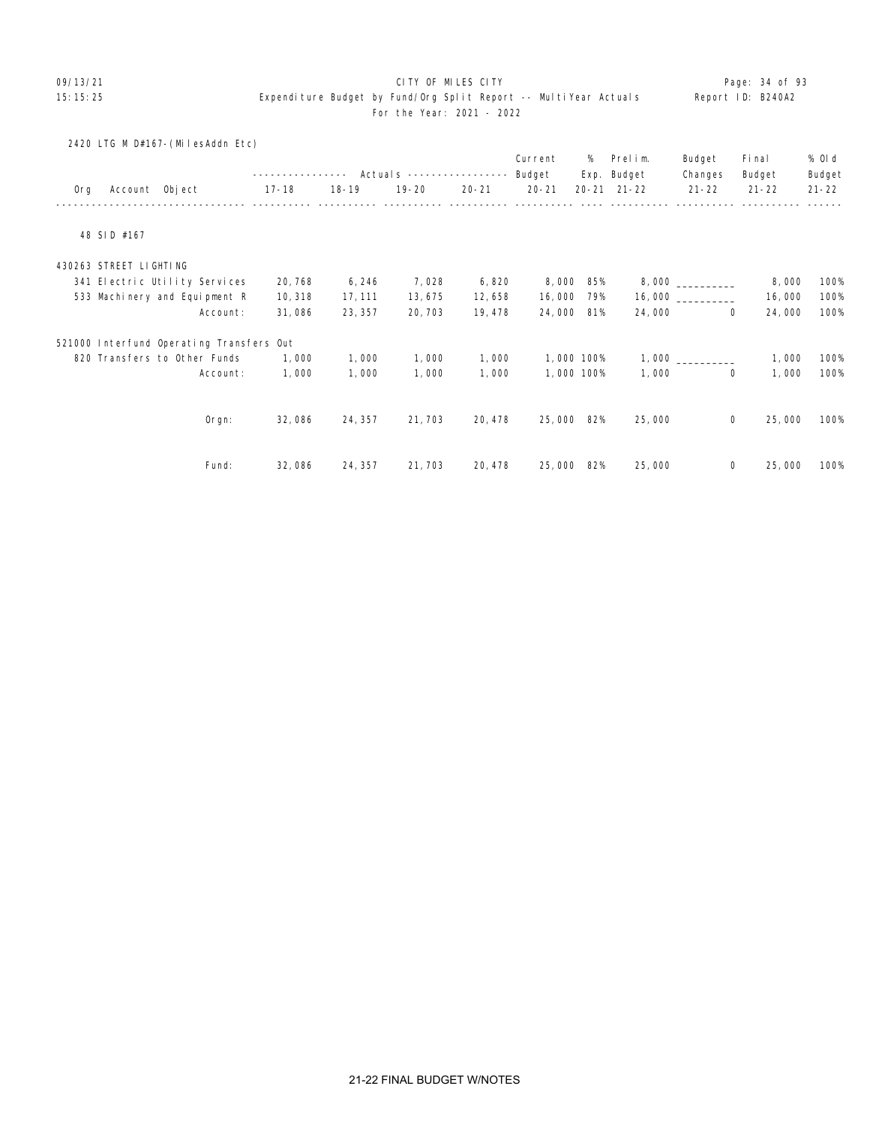#### 09/13/21 **CITY OF MILES CITY CITY CONSUMING THE PAGE:** 34 of 93

|     | 2420 LTG M D#167-(MilesAddn Etc)         |                   |         |                            |           |                   | %          | Prelim.     |                   |                  |                  |
|-----|------------------------------------------|-------------------|---------|----------------------------|-----------|-------------------|------------|-------------|-------------------|------------------|------------------|
|     |                                          | ----------------- |         | Actual s ----------------- |           | Current<br>Budget |            | Exp. Budget | Budget<br>Changes | Fi nal<br>Budget | % OI d<br>Budget |
| 0rg | Account Object                           | 17-18             | 18-19   | 19-20                      | $20 - 21$ | $20 - 21$         |            | 20-21 21-22 | $21 - 22$         | $21 - 22$        | $21 - 22$        |
|     | 48 SID #167                              |                   |         |                            |           |                   |            |             |                   |                  |                  |
|     | 430263 STREET LIGHTING                   |                   |         |                            |           |                   |            |             |                   |                  |                  |
|     | 341 Electric Utility Services            | 20, 768           | 6, 246  | 7,028                      | 6,820     | 8,000             | 85%        |             |                   | 8,000            | 100%             |
|     | 533 Machinery and Equipment R            | 10, 318           | 17, 111 | 13, 675                    | 12,658    | 16,000            | 79%        |             | 16,000            | 16,000           | 100%             |
|     | Account:                                 | 31,086            | 23, 357 | 20, 703                    | 19, 478   | 24,000            | 81%        | 24,000      | $\mathbf{0}$      | 24,000           | 100%             |
|     | 521000 Interfund Operating Transfers Out |                   |         |                            |           |                   |            |             |                   |                  |                  |
|     | 820 Transfers to Other Funds             | 1,000             | 1,000   | 1,000                      | 1,000     |                   | 1,000 100% |             |                   | 1,000            | 100%             |
|     | Account:                                 | 1,000             | 1,000   | 1,000                      | 1,000     |                   | 1,000 100% | 1,000       | 0                 | 1,000            | 100%             |
|     |                                          |                   |         |                            |           |                   |            |             |                   |                  |                  |
|     | Orgn:                                    | 32,086            | 24, 357 | 21, 703                    | 20, 478   | 25,000            | 82%        | 25,000      | $\mathbf 0$       | 25,000           | 100%             |
|     | Fund:                                    | 32,086            | 24, 357 | 21, 703                    | 20, 478   | 25,000 82%        |            | 25,000      | 0                 | 25,000           | 100%             |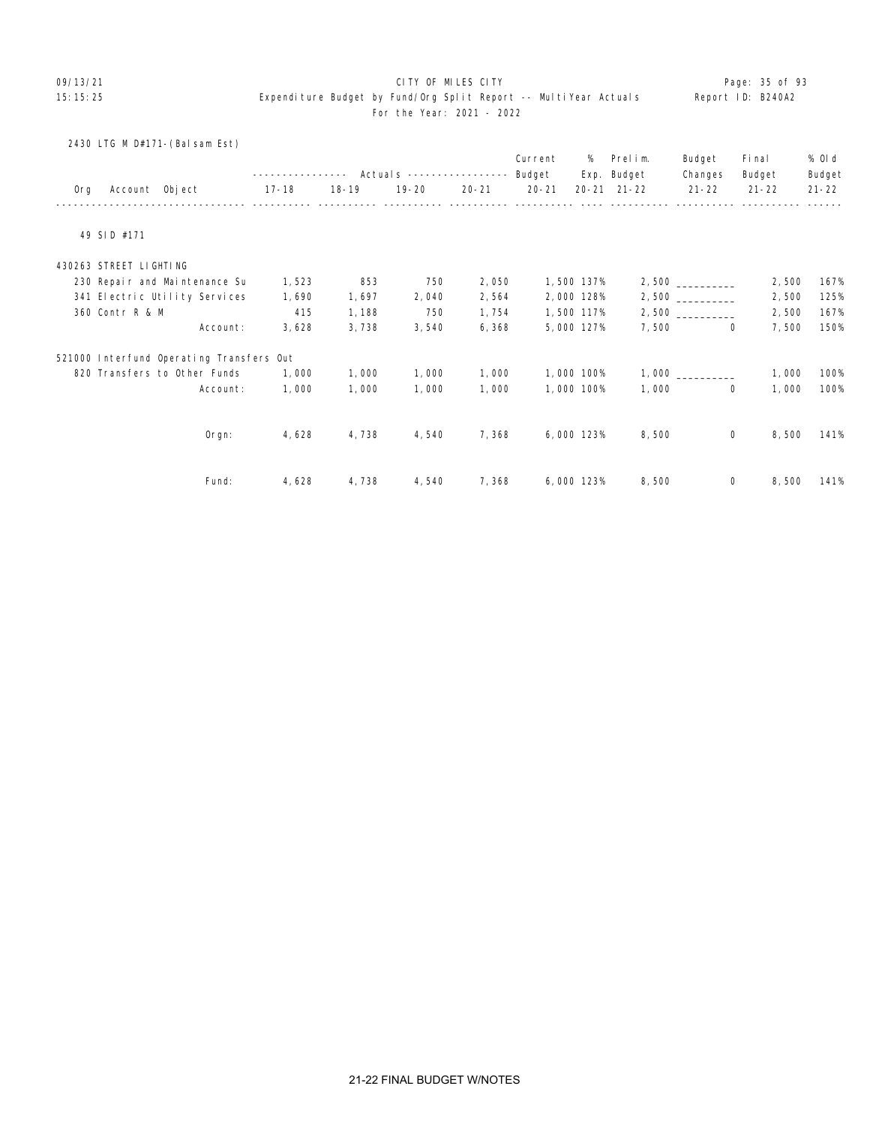# O9/13/21 **CITY OF MILES CITY CITY CITY CITY Page: 35 of 93**

| 2430 LTG M D#171-(Balsam Est)            |          |           |           |                           |           |           |            |             |              |           |           |
|------------------------------------------|----------|-----------|-----------|---------------------------|-----------|-----------|------------|-------------|--------------|-----------|-----------|
|                                          |          |           |           |                           |           | Current   | %          | Prelim.     | Budget       | Fi nal    | % 0l d    |
|                                          |          |           |           | Actuals ----------------- |           | Budget    |            | Exp. Budget | Changes      | Budget    | Budget    |
| Account Object<br>0rg                    |          | $17 - 18$ | $18 - 19$ | $19 - 20$                 | $20 - 21$ | $20 - 21$ |            | 20-21 21-22 | $21 - 22$    | $21 - 22$ | $21 - 22$ |
|                                          |          |           |           |                           |           |           |            |             |              |           |           |
| 49 SID #171                              |          |           |           |                           |           |           |            |             |              |           |           |
| 430263 STREET LIGHTING                   |          |           |           |                           |           |           |            |             |              |           |           |
| 230 Repair and Maintenance Su            |          | 1,523     | 853       | 750                       | 2,050     |           | 1,500 137% |             |              | 2,500     | 167%      |
| 341 Electric Utility Services            |          | 1,690     | 1,697     | 2,040                     | 2,564     |           | 2,000 128% |             |              | 2,500     | 125%      |
| 360 Contr R & M                          |          | 415       | 1,188     | 750                       | 1,754     |           | 1,500 117% |             |              | 2,500     | 167%      |
|                                          | Account: | 3,628     | 3,738     | 3,540                     | 6,368     |           | 5,000 127% | 7,500       | $\mathbf 0$  | 7,500     | 150%      |
| 521000 Interfund Operating Transfers Out |          |           |           |                           |           |           |            |             |              |           |           |
| 820 Transfers to Other Funds             |          | 1,000     | 1,000     | 1,000                     | 1,000     |           | 1,000 100% |             |              | 1,000     | 100%      |
|                                          | Account: | 1,000     | 1,000     | 1,000                     | 1,000     |           | 1,000 100% | 1,000       | $\mathbf{0}$ | 1,000     | 100%      |
|                                          |          |           |           |                           |           |           |            |             |              |           |           |
|                                          | Orgn:    | 4,628     | 4,738     | 4,540                     | 7,368     |           | 6,000 123% | 8,500       | $\mathbf{0}$ | 8,500     | 141%      |
|                                          |          |           |           |                           | 7,368     |           |            |             | $\mathbf{0}$ |           | 141%      |
|                                          | Fund:    | 4,628     | 4,738     | 4,540                     |           |           | 6,000 123% | 8,500       |              | 8,500     |           |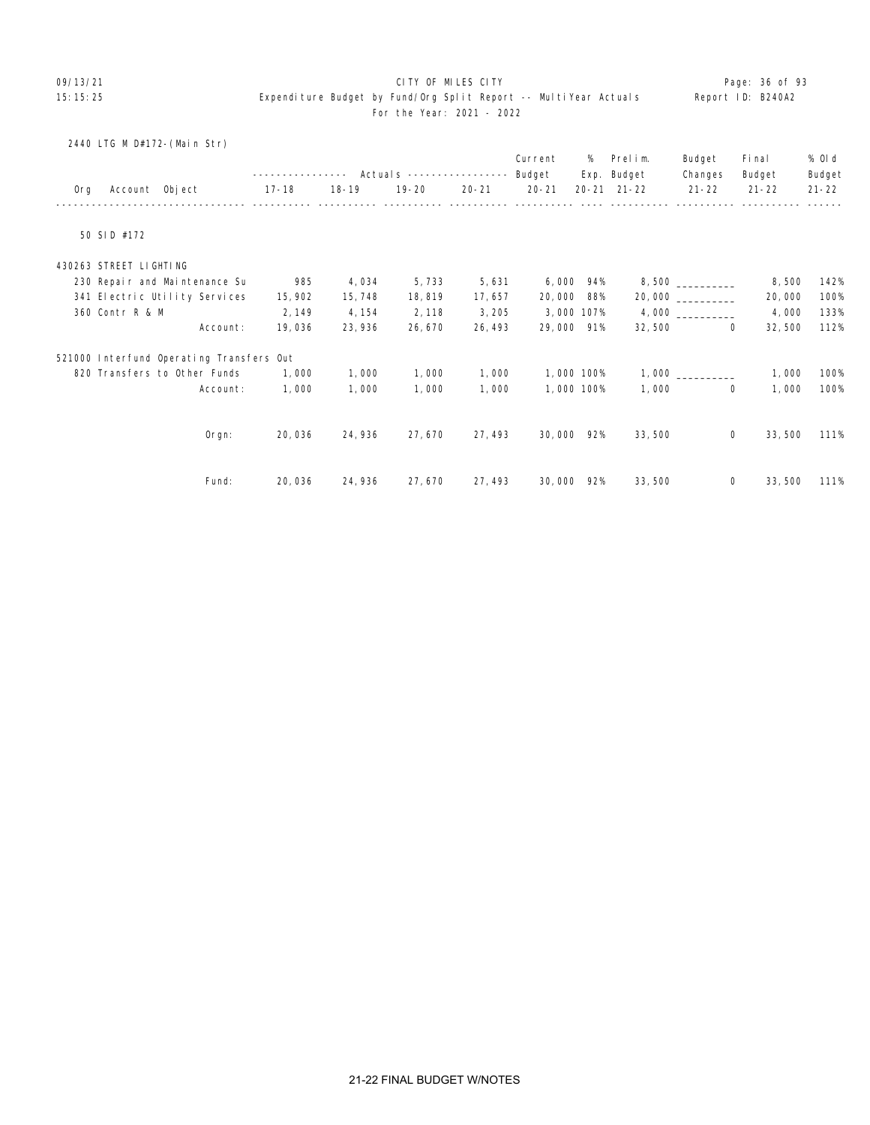# O9/13/21 **CITY OF MILES CITY CITY CITY CITY Page: 36 of 93**

|     | 2440 LTG M D#172-(Main Str)              |                   |           |                           |           |           |            |             |                     |           |           |
|-----|------------------------------------------|-------------------|-----------|---------------------------|-----------|-----------|------------|-------------|---------------------|-----------|-----------|
|     |                                          |                   |           |                           |           | Current   | %          | Prelim.     | Budget              | Fi nal    | % Old     |
|     |                                          | ----------------- |           | Actuals ----------------- |           | Budget    |            | Exp. Budget | Changes             | Budget    | Budget    |
| 0rg | Account Object                           | 17-18             | $18 - 19$ | $19 - 20$                 | $20 - 21$ | $20 - 21$ |            | 20-21 21-22 | $21 - 22$           | $21 - 22$ | $21 - 22$ |
|     |                                          |                   |           |                           |           |           |            |             |                     |           |           |
|     | 50 SID #172                              |                   |           |                           |           |           |            |             |                     |           |           |
|     | 430263 STREET LIGHTING                   |                   |           |                           |           |           |            |             |                     |           |           |
|     | 230 Repair and Maintenance Su            | 985               | 4,034     | 5,733                     | 5,631     |           | 6,000 94%  |             | $8,500$ ___________ | 8,500     | 142%      |
|     | 341 Electric Utility Services            | 15, 902           | 15, 748   | 18, 819                   | 17,657    | 20,000    | 88%        |             | 20,000              | 20,000    | 100%      |
|     | 360 Contr R & M                          | 2, 149            | 4, 154    | 2, 118                    | 3,205     |           | 3,000 107% |             |                     | 4,000     | 133%      |
|     | Account:                                 | 19,036            | 23,936    | 26, 670                   | 26, 493   |           | 29,000 91% | 32,500      | $\Omega$            | 32,500    | 112%      |
|     | 521000 Interfund Operating Transfers Out |                   |           |                           |           |           |            |             |                     |           |           |
|     | 820 Transfers to Other Funds             | 1,000             | 1,000     | 1,000                     | 1,000     |           | 1,000 100% |             |                     | 1,000     | 100%      |
|     | Account:                                 | 1,000             | 1,000     | 1,000                     | 1,000     |           | 1,000 100% | 1,000       | $\overline{0}$      | 1,000     | 100%      |
|     |                                          |                   |           |                           |           |           |            |             |                     |           |           |
|     | Orgn:                                    | 20,036            | 24,936    | 27, 670                   | 27, 493   |           | 30,000 92% | 33,500      | 0                   | 33,500    | 111%      |
|     |                                          |                   |           |                           |           |           |            |             |                     |           |           |
|     | Fund:                                    | 20,036            | 24, 936   | 27, 670                   | 27, 493   |           | 30,000 92% | 33,500      | 0                   | 33,500    | 111%      |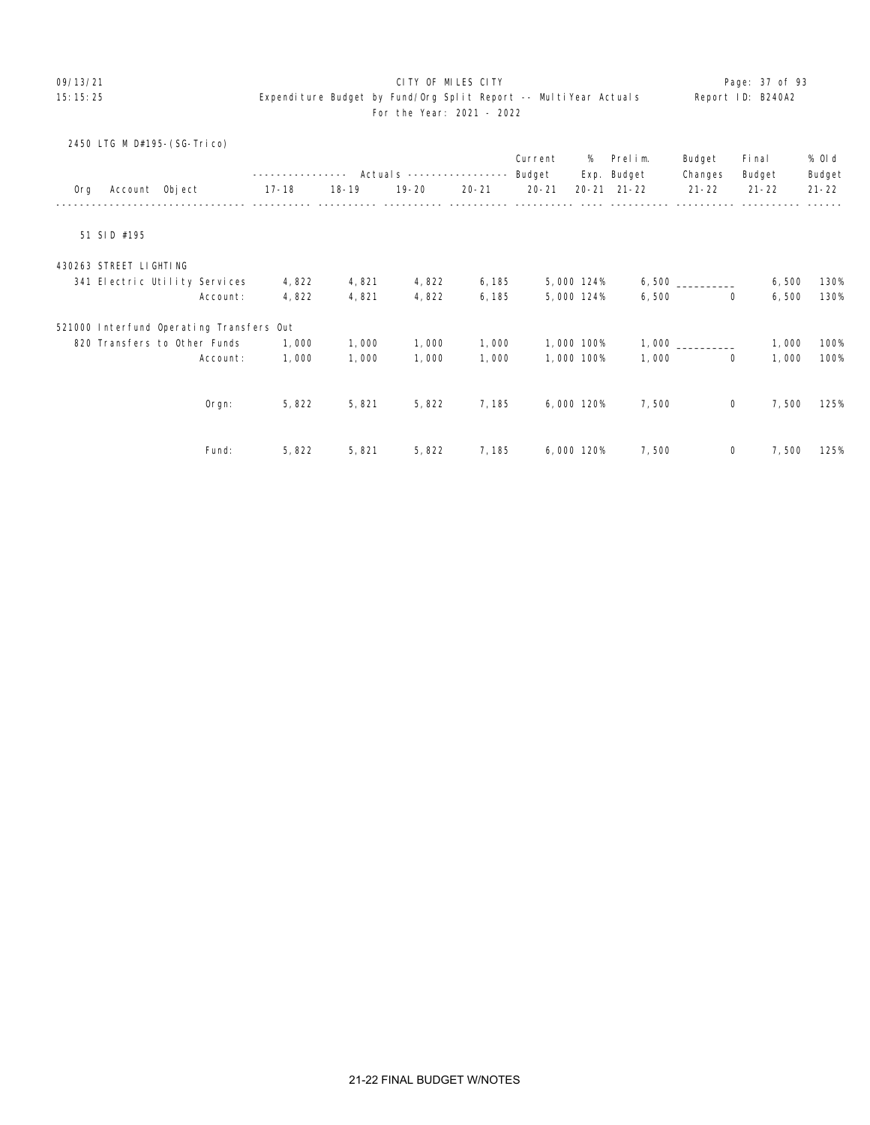# 09/13/21 Page: 37 of 93

|     |                        | 2450 LTG M D#195-(SG-Trico)              |           |           |              |           | Current   | %          | Prelim.             | Budget         | Fi nal    | % 0l d    |
|-----|------------------------|------------------------------------------|-----------|-----------|--------------|-----------|-----------|------------|---------------------|----------------|-----------|-----------|
|     |                        |                                          |           |           | Actuals ---- |           | Budget    | Exp.       | Budget              | Changes        | Budget    | Budget    |
| 0rg | Account Object         |                                          | $17 - 18$ | $18 - 19$ | $19 - 20$    | $20 - 21$ | $20 - 21$ |            | $20 - 21$ $21 - 22$ | $21 - 22$      | $21 - 22$ | $21 - 22$ |
|     | 51 SID #195            |                                          |           |           |              |           |           |            |                     |                |           |           |
|     | 430263 STREET LIGHTING |                                          |           |           |              |           |           |            |                     |                |           |           |
|     |                        | 341 Electric Utility Services            | 4,822     | 4,821     | 4,822        | 6, 185    |           | 5,000 124% |                     |                | 6,500     | 130%      |
|     |                        | Account:                                 | 4,822     | 4,821     | 4,822        | 6, 185    |           | 5,000 124% | 6,500               | $\mathbf 0$    | 6,500     | 130%      |
|     |                        | 521000 Interfund Operating Transfers Out |           |           |              |           |           |            |                     |                |           |           |
|     |                        | 820 Transfers to Other Funds             | 1,000     | 1,000     | 1,000        | 1,000     |           | 1,000 100% | 1,000               |                | 1,000     | 100%      |
|     |                        | Account:                                 | 1,000     | 1,000     | 1,000        | 1,000     |           | 1,000 100% | 1,000               | $\overline{0}$ | 1,000     | 100%      |
|     |                        |                                          |           |           |              |           |           |            |                     |                |           |           |
|     |                        | Orgn:                                    | 5,822     | 5,821     | 5,822        | 7,185     |           | 6,000 120% | 7,500               | 0              | 7,500     | 125%      |
|     |                        |                                          |           |           |              |           |           |            |                     |                |           |           |
|     |                        | Fund:                                    | 5,822     | 5,821     | 5,822        | 7, 185    |           | 6,000 120% | 7,500               | 0              | 7,500     | 125%      |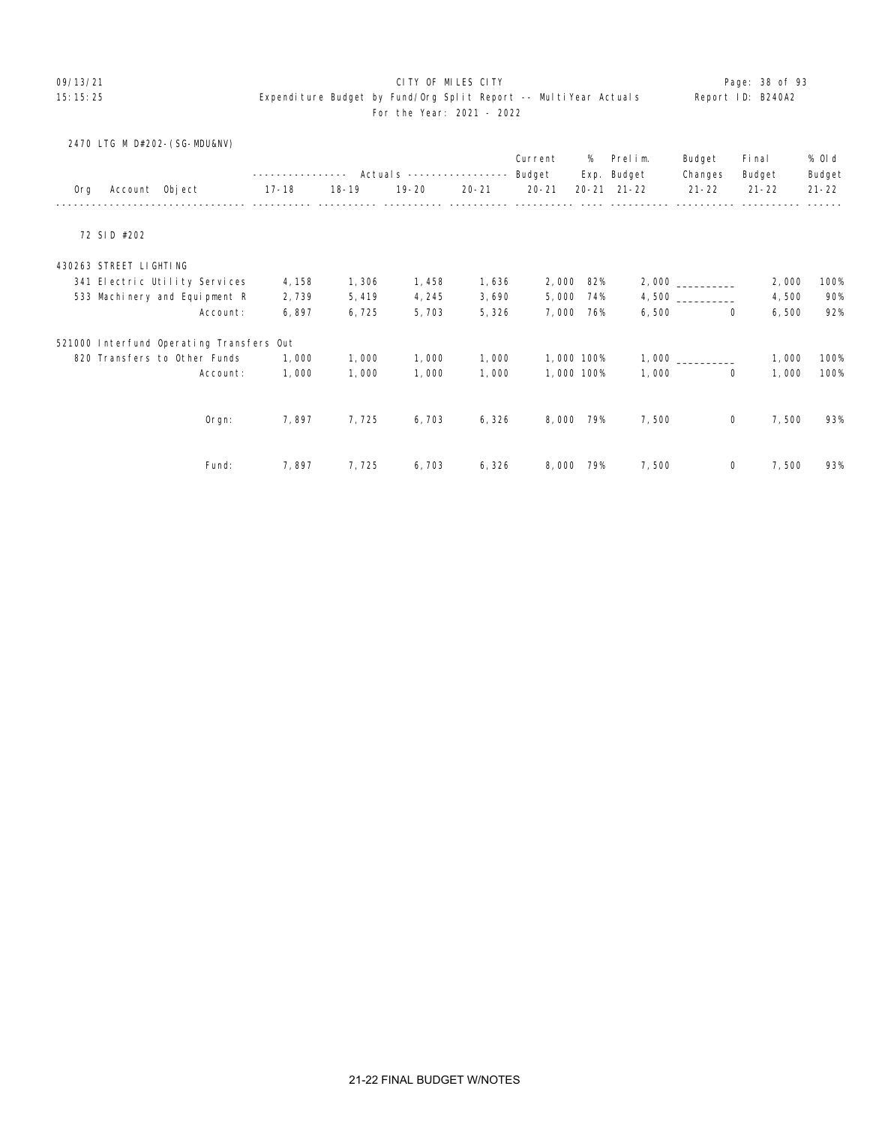#### 09/13/21 **CITY OF MILES CITY CITY CONSUMING THE PAGE:** 28 of 93

|  |  | 2470 LTG M D#202-(SG-MDU&NV) |
|--|--|------------------------------|
|  |  |                              |

|     |                        |                                          |        |           |                           |           | Current   | %          | Prelim.     | Budget    | Fi nal    | % OI d    |
|-----|------------------------|------------------------------------------|--------|-----------|---------------------------|-----------|-----------|------------|-------------|-----------|-----------|-----------|
|     |                        |                                          |        |           | Actuals ----------------- |           | Budget    |            | Exp. Budget | Changes   | Budget    | Budget    |
| 0rg | Account Object         |                                          | 17-18  | $18 - 19$ | $19 - 20$                 | $20 - 21$ | $20 - 21$ | $20 - 21$  | $21 - 22$   | $21 - 22$ | $21 - 22$ | $21 - 22$ |
|     | 72 SID #202            |                                          |        |           |                           |           |           |            |             |           |           |           |
|     |                        |                                          |        |           |                           |           |           |            |             |           |           |           |
|     | 430263 STREET LIGHTING |                                          |        |           |                           |           |           |            |             |           |           |           |
|     |                        | 341 Electric Utility Services            | 4, 158 | 1,306     | 1,458                     | 1,636     | 2,000     | 82%        |             |           | 2,000     | 100%      |
|     |                        | 533 Machinery and Equipment R            | 2,739  | 5,419     | 4, 245                    | 3,690     | 5,000     | 74%        |             |           | 4,500     | 90%       |
|     |                        | Account:                                 | 6,897  | 6,725     | 5,703                     | 5,326     | 7,000     | 76%        | 6,500       | 0         | 6,500     | 92%       |
|     |                        | 521000 Interfund Operating Transfers Out |        |           |                           |           |           |            |             |           |           |           |
|     |                        | 820 Transfers to Other Funds             | 1,000  | 1,000     | 1,000                     | 1,000     |           | 1,000 100% |             |           | 1,000     | 100%      |
|     |                        | Account:                                 | 1,000  | 1,000     | 1,000                     | 1,000     |           | 1,000 100% | 1,000       | 0         | 1,000     | 100%      |
|     |                        |                                          |        |           |                           |           |           |            |             |           |           |           |
|     |                        | Orgn:                                    | 7,897  | 7,725     | 6,703                     | 6,326     | 8,000     | 79%        | 7,500       | 0         | 7,500     | 93%       |
|     |                        |                                          |        |           |                           |           |           |            |             |           |           |           |
|     |                        | Fund:                                    | 7,897  | 7,725     | 6,703                     | 6,326     | 8,000     | 79%        | 7,500       | 0         | 7,500     | 93%       |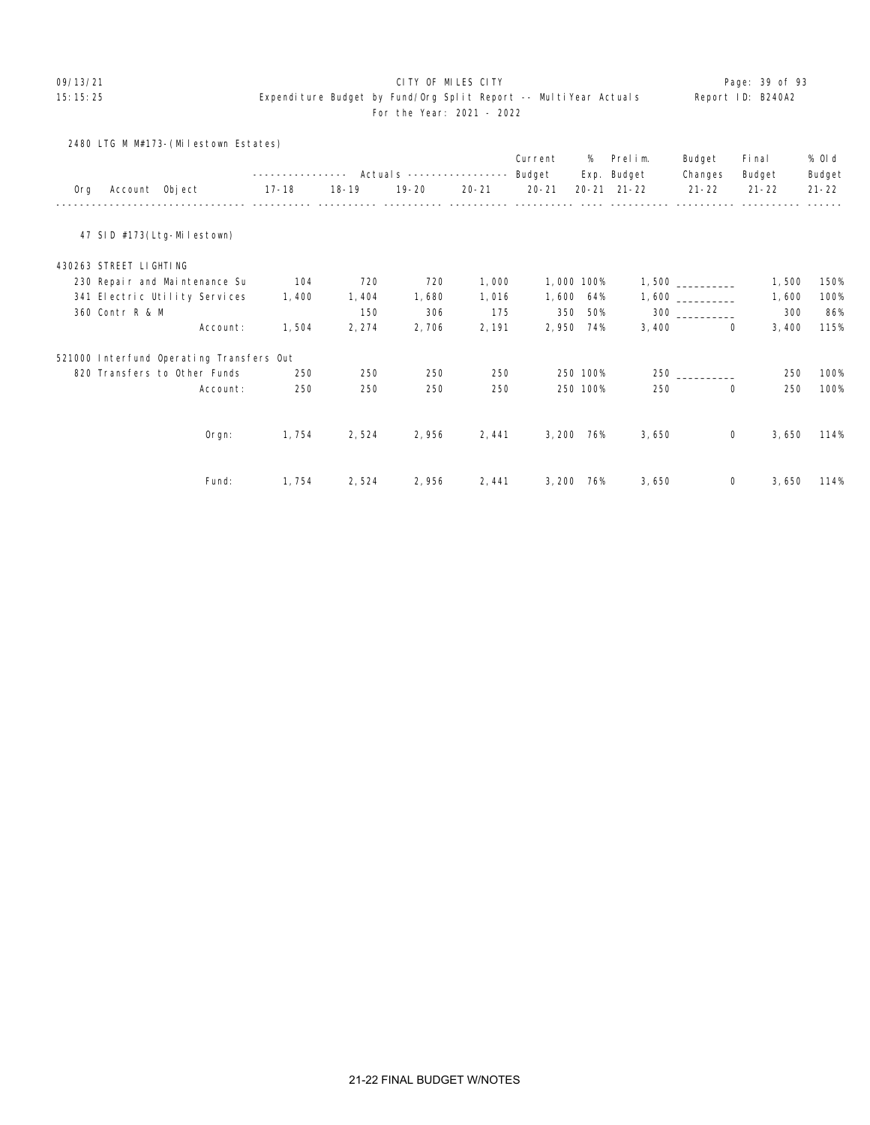# 09/13/21 CITY OF MILES CITY Page: 39 of 93

|  | Report ID: B240A2 |
|--|-------------------|
|  |                   |

|  | . | . . |
|--|---|-----|
|  |   |     |
|  |   |     |
|  |   |     |
|  |   |     |
|  |   |     |

|     | 2480 LTG M M#173-(Milestown Estates)     |              |           |                           |           |            |          |             |                |           |           |
|-----|------------------------------------------|--------------|-----------|---------------------------|-----------|------------|----------|-------------|----------------|-----------|-----------|
|     |                                          |              |           |                           |           | Current    | %        | Prelim.     | Budget         | Fi nal    | % 0l d    |
|     |                                          | ------------ |           | Actuals ----------------- |           | Budget     |          | Exp. Budget | Changes        | Budget    | Budget    |
| 0rg | Account Object                           | $17 - 18$    | $18 - 19$ | $19 - 20$                 | $20 - 21$ | $20 - 21$  |          | 20-21 21-22 | $21 - 22$      | $21 - 22$ | $21 - 22$ |
|     | 47 SID #173(Ltg-Milestown)               |              |           |                           |           |            |          |             |                |           |           |
|     | 430263 STREET LIGHTING                   |              |           |                           |           |            |          |             |                |           |           |
|     | 230 Repair and Maintenance Su            | 104          | 720       | 720                       | 1,000     | 1,000 100% |          |             |                | 1,500     | 150%      |
|     | 341 Electric Utility Services            | 1,400        | 1,404     | 1,680                     | 1,016     | 1,600      | 64%      |             |                | 1,600     | 100%      |
|     | 360 Contr R & M                          |              | 150       | 306                       | 175       | 350        | 50%      |             | $300$          | 300       | 86%       |
|     | Account:                                 | 1,504        | 2, 274    | 2,706                     | 2, 191    | 2,950      | 74%      | 3,400       | $\Omega$       | 3,400     | 115%      |
|     | 521000 Interfund Operating Transfers Out |              |           |                           |           |            |          |             |                |           |           |
|     | 820 Transfers to Other Funds             | 250          | 250       | 250                       | 250       |            | 250 100% |             | 250 and $\sim$ | 250       | 100%      |
|     | Account:                                 | 250          | 250       | 250                       | 250       |            | 250 100% | 250         | 0              | 250       | 100%      |
|     |                                          |              |           |                           |           |            |          |             |                |           |           |
|     | Orgn:                                    | 1,754        | 2,524     | 2,956                     | 2,441     | 3,200 76%  |          | 3,650       | 0              | 3,650     | 114%      |
|     |                                          |              |           |                           |           |            |          |             |                |           |           |
|     | Fund:                                    | 1,754        | 2,524     | 2,956                     | 2,441     | 3,200      | 76%      | 3,650       | $\mathbf{0}$   | 3,650     | 114%      |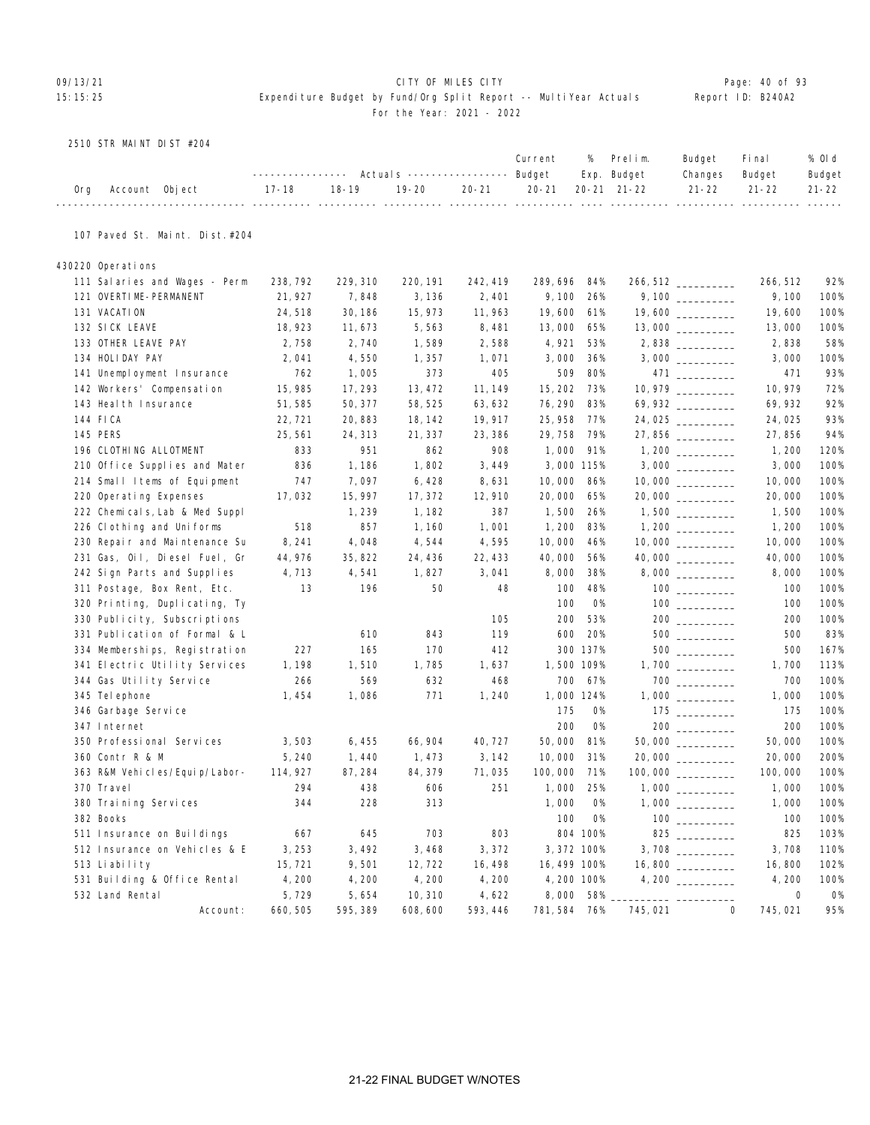# OP/13/21 **CITY OF MILES CITY CITY CITY CITY Page: 40 of 93** 15:15:25 Expenditure Budget by Fund/Org Split Report -- MultiYear Actuals Report ID: B240A2 For the Year: 2021 - 2022

### 2510 STR MAINT DIST #204

|                    |                                                                             |  |  | Current % Prelim. | Budget Final |                | % Old  |
|--------------------|-----------------------------------------------------------------------------|--|--|-------------------|--------------|----------------|--------|
|                    | ---------------    Actuals ----------------    Budget    Exp.    Budget     |  |  |                   |              | Changes Budget | Budget |
| Org Account Object | 17-18   18-19   19-20   20-21   20-21  20-21 21-22    21-22   21-22   21-22 |  |  |                   |              |                |        |

# 107 Paved St. Maint. Dist.#204

430220 Operations

| 111 Salaries and Wages - Perm  | 238, 792 | 229, 310 | 220, 191 | 242, 419 | 289, 696     | 84%       |         | 266, 512 __________                    | 266, 512    | 92%       |
|--------------------------------|----------|----------|----------|----------|--------------|-----------|---------|----------------------------------------|-------------|-----------|
| 121 OVERTIME-PERMANENT         | 21, 927  | 7,848    | 3, 136   | 2,401    | 9, 100       | 26%       |         |                                        | 9,100       | 100%      |
| 131 VACATION                   | 24,518   | 30, 186  | 15, 973  | 11,963   | 19,600       | 61%       |         | 19,600 _________                       | 19,600      | 100%      |
| 132 SICK LEAVE                 | 18, 923  | 11,673   | 5,563    | 8,481    | 13,000       | 65%       |         |                                        | 13,000      | 100%      |
| 133 OTHER LEAVE PAY            | 2,758    | 2,740    | 1,589    | 2,588    | 4,921        | 53%       |         |                                        | 2,838       | 58%       |
| 134 HOLIDAY PAY                | 2,041    | 4,550    | 1,357    | 1,071    | 3,000        | 36%       |         |                                        | 3,000       | 100%      |
| 141 Unemployment Insurance     | 762      | 1,005    | 373      | 405      | 509          | 80%       |         |                                        | 471         | 93%       |
| 142 Workers' Compensation      | 15, 985  | 17, 293  | 13, 472  | 11, 149  | 15, 202      | 73%       |         | 10, 979                                | 10, 979     | 72%       |
| 143 Heal th Insurance          | 51,585   | 50, 377  | 58, 525  | 63, 632  | 76, 290      | 83%       |         | 69,932 ________                        | 69, 932     | 92%       |
| 144 FICA                       | 22, 721  | 20,883   | 18, 142  | 19, 917  | 25, 958      | 77%       |         | 24,025                                 | 24,025      | 93%       |
| 145 PERS                       | 25,561   | 24, 313  | 21, 337  | 23, 386  | 29,758       | 79%       |         | 27,856                                 | 27,856      | 94%       |
| 196 CLOTHING ALLOTMENT         | 833      | 951      | 862      | 908      | 1,000        | 91%       |         |                                        | 1, 200      | 120%      |
| 210 Office Supplies and Mater  | 836      | 1,186    | 1,802    | 3,449    | 3,000 115%   |           |         |                                        | 3,000       | 100%      |
| 214 Small Items of Equipment   | 747      | 7,097    | 6,428    | 8,631    | 10,000       | 86%       |         |                                        | 10,000      | 100%      |
| 220 Operating Expenses         | 17,032   | 15, 997  | 17, 372  | 12,910   | 20,000       | 65%       |         | 20,000                                 | 20,000      | 100%      |
| 222 Chemicals, Lab & Med Suppl |          | 1,239    | 1, 182   | 387      | 1,500        | 26%       |         | 1,500                                  | 1,500       | 100%      |
| 226 Clothing and Uniforms      | 518      | 857      | 1,160    | 1,001    | 1, 200       | 83%       |         |                                        | 1, 200      | 100%      |
| 230 Repair and Maintenance Su  | 8, 241   | 4,048    | 4,544    | 4,595    | 10,000       | 46%       |         |                                        | 10,000      | 100%      |
| 231 Gas, Oil, Diesel Fuel, Gr  | 44, 976  | 35, 822  | 24, 436  | 22, 433  | 40,000       | 56%       |         |                                        | 40,000      | 100%      |
| 242 Sign Parts and Supplies    | 4,713    | 4,541    | 1,827    | 3,041    | 8,000        | 38%       |         |                                        | 8,000       | 100%      |
| 311 Postage, Box Rent, Etc.    | 13       | 196      | 50       | 48       | 100          | 48%       |         |                                        | 100         | 100%      |
| 320 Printing, Duplicating, Ty  |          |          |          |          | 100          | <b>O%</b> |         |                                        | 100         | 100%      |
| 330 Publicity, Subscriptions   |          |          |          | 105      | 200          | 53%       |         | $200$                                  | 200         | 100%      |
| 331 Publication of Formal & L  |          | 610      | 843      | 119      | 600          | 20%       |         |                                        | 500         | 83%       |
| 334 Memberships, Registration  | 227      | 165      | 170      | 412      |              | 300 137%  |         |                                        | 500         | 167%      |
| 341 Electric Utility Services  | 1, 198   | 1,510    | 1,785    | 1,637    | 1,500 109%   |           |         |                                        | 1,700       | 113%      |
| 344 Gas Utility Service        | 266      | 569      | 632      | 468      | 700          | 67%       |         | $700$                                  | 700         | 100%      |
| 345 Tel ephone                 | 1,454    | 1,086    | 771      | 1,240    | 1,000 124%   |           |         |                                        | 1,000       | 100%      |
| 346 Garbage Service            |          |          |          |          | 175          | <b>O%</b> |         | $175$ _________                        | 175         | 100%      |
| 347 Internet                   |          |          |          |          | 200          | <b>O%</b> |         |                                        | 200         | 100%      |
| 350 Professional Services      | 3,503    | 6,455    | 66, 904  | 40, 727  | 50,000       | 81%       |         | $50,000$ __________                    | 50,000      | 100%      |
| 360 Contr R & M                | 5,240    | 1,440    | 1,473    | 3, 142   | 10,000       | 31%       |         |                                        | 20,000      | 200%      |
| 363 R&M Vehicles/Equip/Labor-  | 114, 927 | 87, 284  | 84, 379  | 71,035   | 100,000      | 71%       |         |                                        | 100,000     | 100%      |
| 370 Travel                     | 294      | 438      | 606      | 251      | 1,000        | 25%       |         |                                        | 1,000       | 100%      |
| 380 Training Services          | 344      | 228      | 313      |          | 1,000        | <b>O%</b> |         |                                        | 1,000       | 100%      |
| 382 Books                      |          |          |          |          | 100          | <b>O%</b> |         | $\begin{tabular}{c} 100 \end{tabular}$ | 100         | 100%      |
| 511 Insurance on Buildings     | 667      | 645      | 703      | 803      |              | 804 100%  |         |                                        | 825         | 103%      |
| 512 Insurance on Vehicles & E  | 3,253    | 3,492    | 3,468    | 3,372    | 3, 372 100%  |           |         |                                        | 3,708       | 110%      |
| 513 Liability                  | 15, 721  | 9,501    | 12, 722  | 16, 498  | 16, 499 100% |           |         |                                        | 16,800      | 102%      |
| 531 Building & Office Rental   | 4,200    | 4,200    | 4,200    | 4,200    | 4,200 100%   |           |         |                                        | 4,200       | 100%      |
| 532 Land Rental                | 5,729    | 5,654    | 10, 310  | 4,622    | 8,000        | 58%       |         |                                        | $\mathbf 0$ | <b>O%</b> |
| Account:                       | 660, 505 | 595, 389 | 608, 600 | 593, 446 | 781, 584 76% |           | 745,021 | $\mathbf 0$                            | 745,021     | 95%       |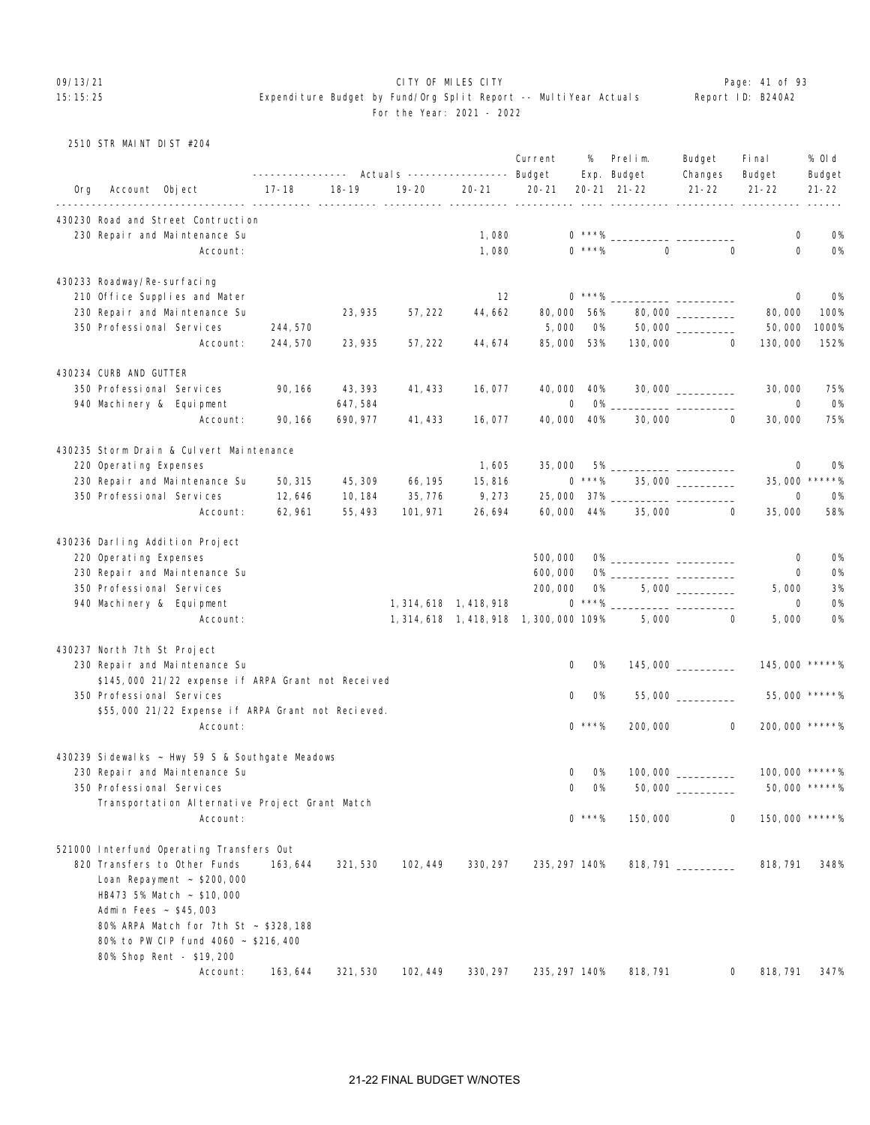### 09/13/21 **CITY OF MILES CITY CITY CONSUMING THE PAGE:** 41 of 93

|  | 2510 STR MAINT DIST #204 |  |  |
|--|--------------------------|--|--|

|     |                                 |                                                    | ----------------                          |                     | Actuals ----------------- Budget |                         | Current                                  | %                | Prelim.<br>Exp. Budget | Budget<br>Changes    | Fi nal<br>Budget                                   | % OI d<br>Budget     |
|-----|---------------------------------|----------------------------------------------------|-------------------------------------------|---------------------|----------------------------------|-------------------------|------------------------------------------|------------------|------------------------|----------------------|----------------------------------------------------|----------------------|
| Org | Account Object                  |                                                    | $17 - 18$<br><u>------- ---------- --</u> | $18 - 19$           | $19 - 20$<br>$\frac{1}{2}$       | $20 - 21$               | $20 - 21$<br>----- -----------           |                  | 20-21 21-22            | $21 - 22$            | $21 - 22$<br>-------- ---------- ---------- ------ | $21 - 22$            |
|     |                                 | 430230 Road and Street Contruction                 |                                           |                     |                                  |                         |                                          |                  |                        |                      |                                                    |                      |
|     | 230 Repair and Maintenance Su   |                                                    |                                           |                     |                                  | 1,080                   |                                          |                  |                        |                      | 0                                                  | <b>0%</b>            |
|     |                                 | Account:                                           |                                           |                     |                                  | 1,080                   |                                          | $0$ ***%         | $\Omega$               | $\mathbf 0$          | $\mathbf 0$                                        | <b>O%</b>            |
|     | 430233 Roadway/Re-surfacing     |                                                    |                                           |                     |                                  |                         |                                          |                  |                        |                      |                                                    |                      |
|     | 210 Office Supplies and Mater   |                                                    |                                           |                     |                                  | 12                      |                                          | $0***%$          |                        |                      | 0                                                  | 0%                   |
|     | 230 Repair and Maintenance Su   |                                                    |                                           | 23, 935             | 57, 222                          | 44,662                  | 80,000                                   | 56%              |                        | 80,000 _________     | 80,000                                             | 100%                 |
|     | 350 Professional Services       |                                                    | 244, 570                                  |                     |                                  |                         | 5,000                                    | 0%               |                        |                      | 50,000                                             | 1000%                |
|     |                                 | Account:                                           | 244, 570                                  | 23, 935             | 57, 222                          | 44, 674                 | 85,000                                   | 53%              | 130,000                | $\mathbf{0}$         | 130,000                                            | 152%                 |
|     |                                 |                                                    |                                           |                     |                                  |                         |                                          |                  |                        |                      |                                                    |                      |
|     | 430234 CURB AND GUTTER          |                                                    |                                           |                     |                                  |                         |                                          |                  |                        |                      |                                                    |                      |
|     | 350 Professional Services       |                                                    | 90, 166                                   | 43, 393             | 41, 433                          | 16,077                  | 40,000                                   | 40%              |                        |                      | 30,000                                             | 75%                  |
|     | 940 Machinery & Equipment       | Account:                                           | 90, 166                                   | 647,584<br>690, 977 | 41, 433                          | 16,077                  | 0<br>40,000                              | <b>O%</b><br>40% | 30,000                 | 0                    | 0<br>30,000                                        | <b>O%</b><br>75%     |
|     |                                 |                                                    |                                           |                     |                                  |                         |                                          |                  |                        |                      |                                                    |                      |
|     |                                 | 430235 Storm Drain & Culvert Maintenance           |                                           |                     |                                  |                         |                                          |                  |                        |                      |                                                    |                      |
|     | 220 Operating Expenses          |                                                    |                                           |                     |                                  | 1,605                   | 35,000                                   | 5% _             |                        |                      | 0                                                  | <b>0%</b><br>$*****$ |
|     | 230 Repair and Maintenance Su   |                                                    | 50, 315                                   | 45, 309             | 66, 195                          | 15,816                  |                                          | $0***%$          |                        | 35,000 __________    | 35,000                                             |                      |
|     | 350 Professional Services       | Account:                                           | 12,646<br>62, 961                         | 10, 184<br>55, 493  | 35, 776<br>101, 971              | 9,273<br>26,694         | 25,000<br>60,000                         | 37% __<br>44%    | 35,000                 | 0                    | 0<br>35,000                                        | 0%<br>58%            |
|     |                                 |                                                    |                                           |                     |                                  |                         |                                          |                  |                        |                      |                                                    |                      |
|     | 430236 Darling Addition Project |                                                    |                                           |                     |                                  |                         |                                          |                  |                        |                      |                                                    |                      |
|     | 220 Operating Expenses          |                                                    |                                           |                     |                                  |                         | 500,000                                  |                  |                        |                      | 0                                                  | <b>0%</b>            |
|     | 230 Repair and Maintenance Su   |                                                    |                                           |                     |                                  |                         | 600,000                                  |                  |                        |                      | $\mathbf 0$                                        | <b>0%</b>            |
|     | 350 Professional Services       |                                                    |                                           |                     |                                  |                         | 200,000                                  | 0%               |                        |                      | 5,000                                              | 3%                   |
|     | 940 Machinery & Equipment       |                                                    |                                           |                     |                                  | 1, 314, 618 1, 418, 918 |                                          | $0***\%$         |                        |                      | 0                                                  | 0%                   |
|     |                                 | Account:                                           |                                           |                     |                                  |                         | 1, 314, 618 1, 418, 918 1, 300, 000 109% |                  | 5,000                  | 0                    | 5,000                                              | <b>O%</b>            |
|     | 430237 North 7th St Project     |                                                    |                                           |                     |                                  |                         |                                          |                  |                        |                      |                                                    |                      |
|     | 230 Repair and Maintenance Su   |                                                    |                                           |                     |                                  |                         | 0                                        | 0%               |                        | $145,000$ __________ | 145,000 *****%                                     |                      |
|     |                                 | \$145,000 21/22 expense if ARPA Grant not Received |                                           |                     |                                  |                         |                                          |                  |                        |                      |                                                    |                      |
|     | 350 Professional Services       |                                                    |                                           |                     |                                  |                         | 0                                        | 0%               |                        | 55,000 __________    |                                                    | 55,000 *****%        |
|     |                                 | \$55,000 21/22 Expense if ARPA Grant not Recieved. |                                           |                     |                                  |                         |                                          |                  |                        |                      |                                                    |                      |
|     |                                 | Account:                                           |                                           |                     |                                  |                         |                                          | $0***%$          | 200,000                | $\mathbf 0$          | 200,000 *****%                                     |                      |
|     |                                 | 430239 Sidewalks ~ Hwy 59 S & Southgate Meadows    |                                           |                     |                                  |                         |                                          |                  |                        |                      |                                                    |                      |
|     | 230 Repair and Maintenance Su   |                                                    |                                           |                     |                                  |                         | 0                                        | <b>O%</b>        |                        |                      | 100,000 *****%                                     |                      |
|     | 350 Professional Services       |                                                    |                                           |                     |                                  |                         | 0                                        | O%               | 50,000                 |                      | 50,000                                             | *****%               |
|     |                                 | Transportation Alternative Project Grant Match     |                                           |                     |                                  |                         |                                          |                  |                        |                      |                                                    |                      |
|     |                                 | Account:                                           |                                           |                     |                                  |                         |                                          | $0$ ***%         | 150,000                | $\mathbf{0}$         | 150,000 *****%                                     |                      |
|     |                                 | 521000 Interfund Operating Transfers Out           |                                           |                     |                                  |                         |                                          |                  |                        |                      |                                                    |                      |
|     | 820 Transfers to Other Funds    |                                                    | 163, 644                                  | 321, 530            | 102, 449                         | 330, 297                | 235, 297 140%                            |                  |                        | 818, 791             | 818, 791                                           | 348%                 |
|     |                                 | Loan Repayment $\sim$ \$200,000                    |                                           |                     |                                  |                         |                                          |                  |                        |                      |                                                    |                      |
|     | HB473 5% Match ~ \$10,000       |                                                    |                                           |                     |                                  |                         |                                          |                  |                        |                      |                                                    |                      |
|     | Admin Fees ~ \$45,003           |                                                    |                                           |                     |                                  |                         |                                          |                  |                        |                      |                                                    |                      |
|     |                                 | 80% ARPA Match for 7th St ~ \$328,188              |                                           |                     |                                  |                         |                                          |                  |                        |                      |                                                    |                      |
|     |                                 | 80% to PW CIP fund 4060 ~ \$216,400                |                                           |                     |                                  |                         |                                          |                  |                        |                      |                                                    |                      |
|     | 80% Shop Rent - \$19,200        |                                                    |                                           |                     |                                  |                         |                                          |                  |                        |                      |                                                    |                      |
|     |                                 | Account:                                           | 163, 644                                  | 321, 530            | 102, 449                         | 330, 297                | 235, 297 140%                            |                  | 818, 791               | 0                    | 818, 791                                           | 347%                 |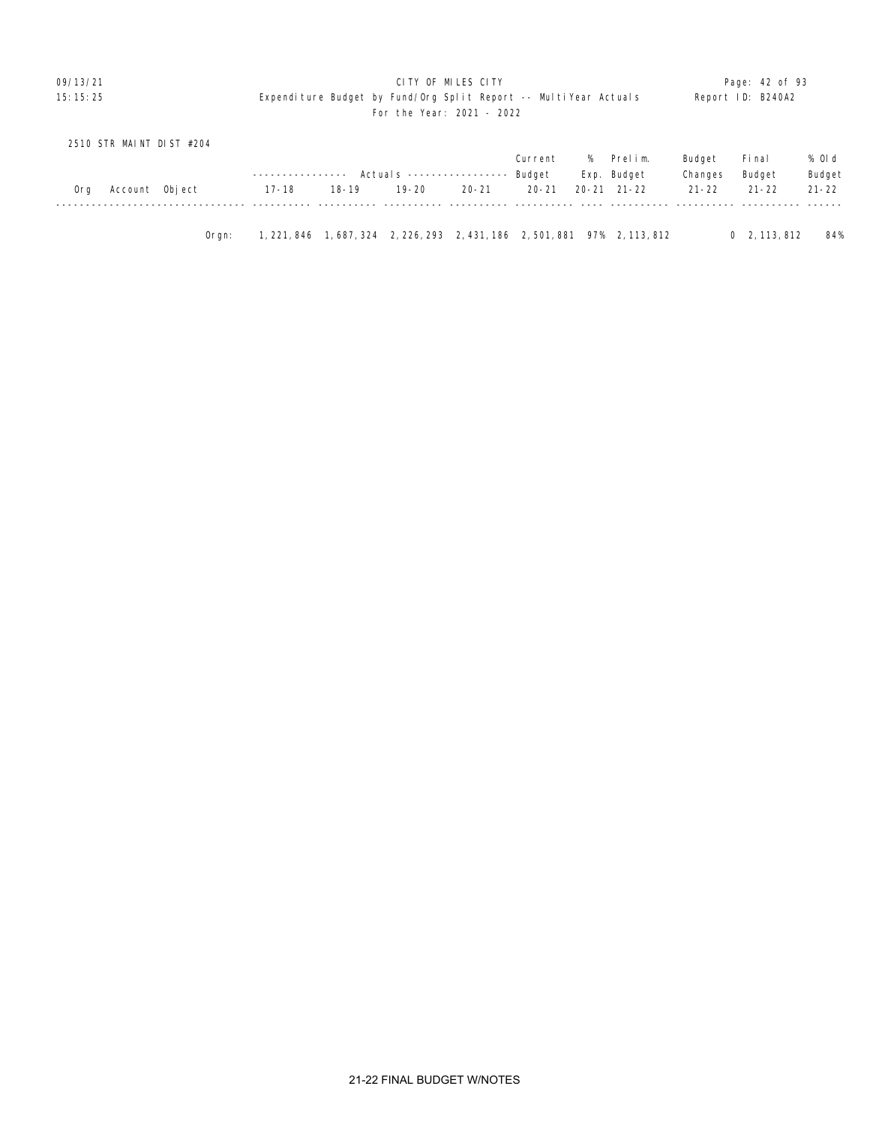|     | 2510 STR MAINT DIST #204 |       |                  |           |                                  |       |           |      |                                                                             |           |                      |           |
|-----|--------------------------|-------|------------------|-----------|----------------------------------|-------|-----------|------|-----------------------------------------------------------------------------|-----------|----------------------|-----------|
|     |                          |       |                  |           |                                  |       | Current   | $\%$ | Prelim.                                                                     | Budget    | Fi nal               | % Old     |
|     |                          |       | ---------------- |           | Actuals ----------------- Budget |       |           |      | Exp. Budget                                                                 | Changes   | Budget               | Budget    |
| 0rg | Account Object           |       | 17-18            | $18 - 19$ | 19-20                            | 20-21 | $20 - 21$ |      | 20-21 21-22                                                                 | $21 - 22$ | $21 - 22$            | $21 - 22$ |
|     |                          |       |                  |           |                                  |       |           |      |                                                                             |           |                      |           |
|     |                          |       |                  |           |                                  |       |           |      |                                                                             |           |                      |           |
|     |                          | Orgn: |                  |           |                                  |       |           |      | 1, 221, 846 1, 687, 324 2, 226, 293 2, 431, 186 2, 501, 881 97% 2, 113, 812 |           | $0\quad 2, 113, 812$ | 84%       |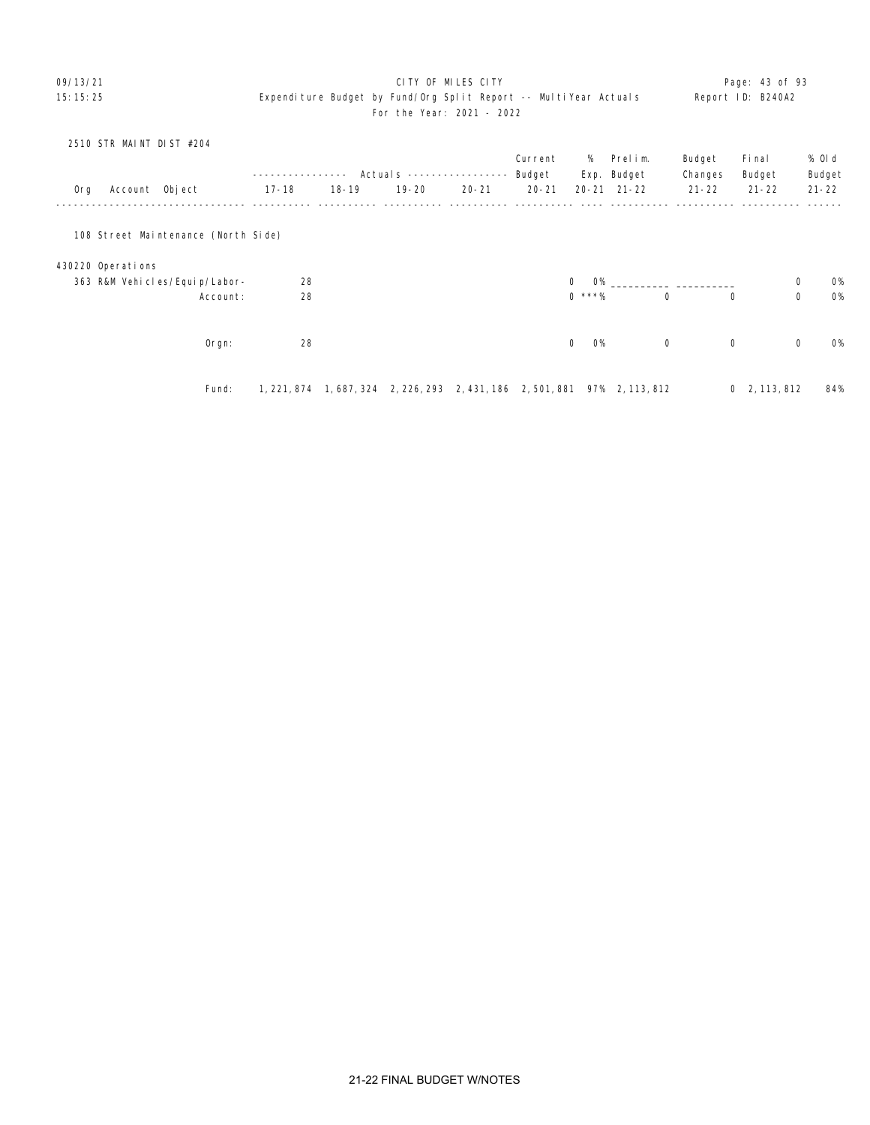# 09/13/21 **CITY OF MILES CITY CITY CONSUMING THE PAGE:** 43 of 93 15:15:25 Expenditure Budget by Fund/Org Split Report -- MultiYear Actuals Report ID: B240A2 For the Year: 2021 - 2022

|     | 2510 STR MAINT DIST #204 |                                     |             |           |                         |           |           |                           |                                         |             |                      |             |           |
|-----|--------------------------|-------------------------------------|-------------|-----------|-------------------------|-----------|-----------|---------------------------|-----------------------------------------|-------------|----------------------|-------------|-----------|
|     |                          |                                     |             |           |                         |           | Current   | %                         | Prelim.                                 | Budget      | Fi nal               |             | % OI d    |
|     |                          |                                     |             |           | Actuals $---$           |           | Budget    |                           | Exp. Budget                             | Changes     | Budget               |             | Budget    |
| 0rg | Account Object           |                                     | $17 - 18$   | $18 - 19$ | $19 - 20$               | $20 - 21$ | $20 - 21$ |                           | $20 - 21$ $21 - 22$                     | $21 - 22$   | $21 - 22$            |             | $21 - 22$ |
|     |                          | 108 Street Maintenance (North Side) |             |           |                         |           |           |                           |                                         |             |                      |             |           |
|     |                          |                                     |             |           |                         |           |           |                           |                                         |             |                      |             |           |
|     | 430220 Operations        |                                     |             |           |                         |           |           |                           |                                         |             |                      |             |           |
|     |                          | 363 R&M Vehicles/Equip/Labor-       | 28          |           |                         |           |           | $\mathbf 0$               | $O\%$                                   |             |                      | $\mathbf 0$ | <b>O%</b> |
|     |                          | Account:                            | 28          |           |                         |           |           | $0***%$                   | $\mathbf 0$                             | $\mathbf 0$ |                      | $\mathsf 0$ | <b>O%</b> |
|     |                          |                                     |             |           |                         |           |           |                           |                                         |             |                      |             |           |
|     |                          | Orgn:                               | 28          |           |                         |           |           | $\mathbf{0}$<br><b>O%</b> | $\mathbf 0$                             | $\mathbf 0$ |                      | $\mathbf 0$ | <b>O%</b> |
|     |                          |                                     |             |           |                         |           |           |                           |                                         |             |                      |             |           |
|     |                          | Fund:                               | 1, 221, 874 |           | 1, 687, 324 2, 226, 293 |           |           |                           | 2, 431, 186 2, 501, 881 97% 2, 113, 812 |             | $0\quad 2, 113, 812$ |             | 84%       |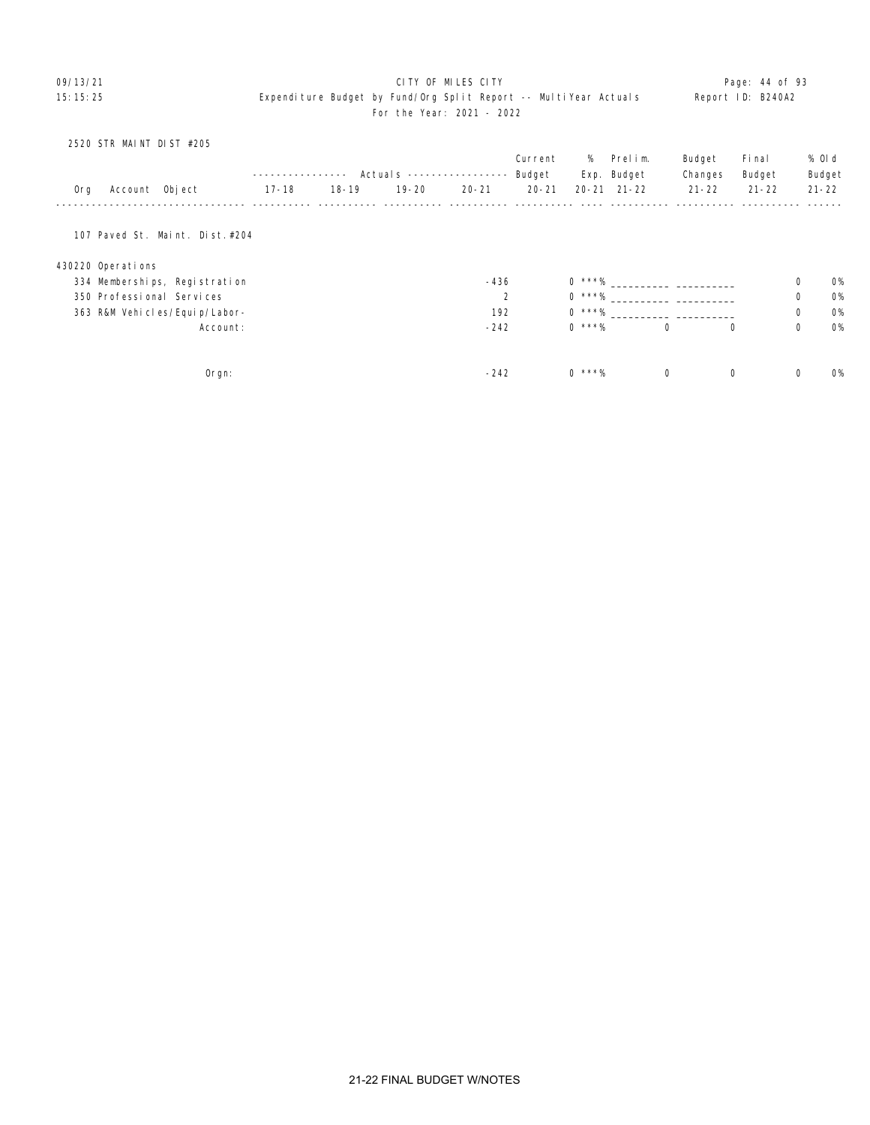# 09/13/21 **CITY OF MILES CITY CITY CONSUMING THE PAGE 2009 Page: 44 of 93** 15:15:25 Expenditure Budget by Fund/Org Split Report -- MultiYear Actuals Report ID: B240A2 For the Year: 2021 - 2022

|     | 2520 STR MAINT DIST #205  |                                  |           |           |           |                            |           |          |                     |             |           |             |           |
|-----|---------------------------|----------------------------------|-----------|-----------|-----------|----------------------------|-----------|----------|---------------------|-------------|-----------|-------------|-----------|
|     |                           |                                  |           |           |           |                            | Current   | %        | Prelim.             | Budget      | Fi nal    |             | % Old     |
|     |                           |                                  |           |           |           | Actual s ----------------- | Budget    |          | Exp. Budget         | Changes     | Budget    |             | Budget    |
| 0rg | Account Object            |                                  | $17 - 18$ | $18 - 19$ | $19 - 20$ | $20 - 21$                  | $20 - 21$ |          | $20 - 21$ $21 - 22$ | $21 - 22$   | $21 - 22$ |             | $21 - 22$ |
|     |                           | 107 Paved St. Maint. Dist. #204  |           |           |           |                            |           |          |                     |             |           |             |           |
|     | 430220 Operations         |                                  |           |           |           |                            |           |          |                     |             |           |             |           |
|     |                           | 334 Memberships, Registration    |           |           |           | $-436$                     |           | $0***%$  |                     |             |           | 0           | <b>O%</b> |
|     | 350 Professional Services |                                  |           |           |           | 2                          |           | $0$ ***% |                     |             |           | 0           | 0%        |
|     |                           | 363 R&M Vehi cl es/Equi p/Labor- |           |           |           | 192                        |           | $0***%$  |                     |             |           | 0           | <b>O%</b> |
|     |                           | Account:                         |           |           |           | $-242$                     |           | $0$ ***% |                     | $\mathbf 0$ | $\Omega$  | $\mathbf 0$ | <b>O%</b> |
|     |                           |                                  |           |           |           |                            |           |          |                     |             |           |             |           |
|     |                           | $O$ rgn:                         |           |           |           | $-242$                     |           | $0$ ***% |                     | $\mathbf 0$ | 0         | 0           | <b>O%</b> |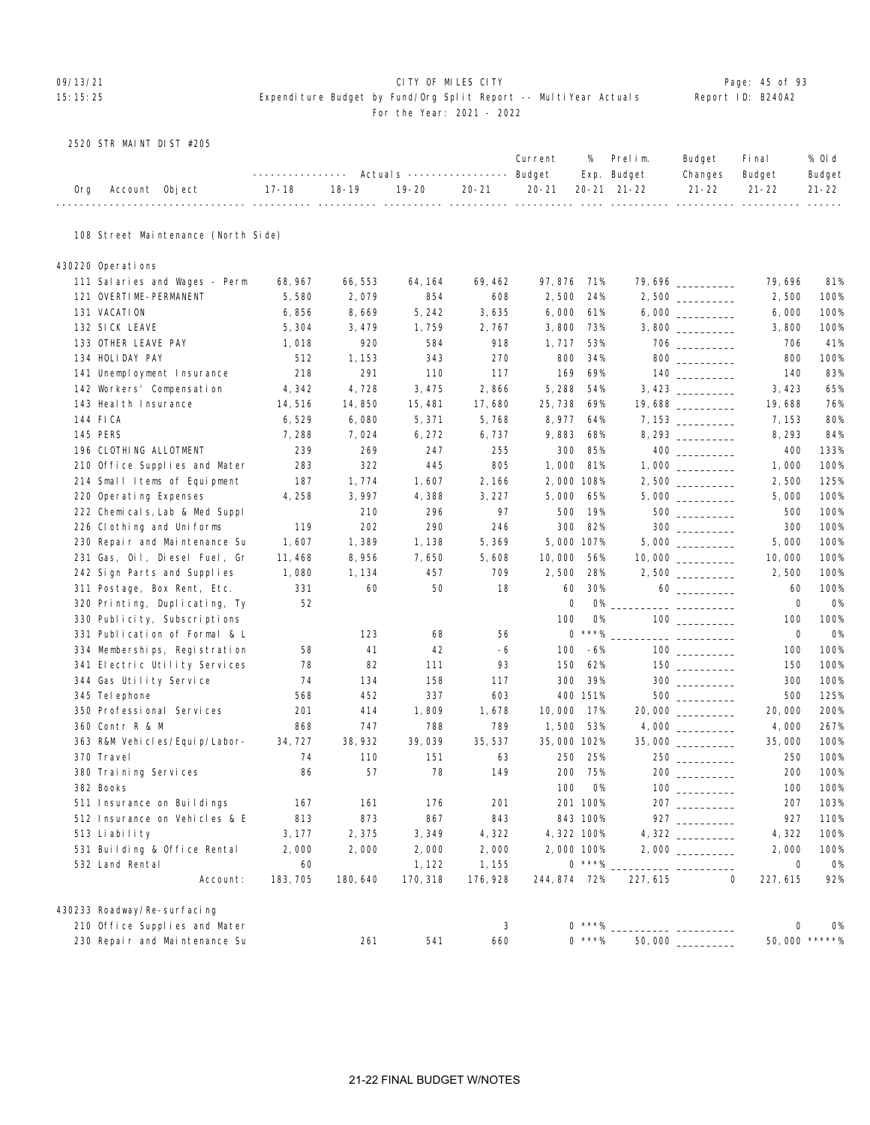# 09/13/21 Page: 45 of 93

# 15:15:25 Expenditure Budget by Fund/Org Split Report -- MultiYear Actuals Report ID: B240A2 For the Year: 2021 - 2022

2520 STR MAINT DIST #205

|     |                                     | -------------          |                                            | Actuals ----------------- Budget |           | Current                      | %              | Prelim.<br>Exp. Budget | Budget<br>Changes                                                                                                                                                                                                                                                                                                                                             | Fi nal<br>Budget                          | % OI d<br>Budget |
|-----|-------------------------------------|------------------------|--------------------------------------------|----------------------------------|-----------|------------------------------|----------------|------------------------|---------------------------------------------------------------------------------------------------------------------------------------------------------------------------------------------------------------------------------------------------------------------------------------------------------------------------------------------------------------|-------------------------------------------|------------------|
| 0rg | Account Object<br>------- ----      | $17 - 18$<br>------ -- | $18 - 19$<br><b><i><u>--- ----</u></i></b> | $19 - 20$<br>----- ---           | $20 - 21$ | $20 - 21$<br>---- ---------- |                | $20 - 21$ $21 - 22$    | $21 - 22$                                                                                                                                                                                                                                                                                                                                                     | $21 - 22$<br>------ ---------- ---------- | $21 - 22$        |
|     | 108 Street Maintenance (North Side) |                        |                                            |                                  |           |                              |                |                        |                                                                                                                                                                                                                                                                                                                                                               |                                           |                  |
|     | 430220 Operations                   |                        |                                            |                                  |           |                              |                |                        |                                                                                                                                                                                                                                                                                                                                                               |                                           |                  |
|     | 111 Salaries and Wages - Perm       | 68, 967                | 66, 553                                    | 64, 164                          | 69, 462   | 97, 876                      | 71%            |                        | 79,696 ________                                                                                                                                                                                                                                                                                                                                               | 79, 696                                   | 81%              |
|     | 121 OVERTIME-PERMANENT              | 5,580                  | 2,079                                      | 854                              | 608       | 2,500                        | 24%            |                        | 2,500                                                                                                                                                                                                                                                                                                                                                         | 2,500                                     | 100%             |
|     | 131 VACATION                        | 6,856                  | 8,669                                      | 5, 242                           | 3,635     | 6,000                        | 61%            |                        |                                                                                                                                                                                                                                                                                                                                                               | 6,000                                     | 100%             |
|     | 132 SICK LEAVE                      | 5,304                  | 3, 479                                     | 1,759                            | 2,767     | 3,800                        | 73%            |                        |                                                                                                                                                                                                                                                                                                                                                               | 3,800                                     | 100%             |
|     | 133 OTHER LEAVE PAY                 | 1,018                  | 920                                        | 584                              | 918       | 1, 717                       | 53%            |                        |                                                                                                                                                                                                                                                                                                                                                               | 706                                       | 41%              |
|     | 134 HOLIDAY PAY                     | 512                    | 1, 153                                     | 343                              | 270       | 800                          | 34%            |                        | $800$                                                                                                                                                                                                                                                                                                                                                         | 800                                       | 100%             |
|     | 141 Unemployment Insurance          | 218                    | 291                                        | 110                              | 117       | 169                          | 69%            |                        |                                                                                                                                                                                                                                                                                                                                                               | 140                                       | 83%              |
|     | 142 Workers' Compensation           | 4,342                  | 4,728                                      | 3, 475                           | 2,866     | 5,288                        | 54%            |                        |                                                                                                                                                                                                                                                                                                                                                               | 3, 423                                    | 65%              |
|     | 143 Heal th Insurance               | 14,516                 | 14,850                                     | 15, 481                          | 17,680    | 25, 738                      | 69%            |                        | 19,688                                                                                                                                                                                                                                                                                                                                                        | 19,688                                    | 76%              |
|     | 144 FICA                            | 6,529                  | 6,080                                      | 5, 371                           | 5,768     | 8, 977                       | 64%            |                        |                                                                                                                                                                                                                                                                                                                                                               | 7, 153                                    | 80%              |
|     | 145 PERS                            | 7,288                  | 7,024                                      | 6, 272                           | 6,737     | 9,883                        | 68%            |                        | 8, 293                                                                                                                                                                                                                                                                                                                                                        | 8, 293                                    | 84%              |
|     | 196 CLOTHING ALLOTMENT              | 239                    | 269                                        | 247                              | 255       | 300                          | 85%            |                        |                                                                                                                                                                                                                                                                                                                                                               | 400                                       | 133%             |
|     | 210 Office Supplies and Mater       | 283                    | 322                                        | 445                              | 805       | 1,000                        | 81%            |                        |                                                                                                                                                                                                                                                                                                                                                               | 1,000                                     | 100%             |
|     | 214 Small Items of Equipment        | 187                    | 1,774                                      | 1,607                            | 2, 166    |                              | 2,000 108%     |                        |                                                                                                                                                                                                                                                                                                                                                               | 2,500                                     | 125%             |
|     | 220 Operating Expenses              | 4, 258                 | 3,997                                      | 4,388                            | 3, 227    | 5,000                        | 65%            |                        |                                                                                                                                                                                                                                                                                                                                                               | 5,000                                     | 100%             |
|     | 222 Chemicals, Lab & Med Suppl      |                        | 210                                        | 296                              | 97        | 500                          | 19%            |                        | $500$                                                                                                                                                                                                                                                                                                                                                         | 500                                       | 100%             |
|     | 226 Clothing and Uniforms           | 119                    | 202                                        | 290                              | 246       | 300                          | 82%            |                        |                                                                                                                                                                                                                                                                                                                                                               | 300                                       | 100%             |
|     | 230 Repair and Maintenance Su       | 1,607                  | 1,389                                      | 1, 138                           | 5,369     |                              | 5,000 107%     |                        |                                                                                                                                                                                                                                                                                                                                                               | 5,000                                     | 100%             |
|     | 231 Gas, Oil, Diesel Fuel, Gr       | 11, 468                | 8,956                                      | 7,650                            | 5,608     | 10,000                       | 56%            |                        |                                                                                                                                                                                                                                                                                                                                                               | 10,000                                    | 100%             |
|     | 242 Sign Parts and Supplies         | 1,080                  | 1, 134                                     | 457                              | 709       | 2,500                        | 28%            |                        |                                                                                                                                                                                                                                                                                                                                                               | 2,500                                     | 100%             |
|     | 311 Postage, Box Rent, Etc.         | 331                    | 60                                         | 50                               | 18        | 60                           | 30%            |                        | $60 \begin{tabular}{l} \hline \rule{0.2cm}{0.1cm} \rule{0.2cm}{0.1cm} \rule{0.2cm}{0.1cm} \rule{0.2cm}{0.1cm} \rule{0.2cm}{0.1cm} \rule{0.2cm}{0.1cm} \rule{0.2cm}{0.1cm} \rule{0.2cm}{0.1cm} \rule{0.2cm}{0.1cm} \rule{0.2cm}{0.1cm} \rule{0.2cm}{0.1cm} \rule{0.2cm}{0.1cm} \rule{0.2cm}{0.1cm} \rule{0.2cm}{0.1cm} \rule{0.2cm}{0.1cm} \rule{0.2cm}{0.1cm$ | 60                                        | 100%             |
|     | 320 Printing, Duplicating, Ty       | 52                     |                                            |                                  |           |                              | 0<br><b>0%</b> |                        |                                                                                                                                                                                                                                                                                                                                                               | 0                                         | <b>0%</b>        |
|     | 330 Publicity, Subscriptions        |                        |                                            |                                  |           | 100                          | <b>0%</b>      |                        |                                                                                                                                                                                                                                                                                                                                                               | 100                                       | 100%             |
|     | 331 Publication of Formal & L       |                        | 123                                        | 68                               | 56        |                              | $0$ ***%       |                        |                                                                                                                                                                                                                                                                                                                                                               | 0                                         | <b>0%</b>        |
|     | 334 Memberships, Registration       | 58                     | 41                                         | 42                               | -6        | 100                          | -6%            |                        |                                                                                                                                                                                                                                                                                                                                                               | 100                                       | 100%             |
|     | 341 Electric Utility Services       | 78                     | 82                                         | 111                              | 93        | 150                          | 62%            |                        |                                                                                                                                                                                                                                                                                                                                                               | 150                                       | 100%             |
|     | 344 Gas Utility Service             | 74                     | 134                                        | 158                              | 117       | 300                          | 39%            |                        |                                                                                                                                                                                                                                                                                                                                                               | 300                                       | 100%             |
|     | 345 Tel ephone                      | 568                    | 452                                        | 337                              | 603       |                              | 400 151%       |                        | 500                                                                                                                                                                                                                                                                                                                                                           | 500                                       | 125%             |
|     | 350 Professional Services           | 201                    | 414                                        | 1,809                            | 1,678     | 10,000                       | 17%            |                        | 20,000                                                                                                                                                                                                                                                                                                                                                        | 20,000                                    | 200%             |
|     | 360 Contr R & M                     | 868                    | 747                                        | 788                              | 789       | 1,500                        | 53%            |                        |                                                                                                                                                                                                                                                                                                                                                               | 4,000                                     | 267%             |
|     | 363 R&M Vehicles/Equip/Labor-       | 34, 727                | 38, 932                                    | 39,039                           | 35, 537   |                              | 35,000 102%    |                        | $35,000$ _________                                                                                                                                                                                                                                                                                                                                            | 35,000                                    | 100%             |
|     | 370 Travel                          | 74                     | 110                                        | 151                              | 63        | 250                          | 25%            |                        | 250                                                                                                                                                                                                                                                                                                                                                           | 250                                       | 100%             |
|     | 380 Training Services               | 86                     | 57                                         | 78                               | 149       | 200                          | 75%            |                        |                                                                                                                                                                                                                                                                                                                                                               | 200                                       | 100%             |
|     | 382 Books                           |                        |                                            |                                  |           | 100                          | <b>O%</b>      |                        | 100 ____________                                                                                                                                                                                                                                                                                                                                              | 100                                       | 100%             |
|     | 511 Insurance on Buildings          | 167                    | 161                                        | 176                              | 201       |                              | 201 100%       |                        | 207                                                                                                                                                                                                                                                                                                                                                           | 207                                       | 103%             |
|     | 512 Insurance on Vehicles & E       | 813                    | 873                                        | 867                              | 843       |                              | 843 100%       |                        |                                                                                                                                                                                                                                                                                                                                                               | 927                                       | 110%             |
|     | 513 Liability                       | 3, 177                 | 2,375                                      | 3, 349                           | 4,322     |                              | 4, 322 100%    |                        |                                                                                                                                                                                                                                                                                                                                                               | 4,322                                     | 100%             |
|     | 531 Building & Office Rental        | 2,000                  | 2,000                                      | 2,000                            | 2,000     |                              | 2,000 100%     |                        |                                                                                                                                                                                                                                                                                                                                                               | 2,000                                     | 100%             |
|     | 532 Land Rental                     | 60                     |                                            | 1, 122                           | 1, 155    |                              | $0$ ***%       |                        |                                                                                                                                                                                                                                                                                                                                                               | $\mathsf{O}\xspace$                       | 0%               |
|     | Account:                            | 183, 705               | 180, 640                                   | 170, 318                         | 176, 928  | 244, 874 72%                 |                | 227, 615               | $\mathbf 0$                                                                                                                                                                                                                                                                                                                                                   | 227, 615                                  | 92%              |
|     | 430233 Roadway/Re-surfacing         |                        |                                            |                                  |           |                              |                |                        |                                                                                                                                                                                                                                                                                                                                                               |                                           |                  |
|     | 210 Office Supplies and Mater       |                        |                                            |                                  | 3         |                              | $0***%$        |                        |                                                                                                                                                                                                                                                                                                                                                               | 0                                         | 0%               |
|     | 230 Repair and Maintenance Su       |                        | 261                                        | 541                              | 660       |                              | $0$ ***%       |                        |                                                                                                                                                                                                                                                                                                                                                               | 50,000 *****%                             |                  |
|     |                                     |                        |                                            |                                  |           |                              |                |                        |                                                                                                                                                                                                                                                                                                                                                               |                                           |                  |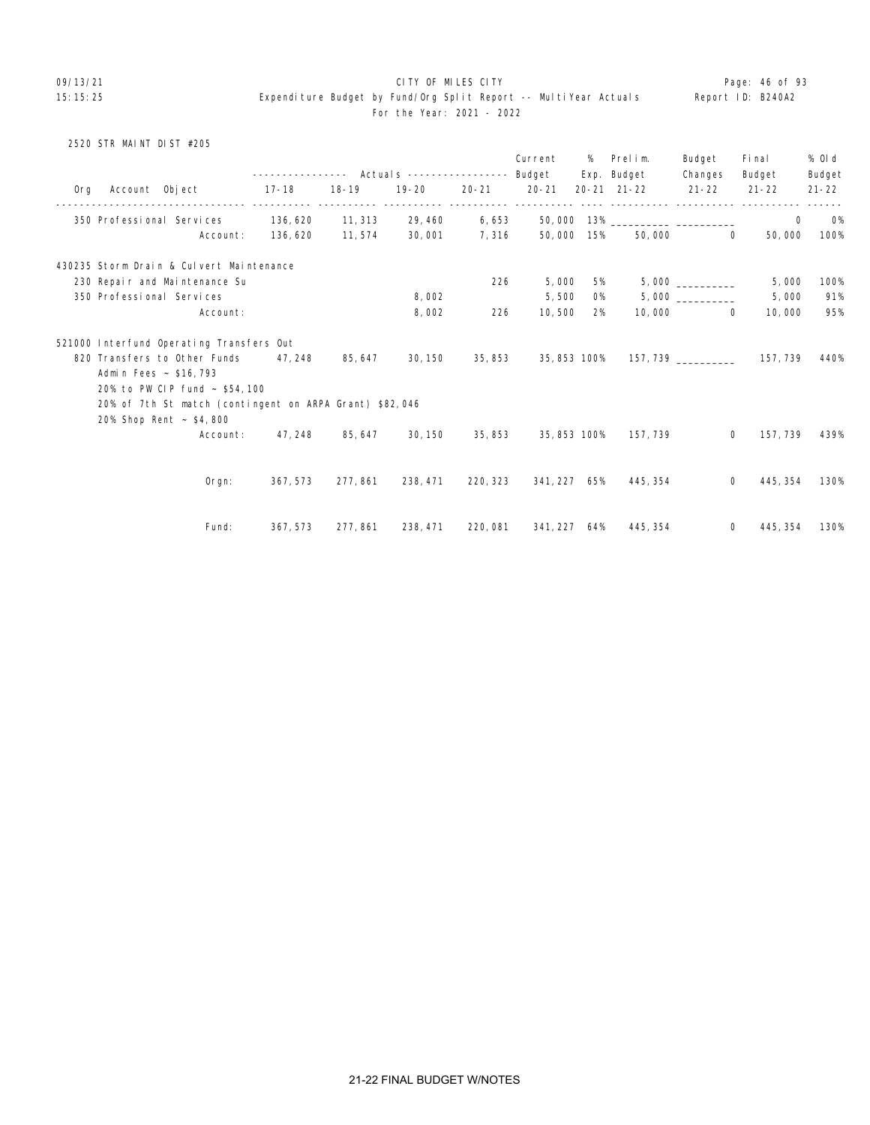09/13/21 **CITY OF MILES CITY CITY CONSUMING THE PAGE: 46 of 93** 15:15:25 Expenditure Budget by Fund/Org Split Report -- MultiYear Actuals Report ID: B240A2 For the Year: 2021 - 2022

# 2520 STR MAINT DIST #205

|     | Account Object            |                                                         | ---------------    Actuals    ----------------    Budget<br>$17 - 18$ | $18 - 19$ | $19 - 20$ | $20 - 21$ | Current<br>$20 - 21$   | %   | Prelim.<br>Exp. Budget<br>$20 - 21$ $21 - 22$ | Budget<br>Changes<br>$21 - 22$ | Fi nal<br>Budget<br>$21 - 22$ | % 0l d<br>Budget<br>$21 - 22$ |
|-----|---------------------------|---------------------------------------------------------|-----------------------------------------------------------------------|-----------|-----------|-----------|------------------------|-----|-----------------------------------------------|--------------------------------|-------------------------------|-------------------------------|
| 0rg |                           |                                                         |                                                                       |           |           |           | ----------- ---------- |     |                                               |                                |                               |                               |
|     |                           | 350 Professional Services                               | 136, 620                                                              | 11, 313   | 29, 460   | 6,653     |                        |     |                                               |                                | $\mathbf 0$                   | <b>O%</b>                     |
|     |                           | Account:                                                | 136, 620                                                              | 11,574    | 30,001    | 7,316     | 50,000                 | 15% | 50,000                                        | $\Omega$                       | 50,000                        | 100%                          |
|     |                           | 430235 Storm Drain & Culvert Maintenance                |                                                                       |           |           |           |                        |     |                                               |                                |                               |                               |
|     |                           | 230 Repair and Maintenance Su                           |                                                                       |           |           | 226       | 5,000                  | 5%  |                                               | $5,000$ __________             | 5,000                         | 100%                          |
|     | 350 Professional Services |                                                         |                                                                       |           | 8,002     |           | 5,500                  | 0%  |                                               |                                | 5,000                         | 91%                           |
|     |                           | Account:                                                |                                                                       |           | 8,002     | 226       | 10,500                 | 2%  |                                               | 10,000<br>$\Omega$             | 10,000                        | 95%                           |
|     |                           | 521000 Interfund Operating Transfers Out                |                                                                       |           |           |           |                        |     |                                               |                                |                               |                               |
|     |                           | 820 Transfers to Other Funds                            | 47, 248                                                               | 85, 647   | 30, 150   | 35, 853   | 35,853 100%            |     |                                               | 157, 739                       | 157, 739                      | 440%                          |
|     | Admin Fees ~ \$16,793     |                                                         |                                                                       |           |           |           |                        |     |                                               |                                |                               |                               |
|     |                           | 20% to PW CIP fund ~ \$54,100                           |                                                                       |           |           |           |                        |     |                                               |                                |                               |                               |
|     |                           | 20% of 7th St match (contingent on ARPA Grant) \$82,046 |                                                                       |           |           |           |                        |     |                                               |                                |                               |                               |
|     |                           | 20% Shop Rent ~ \$4,800                                 |                                                                       |           |           |           |                        |     |                                               |                                |                               |                               |
|     |                           | Account:                                                | 47, 248                                                               | 85, 647   | 30, 150   | 35,853    | 35, 853 100%           |     | 157, 739                                      | $\mathbf{0}$                   | 157, 739                      | 439%                          |
|     |                           |                                                         |                                                                       |           |           |           |                        |     |                                               |                                |                               |                               |
|     |                           | Oran:                                                   | 367, 573                                                              | 277, 861  | 238, 471  | 220, 323  | 341, 227 65%           |     | 445, 354                                      | $\mathbf{0}$                   | 445, 354                      | 130%                          |
|     |                           |                                                         |                                                                       |           |           |           |                        |     |                                               |                                |                               |                               |
|     |                           | Fund:                                                   | 367, 573                                                              | 277,861   | 238, 471  | 220,081   | 341, 227 64%           |     | 445, 354                                      | $\mathbf{0}$                   | 445, 354                      | 130%                          |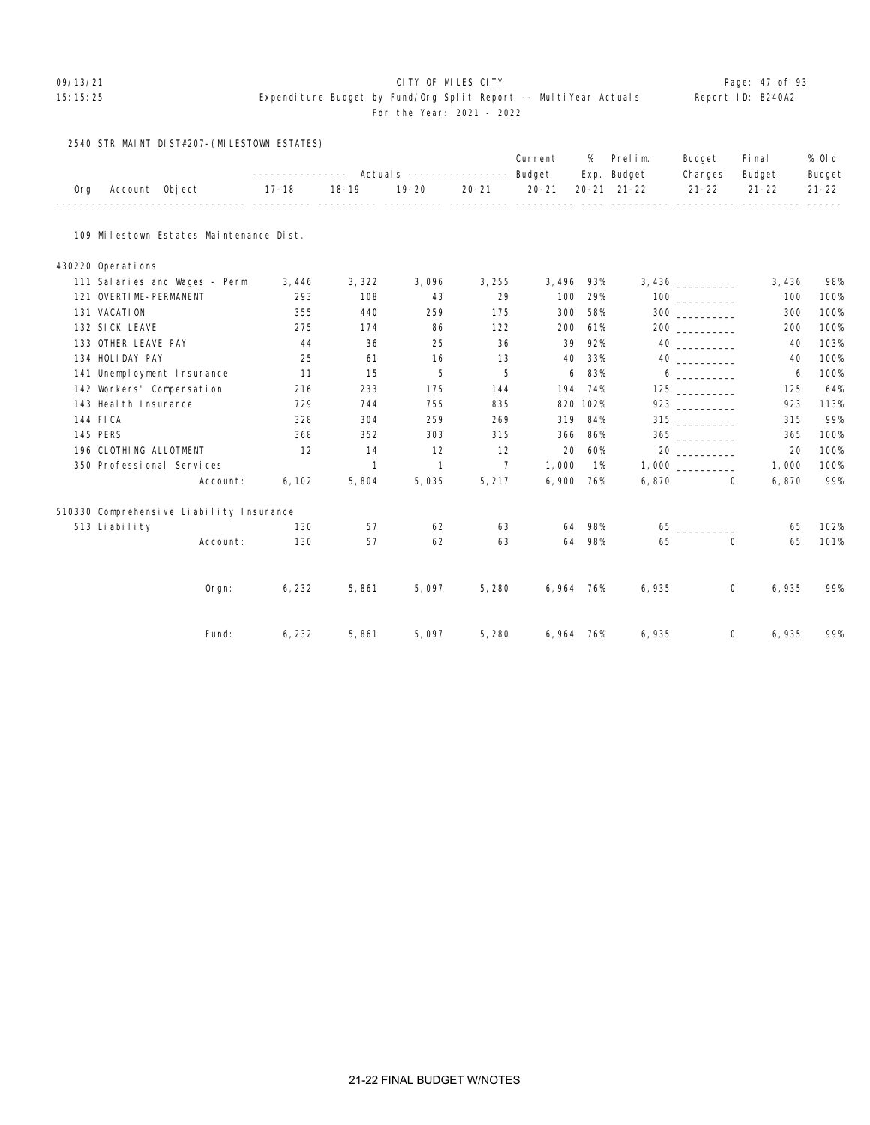#### 09/13/21 Page: 47 of 93

|  |  | 2540 STR MAINT DIST#207-(MILESTOWN ESTATES) |  |
|--|--|---------------------------------------------|--|
|--|--|---------------------------------------------|--|

|     |                        |                                          |        |              |                |                | Current   | %        | Prelim.                            | Budget                     | Fi nal               | % OI d              |
|-----|------------------------|------------------------------------------|--------|--------------|----------------|----------------|-----------|----------|------------------------------------|----------------------------|----------------------|---------------------|
| 0rg | Account Object         |                                          | 17-18  | $18 - 19$    | $19 - 20$      | $20 - 21$      | $20 - 21$ |          | Exp. Budget<br>$20 - 21$ $21 - 22$ | Changes<br>$21 - 22$       | Budget<br>$21 - 22$  | Budget<br>$21 - 22$ |
|     |                        | 109 Milestown Estates Maintenance Dist.  |        |              |                |                |           |          |                                    |                            |                      |                     |
|     |                        |                                          |        |              |                |                |           |          |                                    |                            |                      |                     |
|     | 430220 Operations      |                                          |        |              |                |                |           |          |                                    |                            |                      |                     |
|     |                        | 111 Salaries and Wages - Perm            | 3,446  | 3,322        | 3,096          | 3,255          | 3, 496    | 93%      |                                    |                            | 3,436                | 98%                 |
|     | 121 OVERTIME-PERMANENT |                                          | 293    | 108          | 43             | 29             | 100       | 29%      |                                    |                            | 100                  | 100%                |
|     | 131 VACATION           |                                          | 355    | 440          | 259            | 175            | 300       | 58%      |                                    | 300                        | 300                  | 100%                |
|     | 132 SICK LEAVE         |                                          | 275    | 174          | 86             | 122            | 200       | 61%      |                                    |                            | 200                  | 100%                |
|     | 133 OTHER LEAVE PAY    |                                          | 44     | 36           | 25             | 36             | 39        | 92%      |                                    | 40 000                     | 40                   | 103%                |
|     | 134 HOLIDAY PAY        |                                          | 25     | 61           | 16             | 13             | 40        | 33%      |                                    |                            | 40                   | 100%                |
|     |                        | 141 Unemployment Insurance               | 11     | 15           | 5              | 5              | 6         | 83%      |                                    | $6 \quad \overline{\quad}$ | 6                    | 100%                |
|     |                        | 142 Workers' Compensation                | 216    | 233          | 175            | 144            | 194       | 74%      |                                    | 125                        | 125                  | 64%                 |
|     | 143 Heal th Insurance  |                                          | 729    | 744          | 755            | 835            |           | 820 102% |                                    |                            | 923                  | 113%                |
|     | 144 FICA               |                                          | 328    | 304          | 259            | 269            | 319       | 84%      |                                    | $315$ _________            | 315                  | 99%                 |
|     | <b>145 PERS</b>        |                                          | 368    | 352          | 303            | 315            | 366       | 86%      |                                    |                            | 365                  | 100%                |
|     | 196 CLOTHING ALLOTMENT |                                          | 12     | 14           | 12             | 12             | 20        | 60%      |                                    |                            | 20                   | 100%                |
|     |                        | 350 Professional Services                |        | $\mathbf{1}$ | $\overline{1}$ | $\overline{7}$ | 1,000     | 1%       |                                    |                            | 1,000                | 100%                |
|     |                        | Account:                                 | 6, 102 | 5,804        | 5,035          | 5, 217         | 6,900 76% |          |                                    | 6,870                      | $\Omega$<br>6,870    | 99%                 |
|     |                        | 510330 Comprehensive Liability Insurance |        |              |                |                |           |          |                                    |                            |                      |                     |
|     | 513 Liability          |                                          | 130    | 57           | 62             | 63             | 64        | 98%      |                                    |                            | 65                   | 102%                |
|     |                        | Account:                                 | 130    | 57           | 62             | 63             | 64        | 98%      | 65                                 |                            | $\mathbf 0$<br>65    | 101%                |
|     |                        | Orgn:                                    | 6, 232 | 5,861        | 5,097          | 5,280          | 6,964 76% |          | 6,935                              |                            | $\mathbf 0$<br>6,935 | 99%                 |
|     |                        | Fund:                                    | 6,232  | 5,861        | 5.097          | 5,280          | 6,964 76% |          | 6,935                              |                            | 0<br>6,935           | 99%                 |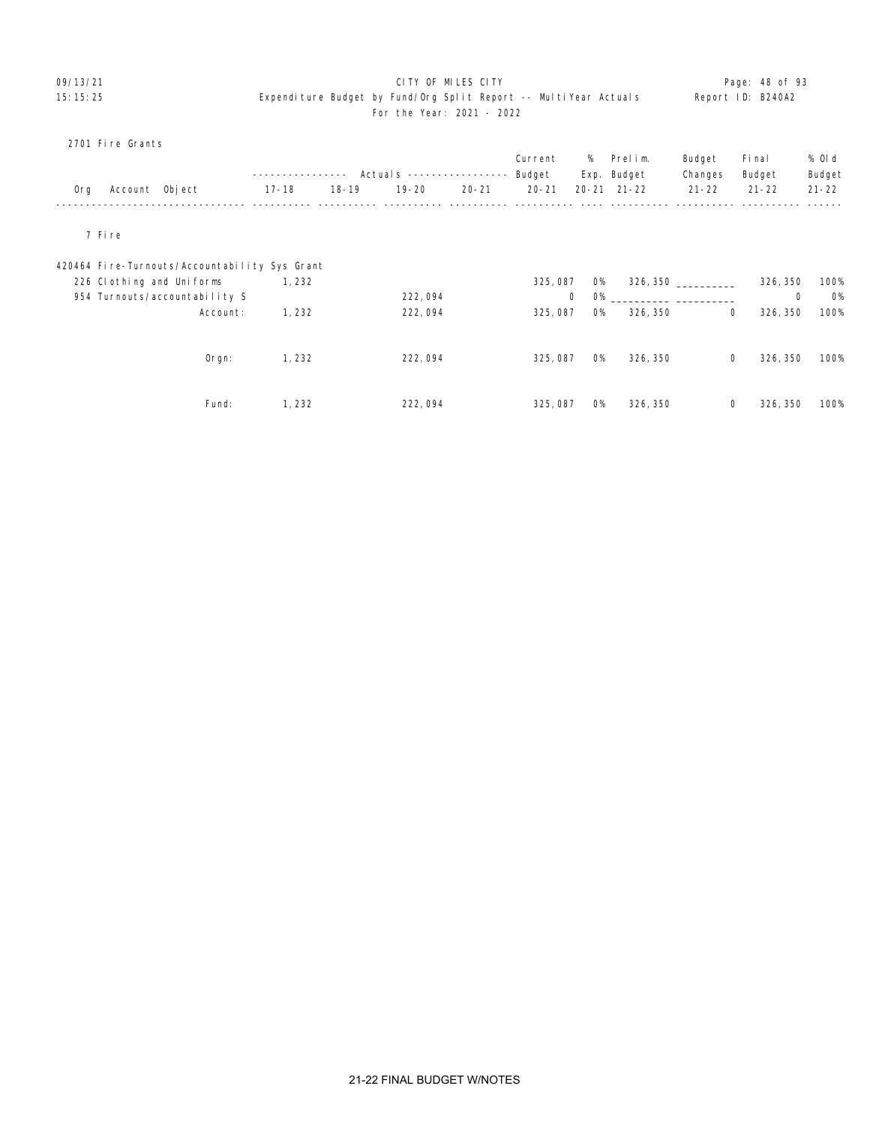# 09/13/21 **CITY OF MILES CITY CITY CONSUMING THE PAGE: 48 of 93** 15:15:25 Expenditure Budget by Fund/Org Split Report -- MultiYear Actuals Report ID: B240A2 For the Year: 2021 - 2022

# 2701 Fire Grants

|     |                |                                               | - - - - - - - - - - - |           | Actual s ----------------- |           | Current<br>Budget | %         | Prelim.<br>Exp. Budget | Budget<br>Changes | Fi nal<br>Budget | % 0l d<br>Budget         |
|-----|----------------|-----------------------------------------------|-----------------------|-----------|----------------------------|-----------|-------------------|-----------|------------------------|-------------------|------------------|--------------------------|
| 0rg | Account Object |                                               | $17 - 18$             | $18 - 19$ | $19 - 20$                  | $20 - 21$ | $20 - 21$         | $20 - 21$ | $21 - 22$              | $21 - 22$         | $21 - 22$        | $21 - 22$                |
|     | 7 Fire         |                                               |                       |           |                            |           |                   |           |                        |                   |                  |                          |
|     |                | 420464 Fire-Turnouts/Accountability Sys Grant |                       |           |                            |           |                   |           |                        |                   |                  |                          |
|     |                | 226 Clothing and Uniforms                     | 1, 232                |           |                            |           | 325, 087          | 0%        | 326, 350               |                   | 326, 350         | 100%                     |
|     |                | 954 Turnouts/accountability S                 |                       |           | 222, 094                   |           | 0                 | <b>O%</b> |                        |                   |                  | <b>O%</b><br>$\mathbf 0$ |
|     |                | Account:                                      | 1,232                 |           | 222,094                    |           | 325,087           | <b>O%</b> | 326, 350               | 0                 | 326, 350         | 100%                     |
|     |                |                                               |                       |           |                            |           |                   |           |                        |                   |                  |                          |
|     |                | $O$ rgn:                                      | 1, 232                |           | 222,094                    |           | 325,087           | <b>O%</b> | 326, 350               | 0                 | 326, 350         | 100%                     |
|     |                |                                               |                       |           |                            |           |                   |           |                        |                   |                  |                          |
|     |                | Fund:                                         | 1, 232                |           | 222,094                    |           | 325, 087          | <b>O%</b> | 326, 350               | 0                 | 326, 350         | 100%                     |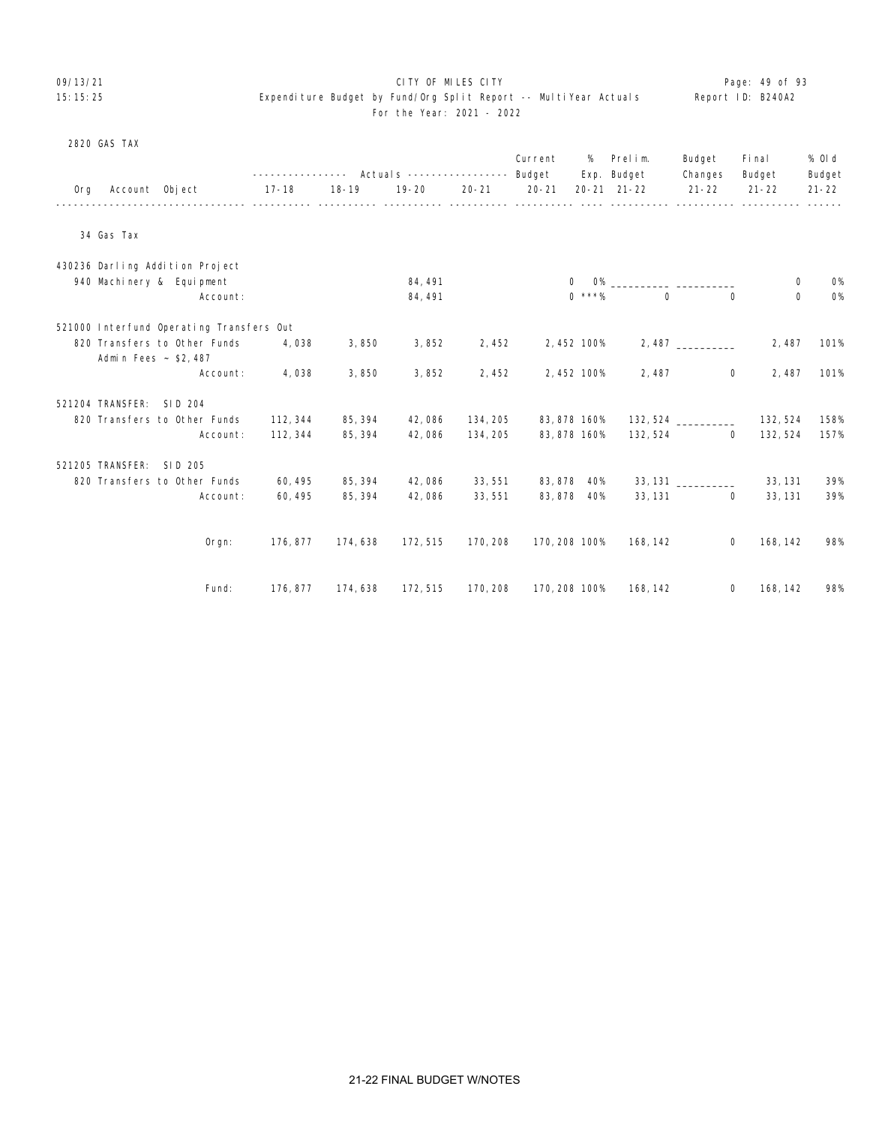# 09/13/21 **CITY OF MILES CITY CITY CONSUMING THE PAGE:** 49 of 93 15:15:25 Expenditure Budget by Fund/Org Split Report -- MultiYear Actuals Report ID: B240A2 For the Year: 2021 - 2022

# 2820 GAS TAX

|     |                          |                                          | --------------- Actuals ---------------- Budget |          |           |           | Current       | %            | Prelim.<br>Exp. Budget  | Budget<br>Changes          | Fi nal<br>Budget | % OI d<br>Budget |
|-----|--------------------------|------------------------------------------|-------------------------------------------------|----------|-----------|-----------|---------------|--------------|-------------------------|----------------------------|------------------|------------------|
| 0rg | Account Object           |                                          | $17 - 18$                                       | 18-19    | $19 - 20$ | $20 - 21$ | $20 - 21$     |              | 20-21 21-22             | $21 - 22$                  | $21 - 22$        | $21 - 22$        |
|     |                          |                                          |                                                 |          |           |           |               |              |                         |                            |                  |                  |
|     | 34 Gas Tax               |                                          |                                                 |          |           |           |               |              |                         |                            |                  |                  |
|     |                          | 430236 Darling Addition Project          |                                                 |          |           |           |               |              |                         |                            |                  |                  |
|     |                          | 940 Machinery & Equipment                |                                                 |          | 84, 491   |           |               | $\mathbf{O}$ | 0% ________________ ___ |                            | 0                | <b>0%</b>        |
|     |                          | Account:                                 |                                                 |          | 84, 491   |           |               | $0$ ***%     | $\Omega$                | $\Omega$                   | $\Omega$         | <b>0%</b>        |
|     |                          | 521000 Interfund Operating Transfers Out |                                                 |          |           |           |               |              |                         |                            |                  |                  |
|     |                          | 820 Transfers to Other Funds             | 4,038                                           | 3,850    | 3,852     | 2,452     |               | 2,452 100%   |                         |                            | 2,487            | 101%             |
|     | Admin Fees ~ \$2,487     |                                          |                                                 |          |           |           |               |              |                         |                            |                  |                  |
|     |                          | Account:                                 | 4,038                                           | 3,850    | 3,852     | 2,452     |               | 2,452 100%   | 2, 487                  | $\mathbf 0$                | 2,487            | 101%             |
|     | 521204 TRANSFER: SID 204 |                                          |                                                 |          |           |           |               |              |                         |                            |                  |                  |
|     |                          | 820 Transfers to Other Funds             | 112, 344                                        | 85, 394  | 42,086    | 134, 205  |               | 83, 878 160% |                         | $132,524$ ___________      | 132, 524         | 158%             |
|     |                          | Account:                                 | 112, 344                                        | 85, 394  | 42,086    | 134, 205  |               | 83, 878 160% |                         | 132, 524<br>$\overline{0}$ | 132, 524         | 157%             |
|     | 521205 TRANSFER: SID 205 |                                          |                                                 |          |           |           |               |              |                         |                            |                  |                  |
|     |                          | 820 Transfers to Other Funds             | 60, 495                                         | 85, 394  | 42,086    | 33, 551   |               | 83, 878 40%  |                         |                            | 33, 131          | 39%              |
|     |                          | Account:                                 | 60, 495                                         | 85, 394  | 42,086    | 33,551    |               | 83,878 40%   |                         | 33, 131<br>$\overline{0}$  | 33, 131          | 39%              |
|     |                          |                                          |                                                 |          |           |           |               |              |                         |                            |                  |                  |
|     |                          | Orgn:                                    | 176, 877                                        | 174,638  | 172, 515  | 170, 208  | 170, 208 100% |              | 168, 142                | $\mathbf 0$                | 168, 142         | 98%              |
|     |                          |                                          |                                                 |          |           |           |               |              |                         |                            |                  |                  |
|     |                          | Fund:                                    | 176, 877                                        | 174, 638 | 172, 515  | 170, 208  | 170, 208 100% |              | 168, 142                | $\overline{0}$             | 168, 142         | 98%              |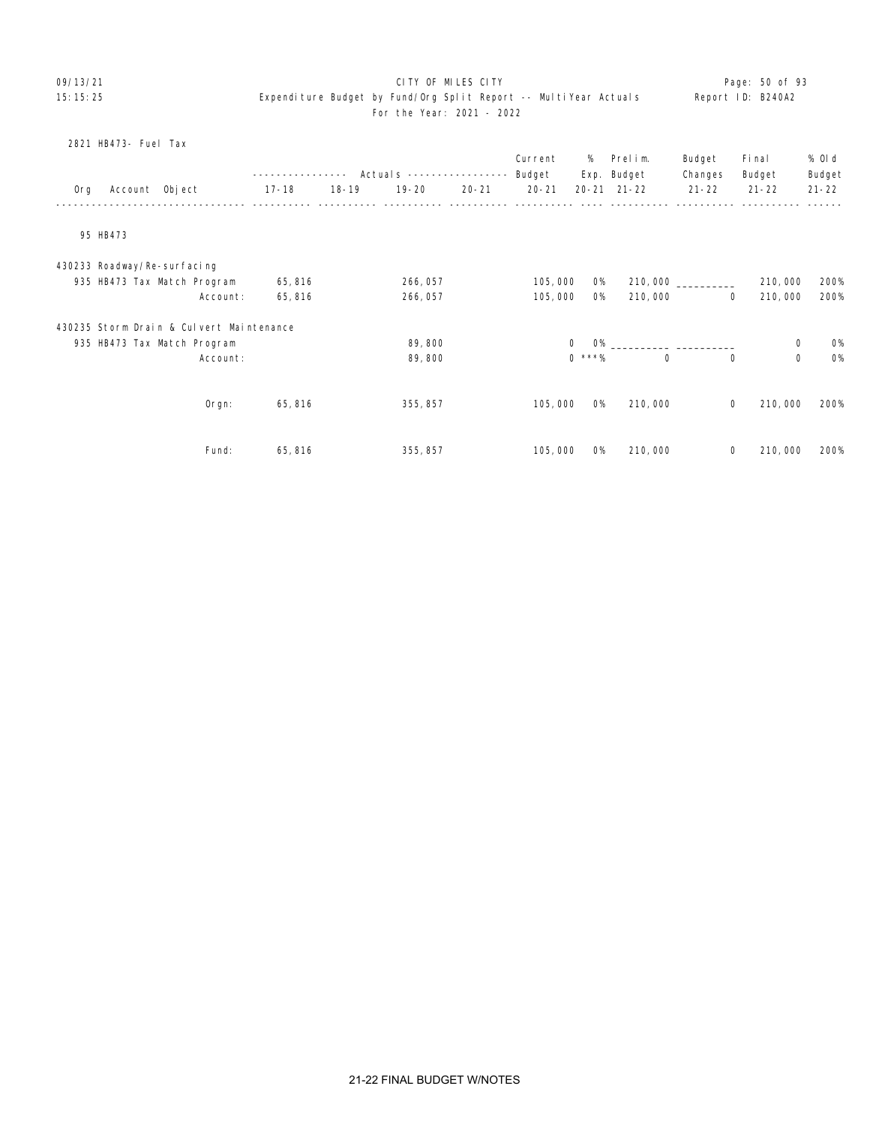# 09/13/21 **CITY OF MILES CITY CITY CONSUMING THE PAGE:** 50 of 93 15:15:25 Expenditure Budget by Fund/Org Split Report -- MultiYear Actuals Report ID: B240A2 For the Year: 2021 - 2022

|     | 2821 HB473- Fuel Tax        |                                          |             |           |                           |           |                   |           |                        |                   |                  |                  |
|-----|-----------------------------|------------------------------------------|-------------|-----------|---------------------------|-----------|-------------------|-----------|------------------------|-------------------|------------------|------------------|
|     |                             |                                          | ----------- |           | Actuals ----------------- |           | Current<br>Budget | %         | Prelim.<br>Exp. Budget | Budget<br>Changes | Fi nal<br>Budget | % 0l d<br>Budget |
| Org | Account Object              |                                          | $17 - 18$   | $18 - 19$ | $19 - 20$                 | $20 - 21$ | $20 - 21$         |           | 20-21 21-22            | $21 - 22$         | $21 - 22$        | $21 - 22$        |
|     | 95 HB473                    |                                          |             |           |                           |           |                   |           |                        |                   |                  |                  |
|     |                             |                                          |             |           |                           |           |                   |           |                        |                   |                  |                  |
|     | 430233 Roadway/Re-surfacing |                                          |             |           |                           |           |                   |           |                        |                   |                  |                  |
|     |                             | 935 HB473 Tax Match Program              | 65, 816     |           | 266, 057                  |           | 105,000           | 0%        |                        |                   | 210,000          | 200%             |
|     |                             | Account:                                 | 65,816      |           | 266, 057                  |           | 105,000           | <b>O%</b> | 210,000                | $\mathbf 0$       | 210,000          | 200%             |
|     |                             | 430235 Storm Drain & Culvert Maintenance |             |           |                           |           |                   |           |                        |                   |                  |                  |
|     |                             | 935 HB473 Tax Match Program              |             |           | 89,800                    |           | 0                 |           | $O\%$                  |                   | $\mathbf 0$      | <b>O%</b>        |
|     |                             | Account:                                 |             |           | 89,800                    |           |                   | $0$ ***%  | 0                      | 0                 | $\mathbf 0$      | <b>0%</b>        |
|     |                             |                                          |             |           |                           |           |                   |           |                        |                   |                  |                  |
|     |                             | Orgn:                                    | 65,816      |           | 355, 857                  |           | 105,000           | <b>O%</b> | 210,000                | 0                 | 210,000          | 200%             |
|     |                             |                                          |             |           |                           |           |                   |           |                        |                   |                  |                  |
|     |                             | Fund:                                    | 65,816      |           | 355, 857                  |           | 105,000           | <b>O%</b> | 210,000                | $\mathbf 0$       | 210,000          | 200%             |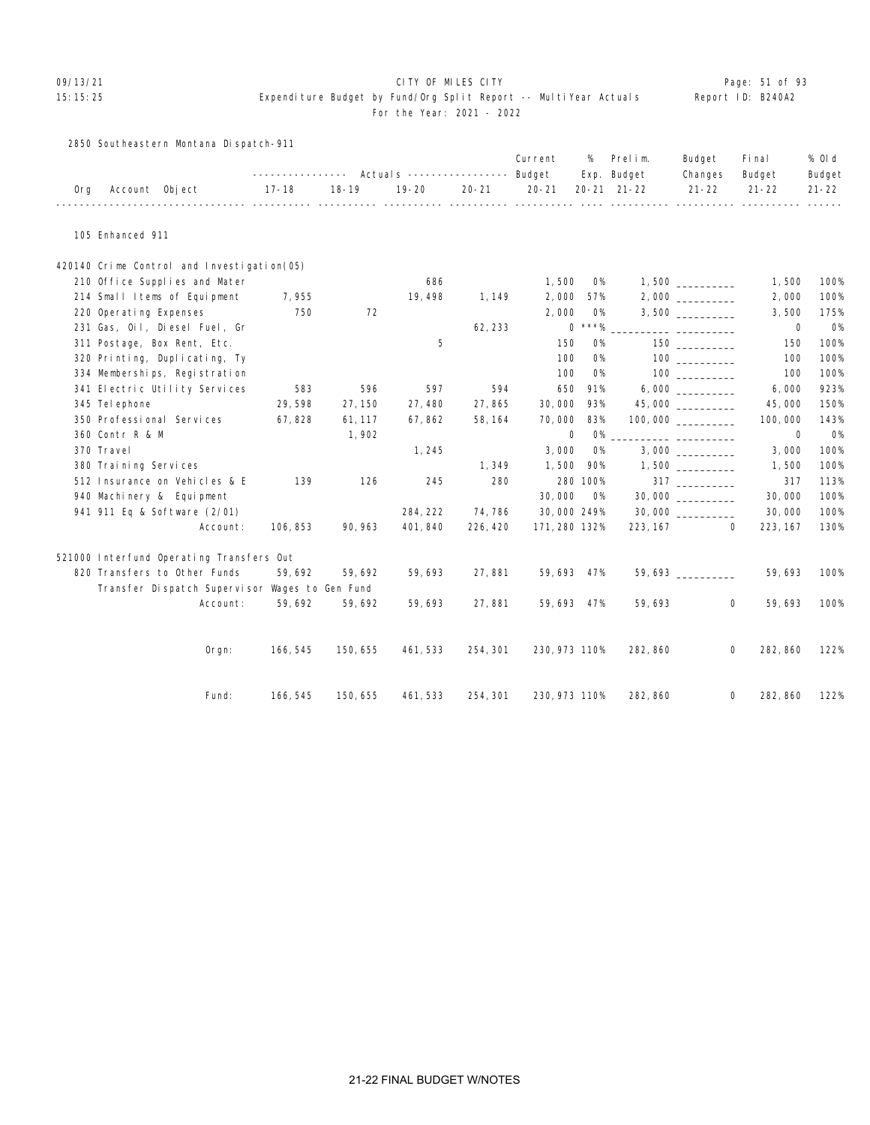# OP/13/21 **CITY OF MILES CITY CITY CITY CITY Page: 51 of 93**

### 15:15:25 Expenditure Budget by Fund/Org Split Report -- MultiYear Actuals Report ID: B240A2 For the Year: 2021 - 2022

2850 Southeastern Montana Dispatch-911

|     |                                                |          |           |           |           | Current       | %         | Prelim.                            | Budget                             | Fi nal                   | % Old               |
|-----|------------------------------------------------|----------|-----------|-----------|-----------|---------------|-----------|------------------------------------|------------------------------------|--------------------------|---------------------|
| 0rg | Account Object                                 | 17-18    | $18 - 19$ | $19 - 20$ | $20 - 21$ | $20 - 21$     |           | Exp. Budget<br>$20 - 21$ $21 - 22$ | Changes<br>$21 - 22$               | Budget<br>$21 - 22$      | Budget<br>$21 - 22$ |
|     |                                                |          |           |           |           |               |           |                                    |                                    |                          |                     |
|     | 105 Enhanced 911                               |          |           |           |           |               |           |                                    |                                    |                          |                     |
|     | 420140 Crime Control and Investigation(05)     |          |           |           |           |               |           |                                    |                                    |                          |                     |
|     | 210 Office Supplies and Mater                  |          |           | 686       |           | 1,500         | 0%        |                                    | $1,500$ __________                 | 1,500                    | 100%                |
|     | 214 Small Items of Equipment                   | 7,955    |           | 19, 498   | 1, 149    | 2,000         | 57%       |                                    | $2,000$ __________                 | 2,000                    | 100%                |
|     | 220 Operating Expenses                         | 750      | 72        |           |           | 2,000         | <b>O%</b> |                                    |                                    | 3,500                    | 175%                |
|     | 231 Gas, Oil, Diesel Fuel, Gr                  |          |           |           | 62, 233   |               | $0$ ***%  |                                    |                                    | 0                        | 0%                  |
|     | 311 Postage, Box Rent, Etc.                    |          |           | 5         |           | 150           | <b>O%</b> |                                    | 150 30                             | 150                      | 100%                |
|     | 320 Printing, Duplicating, Ty                  |          |           |           |           | 100           | <b>O%</b> |                                    | 100 000                            | 100                      | 100%                |
|     | 334 Memberships, Registration                  |          |           |           |           | 100           | <b>O%</b> |                                    |                                    | 100                      | 100%                |
|     | 341 Electric Utility Services                  | 583      | 596       | 597       | 594       | 650           | 91%       |                                    |                                    | 6,000                    | 923%                |
|     | 345 Tel ephone                                 | 29,598   | 27, 150   | 27,480    | 27,865    | 30,000        | 93%       |                                    | 45,000                             | 45,000                   | 150%                |
|     | 350 Professional Services                      | 67,828   | 61, 117   | 67,862    | 58, 164   | 70,000        | 83%       |                                    |                                    | 100,000                  | 143%                |
|     | 360 Contr R & M                                |          | 1,902     |           |           | 0             | <b>O%</b> |                                    |                                    | $\mathbf 0$              | <b>0%</b>           |
|     | 370 Travel                                     |          |           | 1, 245    |           | 3,000         | 0%        |                                    |                                    | 3,000                    | 100%                |
|     | 380 Training Services                          |          |           |           | 1,349     | 1,500         | 90%       |                                    |                                    | 1,500                    | 100%                |
|     | 512 Insurance on Vehicles & E                  | 139      | 126       | 245       | 280       |               | 280 100%  |                                    | $317 \ \ \underline{\hspace{1cm}}$ | 317                      | 113%                |
|     | 940 Machinery & Equipment                      |          |           |           |           | 30,000        | <b>O%</b> |                                    |                                    | 30,000                   | 100%                |
|     | 941 911 Eq & Software (2/01)                   |          |           | 284, 222  | 74,786    | 30,000 249%   |           |                                    | 30,000                             | 30,000                   | 100%                |
|     | Account:                                       | 106, 853 | 90, 963   | 401, 840  | 226, 420  | 171, 280 132% |           |                                    | 223, 167                           | $\mathbf{0}$<br>223, 167 | 130%                |
|     | 521000 Interfund Operating Transfers Out       |          |           |           |           |               |           |                                    |                                    |                          |                     |
|     | 820 Transfers to Other Funds                   | 59,692   | 59,692    | 59,693    | 27,881    | 59,693 47%    |           |                                    | 59,693                             | 59,693                   | 100%                |
|     | Transfer Dispatch Supervisor Wages to Gen Fund |          |           |           |           |               |           |                                    |                                    |                          |                     |
|     | Account:                                       | 59,692   | 59,692    | 59,693    | 27,881    | 59,693 47%    |           | 59,693                             |                                    | 0<br>59,693              | 100%                |
|     | Orgn:                                          | 166, 545 | 150, 655  | 461, 533  | 254, 301  | 230, 973 110% |           | 282, 860                           |                                    | 0<br>282, 860            | 122%                |
|     | Fund:                                          | 166, 545 | 150, 655  | 461, 533  | 254, 301  | 230, 973 110% |           | 282, 860                           |                                    | 0<br>282, 860            | 122%                |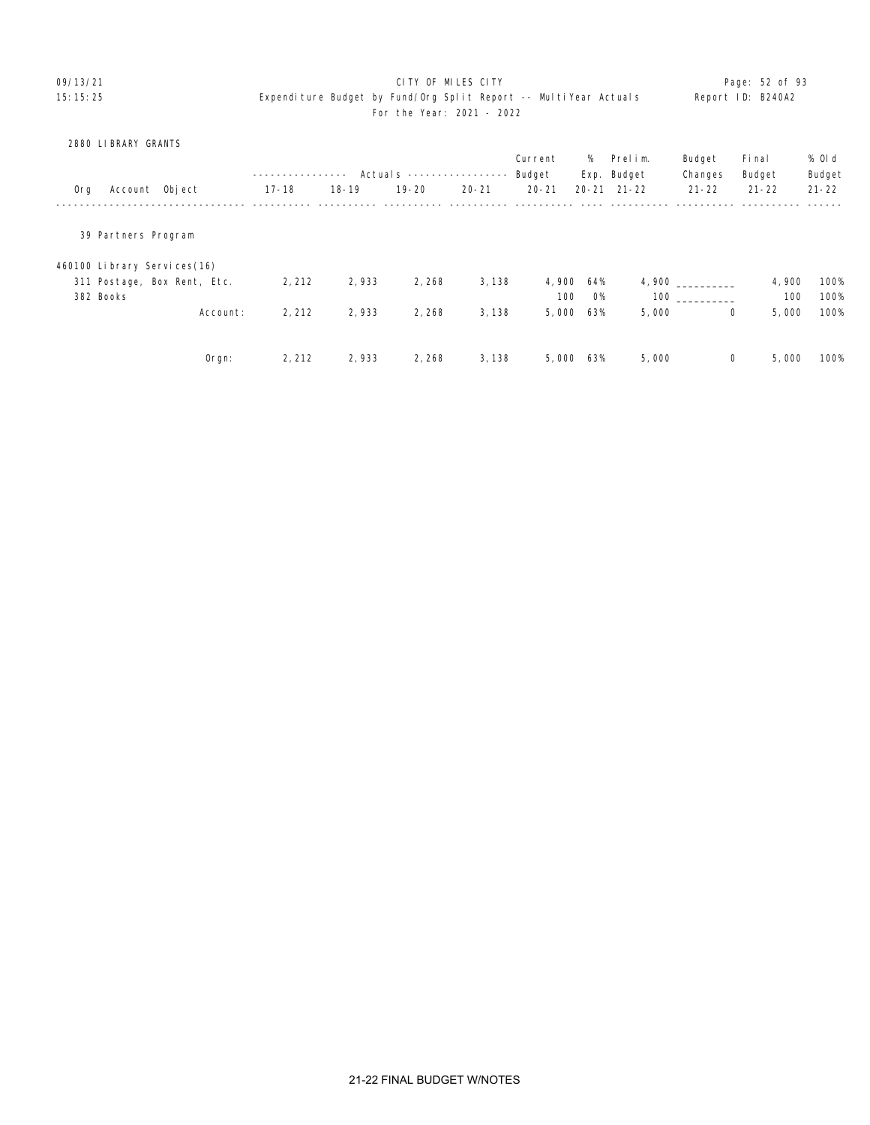# 09/13/21 **CITY OF MILES CITY CITY CONSUMILES CITY Page: 52 of 93** 15:15:25 Expenditure Budget by Fund/Org Split Report -- MultiYear Actuals Report ID: B240A2 For the Year: 2021 - 2022

### 2880 LIBRARY GRANTS

|           |                     |                             |           |           | Actuals $---$ |           | Current<br>Budget | %   | Prelim.<br>Exp. Budget | Budget<br>Changes | Fi nal<br>Budget | % 0l d<br>Budget |
|-----------|---------------------|-----------------------------|-----------|-----------|---------------|-----------|-------------------|-----|------------------------|-------------------|------------------|------------------|
| 0rg       |                     | Account Object              | $17 - 18$ | $18 - 19$ | $19 - 20$     | $20 - 21$ | $20 - 21$         |     | $20 - 21$ $21 - 22$    | $21 - 22$         | $21 - 22$        | $21 - 22$        |
|           | 39 Partners Program |                             |           |           |               |           |                   |     |                        |                   |                  |                  |
|           |                     | 460100 Library Services(16) |           |           |               |           |                   |     |                        |                   |                  |                  |
|           |                     | 311 Postage, Box Rent, Etc. | 2, 212    | 2,933     | 2, 268        | 3, 138    | 4,900             | 64% | 4,900                  |                   | 4,900            | 100%             |
| 382 Books |                     |                             |           |           |               |           | 100               | O%  | 100                    |                   | 100              | 100%             |
|           |                     | Account:                    | 2, 212    | 2,933     | 2,268         | 3,138     | 5,000             | 63% | 5,000                  | 0                 | 5,000            | 100%             |
|           |                     |                             |           |           |               |           |                   |     |                        |                   |                  |                  |
|           |                     | $O$ rgn:                    | 2, 212    | 2,933     | 2, 268        | 3, 138    | 5,000             | 63% | 5,000                  | 0                 | 5,000            | 100%             |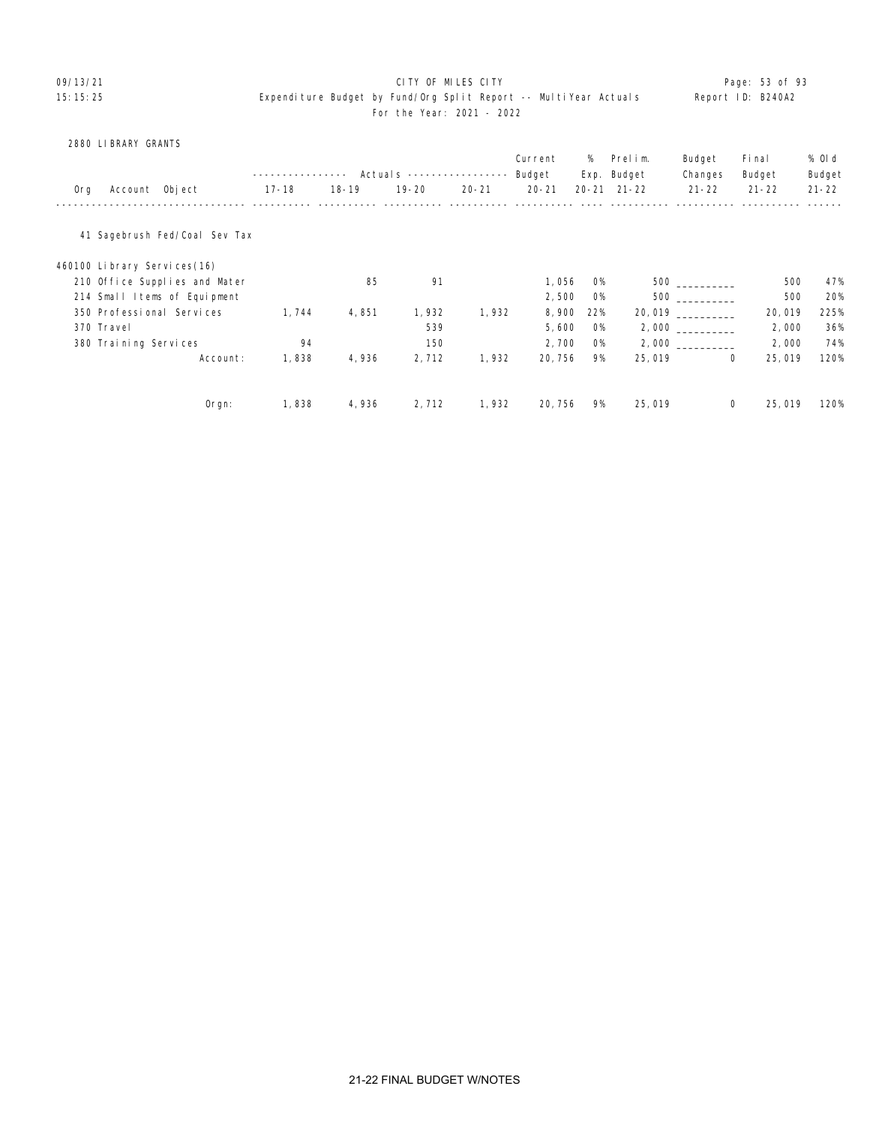# 09/13/21 **CITY OF MILES CITY CITY CONSUMING THE PAGE:** 53 of 93

# 15:15:25 Expenditure Budget by Fund/Org Split Report -- MultiYear Actuals Report ID: B240A2 For the Year: 2021 - 2022

2880 LIBRARY GRANTS

|     |                              |                               |           |           |                            |           | Current   | %         | Prelim.             | Budget    | Fi nal                | % Old     |
|-----|------------------------------|-------------------------------|-----------|-----------|----------------------------|-----------|-----------|-----------|---------------------|-----------|-----------------------|-----------|
|     |                              |                               |           |           | Actual s ----------------- |           | Budget    |           | Exp. Budget         | Changes   | Budget                | Budget    |
| Org | Account Object               |                               | $17 - 18$ | $18 - 19$ | $19 - 20$                  | $20 - 21$ | $20 - 21$ |           | $20 - 21$ $21 - 22$ | $21 - 22$ | $21 - 22$             | $21 - 22$ |
|     |                              | 41 Sagebrush Fed/Coal Sev Tax |           |           |                            |           |           |           |                     |           |                       |           |
|     | 460100 Library Services (16) |                               |           |           |                            |           |           |           |                     |           |                       |           |
|     |                              | 210 Office Supplies and Mater |           | 85        | 91                         |           | 1,056     | <b>O%</b> |                     | 500 000   | 500                   | 47%       |
|     |                              | 214 Small Items of Equipment  |           |           |                            |           | 2,500     | <b>O%</b> |                     | 500 000   | 500                   | 20%       |
|     | 350 Professional Services    |                               | 1,744     | 4,851     | 1,932                      | 1,932     | 8,900     | 22%       |                     |           | 20,019                | 225%      |
|     | 370 Travel                   |                               |           |           | 539                        |           | 5,600     | <b>O%</b> |                     | 2,000     | 2,000                 | 36%       |
|     | 380 Training Services        |                               | 94        |           | 150                        |           | 2,700     | <b>O%</b> |                     |           | 2,000                 | 74%       |
|     |                              | Account:                      | 1,838     | 4,936     | 2,712                      | 1,932     | 20, 756   | 9%        | 25,019              |           | 25,019<br>$\mathbf 0$ | 120%      |
|     |                              |                               |           |           |                            |           |           |           |                     |           |                       |           |
|     |                              | $O$ rgn:                      | 1,838     | 4,936     | 2,712                      | 1,932     | 20, 756   | 9%        | 25,019              |           | 0<br>25,019           | 120%      |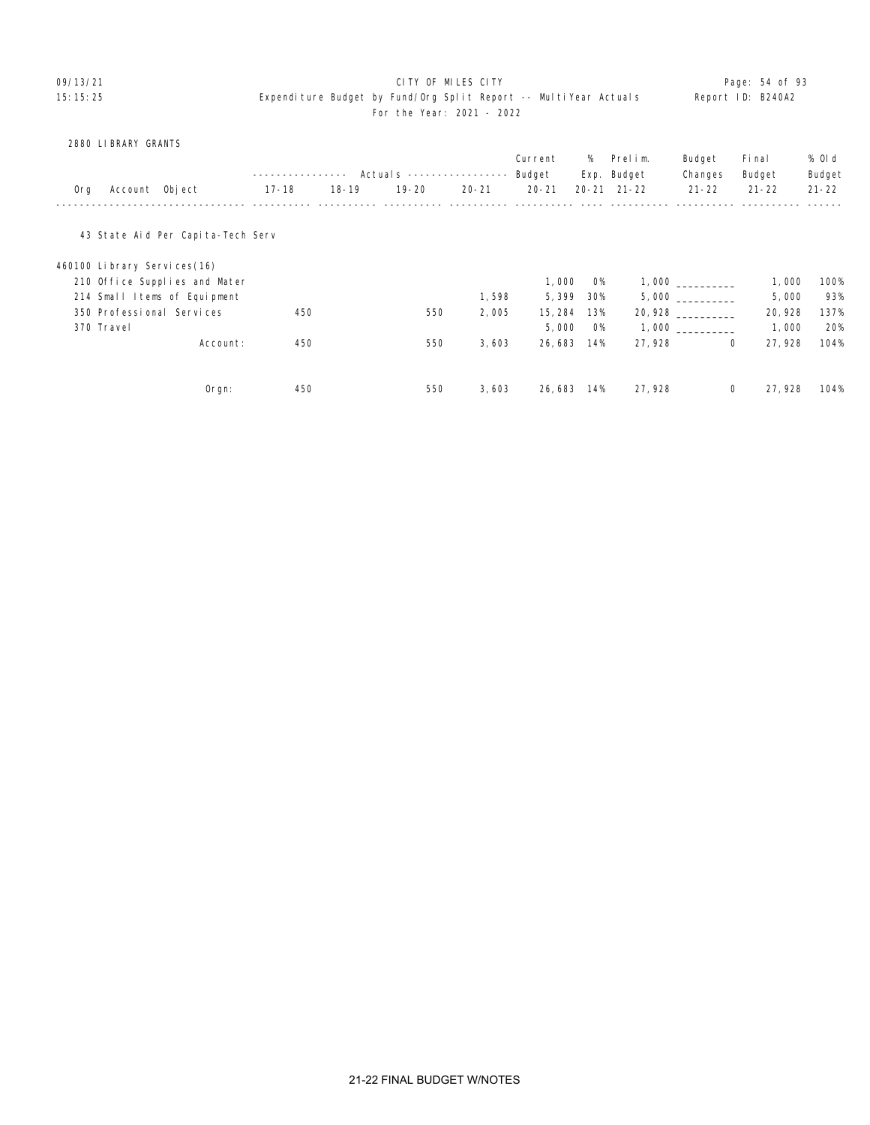### 09/13/21 **CITY OF MILES CITY CITY CONSUMING THE PAGE: 54 of 93** 15:15:25 Expenditure Budget by Fund/Org Split Report -- MultiYear Actuals Report ID: B240A2 For the Year: 2021 - 2022

### 2880 LIBRARY GRANTS

|     |                             |                                   |                |           |                           |           | Current   | %         | Prelim.             | Budget    | Fi nal       | % Old     |
|-----|-----------------------------|-----------------------------------|----------------|-----------|---------------------------|-----------|-----------|-----------|---------------------|-----------|--------------|-----------|
|     |                             |                                   | -------------- |           | Actuals ----------------- |           | Budget    |           | Exp. Budget         | Changes   | Budget       | Budget    |
| 0rg | Account Object              |                                   | $17 - 18$      | $18 - 19$ | $19 - 20$                 | $20 - 21$ | $20 - 21$ |           | $20 - 21$ $21 - 22$ | $21 - 22$ | $21 - 22$    | $21 - 22$ |
|     |                             | 43 State Aid Per Capita-Tech Serv |                |           |                           |           |           |           |                     |           |              |           |
|     | 460100 Library Services(16) |                                   |                |           |                           |           |           |           |                     |           |              |           |
|     |                             | 210 Office Supplies and Mater     |                |           |                           |           | 1,000     | <b>O%</b> |                     | 1,000     | 1,000        | 100%      |
|     |                             | 214 Small Items of Equipment      |                |           |                           | 1,598     | 5,399     | 30%       |                     | 5,000     | 5,000        | 93%       |
|     |                             | 350 Professional Services         | 450            |           | 550                       | 2,005     | 15, 284   | 13%       |                     | 20,928    | 20, 928      | 137%      |
|     | 370 Travel                  |                                   |                |           |                           |           | 5,000     | O%        |                     | 1,000     | 1,000        | 20%       |
|     |                             | Account:                          | 450            |           | 550                       | 3,603     | 26,683    | 14%       | 27,928              |           | 27, 928<br>0 | 104%      |
|     |                             |                                   |                |           |                           |           |           |           |                     |           |              |           |
|     |                             | $0$ rgn:                          | 450            |           | 550                       | 3,603     | 26, 683   | 14%       | 27,928              |           | 0<br>27, 928 | 104%      |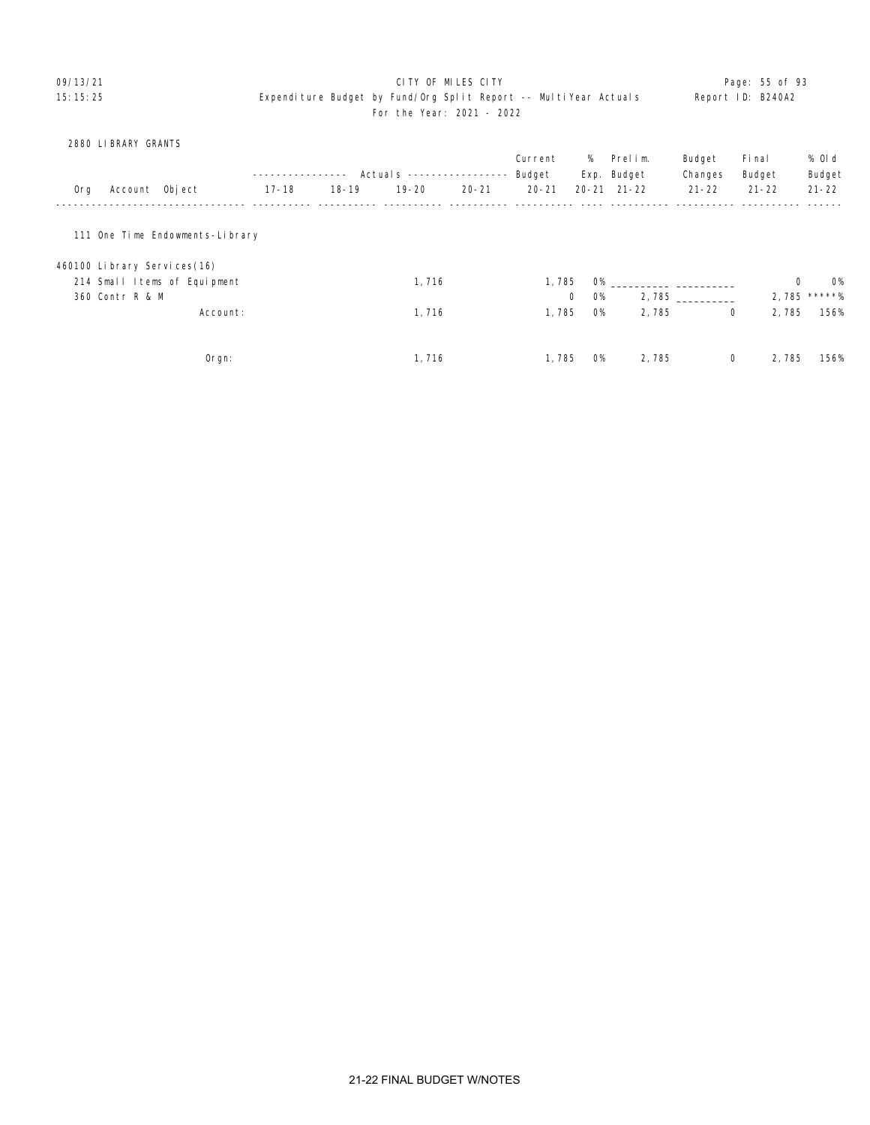### 09/13/21 **CITY OF MILES CITY CITY CONSUMILES CITY Page: 55 of 93** 15:15:25 Expenditure Budget by Fund/Org Split Report -- MultiYear Actuals Report ID: B240A2 For the Year: 2021 - 2022

### 2880 LIBRARY GRANTS

|     |                                 |                |          |           |           |                          |           | Current      |           | % Prelim.           | Budget    | Fi nal    | % Old          |
|-----|---------------------------------|----------------|----------|-----------|-----------|--------------------------|-----------|--------------|-----------|---------------------|-----------|-----------|----------------|
|     |                                 |                |          |           |           | Actual s --------------- |           | Budget       |           | Exp. Budget         | Changes   | Budget    | Budget         |
| 0rg |                                 | Account Object |          | $17 - 18$ | $18 - 19$ | $19 - 20$                | $20 - 21$ | $20 - 21$    |           | $20 - 21$ $21 - 22$ | $21 - 22$ | $21 - 22$ | $21 - 22$      |
|     | 111 One Time Endowments-Library |                |          |           |           |                          |           |              |           |                     |           |           |                |
|     | 460100 Library Services(16)     |                |          |           |           |                          |           |              |           |                     |           |           |                |
|     | 214 Small Items of Equipment    |                |          |           |           | 1,716                    |           | 1,785        | O%        |                     |           | 0         | <b>O%</b>      |
|     | 360 Contr R & M                 |                |          |           |           |                          |           | $\mathbf{0}$ | <b>O%</b> |                     | 2,785     |           | $2,785$ *****% |
|     |                                 |                | Account: |           |           | 1,716                    |           | 1,785        | <b>O%</b> | 2,785               | 0         | 2,785     | 156%           |
|     |                                 |                | Orgn:    |           |           | 1, 716                   |           | 1, 785       | <b>O%</b> | 2,785               | 0         | 2,785     | 156%           |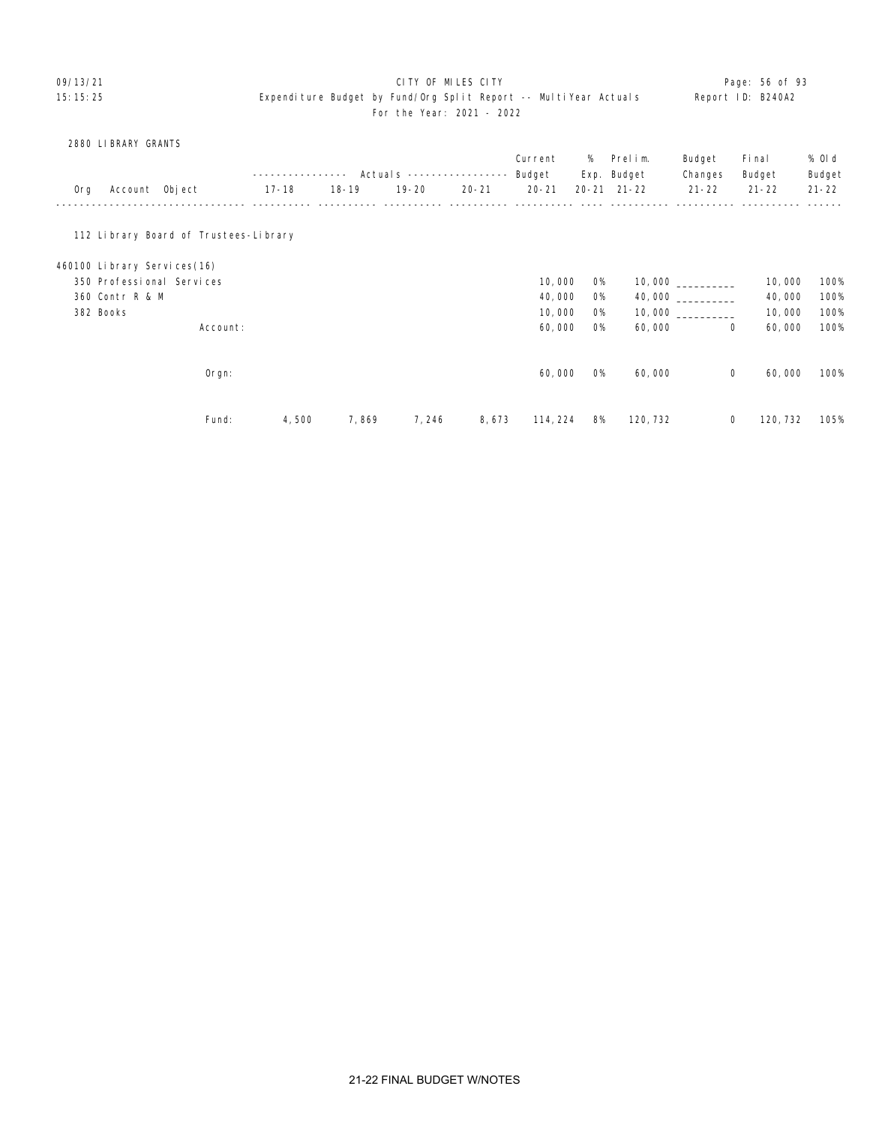### 09/13/21 **CITY OF MILES CITY CITY CONSUMING THE PAGE: 56 of 93** 15:15:25 Expenditure Budget by Fund/Org Split Report -- MultiYear Actuals Report ID: B240A2 For the Year: 2021 - 2022

|     | 2880 LIBRARY GRANTS                   |          |       |           |           |                            |           |           |             |           |           |           |
|-----|---------------------------------------|----------|-------|-----------|-----------|----------------------------|-----------|-----------|-------------|-----------|-----------|-----------|
|     |                                       |          |       |           |           |                            | Current   | %         | Prelim.     | Budget    | Fi nal    | % OI d    |
|     |                                       |          |       | ----      |           | Actual s ----------------- | Budget    |           | Exp. Budget | Changes   | Budget    | Budget    |
| 0rg | Account Object                        |          | 17-18 | $18 - 19$ | $19 - 20$ | $20 - 21$                  | $20 - 21$ | $20 - 21$ | $21 - 22$   | $21 - 22$ | $21 - 22$ | $21 - 22$ |
|     |                                       |          |       |           |           |                            |           |           |             |           |           |           |
|     | 112 Library Board of Trustees-Library |          |       |           |           |                            |           |           |             |           |           |           |
|     | 460100 Library Services(16)           |          |       |           |           |                            |           |           |             |           |           |           |
|     | 350 Professional Services             |          |       |           |           |                            | 10,000    | <b>O%</b> |             |           | 10,000    | 100%      |
|     | 360 Contr R & M                       |          |       |           |           |                            | 40,000    | <b>O%</b> |             | 40,000    | 40,000    | 100%      |
|     | 382 Books                             |          |       |           |           |                            | 10,000    | <b>O%</b> |             |           | 10,000    | 100%      |
|     |                                       | Account: |       |           |           |                            | 60,000    | <b>O%</b> | 60,000      | 0         | 60,000    | 100%      |
|     |                                       |          |       |           |           |                            |           |           |             |           |           |           |
|     |                                       | Orgn:    |       |           |           |                            | 60,000    | 0%        | 60,000      | 0         | 60,000    | 100%      |
|     |                                       |          |       |           |           |                            |           |           |             |           |           |           |
|     |                                       | Fund:    | 4,500 | 7,869     | 7, 246    | 8,673                      | 114, 224  | 8%        | 120, 732    | 0         | 120, 732  | 105%      |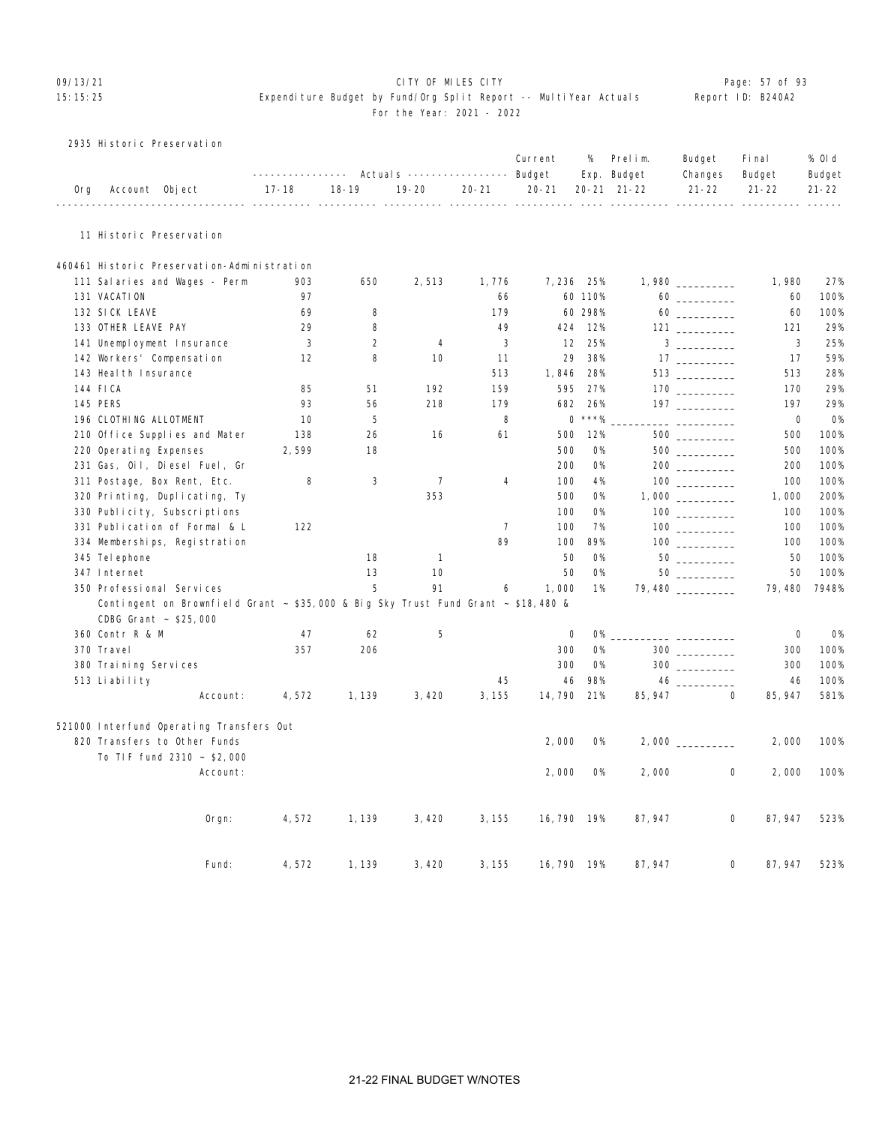# 09/13/21 Page: 57 of 93

## 15:15:25 Expenditure Budget by Fund/Org Split Report -- MultiYear Actuals Report ID: B240A2 For the Year: 2021 - 2022

| 2935 Historic Preservation |  |
|----------------------------|--|
|----------------------------|--|

|     |                        |                                                                                   |           |                |                |                | Current                    | %         | Prelim.<br>Exp. Budget                   | Budget<br>Changes                                                                                                                                                                                                                                                                                                                                             | Fi nal                           | % 0l d                       |
|-----|------------------------|-----------------------------------------------------------------------------------|-----------|----------------|----------------|----------------|----------------------------|-----------|------------------------------------------|---------------------------------------------------------------------------------------------------------------------------------------------------------------------------------------------------------------------------------------------------------------------------------------------------------------------------------------------------------------|----------------------------------|------------------------------|
| 0rg |                        | Account Object                                                                    | $17 - 18$ | $18 - 19$      | $19 - 20$      | $20 - 21$      | $20 - 21$<br>$- - - - - -$ |           | 20-21 21-22<br>_________________________ | $21 - 22$                                                                                                                                                                                                                                                                                                                                                     | Budget<br>$21 - 22$<br>$- - - -$ | Budget<br>$21 - 22$<br>----- |
|     |                        | 11 Historic Preservation                                                          |           |                |                |                |                            |           |                                          |                                                                                                                                                                                                                                                                                                                                                               |                                  |                              |
|     |                        | 460461 Historic Preservation-Administration                                       |           |                |                |                |                            |           |                                          |                                                                                                                                                                                                                                                                                                                                                               |                                  |                              |
|     |                        | 111 Salaries and Wages - Perm                                                     | 903       | 650            | 2,513          | 1,776          |                            | 7,236 25% |                                          | 1,980                                                                                                                                                                                                                                                                                                                                                         | 1,980                            | 27%                          |
|     | 131 VACATION           |                                                                                   | 97        |                |                | 66             |                            | 60 110%   |                                          | $60 \begin{tabular}{l} \hline \rule{0.2cm}{0.1cm} \rule{0.2cm}{0.1cm} \rule{0.2cm}{0.1cm} \rule{0.2cm}{0.1cm} \rule{0.2cm}{0.1cm} \rule{0.2cm}{0.1cm} \rule{0.2cm}{0.1cm} \rule{0.2cm}{0.1cm} \rule{0.2cm}{0.1cm} \rule{0.2cm}{0.1cm} \rule{0.2cm}{0.1cm} \rule{0.2cm}{0.1cm} \rule{0.2cm}{0.1cm} \rule{0.2cm}{0.1cm} \rule{0.2cm}{0.1cm} \rule{0.2cm}{0.1cm$ | 60                               | 100%                         |
|     | 132 SICK LEAVE         |                                                                                   | 69        | 8              |                | 179            |                            | 60 298%   |                                          |                                                                                                                                                                                                                                                                                                                                                               | 60                               | 100%                         |
|     | 133 OTHER LEAVE PAY    |                                                                                   | 29        | 8              |                | 49             | 424                        | 12%       |                                          | $121 \ \ \underline{\hspace{1.5cm}}$                                                                                                                                                                                                                                                                                                                          | 121                              | 29%                          |
|     |                        | 141 Unemployment Insurance                                                        | 3         | $\overline{2}$ | 4              | 3              | 12                         | 25%       |                                          |                                                                                                                                                                                                                                                                                                                                                               | 3                                | 25%                          |
|     |                        | 142 Workers' Compensation                                                         | 12        | 8              | 10             | 11             | 29                         | 38%       |                                          |                                                                                                                                                                                                                                                                                                                                                               | 17                               | 59%                          |
|     | 143 Heal th Insurance  |                                                                                   |           |                |                | 513            | 1,846                      | 28%       |                                          |                                                                                                                                                                                                                                                                                                                                                               | 513                              | 28%                          |
|     | 144 FICA               |                                                                                   | 85        | 51             | 192            | 159            | 595                        | 27%       |                                          |                                                                                                                                                                                                                                                                                                                                                               | 170                              | 29%                          |
|     | 145 PERS               |                                                                                   | 93        | 56             | 218            | 179            | 682                        | 26%       |                                          |                                                                                                                                                                                                                                                                                                                                                               | 197                              | 29%                          |
|     | 196 CLOTHING ALLOTMENT |                                                                                   | 10        | 5              |                | 8              |                            | $0$ ***%  |                                          |                                                                                                                                                                                                                                                                                                                                                               | 0                                | <b>0%</b>                    |
|     |                        | 210 Office Supplies and Mater                                                     | 138       | 26             | 16             | 61             | 500                        | 12%       |                                          |                                                                                                                                                                                                                                                                                                                                                               | 500                              | 100%                         |
|     | 220 Operating Expenses |                                                                                   | 2,599     | 18             |                |                | 500                        | <b>O%</b> |                                          | 500                                                                                                                                                                                                                                                                                                                                                           | 500                              | 100%                         |
|     |                        | 231 Gas, Oil, Diesel Fuel, Gr                                                     |           |                |                |                | 200                        | <b>O%</b> |                                          |                                                                                                                                                                                                                                                                                                                                                               | 200                              | 100%                         |
|     |                        | 311 Postage, Box Rent, Etc.                                                       | 8         | 3              | $\overline{7}$ | 4              | 100                        | 4%        |                                          |                                                                                                                                                                                                                                                                                                                                                               | 100                              | 100%                         |
|     |                        | 320 Printing, Duplicating, Ty                                                     |           |                | 353            |                | 500                        | <b>O%</b> |                                          |                                                                                                                                                                                                                                                                                                                                                               | 1,000                            | 200%                         |
|     |                        | 330 Publicity, Subscriptions                                                      |           |                |                |                | 100                        | <b>O%</b> |                                          |                                                                                                                                                                                                                                                                                                                                                               | 100                              | 100%                         |
|     |                        | 331 Publication of Formal & L                                                     | 122       |                |                | $\overline{7}$ | 100                        | 7%        |                                          |                                                                                                                                                                                                                                                                                                                                                               | 100                              | 100%                         |
|     |                        | 334 Memberships, Registration                                                     |           |                |                | 89             | 100                        | 89%       |                                          |                                                                                                                                                                                                                                                                                                                                                               | 100                              | 100%                         |
|     | 345 Tel ephone         |                                                                                   |           | 18             | $\mathbf{1}$   |                | 50                         | 0%        |                                          |                                                                                                                                                                                                                                                                                                                                                               | 50                               | 100%                         |
|     | 347 Internet           |                                                                                   |           | 13             | 10             |                | 50                         | <b>O%</b> |                                          |                                                                                                                                                                                                                                                                                                                                                               | 50                               | 100%                         |
|     |                        | 350 Professional Services                                                         |           | 5              | 91             | 6              | 1,000                      | 1%        |                                          | 79,480                                                                                                                                                                                                                                                                                                                                                        | 79,480                           | 7948%                        |
|     |                        | Contingent on Brownfield Grant ~ \$35,000 & Big Sky Trust Fund Grant ~ \$18,480 & |           |                |                |                |                            |           |                                          |                                                                                                                                                                                                                                                                                                                                                               |                                  |                              |
|     |                        | CDBG Grant ~ \$25,000                                                             |           |                |                |                |                            |           |                                          |                                                                                                                                                                                                                                                                                                                                                               |                                  |                              |
|     | 360 Contr R & M        |                                                                                   | 47        | 62             | 5              |                | 0                          | <b>O%</b> |                                          |                                                                                                                                                                                                                                                                                                                                                               | $\mathbf 0$                      | <b>O%</b>                    |
|     | 370 Travel             |                                                                                   | 357       | 206            |                |                | 300                        | <b>O%</b> |                                          | $300$                                                                                                                                                                                                                                                                                                                                                         | 300                              | 100%                         |
|     | 380 Training Services  |                                                                                   |           |                |                |                | 300                        | <b>O%</b> |                                          |                                                                                                                                                                                                                                                                                                                                                               | 300                              | 100%                         |
|     | 513 Liability          |                                                                                   |           |                |                | 45             | 46                         | 98%       |                                          | $46$ $-$                                                                                                                                                                                                                                                                                                                                                      | 46                               | 100%                         |
|     |                        | Account:                                                                          | 4,572     | 1, 139         | 3, 420         | 3, 155         | 14,790                     | 21%       | 85, 947                                  |                                                                                                                                                                                                                                                                                                                                                               | $\mathbf 0$<br>85, 947           | 581%                         |
|     |                        | 521000 Interfund Operating Transfers Out                                          |           |                |                |                |                            |           |                                          |                                                                                                                                                                                                                                                                                                                                                               |                                  |                              |
|     |                        | 820 Transfers to Other Funds                                                      |           |                |                |                | 2,000                      | <b>O%</b> |                                          |                                                                                                                                                                                                                                                                                                                                                               | 2,000                            | 100%                         |
|     |                        | To TIF fund 2310 ~ \$2,000                                                        |           |                |                |                |                            |           |                                          |                                                                                                                                                                                                                                                                                                                                                               |                                  |                              |
|     |                        | Account:                                                                          |           |                |                |                | 2,000                      | <b>O%</b> | 2,000                                    |                                                                                                                                                                                                                                                                                                                                                               | 0<br>2,000                       | 100%                         |
|     |                        | Orgn:                                                                             | 4,572     | 1, 139         | 3,420          | 3, 155         | 16,790 19%                 |           | 87, 947                                  |                                                                                                                                                                                                                                                                                                                                                               | 87, 947<br>0                     | 523%                         |
|     |                        |                                                                                   |           |                |                |                |                            |           |                                          |                                                                                                                                                                                                                                                                                                                                                               |                                  |                              |
|     |                        | Fund:                                                                             | 4,572     | 1,139          | 3,420          | 3, 155         | 16,790 19%                 |           | 87, 947                                  |                                                                                                                                                                                                                                                                                                                                                               | $\mathbf 0$<br>87, 947           | 523%                         |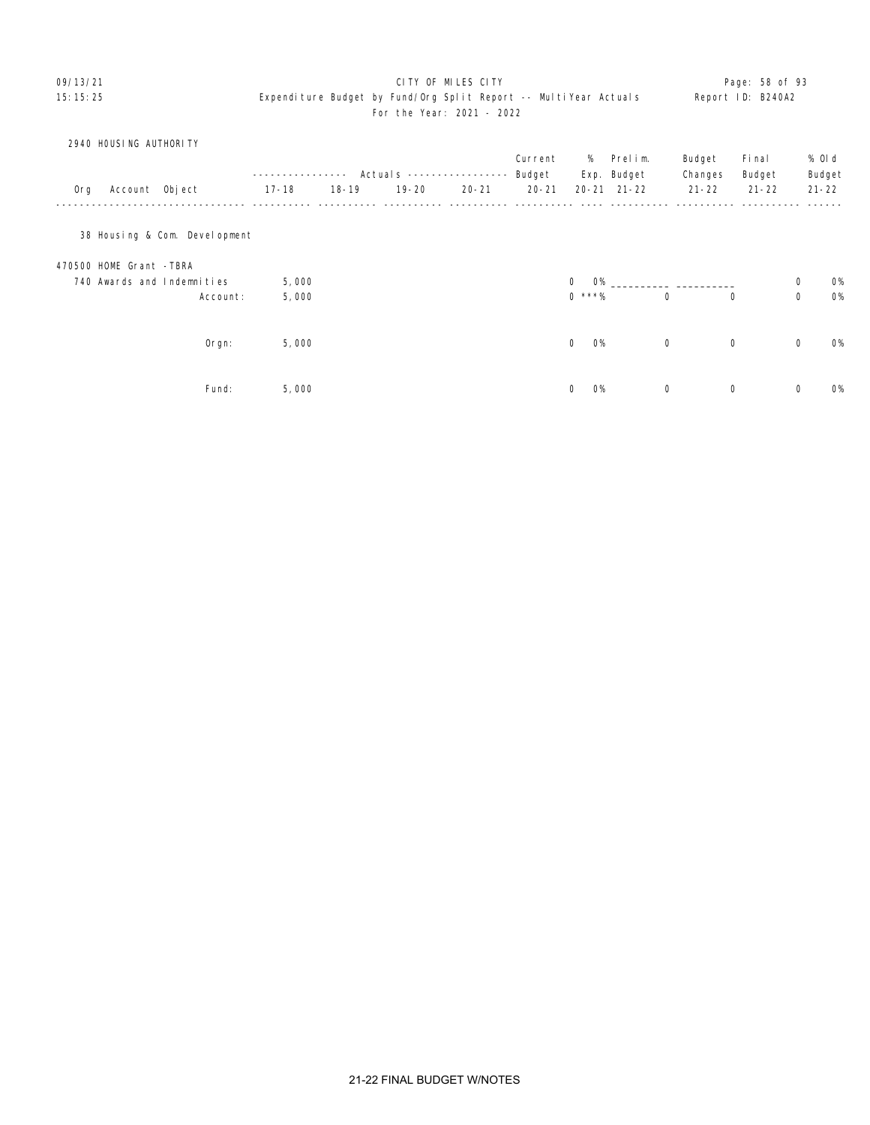### 09/13/21 **CITY OF MILES CITY CITY CONSUMING THE PAGE: 58 of 93** 15:15:25 Expenditure Budget by Fund/Org Split Report -- MultiYear Actuals Report ID: B240A2 For the Year: 2021 - 2022

|     | 2940 HOUSING AUTHORITY        |                   |           |               |           | Current   | %              | Prelim.             | Budget      | Fi nal      |             | % OI d    |
|-----|-------------------------------|-------------------|-----------|---------------|-----------|-----------|----------------|---------------------|-------------|-------------|-------------|-----------|
|     |                               |                   | $- -$     | Actuals $---$ |           | Budget    |                | Exp. Budget         | Changes     | Budget      |             | Budget    |
| Org | Account Object                | $17 - 18$         | $18 - 19$ | $19 - 20$     | $20 - 21$ | $20 - 21$ |                | $20 - 21$ $21 - 22$ | $21 - 22$   | $21 - 22$   |             | $21 - 22$ |
|     | 38 Housing & Com. Development |                   |           |               |           |           |                |                     |             |             |             |           |
|     | 470500 HOME Grant -TBRA       |                   |           |               |           |           |                |                     |             |             |             |           |
|     | 740 Awards and Indemnities    | 5,000             |           |               |           |           | <b>O%</b><br>0 |                     |             |             | $\mathbf 0$ | <b>O%</b> |
|     |                               | 5,000<br>Account: |           |               |           |           | $0$ ***%       |                     | $\mathbf 0$ | $\mathbf 0$ | $\mathbf 0$ | 0%        |
|     |                               | 5,000<br>Orgn:    |           |               |           |           | 0<br><b>O%</b> |                     | $\mathbf 0$ | $\mathbf 0$ | $\mathbf 0$ | <b>O%</b> |
|     |                               | Fund:<br>5,000    |           |               |           |           | 0<br><b>O%</b> |                     | 0           | $\mathbf 0$ | $\mathbf 0$ | O%        |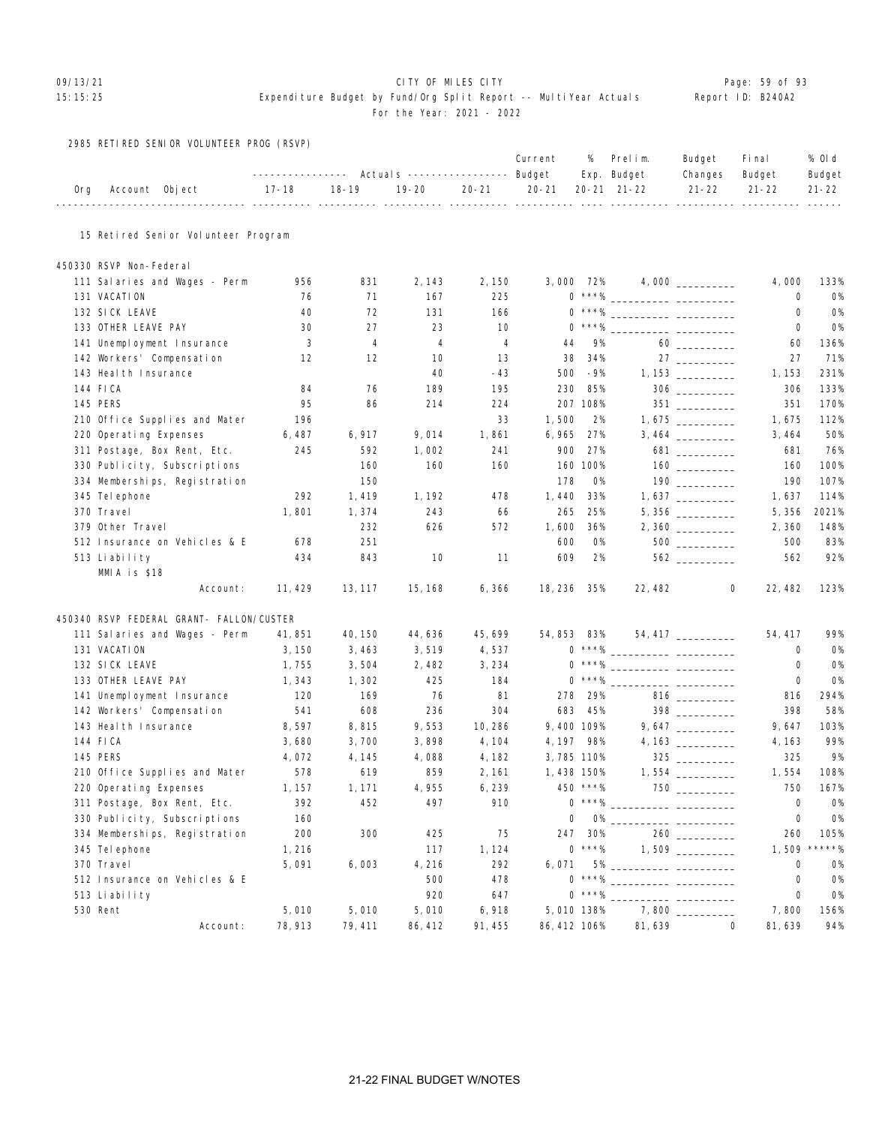# O9/13/21 **CITY OF MILES CITY CITY CITY CITY Page: 59 of 93**

### 15:15:25 Expenditure Budget by Fund/Org Split Report -- MultiYear Actuals Report ID: B240A2 For the Year: 2021 - 2022

2985 RETIRED SENIOR VOLUNTEER PROG (RSVP)

|     |                                          | ----------------                    |           | Actuals ----------------- Budget                   |           | Current      | %          | Prelim.<br>Exp. Budget | Budget<br>Changes                  | Fi nal<br>Budget                            | % OI d<br>Budget |
|-----|------------------------------------------|-------------------------------------|-----------|----------------------------------------------------|-----------|--------------|------------|------------------------|------------------------------------|---------------------------------------------|------------------|
| 0rg | Account Object                           | $17 - 18$<br>----------- ---------- | $18 - 19$ | $19 - 20$<br>---------- ---------- ---------- ---- | $20 - 21$ | $20 - 21$    |            | 20-21 21-22            | $21 - 22$                          | $21 - 22$<br>___________ __________ _______ | $21 - 22$        |
|     | 15 Retired Senior Volunteer Program      |                                     |           |                                                    |           |              |            |                        |                                    |                                             |                  |
|     | 450330 RSVP Non-Federal                  |                                     |           |                                                    |           |              |            |                        |                                    |                                             |                  |
|     | 111 Salaries and Wages - Perm            | 956                                 | 831       | 2, 143                                             | 2,150     |              | 3,000 72%  |                        |                                    | 4,000                                       | 133%             |
|     | 131 VACATION                             | 76                                  | 71        | 167                                                | 225       |              |            |                        |                                    | 0                                           | <b>O%</b>        |
|     | 132 SICK LEAVE                           | 40                                  | 72        | 131                                                | 166       |              |            |                        |                                    | 0                                           | <b>O%</b>        |
|     | 133 OTHER LEAVE PAY                      | 30                                  | 27        | 23                                                 | 10        |              | $0$ ***%   |                        |                                    | 0                                           | 0%               |
|     | 141 Unemployment Insurance               | 3                                   | 4         | 4                                                  | 4         | 44           | 9%         |                        |                                    | 60                                          | 136%             |
|     | 142 Workers' Compensation                | 12                                  | 12        | 10                                                 | 13        | 38           | 34%        |                        |                                    | 27                                          | 71%              |
|     | 143 Heal th Insurance                    |                                     |           | 40                                                 | $-43$     | 500          | -9%        |                        |                                    | 1, 153                                      | 231%             |
|     | 144 FICA                                 | 84                                  | 76        | 189                                                | 195       | 230          | 85%        |                        | $\frac{306}{\frac{1}{200}}$        | 306                                         | 133%             |
|     | <b>145 PERS</b>                          | 95                                  | 86        | 214                                                | 224       |              | 207 108%   |                        |                                    | 351                                         | 170%             |
|     | 210 Office Supplies and Mater            | 196                                 |           |                                                    | 33        | 1,500        | 2%         |                        |                                    | 1,675                                       | 112%             |
|     | 220 Operating Expenses                   | 6,487                               | 6, 917    | 9,014                                              | 1,861     | 6,965        | 27%        |                        |                                    | 3, 464                                      | 50%              |
|     | 311 Postage, Box Rent, Etc.              | 245                                 | 592       | 1,002                                              | 241       | 900          | 27%        |                        | $681 \ \ \underline{\hspace{1cm}}$ | 681                                         | 76%              |
|     | 330 Publicity, Subscriptions             |                                     | 160       | 160                                                | 160       |              | 160 100%   |                        |                                    | 160                                         | 100%             |
|     | 334 Memberships, Registration            |                                     | 150       |                                                    |           | 178          | <b>O%</b>  |                        |                                    | 190                                         | 107%             |
|     | 345 Tel ephone                           | 292                                 | 1,419     | 1, 192                                             | 478       | 1,440        | 33%        |                        |                                    | 1,637                                       | 114%             |
|     | 370 Travel                               | 1,801                               | 1,374     | 243                                                | 66        | 265          | 25%        |                        |                                    | 5,356                                       | 2021%            |
|     | 379 Other Travel                         |                                     | 232       | 626                                                | 572       | 1,600        | 36%        |                        |                                    | 2,360                                       | 148%             |
|     | 512 Insurance on Vehicles & E            | 678                                 | 251       |                                                    |           | 600          | 0%         |                        |                                    | 500                                         | 83%              |
|     | 513 Liability                            | 434                                 | 843       | 10                                                 | 11        | 609          | 2%         |                        | 562                                | 562                                         | 92%              |
|     | MMIA is \$18                             |                                     |           |                                                    |           |              |            |                        |                                    |                                             |                  |
|     | Account:                                 | 11, 429                             | 13, 117   | 15, 168                                            | 6, 366    | 18, 236 35%  |            | 22, 482                | 0                                  | 22, 482                                     | 123%             |
|     | 450340 RSVP FEDERAL GRANT- FALLON/CUSTER |                                     |           |                                                    |           |              |            |                        |                                    |                                             |                  |
|     | 111 Salaries and Wages - Perm            | 41, 851                             | 40, 150   | 44, 636                                            | 45, 699   | 54,853 83%   |            |                        | $54,417$ __________                | 54, 417                                     | 99%              |
|     | 131 VACATION                             | 3,150                               | 3,463     | 3,519                                              | 4,537     |              |            |                        |                                    | 0                                           | <b>O%</b>        |
|     | 132 SICK LEAVE                           | 1,755                               | 3,504     | 2,482                                              | 3, 234    |              |            |                        |                                    | 0                                           | <b>0%</b>        |
|     | 133 OTHER LEAVE PAY                      | 1, 343                              | 1,302     | 425                                                | 184       |              | $0***%$    |                        |                                    | 0                                           | <b>0%</b>        |
|     | 141 Unemployment Insurance               | 120                                 | 169       | 76                                                 | 81        | 278          | 29%        |                        |                                    | 816                                         | 294%             |
|     | 142 Workers' Compensation                | 541                                 | 608       | 236                                                | 304       | 683          | 45%        |                        | 398                                | 398                                         | 58%              |
|     | 143 Heal th Insurance                    | 8,597                               | 8,815     | 9,553                                              | 10, 286   |              | 9,400 109% |                        | $9,647$ _________                  | 9,647                                       | 103%             |
|     | 144 FICA                                 | 3,680                               | 3,700     | 3,898                                              | 4, 104    | 4, 197 98%   |            |                        |                                    | 4, 163                                      | 99%              |
|     | <b>145 PERS</b>                          | 4,072                               | 4, 145    | 4,088                                              | 4, 182    |              | 3,785 110% |                        |                                    | 325                                         | 9%               |
|     | 210 Office Supplies and Mater            | 578                                 | 619       | 859                                                | 2, 161    | 1,438 150%   |            |                        |                                    | 1,554                                       | 108%             |
|     | 220 Operating Expenses                   | 1, 157                              | 1, 171    | 4,955                                              | 6,239     |              | 450 ***%   |                        | 750 — 17                           | 750                                         | 167%             |
|     | 311 Postage, Box Rent, Etc.              | 392                                 | 452       | 497                                                | 910       |              |            |                        |                                    | 0                                           | 0%               |
|     | 330 Publicity, Subscriptions             | 160                                 |           |                                                    |           | 0            |            |                        |                                    | 0                                           | 0%               |
|     | 334 Memberships, Registration            | 200                                 | 300       | 425                                                | 75        | 247          | 30%        |                        |                                    | 260                                         | 105%             |
|     | 345 Tel ephone                           | 1, 216                              |           | 117                                                | 1, 124    |              | $0$ ***%   |                        |                                    | 1,509                                       | $*****$          |
|     | 370 Travel                               | 5,091                               | 6,003     | 4, 216                                             | 292       | 6,071        |            | 5% ___                 |                                    | $\mathbf 0$                                 | 0%               |
|     | 512 Insurance on Vehicles & E            |                                     |           | 500                                                | 478       |              |            |                        |                                    | 0                                           | 0%               |
|     | 513 Liability                            |                                     |           | 920                                                | 647       |              | $0***%$    |                        |                                    | 0                                           | 0%               |
|     | 530 Rent                                 | 5,010                               | 5,010     | 5,010                                              | 6,918     |              | 5,010 138% |                        | 7,800                              | 7,800                                       | 156%             |
|     | Account:                                 | 78, 913                             | 79, 411   | 86, 412                                            | 91, 455   | 86, 412 106% |            | 81,639                 | $\mathbf 0$                        | 81,639                                      | 94%              |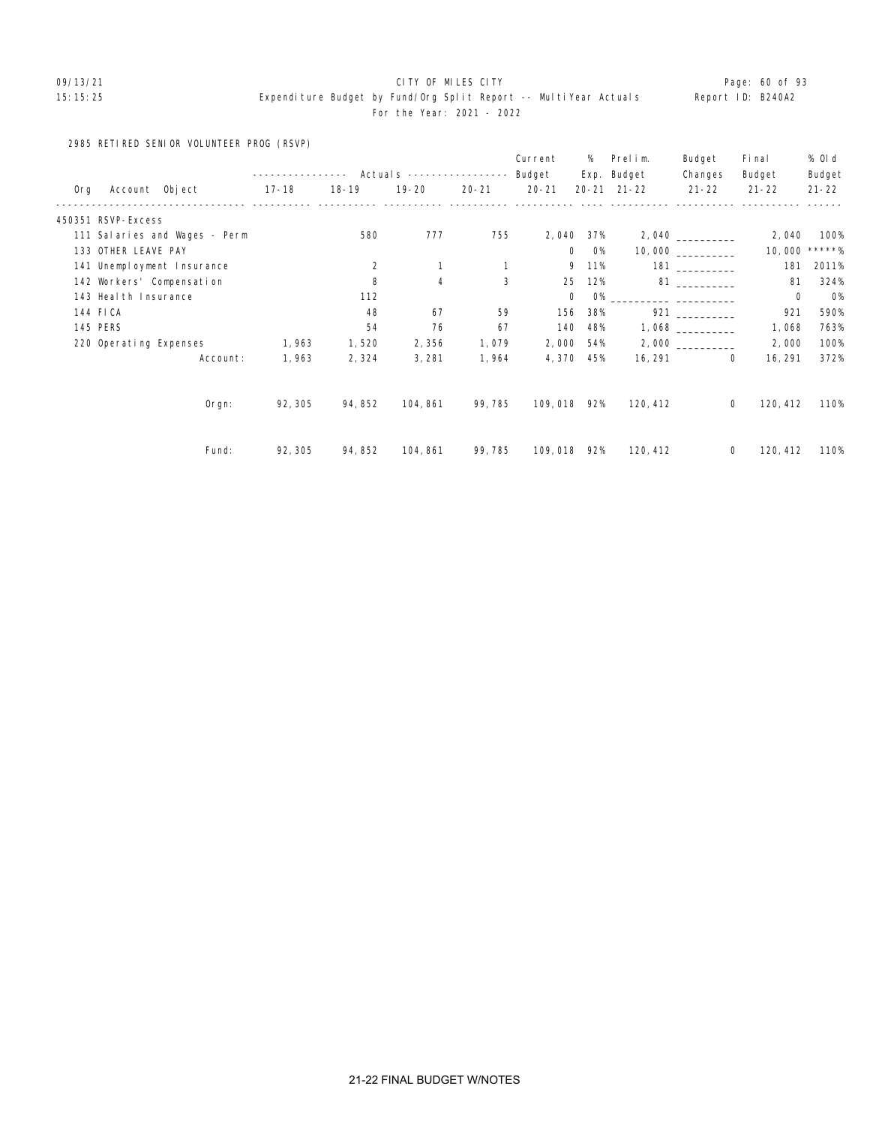# 09/13/21 **CITY OF MILES CITY CITY CONSUMING THE PAGE:** 60 of 93

## 15:15:25 Expenditure Budget by Fund/Org Split Report -- MultiYear Actuals Report ID: B240A2 For the Year: 2021 - 2022

2985 RETIRED SENIOR VOLUNTEER PROG (RSVP)

|     |                        |                               |                  |           |                           |           | Current     | %                  | Prelim.             | Budget                                                                                                                                                                                                                          | Fi nal                  | % Old     |
|-----|------------------------|-------------------------------|------------------|-----------|---------------------------|-----------|-------------|--------------------|---------------------|---------------------------------------------------------------------------------------------------------------------------------------------------------------------------------------------------------------------------------|-------------------------|-----------|
|     |                        |                               | ---------------- |           | Actuals ----------------- |           | Budget      |                    | Exp. Budget         | Changes                                                                                                                                                                                                                         | Budget                  | Budget    |
| 0rg |                        | Account Object                | 17-18            | $18 - 19$ | 19-20                     | $20 - 21$ | $20 - 21$   |                    | $20 - 21$ $21 - 22$ | $21 - 22$                                                                                                                                                                                                                       | $21 - 22$               | $21 - 22$ |
|     | 450351 RSVP-Excess     |                               |                  |           |                           |           |             |                    |                     |                                                                                                                                                                                                                                 |                         |           |
|     |                        | 111 Salaries and Wages - Perm |                  | 580       | 777                       | 755       | 2,040       | 37%                |                     |                                                                                                                                                                                                                                 | 2,040                   | 100%      |
|     | 133 OTHER LEAVE PAY    |                               |                  |           |                           |           |             | $\mathbf{0}$<br>O% |                     | 10,000                                                                                                                                                                                                                          | 10,000                  | *****%    |
|     |                        | 141 Unemployment Insurance    |                  | 2         |                           |           |             | 9<br>11%           |                     | 181                                                                                                                                                                                                                             | 181                     | 2011%     |
|     |                        | 142 Workers' Compensation     |                  | 8         | 4                         | 3         | 25          | 12%                |                     | 81 — 100 — 100 — 100 — 100 — 100 — 100 — 100 — 100 — 100 — 100 — 100 — 100 — 100 — 100 — 100 — 100 — 100 — 100 — 100 — 100 — 100 — 100 — 100 — 100 — 100 — 100 — 100 — 100 — 100 — 100 — 100 — 100 — 100 — 100 — 100 — 100 — 10 | 81                      | 324%      |
|     | 143 Heal th Insurance  |                               |                  | 112       |                           |           |             | <b>O%</b><br>0     |                     |                                                                                                                                                                                                                                 | $\mathbf 0$             | <b>O%</b> |
|     | 144 FICA               |                               |                  | 48        | 67                        | 59        | 156         | 38%                |                     | 921 — 100                                                                                                                                                                                                                       | 921                     | 590%      |
|     | <b>145 PERS</b>        |                               |                  | 54        | 76                        | 67        | 140         | 48%                |                     |                                                                                                                                                                                                                                 | 1,068                   | 763%      |
|     | 220 Operating Expenses |                               | 1,963            | 1,520     | 2,356                     | 1,079     | 2,000       | 54%                |                     |                                                                                                                                                                                                                                 | 2,000                   | 100%      |
|     |                        | Account:                      | 1,963            | 2,324     | 3, 281                    | 1,964     | 4,370       | 45%                | 16, 291             |                                                                                                                                                                                                                                 | 0<br>16, 291            | 372%      |
|     |                        | $O$ rgn:                      | 92, 305          | 94, 852   | 104, 861                  | 99, 785   | 109,018 92% |                    | 120, 412            |                                                                                                                                                                                                                                 | 120, 412<br>$\mathbf 0$ | 110%      |
|     |                        |                               |                  |           |                           |           |             |                    |                     |                                                                                                                                                                                                                                 |                         |           |
|     |                        | Fund:                         | 92, 305          | 94, 852   | 104, 861                  | 99, 785   | 109,018 92% |                    | 120, 412            |                                                                                                                                                                                                                                 | 120, 412<br>0           | 110%      |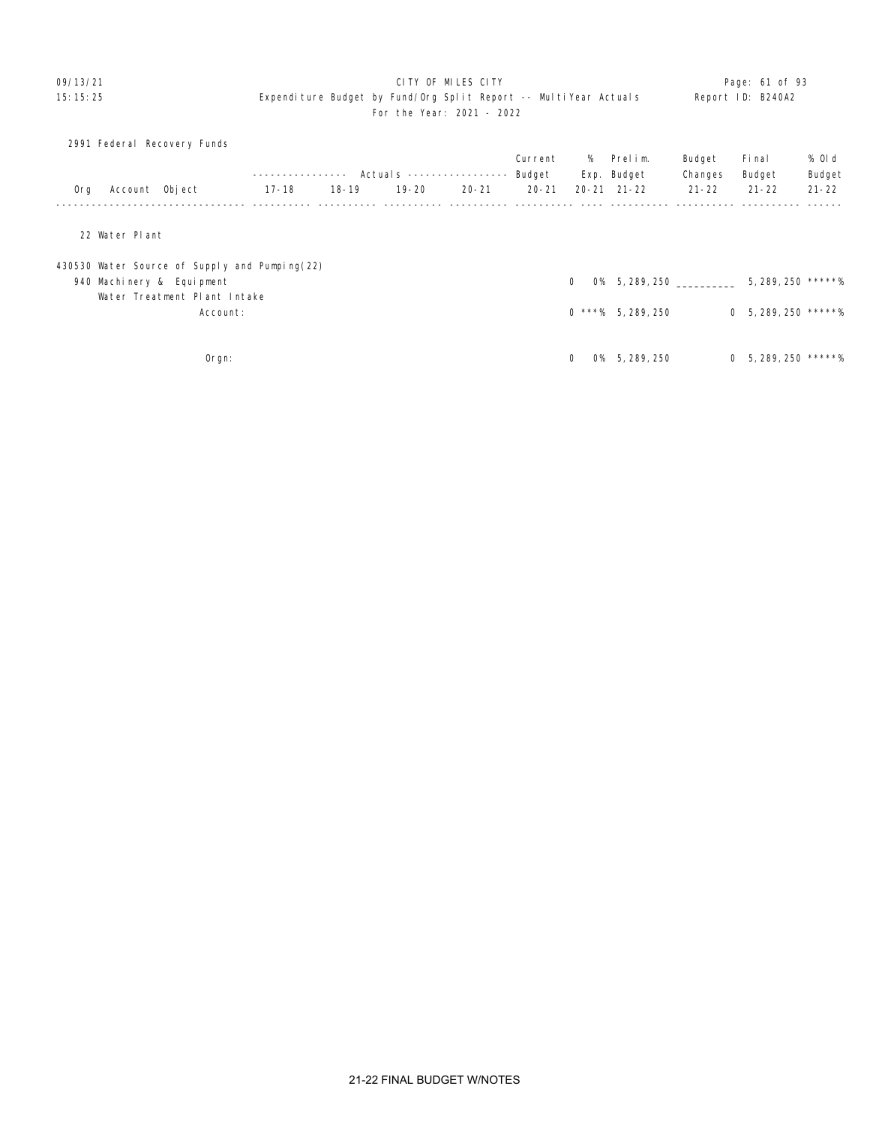### 09/13/21 **CITY OF MILES CITY CITY CONSUMING THE PAGE: 01 of 93** 15:15:25 Expenditure Budget by Fund/Org Split Report -- MultiYear Actuals Report ID: B240A2 For the Year: 2021 - 2022

|     | 2991 Federal Recovery Funds                   |              |           |                           |           |           |                |                     |           |                         |           |
|-----|-----------------------------------------------|--------------|-----------|---------------------------|-----------|-----------|----------------|---------------------|-----------|-------------------------|-----------|
|     |                                               |              |           |                           |           | Current   |                | % Prelim.           | Budget    | Fi nal                  | % Old     |
|     |                                               | ------------ |           | Actuals ----------------- |           | Budget    |                | Exp. Budget         | Changes   | Budget                  | Budget    |
| 0rg | Account Object                                | 17-18        | $18 - 19$ | $19 - 20$                 | $20 - 21$ | $20 - 21$ |                | $20 - 21$ $21 - 22$ | $21 - 22$ | $21 - 22$               | $21 - 22$ |
|     |                                               |              |           |                           |           |           |                |                     |           |                         |           |
|     | 22 Water Plant                                |              |           |                           |           |           |                |                     |           |                         |           |
|     | 430530 Water Source of Supply and Pumping(22) |              |           |                           |           |           |                |                     |           |                         |           |
|     | 940 Machinery & Equipment                     |              |           |                           |           |           | $\mathbf{0}$   | 0% 5, 289, 250      |           | 5, 289, 250 *****%      |           |
|     | Water Treatment Plant Intake                  |              |           |                           |           |           |                |                     |           |                         |           |
|     | Account:                                      |              |           |                           |           |           |                | $0$ ***% 5.289.250  |           | $0, 5, 289, 250$ *****% |           |
|     |                                               |              |           |                           |           |           |                |                     |           |                         |           |
|     | $O$ rgn:                                      |              |           |                           |           |           | $\Omega$<br>O% | 5, 289, 250         |           | $0$ 5, 289, 250 *****%  |           |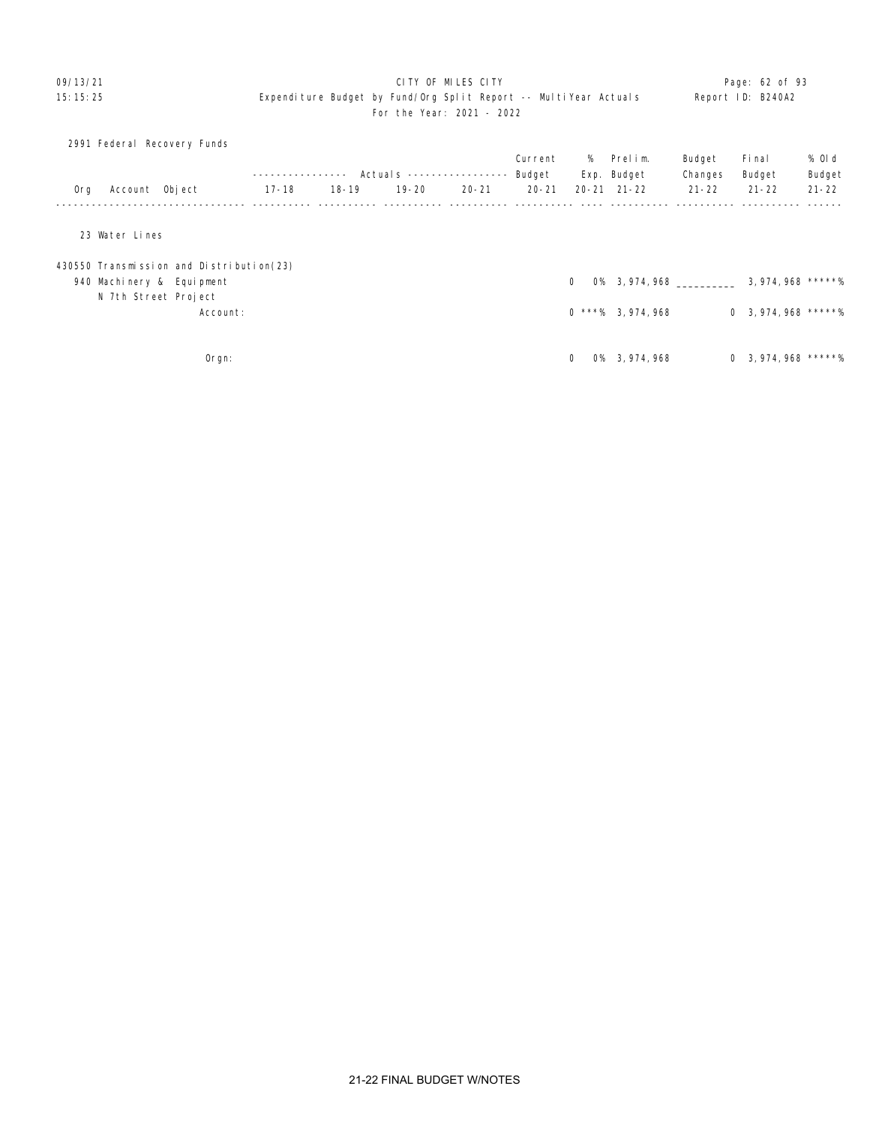### O9/13/21 **CITY OF MILES CITY CITY CITY CITY Page: 62 of 93** 15:15:25 Expenditure Budget by Fund/Org Split Report -- MultiYear Actuals Report ID: B240A2 For the Year: 2021 - 2022

|     | 2991 Federal Recovery Funds              |               |           |                                  |           |           |              |                     |           |                        |           |
|-----|------------------------------------------|---------------|-----------|----------------------------------|-----------|-----------|--------------|---------------------|-----------|------------------------|-----------|
|     |                                          |               |           |                                  |           | Current   |              | % Prelim.           | Budget    | Fi nal                 | % Old     |
|     |                                          | ------------- |           | Actuals ----------------- Budget |           |           |              | Exp. Budget         | Changes   | Budget                 | Budget    |
| 0rg | Account Object                           | 17-18         | $18 - 19$ | $19 - 20$                        | $20 - 21$ | $20 - 21$ |              | $20 - 21$ $21 - 22$ | $21 - 22$ | $21 - 22$              | $21 - 22$ |
|     |                                          |               |           |                                  |           |           |              |                     |           |                        |           |
|     | 23 Water Lines                           |               |           |                                  |           |           |              |                     |           |                        |           |
|     | 430550 Transmission and Distribution(23) |               |           |                                  |           |           |              |                     |           |                        |           |
|     | 940 Machinery & Equipment                |               |           |                                  |           |           | $\mathbf{0}$ | 0% 3,974,968        |           | $3,974,968$ *****%     |           |
|     | N 7th Street Project                     |               |           |                                  |           |           |              |                     |           |                        |           |
|     | Account:                                 |               |           |                                  |           |           |              | $0$ ***% 3.974.968  |           | $0$ 3, 974, 968 *****% |           |
|     |                                          |               |           |                                  |           |           |              |                     |           |                        |           |
|     | Orgn:                                    |               |           |                                  |           |           | $\mathbf{0}$ | 0% 3, 974, 968      |           | $0$ 3, 974, 968 *****% |           |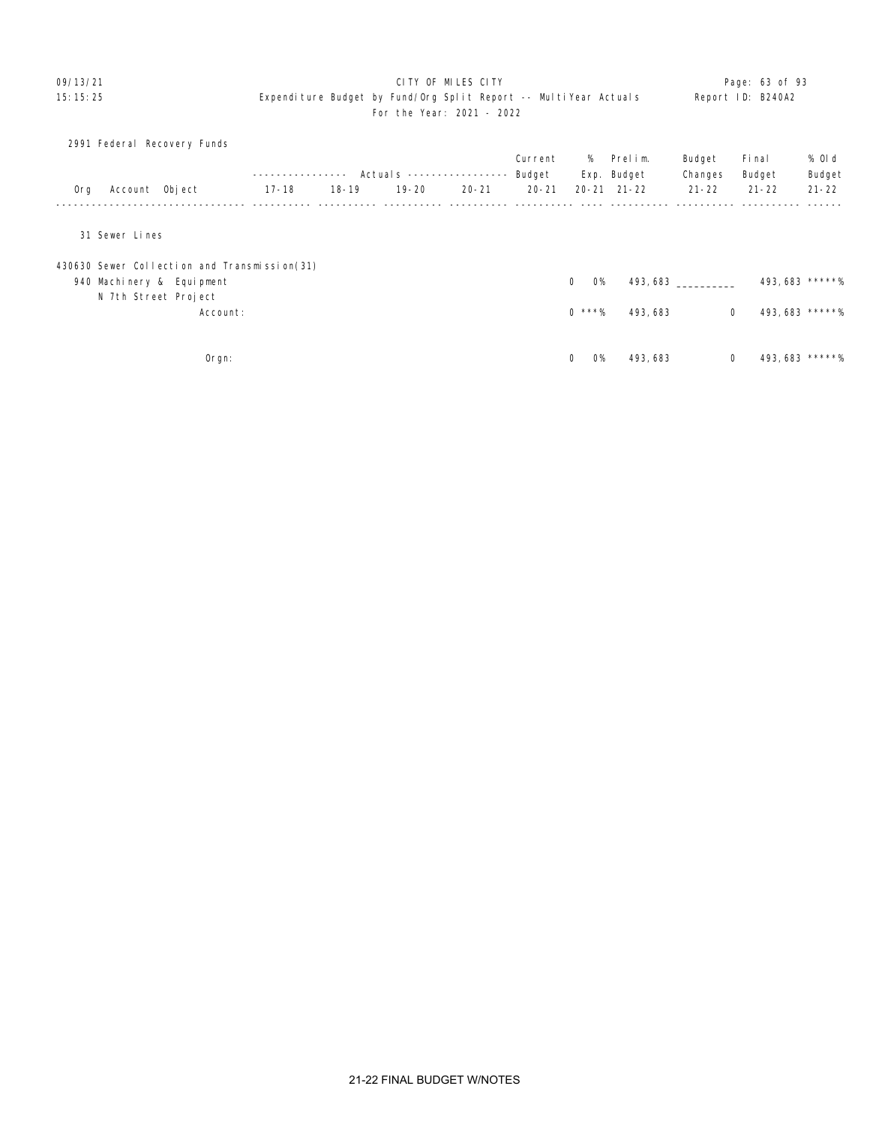### O9/13/21 **Dage:** 63 of 93 15:15:25 Expenditure Budget by Fund/Org Split Report -- MultiYear Actuals Report ID: B240A2 For the Year: 2021 - 2022

|     | 2991 Federal Recovery Funds                  |               |           |                           |           |           |                          |                     |              |                 |           |
|-----|----------------------------------------------|---------------|-----------|---------------------------|-----------|-----------|--------------------------|---------------------|--------------|-----------------|-----------|
|     |                                              |               |           |                           |           | Current   | %                        | Prelim.             | Budget       | Fi nal          | % Old     |
|     |                                              | ------------- |           | Actuals ----------------- |           | Budget    |                          | Exp. Budget         | Changes      | Budget          | Budget    |
| 0rg | Account Object                               | $17 - 18$     | $18 - 19$ | $19 - 20$                 | $20 - 21$ | $20 - 21$ |                          | $20 - 21$ $21 - 22$ | $21 - 22$    | $21 - 22$       | $21 - 22$ |
|     | 31 Sewer Lines                               |               |           |                           |           |           |                          |                     |              |                 |           |
|     | 430630 Sewer Collection and Transmission(31) |               |           |                           |           |           |                          |                     |              |                 |           |
|     | 940 Machinery & Equipment                    |               |           |                           |           |           | $\mathbf 0$<br><b>O%</b> |                     | 493,683      | 493, 683 *****% |           |
|     | N 7th Street Project                         |               |           |                           |           |           |                          |                     |              |                 |           |
|     | Account:                                     |               |           |                           |           |           | $0$ ***%                 | 493, 683            | $\mathbf 0$  | 493, 683 *****% |           |
|     |                                              |               |           |                           |           |           |                          |                     |              |                 |           |
|     | Orgn:                                        |               |           |                           |           |           | <b>O%</b><br>0           | 493, 683            | $\mathbf{0}$ | 493, 683 *****% |           |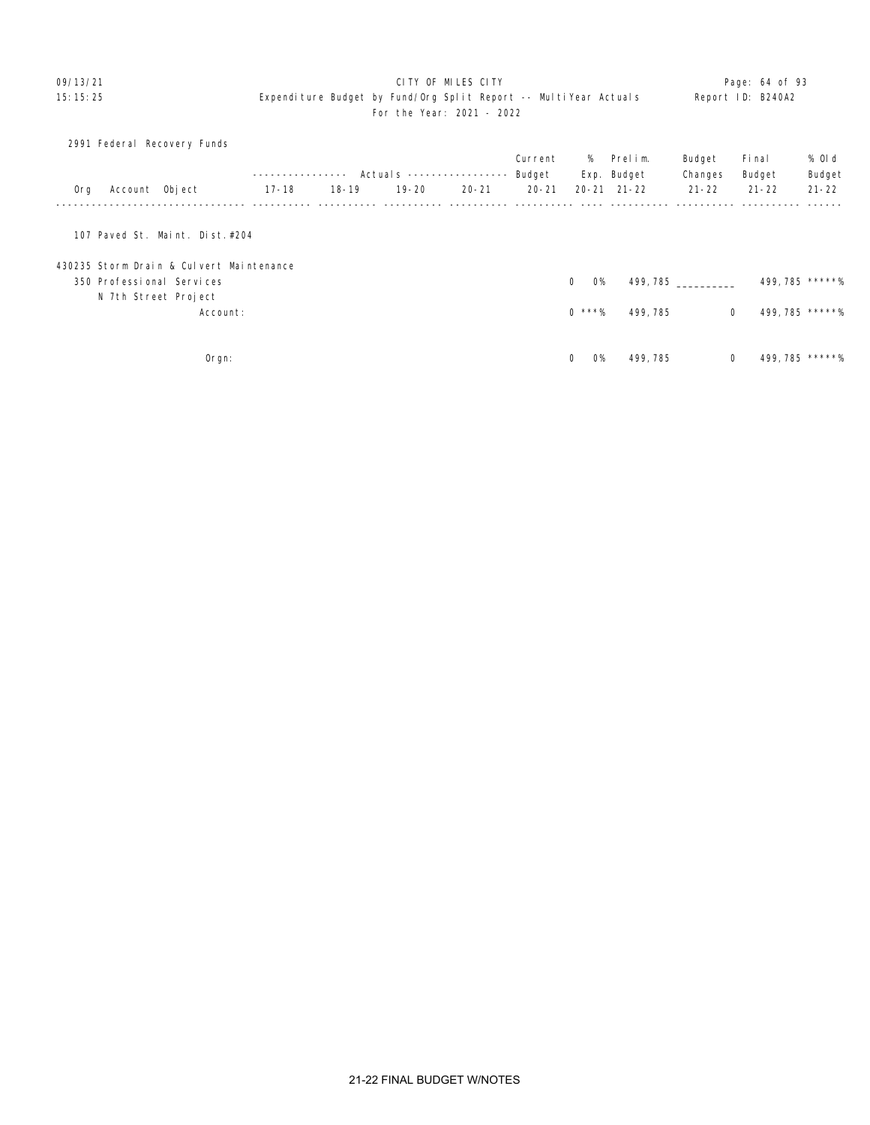### O9/13/21 **Dage:** 64 of 93 15:15:25 Expenditure Budget by Fund/Org Split Report -- MultiYear Actuals Report ID: B240A2 For the Year: 2021 - 2022

|     | 2991 Federal Recovery Funds              |              |           |                           |           |           |                       |                     |           |           |                 |
|-----|------------------------------------------|--------------|-----------|---------------------------|-----------|-----------|-----------------------|---------------------|-----------|-----------|-----------------|
|     |                                          |              |           |                           |           | Current   |                       | % Prelim.           | Budget    | Fi nal    | % Old           |
|     |                                          | ------------ |           | Actuals ----------------- |           | Budget    |                       | Exp. Budget         | Changes   | Budget    | Budget          |
| 0rg | Account Object                           | 17-18        | $18 - 19$ | $19 - 20$                 | $20 - 21$ | $20 - 21$ |                       | $20 - 21$ $21 - 22$ | $21 - 22$ | $21 - 22$ | $21 - 22$       |
|     |                                          |              |           |                           |           |           |                       |                     |           |           |                 |
|     | 107 Paved St. Maint. Dist. #204          |              |           |                           |           |           |                       |                     |           |           |                 |
|     | 430235 Storm Drain & Culvert Maintenance |              |           |                           |           |           |                       |                     |           |           |                 |
|     | 350 Professional Services                |              |           |                           |           |           | $\Omega$<br><b>O%</b> | 499, 785            |           |           | 499, 785 *****% |
|     | N 7th Street Project                     |              |           |                           |           |           |                       |                     |           |           |                 |
|     | Account:                                 |              |           |                           |           |           | $0$ ***%              | 499, 785            | 0         |           | 499, 785 *****% |
|     |                                          |              |           |                           |           |           |                       |                     |           |           |                 |
|     | Orgn:                                    |              |           |                           |           |           | $\Omega$<br><b>O%</b> | 499, 785            | 0         |           | 499, 785 *****% |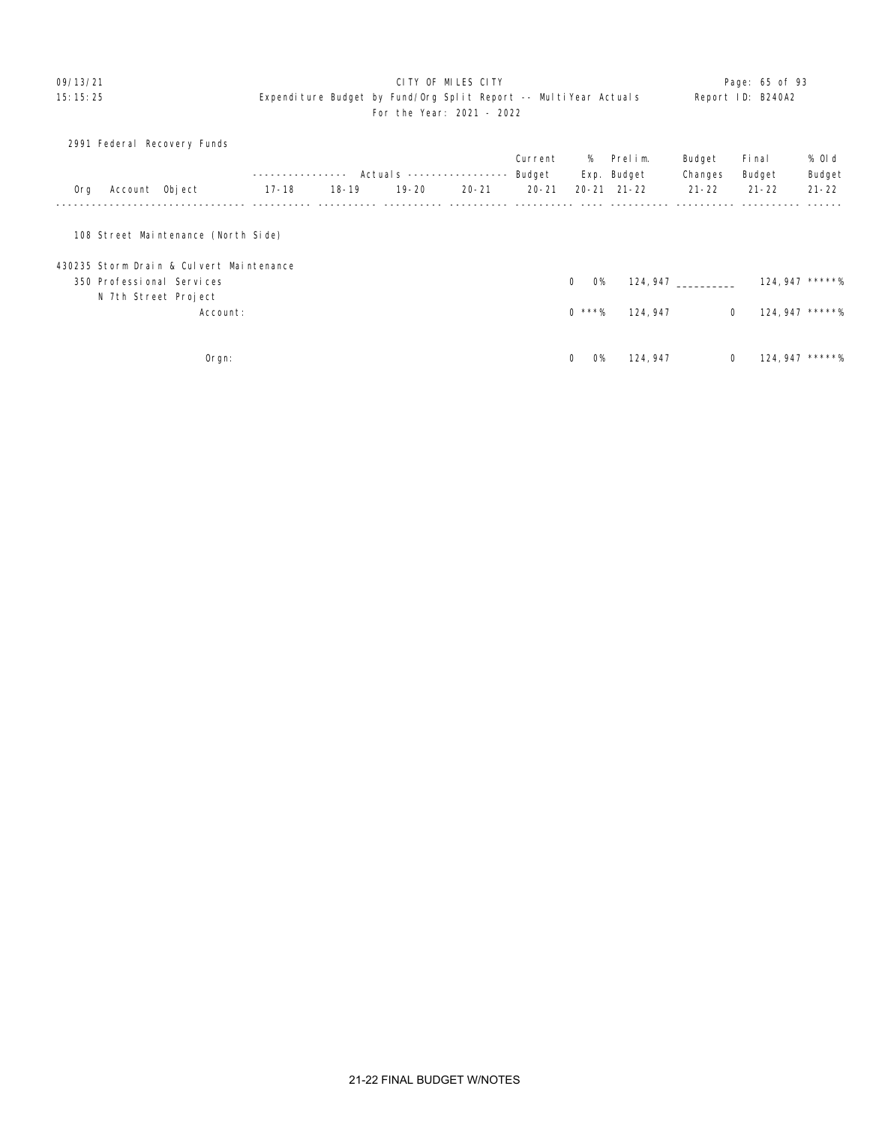### O9/13/21 **CITY OF MILES CITY CITY CITY CITY CITY Page: 65 of 93** 15:15:25 Expenditure Budget by Fund/Org Split Report -- MultiYear Actuals Report ID: B240A2 For the Year: 2021 - 2022

|     |                | 2991 Federal Recovery Funds              |              |           |                            |           |           |                          |                     |             |           |                  |
|-----|----------------|------------------------------------------|--------------|-----------|----------------------------|-----------|-----------|--------------------------|---------------------|-------------|-----------|------------------|
|     |                |                                          |              |           |                            |           | Current   |                          | % Prelim.           | Budget      | Fi nal    | % Old            |
|     |                |                                          | ------------ |           | Actual s ----------------- |           | Budget    |                          | Exp. Budget         | Changes     | Budget    | Budget           |
| 0rg | Account Object |                                          | $17 - 18$    | $18 - 19$ | $19 - 20$                  | $20 - 21$ | $20 - 21$ |                          | $20 - 21$ $21 - 22$ | $21 - 22$   | $21 - 22$ | $21 - 22$        |
|     |                |                                          |              |           |                            |           |           |                          |                     |             |           |                  |
|     |                | 108 Street Maintenance (North Side)      |              |           |                            |           |           |                          |                     |             |           |                  |
|     |                | 430235 Storm Drain & Culvert Maintenance |              |           |                            |           |           |                          |                     |             |           |                  |
|     |                | 350 Professional Services                |              |           |                            |           |           | $\Omega$<br><b>O%</b>    | 124, 947            |             |           | $124,947$ *****% |
|     |                | N 7th Street Project                     |              |           |                            |           |           |                          |                     |             |           |                  |
|     |                | Account:                                 |              |           |                            |           |           | $0$ ***%                 | 124, 947            | $\mathbf 0$ |           | 124, 947 *****%  |
|     |                |                                          |              |           |                            |           |           |                          |                     |             |           |                  |
|     |                | Orgn:                                    |              |           |                            |           |           | $\mathbf 0$<br><b>O%</b> | 124, 947            | $\mathbf 0$ |           | $124,947$ *****% |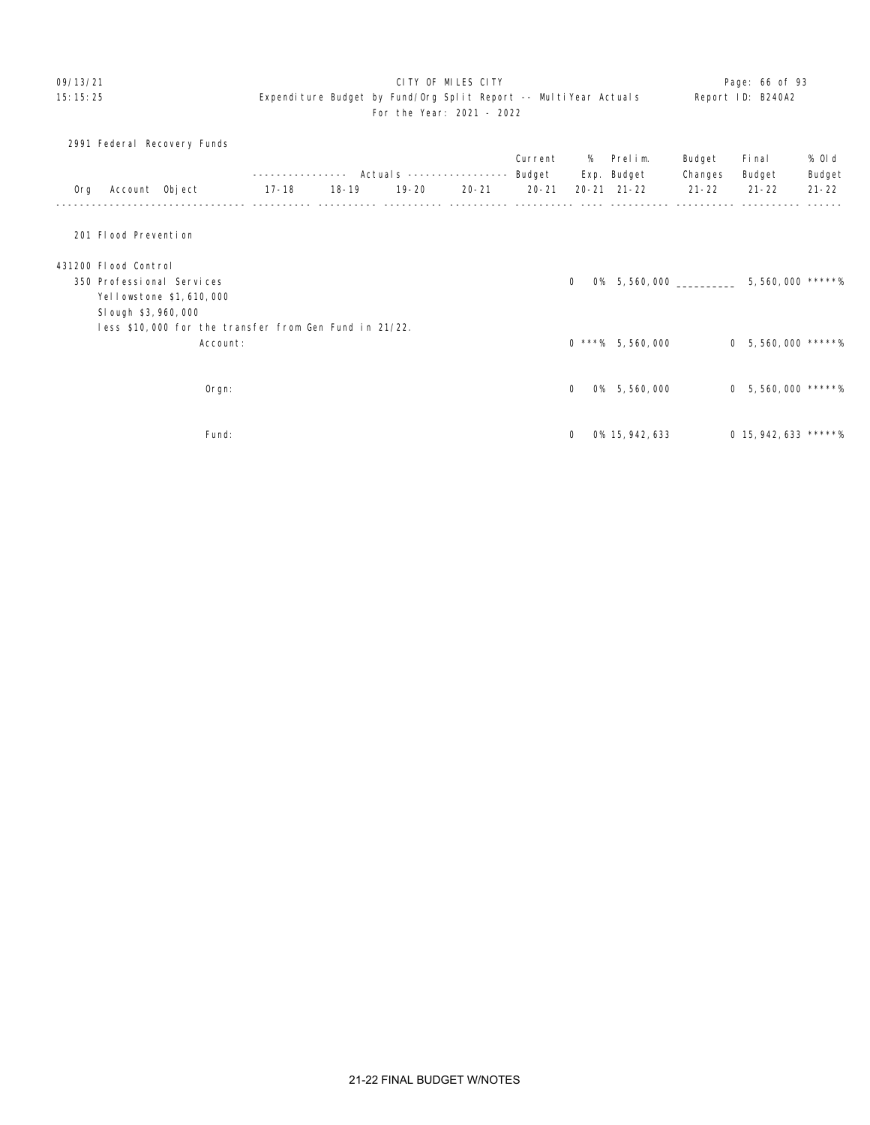# 09/13/21 **CITY OF MILES CITY CITY CONSUMING THE CONSUMING Page: 66 of 93**

# 15:15:25 Expenditure Budget by Fund/Org Split Report -- MultiYear Actuals Report ID: B240A2 For the Year: 2021 - 2022

|     |                       | 2991 Federal Recovery Funds |                                                        |             |                                  |           |           |                       |                     |           |                         |           |
|-----|-----------------------|-----------------------------|--------------------------------------------------------|-------------|----------------------------------|-----------|-----------|-----------------------|---------------------|-----------|-------------------------|-----------|
|     |                       |                             |                                                        |             |                                  |           | Current   | %                     | Prelim.             | Budget    | Fi nal                  | % OI d    |
|     |                       |                             |                                                        | ----------- | Actuals ----------------- Budget |           |           |                       | Exp. Budget         | Changes   | Budget                  | Budget    |
| Org | Account Object        |                             | 17-18                                                  | 18-19       | 19-20                            | $20 - 21$ | $20 - 21$ |                       | $20 - 21$ $21 - 22$ | $21 - 22$ | $21 - 22$               | $21 - 22$ |
|     | 201 Flood Prevention  |                             |                                                        |             |                                  |           |           |                       |                     |           |                         |           |
|     | 431200 Flood Control  |                             |                                                        |             |                                  |           |           |                       |                     |           |                         |           |
|     |                       | 350 Professional Services   |                                                        |             |                                  |           |           | $\Omega$<br><b>O%</b> | 5,560,000           |           | 5,560,000 *****%        |           |
|     |                       | Yellowstone \$1,610,000     |                                                        |             |                                  |           |           |                       |                     |           |                         |           |
|     | SI ough \$3, 960, 000 |                             |                                                        |             |                                  |           |           |                       |                     |           |                         |           |
|     |                       |                             | less \$10,000 for the transfer from Gen Fund in 21/22. |             |                                  |           |           |                       |                     |           |                         |           |
|     |                       | Account:                    |                                                        |             |                                  |           |           |                       | $0$ ***% 5,560,000  |           | $0$ 5, 560, 000 *****%  |           |
|     |                       |                             |                                                        |             |                                  |           |           |                       |                     |           |                         |           |
|     |                       | Orgn:                       |                                                        |             |                                  |           |           | <b>O%</b><br>$\Omega$ | 5,560,000           |           | $0$ 5, 560, 000 *****%  |           |
|     |                       | Fund:                       |                                                        |             |                                  |           |           | $\Omega$              | 0% 15, 942, 633     |           | $0$ 15, 942, 633 *****% |           |
|     |                       |                             |                                                        |             |                                  |           |           |                       |                     |           |                         |           |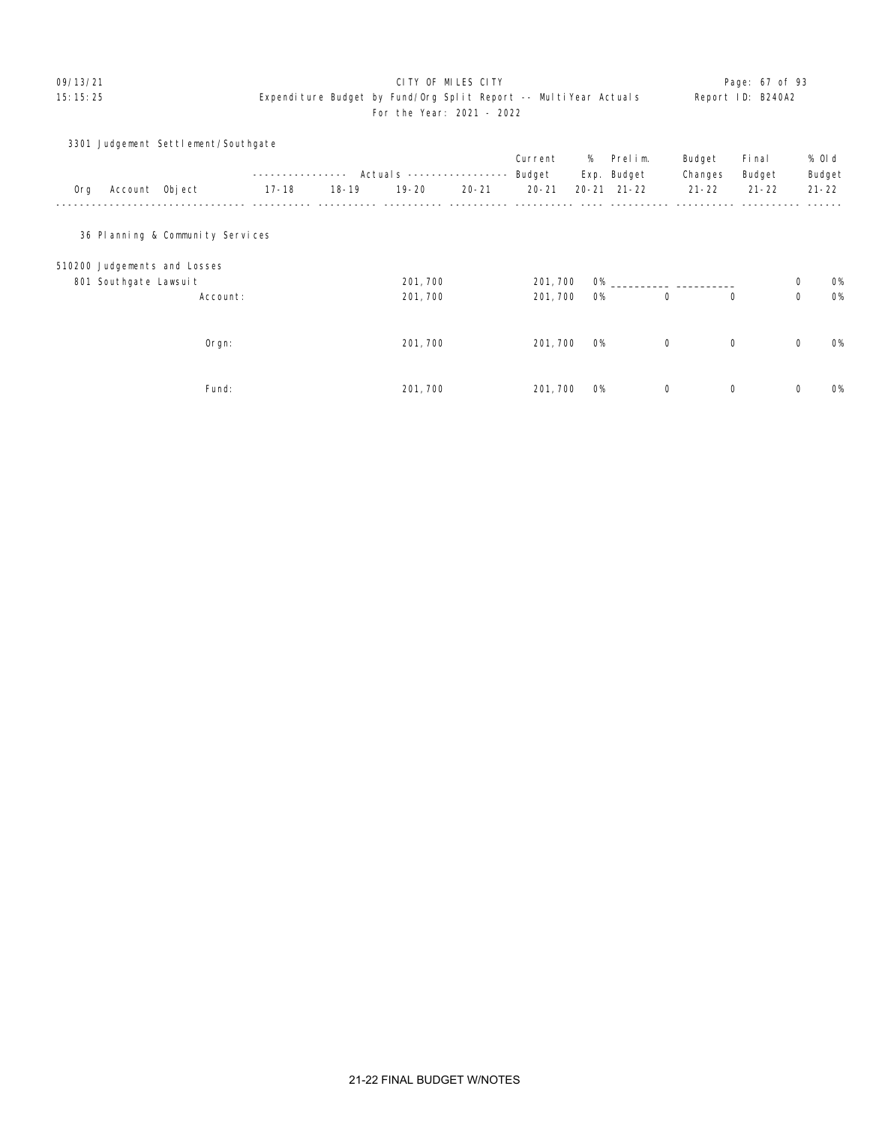# 09/13/21 Page: 67 of 93

# 15:15:25 Expenditure Budget by Fund/Org Split Report -- MultiYear Actuals Report ID: B240A2 For the Year: 2021 - 2022

|     |                       | 3301 Judgement Settlement/Southgate |           |           |                            |           |           |           |                     |             |             |             |           |
|-----|-----------------------|-------------------------------------|-----------|-----------|----------------------------|-----------|-----------|-----------|---------------------|-------------|-------------|-------------|-----------|
|     |                       |                                     |           |           |                            |           | Current   | %         | Prelim.             | Budget      | Fi nal      |             | % Old     |
|     |                       |                                     |           | $- - - -$ | Actual s ----------------- |           | Budget    |           | Exp. Budget         | Changes     | Budget      |             | Budget    |
| Org | Account Object        |                                     | $17 - 18$ | $18 - 19$ | $19 - 20$                  | $20 - 21$ | $20 - 21$ |           | $20 - 21$ $21 - 22$ | $21 - 22$   | $21 - 22$   |             | $21 - 22$ |
|     |                       |                                     |           |           |                            |           |           |           |                     |             |             |             |           |
|     |                       |                                     |           |           |                            |           |           |           |                     |             |             |             |           |
|     |                       | 36 Planning & Community Services    |           |           |                            |           |           |           |                     |             |             |             |           |
|     |                       | 510200 Judgements and Losses        |           |           |                            |           |           |           |                     |             |             |             |           |
|     | 801 Southgate Lawsuit |                                     |           |           | 201, 700                   |           | 201, 700  | <b>O%</b> |                     |             |             | 0           | 0%        |
|     |                       | Account:                            |           |           | 201, 700                   |           | 201, 700  | <b>O%</b> |                     | 0           | 0           | $\mathbf 0$ | 0%        |
|     |                       |                                     |           |           |                            |           |           |           |                     |             |             |             |           |
|     |                       |                                     |           |           |                            |           |           |           |                     |             |             |             |           |
|     |                       | Orgn:                               |           |           | 201, 700                   |           | 201, 700  | <b>O%</b> |                     | $\mathbf 0$ | $\mathbf 0$ | 0           | 0%        |
|     |                       |                                     |           |           |                            |           |           |           |                     |             |             |             |           |
|     |                       | Fund:                               |           |           | 201, 700                   |           | 201, 700  | <b>O%</b> |                     | 0           | 0           | 0           | <b>O%</b> |
|     |                       |                                     |           |           |                            |           |           |           |                     |             |             |             |           |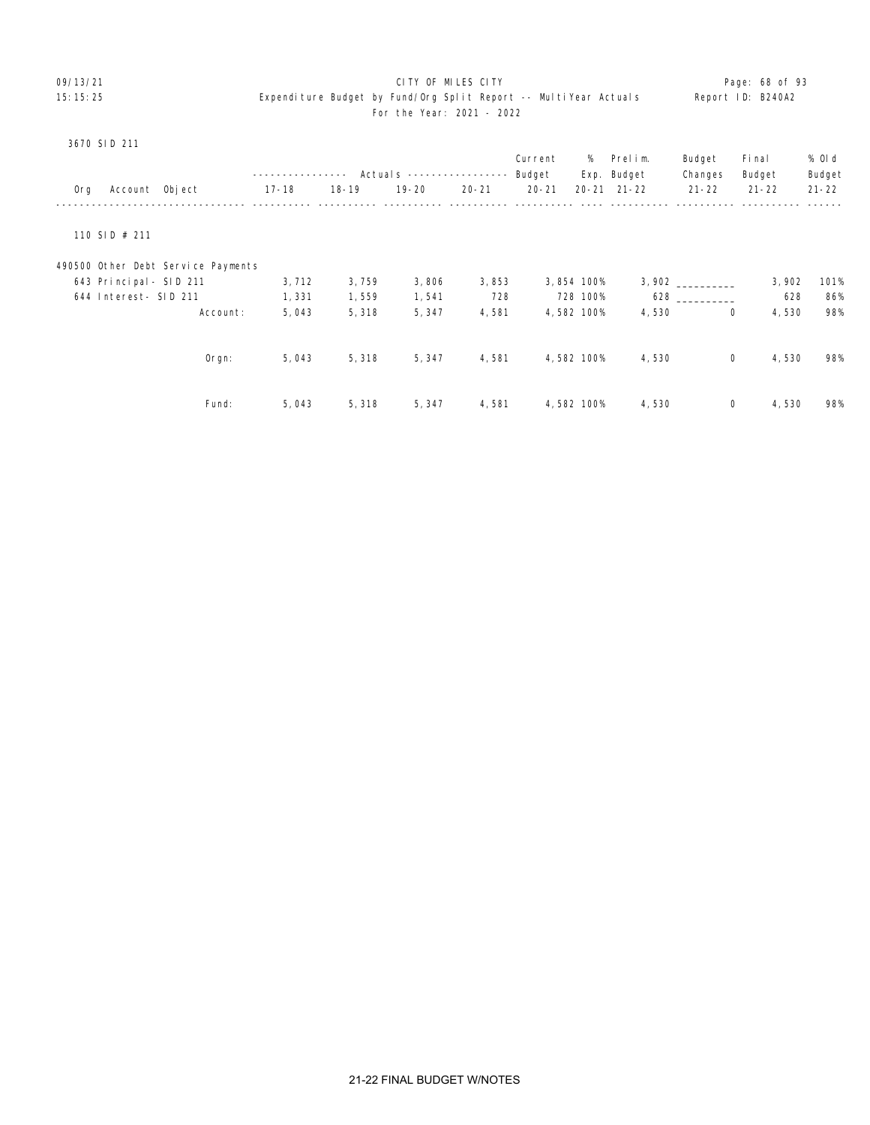### O9/13/21 **CITY OF MILES CITY CITY CITY CITY CITY Page: 68 of 93** 15:15:25 Expenditure Budget by Fund/Org Split Report -- MultiYear Actuals Report ID: B240A2 For the Year: 2021 - 2022

|     |                         |                                    |           |           | Actuals $---$ |           | Current<br>Budget | %<br>Exp.  | Prelim.<br>Budget   | Budget<br>Changes | Fi nal<br>Budget | % OI d<br>Budget |
|-----|-------------------------|------------------------------------|-----------|-----------|---------------|-----------|-------------------|------------|---------------------|-------------------|------------------|------------------|
| 0rg | Account Object          |                                    | $17 - 18$ | $18 - 19$ | $19 - 20$     | $20 - 21$ | $20 - 21$         |            | $20 - 21$ $21 - 22$ | $21 - 22$         | $21 - 22$        | $21 - 22$        |
|     |                         |                                    |           |           |               |           |                   |            |                     |                   |                  |                  |
|     | 110 SID $#$ 211         |                                    |           |           |               |           |                   |            |                     |                   |                  |                  |
|     |                         | 490500 Other Debt Service Payments |           |           |               |           |                   |            |                     |                   |                  |                  |
|     | 643 Principal - SID 211 |                                    | 3,712     | 3,759     | 3,806         | 3,853     |                   | 3,854 100% |                     | 3,902             | 3,902            | 101%             |
|     | 644 Interest- SID 211   |                                    | 1,331     | 1,559     | 1,541         | 728       |                   | 728 100%   | 628                 |                   | 628              | 86%              |
|     |                         | Account:                           | 5,043     | 5,318     | 5, 347        | 4,581     |                   | 4,582 100% | 4,530               | 0                 | 4,530            | 98%              |
|     |                         | $O$ rgn:                           | 5,043     | 5,318     | 5, 347        | 4,581     |                   | 4,582 100% | 4,530               | 0                 | 4,530            | 98%              |
|     |                         | Fund:                              | 5,043     | 5,318     | 5,347         | 4,581     |                   | 4,582 100% | 4,530               | 0                 | 4,530            | 98%              |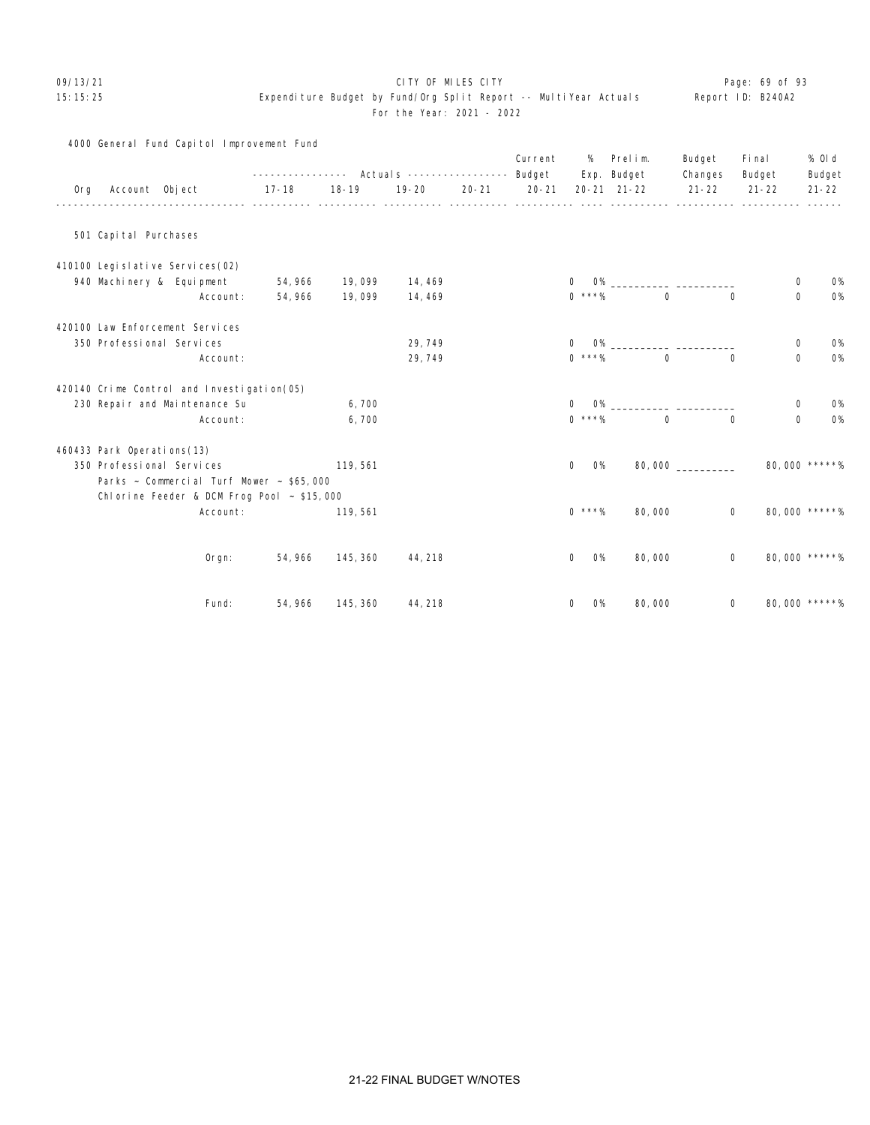### 09/13/21 **CITY OF MILES CITY CITY CONSUMING THE PAGE: 69 of 93**

## 15:15:25 Expenditure Budget by Fund/Org Split Report -- MultiYear Actuals Report ID: B240A2 For the Year: 2021 - 2022

|     |                                      | 4000 General Fund Capitol Improvement Fund      |                                                           |           |           |           | Current   | %                           | Prelim.                 | Budget    | Fi nal                  | % 0l d        |
|-----|--------------------------------------|-------------------------------------------------|-----------------------------------------------------------|-----------|-----------|-----------|-----------|-----------------------------|-------------------------|-----------|-------------------------|---------------|
|     |                                      |                                                 | ---------------    Actual s    ----------------    Budget |           |           |           |           |                             | Exp. Budget             | Changes   | Budget                  | Budget        |
| 0rg | Account Object                       |                                                 | $17 - 18$                                                 | $18 - 19$ | $19 - 20$ | $20 - 21$ | $20 - 21$ |                             | $20 - 21$ $21 - 22$     | $21 - 22$ | $21 - 22$               | $21 - 22$     |
|     | 501 Capital Purchases                |                                                 |                                                           |           |           |           |           |                             |                         |           |                         |               |
|     | 410100 Legi sl ati ve Servi ces (02) |                                                 |                                                           |           |           |           |           |                             |                         |           |                         |               |
|     | 940 Machinery & Equipment            |                                                 | 54, 966                                                   | 19,099    | 14, 469   |           |           | $\mathbf{O}$                |                         |           | 0                       | <b>0%</b>     |
|     |                                      | Account:                                        | 54, 966                                                   | 19,099    | 14, 469   |           |           | $0$ ***%                    | $\Omega$                |           | $\mathbf 0$<br>$\Omega$ | 0%            |
|     | 420100 Law Enforcement Services      |                                                 |                                                           |           |           |           |           |                             |                         |           |                         |               |
|     | 350 Professional Services            |                                                 |                                                           |           | 29,749    |           |           | $\mathbf{0}$                | $O\%$                   |           | $\mathbf 0$             | <b>0%</b>     |
|     |                                      | Account:                                        |                                                           |           | 29,749    |           |           | $0$ ***%                    | $\Omega$                |           | $\Omega$<br>$\mathbf 0$ | <b>0%</b>     |
|     |                                      | 420140 Crime Control and Investigation(05)      |                                                           |           |           |           |           |                             |                         |           |                         |               |
|     | 230 Repair and Maintenance Su        |                                                 |                                                           | 6,700     |           |           |           | 0                           | 0% __________________ _ |           | 0                       | <b>0%</b>     |
|     |                                      | Account:                                        |                                                           | 6,700     |           |           |           | $0$ ***%                    | $\Omega$                |           | $\mathbf 0$<br>$\Omega$ | <b>0%</b>     |
|     | 460433 Park Operations(13)           |                                                 |                                                           |           |           |           |           |                             |                         |           |                         |               |
|     | 350 Professional Services            |                                                 |                                                           | 119,561   |           |           |           | $\overline{O}$<br><b>O%</b> |                         | 80,000    |                         | 80,000 *****% |
|     |                                      | Parks ~ Commercial Turf Mower ~ \$65,000        |                                                           |           |           |           |           |                             |                         |           |                         |               |
|     |                                      | Chlorine Feeder & DCM Frog Pool $\sim$ \$15,000 |                                                           |           |           |           |           |                             |                         |           |                         |               |
|     |                                      | Account:                                        |                                                           | 119,561   |           |           |           | $0$ ***%                    | 80,000                  |           | 0                       | 80,000 *****% |
|     |                                      | Orgn:                                           | 54, 966                                                   | 145, 360  | 44, 218   |           |           | $\overline{O}$<br><b>O%</b> | 80,000                  |           | 0                       | 80,000 *****% |
|     |                                      | Fund:                                           | 54, 966                                                   | 145, 360  | 44, 218   |           |           | 0<br><b>O%</b>              | 80,000                  |           | 0                       | 80,000 *****% |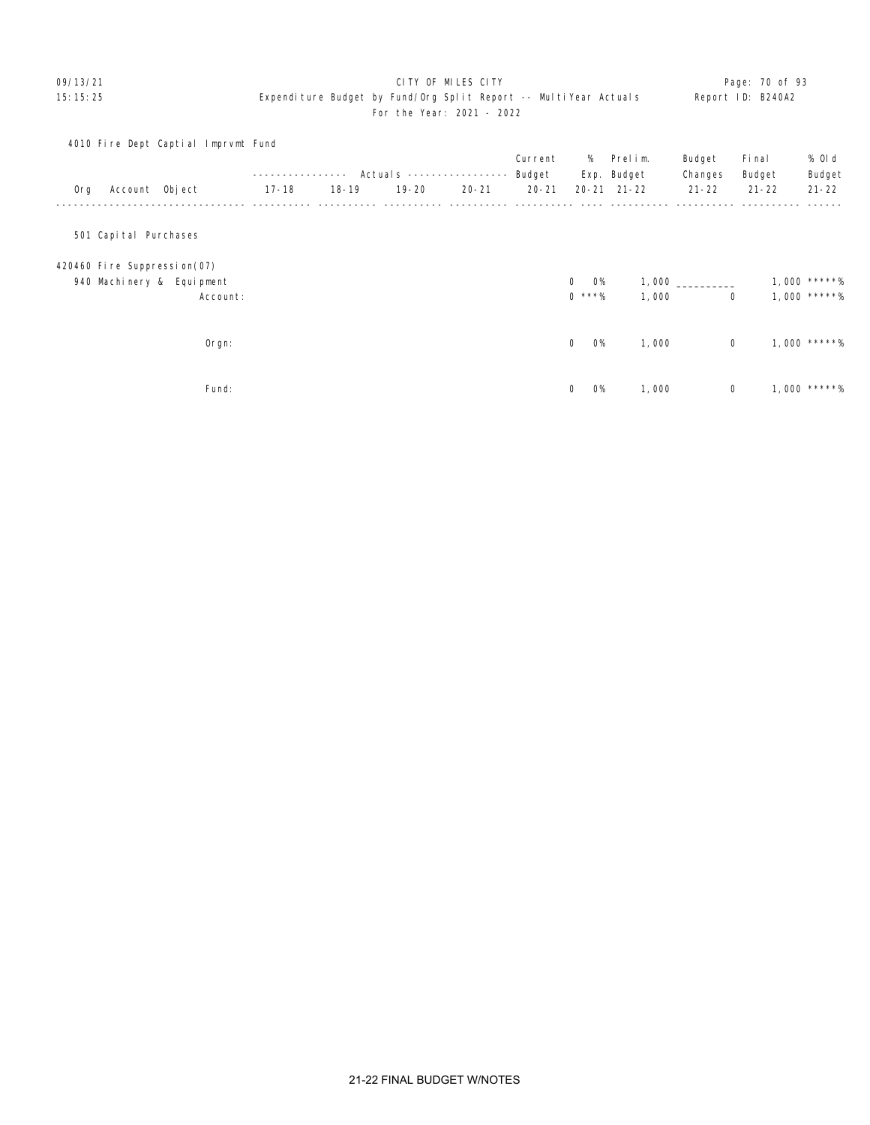### 09/13/21 Page: 70 of 93 15:15:25 Expenditure Budget by Fund/Org Split Report -- MultiYear Actuals Report ID: B240A2 For the Year: 2021 - 2022

|     |                             | 4010 Fire Dept Captial Imprvmt Fund |       |           |                          |           |           |                             |             |             |           |              |
|-----|-----------------------------|-------------------------------------|-------|-----------|--------------------------|-----------|-----------|-----------------------------|-------------|-------------|-----------|--------------|
|     |                             |                                     |       |           |                          |           | Current   | %                           | Prelim.     | Budget      | Fi nal    | % 0l d       |
|     |                             |                                     |       |           | Actual s --------------- |           | Budget    |                             | Exp. Budget | Changes     | Budget    | Budget       |
| 0rg | Account Object              |                                     | 17-18 | $18 - 19$ | $19 - 20$                | $20 - 21$ | $20 - 21$ |                             | 20-21 21-22 | $21 - 22$   | $21 - 22$ | $21 - 22$    |
|     |                             |                                     |       |           |                          |           |           |                             |             |             |           |              |
|     | 501 Capital Purchases       |                                     |       |           |                          |           |           |                             |             |             |           |              |
|     | 420460 Fire Suppression(07) |                                     |       |           |                          |           |           |                             |             |             |           |              |
|     |                             | 940 Machinery & Equipment           |       |           |                          |           |           | $\overline{0}$<br><b>O%</b> |             |             |           | 1,000 *****% |
|     |                             | Account:                            |       |           |                          |           |           | $0$ ***%                    | 1,000       | $\mathbf 0$ |           | 1,000 *****% |
|     |                             |                                     |       |           |                          |           |           |                             |             |             |           |              |
|     |                             | Orgn:                               |       |           |                          |           |           | <b>O%</b><br>$\mathbf 0$    | 1,000       | $\mathbf 0$ |           | 1,000 *****% |
|     |                             |                                     |       |           |                          |           |           |                             |             |             |           |              |
|     |                             | Fund:                               |       |           |                          |           |           | <b>O%</b><br>$\mathbf 0$    | 1,000       | 0           |           | 1,000 *****% |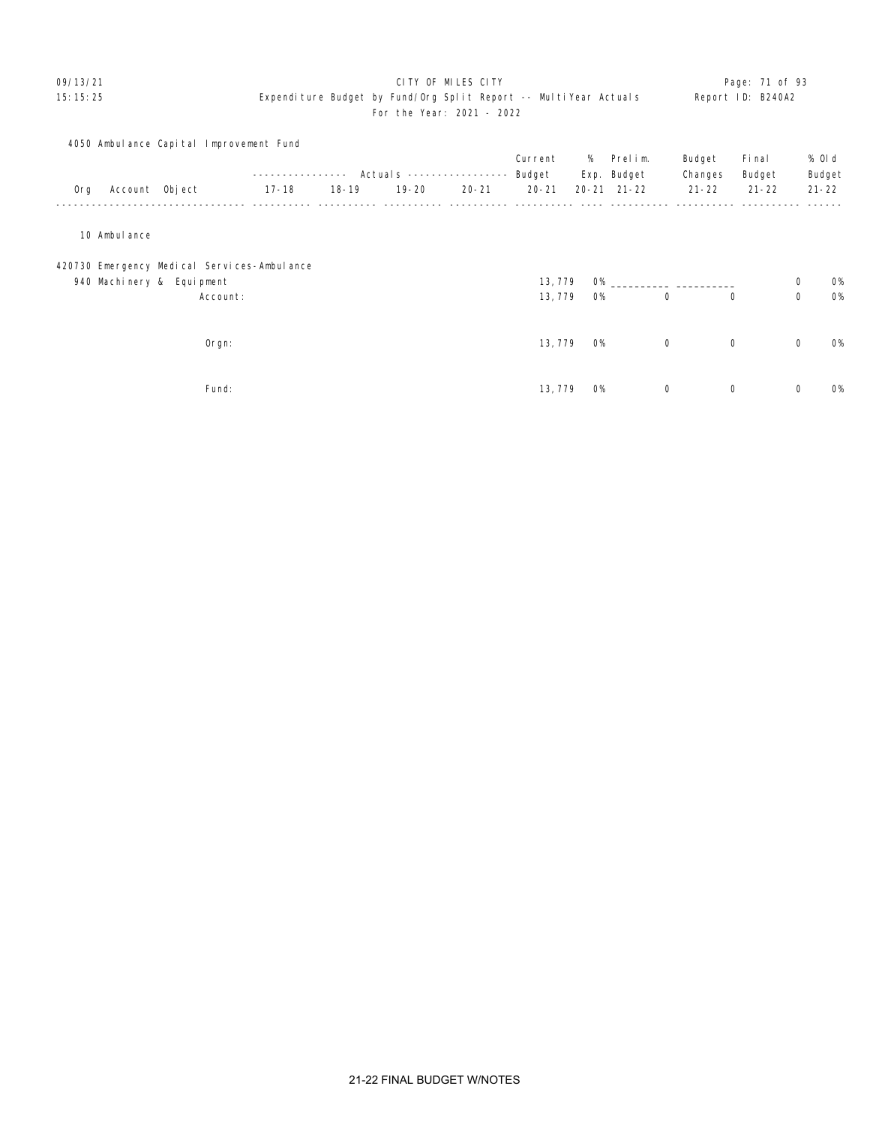### 09/13/21 Page: 71 of 93 15:15:25 Expenditure Budget by Fund/Org Split Report -- MultiYear Actuals Report ID: B240A2 For the Year: 2021 - 2022

# 4050 Ambulance Capital Improvement Fund Current % Prelim. Budget Final % Old ---------------- Actuals ----------------- Budget Exp. Budget Changes Budget Budget Org Account Object 17-18 18-19 19-20 20-21 20-21 20-21 21-22 21-22 21-22 21-22 -------------------------------- ---------- ---------- ---------- ---------- ---------- ---- ---------- ---------- ---------- ------ 10 Ambulance 420730 Emergency Medical Services-Ambulance 940 Machinery & Equipment 200 0% Account:  $\frac{3}{13,779}$   $\frac{3}{100}$   $\frac{3}{100}$   $\frac{3}{100}$   $\frac{3}{100}$   $\frac{3}{100}$   $\frac{3}{100}$   $\frac{3}{100}$   $\frac{3}{100}$   $\frac{3}{100}$   $\frac{3}{100}$   $\frac{3}{100}$   $\frac{3}{100}$   $\frac{3}{100}$   $\frac{3}{100}$   $\frac{3}{100}$   $\frac{3}{100}$   $\frac{3$  Orgn: 13,779 0% 0 0 0 0% Fund: 13,779 0% 0 0 0 0%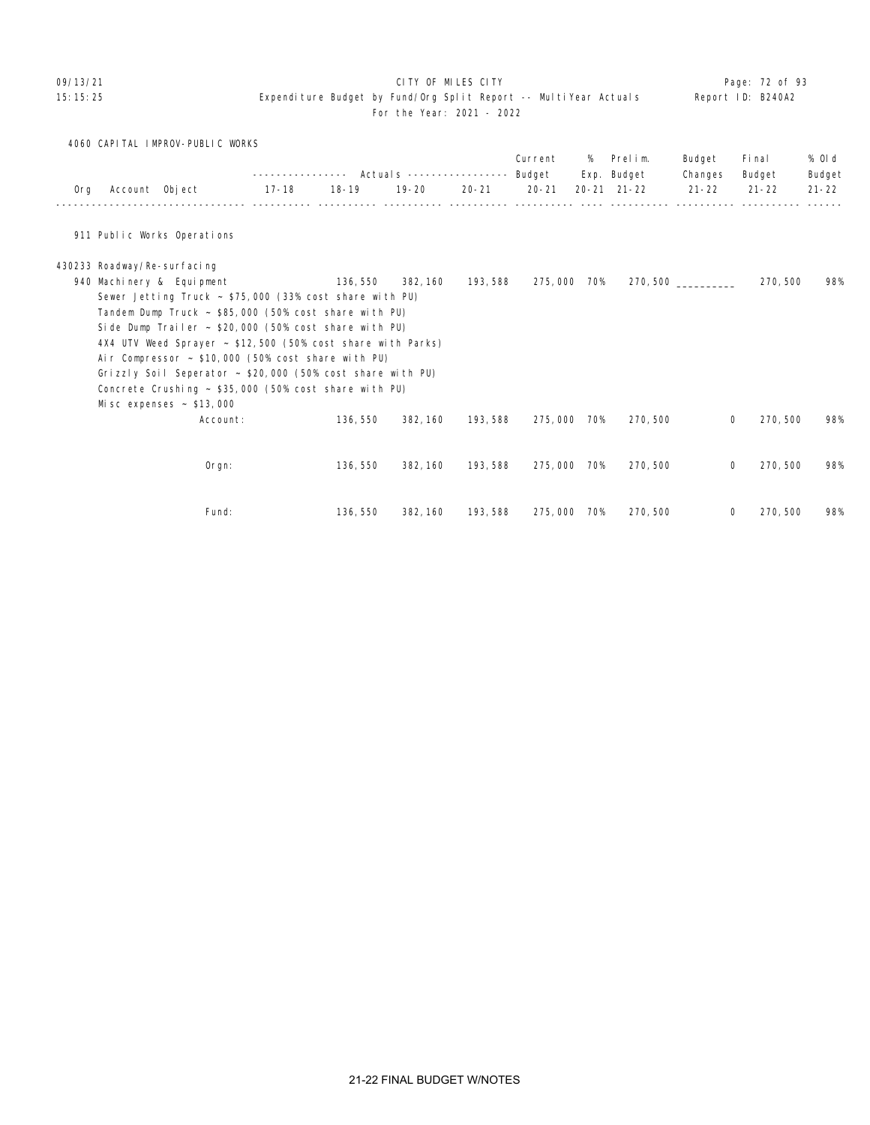### 09/13/21 Page: 72 of 93

### 15:15:25 Expenditure Budget by Fund/Org Split Report -- MultiYear Actuals Report ID: B240A2 For the Year: 2021 - 2022

4060 CAPITAL IMPROV-PUBLIC WORKS

|     |                             |                                                                 | ------------ |           | Actuals ----------------- |           | Current<br>Budget | %   | Prelim.<br>Exp. Budget | Budget<br>Changes | Fi nal<br>Budget | % 0l d<br>Budget |
|-----|-----------------------------|-----------------------------------------------------------------|--------------|-----------|---------------------------|-----------|-------------------|-----|------------------------|-------------------|------------------|------------------|
| 0rg | Account Object              |                                                                 | 17-18        | $18 - 19$ | $19 - 20$                 | $20 - 21$ | $20 - 21$         |     | $20 - 21$ $21 - 22$    | $21 - 22$         | $21 - 22$        | $21 - 22$        |
|     |                             |                                                                 |              |           |                           |           |                   |     |                        |                   |                  |                  |
|     |                             | 911 Public Works Operations                                     |              |           |                           |           |                   |     |                        |                   |                  |                  |
|     | 430233 Roadway/Re-surfacing |                                                                 |              |           |                           |           |                   |     |                        |                   |                  |                  |
|     |                             | 940 Machinery & Equipment                                       |              | 136, 550  | 382, 160                  | 193, 588  | 275,000 70%       |     |                        | 270,500           | 270, 500         | 98%              |
|     |                             | Sewer Jetting Truck $\sim$ \$75,000 (33% cost share with PU)    |              |           |                           |           |                   |     |                        |                   |                  |                  |
|     |                             | Tandem Dump Truck ~ \$85,000 (50% cost share with PU)           |              |           |                           |           |                   |     |                        |                   |                  |                  |
|     |                             | Side Dump Trailer $\sim$ \$20,000 (50% cost share with PU)      |              |           |                           |           |                   |     |                        |                   |                  |                  |
|     |                             | 4X4 UTV Weed Sprayer ~ \$12,500 (50% cost share with Parks)     |              |           |                           |           |                   |     |                        |                   |                  |                  |
|     |                             | Air Compressor $\sim$ \$10,000 (50% cost share with PU)         |              |           |                           |           |                   |     |                        |                   |                  |                  |
|     |                             | Grizzly Soil Seperator $\sim$ \$20,000 (50% cost share with PU) |              |           |                           |           |                   |     |                        |                   |                  |                  |
|     |                             | Concrete Crushing $\sim$ \$35,000 (50% cost share with PU)      |              |           |                           |           |                   |     |                        |                   |                  |                  |
|     |                             | Misc expenses $\sim$ \$13,000                                   |              |           |                           |           |                   |     |                        |                   |                  |                  |
|     |                             | Account:                                                        |              | 136, 550  | 382, 160                  | 193, 588  | 275,000           | 70% | 270, 500               |                   | 270, 500<br>0    | 98%              |
|     |                             |                                                                 |              |           |                           |           |                   |     |                        |                   |                  |                  |
|     |                             |                                                                 |              |           |                           |           |                   |     |                        |                   |                  |                  |
|     |                             | Orgn:                                                           |              | 136, 550  | 382, 160                  | 193, 588  | 275,000 70%       |     | 270, 500               | 0                 | 270, 500         | 98%              |
|     |                             |                                                                 |              |           |                           |           |                   |     |                        |                   |                  |                  |
|     |                             | Fund:                                                           |              | 136, 550  | 382, 160                  | 193, 588  | 275,000           | 70% | 270, 500               |                   | 270, 500<br>0    | 98%              |
|     |                             |                                                                 |              |           |                           |           |                   |     |                        |                   |                  |                  |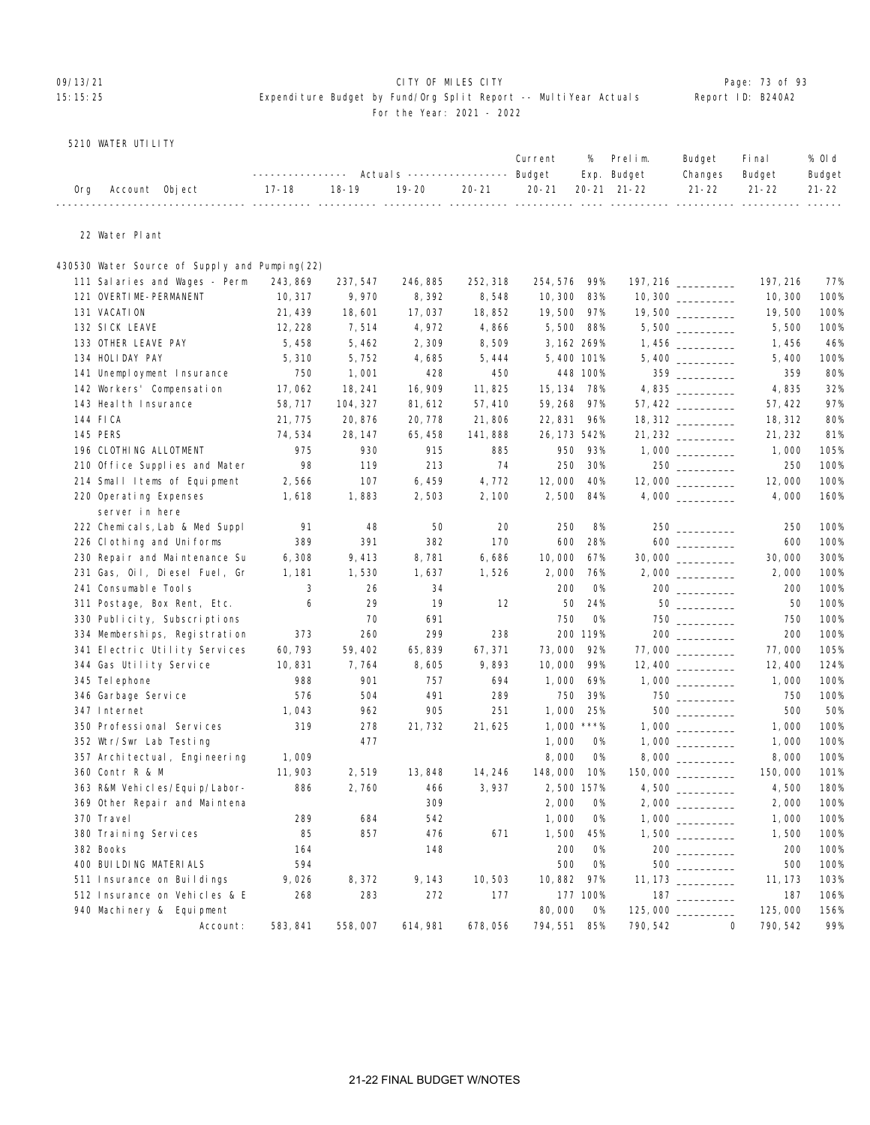# OP/13/21 **CITY OF MILES CITY CITY CITY CITY Page: 73 of 93**

### 15:15:25 Expenditure Budget by Fund/Org Split Report -- MultiYear Actuals Report ID: B240A2 For the Year: 2021 - 2022

5210 WATER UTILITY

|                    | ---------------    Actuals -----------------    Budget    Exp.    Budget |         |  | Current % Prelim. |                                                             | Budget<br>Changes Budget | <b>Final</b> | % Old<br>Budget |
|--------------------|--------------------------------------------------------------------------|---------|--|-------------------|-------------------------------------------------------------|--------------------------|--------------|-----------------|
| Org Account Object | 17-18                                                                    | $18-19$ |  |                   | 19-20   20-21   20-21  20-21 21-22    21-22   21-22   21-22 |                          |              |                 |

22 Water Plant

### 430530 Water Source of Supply and Pumping(22)

| 111 Salaries and Wages - Perm    | 243, 869 | 237, 547 | 246, 885 | 252, 318 | 254, 576     | 99%       |                    |                 | 197, 216 | 77%  |
|----------------------------------|----------|----------|----------|----------|--------------|-----------|--------------------|-----------------|----------|------|
| 121 OVERTIME-PERMANENT           | 10, 317  | 9,970    | 8,392    | 8,548    | 10, 300      | 83%       | 10,300             |                 | 10, 300  | 100% |
| 131 VACATION                     | 21, 439  | 18,601   | 17,037   | 18,852   | 19,500       | 97%       | 19,500 _________   |                 | 19,500   | 100% |
| 132 SICK LEAVE                   | 12, 228  | 7,514    | 4,972    | 4,866    | 5,500        | 88%       |                    |                 | 5,500    | 100% |
| 133 OTHER LEAVE PAY              | 5,458    | 5,462    | 2,309    | 8,509    | 3, 162 269%  |           |                    |                 | 1,456    | 46%  |
| 134 HOLIDAY PAY                  | 5,310    | 5,752    | 4,685    | 5,444    | 5,400 101%   |           |                    |                 | 5,400    | 100% |
| 141 Unemployment Insurance       | 750      | 1,001    | 428      | 450      |              | 448 100%  |                    | 359             | 359      | 80%  |
| 142 Workers' Compensation        | 17,062   | 18, 241  | 16, 909  | 11,825   | 15, 134      | 78%       | 4,835              |                 | 4,835    | 32%  |
| 143 Heal th Insurance            | 58,717   | 104, 327 | 81, 612  | 57,410   | 59, 268      | 97%       |                    |                 | 57, 422  | 97%  |
| 144 FICA                         | 21,775   | 20,876   | 20,778   | 21,806   | 22, 831      | 96%       |                    |                 | 18, 312  | 80%  |
| 145 PERS                         | 74,534   | 28, 147  | 65, 458  | 141,888  | 26, 173 542% |           | 21, 232 _________  |                 | 21, 232  | 81%  |
| 196 CLOTHING ALLOTMENT           | 975      | 930      | 915      | 885      | 950          | 93%       |                    |                 | 1,000    | 105% |
| 210 Office Supplies and Mater    | 98       | 119      | 213      | 74       | 250          | 30%       |                    | $250$ _________ | 250      | 100% |
| 214 Small Items of Equipment     | 2,566    | 107      | 6,459    | 4,772    | 12,000       | 40%       |                    |                 | 12,000   | 100% |
| 220 Operating Expenses           | 1,618    | 1,883    | 2,503    | 2,100    | 2,500        | 84%       |                    |                 | 4,000    | 160% |
| server in here                   |          |          |          |          |              |           |                    |                 |          |      |
| 222 Chemicals, Lab & Med Suppl   | 91       | 48       | 50       | 20       | 250          | 8%        |                    | 250             | 250      | 100% |
| 226 Clothing and Uniforms        | 389      | 391      | 382      | 170      | 600          | 28%       |                    |                 | 600      | 100% |
| 230 Repair and Maintenance Su    | 6,308    | 9,413    | 8,781    | 6,686    | 10,000       | 67%       |                    |                 | 30,000   | 300% |
| 231 Gas, Oil, Diesel Fuel, Gr    | 1, 181   | 1,530    | 1,637    | 1,526    | 2,000        | 76%       |                    |                 | 2,000    | 100% |
| 241 Consumable Tools             | 3        | 26       | 34       |          | 200          | <b>O%</b> |                    | 200             | 200      | 100% |
| 311 Postage, Box Rent, Etc.      | 6        | 29       | 19       | 12       | 50           | 24%       |                    |                 | 50       | 100% |
| 330 Publicity, Subscriptions     |          | 70       | 691      |          | 750          | <b>O%</b> |                    | $750$           | 750      | 100% |
| 334 Memberships, Registration    | 373      | 260      | 299      | 238      |              | 200 119%  |                    |                 | 200      | 100% |
| 341 Electric Utility Services    | 60,793   | 59, 402  | 65, 839  | 67, 371  | 73,000       | 92%       |                    |                 | 77,000   | 105% |
| 344 Gas Utility Service          | 10,831   | 7,764    | 8,605    | 9,893    | 10,000       | 99%       |                    |                 | 12, 400  | 124% |
| 345 Tel ephone                   | 988      | 901      | 757      | 694      | 1,000        | 69%       |                    |                 | 1,000    | 100% |
| 346 Garbage Service              | 576      | 504      | 491      | 289      | 750          | 39%       |                    |                 | 750      | 100% |
| 347 Internet                     | 1,043    | 962      | 905      | 251      | 1,000        | 25%       |                    | 500 000         | 500      | 50%  |
| 350 Professional Services        | 319      | 278      | 21,732   | 21,625   | 1,000        | $***\%$   |                    |                 | 1,000    | 100% |
| 352 Wtr/Swr Lab Testing          |          | 477      |          |          | 1,000        | 0%        |                    |                 | 1,000    | 100% |
| 357 Archi tectual, Engi neering  | 1,009    |          |          |          | 8,000        | <b>O%</b> |                    |                 | 8,000    | 100% |
| 360 Contr R & M                  | 11,903   | 2,519    | 13,848   | 14, 246  | 148,000      | 10%       | 150,000 __________ |                 | 150,000  | 101% |
| 363 R&M Vehi cl es/Equi p/Labor- | 886      | 2,760    | 466      | 3,937    | 2,500 157%   |           |                    |                 | 4,500    | 180% |
| 369 Other Repair and Maintena    |          |          | 309      |          | 2,000        | <b>0%</b> |                    |                 | 2,000    | 100% |
| 370 Travel                       | 289      | 684      | 542      |          | 1,000        | <b>O%</b> |                    |                 | 1,000    | 100% |
| 380 Training Services            | 85       | 857      | 476      | 671      | 1,500        | 45%       |                    |                 | 1,500    | 100% |
| 382 Books                        | 164      |          | 148      |          | 200          | <b>O%</b> |                    |                 | 200      | 100% |
| 400 BUI LDI NG MATERI ALS        | 594      |          |          |          | 500          | <b>O%</b> |                    |                 | 500      | 100% |
| 511 Insurance on Buildings       | 9,026    | 8,372    | 9, 143   | 10,503   | 10,882       | 97%       |                    |                 | 11, 173  | 103% |
| 512 Insurance on Vehicles & E    | 268      | 283      | 272      | 177      |              | 177 100%  |                    | 187             | 187      | 106% |
| 940 Machinery & Equipment        |          |          |          |          | 80,000       | <b>O%</b> |                    |                 | 125,000  | 156% |
| Account:                         | 583, 841 | 558,007  | 614, 981 | 678,056  | 794, 551     | 85%       | 790, 542           | $\Omega$        | 790, 542 | 99%  |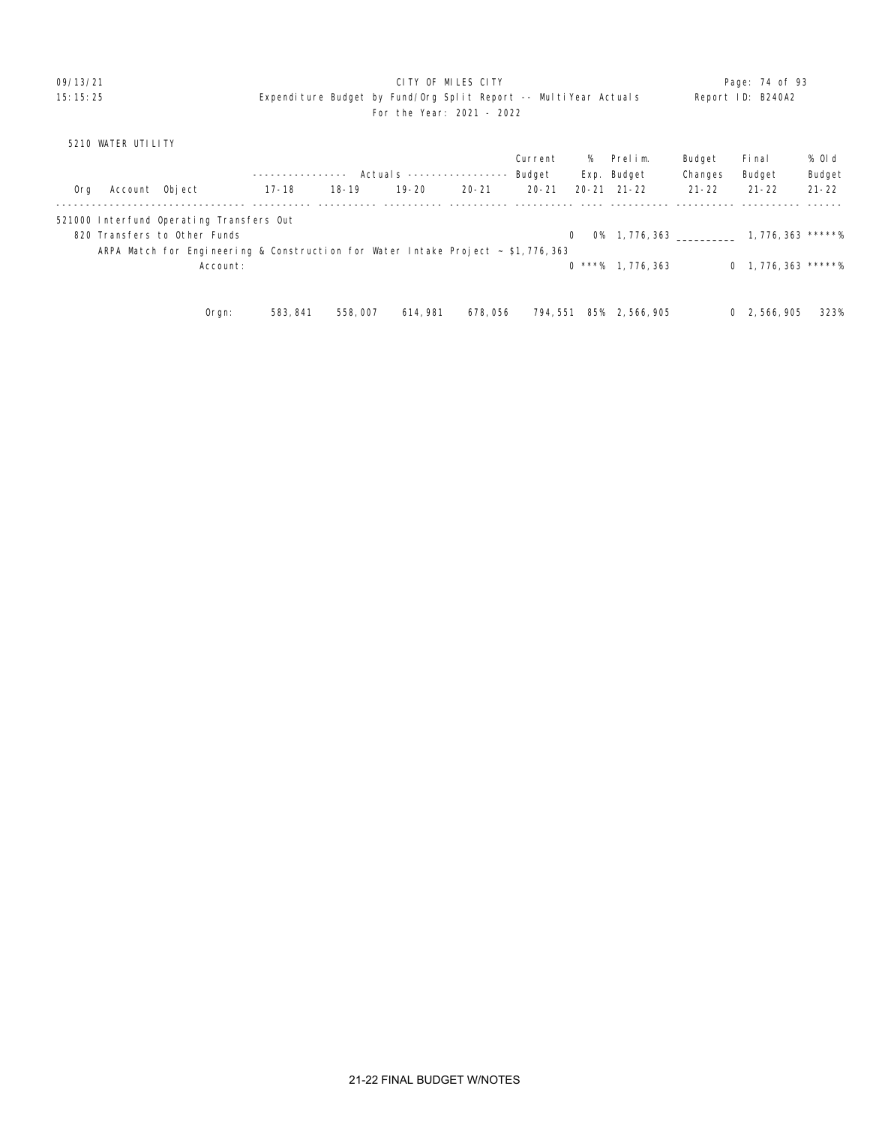### 09/13/21 **CITY OF MILES CITY CITY CONSUMILES CITY Page: 74 of 93** 15:15:25 Expenditure Budget by Fund/Org Split Report -- MultiYear Actuals Report ID: B240A2 For the Year: 2021 - 2022

## 5210 WATER UTILITY

|     |                |                                                                                       |           |           |                           |           | Current   | %        | Prelim.                              | Budget    | Fi nal                 | % Old     |
|-----|----------------|---------------------------------------------------------------------------------------|-----------|-----------|---------------------------|-----------|-----------|----------|--------------------------------------|-----------|------------------------|-----------|
|     |                |                                                                                       |           |           | Actuals ----------------- |           | Budget    |          | Exp. Budget                          | Changes   | Budget                 | Budget    |
| 0rg | Account Object |                                                                                       | $17 - 18$ | $18 - 19$ | $19 - 20$                 | $20 - 21$ | $20 - 21$ |          | $20 - 21$ $21 - 22$                  | $21 - 22$ | $21 - 22$              | $21 - 22$ |
|     |                | 521000 Interfund Operating Transfers Out                                              |           |           |                           |           |           |          |                                      |           |                        |           |
|     |                | 820 Transfers to Other Funds                                                          |           |           |                           |           |           | $\Omega$ | $0\%$ 1, 776, 363 1, 776, 363 *****% |           |                        |           |
|     |                | ARPA Match for Engineering & Construction for Water Intake Project $\sim$ \$1,776,363 |           |           |                           |           |           |          |                                      |           |                        |           |
|     |                | Account:                                                                              |           |           |                           |           |           |          | $0$ ***% 1, 776, 363                 |           | $0$ 1, 776, 363 *****% |           |
|     |                |                                                                                       |           |           |                           |           |           |          |                                      |           |                        |           |
|     |                | Oran:                                                                                 | 583, 841  | 558,007   | 614, 981                  | 678,056   | 794, 551  | 85%      | 2, 566, 905                          |           | 0, 2.566, 905          | 323%      |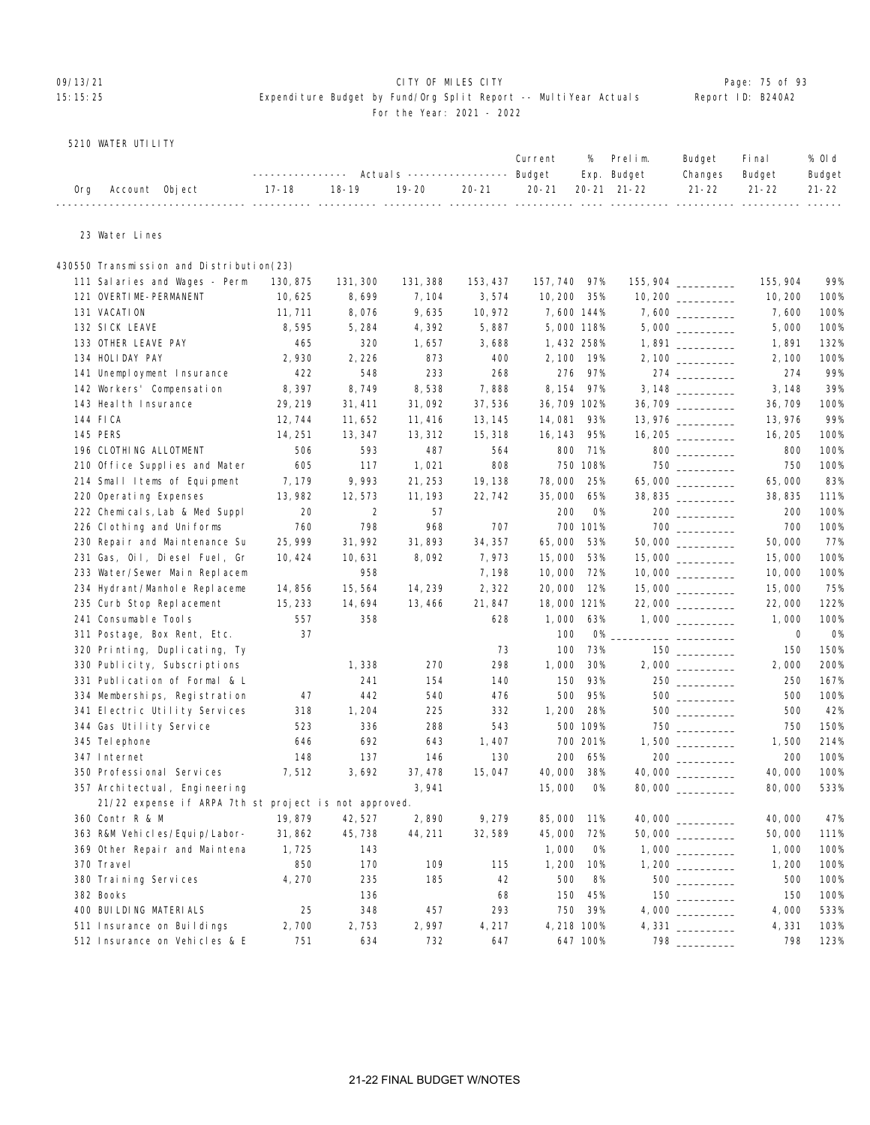### 09/13/21 Page: 75 of 93 15:15:25 Expenditure Budget by Fund/Org Split Report -- MultiYear Actuals Report ID: B240A2 For the Year: 2021 - 2022

### 5210 WATER UTILITY

|                    |                                                                              |  |  | Current % Prelim. Budget Final |  | % Old  |
|--------------------|------------------------------------------------------------------------------|--|--|--------------------------------|--|--------|
|                    | --------------- Actuals ---------------- Budget Exp. Budget Changes Budget   |  |  |                                |  | Budget |
| Org Account Object | 17-18   18-19   19-20   20-21   20-21  20-21  21-22    21-22   21-22   21-22 |  |  |                                |  |        |
|                    |                                                                              |  |  |                                |  |        |

23 Water Lines

## 430550 Transmission and Distribution(23) 111 Salaries and Wages - Perm 130,875 131,300 131,388 153,437 157,740 97% 155,904 \_\_\_\_\_\_\_\_\_\_ 155,904 99% 121 OVERTIME-PERMANENT 10,625 8,699 7,104 3,574 10,200 35% 10,200 \_\_\_\_\_\_\_\_\_\_ 10,200 100% 131 VACATION 11,711 8,076 9,635 10,972 7,600 144% 7,600 \_\_\_\_\_\_\_\_\_ 7,600 100% 132 SICK LEAVE 8,595 5,284 4,392 5,887 5,000 118% 5,000 \_\_\_\_\_\_\_\_\_ 5,000 100% 133 OTHER LEAVE PAY 465 320 1,657 3,688 1,432 258% 1,891 \_\_\_\_\_\_\_\_\_\_ 1,891 132% 134 HOLIDAY PAY 2,930 2,226 873 400 2,100 19% 2,100 \_\_\_\_\_\_\_\_\_\_ 2,100 100% 141 Unemployment Insurance 422 548 233 268 276 97% 274 \_\_\_\_\_\_\_\_\_\_ 274 99% 142 Workers' Compensation 8,397 8,749 8,538 7,888 8,154 97% 3,148 \_\_\_\_\_\_\_\_\_\_ 3,148 39% 143 Health Insurance 29,219 31,411 31,092 37,536 36,709 102% 36,709 \_\_\_\_\_\_\_\_\_\_ 36,709 100% 144 FICA 12,744 11,652 11,416 13,145 14,081 93% 13,976 \_\_\_\_\_\_\_\_\_\_ 13,976 99% 145 PERS 14,251 13,347 13,312 15,318 16,143 95% 16,205 \_\_\_\_\_\_\_\_\_\_ 16,205 100% 196 CLOTHING ALLOTMENT 506 593 487 564 800 71% 800 \_\_\_\_\_\_\_\_\_\_ 800 100% 210 Office Supplies and Mater  $605$  117 1,021 808 750 108% 750 \_\_\_\_\_\_\_\_ 750 100% 214 Small Items of Equipment 7,179 9,993 21,253 19,138 78,000 25% 65,000 \_\_\_\_\_\_\_\_ 65,000 83% 220 Operating Expenses 13,982 12,573 11,193 22,742 35,000 65% 38,835 \_\_\_\_\_\_\_\_\_\_ 38,835 111% 222 Chemicals,Lab & Med Suppl 20 2 57 200 0% 200 \_\_\_\_\_\_\_\_\_\_ 200 100% 226 Clothing and Uniforms 760 798 968 707 700 101% 700 \_\_\_\_\_\_\_\_ 700 100% 230 Repair and Maintenance Su 25,999 31,992 31,893 34,357 65,000 53% 50,000 \_\_\_\_\_\_\_\_\_\_ 50,000 77% 231 Gas, Oil, Diesel Fuel, Gr 10,424 10,631 8,092 7,973 15,000 53% 15,000 \_\_\_\_\_\_\_\_\_\_ 15,000 100% 233 Water/Sewer Main Replacem 958 7,198 10,000 72% 10,000 \_\_\_\_\_\_\_\_\_\_ 10,000 100% 234 Hydrant/Manhole Replaceme 14,856 15,564 14,239 2,322 20,000 12% 15,000 \_\_\_\_\_\_\_\_\_\_ 15,000 75% 235 Curb Stop Replacement 15,233 14,694 13,466 21,847 18,000 121% 22,000 \_\_\_\_\_\_\_\_\_\_ 22,000 122% 241 Consumable Tools 557 358 628 1,000 63% 1,000 \_\_\_\_\_\_\_\_\_\_ 1,000 100% 311 Postage, Box Rent, Etc. 37 100 0% \_\_\_\_\_\_\_\_\_\_ \_\_\_\_\_\_\_\_\_\_ 0 0% 320 Printing, Duplicating, Ty 73 100 73% 150 \_\_\_\_\_\_\_\_\_\_ 150 150% 330 Publicity, Subscriptions 1,338 270 298 1,000 30% 2,000 2000 2,000 200% 331 Publication of Formal & L 241 154 140 150 93% 250 \_\_\_\_\_\_\_\_\_\_ 250 167% 334 Memberships, Registration  $47$   $442$   $540$   $476$   $500$   $95\%$   $500$   $500$   $500$   $500$   $100\%$  341 Electric Utility Services 318 1,204 225 332 1,200 28% 500 \_\_\_\_\_\_\_\_\_\_ 500 42% 344 Gas Utility Service  $\begin{array}{cccc} 523 & 336 & 288 & 543 & 500 & 109\% & 750 & \text{________} \end{array}$  345 Telephone 646 692 643 1,407 700 201% 1,500 \_\_\_\_\_\_\_\_\_\_ 1,500 214% 347 Internet 148 137 146 130 200 65% 200 \_\_\_\_\_\_\_\_\_\_ 200 100% 350 Professional Services 7,512 3,692 37,478 15,047 40,000 38% 40,000 \_\_\_\_\_\_\_\_\_\_ 40,000 100% 357 Architectual, Engineering 3,941 15,000 0% 80,000 \_\_\_\_\_\_\_\_\_\_ 80,000 533% 21/22 expense if ARPA 7th st project is not approved. 360 Contr R & M 19,879 42,527 2,890 9,279 85,000 11% 40,000 \_\_\_\_\_\_\_\_\_ 40,000 47% 363 R&M Vehicles/Equip/Labor- 31,862 45,738 44,211 32,589 45,000 72% 50,000 \_\_\_\_\_\_\_\_\_\_ 50,000 111% 369 Other Repair and Maintena 1,725 143 1,000 1,000 0% 1,000 100% 1,000 100% 370 Travel 1, 200 109 109 115 1, 200 10% 1, 200 100% 1, 200 100% 380 Training Services **4,270** 235 185 42 500 8% 500 \_\_\_\_\_\_\_\_\_ 500 100% 382 Books 136 68 150 45% 150 \_\_\_\_\_\_\_\_\_\_ 150 100%

400 BUILDING MATERIALS 25 25 348 457 293 750 39% 4,000 \_\_\_\_\_\_\_\_\_ 4,000 533% 511 Insurance on Buildings 2,700 2,753 2,997 4,217 4,218 100% 4,331 \_\_\_\_\_\_\_\_\_\_ 4,331 103% 512 Insurance on Vehicles & E 751 634 732 647 647 100% 798 \_\_\_\_\_\_\_\_\_\_ 798 123%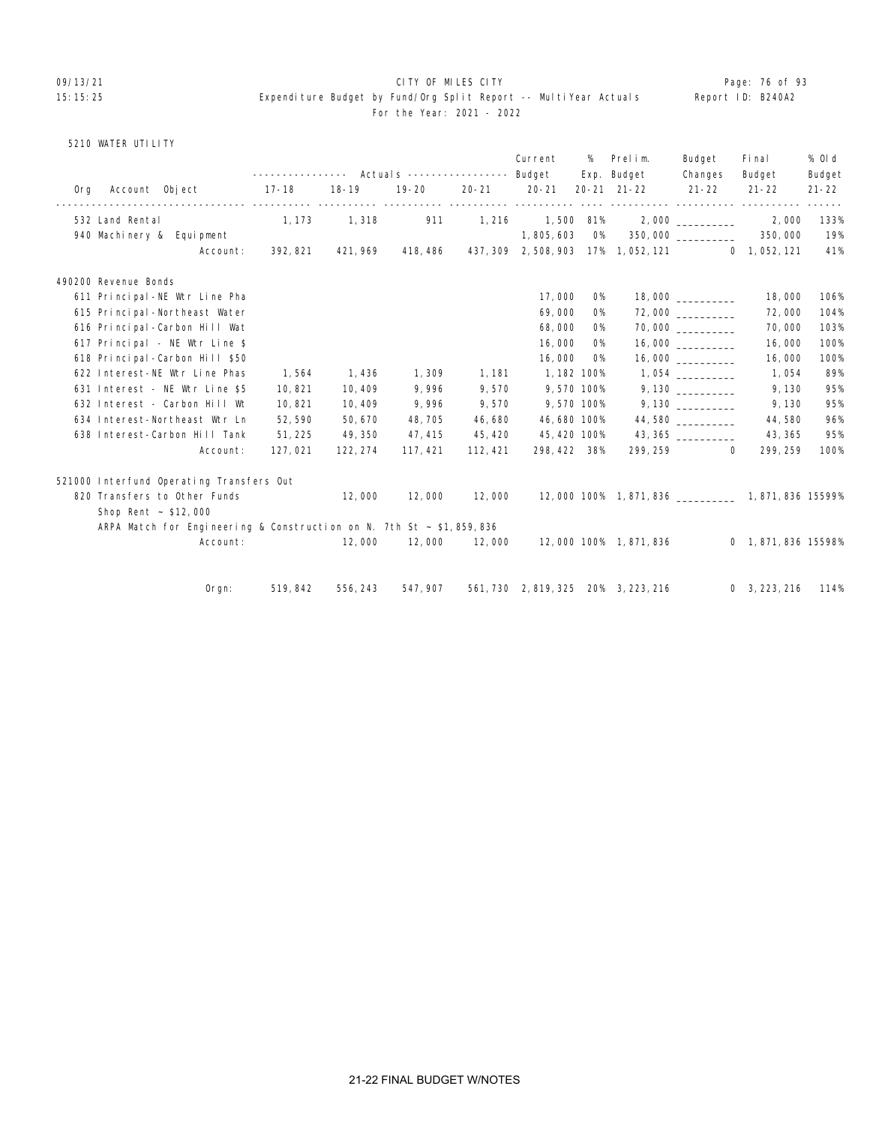### 09/13/21 **CITY OF MILES CITY CITY CONSUMILES CITY Page: 76 of 93** 15:15:25 Expenditure Budget by Fund/Org Split Report -- MultiYear Actuals Report ID: B240A2 For the Year: 2021 - 2022

### 5210 WATER UTILITY

|     |                                                                           |                  |           |                                  |           | Current      | %         | Prelim.                                | Budget                               | Fi nal             | % 0l d    |
|-----|---------------------------------------------------------------------------|------------------|-----------|----------------------------------|-----------|--------------|-----------|----------------------------------------|--------------------------------------|--------------------|-----------|
|     |                                                                           | ---------------- |           | Actuals ----------------- Budget |           |              |           | Exp. Budget                            | Changes                              | Budget             | Budget    |
| 0rg | Account Object                                                            | $17 - 18$        | $18 - 19$ | $19 - 20$                        | $20 - 21$ | $20 - 21$    |           | $20 - 21$ $21 - 22$                    | $21 - 22$<br><u>----------- ----</u> | $21 - 22$          | $21 - 22$ |
|     | 532 Land Rental                                                           | 1, 173           | 1,318     | 911                              | 1, 216    | 1,500 81%    |           |                                        | 2,000                                | 2,000              | 133%      |
|     | 940 Machinery & Equipment                                                 |                  |           |                                  |           | 1,805,603    | O%        |                                        | 350,000                              | 350,000            | 19%       |
|     | Account:                                                                  | 392, 821         | 421, 969  | 418, 486                         |           |              |           | 437, 309 2, 508, 903 17% 1, 052, 121   |                                      | $0$ 1, 052, 121    | 41%       |
|     | 490200 Revenue Bonds                                                      |                  |           |                                  |           |              |           |                                        |                                      |                    |           |
|     | 611 Principal-NE Wtr Line Pha                                             |                  |           |                                  |           | 17,000       | 0%        |                                        |                                      | 18,000             | 106%      |
|     | 615 Principal-Northeast Water                                             |                  |           |                                  |           | 69,000       | 0%        |                                        |                                      | 72,000             | 104%      |
|     | 616 Principal-Carbon Hill Wat                                             |                  |           |                                  |           | 68,000       | <b>O%</b> |                                        | 70,000                               | 70,000             | 103%      |
|     | 617 Principal - NE Wtr Line \$                                            |                  |           |                                  |           | 16,000       | <b>O%</b> |                                        |                                      | 16,000             | 100%      |
|     | 618 Principal-Carbon Hill \$50                                            |                  |           |                                  |           | 16,000       | <b>O%</b> |                                        |                                      | 16,000             | 100%      |
|     | 622 Interest-NE Wtr Line Phas                                             | 1,564            | 1,436     | 1,309                            | 1, 181    | 1, 182 100%  |           |                                        | 1,054                                | 1,054              | 89%       |
|     | 631 Interest - NE Wtr Line \$5                                            | 10,821           | 10,409    | 9,996                            | 9,570     | 9,570 100%   |           |                                        | 9,130                                | 9,130              | 95%       |
|     | 632 Interest - Carbon Hill Wt                                             | 10,821           | 10,409    | 9,996                            | 9,570     | 9,570 100%   |           |                                        | 9,130                                | 9,130              | 95%       |
|     | 634 Interest-Northeast Wtr Ln                                             | 52,590           | 50,670    | 48, 705                          | 46,680    | 46,680 100%  |           |                                        | 44,580                               | 44,580             | 96%       |
|     | 638 Interest-Carbon Hill Tank                                             | 51, 225          | 49,350    | 47, 415                          | 45, 420   | 45, 420 100% |           |                                        | 43, 365                              | 43, 365            | 95%       |
|     | Account:                                                                  | 127,021          | 122, 274  | 117, 421                         | 112, 421  | 298, 422 38% |           | 299, 259                               | $\mathbf 0$                          | 299, 259           | 100%      |
|     | 521000 Interfund Operating Transfers Out                                  |                  |           |                                  |           |              |           |                                        |                                      |                    |           |
|     | 820 Transfers to Other Funds                                              |                  | 12,000    | 12,000                           | 12,000    |              |           | 12,000 100% 1,871,836 1,871,836 15599% |                                      |                    |           |
|     | Shop Rent $\sim$ \$12,000                                                 |                  |           |                                  |           |              |           |                                        |                                      |                    |           |
|     | ARPA Match for Engineering & Construction on N. 7th St $\sim$ \$1,859,836 |                  |           |                                  |           |              |           |                                        |                                      |                    |           |
|     | Account:                                                                  |                  | 12,000    | 12,000                           | 12,000    |              |           | 12,000 100% 1,871,836                  |                                      | 0 1,871,836 15598% |           |
|     |                                                                           |                  |           |                                  |           |              |           |                                        |                                      |                    |           |
|     | $O$ rgn:                                                                  | 519, 842         | 556, 243  | 547, 907                         |           |              |           | 561, 730 2, 819, 325 20% 3, 223, 216   |                                      | 0, 3, 223, 216     | 114%      |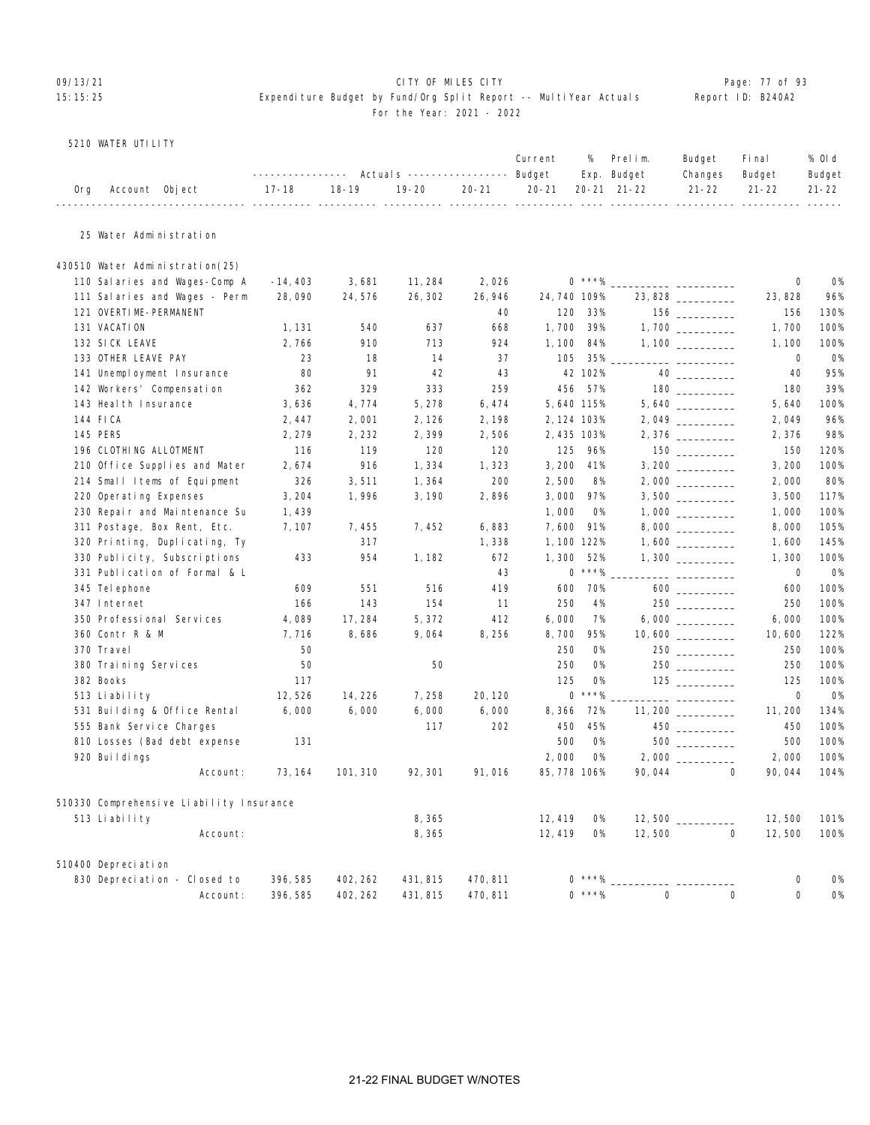### O9/13/21 **CITY OF MILES CITY CITY CITY CITY Page: 77 of 93** 15:15:25 Expenditure Budget by Fund/Org Split Report -- MultiYear Actuals Report ID: B240A2 For the Year: 2021 - 2022

### 5210 WATER UTILITY

|                    | ---------------    Actuals ----------------    Budget    Exp.    Budget     |  | Current % Prelim. |  | Budget Final<br>Changes Budget | % Old<br>Budget |
|--------------------|-----------------------------------------------------------------------------|--|-------------------|--|--------------------------------|-----------------|
| Org Account Object | 17-18   18-19   19-20   20-21   20-21  20-21 21-22    21-22   21-22   21-22 |  |                   |  |                                |                 |

## 25 Water Administration

| 430510 Water Administration(25)          |            |          |          |          |              |              |          |                    |             |           |
|------------------------------------------|------------|----------|----------|----------|--------------|--------------|----------|--------------------|-------------|-----------|
| 110 Salaries and Wages-Comp A            | $-14, 403$ | 3,681    | 11, 284  | 2,026    |              | $0***%$      |          |                    | $\mathbf 0$ | 0%        |
| 111 Salaries and Wages - Perm            | 28,090     | 24,576   | 26, 302  | 26, 946  | 24, 740 109% |              |          | 23,828             | 23, 828     | 96%       |
| 121 OVERTIME-PERMANENT                   |            |          |          | 40       | 120          | 33%          |          |                    | 156         | 130%      |
| 131 VACATION                             | 1, 131     | 540      | 637      | 668      | 1,700        | 39%          |          |                    | 1,700       | 100%      |
| 132 SICK LEAVE                           | 2,766      | 910      | 713      | 924      | 1,100        | 84%          |          |                    | 1,100       | 100%      |
| 133 OTHER LEAVE PAY                      | 23         | 18       | 14       | 37       | 105          | 35%          |          |                    | 0           | 0%        |
| 141 Unemployment Insurance               | 80         | 91       | 42       | 43       |              | 42 102%      |          |                    | 40          | 95%       |
| 142 Workers' Compensation                | 362        | 329      | 333      | 259      | 456          | 57%          |          |                    | 180         | 39%       |
| 143 Heal th Insurance                    | 3,636      | 4,774    | 5, 278   | 6,474    | 5,640 115%   |              |          |                    | 5,640       | 100%      |
| 144 FICA                                 | 2,447      | 2,001    | 2, 126   | 2,198    | 2, 124 103%  |              |          | 2,049              | 2,049       | 96%       |
| <b>145 PERS</b>                          | 2, 279     | 2,232    | 2,399    | 2,506    | 2,435 103%   |              |          | 2,376              | 2,376       | 98%       |
| 196 CLOTHING ALLOTMENT                   | 116        | 119      | 120      | 120      | 125          | 96%          |          |                    | 150         | 120%      |
| 210 Office Supplies and Mater            | 2,674      | 916      | 1,334    | 1,323    | 3,200        | 41%          |          |                    | 3,200       | 100%      |
| 214 Small Items of Equipment             | 326        | 3,511    | 1,364    | 200      | 2,500        | 8%           |          |                    | 2,000       | 80%       |
| 220 Operating Expenses                   | 3, 204     | 1,996    | 3, 190   | 2,896    | 3,000        | 97%          |          |                    | 3,500       | 117%      |
| 230 Repair and Maintenance Su            | 1,439      |          |          |          | 1,000        | <b>O%</b>    |          |                    | 1,000       | 100%      |
| 311 Postage, Box Rent, Etc.              | 7, 107     | 7,455    | 7,452    | 6,883    | 7,600        | 91%          |          |                    | 8,000       | 105%      |
| 320 Printing, Duplicating, Ty            |            | 317      |          | 1,338    | 1, 100 122%  |              |          |                    | 1,600       | 145%      |
| 330 Publicity, Subscriptions             | 433        | 954      | 1, 182   | 672      | 1,300        | 52%          |          |                    | 1,300       | 100%      |
| 331 Publication of Formal & L            |            |          |          | 43       |              | $0$ ***%     |          | ____ _____________ | $\mathbf 0$ | <b>0%</b> |
| 345 Tel ephone                           | 609        | 551      | 516      | 419      | 600          | 70%          |          |                    | 600         | 100%      |
| 347 Internet                             | 166        | 143      | 154      | 11       | 250          | 4%           |          | 250                | 250         | 100%      |
| 350 Professional Services                | 4,089      | 17,284   | 5, 372   | 412      | 6,000        | 7%           |          | 6,000              | 6,000       | 100%      |
| 360 Contr R & M                          | 7,716      | 8,686    | 9,064    | 8,256    | 8,700        | 95%          |          | 10,600             | 10,600      | 122%      |
| 370 Travel                               | 50         |          |          |          | 250          | <b>O%</b>    |          | $250$ ________     | 250         | 100%      |
| 380 Training Services                    | 50         |          | 50       |          | 250          | <b>O%</b>    |          |                    | 250         | 100%      |
| 382 Books                                | 117        |          |          |          | 125          | <b>O%</b>    |          |                    | 125         | 100%      |
| 513 Liability                            | 12,526     | 14, 226  | 7,258    | 20, 120  |              | $0$ ***%     |          |                    | $\mathbf 0$ | <b>0%</b> |
| 531 Building & Office Rental             | 6.000      | 6,000    | 6,000    | 6,000    | 8,366        | 72%          |          | 11, 200            | 11, 200     | 134%      |
| 555 Bank Service Charges                 |            |          | 117      | 202      | 450          | 45%          |          | $450$ __________   | 450         | 100%      |
| 810 Losses (Bad debt expense             | 131        |          |          |          | 500          | <b>O%</b>    |          | 500                | 500         | 100%      |
| 920 Buildings                            |            |          |          |          | 2,000        | <b>O%</b>    |          |                    | 2,000       | 100%      |
| Account:                                 | 73, 164    | 101, 310 | 92, 301  | 91,016   | 85, 778 106% |              | 90,044   | $\Omega$           | 90,044      | 104%      |
| 510330 Comprehensive Liability Insurance |            |          |          |          |              |              |          |                    |             |           |
| 513 Liability                            |            |          | 8,365    |          | 12, 419      | 0%           |          |                    | 12,500      | 101%      |
| Account:                                 |            |          | 8,365    |          | 12, 419      | 0%           | 12,500   | 0                  | 12,500      | 100%      |
| 510400 Depreciation                      |            |          |          |          |              |              |          |                    |             |           |
| 830 Depreciation - Closed to             | 396, 585   | 402, 262 | 431, 815 | 470, 811 |              | $***\%$      |          |                    | 0           | 0%        |
| Account:                                 | 396, 585   | 402, 262 | 431, 815 | 470.811  |              | $0 * * * \%$ | $\Omega$ | $\Omega$           | $\Omega$    | <b>O%</b> |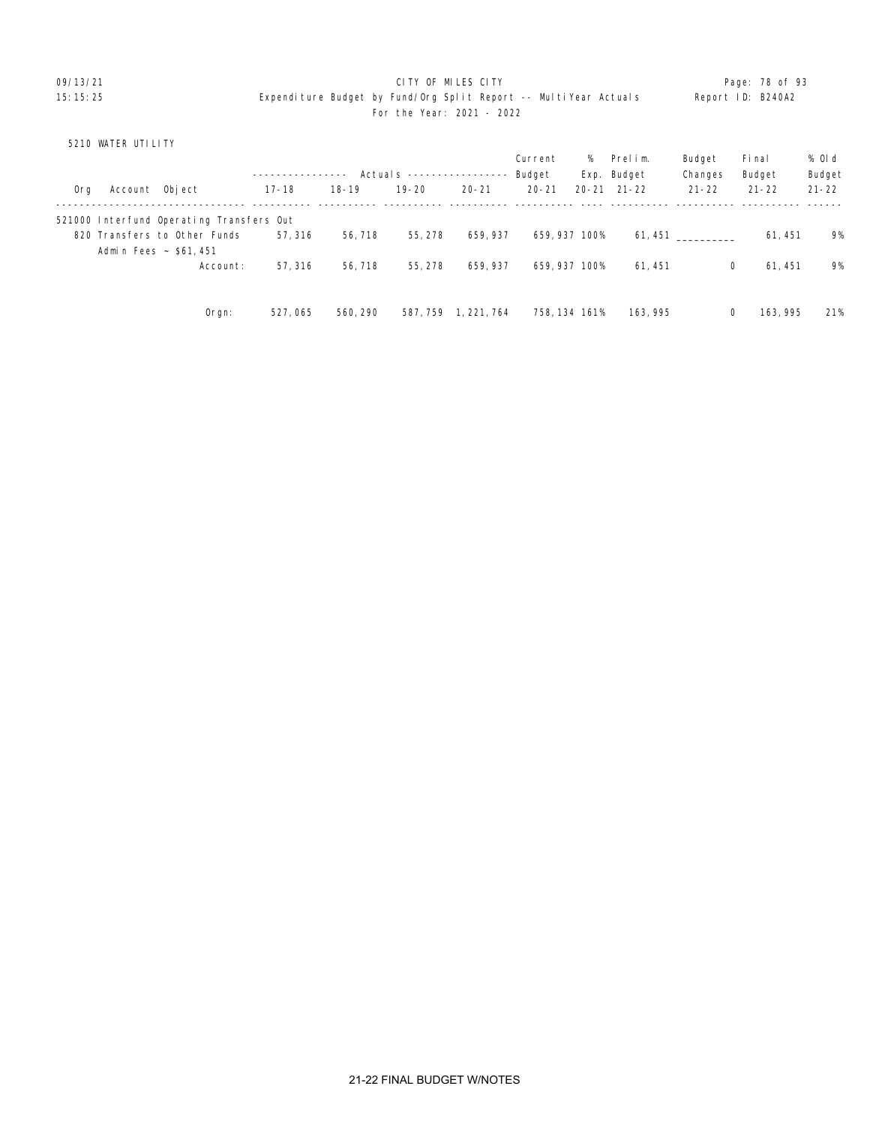09/13/21 **CITY OF MILES CITY CITY CONSUMING THE PAGE: 78 of 93** 15:15:25 Expenditure Budget by Fund/Org Split Report -- MultiYear Actuals Report ID: B240A2 For the Year: 2021 - 2022

## 5210 WATER UTILITY

|     |                |                                          |           |           |                     |             | Current       |       | % Prelim.   | Budget    | Fi nal    | % Old     |
|-----|----------------|------------------------------------------|-----------|-----------|---------------------|-------------|---------------|-------|-------------|-----------|-----------|-----------|
|     |                |                                          |           |           | Actuals $---------$ |             | Budget        |       | Exp. Budget | Changes   | Budget    | Budget    |
| 0rg | Account Object |                                          | $17 - 18$ | $18 - 19$ | $19 - 20$           | $20 - 21$   | $20 - 21$     | 20-21 | $21 - 22$   | $21 - 22$ | $21 - 22$ | $21 - 22$ |
|     |                | 521000 Interfund Operating Transfers Out |           |           |                     |             |               |       |             |           |           |           |
|     |                | 820 Transfers to Other Funds             | 57.316    | 56, 718   | 55, 278             | 659, 937    | 659, 937 100% |       |             | 61, 451   | 61.451    | 9%        |
|     |                | Admin Fees ~ \$61,451                    |           |           |                     |             |               |       |             |           |           |           |
|     |                | Account:                                 | 57, 316   | 56, 718   | 55, 278             | 659, 937    | 659, 937 100% |       | 61.451      | 0         | 61.451    | 9%        |
|     |                |                                          |           |           |                     |             |               |       |             |           |           |           |
|     |                | Orgn:                                    | 527,065   | 560, 290  | 587, 759            | 1, 221, 764 | 758, 134 161% |       | 163, 995    | 0         | 163, 995  | 21%       |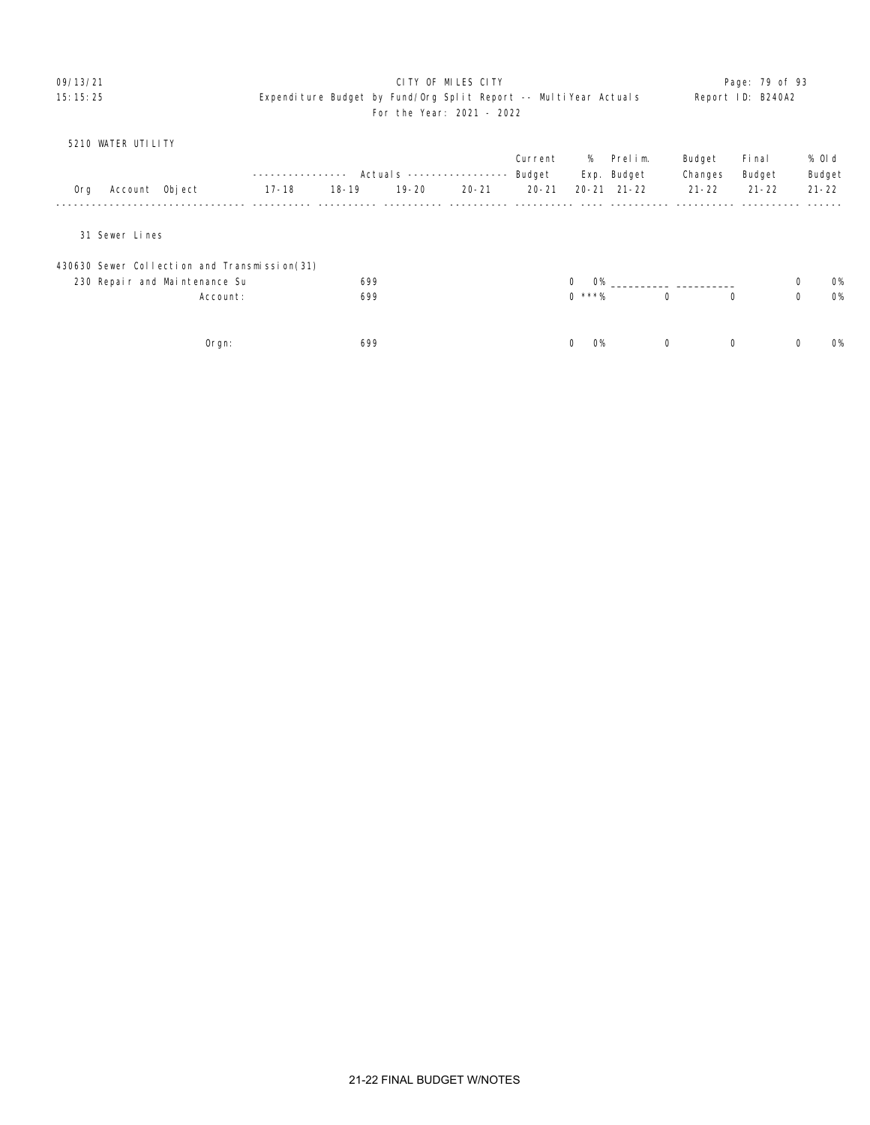### 09/13/21 **CITY OF MILES CITY CITY CONSUMILES CITY Page: 79 of 93** 15:15:25 Expenditure Budget by Fund/Org Split Report -- MultiYear Actuals Report ID: B240A2 For the Year: 2021 - 2022

|     | 5210 WATER UTILITY                           |           |           |           |                           |           |                           |                     |             |             |           |   |           |
|-----|----------------------------------------------|-----------|-----------|-----------|---------------------------|-----------|---------------------------|---------------------|-------------|-------------|-----------|---|-----------|
|     |                                              |           |           |           |                           | Current   | %                         | Prelim.             |             | Budget      | Fi nal    |   | % Old     |
|     |                                              |           |           |           | Actual s ---------------- | Budget    |                           | Exp. Budget         |             | Changes     | Budget    |   | Budget    |
| 0rg | Account Object                               | $17 - 18$ | $18 - 19$ | $19 - 20$ | $20 - 21$                 | $20 - 21$ |                           | $20 - 21$ $21 - 22$ |             | $21 - 22$   | $21 - 22$ |   | $21 - 22$ |
|     |                                              |           |           |           |                           |           |                           |                     |             |             |           |   |           |
|     | 31 Sewer Lines                               |           |           |           |                           |           |                           |                     |             |             |           |   |           |
|     | 430630 Sewer Collection and Transmission(31) |           |           |           |                           |           |                           |                     |             |             |           |   |           |
|     | 230 Repair and Maintenance Su                |           | 699       |           |                           |           | $\mathbf{0}$<br><b>O%</b> |                     |             |             |           | 0 | 0%        |
|     | Account:                                     |           | 699       |           |                           |           | $0$ ***%                  |                     | $\mathbf 0$ | 0           |           | 0 | <b>O%</b> |
|     |                                              |           |           |           |                           |           |                           |                     |             |             |           |   |           |
|     | $0$ rgn:                                     |           | 699       |           |                           |           | $\mathbf 0$<br><b>O%</b>  |                     | $\mathbf 0$ | $\mathbf 0$ |           | 0 | <b>O%</b> |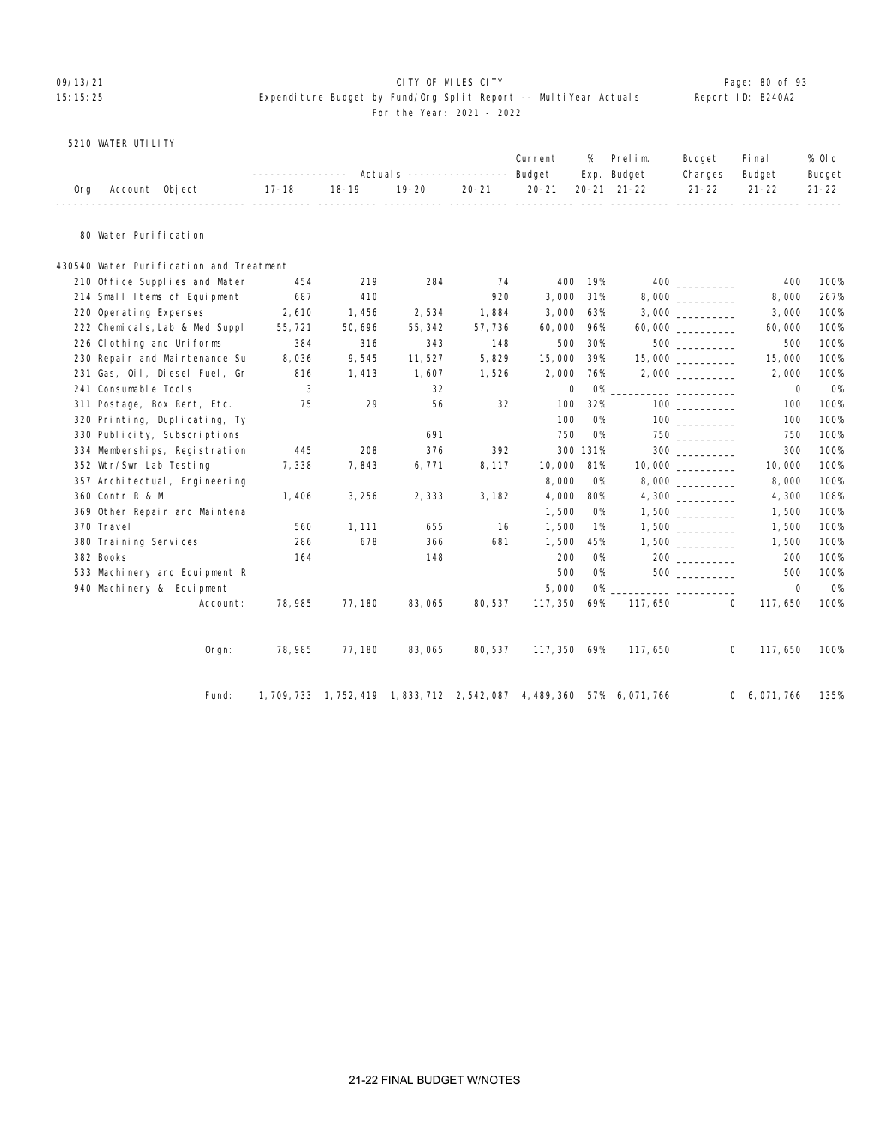### O9/13/21 **CITY OF MILES CITY CITY CITY CITY Page: 80 of 93** 15:15:25 Expenditure Budget by Fund/Org Split Report -- MultiYear Actuals Report ID: B240A2 For the Year: 2021 - 2022

### 5210 WATER UTILITY

|     |                                          |          |         |           |           |           | Current     | %         | Prelim.<br>Exp. Budget                                                      | Budget<br>Changes | Fi nal<br>Budget | % 0l d<br>Budget |
|-----|------------------------------------------|----------|---------|-----------|-----------|-----------|-------------|-----------|-----------------------------------------------------------------------------|-------------------|------------------|------------------|
| 0rg | Account Object                           |          | 17-18   | $18 - 19$ | $19 - 20$ | $20 - 21$ | $20 - 21$   |           | $20 - 21$ $21 - 22$                                                         | $21 - 22$         | $21 - 22$        | $21 - 22$        |
|     | 80 Water Puri fication                   |          |         |           |           |           |             |           |                                                                             |                   |                  |                  |
|     | 430540 Water Puri fication and Treatment |          |         |           |           |           |             |           |                                                                             |                   |                  |                  |
|     | 210 Office Supplies and Mater            |          | 454     | 219       | 284       | 74        | 400         | 19%       |                                                                             |                   | 400              | 100%             |
|     | 214 Small Items of Equipment             |          | 687     | 410       |           | 920       | 3,000       | 31%       |                                                                             |                   | 8,000            | 267%             |
|     | 220 Operating Expenses                   |          | 2,610   | 1,456     | 2,534     | 1,884     | 3,000       | 63%       |                                                                             |                   | 3,000            | 100%             |
|     | 222 Chemicals, Lab & Med Suppl           |          | 55, 721 | 50,696    | 55, 342   | 57,736    | 60,000      | 96%       |                                                                             | 60,000 ________   | 60,000           | 100%             |
|     | 226 Cl othing and Uniforms               |          | 384     | 316       | 343       | 148       | 500         | 30%       |                                                                             | $500$             | 500              | 100%             |
|     | 230 Repair and Maintenance Su            |          | 8,036   | 9,545     | 11,527    | 5,829     | 15,000      | 39%       |                                                                             | 15,000 __________ | 15,000           | 100%             |
|     | 231 Gas, Oil, Diesel Fuel, Gr            |          | 816     | 1,413     | 1,607     | 1,526     | 2,000       | 76%       |                                                                             |                   | 2,000            | 100%             |
|     | 241 Consumable Tools                     |          | 3       |           | 32        |           | $\mathbf 0$ | <b>O%</b> |                                                                             |                   | $\mathbf 0$      | 0%               |
|     | 311 Postage, Box Rent, Etc.              |          | 75      | 29        | 56        | 32        | 100         | 32%       |                                                                             |                   | 100              | 100%             |
|     | 320 Printing, Duplicating, Ty            |          |         |           |           |           | 100         | <b>0%</b> |                                                                             | 100 000           | 100              | 100%             |
|     | 330 Publicity, Subscriptions             |          |         |           | 691       |           | 750         | <b>O%</b> |                                                                             |                   | 750              | 100%             |
|     | 334 Memberships, Registration            |          | 445     | 208       | 376       | 392       |             | 300 131%  |                                                                             |                   | 300              | 100%             |
|     | 352 Wtr/Swr Lab Testing                  |          | 7,338   | 7,843     | 6,771     | 8,117     | 10,000      | 81%       |                                                                             | 10,000            | 10,000           | 100%             |
|     | 357 Archi tectual, Engi neering          |          |         |           |           |           | 8,000       | <b>O%</b> |                                                                             |                   | 8,000            | 100%             |
|     | 360 Contr R & M                          |          | 1,406   | 3,256     | 2,333     | 3, 182    | 4,000       | 80%       |                                                                             |                   | 4,300            | 108%             |
|     | 369 Other Repair and Maintena            |          |         |           |           |           | 1,500       | <b>O%</b> |                                                                             |                   | 1,500            | 100%             |
|     | 370 Travel                               |          | 560     | 1, 111    | 655       | 16        | 1,500       | 1%        |                                                                             |                   | 1,500            | 100%             |
|     | 380 Training Services                    |          | 286     | 678       | 366       | 681       | 1,500       | 45%       |                                                                             |                   | 1,500            | 100%             |
|     | 382 Books                                |          | 164     |           | 148       |           | 200         | <b>O%</b> |                                                                             |                   | 200              | 100%             |
|     | 533 Machinery and Equipment R            |          |         |           |           |           | 500         | <b>O%</b> |                                                                             |                   | 500              | 100%             |
|     | 940 Machinery & Equipment                |          |         |           |           |           | 5,000       | <b>O%</b> |                                                                             |                   | $\mathbf 0$      | <b>0%</b>        |
|     |                                          | Account: | 78, 985 | 77, 180   | 83,065    | 80,537    | 117, 350    | 69%       | 117, 650                                                                    | $\mathbf 0$       | 117,650          | 100%             |
|     |                                          | Orgn:    | 78, 985 | 77, 180   | 83,065    | 80, 537   | 117,350 69% |           | 117,650                                                                     | 0                 | 117,650          | 100%             |
|     |                                          | Fund:    |         |           |           |           |             |           | 1, 709, 733 1, 752, 419 1, 833, 712 2, 542, 087 4, 489, 360 57% 6, 071, 766 |                   | 0, 6, 071, 766   | 135%             |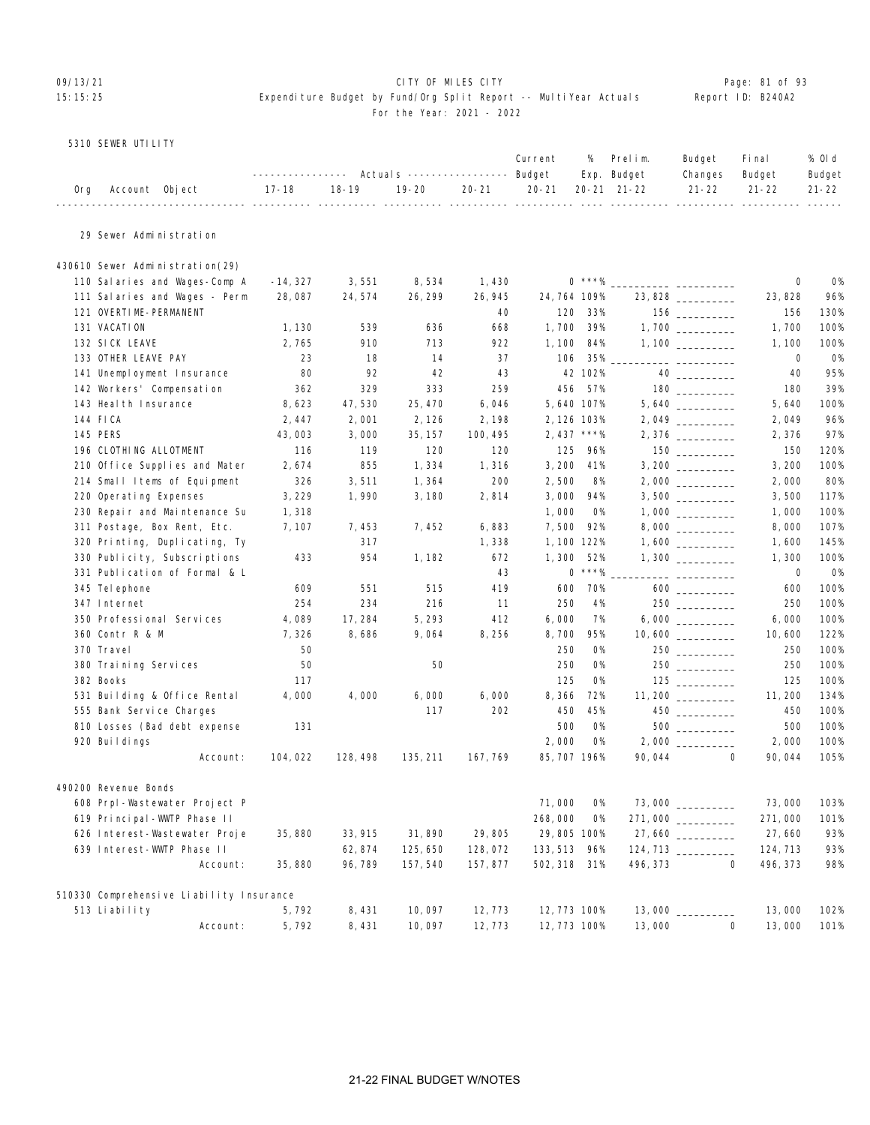### 09/13/21 **CITY OF MILES CITY CITY CONSUMING THE PAGE:** 81 of 93 15:15:25 Expenditure Budget by Fund/Org Split Report -- MultiYear Actuals Report ID: B240A2 For the Year: 2021 - 2022

### 5310 SEWER UTILITY

|     |                |                                                                            |         |  |  | Current % Prelim. Budget Final | % Old  |
|-----|----------------|----------------------------------------------------------------------------|---------|--|--|--------------------------------|--------|
|     |                | ---------------    Actuals    ----------------    Budget    Exp.    Budget |         |  |  | Changes Budget                 | Budget |
| 0rg | Account Object | 17-18                                                                      | $18-19$ |  |  |                                |        |
|     |                |                                                                            |         |  |  |                                |        |

## 29 Sewer Administration

| 430610 Sewer Administration(29)          |            |          |          |          |              |           |          |                                                      |             |           |
|------------------------------------------|------------|----------|----------|----------|--------------|-----------|----------|------------------------------------------------------|-------------|-----------|
| 110 Salaries and Wages-Comp A            | $-14, 327$ | 3,551    | 8,534    | 1,430    |              | $0$ ***%  |          |                                                      | 0           | <b>O%</b> |
| 111 Salaries and Wages - Perm            | 28,087     | 24,574   | 26, 299  | 26, 945  | 24, 764 109% |           |          | 23,828                                               | 23,828      | 96%       |
| 121 OVERTIME-PERMANENT                   |            |          |          | 40       | 120          | 33%       |          | $156$ ________                                       | 156         | 130%      |
| 131 VACATION                             | 1,130      | 539      | 636      | 668      | 1,700        | 39%       |          |                                                      | 1,700       | 100%      |
| 132 SICK LEAVE                           | 2,765      | 910      | 713      | 922      | 1, 100       | 84%       |          |                                                      | 1, 100      | 100%      |
| 133 OTHER LEAVE PAY                      | 23         | 18       | 14       | 37       | 106          | 35%       |          |                                                      | 0           | <b>O%</b> |
| 141 Unemployment Insurance               | 80         | 92       | 42       | 43       |              | 42 102%   |          | 40 and $\sim$                                        | 40          | 95%       |
| 142 Workers' Compensation                | 362        | 329      | 333      | 259      | 456          | 57%       |          |                                                      | 180         | 39%       |
| 143 Heal th Insurance                    | 8,623      | 47,530   | 25, 470  | 6,046    | 5,640 107%   |           |          |                                                      | 5,640       | 100%      |
| 144 FICA                                 | 2,447      | 2,001    | 2, 126   | 2,198    | 2, 126 103%  |           |          |                                                      | 2,049       | 96%       |
| <b>145 PERS</b>                          | 43,003     | 3,000    | 35, 157  | 100, 495 | 2, 437 ***%  |           |          | $2,376$ _________                                    | 2,376       | 97%       |
| 196 CLOTHING ALLOTMENT                   | 116        | 119      | 120      | 120      | 125          | 96%       |          | $\begin{tabular}{c} 150 \end{tabular}$               | 150         | 120%      |
| 210 Office Supplies and Mater            | 2,674      | 855      | 1,334    | 1,316    | 3,200        | 41%       |          |                                                      | 3, 200      | 100%      |
| 214 Small Items of Equipment             | 326        | 3,511    | 1,364    | 200      | 2,500        | 8%        |          |                                                      | 2,000       | 80%       |
| 220 Operating Expenses                   | 3, 229     | 1,990    | 3,180    | 2,814    | 3,000        | 94%       |          |                                                      | 3,500       | 117%      |
| 230 Repair and Maintenance Su            | 1,318      |          |          |          | 1,000        | <b>O%</b> |          |                                                      | 1,000       | 100%      |
| 311 Postage, Box Rent, Etc.              | 7, 107     | 7,453    | 7,452    | 6,883    | 7,500        | 92%       |          |                                                      | 8,000       | 107%      |
| 320 Printing, Duplicating, Ty            |            | 317      |          | 1,338    | 1, 100 122%  |           |          |                                                      | 1,600       | 145%      |
| 330 Publicity, Subscriptions             | 433        | 954      | 1, 182   | 672      | 1,300        | 52%       |          |                                                      | 1,300       | 100%      |
| 331 Publication of Formal & L            |            |          |          | 43       |              | $0$ ***%  |          | ___ _______________                                  | $\mathbf 0$ | <b>O%</b> |
| 345 Tel ephone                           | 609        | 551      | 515      | 419      | 600          | 70%       |          | 600 000                                              | 600         | 100%      |
| 347 Internet                             | 254        | 234      | 216      | 11       | 250          | 4%        |          |                                                      | 250         | 100%      |
| 350 Professional Services                | 4,089      | 17,284   | 5, 293   | 412      | 6,000        | 7%        |          |                                                      | 6,000       | 100%      |
| 360 Contr R & M                          | 7,326      | 8,686    | 9,064    | 8,256    | 8,700        | 95%       |          | $10,600$ __________                                  | 10,600      | 122%      |
| 370 Travel                               | 50         |          |          |          | 250          | 0%        |          |                                                      | 250         | 100%      |
| 380 Training Services                    | 50         |          | 50       |          | 250          | <b>O%</b> |          |                                                      | 250         | 100%      |
| 382 Books                                | 117        |          |          |          | 125          | <b>O%</b> |          |                                                      | 125         | 100%      |
| 531 Building & Office Rental             | 4,000      | 4,000    | 6,000    | 6,000    | 8,366        | 72%       |          |                                                      | 11, 200     | 134%      |
| 555 Bank Service Charges                 |            |          | 117      | 202      | 450          | 45%       |          | 450 $\overline{\phantom{a} \phantom{a} \phantom{a}}$ | 450         | 100%      |
| 810 Losses (Bad debt expense             | 131        |          |          |          | 500          | 0%        |          | $500$                                                | 500         | 100%      |
| 920 Buildings                            |            |          |          |          | 2,000        | <b>O%</b> |          |                                                      | 2,000       | 100%      |
| Account:                                 | 104, 022   | 128, 498 | 135, 211 | 167, 769 | 85, 707 196% |           | 90,044   | $\Omega$                                             | 90,044      | 105%      |
| 490200 Revenue Bonds                     |            |          |          |          |              |           |          |                                                      |             |           |
| 608 Prpl-Wastewater Project P            |            |          |          |          | 71,000       | <b>O%</b> |          | 73,000                                               | 73,000      | 103%      |
| 619 Principal-WWTP Phase II              |            |          |          |          | 268,000      | 0%        |          | 271,000                                              | 271,000     | 101%      |
| 626 Interest-Wastewater Proje            | 35,880     | 33, 915  | 31,890   | 29,805   | 29,805 100%  |           |          |                                                      | 27,660      | 93%       |
| 639 Interest-WWTP Phase II               |            | 62, 874  | 125, 650 | 128,072  | 133, 513     | 96%       |          |                                                      | 124, 713    | 93%       |
| Account:                                 | 35,880     | 96,789   | 157, 540 | 157,877  | 502, 318 31% |           | 496, 373 | $\mathbf 0$                                          | 496, 373    | 98%       |
| 510330 Comprehensive Liability Insurance |            |          |          |          |              |           |          |                                                      |             |           |
| 513 Liability                            | 5,792      | 8,431    | 10,097   | 12,773   | 12, 773 100% |           | 13,000   |                                                      | 13,000      | 102%      |
| Account:                                 | 5,792      | 8,431    | 10,097   | 12,773   | 12, 773 100% |           | 13,000   | $\Omega$                                             | 13,000      | 101%      |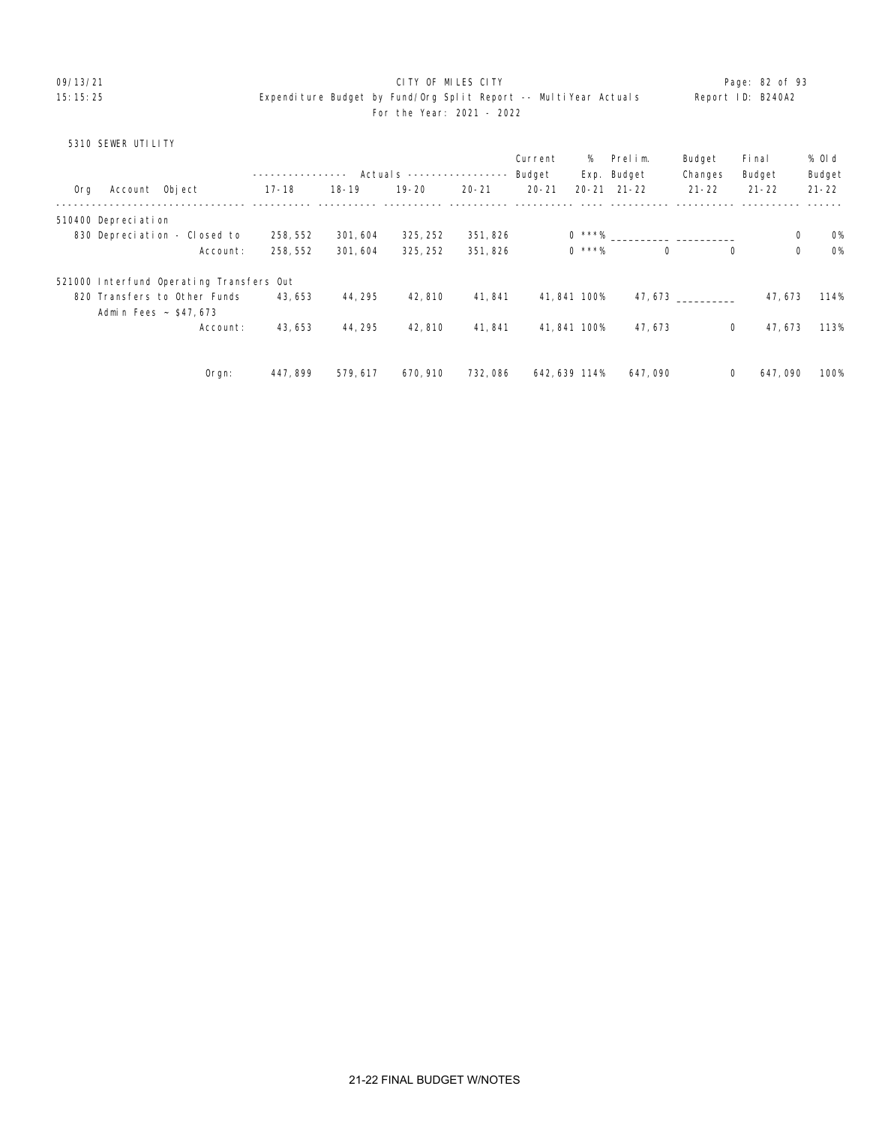### 09/13/21 CITY OF MILES CITY Page: 82 of 93 15:15:25 Expenditure Budget by Fund/Org Split Report -- MultiYear Actuals Report ID: B240A2 For the Year: 2021 - 2022

### 5310 SEWER UTILITY

|     |                     |                                          |           |           | Actual s ---------------- |           | Current<br>Budget | %            | Prelim.<br>Exp. Budget | Budget<br>Changes | Fi nal<br>Budget | % Old<br>Budget          |
|-----|---------------------|------------------------------------------|-----------|-----------|---------------------------|-----------|-------------------|--------------|------------------------|-------------------|------------------|--------------------------|
| 0rg | Account Object      |                                          | $17 - 18$ | $18 - 19$ | $19 - 20$                 | $20 - 21$ | $20 - 21$         |              | $20 - 21$ $21 - 22$    | $21 - 22$         | $21 - 22$        | $21 - 22$                |
|     | 510400 Depreciation |                                          |           |           |                           |           |                   |              |                        |                   |                  |                          |
|     |                     | 830 Depreciation - Closed to             | 258, 552  | 301, 604  | 325, 252                  | 351, 826  |                   |              | $0 * * * \%$           |                   |                  | 0<br><b>0%</b>           |
|     |                     | Account:                                 | 258, 552  | 301,604   | 325, 252                  | 351,826   |                   | $0$ ***%     | $\Omega$               | $\Omega$          |                  | $\mathbf 0$<br><b>O%</b> |
|     |                     | 521000 Interfund Operating Transfers Out |           |           |                           |           |                   |              |                        |                   |                  |                          |
|     |                     | 820 Transfers to Other Funds             | 43,653    | 44, 295   | 42, 810                   | 41.841    |                   | 41, 841 100% |                        | 47.673            | 47, 673          | 114%                     |
|     |                     | Admin Fees ~ \$47,673                    |           |           |                           |           |                   |              |                        |                   |                  |                          |
|     |                     | Account:                                 | 43, 653   | 44, 295   | 42, 810                   | 41,841    |                   | 41, 841 100% | 47, 673                | 0                 | 47, 673          | 113%                     |
|     |                     |                                          | 447, 899  | 579.617   | 670, 910                  | 732,086   |                   | 642.639 114% | 647,090                | 0                 | 647,090          | 100%                     |
|     |                     | Orgn:                                    |           |           |                           |           |                   |              |                        |                   |                  |                          |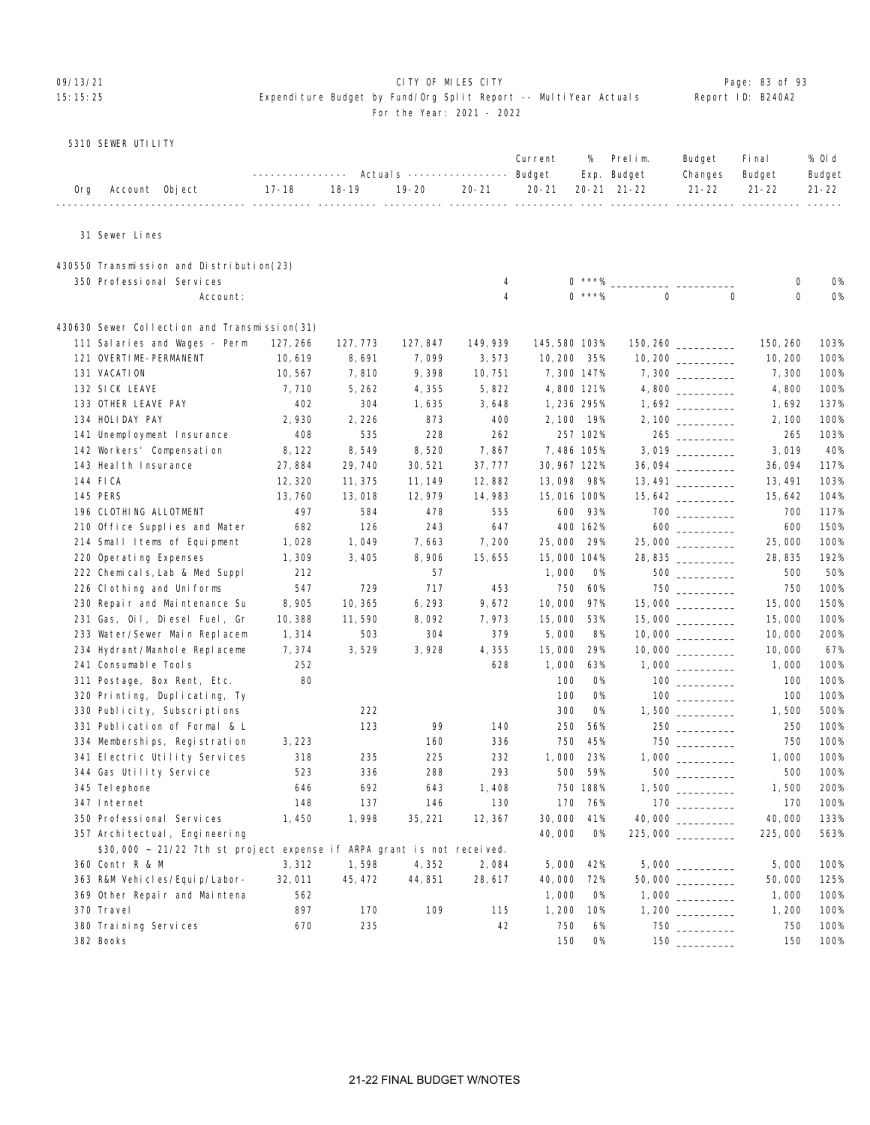### O9/13/21 **CITY OF MILES CITY CITY CITY CITY Page: 83 of 93** 15:15:25 Expenditure Budget by Fund/Org Split Report -- MultiYear Actuals Report ID: B240A2 For the Year: 2021 - 2022

|  |  | 5310 SEWER UTILITY |  |
|--|--|--------------------|--|
|--|--|--------------------|--|

|     |                                                                        | -------------                       |                        | Actuals ----------------- Budget |           | Current                      | %          | Prelim.<br>Exp. Budget | Budget<br>Changes                      | Fi nal<br>Budget | % OI d<br>Budget |
|-----|------------------------------------------------------------------------|-------------------------------------|------------------------|----------------------------------|-----------|------------------------------|------------|------------------------|----------------------------------------|------------------|------------------|
| 0rg | Account Object                                                         | $17 - 18$<br>------- ---------- --- | $18 - 19$<br>---- ---- | $19 - 20$                        | $20 - 21$ | $20 - 21$<br>---- ---------- |            | 20-21 21-22            | $21 - 22$                              | $21 - 22$        | $21 - 22$        |
|     | 31 Sewer Lines                                                         |                                     |                        |                                  |           |                              |            |                        |                                        |                  |                  |
|     | 430550 Transmission and Distribution(23)                               |                                     |                        |                                  |           |                              |            |                        |                                        |                  |                  |
|     | 350 Professional Services                                              |                                     |                        |                                  | 4         |                              | $0$ ***%   |                        |                                        | 0                | 0%               |
|     | Account:                                                               |                                     |                        |                                  | 4         |                              | $0$ ***%   | $\Omega$               | $\mathbf 0$                            | $\mathbf 0$      | 0%               |
|     | 430630 Sewer Collection and Transmission(31)                           |                                     |                        |                                  |           |                              |            |                        |                                        |                  |                  |
|     | 111 Salaries and Wages - Perm                                          | 127, 266                            | 127, 773               | 127, 847                         | 149, 939  | 145, 580 103%                |            |                        | 150, 260                               | 150, 260         | 103%             |
|     | 121 OVERTIME-PERMANENT                                                 | 10,619                              | 8,691                  | 7,099                            | 3,573     | 10, 200 35%                  |            |                        |                                        | 10, 200          | 100%             |
|     | 131 VACATION                                                           | 10, 567                             | 7,810                  | 9,398                            | 10, 751   |                              | 7,300 147% |                        |                                        | 7,300            | 100%             |
|     | 132 SICK LEAVE                                                         | 7,710                               | 5, 262                 | 4,355                            | 5,822     |                              | 4,800 121% |                        |                                        | 4,800            | 100%             |
|     | 133 OTHER LEAVE PAY                                                    | 402                                 | 304                    | 1,635                            | 3,648     |                              | 1,236 295% |                        |                                        | 1,692            | 137%             |
|     | 134 HOLIDAY PAY                                                        | 2,930                               | 2, 226                 | 873                              | 400       |                              | 2,100 19%  |                        | $2,100$ _________                      | 2, 100           | 100%             |
|     | 141 Unemployment Insurance                                             | 408                                 | 535                    | 228                              | 262       |                              | 257 102%   |                        |                                        | 265              | 103%             |
|     | 142 Workers' Compensation                                              | 8, 122                              | 8,549                  | 8,520                            | 7,867     |                              | 7,486 105% |                        |                                        | 3,019            | 40%              |
|     | 143 Heal th Insurance                                                  | 27,884                              | 29, 740                | 30, 521                          | 37, 777   | 30, 967 122%                 |            |                        |                                        | 36,094           | 117%             |
|     | 144 FICA                                                               | 12, 320                             | 11, 375                | 11, 149                          | 12,882    | 13,098 98%                   |            |                        | 13, 491                                | 13, 491          | 103%             |
|     | 145 PERS                                                               | 13, 760                             | 13,018                 | 12, 979                          | 14,983    | 15,016 100%                  |            |                        |                                        | 15, 642          | 104%             |
|     | 196 CLOTHING ALLOTMENT                                                 | 497                                 | 584                    | 478                              | 555       | 600                          | 93%        |                        | 700 000                                | 700              | 117%             |
|     | 210 Office Supplies and Mater                                          | 682                                 | 126                    | 243                              | 647       |                              | 400 162%   |                        |                                        | 600              | 150%             |
|     | 214 Small Items of Equipment                                           | 1,028                               | 1,049                  | 7,663                            | 7,200     | 25,000                       | 29%        |                        | 25,000                                 | 25,000           | 100%             |
|     | 220 Operating Expenses                                                 | 1,309                               | 3,405                  | 8,906                            | 15,655    | 15,000 104%                  |            |                        | 28, 835                                | 28, 835          | 192%             |
|     | 222 Chemicals, Lab & Med Suppl                                         | 212                                 |                        | 57                               |           | 1,000                        | 0%         |                        | $500$                                  | 500              | 50%              |
|     | 226 Clothing and Uniforms                                              | 547                                 | 729                    | 717                              | 453       | 750                          | 60%        |                        |                                        | 750              | 100%             |
|     | 230 Repair and Maintenance Su                                          | 8,905                               | 10, 365                | 6, 293                           | 9,672     | 10,000                       | 97%        |                        |                                        | 15,000           | 150%             |
|     | 231 Gas, Oil, Diesel Fuel, Gr                                          | 10,388                              | 11,590                 | 8,092                            | 7,973     | 15,000                       | 53%        |                        | 15,000 _________                       | 15,000           | 100%             |
|     | 233 Water/Sewer Main Replacem                                          | 1,314                               | 503                    | 304                              | 379       | 5,000                        | 8%         |                        |                                        | 10,000           | 200%             |
|     | 234 Hydrant/Manhole Replaceme                                          | 7,374                               | 3,529                  | 3,928                            | 4,355     | 15,000                       | 29%        |                        |                                        | 10,000           | 67%              |
|     | 241 Consumable Tools                                                   | 252                                 |                        |                                  | 628       | 1,000                        | 63%        |                        |                                        | 1,000            | 100%             |
|     | 311 Postage, Box Rent, Etc.                                            | 80                                  |                        |                                  |           | 100                          | 0%         |                        |                                        | 100              | 100%             |
|     | 320 Printing, Duplicating, Ty                                          |                                     |                        |                                  |           | 100                          | 0%         |                        |                                        | 100              | 100%             |
|     | 330 Publicity, Subscriptions                                           |                                     | 222                    |                                  |           | 300                          | <b>0%</b>  |                        |                                        | 1,500            | 500%             |
|     | 331 Publication of Formal & L                                          |                                     | 123                    | 99                               | 140       | 250                          | 56%        |                        |                                        | 250              | 100%             |
|     | 334 Memberships, Registration                                          | 3, 223                              |                        | 160                              | 336       | 750                          | 45%        |                        |                                        | 750              | 100%             |
|     | 341 Electric Utility Services                                          | 318                                 | 235                    | 225                              | 232       | 1,000                        | 23%        |                        |                                        | 1,000            | 100%             |
|     | 344 Gas Utility Service                                                | 523                                 | 336                    | 288                              | 293       | 500                          | 59%        |                        |                                        | 500              | 100%             |
|     | 345 Tel ephone                                                         | 646                                 | 692                    | 643                              | 1,408     |                              | 750 188%   |                        |                                        | 1,500            | 200%             |
|     | 347 Internet                                                           | 148                                 | 137                    | 146                              | 130       |                              | 170 76%    |                        |                                        | 170              | 100%             |
|     | 350 Professional Services                                              | 1,450                               | 1,998                  | 35, 221                          | 12, 367   | 30,000                       | 41%        |                        |                                        | 40,000           | 133%             |
|     | 357 Architectual, Engineering                                          |                                     |                        |                                  |           | 40,000                       | 0%         |                        | 225,000                                | 225,000          | 563%             |
|     | \$30,000 ~ 21/22 7th st project expense if ARPA grant is not received. |                                     |                        |                                  |           |                              |            |                        |                                        |                  |                  |
|     | 360 Contr R & M                                                        | 3,312                               | 1,598                  | 4,352                            | 2,084     | 5,000                        | 42%        |                        | $5,000$ __________                     | 5,000            | 100%             |
|     | 363 R&M Vehicles/Equip/Labor-                                          | 32,011                              | 45, 472                | 44, 851                          | 28, 617   | 40,000                       | 72%        |                        | 50,000 __________                      | 50,000           | 125%             |
|     | 369 Other Repair and Maintena                                          | 562                                 |                        |                                  |           | 1,000                        | 0%         |                        |                                        | 1,000            | 100%             |
|     | 370 Travel                                                             | 897                                 | 170                    | 109                              | 115       | 1,200                        | 10%        |                        |                                        | 1, 200           | 100%             |
|     | 380 Training Services                                                  | 670                                 | 235                    |                                  | 42        | 750                          | 6%         |                        | 750                                    | 750              | 100%             |
|     | 382 Books                                                              |                                     |                        |                                  |           | 150                          | 0%         |                        | $\begin{tabular}{c} 150 \end{tabular}$ | 150              | 100%             |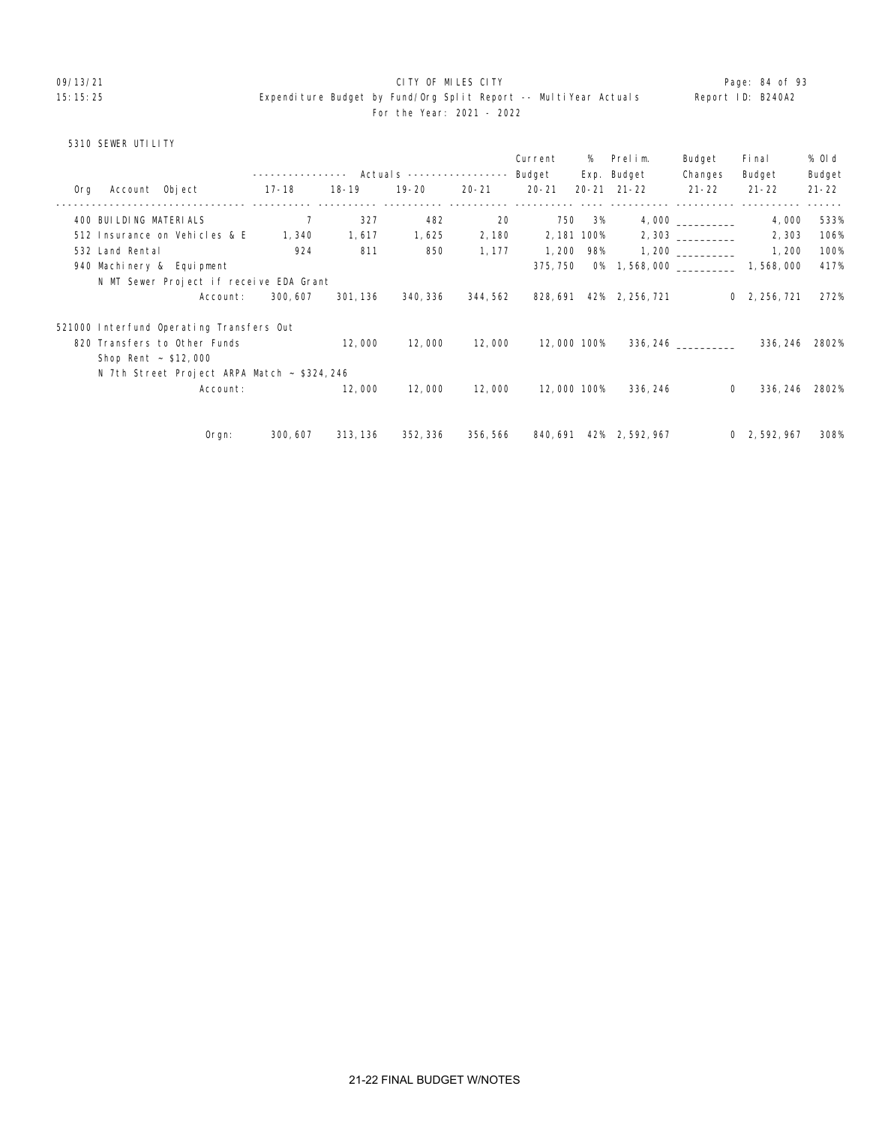### 09/13/21 **CITY OF MILES CITY CITY CONSUMING THE PAGE:** 84 of 93 15:15:25 Expenditure Budget by Fund/Org Split Report -- MultiYear Actuals Report ID: B240A2 For the Year: 2021 - 2022

## 5310 SEWER UTILITY

|     |                           |                                              |          |          |          |          | Current     |        | % Prelim.                                  | Budget               | Fi nal               | % 0l d    |
|-----|---------------------------|----------------------------------------------|----------|----------|----------|----------|-------------|--------|--------------------------------------------|----------------------|----------------------|-----------|
|     |                           |                                              |          |          |          |          |             |        | Exp. Budget                                | Changes              | Budget               | Budget    |
| Org | Account Object            |                                              | $17-18$  | 18-19    | 19-20    | 20-21    | $20 - 21$   |        | $20 - 21$ $21 - 22$                        | $21 - 22$            | $21 - 22$            | $21 - 22$ |
|     | 400 BUI LDI NG MATERI ALS |                                              | 7        | 327      | 482      | 20       |             | 750 3% |                                            |                      | 4,000                | 533%      |
|     |                           | 512 Insurance on Vehicles & E                | 1, 340   | 1,617    | 1,625    | 2,180    | 2, 181 100% |        |                                            |                      | 2,303                | 106%      |
|     | 532 Land Rental           |                                              | 924      | 811      | 850      | 1, 177   | 1, 200      | 98%    |                                            |                      | 1, 200               | 100%      |
|     |                           | 940 Machinery & Equipment                    |          |          |          |          | 375, 750    |        | 0% 1, 568, 000 _______________ 1, 568, 000 |                      |                      | 417%      |
|     |                           | N MT Sewer Project if receive EDA Grant      |          |          |          |          |             |        |                                            |                      |                      |           |
|     |                           | Account:                                     | 300, 607 | 301, 136 | 340, 336 | 344, 562 |             |        | 828, 691 42% 2, 256, 721                   |                      | $0\quad 2, 256, 721$ | 272%      |
|     |                           | 521000 Interfund Operating Transfers Out     |          |          |          |          |             |        |                                            |                      |                      |           |
|     |                           | 820 Transfers to Other Funds                 |          | 12,000   | 12,000   | 12,000   | 12,000 100% |        |                                            | 336, 246 ___________ | 336, 246 2802%       |           |
|     | Shop Rent $\sim$ \$12,000 |                                              |          |          |          |          |             |        |                                            |                      |                      |           |
|     |                           | N 7th Street Project ARPA Match ~ \$324, 246 |          |          |          |          |             |        |                                            |                      |                      |           |
|     |                           | Account:                                     |          | 12,000   | 12,000   | 12,000   | 12,000 100% |        | 336, 246                                   | $\Omega$             | 336, 246             | 2802%     |
|     |                           |                                              |          |          |          |          |             |        |                                            |                      |                      |           |
|     |                           | Orgn:                                        | 300, 607 | 313, 136 | 352, 336 |          |             |        | 356, 566 840, 691 42% 2, 592, 967          |                      | 0, 2, 592, 967       | 308%      |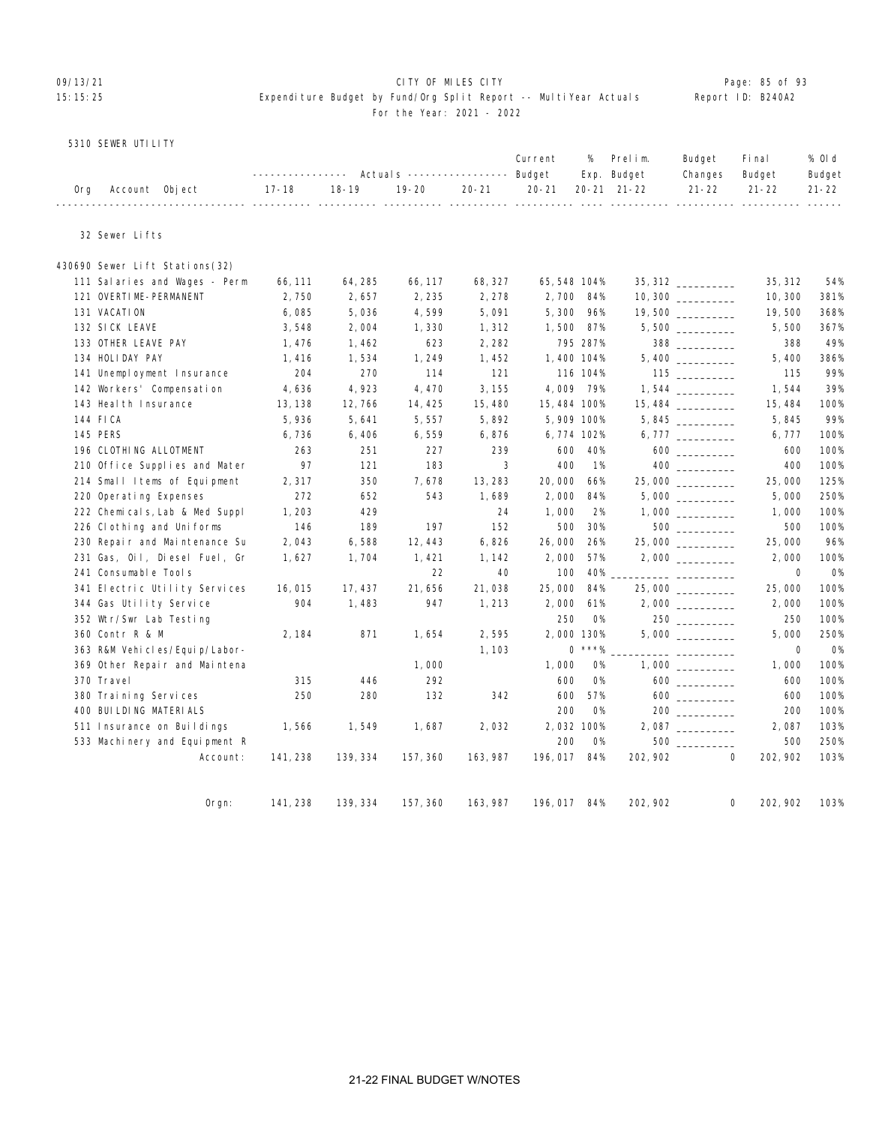### 09/13/21 Page: 85 of 93 15:15:25 Expenditure Budget by Fund/Org Split Report -- MultiYear Actuals Report ID: B240A2 For the Year: 2021 - 2022

### 5310 SEWER UTILITY

|                    |                                                                                           |  |                | Budget Final | % Old  |
|--------------------|-------------------------------------------------------------------------------------------|--|----------------|--------------|--------|
|                    | ---------------    Actuals ----------------    Budget                         Exp. Budget |  | Changes Budget |              | Budget |
| Org Account Object | 17-18 18-19 19-20 20-21 20-21 20-21 21-22 21-22 21-22 21-22                               |  |                |              |        |

32 Sewer Lifts

| 430690 Sewer Lift Stations(32)   |          |          |          |          |              |           |                    |                    |             |           |
|----------------------------------|----------|----------|----------|----------|--------------|-----------|--------------------|--------------------|-------------|-----------|
| 111 Salaries and Wages - Perm    | 66, 111  | 64, 285  | 66, 117  | 68, 327  | 65, 548 104% |           | $35,312$ _________ |                    | 35, 312     | 54%       |
| 121 OVERTIME-PERMANENT           | 2,750    | 2,657    | 2,235    | 2,278    | 2,700 84%    |           |                    |                    | 10,300      | 381%      |
| 131 VACATION                     | 6,085    | 5,036    | 4,599    | 5,091    | 5,300        | 96%       | 19,500 _________   |                    | 19,500      | 368%      |
| 132 SICK LEAVE                   | 3,548    | 2,004    | 1,330    | 1,312    | 1,500        | 87%       |                    |                    | 5,500       | 367%      |
| 133 OTHER LEAVE PAY              | 1, 476   | 1,462    | 623      | 2,282    |              | 795 287%  |                    | 388 388            | 388         | 49%       |
| 134 HOLIDAY PAY                  | 1,416    | 1,534    | 1,249    | 1,452    | 1,400 104%   |           |                    |                    | 5,400       | 386%      |
| 141 Unemployment Insurance       | 204      | 270      | 114      | 121      |              | 116 104%  |                    | $115$ ________     | 115         | 99%       |
| 142 Workers' Compensation        | 4,636    | 4,923    | 4,470    | 3, 155   | 4,009 79%    |           |                    |                    | 1,544       | 39%       |
| 143 Heal th Insurance            | 13, 138  | 12,766   | 14, 425  | 15,480   | 15, 484 100% |           |                    |                    | 15, 484     | 100%      |
| 144 FICA                         | 5,936    | 5,641    | 5,557    | 5,892    | 5,909 100%   |           |                    |                    | 5,845       | 99%       |
| 145 PERS                         | 6,736    | 6,406    | 6,559    | 6,876    | 6,774 102%   |           |                    |                    | 6,777       | 100%      |
| 196 CLOTHING ALLOTMENT           | 263      | 251      | 227      | 239      | 600          | 40%       |                    |                    | 600         | 100%      |
| 210 Office Supplies and Mater    | 97       | 121      | 183      | 3        | 400          | 1%        |                    |                    | 400         | 100%      |
| 214 Small Items of Equipment     | 2,317    | 350      | 7,678    | 13, 283  | 20,000       | 66%       |                    |                    | 25,000      | 125%      |
| 220 Operating Expenses           | 272      | 652      | 543      | 1,689    | 2,000        | 84%       |                    | $5,000$ __________ | 5,000       | 250%      |
| 222 Chemicals, Lab & Med Suppl   | 1,203    | 429      |          | 24       | 1,000        | 2%        |                    |                    | 1,000       | 100%      |
| 226 Cl othing and Uniforms       | 146      | 189      | 197      | 152      | 500          | 30%       |                    |                    | 500         | 100%      |
| 230 Repair and Maintenance Su    | 2,043    | 6,588    | 12, 443  | 6,826    | 26,000       | 26%       | 25,000             |                    | 25,000      | 96%       |
| 231 Gas, Oil, Diesel Fuel, Gr    | 1,627    | 1,704    | 1,421    | 1, 142   | 2,000        | 57%       |                    |                    | 2,000       | 100%      |
| 241 Consumable Tools             |          |          | 22       | 40       | 100          | 40%       |                    |                    | $\mathbf 0$ | <b>O%</b> |
| 341 Electric Utility Services    | 16, 015  | 17, 437  | 21,656   | 21,038   | 25,000       | 84%       | 25,000             |                    | 25,000      | 100%      |
| 344 Gas Utility Service          | 904      | 1,483    | 947      | 1,213    | 2,000        | 61%       |                    |                    | 2,000       | 100%      |
| 352 Wtr/Swr Lab Testing          |          |          |          |          | 250          | 0%        |                    |                    | 250         | 100%      |
| 360 Contr R & M                  | 2, 184   | 871      | 1,654    | 2,595    | 2,000 130%   |           |                    |                    | 5,000       | 250%      |
| 363 R&M Vehi cl es/Equi p/Labor- |          |          |          | 1,103    |              | $0$ ***%  |                    |                    | 0           | O%        |
| 369 Other Repair and Maintena    |          |          | 1,000    |          | 1,000        | <b>O%</b> |                    |                    | 1,000       | 100%      |
| 370 Travel                       | 315      | 446      | 292      |          | 600          | <b>O%</b> |                    | $600$              | 600         | 100%      |
| 380 Training Services            | 250      | 280      | 132      | 342      | 600          | 57%       |                    |                    | 600         | 100%      |
| 400 BUI LDI NG MATERI ALS        |          |          |          |          | 200          | <b>O%</b> |                    |                    | 200         | 100%      |
| 511 Insurance on Buildings       | 1,566    | 1,549    | 1,687    | 2,032    | 2,032 100%   |           |                    | 2,087              | 2,087       | 103%      |
| 533 Machinery and Equipment R    |          |          |          |          | 200          | 0%        |                    |                    | 500         | 250%      |
| Account:                         | 141, 238 | 139, 334 | 157, 360 | 163, 987 | 196, 017     | 84%       | 202, 902           | $\mathbf{0}$       | 202, 902    | 103%      |
|                                  |          |          |          |          |              |           |                    |                    |             |           |
| Oran:                            | 141, 238 | 139, 334 | 157, 360 | 163, 987 | 196, 017 84% |           | 202, 902           | 0                  | 202, 902    | 103%      |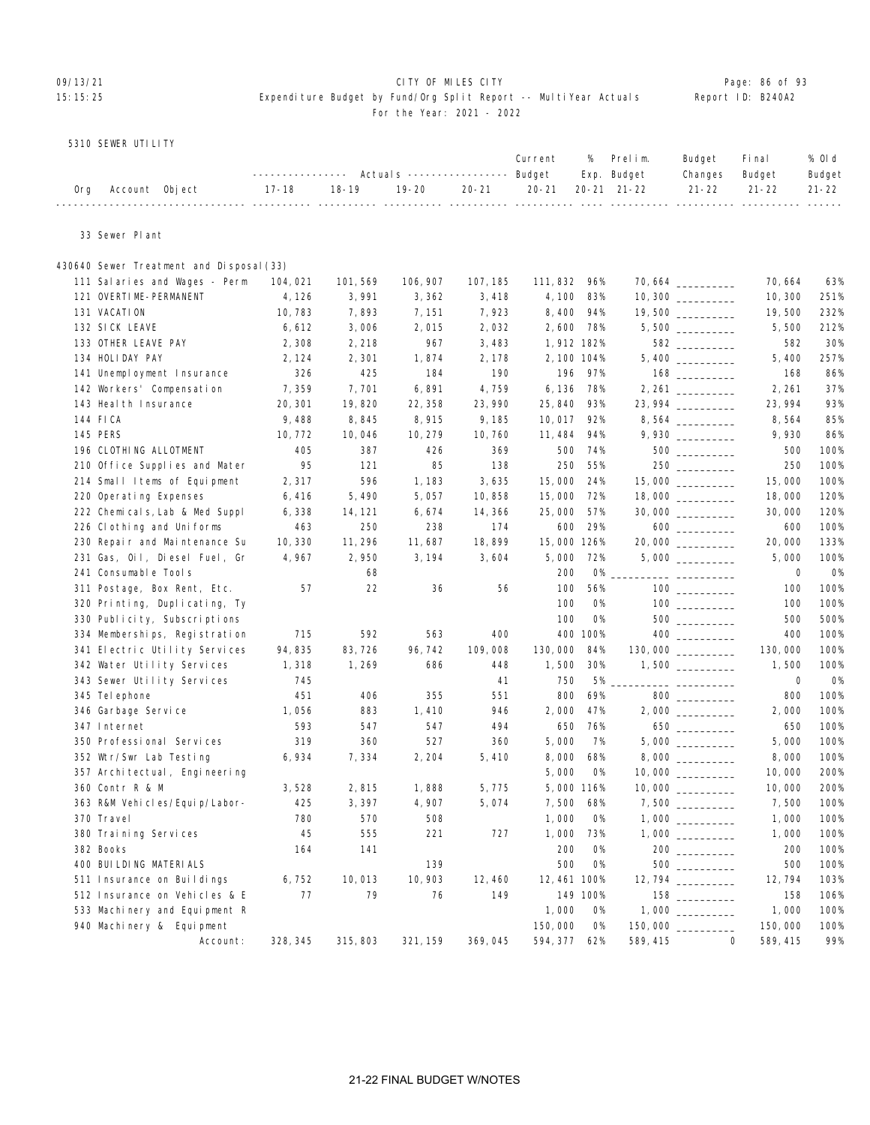### 09/13/21 **CITY OF MILES CITY CITY CONSUMING THE PAGE: 86 of 93** 15:15:25 Expenditure Budget by Fund/Org Split Report -- MultiYear Actuals Report ID: B240A2 For the Year: 2021 - 2022

### 5310 SEWER UTILITY

|  |                                                                                |  |  |  | Current % Prelim. Budget Final                                             | % Old  |
|--|--------------------------------------------------------------------------------|--|--|--|----------------------------------------------------------------------------|--------|
|  |                                                                                |  |  |  | --------------- Actuals ---------------- Budget Exp. Budget Changes Budget | Budget |
|  | 0rg Account 0bject 17-18 18-19 19-20 20-21 20-21 20-21 21-22 21-22 21-22 21-22 |  |  |  |                                                                            |        |
|  |                                                                                |  |  |  |                                                                            |        |

33 Sewer Plant

| 430640 Sewer Treatment and Disposal (33) |          |          |          |          |              |           |                    |                                                 |             |           |
|------------------------------------------|----------|----------|----------|----------|--------------|-----------|--------------------|-------------------------------------------------|-------------|-----------|
| 111 Salaries and Wages - Perm            | 104,021  | 101, 569 | 106, 907 | 107, 185 | 111, 832     | 96%       |                    |                                                 | 70,664      | 63%       |
| 121 OVERTIME-PERMANENT                   | 4, 126   | 3,991    | 3,362    | 3,418    | 4, 100       | 83%       |                    |                                                 | 10, 300     | 251%      |
| 131 VACATION                             | 10, 783  | 7,893    | 7, 151   | 7,923    | 8,400        | 94%       |                    |                                                 | 19,500      | 232%      |
| 132 SICK LEAVE                           | 6,612    | 3,006    | 2,015    | 2,032    | 2,600        | 78%       | $5,500$ __________ |                                                 | 5,500       | 212%      |
| 133 OTHER LEAVE PAY                      | 2,308    | 2,218    | 967      | 3,483    | 1,912 182%   |           |                    | 582 _________                                   | 582         | 30%       |
| 134 HOLIDAY PAY                          | 2, 124   | 2,301    | 1,874    | 2, 178   | 2, 100 104%  |           |                    |                                                 | 5,400       | 257%      |
| 141 Unemployment Insurance               | 326      | 425      | 184      | 190      | 196          | 97%       |                    |                                                 | 168         | 86%       |
| 142 Workers' Compensation                | 7,359    | 7,701    | 6,891    | 4,759    | 6, 136       | 78%       |                    |                                                 | 2, 261      | 37%       |
| 143 Heal th Insurance                    | 20, 301  | 19,820   | 22, 358  | 23,990   | 25,840       | 93%       | 23, 994 _________  |                                                 | 23, 994     | 93%       |
| 144 FICA                                 | 9,488    | 8,845    | 8,915    | 9,185    | 10,017       | 92%       | $8,564$ __________ |                                                 | 8,564       | 85%       |
| 145 PERS                                 | 10, 772  | 10,046   | 10, 279  | 10,760   | 11, 484      | 94%       |                    |                                                 | 9,930       | 86%       |
| 196 CLOTHING ALLOTMENT                   | 405      | 387      | 426      | 369      | 500          | 74%       |                    | $500$                                           | 500         | 100%      |
| 210 Office Supplies and Mater            | 95       | 121      | 85       | 138      | 250          | 55%       |                    |                                                 | 250         | 100%      |
| 214 Small Items of Equipment             | 2,317    | 596      | 1,183    | 3,635    | 15,000       | 24%       |                    |                                                 | 15,000      | 100%      |
| 220 Operating Expenses                   | 6,416    | 5,490    | 5,057    | 10,858   | 15,000       | 72%       |                    |                                                 | 18,000      | 120%      |
| 222 Chemicals, Lab & Med Suppl           | 6,338    | 14, 121  | 6,674    | 14, 366  | 25,000       | 57%       |                    |                                                 | 30,000      | 120%      |
| 226 Clothing and Uniforms                | 463      | 250      | 238      | 174      | 600          | 29%       |                    |                                                 | 600         | 100%      |
| 230 Repair and Maintenance Su            | 10, 330  | 11, 296  | 11,687   | 18,899   | 15,000 126%  |           | 20,000             |                                                 | 20,000      | 133%      |
| 231 Gas, Oil, Diesel Fuel, Gr            | 4,967    | 2,950    | 3, 194   | 3,604    | 5,000        | 72%       |                    |                                                 | 5,000       | 100%      |
| 241 Consumable Tools                     |          | 68       |          |          | 200          | <b>O%</b> |                    | $\overline{a}$ . The contract of $\overline{a}$ | $\mathbf 0$ | 0%        |
| 311 Postage, Box Rent, Etc.              | 57       | 22       | 36       | 56       | 100          | 56%       |                    |                                                 | 100         | 100%      |
| 320 Printing, Duplicating, Ty            |          |          |          |          | 100          | <b>0%</b> |                    |                                                 | 100         | 100%      |
| 330 Publicity, Subscriptions             |          |          |          |          | 100          | <b>0%</b> |                    | 500                                             | 500         | 500%      |
| 334 Memberships, Registration            | 715      | 592      | 563      | 400      |              | 400 100%  |                    |                                                 | 400         | 100%      |
| 341 Electric Utility Services            | 94,835   | 83,726   | 96, 742  | 109,008  | 130,000      | 84%       | 130,000 _________  |                                                 | 130,000     | 100%      |
| 342 Water Utility Services               | 1,318    | 1,269    | 686      | 448      | 1,500        | 30%       |                    |                                                 | 1,500       | 100%      |
| 343 Sewer Utility Services               | 745      |          |          | 41       | 750          | 5%        |                    |                                                 | $\mathbf 0$ | <b>O%</b> |
| 345 Tel ephone                           | 451      | 406      | 355      | 551      | 800          | 69%       |                    | 800 000                                         | 800         | 100%      |
| 346 Garbage Service                      | 1,056    | 883      | 1,410    | 946      | 2,000        | 47%       |                    |                                                 | 2,000       | 100%      |
| 347 Internet                             | 593      | 547      | 547      | 494      | 650          | 76%       |                    |                                                 | 650         | 100%      |
| 350 Professional Services                | 319      | 360      | 527      | 360      | 5,000        | 7%        | 5,000              |                                                 | 5,000       | 100%      |
| 352 Wtr/Swr Lab Testing                  | 6,934    | 7,334    | 2, 204   | 5,410    | 8,000        | 68%       | 8,000 _________    |                                                 | 8,000       | 100%      |
| 357 Archi tectual, Engi neering          |          |          |          |          | 5,000        | <b>O%</b> |                    |                                                 | 10,000      | 200%      |
| 360 Contr R & M                          | 3,528    | 2,815    | 1,888    | 5,775    | 5,000 116%   |           |                    |                                                 | 10,000      | 200%      |
| 363 R&M Vehicles/Equip/Labor-            | 425      | 3,397    | 4,907    | 5,074    | 7,500        | 68%       |                    |                                                 | 7,500       | 100%      |
| 370 Travel                               | 780      | 570      | 508      |          | 1,000        | <b>0%</b> |                    |                                                 | 1,000       | 100%      |
| 380 Training Services                    | 45       | 555      | 221      | 727      | 1,000        | 73%       |                    |                                                 | 1,000       | 100%      |
| 382 Books                                | 164      | 141      |          |          | 200          | <b>O%</b> |                    |                                                 | 200         | 100%      |
| 400 BUI LDI NG MATERI ALS                |          |          | 139      |          | 500          | O%        |                    |                                                 | 500         | 100%      |
| 511 Insurance on Buildings               | 6,752    | 10,013   | 10, 903  | 12, 460  | 12, 461 100% |           |                    |                                                 | 12,794      | 103%      |
| 512 Insurance on Vehicles & E            | 77       | 79       | 76       | 149      |              | 149 100%  |                    |                                                 | 158         | 106%      |
| 533 Machinery and Equipment R            |          |          |          |          | 1,000        | <b>0%</b> |                    |                                                 | 1,000       | 100%      |
| 940 Machinery & Equipment                |          |          |          |          | 150,000      | <b>O%</b> | 150,000            |                                                 | 150,000     | 100%      |
| Account:                                 | 328, 345 | 315, 803 | 321, 159 | 369,045  | 594, 377     | 62%       | 589, 415           | $\Omega$                                        | 589, 415    | 99%       |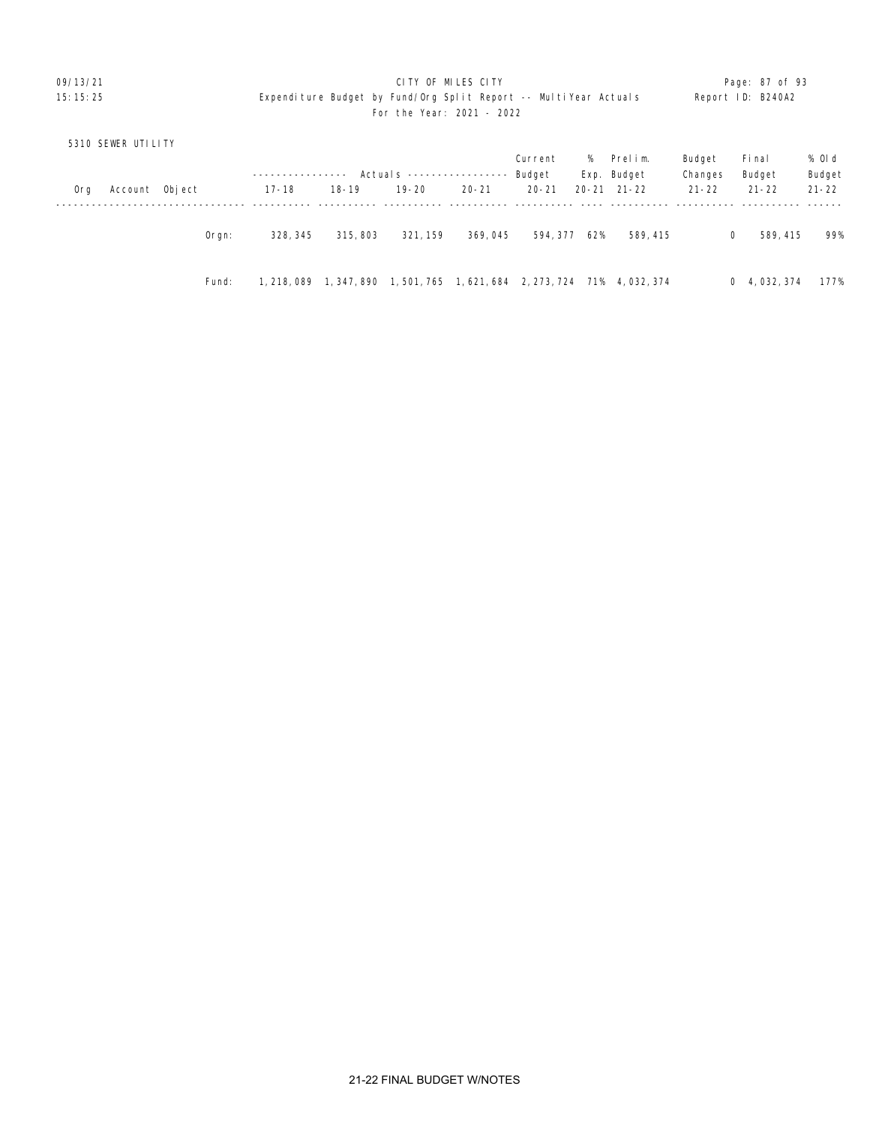### 09/13/21 **CITY OF MILES CITY CITY CONSUMING THE PAGE: 87 of 93** 15:15:25 Expenditure Budget by Fund/Org Split Report -- MultiYear Actuals Report ID: B240A2 For the Year: 2021 - 2022

| 5310 SEWER UTILITY    |       |             |             |                            |             |             |     |                     |           |                      |           |
|-----------------------|-------|-------------|-------------|----------------------------|-------------|-------------|-----|---------------------|-----------|----------------------|-----------|
|                       |       |             |             |                            |             | Current     | %   | Prelim.             | Budget    | Fi nal               | % Old     |
|                       |       |             |             | Actual s ----------------- |             | Budget      |     | Exp. Budget         | Changes   | Budget               | Budget    |
| Account Object<br>0rg |       | $17 - 18$   | $18 - 19$   | $19 - 20$                  | $20 - 21$   | $20 - 21$   |     | $20 - 21$ $21 - 22$ | $21 - 22$ | $21 - 22$            | $21 - 22$ |
|                       |       |             |             |                            |             |             |     |                     |           |                      |           |
|                       | Orgn: | 328, 345    | 315, 803    | 321, 159                   | 369,045     | 594, 377    | 62% | 589, 415            |           | 589, 415<br>$\Omega$ | 99%       |
|                       | Fund: | 1, 218, 089 | 1, 347, 890 | 1, 501, 765                | 1, 621, 684 | 2, 273, 724 | 71% | 4, 032, 374         |           | 0, 4, 032, 374       | 177%      |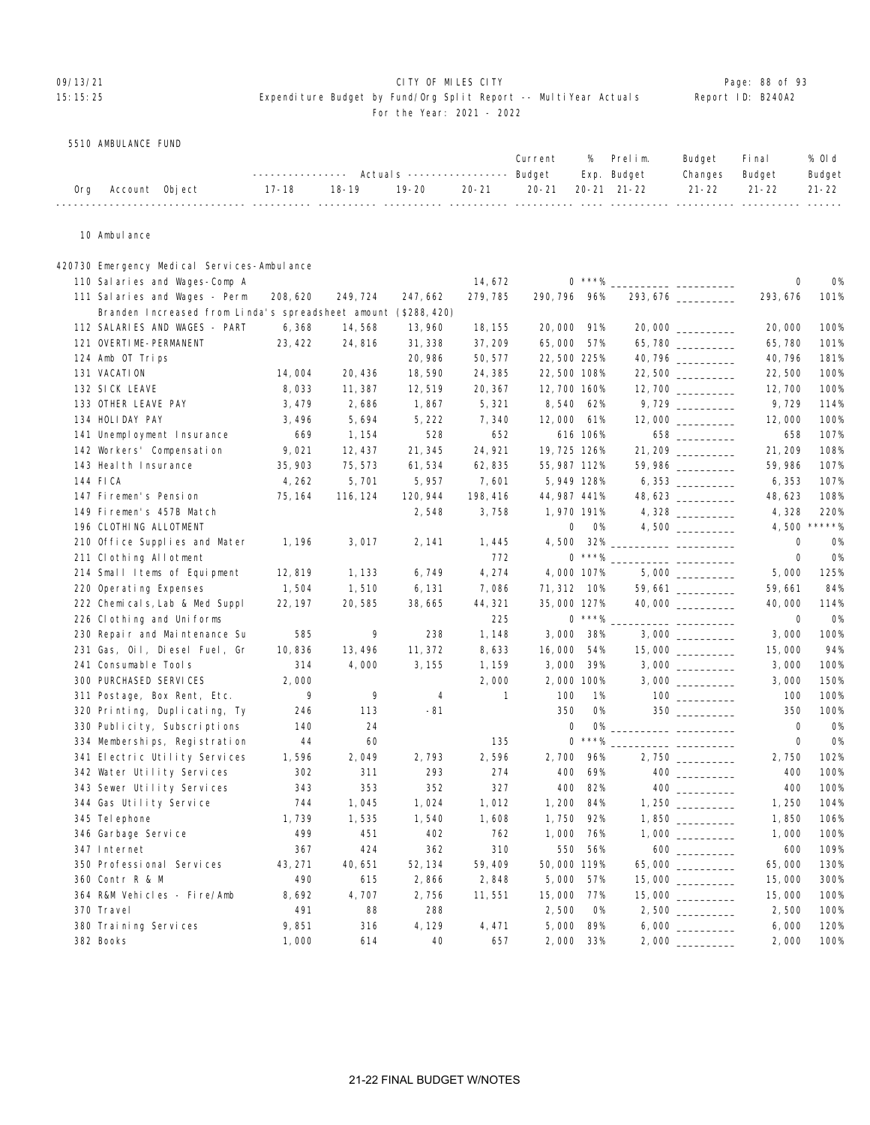### O9/13/21 **CITY OF MILES CITY CITY CITY CITY Page: 88 of 93** 15:15:25 Expenditure Budget by Fund/Org Split Report -- MultiYear Actuals Report ID: B240A2

### For the Year: 2021 - 2022

5510 AMBULANCE FUND

| ---------------    Actuals ----------------    Budget    Exp.    Budget<br>Changes Budget<br>19-20   20-21   20-21  20-21 21-22    21-22   21-22   21-22<br>$18-19$<br>17-18<br>Account Object<br>Ora |  |  |  | Current | % Prelim. | Budget | <b>Final</b> | % Old  |
|-------------------------------------------------------------------------------------------------------------------------------------------------------------------------------------------------------|--|--|--|---------|-----------|--------|--------------|--------|
|                                                                                                                                                                                                       |  |  |  |         |           |        |              | Budget |
|                                                                                                                                                                                                       |  |  |  |         |           |        |              |        |

10 Ambulance

### 420730 Emergency Medical Services-Ambulance

| 111 Salaries and Wages - Perm<br>208, 620<br>249, 724<br>279, 785<br>290, 796<br>96%<br>293, 676<br>293, 676<br>101%<br>247, 662<br>Branden Increased from Linda's spreadsheet amount (\$288,420)<br>112 SALARIES AND WAGES - PART<br>6,368<br>14,568<br>13,960<br>20,000<br>91%<br>20,000 __________<br>20,000<br>100%<br>18, 155<br>121 OVERTIME-PERMANENT<br>23, 422<br>24,816<br>65,780<br>101%<br>31, 338<br>37, 209<br>65,000<br>57%<br>65,780<br>20, 986<br>40,796<br>40, 796<br>124 Amb OT Trips<br>50, 577<br>22,500 225%<br>181%<br>131 VACATION<br>14,004<br>20, 436<br>18,590<br>24, 385<br>22,500 108%<br>22,500<br>22,500<br>100%<br>132 SICK LEAVE<br>8,033<br>12,519<br>20, 367<br>12,700 160%<br>100%<br>11, 387<br>12,700<br>133 OTHER LEAVE PAY<br>9,729<br>114%<br>3,479<br>2,686<br>1,867<br>5,321<br>8, 540<br>62%<br>134 HOLIDAY PAY<br>3,496<br>5,694<br>5, 222<br>7,340<br>12,000 61%<br>$12,000$ _________<br>100%<br>12,000<br>107%<br>141 Unemployment Insurance<br>669<br>528<br>652<br>616 106%<br>658<br>1, 154<br>142 Workers' Compensation<br>9,021<br>24, 921<br>19, 725 126%<br>21, 209<br>108%<br>12, 437<br>21, 345<br>59,986 ________<br>107%<br>143 Heal th Insurance<br>35, 903<br>75, 573<br>61,534<br>62,835<br>55, 987 112%<br>59, 986<br>144 FICA<br>4, 262<br>5,701<br>5, 957<br>7,601<br>5,949 128%<br>107%<br>6, 353<br>48, 623<br>147 Firemen's Pension<br>120, 944<br>198, 416<br>44, 987 441%<br>48, 623<br>108%<br>75, 164<br>116, 124<br>149 Firemen's 457B Match<br>3,758<br>1,970 191%<br>4,328<br>220%<br>2,548<br>$****9$<br>4,500<br>196 CLOTHING ALLOTMENT<br>0<br>$4,500$ __________<br>0%<br>210 Office Supplies and Mater<br>3,017<br>4,500<br>32%<br>$\mathbf 0$<br><b>O%</b><br>1, 196<br>2, 141<br>1,445<br>$0$ ***%<br>772<br>$\mathbf 0$<br><b>0%</b><br>211 Clothing Allotment<br>___ __________<br>6,749<br>4,274<br>4,000 107%<br>125%<br>214 Small Items of Equipment<br>12,819<br>1, 133<br>5,000<br>220 Operating Expenses<br>1,504<br>1,510<br>6, 131<br>7,086<br>71, 312 10%<br>59,661<br>59,661<br>84%<br>35,000 127%<br>40,000 __________<br>40,000<br>222 Chemicals, Lab & Med Suppl<br>22, 197<br>20,585<br>38,665<br>44, 321<br>114%<br>$0$ ***%<br>225<br>$\mathbf 0$<br>226 Clothing and Uniforms<br>0%<br>$\overline{a}$ and $\overline{a}$ and $\overline{a}$<br>585<br>9<br>3,000<br>3,000<br>100%<br>230 Repair and Maintenance Su<br>238<br>1,148<br>38%<br>3,000<br>15,000<br>231 Gas, Oil, Diesel Fuel, Gr<br>10,836<br>13,496<br>11, 372<br>8,633<br>16,000<br>54%<br>15,000<br>94%<br>241 Consumable Tools<br>314<br>4,000<br>3, 155<br>3,000<br>1, 159<br>39%<br>3,000<br>100%<br>300 PURCHASED SERVICES<br>2,000<br>150%<br>2,000<br>2,000 100%<br>3,000<br>9<br>9<br>$\mathbf{1}$<br>100<br>100%<br>311 Postage, Box Rent, Etc.<br>4<br>1%<br>100<br>320 Printing, Duplicating, Ty<br>246<br>113<br>$-81$<br>350<br><b>O%</b><br>350<br>100%<br>140<br>24<br>$\mathbf 0$<br>0%<br>$\mathbf 0$<br><b>0%</b><br>330 Publicity, Subscriptions<br>$\star\star\star\gamma_{\!\scriptscriptstyle 0}$<br>135<br>$\mathbf 0$<br>$\mathbf 0$<br><b>O%</b><br>334 Memberships, Registration<br>44<br>60<br>2,596<br>96%<br>1,596<br>2,049<br>2,793<br>2,700<br>2,750<br>102%<br>341 Electric Utility Services<br>342 Water Utility Services<br>302<br>293<br>400<br>69%<br>400<br>100%<br>311<br>274<br>343<br>353<br>352<br>327<br>400<br>82%<br>400<br>100%<br>343 Sewer Utility Services<br>104%<br>344 Gas Utility Service<br>744<br>1,045<br>1,024<br>1,012<br>1,200<br>84%<br>1,250<br>1,739<br>1,535<br>1,750<br>92%<br>1,850<br>106%<br>345 Tel ephone<br>1,540<br>1,608<br>499<br>402<br>1,000<br>1,000<br>100%<br>346 Garbage Service<br>451<br>762<br>76%<br>367<br>310<br>550<br>56%<br>109%<br>347 Internet<br>424<br>362<br>600<br>350 Professional Services<br>43, 271<br>40,651<br>52, 134<br>59,409<br>50,000 119%<br>65,000 ________<br>65,000<br>130%<br>360 Contr R & M<br>490<br>2,848<br>5,000<br>300%<br>615<br>2,866<br>57%<br>15,000<br>8,692<br>4,707<br>364 R&M Vehicles - Fire/Amb<br>2,756<br>11,551<br>15,000<br>77%<br>15,000<br>100%<br>370 Travel<br>491<br>88<br>288<br>2,500<br><b>0%</b><br>2,500<br>100%<br>380 Training Services<br>9,851<br>316<br>4, 129<br>5,000<br>89%<br>6,000<br>120%<br>4,471<br>382 Books<br>1,000<br>40<br>657<br>2,000<br>33%<br>2,000<br>100%<br>614 | 110 Salaries and Wages-Comp A |  | 14,672 | $0$ ***% | $\mathbf 0$ | <b>0%</b> |
|----------------------------------------------------------------------------------------------------------------------------------------------------------------------------------------------------------------------------------------------------------------------------------------------------------------------------------------------------------------------------------------------------------------------------------------------------------------------------------------------------------------------------------------------------------------------------------------------------------------------------------------------------------------------------------------------------------------------------------------------------------------------------------------------------------------------------------------------------------------------------------------------------------------------------------------------------------------------------------------------------------------------------------------------------------------------------------------------------------------------------------------------------------------------------------------------------------------------------------------------------------------------------------------------------------------------------------------------------------------------------------------------------------------------------------------------------------------------------------------------------------------------------------------------------------------------------------------------------------------------------------------------------------------------------------------------------------------------------------------------------------------------------------------------------------------------------------------------------------------------------------------------------------------------------------------------------------------------------------------------------------------------------------------------------------------------------------------------------------------------------------------------------------------------------------------------------------------------------------------------------------------------------------------------------------------------------------------------------------------------------------------------------------------------------------------------------------------------------------------------------------------------------------------------------------------------------------------------------------------------------------------------------------------------------------------------------------------------------------------------------------------------------------------------------------------------------------------------------------------------------------------------------------------------------------------------------------------------------------------------------------------------------------------------------------------------------------------------------------------------------------------------------------------------------------------------------------------------------------------------------------------------------------------------------------------------------------------------------------------------------------------------------------------------------------------------------------------------------------------------------------------------------------------------------------------------------------------------------------------------------------------------------------------------------------------------------------------------------------------------------------------------------------------------------------------------------------------------------------------------------------------------------------------------------------------------------------------------------------------------------------------------------------------------------------------------------------------------------------------------------------------------------------------------------------------------------------------------------------------------------------------------------------------------------------------------------------------------------------------------------------------------------------|-------------------------------|--|--------|----------|-------------|-----------|
|                                                                                                                                                                                                                                                                                                                                                                                                                                                                                                                                                                                                                                                                                                                                                                                                                                                                                                                                                                                                                                                                                                                                                                                                                                                                                                                                                                                                                                                                                                                                                                                                                                                                                                                                                                                                                                                                                                                                                                                                                                                                                                                                                                                                                                                                                                                                                                                                                                                                                                                                                                                                                                                                                                                                                                                                                                                                                                                                                                                                                                                                                                                                                                                                                                                                                                                                                                                                                                                                                                                                                                                                                                                                                                                                                                                                                                                                                                                                                                                                                                                                                                                                                                                                                                                                                                                                                                                                          |                               |  |        |          |             |           |
|                                                                                                                                                                                                                                                                                                                                                                                                                                                                                                                                                                                                                                                                                                                                                                                                                                                                                                                                                                                                                                                                                                                                                                                                                                                                                                                                                                                                                                                                                                                                                                                                                                                                                                                                                                                                                                                                                                                                                                                                                                                                                                                                                                                                                                                                                                                                                                                                                                                                                                                                                                                                                                                                                                                                                                                                                                                                                                                                                                                                                                                                                                                                                                                                                                                                                                                                                                                                                                                                                                                                                                                                                                                                                                                                                                                                                                                                                                                                                                                                                                                                                                                                                                                                                                                                                                                                                                                                          |                               |  |        |          |             |           |
|                                                                                                                                                                                                                                                                                                                                                                                                                                                                                                                                                                                                                                                                                                                                                                                                                                                                                                                                                                                                                                                                                                                                                                                                                                                                                                                                                                                                                                                                                                                                                                                                                                                                                                                                                                                                                                                                                                                                                                                                                                                                                                                                                                                                                                                                                                                                                                                                                                                                                                                                                                                                                                                                                                                                                                                                                                                                                                                                                                                                                                                                                                                                                                                                                                                                                                                                                                                                                                                                                                                                                                                                                                                                                                                                                                                                                                                                                                                                                                                                                                                                                                                                                                                                                                                                                                                                                                                                          |                               |  |        |          |             |           |
|                                                                                                                                                                                                                                                                                                                                                                                                                                                                                                                                                                                                                                                                                                                                                                                                                                                                                                                                                                                                                                                                                                                                                                                                                                                                                                                                                                                                                                                                                                                                                                                                                                                                                                                                                                                                                                                                                                                                                                                                                                                                                                                                                                                                                                                                                                                                                                                                                                                                                                                                                                                                                                                                                                                                                                                                                                                                                                                                                                                                                                                                                                                                                                                                                                                                                                                                                                                                                                                                                                                                                                                                                                                                                                                                                                                                                                                                                                                                                                                                                                                                                                                                                                                                                                                                                                                                                                                                          |                               |  |        |          |             |           |
|                                                                                                                                                                                                                                                                                                                                                                                                                                                                                                                                                                                                                                                                                                                                                                                                                                                                                                                                                                                                                                                                                                                                                                                                                                                                                                                                                                                                                                                                                                                                                                                                                                                                                                                                                                                                                                                                                                                                                                                                                                                                                                                                                                                                                                                                                                                                                                                                                                                                                                                                                                                                                                                                                                                                                                                                                                                                                                                                                                                                                                                                                                                                                                                                                                                                                                                                                                                                                                                                                                                                                                                                                                                                                                                                                                                                                                                                                                                                                                                                                                                                                                                                                                                                                                                                                                                                                                                                          |                               |  |        |          |             |           |
|                                                                                                                                                                                                                                                                                                                                                                                                                                                                                                                                                                                                                                                                                                                                                                                                                                                                                                                                                                                                                                                                                                                                                                                                                                                                                                                                                                                                                                                                                                                                                                                                                                                                                                                                                                                                                                                                                                                                                                                                                                                                                                                                                                                                                                                                                                                                                                                                                                                                                                                                                                                                                                                                                                                                                                                                                                                                                                                                                                                                                                                                                                                                                                                                                                                                                                                                                                                                                                                                                                                                                                                                                                                                                                                                                                                                                                                                                                                                                                                                                                                                                                                                                                                                                                                                                                                                                                                                          |                               |  |        |          |             |           |
|                                                                                                                                                                                                                                                                                                                                                                                                                                                                                                                                                                                                                                                                                                                                                                                                                                                                                                                                                                                                                                                                                                                                                                                                                                                                                                                                                                                                                                                                                                                                                                                                                                                                                                                                                                                                                                                                                                                                                                                                                                                                                                                                                                                                                                                                                                                                                                                                                                                                                                                                                                                                                                                                                                                                                                                                                                                                                                                                                                                                                                                                                                                                                                                                                                                                                                                                                                                                                                                                                                                                                                                                                                                                                                                                                                                                                                                                                                                                                                                                                                                                                                                                                                                                                                                                                                                                                                                                          |                               |  |        |          |             |           |
|                                                                                                                                                                                                                                                                                                                                                                                                                                                                                                                                                                                                                                                                                                                                                                                                                                                                                                                                                                                                                                                                                                                                                                                                                                                                                                                                                                                                                                                                                                                                                                                                                                                                                                                                                                                                                                                                                                                                                                                                                                                                                                                                                                                                                                                                                                                                                                                                                                                                                                                                                                                                                                                                                                                                                                                                                                                                                                                                                                                                                                                                                                                                                                                                                                                                                                                                                                                                                                                                                                                                                                                                                                                                                                                                                                                                                                                                                                                                                                                                                                                                                                                                                                                                                                                                                                                                                                                                          |                               |  |        |          |             |           |
|                                                                                                                                                                                                                                                                                                                                                                                                                                                                                                                                                                                                                                                                                                                                                                                                                                                                                                                                                                                                                                                                                                                                                                                                                                                                                                                                                                                                                                                                                                                                                                                                                                                                                                                                                                                                                                                                                                                                                                                                                                                                                                                                                                                                                                                                                                                                                                                                                                                                                                                                                                                                                                                                                                                                                                                                                                                                                                                                                                                                                                                                                                                                                                                                                                                                                                                                                                                                                                                                                                                                                                                                                                                                                                                                                                                                                                                                                                                                                                                                                                                                                                                                                                                                                                                                                                                                                                                                          |                               |  |        |          |             |           |
|                                                                                                                                                                                                                                                                                                                                                                                                                                                                                                                                                                                                                                                                                                                                                                                                                                                                                                                                                                                                                                                                                                                                                                                                                                                                                                                                                                                                                                                                                                                                                                                                                                                                                                                                                                                                                                                                                                                                                                                                                                                                                                                                                                                                                                                                                                                                                                                                                                                                                                                                                                                                                                                                                                                                                                                                                                                                                                                                                                                                                                                                                                                                                                                                                                                                                                                                                                                                                                                                                                                                                                                                                                                                                                                                                                                                                                                                                                                                                                                                                                                                                                                                                                                                                                                                                                                                                                                                          |                               |  |        |          |             |           |
|                                                                                                                                                                                                                                                                                                                                                                                                                                                                                                                                                                                                                                                                                                                                                                                                                                                                                                                                                                                                                                                                                                                                                                                                                                                                                                                                                                                                                                                                                                                                                                                                                                                                                                                                                                                                                                                                                                                                                                                                                                                                                                                                                                                                                                                                                                                                                                                                                                                                                                                                                                                                                                                                                                                                                                                                                                                                                                                                                                                                                                                                                                                                                                                                                                                                                                                                                                                                                                                                                                                                                                                                                                                                                                                                                                                                                                                                                                                                                                                                                                                                                                                                                                                                                                                                                                                                                                                                          |                               |  |        |          |             |           |
|                                                                                                                                                                                                                                                                                                                                                                                                                                                                                                                                                                                                                                                                                                                                                                                                                                                                                                                                                                                                                                                                                                                                                                                                                                                                                                                                                                                                                                                                                                                                                                                                                                                                                                                                                                                                                                                                                                                                                                                                                                                                                                                                                                                                                                                                                                                                                                                                                                                                                                                                                                                                                                                                                                                                                                                                                                                                                                                                                                                                                                                                                                                                                                                                                                                                                                                                                                                                                                                                                                                                                                                                                                                                                                                                                                                                                                                                                                                                                                                                                                                                                                                                                                                                                                                                                                                                                                                                          |                               |  |        |          |             |           |
|                                                                                                                                                                                                                                                                                                                                                                                                                                                                                                                                                                                                                                                                                                                                                                                                                                                                                                                                                                                                                                                                                                                                                                                                                                                                                                                                                                                                                                                                                                                                                                                                                                                                                                                                                                                                                                                                                                                                                                                                                                                                                                                                                                                                                                                                                                                                                                                                                                                                                                                                                                                                                                                                                                                                                                                                                                                                                                                                                                                                                                                                                                                                                                                                                                                                                                                                                                                                                                                                                                                                                                                                                                                                                                                                                                                                                                                                                                                                                                                                                                                                                                                                                                                                                                                                                                                                                                                                          |                               |  |        |          |             |           |
|                                                                                                                                                                                                                                                                                                                                                                                                                                                                                                                                                                                                                                                                                                                                                                                                                                                                                                                                                                                                                                                                                                                                                                                                                                                                                                                                                                                                                                                                                                                                                                                                                                                                                                                                                                                                                                                                                                                                                                                                                                                                                                                                                                                                                                                                                                                                                                                                                                                                                                                                                                                                                                                                                                                                                                                                                                                                                                                                                                                                                                                                                                                                                                                                                                                                                                                                                                                                                                                                                                                                                                                                                                                                                                                                                                                                                                                                                                                                                                                                                                                                                                                                                                                                                                                                                                                                                                                                          |                               |  |        |          |             |           |
|                                                                                                                                                                                                                                                                                                                                                                                                                                                                                                                                                                                                                                                                                                                                                                                                                                                                                                                                                                                                                                                                                                                                                                                                                                                                                                                                                                                                                                                                                                                                                                                                                                                                                                                                                                                                                                                                                                                                                                                                                                                                                                                                                                                                                                                                                                                                                                                                                                                                                                                                                                                                                                                                                                                                                                                                                                                                                                                                                                                                                                                                                                                                                                                                                                                                                                                                                                                                                                                                                                                                                                                                                                                                                                                                                                                                                                                                                                                                                                                                                                                                                                                                                                                                                                                                                                                                                                                                          |                               |  |        |          |             |           |
|                                                                                                                                                                                                                                                                                                                                                                                                                                                                                                                                                                                                                                                                                                                                                                                                                                                                                                                                                                                                                                                                                                                                                                                                                                                                                                                                                                                                                                                                                                                                                                                                                                                                                                                                                                                                                                                                                                                                                                                                                                                                                                                                                                                                                                                                                                                                                                                                                                                                                                                                                                                                                                                                                                                                                                                                                                                                                                                                                                                                                                                                                                                                                                                                                                                                                                                                                                                                                                                                                                                                                                                                                                                                                                                                                                                                                                                                                                                                                                                                                                                                                                                                                                                                                                                                                                                                                                                                          |                               |  |        |          |             |           |
|                                                                                                                                                                                                                                                                                                                                                                                                                                                                                                                                                                                                                                                                                                                                                                                                                                                                                                                                                                                                                                                                                                                                                                                                                                                                                                                                                                                                                                                                                                                                                                                                                                                                                                                                                                                                                                                                                                                                                                                                                                                                                                                                                                                                                                                                                                                                                                                                                                                                                                                                                                                                                                                                                                                                                                                                                                                                                                                                                                                                                                                                                                                                                                                                                                                                                                                                                                                                                                                                                                                                                                                                                                                                                                                                                                                                                                                                                                                                                                                                                                                                                                                                                                                                                                                                                                                                                                                                          |                               |  |        |          |             |           |
|                                                                                                                                                                                                                                                                                                                                                                                                                                                                                                                                                                                                                                                                                                                                                                                                                                                                                                                                                                                                                                                                                                                                                                                                                                                                                                                                                                                                                                                                                                                                                                                                                                                                                                                                                                                                                                                                                                                                                                                                                                                                                                                                                                                                                                                                                                                                                                                                                                                                                                                                                                                                                                                                                                                                                                                                                                                                                                                                                                                                                                                                                                                                                                                                                                                                                                                                                                                                                                                                                                                                                                                                                                                                                                                                                                                                                                                                                                                                                                                                                                                                                                                                                                                                                                                                                                                                                                                                          |                               |  |        |          |             |           |
|                                                                                                                                                                                                                                                                                                                                                                                                                                                                                                                                                                                                                                                                                                                                                                                                                                                                                                                                                                                                                                                                                                                                                                                                                                                                                                                                                                                                                                                                                                                                                                                                                                                                                                                                                                                                                                                                                                                                                                                                                                                                                                                                                                                                                                                                                                                                                                                                                                                                                                                                                                                                                                                                                                                                                                                                                                                                                                                                                                                                                                                                                                                                                                                                                                                                                                                                                                                                                                                                                                                                                                                                                                                                                                                                                                                                                                                                                                                                                                                                                                                                                                                                                                                                                                                                                                                                                                                                          |                               |  |        |          |             |           |
|                                                                                                                                                                                                                                                                                                                                                                                                                                                                                                                                                                                                                                                                                                                                                                                                                                                                                                                                                                                                                                                                                                                                                                                                                                                                                                                                                                                                                                                                                                                                                                                                                                                                                                                                                                                                                                                                                                                                                                                                                                                                                                                                                                                                                                                                                                                                                                                                                                                                                                                                                                                                                                                                                                                                                                                                                                                                                                                                                                                                                                                                                                                                                                                                                                                                                                                                                                                                                                                                                                                                                                                                                                                                                                                                                                                                                                                                                                                                                                                                                                                                                                                                                                                                                                                                                                                                                                                                          |                               |  |        |          |             |           |
|                                                                                                                                                                                                                                                                                                                                                                                                                                                                                                                                                                                                                                                                                                                                                                                                                                                                                                                                                                                                                                                                                                                                                                                                                                                                                                                                                                                                                                                                                                                                                                                                                                                                                                                                                                                                                                                                                                                                                                                                                                                                                                                                                                                                                                                                                                                                                                                                                                                                                                                                                                                                                                                                                                                                                                                                                                                                                                                                                                                                                                                                                                                                                                                                                                                                                                                                                                                                                                                                                                                                                                                                                                                                                                                                                                                                                                                                                                                                                                                                                                                                                                                                                                                                                                                                                                                                                                                                          |                               |  |        |          |             |           |
|                                                                                                                                                                                                                                                                                                                                                                                                                                                                                                                                                                                                                                                                                                                                                                                                                                                                                                                                                                                                                                                                                                                                                                                                                                                                                                                                                                                                                                                                                                                                                                                                                                                                                                                                                                                                                                                                                                                                                                                                                                                                                                                                                                                                                                                                                                                                                                                                                                                                                                                                                                                                                                                                                                                                                                                                                                                                                                                                                                                                                                                                                                                                                                                                                                                                                                                                                                                                                                                                                                                                                                                                                                                                                                                                                                                                                                                                                                                                                                                                                                                                                                                                                                                                                                                                                                                                                                                                          |                               |  |        |          |             |           |
|                                                                                                                                                                                                                                                                                                                                                                                                                                                                                                                                                                                                                                                                                                                                                                                                                                                                                                                                                                                                                                                                                                                                                                                                                                                                                                                                                                                                                                                                                                                                                                                                                                                                                                                                                                                                                                                                                                                                                                                                                                                                                                                                                                                                                                                                                                                                                                                                                                                                                                                                                                                                                                                                                                                                                                                                                                                                                                                                                                                                                                                                                                                                                                                                                                                                                                                                                                                                                                                                                                                                                                                                                                                                                                                                                                                                                                                                                                                                                                                                                                                                                                                                                                                                                                                                                                                                                                                                          |                               |  |        |          |             |           |
|                                                                                                                                                                                                                                                                                                                                                                                                                                                                                                                                                                                                                                                                                                                                                                                                                                                                                                                                                                                                                                                                                                                                                                                                                                                                                                                                                                                                                                                                                                                                                                                                                                                                                                                                                                                                                                                                                                                                                                                                                                                                                                                                                                                                                                                                                                                                                                                                                                                                                                                                                                                                                                                                                                                                                                                                                                                                                                                                                                                                                                                                                                                                                                                                                                                                                                                                                                                                                                                                                                                                                                                                                                                                                                                                                                                                                                                                                                                                                                                                                                                                                                                                                                                                                                                                                                                                                                                                          |                               |  |        |          |             |           |
|                                                                                                                                                                                                                                                                                                                                                                                                                                                                                                                                                                                                                                                                                                                                                                                                                                                                                                                                                                                                                                                                                                                                                                                                                                                                                                                                                                                                                                                                                                                                                                                                                                                                                                                                                                                                                                                                                                                                                                                                                                                                                                                                                                                                                                                                                                                                                                                                                                                                                                                                                                                                                                                                                                                                                                                                                                                                                                                                                                                                                                                                                                                                                                                                                                                                                                                                                                                                                                                                                                                                                                                                                                                                                                                                                                                                                                                                                                                                                                                                                                                                                                                                                                                                                                                                                                                                                                                                          |                               |  |        |          |             |           |
|                                                                                                                                                                                                                                                                                                                                                                                                                                                                                                                                                                                                                                                                                                                                                                                                                                                                                                                                                                                                                                                                                                                                                                                                                                                                                                                                                                                                                                                                                                                                                                                                                                                                                                                                                                                                                                                                                                                                                                                                                                                                                                                                                                                                                                                                                                                                                                                                                                                                                                                                                                                                                                                                                                                                                                                                                                                                                                                                                                                                                                                                                                                                                                                                                                                                                                                                                                                                                                                                                                                                                                                                                                                                                                                                                                                                                                                                                                                                                                                                                                                                                                                                                                                                                                                                                                                                                                                                          |                               |  |        |          |             |           |
|                                                                                                                                                                                                                                                                                                                                                                                                                                                                                                                                                                                                                                                                                                                                                                                                                                                                                                                                                                                                                                                                                                                                                                                                                                                                                                                                                                                                                                                                                                                                                                                                                                                                                                                                                                                                                                                                                                                                                                                                                                                                                                                                                                                                                                                                                                                                                                                                                                                                                                                                                                                                                                                                                                                                                                                                                                                                                                                                                                                                                                                                                                                                                                                                                                                                                                                                                                                                                                                                                                                                                                                                                                                                                                                                                                                                                                                                                                                                                                                                                                                                                                                                                                                                                                                                                                                                                                                                          |                               |  |        |          |             |           |
|                                                                                                                                                                                                                                                                                                                                                                                                                                                                                                                                                                                                                                                                                                                                                                                                                                                                                                                                                                                                                                                                                                                                                                                                                                                                                                                                                                                                                                                                                                                                                                                                                                                                                                                                                                                                                                                                                                                                                                                                                                                                                                                                                                                                                                                                                                                                                                                                                                                                                                                                                                                                                                                                                                                                                                                                                                                                                                                                                                                                                                                                                                                                                                                                                                                                                                                                                                                                                                                                                                                                                                                                                                                                                                                                                                                                                                                                                                                                                                                                                                                                                                                                                                                                                                                                                                                                                                                                          |                               |  |        |          |             |           |
|                                                                                                                                                                                                                                                                                                                                                                                                                                                                                                                                                                                                                                                                                                                                                                                                                                                                                                                                                                                                                                                                                                                                                                                                                                                                                                                                                                                                                                                                                                                                                                                                                                                                                                                                                                                                                                                                                                                                                                                                                                                                                                                                                                                                                                                                                                                                                                                                                                                                                                                                                                                                                                                                                                                                                                                                                                                                                                                                                                                                                                                                                                                                                                                                                                                                                                                                                                                                                                                                                                                                                                                                                                                                                                                                                                                                                                                                                                                                                                                                                                                                                                                                                                                                                                                                                                                                                                                                          |                               |  |        |          |             |           |
|                                                                                                                                                                                                                                                                                                                                                                                                                                                                                                                                                                                                                                                                                                                                                                                                                                                                                                                                                                                                                                                                                                                                                                                                                                                                                                                                                                                                                                                                                                                                                                                                                                                                                                                                                                                                                                                                                                                                                                                                                                                                                                                                                                                                                                                                                                                                                                                                                                                                                                                                                                                                                                                                                                                                                                                                                                                                                                                                                                                                                                                                                                                                                                                                                                                                                                                                                                                                                                                                                                                                                                                                                                                                                                                                                                                                                                                                                                                                                                                                                                                                                                                                                                                                                                                                                                                                                                                                          |                               |  |        |          |             |           |
|                                                                                                                                                                                                                                                                                                                                                                                                                                                                                                                                                                                                                                                                                                                                                                                                                                                                                                                                                                                                                                                                                                                                                                                                                                                                                                                                                                                                                                                                                                                                                                                                                                                                                                                                                                                                                                                                                                                                                                                                                                                                                                                                                                                                                                                                                                                                                                                                                                                                                                                                                                                                                                                                                                                                                                                                                                                                                                                                                                                                                                                                                                                                                                                                                                                                                                                                                                                                                                                                                                                                                                                                                                                                                                                                                                                                                                                                                                                                                                                                                                                                                                                                                                                                                                                                                                                                                                                                          |                               |  |        |          |             |           |
|                                                                                                                                                                                                                                                                                                                                                                                                                                                                                                                                                                                                                                                                                                                                                                                                                                                                                                                                                                                                                                                                                                                                                                                                                                                                                                                                                                                                                                                                                                                                                                                                                                                                                                                                                                                                                                                                                                                                                                                                                                                                                                                                                                                                                                                                                                                                                                                                                                                                                                                                                                                                                                                                                                                                                                                                                                                                                                                                                                                                                                                                                                                                                                                                                                                                                                                                                                                                                                                                                                                                                                                                                                                                                                                                                                                                                                                                                                                                                                                                                                                                                                                                                                                                                                                                                                                                                                                                          |                               |  |        |          |             |           |
|                                                                                                                                                                                                                                                                                                                                                                                                                                                                                                                                                                                                                                                                                                                                                                                                                                                                                                                                                                                                                                                                                                                                                                                                                                                                                                                                                                                                                                                                                                                                                                                                                                                                                                                                                                                                                                                                                                                                                                                                                                                                                                                                                                                                                                                                                                                                                                                                                                                                                                                                                                                                                                                                                                                                                                                                                                                                                                                                                                                                                                                                                                                                                                                                                                                                                                                                                                                                                                                                                                                                                                                                                                                                                                                                                                                                                                                                                                                                                                                                                                                                                                                                                                                                                                                                                                                                                                                                          |                               |  |        |          |             |           |
|                                                                                                                                                                                                                                                                                                                                                                                                                                                                                                                                                                                                                                                                                                                                                                                                                                                                                                                                                                                                                                                                                                                                                                                                                                                                                                                                                                                                                                                                                                                                                                                                                                                                                                                                                                                                                                                                                                                                                                                                                                                                                                                                                                                                                                                                                                                                                                                                                                                                                                                                                                                                                                                                                                                                                                                                                                                                                                                                                                                                                                                                                                                                                                                                                                                                                                                                                                                                                                                                                                                                                                                                                                                                                                                                                                                                                                                                                                                                                                                                                                                                                                                                                                                                                                                                                                                                                                                                          |                               |  |        |          |             |           |
|                                                                                                                                                                                                                                                                                                                                                                                                                                                                                                                                                                                                                                                                                                                                                                                                                                                                                                                                                                                                                                                                                                                                                                                                                                                                                                                                                                                                                                                                                                                                                                                                                                                                                                                                                                                                                                                                                                                                                                                                                                                                                                                                                                                                                                                                                                                                                                                                                                                                                                                                                                                                                                                                                                                                                                                                                                                                                                                                                                                                                                                                                                                                                                                                                                                                                                                                                                                                                                                                                                                                                                                                                                                                                                                                                                                                                                                                                                                                                                                                                                                                                                                                                                                                                                                                                                                                                                                                          |                               |  |        |          |             |           |
|                                                                                                                                                                                                                                                                                                                                                                                                                                                                                                                                                                                                                                                                                                                                                                                                                                                                                                                                                                                                                                                                                                                                                                                                                                                                                                                                                                                                                                                                                                                                                                                                                                                                                                                                                                                                                                                                                                                                                                                                                                                                                                                                                                                                                                                                                                                                                                                                                                                                                                                                                                                                                                                                                                                                                                                                                                                                                                                                                                                                                                                                                                                                                                                                                                                                                                                                                                                                                                                                                                                                                                                                                                                                                                                                                                                                                                                                                                                                                                                                                                                                                                                                                                                                                                                                                                                                                                                                          |                               |  |        |          |             |           |
|                                                                                                                                                                                                                                                                                                                                                                                                                                                                                                                                                                                                                                                                                                                                                                                                                                                                                                                                                                                                                                                                                                                                                                                                                                                                                                                                                                                                                                                                                                                                                                                                                                                                                                                                                                                                                                                                                                                                                                                                                                                                                                                                                                                                                                                                                                                                                                                                                                                                                                                                                                                                                                                                                                                                                                                                                                                                                                                                                                                                                                                                                                                                                                                                                                                                                                                                                                                                                                                                                                                                                                                                                                                                                                                                                                                                                                                                                                                                                                                                                                                                                                                                                                                                                                                                                                                                                                                                          |                               |  |        |          |             |           |
|                                                                                                                                                                                                                                                                                                                                                                                                                                                                                                                                                                                                                                                                                                                                                                                                                                                                                                                                                                                                                                                                                                                                                                                                                                                                                                                                                                                                                                                                                                                                                                                                                                                                                                                                                                                                                                                                                                                                                                                                                                                                                                                                                                                                                                                                                                                                                                                                                                                                                                                                                                                                                                                                                                                                                                                                                                                                                                                                                                                                                                                                                                                                                                                                                                                                                                                                                                                                                                                                                                                                                                                                                                                                                                                                                                                                                                                                                                                                                                                                                                                                                                                                                                                                                                                                                                                                                                                                          |                               |  |        |          |             |           |
|                                                                                                                                                                                                                                                                                                                                                                                                                                                                                                                                                                                                                                                                                                                                                                                                                                                                                                                                                                                                                                                                                                                                                                                                                                                                                                                                                                                                                                                                                                                                                                                                                                                                                                                                                                                                                                                                                                                                                                                                                                                                                                                                                                                                                                                                                                                                                                                                                                                                                                                                                                                                                                                                                                                                                                                                                                                                                                                                                                                                                                                                                                                                                                                                                                                                                                                                                                                                                                                                                                                                                                                                                                                                                                                                                                                                                                                                                                                                                                                                                                                                                                                                                                                                                                                                                                                                                                                                          |                               |  |        |          |             |           |
|                                                                                                                                                                                                                                                                                                                                                                                                                                                                                                                                                                                                                                                                                                                                                                                                                                                                                                                                                                                                                                                                                                                                                                                                                                                                                                                                                                                                                                                                                                                                                                                                                                                                                                                                                                                                                                                                                                                                                                                                                                                                                                                                                                                                                                                                                                                                                                                                                                                                                                                                                                                                                                                                                                                                                                                                                                                                                                                                                                                                                                                                                                                                                                                                                                                                                                                                                                                                                                                                                                                                                                                                                                                                                                                                                                                                                                                                                                                                                                                                                                                                                                                                                                                                                                                                                                                                                                                                          |                               |  |        |          |             |           |
|                                                                                                                                                                                                                                                                                                                                                                                                                                                                                                                                                                                                                                                                                                                                                                                                                                                                                                                                                                                                                                                                                                                                                                                                                                                                                                                                                                                                                                                                                                                                                                                                                                                                                                                                                                                                                                                                                                                                                                                                                                                                                                                                                                                                                                                                                                                                                                                                                                                                                                                                                                                                                                                                                                                                                                                                                                                                                                                                                                                                                                                                                                                                                                                                                                                                                                                                                                                                                                                                                                                                                                                                                                                                                                                                                                                                                                                                                                                                                                                                                                                                                                                                                                                                                                                                                                                                                                                                          |                               |  |        |          |             |           |
|                                                                                                                                                                                                                                                                                                                                                                                                                                                                                                                                                                                                                                                                                                                                                                                                                                                                                                                                                                                                                                                                                                                                                                                                                                                                                                                                                                                                                                                                                                                                                                                                                                                                                                                                                                                                                                                                                                                                                                                                                                                                                                                                                                                                                                                                                                                                                                                                                                                                                                                                                                                                                                                                                                                                                                                                                                                                                                                                                                                                                                                                                                                                                                                                                                                                                                                                                                                                                                                                                                                                                                                                                                                                                                                                                                                                                                                                                                                                                                                                                                                                                                                                                                                                                                                                                                                                                                                                          |                               |  |        |          |             |           |
|                                                                                                                                                                                                                                                                                                                                                                                                                                                                                                                                                                                                                                                                                                                                                                                                                                                                                                                                                                                                                                                                                                                                                                                                                                                                                                                                                                                                                                                                                                                                                                                                                                                                                                                                                                                                                                                                                                                                                                                                                                                                                                                                                                                                                                                                                                                                                                                                                                                                                                                                                                                                                                                                                                                                                                                                                                                                                                                                                                                                                                                                                                                                                                                                                                                                                                                                                                                                                                                                                                                                                                                                                                                                                                                                                                                                                                                                                                                                                                                                                                                                                                                                                                                                                                                                                                                                                                                                          |                               |  |        |          |             |           |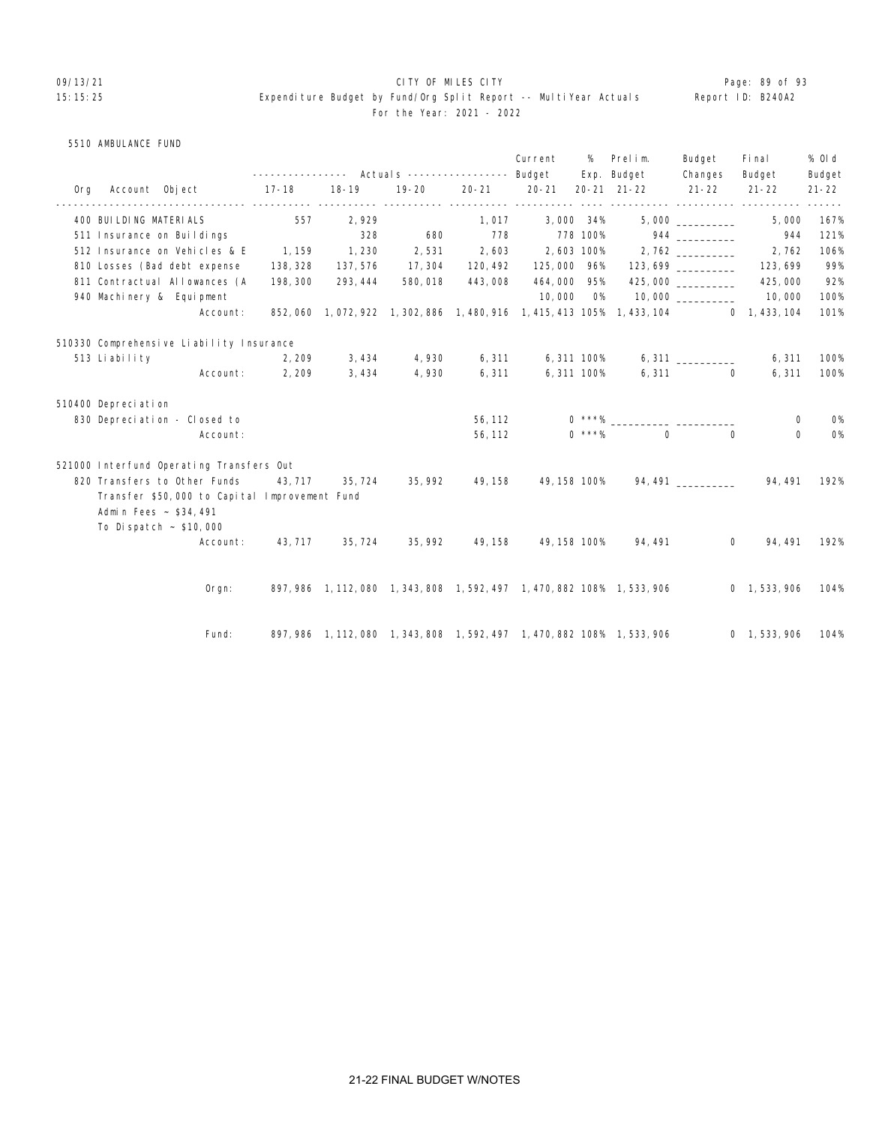# 09/13/21 **CITY OF MILES CITY CITY CONSUMILES CITY Page: 89 of 93** 15:15:25 Expenditure Budget by Fund/Org Split Report -- MultiYear Actuals Report ID: B240A2 For the Year: 2021 - 2022

|  | 5510 AMBULANCE FUND |  |  |
|--|---------------------|--|--|
|--|---------------------|--|--|

|                                                                                                       |           |          |                         |           | Current          | %        | Prelim.<br>Exp. Budget                                                                  | Budget<br>Changes | Fi nal<br>Budget                         | % OI d              |
|-------------------------------------------------------------------------------------------------------|-----------|----------|-------------------------|-----------|------------------|----------|-----------------------------------------------------------------------------------------|-------------------|------------------------------------------|---------------------|
| Org Account Object                                                                                    | $17 - 18$ | 18-19    | 19-20                   | $20 - 21$ | $20 - 21$        |          | 20-21 21-22                                                                             | $21 - 22$         | $21 - 22$                                | Budget<br>$21 - 22$ |
| 400 BUI LDI NG MATERI ALS                                                                             | 557       | 2,929    |                         |           | 1,017 3,000 34%  |          |                                                                                         | 5,000             | ---------- ---------- ---------<br>5,000 | 167%                |
| 511 Insurance on Buildings                                                                            |           | 328      | 680                     | 778       | 778 100%         |          |                                                                                         |                   | 944                                      | 121%                |
| 512 Insurance on Vehicles & E                                                                         | 1, 159    | 1, 230   | 2,531                   |           | 2,603 2,603 100% |          |                                                                                         |                   | 2,762                                    | 106%                |
| 810 Losses (Bad debt expense                                                                          | 138, 328  | 137, 576 | 17, 304                 |           |                  |          |                                                                                         |                   | 123, 699                                 | 99%                 |
| 811 Contractual Allowances (A                                                                         | 198, 300  | 293, 444 | 580,018                 | 443,008   | 464,000 95%      |          |                                                                                         | 425,000           | 425,000                                  | 92%                 |
| 940 Machinery & Equipment                                                                             |           |          |                         |           | 10,000           | O%       |                                                                                         |                   | 10,000                                   | 100%                |
| Account:                                                                                              |           |          |                         |           |                  |          | 852, 060 1, 072, 922 1, 302, 886 1, 480, 916 1, 415, 413 105% 1, 433, 104 0 1, 433, 104 |                   |                                          | 101%                |
| 510330 Comprehensive Liability Insurance                                                              |           |          |                         |           |                  |          |                                                                                         |                   |                                          |                     |
| 513 Liability                                                                                         | 2, 209    | 3,434    | 4,930                   | 6,311     | 6,311 100%       |          |                                                                                         |                   | 6, 311                                   | 100%                |
| Account:                                                                                              | 2, 209    | 3,434    | 4,930                   | 6, 311    | 6,311 100%       |          |                                                                                         | 6,311<br>$\Omega$ | 6, 311                                   | 100%                |
| 510400 Depreciation                                                                                   |           |          |                         |           |                  |          |                                                                                         |                   |                                          |                     |
| 830 Depreciation - Closed to                                                                          |           |          |                         | 56, 112   |                  |          | $0 * * * \%$                                                                            |                   | 0                                        | <b>O%</b>           |
| Account:                                                                                              |           |          |                         | 56, 112   |                  | $0$ ***% | $\Omega$                                                                                | $\Omega$          | 0                                        | <b>O%</b>           |
| 521000 Interfund Operating Transfers Out                                                              |           |          |                         |           |                  |          |                                                                                         |                   |                                          |                     |
| 820 Transfers to Other Funds                                                                          | 43, 717   | 35, 724  | 35, 992                 | 49, 158   | 49, 158 100%     |          |                                                                                         |                   |                                          | 192%                |
| Transfer \$50,000 to Capital Improvement Fund<br>Admin Fees ~ \$34,491<br>To Dispatch $\sim$ \$10,000 |           |          |                         |           |                  |          |                                                                                         |                   |                                          |                     |
| Account:                                                                                              |           |          | 43, 717 35, 724 35, 992 | 49, 158   |                  |          | 49, 158 100% 94, 491                                                                    | $\Omega$          | 94, 491                                  | 192%                |
| $O$ rgn:                                                                                              |           |          |                         |           |                  |          | 897, 986 1, 112, 080 1, 343, 808 1, 592, 497 1, 470, 882 108% 1, 533, 906               |                   | 0, 1, 533, 906                           | 104%                |
| Fund:                                                                                                 |           |          |                         |           |                  |          | 897, 986 1, 112, 080 1, 343, 808 1, 592, 497 1, 470, 882 108% 1, 533, 906               |                   | 0 1,533,906 104%                         |                     |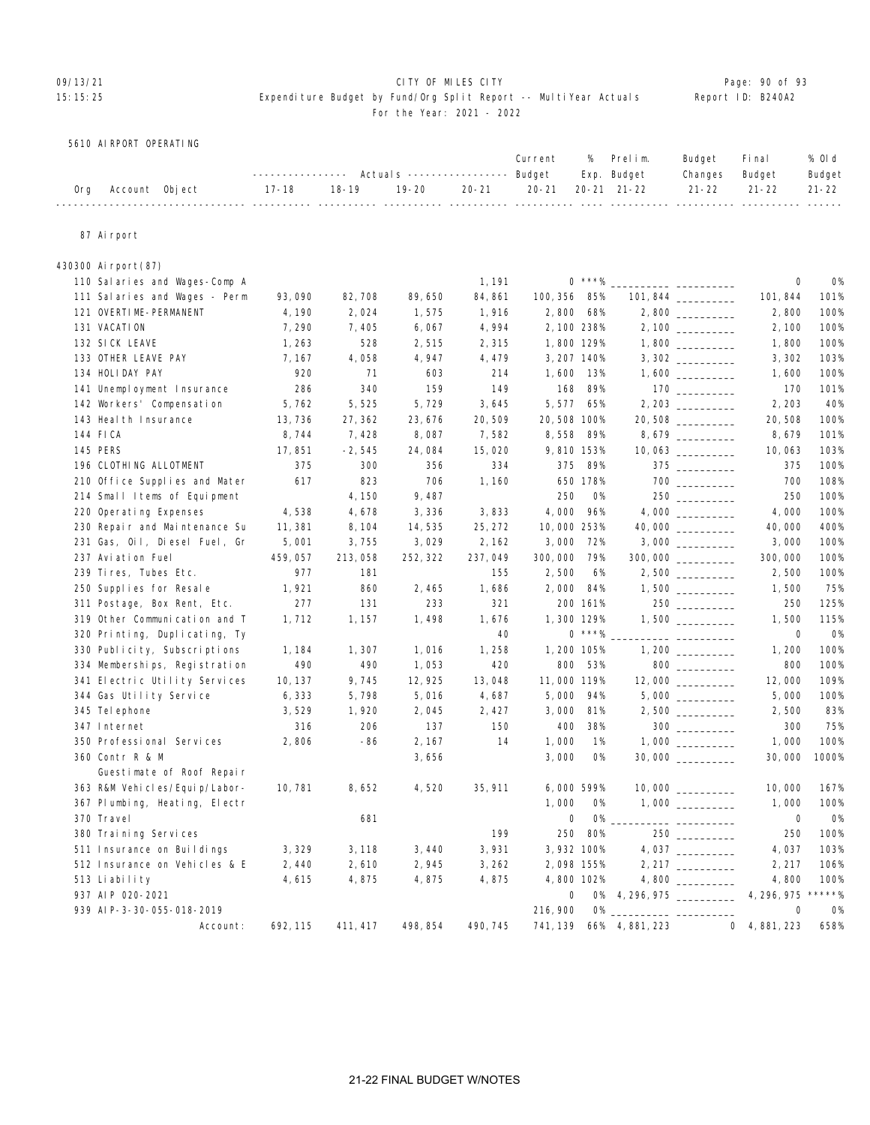# 09/13/21 CITY OF MILES CITY Page: 90 of 93

# 15:15:25 Expenditure Budget by Fund/Org Split Report -- MultiYear Actuals Report ID: B240A2 For the Year: 2021 - 2022

5610 AIRPORT OPERATING

| ---------------    Actuals ----------------    Budget    Exp.    Budget<br>Changes Budget<br>19-20   20-21   20-21  20-21 21-22    21-22   21-22   21-22<br>18-19<br>17-18<br>Account Object<br>0ra |  |  |  | Current | % Prelim. | Budget | Fi na l | % Old  |
|-----------------------------------------------------------------------------------------------------------------------------------------------------------------------------------------------------|--|--|--|---------|-----------|--------|---------|--------|
|                                                                                                                                                                                                     |  |  |  |         |           |        |         | Budget |
|                                                                                                                                                                                                     |  |  |  |         |           |        |         |        |

# 87 Airport

| 430300 Airport(87)                           |          |          |          |          |             |           |                 |                                                                 |                |               |
|----------------------------------------------|----------|----------|----------|----------|-------------|-----------|-----------------|-----------------------------------------------------------------|----------------|---------------|
| 110 Salaries and Wages-Comp A                |          |          |          | 1, 191   |             | $0$ ***%  |                 |                                                                 | 0              | <b>O%</b>     |
| 111 Salaries and Wages - Perm                | 93,090   | 82,708   | 89,650   | 84, 861  | 100, 356    | 85%       |                 |                                                                 | 101, 844       | 101%          |
| 121 OVERTIME-PERMANENT                       | 4,190    | 2,024    | 1,575    | 1,916    | 2,800       | 68%       |                 |                                                                 | 2,800          | 100%          |
| 131 VACATION                                 | 7,290    | 7,405    | 6,067    | 4,994    | 2, 100 238% |           |                 |                                                                 | 2,100          | 100%          |
| 132 SICK LEAVE                               | 1,263    | 528      | 2,515    | 2,315    | 1,800 129%  |           |                 |                                                                 | 1,800          | 100%          |
| 133 OTHER LEAVE PAY                          | 7, 167   | 4,058    | 4,947    | 4,479    | 3, 207 140% |           |                 |                                                                 | 3,302          | 103%          |
| 134 HOLIDAY PAY                              | 920      | 71       | 603      | 214      | 1,600       | 13%       |                 |                                                                 | 1,600          | 100%          |
| 141 Unemployment Insurance                   | 286      | 340      | 159      | 149      | 168         | 89%       |                 | $\begin{array}{c}\n170 \quad \text{---} \\ \hline\n\end{array}$ | 170            | 101%          |
| 142 Workers' Compensation                    | 5,762    | 5,525    | 5,729    | 3,645    | 5,577       | 65%       |                 |                                                                 | 2, 203         | 40%           |
| 143 Heal th Insurance                        | 13,736   | 27,362   | 23, 676  | 20,509   | 20,508 100% |           |                 | $20,508$ ____________                                           | 20,508         | 100%          |
| 144 FICA                                     | 8,744    | 7,428    | 8,087    | 7,582    | 8,558       | 89%       |                 |                                                                 | 8,679          | 101%          |
| 145 PERS                                     | 17,851   | $-2,545$ | 24,084   | 15,020   | 9,810 153%  |           |                 | 10,063                                                          | 10,063         | 103%          |
| 196 CLOTHING ALLOTMENT                       | 375      | 300      | 356      | 334      | 375         | 89%       |                 | $375$                                                           | 375            | 100%          |
| 210 Office Supplies and Mater                | 617      | 823      | 706      | 1,160    |             | 650 178%  |                 |                                                                 | 700            | 108%          |
| 214 Small Items of Equipment                 |          | 4,150    | 9,487    |          | 250         | <b>O%</b> |                 |                                                                 | 250            | 100%          |
| 220 Operating Expenses                       | 4,538    | 4,678    | 3,336    | 3,833    | 4,000       | 96%       |                 |                                                                 | 4,000          | 100%          |
| 230 Repair and Maintenance Su                | 11, 381  | 8, 104   | 14,535   | 25, 272  | 10,000 253% |           |                 | 40,000 _________                                                | 40,000         | 400%          |
| 231 Gas, Oil, Diesel Fuel, Gr                | 5,001    | 3,755    | 3,029    | 2, 162   | 3,000       | 72%       |                 |                                                                 | 3,000          | 100%          |
| 237 Aviation Fuel                            | 459,057  | 213,058  | 252, 322 | 237,049  | 300,000     | 79%       |                 |                                                                 | 300,000        | 100%          |
| 239 Tires, Tubes Etc.                        | 977      | 181      |          | 155      | 2,500       | 6%        |                 |                                                                 | 2,500          | 100%          |
| 250 Supplies for Resale                      | 1,921    | 860      | 2,465    | 1,686    | 2,000       | 84%       |                 |                                                                 | 1,500          | 75%           |
| 311 Postage, Box Rent, Etc.                  | 277      | 131      | 233      | 321      |             | 200 161%  |                 |                                                                 | 250            | 125%          |
| 319 Other Communication and T                | 1,712    | 1, 157   | 1,498    | 1,676    | 1,300 129%  |           |                 |                                                                 | 1,500          | 115%          |
| 320 Printing, Duplicating, Ty                |          |          |          | 40       |             | $0$ ***%  |                 |                                                                 | 0              | <b>0%</b>     |
| 330 Publicity, Subscriptions                 | 1,184    | 1,307    | 1,016    | 1,258    | 1,200 105%  |           |                 |                                                                 | 1,200          | 100%          |
| 334 Memberships, Registration                | 490      | 490      | 1,053    | 420      | 800         | 53%       |                 | $800$                                                           | 800            | 100%          |
| 341 Electric Utility Services                | 10, 137  | 9,745    | 12, 925  | 13,048   | 11,000 119% |           |                 |                                                                 | 12,000         | 109%          |
| 344 Gas Utility Service                      | 6,333    | 5,798    | 5,016    | 4,687    | 5,000       | 94%       |                 |                                                                 | 5,000          | 100%          |
| 345 Tel ephone                               | 3,529    | 1,920    | 2,045    | 2,427    | 3,000       | 81%       |                 |                                                                 | 2,500          | 83%           |
| 347 Internet                                 | 316      | 206      | 137      | 150      | 400         | 38%       |                 | $300$                                                           | 300            | 75%           |
| 350 Professional Services                    | 2,806    | -86      | 2, 167   | 14       | 1,000       | 1%        |                 |                                                                 | 1,000          | 100%          |
| 360 Contr R & M<br>Guestimate of Roof Repair |          |          | 3,656    |          | 3,000       | <b>O%</b> |                 |                                                                 | 30,000         | 1000%         |
| 363 R&M Vehicles/Equip/Labor-                | 10, 781  | 8,652    | 4,520    | 35, 911  | 6,000 599%  |           |                 |                                                                 | 10,000         | 167%          |
| 367 Plumbing, Heating, Electr                |          |          |          |          | 1,000       | 0%        |                 |                                                                 | 1,000          | 100%          |
| 370 Travel                                   |          | 681      |          |          | 0           | $0\%$     |                 |                                                                 | 0              | 0%            |
| 380 Training Services                        |          |          |          | 199      | 250         | 80%       |                 | 250                                                             | 250            | 100%          |
| 511 Insurance on Buildings                   | 3,329    | 3, 118   | 3,440    | 3,931    | 3,932 100%  |           |                 |                                                                 | 4,037          | 103%          |
| 512 Insurance on Vehicles & E                | 2,440    | 2,610    | 2,945    | 3,262    | 2,098 155%  |           |                 | 2, 217                                                          | 2, 217         | 106%          |
| 513 Liability                                | 4,615    | 4,875    | 4,875    | 4,875    | 4,800 102%  |           |                 |                                                                 | 4,800          | 100%          |
| 937 AIP 020-2021                             |          |          |          |          | $\mathbf 0$ |           |                 | 0% 4, 296, 975 _________                                        | 4, 296, 975    | $***$ * * * % |
| 939 AI P-3-30-055-018-2019                   |          |          |          |          | 216, 900    |           |                 |                                                                 | $\mathbf 0$    | <b>0%</b>     |
| Account:                                     | 692, 115 | 411, 417 | 498, 854 | 490, 745 | 741, 139    |           | 66% 4, 881, 223 |                                                                 | 0, 4, 881, 223 | 658%          |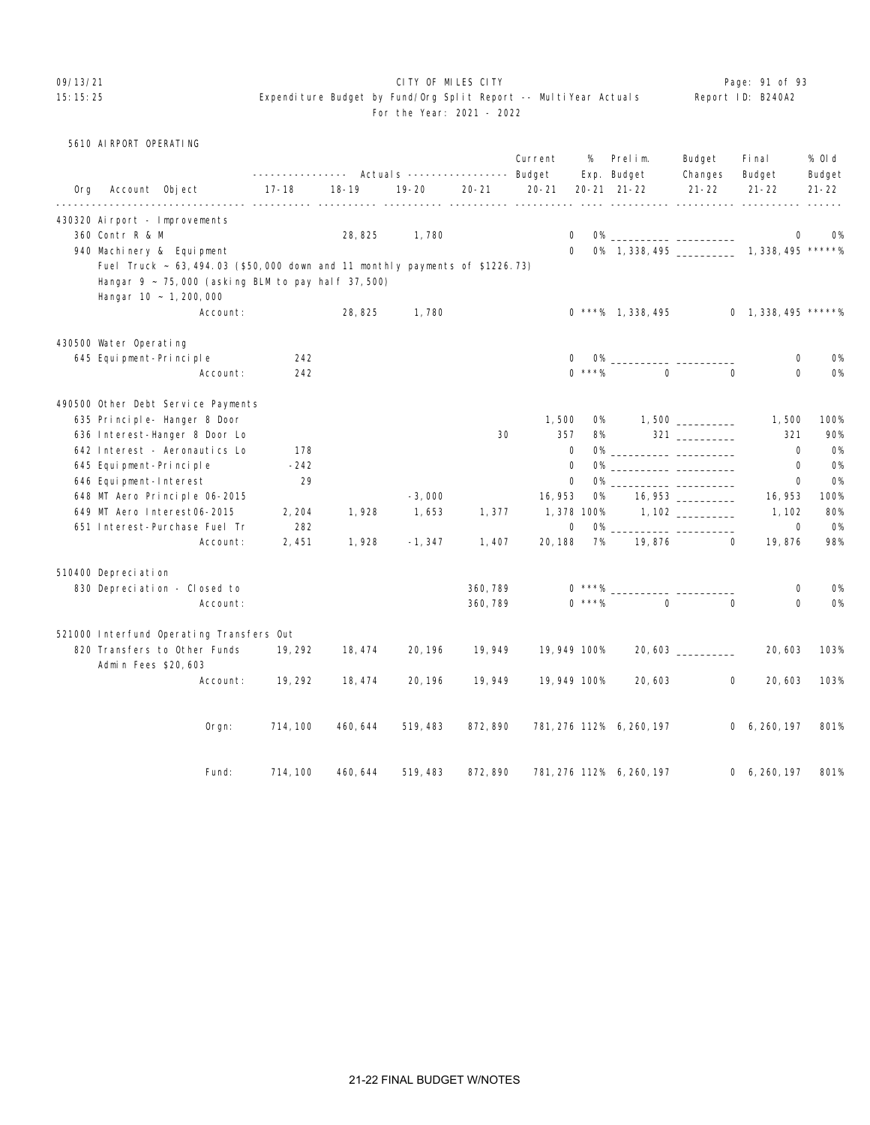# O9/13/21 **CITY OF MILES CITY CITY CITY CITY CITY Page: 91 of 93**

# 15:15:25 Expenditure Budget by Fund/Org Split Report -- MultiYear Actuals Report -- Report Actuals For the Year: 2021 - 2022

|                   | . |  |  |
|-------------------|---|--|--|
| Report ID: B240A2 |   |  |  |

|     | 5610 AI RPORT OPERATING |                                                                                   |           |                                                           |           |           |              |            |                                                                                                                      |                   |                        |                     |
|-----|-------------------------|-----------------------------------------------------------------------------------|-----------|-----------------------------------------------------------|-----------|-----------|--------------|------------|----------------------------------------------------------------------------------------------------------------------|-------------------|------------------------|---------------------|
|     |                         |                                                                                   |           | ---------------    Actual s    ----------------    Budget |           |           | Current      | %          | Prelim.<br>Exp. Budget                                                                                               | Budget<br>Changes | Fi nal<br>Budget       | % 0l d              |
| 0rg | Account Object          |                                                                                   | $17 - 18$ | $18 - 19$                                                 | $19 - 20$ | $20 - 21$ | $20 - 21$    |            | $20 - 21$ $21 - 22$                                                                                                  | $21 - 22$         | $21 - 22$              | Budget<br>$21 - 22$ |
|     |                         | 430320 Airport - Improvements                                                     |           |                                                           |           |           |              |            |                                                                                                                      |                   |                        |                     |
|     | 360 Contr R & M         |                                                                                   |           | 28, 825                                                   | 1,780     |           | 0            |            |                                                                                                                      |                   | 0                      | <b>O%</b>           |
|     |                         | 940 Machinery & Equipment                                                         |           |                                                           |           |           | $\Omega$     |            | 0% 1, 338, 495 ______________ 1, 338, 495 *****%                                                                     |                   |                        |                     |
|     |                         | Fuel Truck ~ 63, 494.03 (\$50,000 down and 11 monthly payments of \$1226.73)      |           |                                                           |           |           |              |            |                                                                                                                      |                   |                        |                     |
|     |                         | Hangar $9 \sim 75,000$ (asking BLM to pay half 37,500)<br>Hangar 10 ~ 1, 200, 000 |           |                                                           |           |           |              |            |                                                                                                                      |                   |                        |                     |
|     |                         | Account:                                                                          |           | 28,825                                                    | 1,780     |           |              |            | $0$ ***% 1, 338, 495                                                                                                 |                   | $0$ 1, 338, 495 *****% |                     |
|     | 430500 Water Operating  |                                                                                   |           |                                                           |           |           |              |            |                                                                                                                      |                   |                        |                     |
|     | 645 Equipment-Principle |                                                                                   | 242       |                                                           |           |           | 0            |            | 0% _______________ ___                                                                                               |                   | 0                      | <b>0%</b>           |
|     |                         | Account:                                                                          | 242       |                                                           |           |           |              | $0$ ***%   | $\Omega$                                                                                                             | $\Omega$          | $\Omega$               | <b>O%</b>           |
|     |                         | 490500 Other Debt Service Payments                                                |           |                                                           |           |           |              |            |                                                                                                                      |                   |                        |                     |
|     |                         | 635 Principle- Hanger 8 Door                                                      |           |                                                           |           |           | 1,500        | 0%         |                                                                                                                      |                   | 1,500                  | 100%                |
|     |                         | 636 Interest-Hanger 8 Door Lo                                                     |           |                                                           |           | 30        | 357          | 8%         |                                                                                                                      | $321$ ________    | 321                    | 90%                 |
|     |                         | 642 Interest - Aeronautics Lo                                                     | 178       |                                                           |           |           | $\mathbf 0$  |            |                                                                                                                      |                   | $\mathbf 0$            | <b>0%</b>           |
|     | 645 Equipment-Principle |                                                                                   | $-242$    |                                                           |           |           | 0            |            |                                                                                                                      |                   | $\mathbf 0$            | <b>O%</b>           |
|     | 646 Equipment-Interest  |                                                                                   | 29        |                                                           |           |           | 0            | <b>O%</b>  | <u> Alexandro de Alexandro de Alexandro de Alexandro de Alexandro de Alexandro de Alexandro de Alexandro de Alex</u> |                   | $\mathbf 0$            | <b>O%</b>           |
|     |                         | 648 MT Aero Principle 06-2015                                                     |           |                                                           | $-3,000$  |           | 16, 953      | 0%         |                                                                                                                      | 16, 953           | 16, 953                | 100%                |
|     |                         | 649 MT Aero Interest06-2015                                                       | 2, 204    | 1,928                                                     | 1,653     | 1,377     |              | 1,378 100% |                                                                                                                      |                   | 1, 102                 | 80%                 |
|     |                         | 651 Interest-Purchase Fuel Tr                                                     | 282       |                                                           |           |           | 0            | <b>O%</b>  |                                                                                                                      |                   | $\mathbf 0$            | <b>O%</b>           |
|     |                         | Account:                                                                          | 2,451     | 1,928                                                     | $-1, 347$ | 1,407     | 20, 188      | 7%         | 19,876                                                                                                               | $\Omega$          | 19,876                 | 98%                 |
|     | 510400 Depreciation     |                                                                                   |           |                                                           |           |           |              |            |                                                                                                                      |                   |                        |                     |
|     |                         | 830 Depreciation - Closed to                                                      |           |                                                           |           | 360, 789  |              |            |                                                                                                                      |                   | $\mathbf 0$            | <b>0%</b>           |
|     |                         | Account:                                                                          |           |                                                           |           | 360, 789  |              | $0$ ***%   | $\Omega$                                                                                                             | $\Omega$          | $\Omega$               | <b>O%</b>           |
|     |                         | 521000 Interfund Operating Transfers Out                                          |           |                                                           |           |           |              |            |                                                                                                                      |                   |                        |                     |
|     | Admin Fees \$20,603     | 820 Transfers to Other Funds                                                      | 19, 292   | 18, 474                                                   | 20, 196   | 19,949    | 19,949 100%  |            |                                                                                                                      | 20,603            | 20,603                 | 103%                |
|     |                         | Account:                                                                          | 19, 292   | 18, 474                                                   | 20, 196   | 19,949    | 19, 949 100% |            | 20,603                                                                                                               | 0                 | 20, 603                | 103%                |
|     |                         | $0$ rgn:                                                                          | 714, 100  | 460, 644                                                  | 519, 483  | 872, 890  |              |            | 781, 276 112% 6, 260, 197                                                                                            |                   | 0, 6, 260, 197         | 801%                |
|     |                         | Fund:                                                                             | 714, 100  | 460, 644                                                  | 519, 483  | 872, 890  |              |            | 781, 276 112% 6, 260, 197                                                                                            |                   | 0, 6, 260, 197         | 801%                |